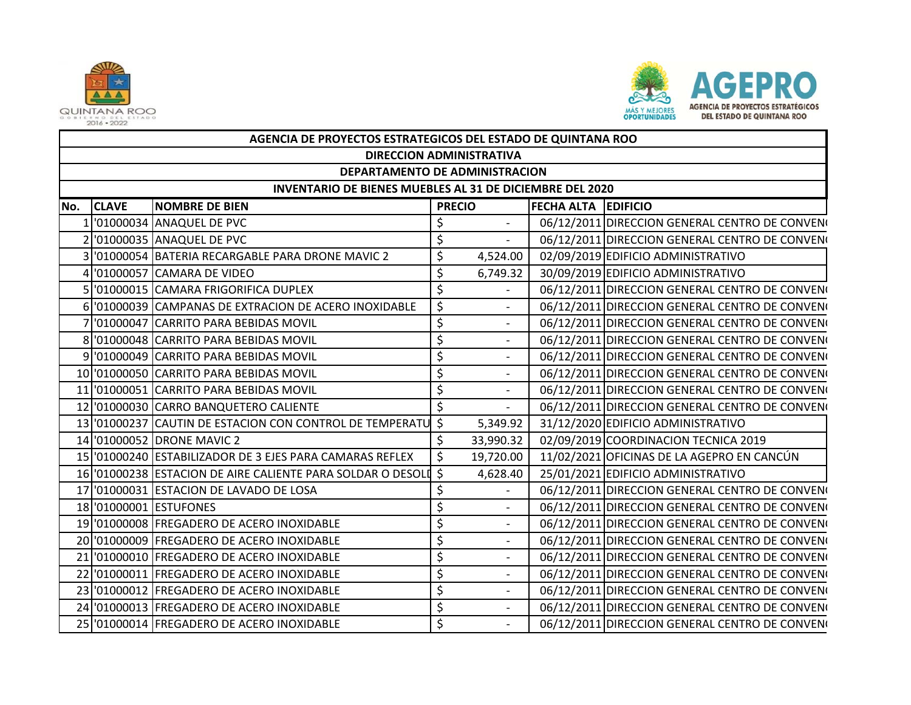



|     | AGENCIA DE PROYECTOS ESTRATEGICOS DEL ESTADO DE QUINTANA ROO    |                                                            |               |                              |                            |                                                |  |  |  |  |
|-----|-----------------------------------------------------------------|------------------------------------------------------------|---------------|------------------------------|----------------------------|------------------------------------------------|--|--|--|--|
|     | <b>DIRECCION ADMINISTRATIVA</b>                                 |                                                            |               |                              |                            |                                                |  |  |  |  |
|     | DEPARTAMENTO DE ADMINISTRACION                                  |                                                            |               |                              |                            |                                                |  |  |  |  |
|     | <b>INVENTARIO DE BIENES MUEBLES AL 31 DE DICIEMBRE DEL 2020</b> |                                                            |               |                              |                            |                                                |  |  |  |  |
| No. | <b>CLAVE</b>                                                    | <b>INOMBRE DE BIEN</b>                                     | <b>PRECIO</b> |                              | <b>FECHA ALTA EDIFICIO</b> |                                                |  |  |  |  |
|     |                                                                 | '01000034 ANAQUEL DE PVC                                   | \$            | $\overline{\phantom{a}}$     |                            | 06/12/2011 DIRECCION GENERAL CENTRO DE CONVENO |  |  |  |  |
|     |                                                                 | 2 01000035 ANAQUEL DE PVC                                  | \$            | $\overline{a}$               |                            | 06/12/2011 DIRECCION GENERAL CENTRO DE CONVENO |  |  |  |  |
|     |                                                                 | 3 '01000054 BATERIA RECARGABLE PARA DRONE MAVIC 2          | \$            | 4,524.00                     |                            | 02/09/2019 EDIFICIO ADMINISTRATIVO             |  |  |  |  |
|     |                                                                 | 4 '01000057 CAMARA DE VIDEO                                | \$            | 6,749.32                     |                            | 30/09/2019 EDIFICIO ADMINISTRATIVO             |  |  |  |  |
|     |                                                                 | 5 '01000015 CAMARA FRIGORIFICA DUPLEX                      | \$            | $\overline{\phantom{a}}$     |                            | 06/12/2011 DIRECCION GENERAL CENTRO DE CONVENO |  |  |  |  |
|     |                                                                 | 6 01000039 CAMPANAS DE EXTRACION DE ACERO INOXIDABLE       | \$            | $\overline{\phantom{a}}$     |                            | 06/12/2011 DIRECCION GENERAL CENTRO DE CONVENO |  |  |  |  |
|     |                                                                 | '01000047 CARRITO PARA BEBIDAS MOVIL                       | \$            | $\overline{\phantom{a}}$     |                            | 06/12/2011 DIRECCION GENERAL CENTRO DE CONVENO |  |  |  |  |
|     |                                                                 | 8 '01000048 CARRITO PARA BEBIDAS MOVIL                     | \$            | $\overline{\phantom{0}}$     |                            | 06/12/2011 DIRECCION GENERAL CENTRO DE CONVENO |  |  |  |  |
|     |                                                                 | 9 '01000049 CARRITO PARA BEBIDAS MOVIL                     | \$            | $\overline{\phantom{a}}$     |                            | 06/12/2011 DIRECCION GENERAL CENTRO DE CONVENO |  |  |  |  |
|     |                                                                 | 10 '01000050 CARRITO PARA BEBIDAS MOVIL                    | \$            | $\overline{\phantom{a}}$     |                            | 06/12/2011 DIRECCION GENERAL CENTRO DE CONVENO |  |  |  |  |
|     |                                                                 | 11 '01000051 CARRITO PARA BEBIDAS MOVIL                    | \$            | $\overline{\phantom{a}}$     |                            | 06/12/2011 DIRECCION GENERAL CENTRO DE CONVENO |  |  |  |  |
|     |                                                                 | 12 '01000030 CARRO BANQUETERO CALIENTE                     | \$            | $\blacksquare$               |                            | 06/12/2011 DIRECCION GENERAL CENTRO DE CONVENO |  |  |  |  |
|     |                                                                 | 13 '01000237 CAUTIN DE ESTACION CON CONTROL DE TEMPERATU   | \$            | 5,349.92                     |                            | 31/12/2020 EDIFICIO ADMINISTRATIVO             |  |  |  |  |
|     |                                                                 | 14 '01000052 DRONE MAVIC 2                                 | \$            | 33,990.32                    |                            | 02/09/2019 COORDINACION TECNICA 2019           |  |  |  |  |
|     |                                                                 | 15 01000240 ESTABILIZADOR DE 3 EJES PARA CAMARAS REFLEX    | \$            | 19,720.00                    |                            | 11/02/2021 OFICINAS DE LA AGEPRO EN CANCÚN     |  |  |  |  |
|     |                                                                 | 16 01000238 ESTACION DE AIRE CALIENTE PARA SOLDAR O DESOLI | \$            | 4,628.40                     |                            | 25/01/2021 EDIFICIO ADMINISTRATIVO             |  |  |  |  |
|     |                                                                 | 17 '01000031 ESTACION DE LAVADO DE LOSA                    | \$            | $\qquad \qquad \blacksquare$ |                            | 06/12/2011 DIRECCION GENERAL CENTRO DE CONVENO |  |  |  |  |
|     |                                                                 | 18 '01000001 ESTUFONES                                     | \$            | $\overline{\phantom{a}}$     |                            | 06/12/2011 DIRECCION GENERAL CENTRO DE CONVENO |  |  |  |  |
|     |                                                                 | 19 '01000008 FREGADERO DE ACERO INOXIDABLE                 | \$            | $\overline{a}$               |                            | 06/12/2011 DIRECCION GENERAL CENTRO DE CONVENO |  |  |  |  |
|     |                                                                 | 20 '01000009 FREGADERO DE ACERO INOXIDABLE                 | \$            | $\overline{\phantom{a}}$     |                            | 06/12/2011 DIRECCION GENERAL CENTRO DE CONVENO |  |  |  |  |
|     |                                                                 | 21 '01000010 FREGADERO DE ACERO INOXIDABLE                 | \$            | $\overline{a}$               |                            | 06/12/2011 DIRECCION GENERAL CENTRO DE CONVENO |  |  |  |  |
|     |                                                                 | 22 '01000011 FREGADERO DE ACERO INOXIDABLE                 | \$            | $\overline{\phantom{a}}$     |                            | 06/12/2011 DIRECCION GENERAL CENTRO DE CONVENO |  |  |  |  |
|     |                                                                 | 23 '01000012 FREGADERO DE ACERO INOXIDABLE                 | \$            | $\overline{\phantom{m}}$     |                            | 06/12/2011 DIRECCION GENERAL CENTRO DE CONVENO |  |  |  |  |
|     |                                                                 | 24 '01000013 FREGADERO DE ACERO INOXIDABLE                 | \$            | $\overline{\phantom{m}}$     |                            | 06/12/2011 DIRECCION GENERAL CENTRO DE CONVENO |  |  |  |  |
|     |                                                                 | 25 '01000014 FREGADERO DE ACERO INOXIDABLE                 | \$            | $\overline{\phantom{0}}$     |                            | 06/12/2011 DIRECCION GENERAL CENTRO DE CONVENO |  |  |  |  |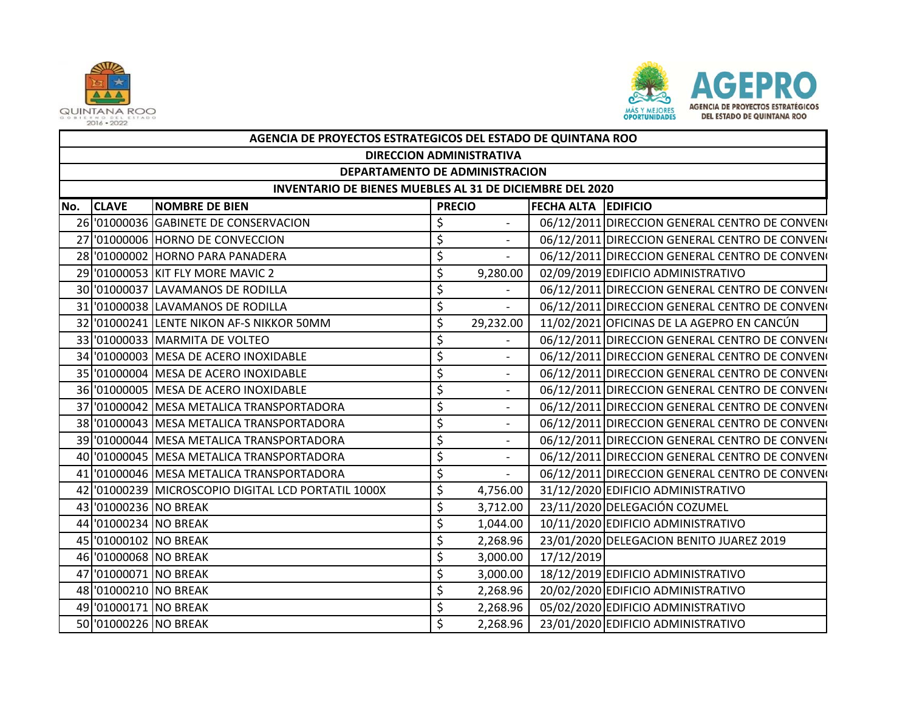



|                                                          | AGENCIA DE PROYECTOS ESTRATEGICOS DEL ESTADO DE QUINTANA ROO |                                                    |               |                              |                            |                                                |  |  |  |  |
|----------------------------------------------------------|--------------------------------------------------------------|----------------------------------------------------|---------------|------------------------------|----------------------------|------------------------------------------------|--|--|--|--|
|                                                          | <b>DIRECCION ADMINISTRATIVA</b>                              |                                                    |               |                              |                            |                                                |  |  |  |  |
|                                                          | DEPARTAMENTO DE ADMINISTRACION                               |                                                    |               |                              |                            |                                                |  |  |  |  |
| INVENTARIO DE BIENES MUEBLES AL 31 DE DICIEMBRE DEL 2020 |                                                              |                                                    |               |                              |                            |                                                |  |  |  |  |
| No.                                                      | <b>CLAVE</b>                                                 | <b>NOMBRE DE BIEN</b>                              | <b>PRECIO</b> |                              | <b>FECHA ALTA EDIFICIO</b> |                                                |  |  |  |  |
|                                                          |                                                              | 26 '01000036 GABINETE DE CONSERVACION              | \$            | $\overline{\phantom{a}}$     |                            | 06/12/2011 DIRECCION GENERAL CENTRO DE CONVENO |  |  |  |  |
|                                                          |                                                              | 27 '01000006 HORNO DE CONVECCION                   | \$            | $\blacksquare$               |                            | 06/12/2011 DIRECCION GENERAL CENTRO DE CONVENO |  |  |  |  |
|                                                          |                                                              | 28 '01000002 HORNO PARA PANADERA                   | \$            | $\overline{\phantom{a}}$     |                            | 06/12/2011 DIRECCION GENERAL CENTRO DE CONVENO |  |  |  |  |
|                                                          |                                                              | 29 '01000053 KIT FLY MORE MAVIC 2                  | \$            | 9,280.00                     |                            | 02/09/2019 EDIFICIO ADMINISTRATIVO             |  |  |  |  |
|                                                          |                                                              | 30 '01000037 LAVAMANOS DE RODILLA                  | \$            | $\overline{\phantom{a}}$     |                            | 06/12/2011 DIRECCION GENERAL CENTRO DE CONVENO |  |  |  |  |
|                                                          |                                                              | 31 '01000038 LAVAMANOS DE RODILLA                  | \$            | $\blacksquare$               |                            | 06/12/2011 DIRECCION GENERAL CENTRO DE CONVENO |  |  |  |  |
|                                                          |                                                              | 32 '01000241 LENTE NIKON AF-S NIKKOR 50MM          | \$            | 29,232.00                    |                            | 11/02/2021 OFICINAS DE LA AGEPRO EN CANCÚN     |  |  |  |  |
|                                                          |                                                              | 33 '01000033 MARMITA DE VOLTEO                     | \$            |                              |                            | 06/12/2011 DIRECCION GENERAL CENTRO DE CONVENO |  |  |  |  |
|                                                          |                                                              | 34 '01000003 MESA DE ACERO INOXIDABLE              | \$            |                              |                            | 06/12/2011 DIRECCION GENERAL CENTRO DE CONVENO |  |  |  |  |
|                                                          |                                                              | 35 '01000004 MESA DE ACERO INOXIDABLE              | \$            | $\overline{\phantom{a}}$     |                            | 06/12/2011 DIRECCION GENERAL CENTRO DE CONVENO |  |  |  |  |
|                                                          |                                                              | 36 '01000005 MESA DE ACERO INOXIDABLE              | \$            | $\qquad \qquad \blacksquare$ |                            | 06/12/2011 DIRECCION GENERAL CENTRO DE CONVENO |  |  |  |  |
| 37                                                       |                                                              | '01000042 MESA METALICA TRANSPORTADORA             | \$            | $\overline{\phantom{a}}$     |                            | 06/12/2011 DIRECCION GENERAL CENTRO DE CONVENO |  |  |  |  |
|                                                          |                                                              | 38 '01000043 MESA METALICA TRANSPORTADORA          | \$            | $\overline{\phantom{0}}$     |                            | 06/12/2011 DIRECCION GENERAL CENTRO DE CONVENO |  |  |  |  |
|                                                          |                                                              | 39 '01000044 MESA METALICA TRANSPORTADORA          | \$            | $\overline{\phantom{0}}$     |                            | 06/12/2011 DIRECCION GENERAL CENTRO DE CONVENO |  |  |  |  |
|                                                          |                                                              | 40 '01000045 MESA METALICA TRANSPORTADORA          | \$            | $\frac{1}{2}$                |                            | 06/12/2011 DIRECCION GENERAL CENTRO DE CONVENO |  |  |  |  |
|                                                          |                                                              | 41 '01000046 MESA METALICA TRANSPORTADORA          | \$            | $\overline{\phantom{a}}$     |                            | 06/12/2011 DIRECCION GENERAL CENTRO DE CONVENO |  |  |  |  |
|                                                          |                                                              | 42 01000239 MICROSCOPIO DIGITAL LCD PORTATIL 1000X | \$            | 4,756.00                     |                            | 31/12/2020 EDIFICIO ADMINISTRATIVO             |  |  |  |  |
|                                                          | 43 '01000236 NO BREAK                                        |                                                    | \$            | 3,712.00                     |                            | 23/11/2020 DELEGACIÓN COZUMEL                  |  |  |  |  |
|                                                          | 44 '01000234 NO BREAK                                        |                                                    | \$            | 1,044.00                     |                            | 10/11/2020 EDIFICIO ADMINISTRATIVO             |  |  |  |  |
|                                                          | 45 '01000102 NO BREAK                                        |                                                    | \$            | 2,268.96                     |                            | 23/01/2020 DELEGACION BENITO JUAREZ 2019       |  |  |  |  |
|                                                          | 46 '01000068 NO BREAK                                        |                                                    | \$            | 3,000.00                     | 17/12/2019                 |                                                |  |  |  |  |
|                                                          | 47 '01000071 NO BREAK                                        |                                                    | \$            | 3,000.00                     |                            | 18/12/2019 EDIFICIO ADMINISTRATIVO             |  |  |  |  |
|                                                          | 48 '01000210 NO BREAK                                        |                                                    | \$            | 2,268.96                     |                            | 20/02/2020 EDIFICIO ADMINISTRATIVO             |  |  |  |  |
|                                                          | 49 '01000171 NO BREAK                                        |                                                    | \$            | 2,268.96                     |                            | 05/02/2020 EDIFICIO ADMINISTRATIVO             |  |  |  |  |
|                                                          | 50 '01000226 NO BREAK                                        |                                                    | \$            | 2,268.96                     |                            | 23/01/2020 EDIFICIO ADMINISTRATIVO             |  |  |  |  |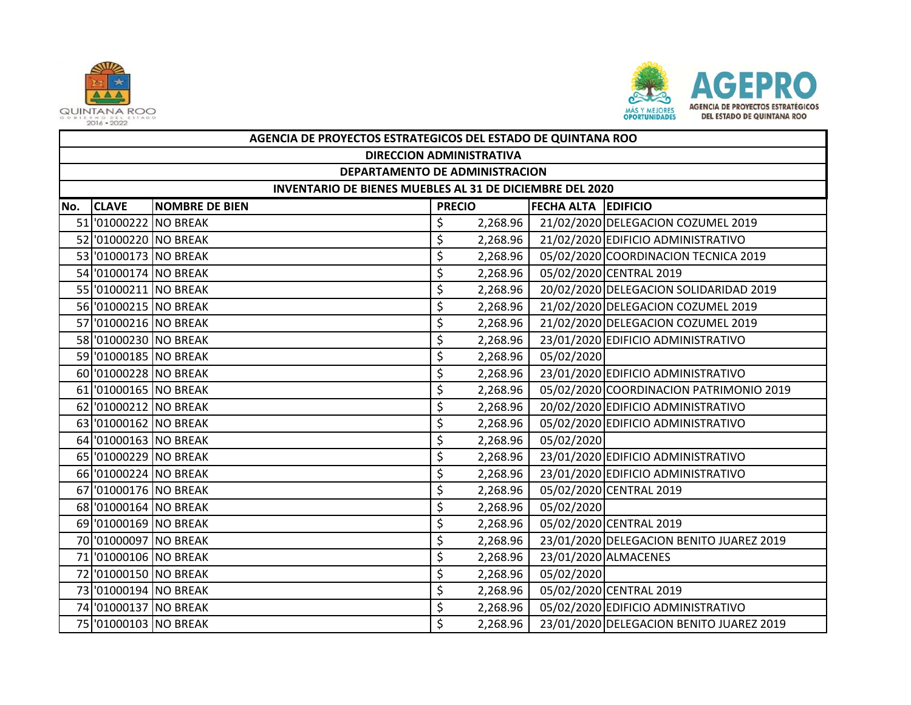



|     | AGENCIA DE PROYECTOS ESTRATEGICOS DEL ESTADO DE QUINTANA ROO    |                       |               |          |                            |                                          |  |  |  |  |
|-----|-----------------------------------------------------------------|-----------------------|---------------|----------|----------------------------|------------------------------------------|--|--|--|--|
|     | <b>DIRECCION ADMINISTRATIVA</b>                                 |                       |               |          |                            |                                          |  |  |  |  |
|     | DEPARTAMENTO DE ADMINISTRACION                                  |                       |               |          |                            |                                          |  |  |  |  |
|     | <b>INVENTARIO DE BIENES MUEBLES AL 31 DE DICIEMBRE DEL 2020</b> |                       |               |          |                            |                                          |  |  |  |  |
| No. | <b>CLAVE</b>                                                    | <b>NOMBRE DE BIEN</b> | <b>PRECIO</b> |          | <b>FECHA ALTA EDIFICIO</b> |                                          |  |  |  |  |
|     | 51 '01000222 NO BREAK                                           |                       | \$            | 2,268.96 |                            | 21/02/2020 DELEGACION COZUMEL 2019       |  |  |  |  |
|     | 52 '01000220 NO BREAK                                           |                       | \$            | 2,268.96 |                            | 21/02/2020 EDIFICIO ADMINISTRATIVO       |  |  |  |  |
|     | 53 01000173 NO BREAK                                            |                       | \$            | 2,268.96 |                            | 05/02/2020 COORDINACION TECNICA 2019     |  |  |  |  |
|     | 54 '01000174 NO BREAK                                           |                       | \$            | 2,268.96 |                            | 05/02/2020 CENTRAL 2019                  |  |  |  |  |
|     | 55 01000211 NO BREAK                                            |                       | \$            | 2,268.96 |                            | 20/02/2020 DELEGACION SOLIDARIDAD 2019   |  |  |  |  |
|     | 56 '01000215 NO BREAK                                           |                       | \$            | 2,268.96 |                            | 21/02/2020 DELEGACION COZUMEL 2019       |  |  |  |  |
|     | 57 '01000216 NO BREAK                                           |                       | \$            | 2,268.96 |                            | 21/02/2020 DELEGACION COZUMEL 2019       |  |  |  |  |
|     | 58 '01000230 NO BREAK                                           |                       | \$            | 2,268.96 |                            | 23/01/2020 EDIFICIO ADMINISTRATIVO       |  |  |  |  |
|     | 59 '01000185 NO BREAK                                           |                       | \$            | 2,268.96 | 05/02/2020                 |                                          |  |  |  |  |
|     | 60 '01000228 NO BREAK                                           |                       | \$            | 2,268.96 |                            | 23/01/2020 EDIFICIO ADMINISTRATIVO       |  |  |  |  |
|     | 61 '01000165 NO BREAK                                           |                       | \$            | 2,268.96 |                            | 05/02/2020 COORDINACION PATRIMONIO 2019  |  |  |  |  |
|     | 62 '01000212 NO BREAK                                           |                       | \$            | 2,268.96 |                            | 20/02/2020 EDIFICIO ADMINISTRATIVO       |  |  |  |  |
|     | 63 '01000162 NO BREAK                                           |                       | \$            | 2,268.96 |                            | 05/02/2020 EDIFICIO ADMINISTRATIVO       |  |  |  |  |
|     | 64 '01000163 NO BREAK                                           |                       | \$            | 2,268.96 | 05/02/2020                 |                                          |  |  |  |  |
|     | 65 '01000229 NO BREAK                                           |                       | \$            | 2,268.96 |                            | 23/01/2020 EDIFICIO ADMINISTRATIVO       |  |  |  |  |
|     | 66 '01000224 NO BREAK                                           |                       | \$            | 2,268.96 |                            | 23/01/2020 EDIFICIO ADMINISTRATIVO       |  |  |  |  |
|     | 67 '01000176 NO BREAK                                           |                       | \$            | 2,268.96 |                            | 05/02/2020 CENTRAL 2019                  |  |  |  |  |
|     | 68 '01000164 NO BREAK                                           |                       | \$            | 2,268.96 | 05/02/2020                 |                                          |  |  |  |  |
|     | 69 '01000169 NO BREAK                                           |                       | \$            | 2,268.96 |                            | 05/02/2020 CENTRAL 2019                  |  |  |  |  |
|     | 70 '01000097 NO BREAK                                           |                       | \$            | 2,268.96 |                            | 23/01/2020 DELEGACION BENITO JUAREZ 2019 |  |  |  |  |
|     | 71 '01000106 NO BREAK                                           |                       | \$            | 2,268.96 |                            | 23/01/2020 ALMACENES                     |  |  |  |  |
|     | 72 '01000150 NO BREAK                                           |                       | \$            | 2,268.96 | 05/02/2020                 |                                          |  |  |  |  |
|     | 73 01000194 NO BREAK                                            |                       | \$            | 2,268.96 |                            | 05/02/2020 CENTRAL 2019                  |  |  |  |  |
|     | 74 '01000137 NO BREAK                                           |                       | \$            | 2,268.96 |                            | 05/02/2020 EDIFICIO ADMINISTRATIVO       |  |  |  |  |
|     | 75 '01000103 NO BREAK                                           |                       | \$            | 2,268.96 |                            | 23/01/2020 DELEGACION BENITO JUAREZ 2019 |  |  |  |  |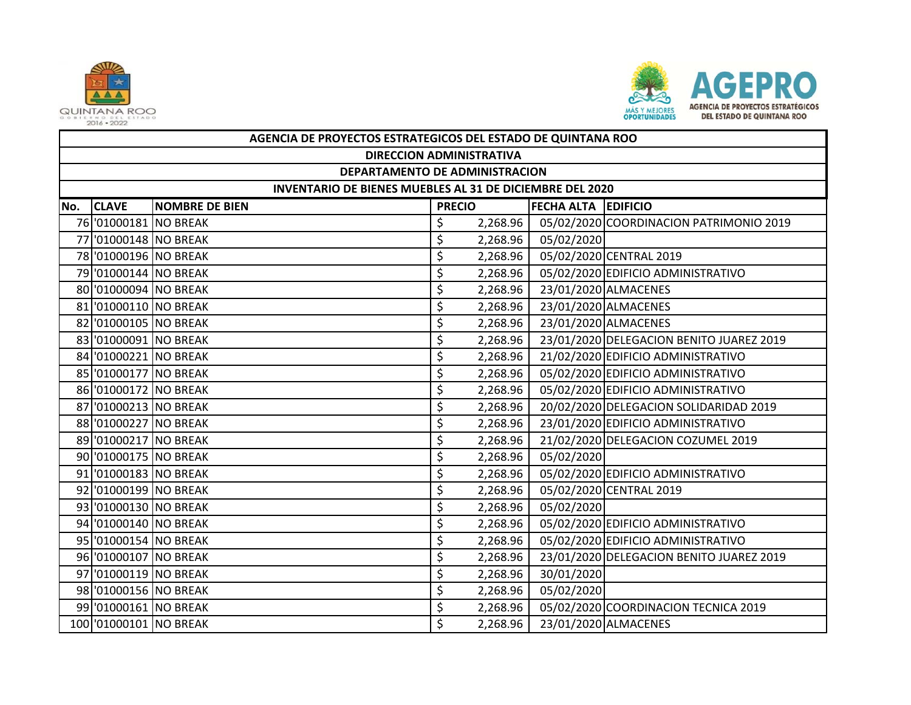



|     | AGENCIA DE PROYECTOS ESTRATEGICOS DEL ESTADO DE QUINTANA ROO |                            |    |          |            |                                          |  |  |  |  |
|-----|--------------------------------------------------------------|----------------------------|----|----------|------------|------------------------------------------|--|--|--|--|
|     | <b>DIRECCION ADMINISTRATIVA</b>                              |                            |    |          |            |                                          |  |  |  |  |
|     | DEPARTAMENTO DE ADMINISTRACION                               |                            |    |          |            |                                          |  |  |  |  |
|     | INVENTARIO DE BIENES MUEBLES AL 31 DE DICIEMBRE DEL 2020     |                            |    |          |            |                                          |  |  |  |  |
| No. | <b>CLAVE</b>                                                 | <b>FECHA ALTA EDIFICIO</b> |    |          |            |                                          |  |  |  |  |
|     | 76 '01000181 NO BREAK                                        |                            | \$ | 2,268.96 |            | 05/02/2020 COORDINACION PATRIMONIO 2019  |  |  |  |  |
|     | 77 '01000148 NO BREAK                                        |                            | \$ | 2,268.96 | 05/02/2020 |                                          |  |  |  |  |
|     | 78 '01000196 NO BREAK                                        |                            | \$ | 2,268.96 |            | 05/02/2020 CENTRAL 2019                  |  |  |  |  |
|     | 79 '01000144 NO BREAK                                        |                            | \$ | 2,268.96 |            | 05/02/2020 EDIFICIO ADMINISTRATIVO       |  |  |  |  |
|     | 80 '01000094 NO BREAK                                        |                            | \$ | 2,268.96 |            | 23/01/2020 ALMACENES                     |  |  |  |  |
|     | 81 '01000110 NO BREAK                                        |                            | \$ | 2,268.96 |            | 23/01/2020 ALMACENES                     |  |  |  |  |
|     | 82 '01000105 NO BREAK                                        |                            | \$ | 2,268.96 |            | 23/01/2020 ALMACENES                     |  |  |  |  |
|     | 83 '01000091 NO BREAK                                        |                            | \$ | 2,268.96 |            | 23/01/2020 DELEGACION BENITO JUAREZ 2019 |  |  |  |  |
|     | 84 '01000221 NO BREAK                                        |                            | \$ | 2,268.96 |            | 21/02/2020 EDIFICIO ADMINISTRATIVO       |  |  |  |  |
|     | 85 '01000177 NO BREAK                                        |                            | \$ | 2,268.96 |            | 05/02/2020 EDIFICIO ADMINISTRATIVO       |  |  |  |  |
|     | 86 '01000172 NO BREAK                                        |                            | \$ | 2,268.96 |            | 05/02/2020 EDIFICIO ADMINISTRATIVO       |  |  |  |  |
|     | 87 '01000213 NO BREAK                                        |                            | \$ | 2,268.96 |            | 20/02/2020 DELEGACION SOLIDARIDAD 2019   |  |  |  |  |
|     | 88 '01000227 NO BREAK                                        |                            | \$ | 2,268.96 |            | 23/01/2020 EDIFICIO ADMINISTRATIVO       |  |  |  |  |
|     | 89 '01000217 NO BREAK                                        |                            | \$ | 2,268.96 |            | 21/02/2020 DELEGACION COZUMEL 2019       |  |  |  |  |
|     | 90 '01000175 NO BREAK                                        |                            | \$ | 2,268.96 | 05/02/2020 |                                          |  |  |  |  |
|     | 91 '01000183 NO BREAK                                        |                            | \$ | 2,268.96 |            | 05/02/2020 EDIFICIO ADMINISTRATIVO       |  |  |  |  |
|     | 92 '01000199 NO BREAK                                        |                            | \$ | 2,268.96 |            | 05/02/2020 CENTRAL 2019                  |  |  |  |  |
|     | 93 '01000130 NO BREAK                                        |                            | \$ | 2,268.96 | 05/02/2020 |                                          |  |  |  |  |
|     | 94 '01000140 NO BREAK                                        |                            | \$ | 2,268.96 |            | 05/02/2020 EDIFICIO ADMINISTRATIVO       |  |  |  |  |
|     | 95 '01000154 NO BREAK                                        |                            | \$ | 2,268.96 |            | 05/02/2020 EDIFICIO ADMINISTRATIVO       |  |  |  |  |
|     | 96 '01000107 NO BREAK                                        |                            | \$ | 2,268.96 |            | 23/01/2020 DELEGACION BENITO JUAREZ 2019 |  |  |  |  |
|     | 97 '01000119 NO BREAK                                        |                            | \$ | 2,268.96 | 30/01/2020 |                                          |  |  |  |  |
|     | 98 '01000156 NO BREAK                                        |                            | \$ | 2,268.96 | 05/02/2020 |                                          |  |  |  |  |
|     | 99 '01000161 NO BREAK                                        |                            | \$ | 2,268.96 |            | 05/02/2020 COORDINACION TECNICA 2019     |  |  |  |  |
|     | 100 01000101 NO BREAK                                        |                            | \$ | 2,268.96 |            | 23/01/2020 ALMACENES                     |  |  |  |  |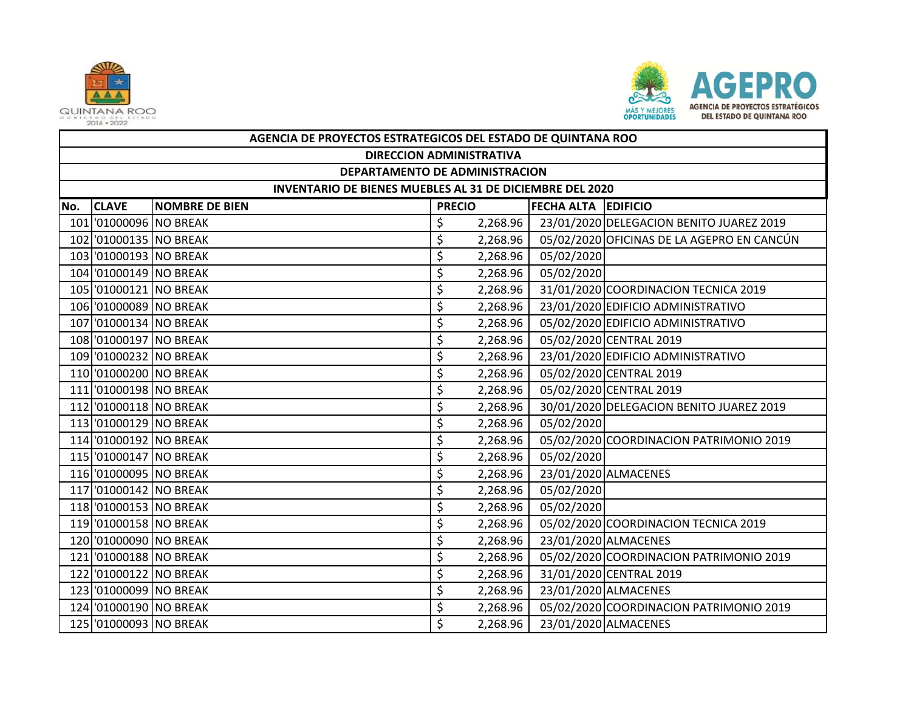



|     | AGENCIA DE PROYECTOS ESTRATEGICOS DEL ESTADO DE QUINTANA ROO    |                       |               |          |                            |                                            |  |  |  |  |
|-----|-----------------------------------------------------------------|-----------------------|---------------|----------|----------------------------|--------------------------------------------|--|--|--|--|
|     | <b>DIRECCION ADMINISTRATIVA</b>                                 |                       |               |          |                            |                                            |  |  |  |  |
|     | DEPARTAMENTO DE ADMINISTRACION                                  |                       |               |          |                            |                                            |  |  |  |  |
|     | <b>INVENTARIO DE BIENES MUEBLES AL 31 DE DICIEMBRE DEL 2020</b> |                       |               |          |                            |                                            |  |  |  |  |
| No. | <b>CLAVE</b>                                                    | <b>NOMBRE DE BIEN</b> | <b>PRECIO</b> |          | <b>FECHA ALTA EDIFICIO</b> |                                            |  |  |  |  |
|     | 101 01000096 NO BREAK                                           |                       | \$            | 2,268.96 |                            | 23/01/2020 DELEGACION BENITO JUAREZ 2019   |  |  |  |  |
|     | 102 01000135 NO BREAK                                           |                       | \$            | 2,268.96 |                            | 05/02/2020 OFICINAS DE LA AGEPRO EN CANCÚN |  |  |  |  |
|     | 103 01000193 NO BREAK                                           |                       | \$            | 2,268.96 | 05/02/2020                 |                                            |  |  |  |  |
|     | 104 01000149 NO BREAK                                           |                       | \$            | 2,268.96 | 05/02/2020                 |                                            |  |  |  |  |
|     | 105 01000121 NO BREAK                                           |                       | \$            | 2,268.96 |                            | 31/01/2020 COORDINACION TECNICA 2019       |  |  |  |  |
|     | 106 01000089 NO BREAK                                           |                       | \$            | 2,268.96 |                            | 23/01/2020 EDIFICIO ADMINISTRATIVO         |  |  |  |  |
|     | 107 01000134 NO BREAK                                           |                       | \$            | 2,268.96 |                            | 05/02/2020 EDIFICIO ADMINISTRATIVO         |  |  |  |  |
|     | 108 01000197 NO BREAK                                           |                       | \$            | 2,268.96 |                            | 05/02/2020 CENTRAL 2019                    |  |  |  |  |
|     | 109 01000232 NO BREAK                                           |                       | \$            | 2,268.96 |                            | 23/01/2020 EDIFICIO ADMINISTRATIVO         |  |  |  |  |
|     | 110 01000200 NO BREAK                                           |                       | \$            | 2,268.96 |                            | 05/02/2020 CENTRAL 2019                    |  |  |  |  |
|     | 111 01000198 NO BREAK                                           |                       | \$            | 2,268.96 |                            | 05/02/2020 CENTRAL 2019                    |  |  |  |  |
|     | 112 01000118 NO BREAK                                           |                       | \$            | 2,268.96 |                            | 30/01/2020 DELEGACION BENITO JUAREZ 2019   |  |  |  |  |
|     | 113 01000129 NO BREAK                                           |                       | \$            | 2,268.96 | 05/02/2020                 |                                            |  |  |  |  |
|     | 114 '01000192 NO BREAK                                          |                       | \$            | 2,268.96 |                            | 05/02/2020 COORDINACION PATRIMONIO 2019    |  |  |  |  |
|     | 115 01000147 NO BREAK                                           |                       | \$            | 2,268.96 | 05/02/2020                 |                                            |  |  |  |  |
|     | 116 '01000095 NO BREAK                                          |                       | \$            | 2,268.96 |                            | 23/01/2020 ALMACENES                       |  |  |  |  |
|     | 117 01000142 NO BREAK                                           |                       | \$            | 2,268.96 | 05/02/2020                 |                                            |  |  |  |  |
|     | 118 01000153 NO BREAK                                           |                       | \$            | 2,268.96 | 05/02/2020                 |                                            |  |  |  |  |
|     | 119 01000158 NO BREAK                                           |                       | \$            | 2,268.96 |                            | 05/02/2020 COORDINACION TECNICA 2019       |  |  |  |  |
|     | 120 01000090 NO BREAK                                           |                       | \$            | 2,268.96 |                            | 23/01/2020 ALMACENES                       |  |  |  |  |
|     | 121 01000188 NO BREAK                                           |                       | \$            | 2,268.96 |                            | 05/02/2020 COORDINACION PATRIMONIO 2019    |  |  |  |  |
|     | 122 01000122 NO BREAK                                           |                       | \$            | 2,268.96 |                            | 31/01/2020 CENTRAL 2019                    |  |  |  |  |
|     | 123 01000099 NO BREAK                                           |                       | \$            | 2,268.96 |                            | 23/01/2020 ALMACENES                       |  |  |  |  |
|     | 124 '01000190 NO BREAK                                          |                       | \$            | 2,268.96 |                            | 05/02/2020 COORDINACION PATRIMONIO 2019    |  |  |  |  |
|     | 125 01000093 NO BREAK                                           |                       | \$            | 2,268.96 |                            | 23/01/2020 ALMACENES                       |  |  |  |  |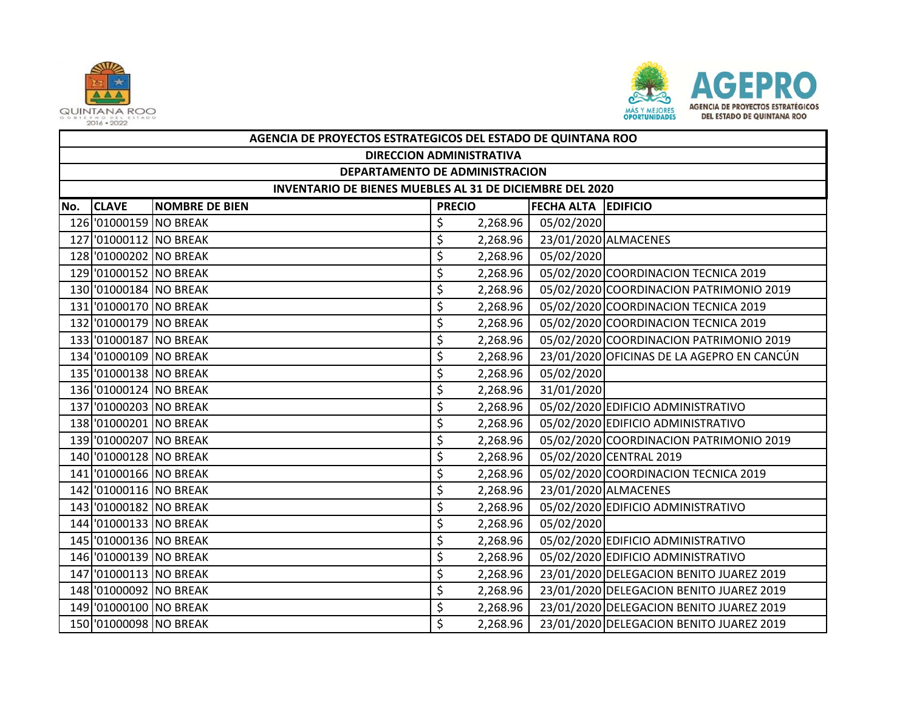



|     | AGENCIA DE PROYECTOS ESTRATEGICOS DEL ESTADO DE QUINTANA ROO |                       |               |          |                            |                                            |  |  |  |  |
|-----|--------------------------------------------------------------|-----------------------|---------------|----------|----------------------------|--------------------------------------------|--|--|--|--|
|     | <b>DIRECCION ADMINISTRATIVA</b>                              |                       |               |          |                            |                                            |  |  |  |  |
|     | DEPARTAMENTO DE ADMINISTRACION                               |                       |               |          |                            |                                            |  |  |  |  |
|     | INVENTARIO DE BIENES MUEBLES AL 31 DE DICIEMBRE DEL 2020     |                       |               |          |                            |                                            |  |  |  |  |
| No. | <b>CLAVE</b>                                                 | <b>NOMBRE DE BIEN</b> | <b>PRECIO</b> |          | <b>FECHA ALTA EDIFICIO</b> |                                            |  |  |  |  |
|     | 126 '01000159 NO BREAK                                       |                       | \$            | 2,268.96 | 05/02/2020                 |                                            |  |  |  |  |
|     | 127 '01000112 NO BREAK                                       |                       | \$            | 2,268.96 |                            | 23/01/2020 ALMACENES                       |  |  |  |  |
|     | 128 '01000202 NO BREAK                                       |                       | \$            | 2,268.96 | 05/02/2020                 |                                            |  |  |  |  |
|     | 129 '01000152 NO BREAK                                       |                       | \$            | 2,268.96 |                            | 05/02/2020 COORDINACION TECNICA 2019       |  |  |  |  |
|     | 130 '01000184 NO BREAK                                       |                       | \$            | 2,268.96 |                            | 05/02/2020 COORDINACION PATRIMONIO 2019    |  |  |  |  |
|     | 131 01000170 NO BREAK                                        |                       | \$            | 2,268.96 |                            | 05/02/2020 COORDINACION TECNICA 2019       |  |  |  |  |
|     | 132 '01000179 NO BREAK                                       |                       | \$            | 2,268.96 |                            | 05/02/2020 COORDINACION TECNICA 2019       |  |  |  |  |
|     | 133 01000187 NO BREAK                                        |                       | \$            | 2,268.96 |                            | 05/02/2020 COORDINACION PATRIMONIO 2019    |  |  |  |  |
|     | 134 '01000109 NO BREAK                                       |                       | \$            | 2,268.96 |                            | 23/01/2020 OFICINAS DE LA AGEPRO EN CANCÚN |  |  |  |  |
|     | 135 01000138 NO BREAK                                        |                       | \$            | 2,268.96 | 05/02/2020                 |                                            |  |  |  |  |
|     | 136 '01000124 NO BREAK                                       |                       | \$            | 2,268.96 | 31/01/2020                 |                                            |  |  |  |  |
|     | 137 '01000203 NO BREAK                                       |                       | \$            | 2,268.96 |                            | 05/02/2020 EDIFICIO ADMINISTRATIVO         |  |  |  |  |
|     | 138 '01000201 NO BREAK                                       |                       | \$            | 2,268.96 |                            | 05/02/2020 EDIFICIO ADMINISTRATIVO         |  |  |  |  |
|     | 139 '01000207 NO BREAK                                       |                       | \$            | 2,268.96 |                            | 05/02/2020 COORDINACION PATRIMONIO 2019    |  |  |  |  |
|     | 140 01000128 NO BREAK                                        |                       | \$            | 2,268.96 |                            | 05/02/2020 CENTRAL 2019                    |  |  |  |  |
|     | 141 01000166 NO BREAK                                        |                       | \$            | 2,268.96 |                            | 05/02/2020 COORDINACION TECNICA 2019       |  |  |  |  |
|     | 142 01000116 NO BREAK                                        |                       | \$            | 2,268.96 |                            | 23/01/2020 ALMACENES                       |  |  |  |  |
|     | 143 01000182 NO BREAK                                        |                       | \$            | 2,268.96 |                            | 05/02/2020 EDIFICIO ADMINISTRATIVO         |  |  |  |  |
|     | 144 '01000133 NO BREAK                                       |                       | \$            | 2,268.96 | 05/02/2020                 |                                            |  |  |  |  |
|     | 145 01000136 NO BREAK                                        |                       | \$            | 2,268.96 |                            | 05/02/2020 EDIFICIO ADMINISTRATIVO         |  |  |  |  |
|     | 146 '01000139 NO BREAK                                       |                       | \$            | 2,268.96 |                            | 05/02/2020 EDIFICIO ADMINISTRATIVO         |  |  |  |  |
|     | 147 '01000113 NO BREAK                                       |                       | \$            | 2,268.96 |                            | 23/01/2020 DELEGACION BENITO JUAREZ 2019   |  |  |  |  |
|     | 148 '01000092 NO BREAK                                       |                       | \$            | 2,268.96 |                            | 23/01/2020 DELEGACION BENITO JUAREZ 2019   |  |  |  |  |
|     | 149 '01000100 NO BREAK                                       |                       | \$            | 2,268.96 |                            | 23/01/2020 DELEGACION BENITO JUAREZ 2019   |  |  |  |  |
|     | 150 '01000098 NO BREAK                                       |                       | \$            | 2,268.96 |                            | 23/01/2020 DELEGACION BENITO JUAREZ 2019   |  |  |  |  |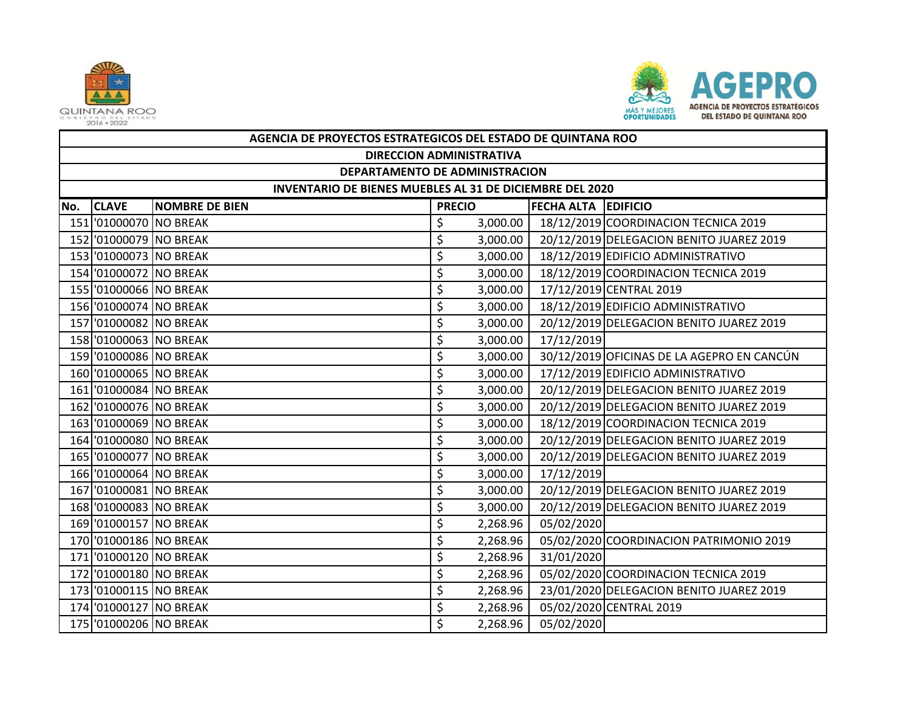



|     | AGENCIA DE PROYECTOS ESTRATEGICOS DEL ESTADO DE QUINTANA ROO |                       |               |          |                            |                                            |  |  |  |  |
|-----|--------------------------------------------------------------|-----------------------|---------------|----------|----------------------------|--------------------------------------------|--|--|--|--|
|     | <b>DIRECCION ADMINISTRATIVA</b>                              |                       |               |          |                            |                                            |  |  |  |  |
|     | DEPARTAMENTO DE ADMINISTRACION                               |                       |               |          |                            |                                            |  |  |  |  |
|     | INVENTARIO DE BIENES MUEBLES AL 31 DE DICIEMBRE DEL 2020     |                       |               |          |                            |                                            |  |  |  |  |
| No. | <b>CLAVE</b>                                                 | <b>NOMBRE DE BIEN</b> | <b>PRECIO</b> |          | <b>FECHA ALTA EDIFICIO</b> |                                            |  |  |  |  |
|     | 151 01000070 NO BREAK                                        |                       | \$            | 3,000.00 |                            | 18/12/2019 COORDINACION TECNICA 2019       |  |  |  |  |
|     | 152 01000079 NO BREAK                                        |                       | \$            | 3,000.00 |                            | 20/12/2019 DELEGACION BENITO JUAREZ 2019   |  |  |  |  |
|     | 153 01000073 NO BREAK                                        |                       | \$            | 3,000.00 |                            | 18/12/2019 EDIFICIO ADMINISTRATIVO         |  |  |  |  |
|     | 154 '01000072 NO BREAK                                       |                       | \$            | 3,000.00 |                            | 18/12/2019 COORDINACION TECNICA 2019       |  |  |  |  |
|     | 155 '01000066 NO BREAK                                       |                       | \$            | 3,000.00 |                            | 17/12/2019 CENTRAL 2019                    |  |  |  |  |
|     | 156 '01000074 NO BREAK                                       |                       | \$            | 3,000.00 |                            | 18/12/2019 EDIFICIO ADMINISTRATIVO         |  |  |  |  |
|     | 157 '01000082 NO BREAK                                       |                       | \$            | 3,000.00 |                            | 20/12/2019 DELEGACION BENITO JUAREZ 2019   |  |  |  |  |
|     | 158 '01000063 NO BREAK                                       |                       | \$            | 3,000.00 | 17/12/2019                 |                                            |  |  |  |  |
|     | 159 '01000086 NO BREAK                                       |                       | \$            | 3,000.00 |                            | 30/12/2019 OFICINAS DE LA AGEPRO EN CANCÚN |  |  |  |  |
|     | 160 '01000065 NO BREAK                                       |                       | \$            | 3,000.00 |                            | 17/12/2019 EDIFICIO ADMINISTRATIVO         |  |  |  |  |
|     | 161 01000084 NO BREAK                                        |                       | \$            | 3,000.00 |                            | 20/12/2019 DELEGACION BENITO JUAREZ 2019   |  |  |  |  |
|     | 162 01000076 NO BREAK                                        |                       | \$            | 3,000.00 |                            | 20/12/2019 DELEGACION BENITO JUAREZ 2019   |  |  |  |  |
|     | 163 01000069 NO BREAK                                        |                       | \$            | 3,000.00 |                            | 18/12/2019 COORDINACION TECNICA 2019       |  |  |  |  |
|     | 164 '01000080 NO BREAK                                       |                       | \$            | 3,000.00 |                            | 20/12/2019 DELEGACION BENITO JUAREZ 2019   |  |  |  |  |
|     | 165 01000077 NO BREAK                                        |                       | \$            | 3,000.00 |                            | 20/12/2019 DELEGACION BENITO JUAREZ 2019   |  |  |  |  |
|     | 166 '01000064 NO BREAK                                       |                       | \$            | 3,000.00 | 17/12/2019                 |                                            |  |  |  |  |
|     | 167 01000081 NO BREAK                                        |                       | \$            | 3,000.00 |                            | 20/12/2019 DELEGACION BENITO JUAREZ 2019   |  |  |  |  |
|     | 168 01000083 NO BREAK                                        |                       | \$            | 3,000.00 |                            | 20/12/2019 DELEGACION BENITO JUAREZ 2019   |  |  |  |  |
|     | 169 '01000157 NO BREAK                                       |                       | \$            | 2,268.96 | 05/02/2020                 |                                            |  |  |  |  |
|     | 170 '01000186 NO BREAK                                       |                       | \$            | 2,268.96 |                            | 05/02/2020 COORDINACION PATRIMONIO 2019    |  |  |  |  |
|     | 171 01000120 NO BREAK                                        |                       | \$            | 2,268.96 | 31/01/2020                 |                                            |  |  |  |  |
|     | 172 01000180 NO BREAK                                        |                       | \$            | 2,268.96 |                            | 05/02/2020 COORDINACION TECNICA 2019       |  |  |  |  |
|     | 173 01000115 NO BREAK                                        |                       | \$            | 2,268.96 |                            | 23/01/2020 DELEGACION BENITO JUAREZ 2019   |  |  |  |  |
|     | 174 '01000127 NO BREAK                                       |                       | \$            | 2,268.96 |                            | 05/02/2020 CENTRAL 2019                    |  |  |  |  |
|     | 175 01000206 NO BREAK                                        |                       | \$            | 2,268.96 | 05/02/2020                 |                                            |  |  |  |  |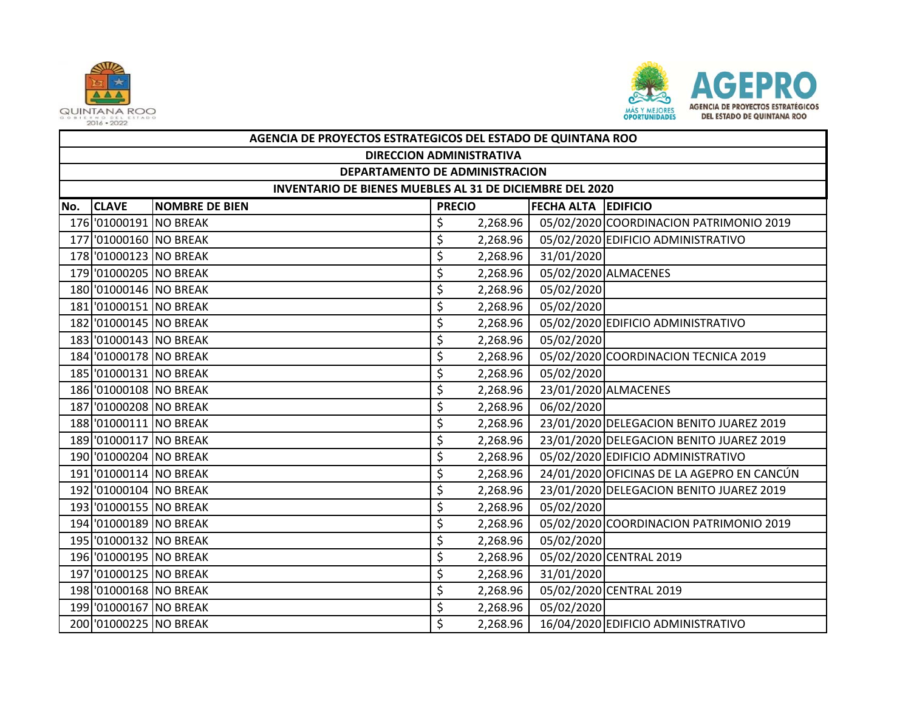



|     | AGENCIA DE PROYECTOS ESTRATEGICOS DEL ESTADO DE QUINTANA ROO |                       |               |          |                            |                                            |  |  |  |  |
|-----|--------------------------------------------------------------|-----------------------|---------------|----------|----------------------------|--------------------------------------------|--|--|--|--|
|     | <b>DIRECCION ADMINISTRATIVA</b>                              |                       |               |          |                            |                                            |  |  |  |  |
|     | DEPARTAMENTO DE ADMINISTRACION                               |                       |               |          |                            |                                            |  |  |  |  |
|     | INVENTARIO DE BIENES MUEBLES AL 31 DE DICIEMBRE DEL 2020     |                       |               |          |                            |                                            |  |  |  |  |
| No. | <b>CLAVE</b>                                                 | <b>NOMBRE DE BIEN</b> | <b>PRECIO</b> |          | <b>FECHA ALTA EDIFICIO</b> |                                            |  |  |  |  |
|     | 176 '01000191 NO BREAK                                       |                       | \$            | 2,268.96 |                            | 05/02/2020 COORDINACION PATRIMONIO 2019    |  |  |  |  |
|     | 177 '01000160 NO BREAK                                       |                       | \$            | 2,268.96 |                            | 05/02/2020 EDIFICIO ADMINISTRATIVO         |  |  |  |  |
|     | 178 '01000123 NO BREAK                                       |                       | \$            | 2,268.96 | 31/01/2020                 |                                            |  |  |  |  |
|     | 179 '01000205 NO BREAK                                       |                       | \$            | 2,268.96 |                            | 05/02/2020 ALMACENES                       |  |  |  |  |
|     | 180 01000146 NO BREAK                                        |                       | \$            | 2,268.96 | 05/02/2020                 |                                            |  |  |  |  |
|     | 181 01000151 NO BREAK                                        |                       | \$            | 2,268.96 | 05/02/2020                 |                                            |  |  |  |  |
|     | 182 01000145 NO BREAK                                        |                       | \$            | 2,268.96 |                            | 05/02/2020 EDIFICIO ADMINISTRATIVO         |  |  |  |  |
|     | 183 01000143 NO BREAK                                        |                       | \$            | 2,268.96 | 05/02/2020                 |                                            |  |  |  |  |
|     | 184 '01000178 NO BREAK                                       |                       | \$            | 2,268.96 |                            | 05/02/2020 COORDINACION TECNICA 2019       |  |  |  |  |
|     | 185 '01000131 NO BREAK                                       |                       | \$            | 2,268.96 | 05/02/2020                 |                                            |  |  |  |  |
|     | 186 '01000108 NO BREAK                                       |                       | \$            | 2,268.96 |                            | 23/01/2020 ALMACENES                       |  |  |  |  |
|     | 187 01000208 NO BREAK                                        |                       | \$            | 2,268.96 | 06/02/2020                 |                                            |  |  |  |  |
|     | 188 '01000111 NO BREAK                                       |                       | \$            | 2,268.96 |                            | 23/01/2020 DELEGACION BENITO JUAREZ 2019   |  |  |  |  |
|     | 189 '01000117 NO BREAK                                       |                       | \$            | 2,268.96 |                            | 23/01/2020 DELEGACION BENITO JUAREZ 2019   |  |  |  |  |
|     | 190 01000204 NO BREAK                                        |                       | \$            | 2,268.96 |                            | 05/02/2020 EDIFICIO ADMINISTRATIVO         |  |  |  |  |
|     | 191 01000114 NO BREAK                                        |                       | \$            | 2,268.96 |                            | 24/01/2020 OFICINAS DE LA AGEPRO EN CANCÚN |  |  |  |  |
|     | 192 01000104 NO BREAK                                        |                       | \$            | 2,268.96 |                            | 23/01/2020 DELEGACION BENITO JUAREZ 2019   |  |  |  |  |
|     | 193 01000155 NO BREAK                                        |                       | \$            | 2,268.96 | 05/02/2020                 |                                            |  |  |  |  |
|     | 194 '01000189 NO BREAK                                       |                       | \$            | 2,268.96 |                            | 05/02/2020 COORDINACION PATRIMONIO 2019    |  |  |  |  |
|     | 195 01000132 NO BREAK                                        |                       | \$            | 2,268.96 | 05/02/2020                 |                                            |  |  |  |  |
|     | 196 '01000195 NO BREAK                                       |                       | \$            | 2,268.96 |                            | 05/02/2020 CENTRAL 2019                    |  |  |  |  |
|     | 197 '01000125 NO BREAK                                       |                       | \$            | 2,268.96 | 31/01/2020                 |                                            |  |  |  |  |
|     | 198 01000168 NO BREAK                                        |                       | \$            | 2,268.96 |                            | 05/02/2020 CENTRAL 2019                    |  |  |  |  |
|     | 199 '01000167 NO BREAK                                       |                       | \$            | 2,268.96 | 05/02/2020                 |                                            |  |  |  |  |
|     | 200 '01000225 NO BREAK                                       |                       | \$            | 2,268.96 |                            | 16/04/2020 EDIFICIO ADMINISTRATIVO         |  |  |  |  |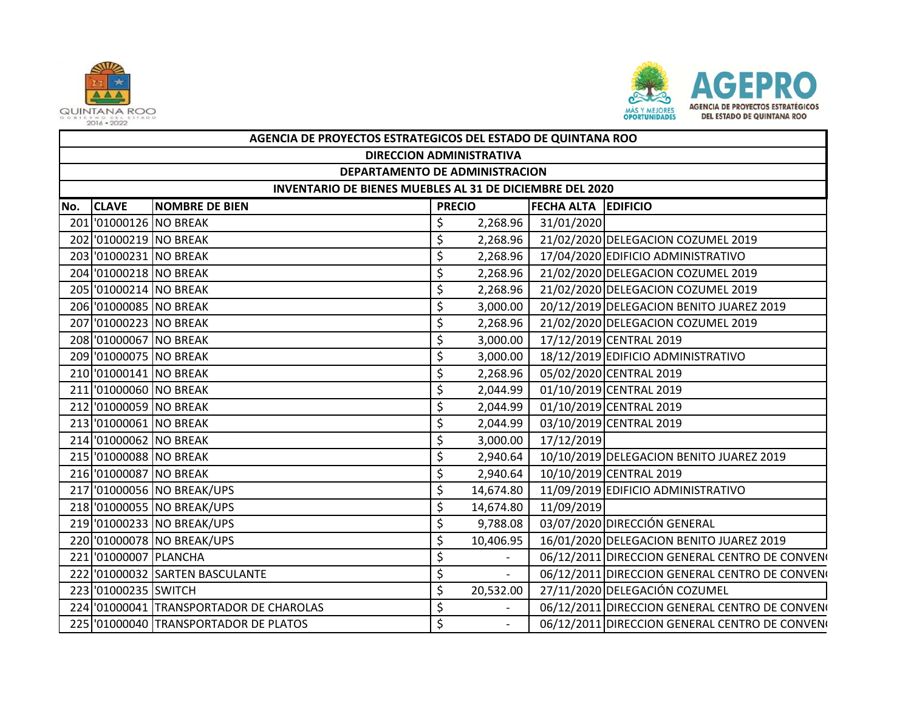



|     | AGENCIA DE PROYECTOS ESTRATEGICOS DEL ESTADO DE QUINTANA ROO |                                         |                                             |                          |            |                                                |  |  |  |  |
|-----|--------------------------------------------------------------|-----------------------------------------|---------------------------------------------|--------------------------|------------|------------------------------------------------|--|--|--|--|
|     | <b>DIRECCION ADMINISTRATIVA</b>                              |                                         |                                             |                          |            |                                                |  |  |  |  |
|     | DEPARTAMENTO DE ADMINISTRACION                               |                                         |                                             |                          |            |                                                |  |  |  |  |
|     | INVENTARIO DE BIENES MUEBLES AL 31 DE DICIEMBRE DEL 2020     |                                         |                                             |                          |            |                                                |  |  |  |  |
| No. | <b>CLAVE</b>                                                 | <b>NOMBRE DE BIEN</b>                   | <b>FECHA ALTA EDIFICIO</b><br><b>PRECIO</b> |                          |            |                                                |  |  |  |  |
|     | 201 01000126 NO BREAK                                        |                                         | \$                                          | 2,268.96                 | 31/01/2020 |                                                |  |  |  |  |
|     | 202 01000219 NO BREAK                                        |                                         | \$                                          | 2,268.96                 |            | 21/02/2020 DELEGACION COZUMEL 2019             |  |  |  |  |
|     | 203 01000231 NO BREAK                                        |                                         | \$                                          | 2,268.96                 |            | 17/04/2020 EDIFICIO ADMINISTRATIVO             |  |  |  |  |
|     | 204 '01000218 NO BREAK                                       |                                         | \$                                          | 2,268.96                 |            | 21/02/2020 DELEGACION COZUMEL 2019             |  |  |  |  |
|     | 205 '01000214 NO BREAK                                       |                                         | \$                                          | 2,268.96                 |            | 21/02/2020 DELEGACION COZUMEL 2019             |  |  |  |  |
|     | 206 '01000085 NO BREAK                                       |                                         | \$                                          | 3,000.00                 |            | 20/12/2019 DELEGACION BENITO JUAREZ 2019       |  |  |  |  |
|     | 207 01000223 NO BREAK                                        |                                         | \$                                          | 2,268.96                 |            | 21/02/2020 DELEGACION COZUMEL 2019             |  |  |  |  |
|     | 208 '01000067 NO BREAK                                       |                                         | \$                                          | 3,000.00                 |            | 17/12/2019 CENTRAL 2019                        |  |  |  |  |
|     | 209 '01000075 NO BREAK                                       |                                         | \$                                          | 3,000.00                 |            | 18/12/2019 EDIFICIO ADMINISTRATIVO             |  |  |  |  |
|     | 210 01000141 NO BREAK                                        |                                         | \$                                          | 2,268.96                 |            | 05/02/2020 CENTRAL 2019                        |  |  |  |  |
|     | 211 01000060 NO BREAK                                        |                                         | \$                                          | 2,044.99                 |            | 01/10/2019 CENTRAL 2019                        |  |  |  |  |
|     | 212 01000059 NO BREAK                                        |                                         | \$                                          | 2,044.99                 |            | 01/10/2019 CENTRAL 2019                        |  |  |  |  |
|     | 213 01000061 NO BREAK                                        |                                         | \$                                          | 2,044.99                 |            | 03/10/2019 CENTRAL 2019                        |  |  |  |  |
|     | 214 '01000062 NO BREAK                                       |                                         | \$                                          | 3,000.00                 | 17/12/2019 |                                                |  |  |  |  |
|     | 215 01000088 NO BREAK                                        |                                         | \$                                          | 2,940.64                 |            | 10/10/2019 DELEGACION BENITO JUAREZ 2019       |  |  |  |  |
|     | 216 '01000087 NO BREAK                                       |                                         | \$                                          | 2,940.64                 |            | 10/10/2019 CENTRAL 2019                        |  |  |  |  |
|     |                                                              | 217 '01000056 NO BREAK/UPS              | \$                                          | 14,674.80                |            | 11/09/2019 EDIFICIO ADMINISTRATIVO             |  |  |  |  |
|     |                                                              | 218 '01000055 NO BREAK/UPS              | \$                                          | 14,674.80                | 11/09/2019 |                                                |  |  |  |  |
|     |                                                              | 219 '01000233 NO BREAK/UPS              | \$                                          | 9,788.08                 |            | 03/07/2020 DIRECCIÓN GENERAL                   |  |  |  |  |
|     |                                                              | 220 '01000078 NO BREAK/UPS              | \$                                          | 10,406.95                |            | 16/01/2020 DELEGACION BENITO JUAREZ 2019       |  |  |  |  |
|     | 221 '01000007 PLANCHA                                        |                                         | \$                                          |                          |            | 06/12/2011 DIRECCION GENERAL CENTRO DE CONVENO |  |  |  |  |
|     |                                                              | 222 '01000032 SARTEN BASCULANTE         | \$                                          | $\overline{\phantom{a}}$ |            | 06/12/2011 DIRECCION GENERAL CENTRO DE CONVENO |  |  |  |  |
|     | 223 '01000235 SWITCH                                         |                                         | \$                                          | 20,532.00                |            | 27/11/2020 DELEGACIÓN COZUMEL                  |  |  |  |  |
|     |                                                              | 224 '01000041 TRANSPORTADOR DE CHAROLAS | \$                                          | $\overline{\phantom{a}}$ |            | 06/12/2011 DIRECCION GENERAL CENTRO DE CONVENO |  |  |  |  |
|     |                                                              | 225 '01000040 TRANSPORTADOR DE PLATOS   | \$                                          | $\overline{\phantom{0}}$ |            | 06/12/2011 DIRECCION GENERAL CENTRO DE CONVENO |  |  |  |  |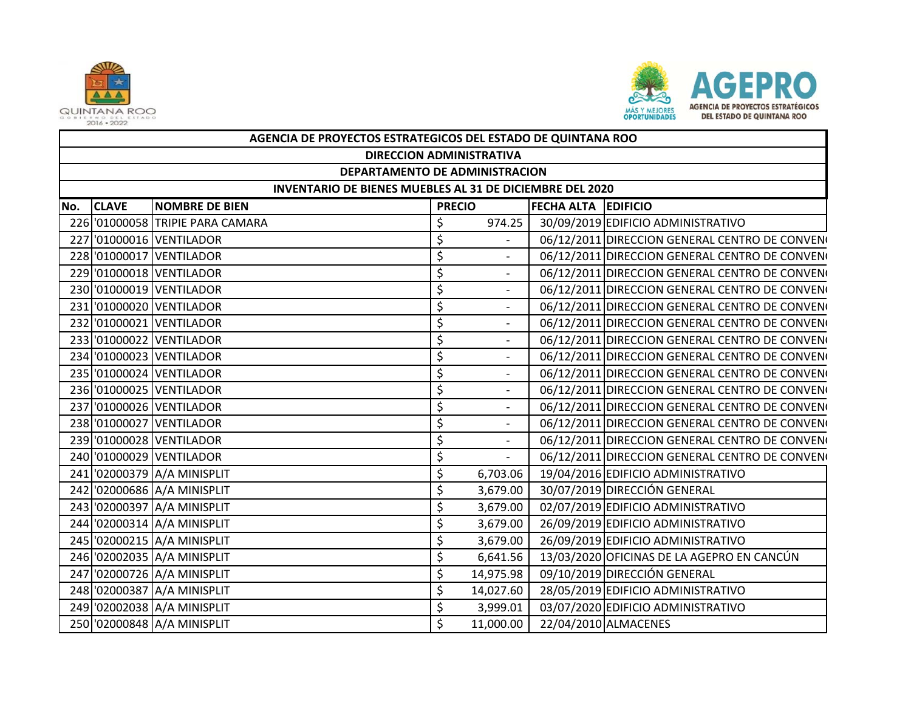



|     | AGENCIA DE PROYECTOS ESTRATEGICOS DEL ESTADO DE QUINTANA ROO |                                  |               |                              |                            |                                                |  |  |  |  |
|-----|--------------------------------------------------------------|----------------------------------|---------------|------------------------------|----------------------------|------------------------------------------------|--|--|--|--|
|     | <b>DIRECCION ADMINISTRATIVA</b>                              |                                  |               |                              |                            |                                                |  |  |  |  |
|     | DEPARTAMENTO DE ADMINISTRACION                               |                                  |               |                              |                            |                                                |  |  |  |  |
|     | INVENTARIO DE BIENES MUEBLES AL 31 DE DICIEMBRE DEL 2020     |                                  |               |                              |                            |                                                |  |  |  |  |
| No. | <b>CLAVE</b>                                                 | <b>NOMBRE DE BIEN</b>            | <b>PRECIO</b> |                              | <b>FECHA ALTA EDIFICIO</b> |                                                |  |  |  |  |
|     |                                                              | 226 '01000058 TRIPIE PARA CAMARA | \$            | 974.25                       |                            | 30/09/2019 EDIFICIO ADMINISTRATIVO             |  |  |  |  |
| 227 |                                                              | '01000016 VENTILADOR             | \$            |                              |                            | 06/12/2011 DIRECCION GENERAL CENTRO DE CONVENO |  |  |  |  |
|     |                                                              | 228 '01000017 VENTILADOR         | \$            | $\overline{\phantom{a}}$     |                            | 06/12/2011 DIRECCION GENERAL CENTRO DE CONVENO |  |  |  |  |
|     |                                                              | 229 '01000018 VENTILADOR         | \$            | $\overline{\phantom{a}}$     |                            | 06/12/2011 DIRECCION GENERAL CENTRO DE CONVENO |  |  |  |  |
|     |                                                              | 230 '01000019 VENTILADOR         | \$            | $\qquad \qquad \blacksquare$ |                            | 06/12/2011 DIRECCION GENERAL CENTRO DE CONVENO |  |  |  |  |
|     |                                                              | 231 '01000020 VENTILADOR         | \$            | $\frac{1}{2}$                |                            | 06/12/2011 DIRECCION GENERAL CENTRO DE CONVENO |  |  |  |  |
|     |                                                              | 232 '01000021 VENTILADOR         | \$            | $\qquad \qquad \blacksquare$ |                            | 06/12/2011 DIRECCION GENERAL CENTRO DE CONVENO |  |  |  |  |
|     |                                                              | 233 '01000022 VENTILADOR         | \$            | $\overline{a}$               |                            | 06/12/2011 DIRECCION GENERAL CENTRO DE CONVENO |  |  |  |  |
|     |                                                              | 234 '01000023 VENTILADOR         | \$            | $\qquad \qquad -$            |                            | 06/12/2011 DIRECCION GENERAL CENTRO DE CONVENO |  |  |  |  |
|     |                                                              | 235 '01000024 VENTILADOR         | \$            | $\overline{a}$               |                            | 06/12/2011 DIRECCION GENERAL CENTRO DE CONVENO |  |  |  |  |
|     |                                                              | 236 '01000025 VENTILADOR         | \$            | $\qquad \qquad \blacksquare$ |                            | 06/12/2011 DIRECCION GENERAL CENTRO DE CONVENO |  |  |  |  |
|     |                                                              | 237 '01000026 VENTILADOR         | \$            | $\qquad \qquad \blacksquare$ |                            | 06/12/2011 DIRECCION GENERAL CENTRO DE CONVENO |  |  |  |  |
|     |                                                              | 238 '01000027 VENTILADOR         | \$            | $\qquad \qquad \blacksquare$ |                            | 06/12/2011 DIRECCION GENERAL CENTRO DE CONVENO |  |  |  |  |
|     |                                                              | 239 '01000028 VENTILADOR         | \$            | $\frac{1}{2}$                |                            | 06/12/2011 DIRECCION GENERAL CENTRO DE CONVENO |  |  |  |  |
|     |                                                              | 240 '01000029 VENTILADOR         | \$            |                              |                            | 06/12/2011 DIRECCION GENERAL CENTRO DE CONVENO |  |  |  |  |
|     |                                                              | 241 '02000379 A/A MINISPLIT      | \$            | 6,703.06                     |                            | 19/04/2016 EDIFICIO ADMINISTRATIVO             |  |  |  |  |
|     |                                                              | 242 02000686 A/A MINISPLIT       | \$            | 3,679.00                     |                            | 30/07/2019 DIRECCIÓN GENERAL                   |  |  |  |  |
|     |                                                              | 243 '02000397 A/A MINISPLIT      | \$            | 3,679.00                     |                            | 02/07/2019 EDIFICIO ADMINISTRATIVO             |  |  |  |  |
|     |                                                              | 244 '02000314 A/A MINISPLIT      | \$            | 3,679.00                     |                            | 26/09/2019 EDIFICIO ADMINISTRATIVO             |  |  |  |  |
|     |                                                              | 245 '02000215 A/A MINISPLIT      | \$            | 3,679.00                     |                            | 26/09/2019 EDIFICIO ADMINISTRATIVO             |  |  |  |  |
|     |                                                              | 246 '02002035 A/A MINISPLIT      | \$            | 6,641.56                     |                            | 13/03/2020 OFICINAS DE LA AGEPRO EN CANCÚN     |  |  |  |  |
|     |                                                              | 247 '02000726 A/A MINISPLIT      | \$            | 14,975.98                    |                            | 09/10/2019 DIRECCIÓN GENERAL                   |  |  |  |  |
|     |                                                              | 248 '02000387 A/A MINISPLIT      | \$            | 14,027.60                    |                            | 28/05/2019 EDIFICIO ADMINISTRATIVO             |  |  |  |  |
|     |                                                              | 249 '02002038 A/A MINISPLIT      | \$            | 3,999.01                     |                            | 03/07/2020 EDIFICIO ADMINISTRATIVO             |  |  |  |  |
|     |                                                              | 250 '02000848 A/A MINISPLIT      | \$            | 11,000.00                    |                            | 22/04/2010 ALMACENES                           |  |  |  |  |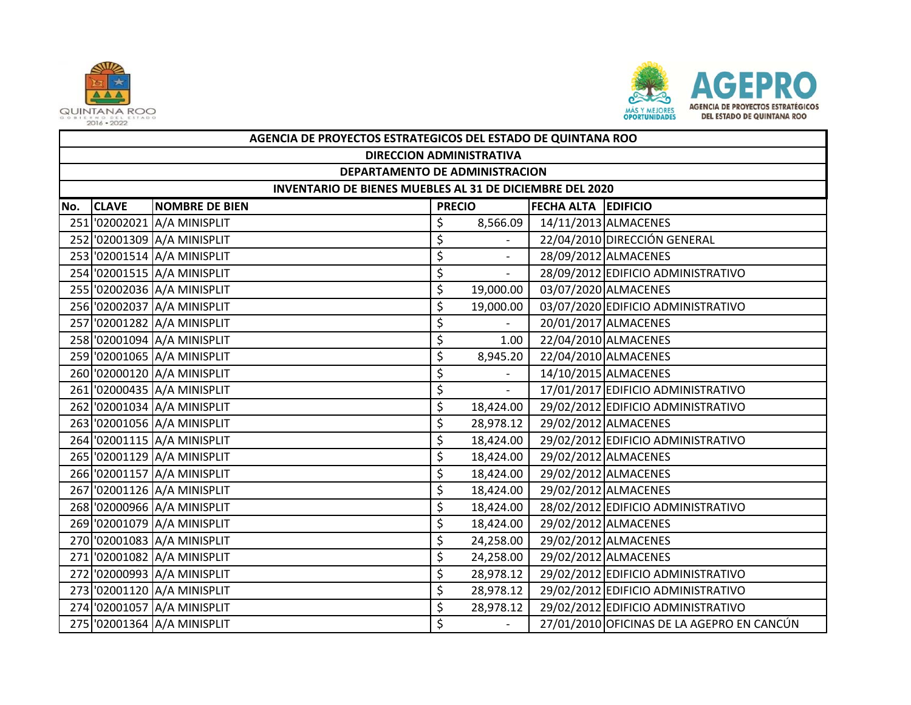



|     | AGENCIA DE PROYECTOS ESTRATEGICOS DEL ESTADO DE QUINTANA ROO |                             |               |                          |                            |                                            |  |  |  |  |
|-----|--------------------------------------------------------------|-----------------------------|---------------|--------------------------|----------------------------|--------------------------------------------|--|--|--|--|
|     | <b>DIRECCION ADMINISTRATIVA</b>                              |                             |               |                          |                            |                                            |  |  |  |  |
|     | DEPARTAMENTO DE ADMINISTRACION                               |                             |               |                          |                            |                                            |  |  |  |  |
|     | INVENTARIO DE BIENES MUEBLES AL 31 DE DICIEMBRE DEL 2020     |                             |               |                          |                            |                                            |  |  |  |  |
| No. | <b>CLAVE</b>                                                 | <b>NOMBRE DE BIEN</b>       | <b>PRECIO</b> |                          | <b>FECHA ALTA EDIFICIO</b> |                                            |  |  |  |  |
|     |                                                              | 251 '02002021 A/A MINISPLIT | \$            | 8,566.09                 |                            | 14/11/2013 ALMACENES                       |  |  |  |  |
|     |                                                              | 252 '02001309 A/A MINISPLIT | \$            |                          |                            | 22/04/2010 DIRECCIÓN GENERAL               |  |  |  |  |
|     |                                                              | 253 '02001514 A/A MINISPLIT | \$            |                          |                            | 28/09/2012 ALMACENES                       |  |  |  |  |
|     |                                                              | 254 '02001515 A/A MINISPLIT | \$            | $\overline{\phantom{a}}$ |                            | 28/09/2012 EDIFICIO ADMINISTRATIVO         |  |  |  |  |
|     |                                                              | 255 '02002036 A/A MINISPLIT | \$            | 19,000.00                |                            | 03/07/2020 ALMACENES                       |  |  |  |  |
|     |                                                              | 256 '02002037 A/A MINISPLIT | \$            | 19,000.00                |                            | 03/07/2020 EDIFICIO ADMINISTRATIVO         |  |  |  |  |
|     |                                                              | 257 '02001282 A/A MINISPLIT | \$            |                          |                            | 20/01/2017 ALMACENES                       |  |  |  |  |
|     |                                                              | 258 '02001094 A/A MINISPLIT | \$            | 1.00                     |                            | 22/04/2010 ALMACENES                       |  |  |  |  |
|     |                                                              | 259 '02001065 A/A MINISPLIT | \$            | 8,945.20                 |                            | 22/04/2010 ALMACENES                       |  |  |  |  |
|     |                                                              | 260 '02000120 A/A MINISPLIT | \$            |                          |                            | 14/10/2015 ALMACENES                       |  |  |  |  |
|     |                                                              | 261 '02000435 A/A MINISPLIT | \$            | $\overline{\phantom{a}}$ |                            | 17/01/2017 EDIFICIO ADMINISTRATIVO         |  |  |  |  |
|     |                                                              | 262 '02001034 A/A MINISPLIT | \$            | 18,424.00                |                            | 29/02/2012 EDIFICIO ADMINISTRATIVO         |  |  |  |  |
|     |                                                              | 263 '02001056 A/A MINISPLIT | \$            | 28,978.12                |                            | 29/02/2012 ALMACENES                       |  |  |  |  |
|     |                                                              | 264 '02001115 A/A MINISPLIT | \$            | 18,424.00                |                            | 29/02/2012 EDIFICIO ADMINISTRATIVO         |  |  |  |  |
|     |                                                              | 265 '02001129 A/A MINISPLIT | \$            | 18,424.00                |                            | 29/02/2012 ALMACENES                       |  |  |  |  |
|     |                                                              | 266 '02001157 A/A MINISPLIT | \$            | 18,424.00                |                            | 29/02/2012 ALMACENES                       |  |  |  |  |
|     |                                                              | 267 '02001126 A/A MINISPLIT | \$            | 18,424.00                |                            | 29/02/2012 ALMACENES                       |  |  |  |  |
|     |                                                              | 268 '02000966 A/A MINISPLIT | \$            | 18,424.00                |                            | 28/02/2012 EDIFICIO ADMINISTRATIVO         |  |  |  |  |
|     |                                                              | 269 '02001079 A/A MINISPLIT | \$            | 18,424.00                |                            | 29/02/2012 ALMACENES                       |  |  |  |  |
|     |                                                              | 270 '02001083 A/A MINISPLIT | \$            | 24,258.00                |                            | 29/02/2012 ALMACENES                       |  |  |  |  |
|     |                                                              | 271 '02001082 A/A MINISPLIT | \$            | 24,258.00                |                            | 29/02/2012 ALMACENES                       |  |  |  |  |
|     |                                                              | 272 '02000993 A/A MINISPLIT | \$            | 28,978.12                |                            | 29/02/2012 EDIFICIO ADMINISTRATIVO         |  |  |  |  |
|     |                                                              | 273 '02001120 A/A MINISPLIT | \$            | 28,978.12                |                            | 29/02/2012 EDIFICIO ADMINISTRATIVO         |  |  |  |  |
|     |                                                              | 274 '02001057 A/A MINISPLIT | \$            | 28,978.12                |                            | 29/02/2012 EDIFICIO ADMINISTRATIVO         |  |  |  |  |
|     |                                                              | 275 '02001364 A/A MINISPLIT | \$            |                          |                            | 27/01/2010 OFICINAS DE LA AGEPRO EN CANCÚN |  |  |  |  |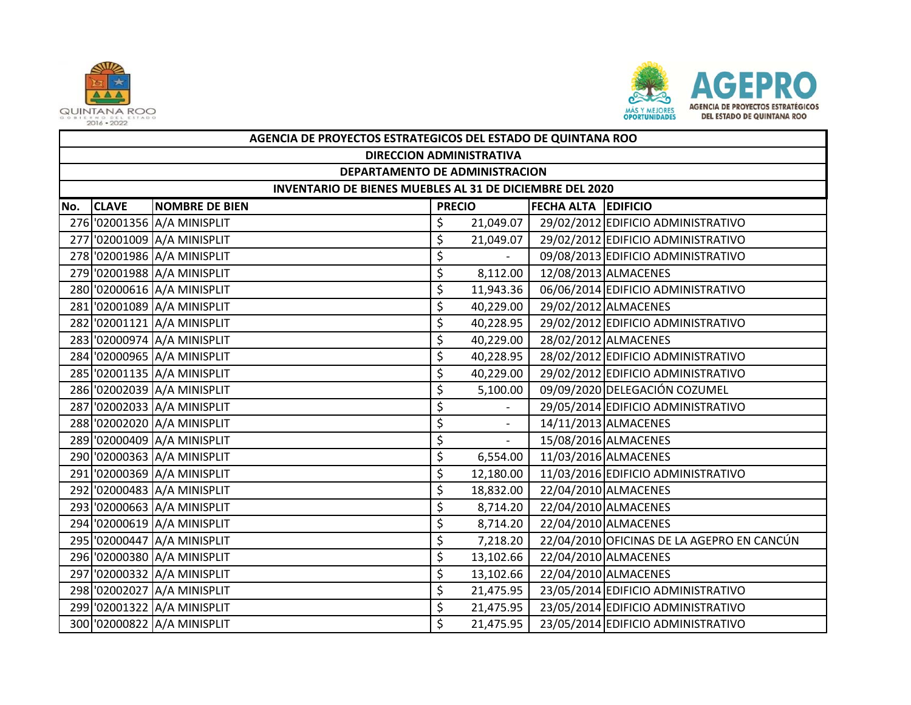



|     | AGENCIA DE PROYECTOS ESTRATEGICOS DEL ESTADO DE QUINTANA ROO |                                 |               |           |                            |                                            |  |  |  |  |
|-----|--------------------------------------------------------------|---------------------------------|---------------|-----------|----------------------------|--------------------------------------------|--|--|--|--|
|     |                                                              | <b>DIRECCION ADMINISTRATIVA</b> |               |           |                            |                                            |  |  |  |  |
|     | DEPARTAMENTO DE ADMINISTRACION                               |                                 |               |           |                            |                                            |  |  |  |  |
|     | INVENTARIO DE BIENES MUEBLES AL 31 DE DICIEMBRE DEL 2020     |                                 |               |           |                            |                                            |  |  |  |  |
| No. | <b>CLAVE</b>                                                 | <b>NOMBRE DE BIEN</b>           | <b>PRECIO</b> |           | <b>FECHA ALTA EDIFICIO</b> |                                            |  |  |  |  |
|     |                                                              | 276 '02001356 A/A MINISPLIT     | \$            | 21,049.07 |                            | 29/02/2012 EDIFICIO ADMINISTRATIVO         |  |  |  |  |
|     |                                                              | 277 02001009 A/A MINISPLIT      | \$            | 21,049.07 |                            | 29/02/2012 EDIFICIO ADMINISTRATIVO         |  |  |  |  |
|     |                                                              | 278 '02001986 A/A MINISPLIT     | \$            |           |                            | 09/08/2013 EDIFICIO ADMINISTRATIVO         |  |  |  |  |
|     |                                                              | 279 '02001988 A/A MINISPLIT     | \$            | 8,112.00  |                            | 12/08/2013 ALMACENES                       |  |  |  |  |
|     |                                                              | 280 '02000616 A/A MINISPLIT     | \$            | 11,943.36 |                            | 06/06/2014 EDIFICIO ADMINISTRATIVO         |  |  |  |  |
|     |                                                              | 281 02001089 A/A MINISPLIT      | \$            | 40,229.00 |                            | 29/02/2012 ALMACENES                       |  |  |  |  |
|     |                                                              | 282 '02001121 A/A MINISPLIT     | \$            | 40,228.95 |                            | 29/02/2012 EDIFICIO ADMINISTRATIVO         |  |  |  |  |
|     |                                                              | 283 '02000974 A/A MINISPLIT     | \$            | 40,229.00 |                            | 28/02/2012 ALMACENES                       |  |  |  |  |
|     |                                                              | 284 '02000965 A/A MINISPLIT     | \$            | 40,228.95 |                            | 28/02/2012 EDIFICIO ADMINISTRATIVO         |  |  |  |  |
|     |                                                              | 285 02001135 A/A MINISPLIT      | \$            | 40,229.00 |                            | 29/02/2012 EDIFICIO ADMINISTRATIVO         |  |  |  |  |
|     |                                                              | 286 '02002039 A/A MINISPLIT     | \$            | 5,100.00  |                            | 09/09/2020 DELEGACIÓN COZUMEL              |  |  |  |  |
|     |                                                              | 287 02002033 A/A MINISPLIT      | \$            |           |                            | 29/05/2014 EDIFICIO ADMINISTRATIVO         |  |  |  |  |
|     |                                                              | 288 '02002020 A/A MINISPLIT     | \$            |           |                            | 14/11/2013 ALMACENES                       |  |  |  |  |
|     |                                                              | 289 '02000409 A/A MINISPLIT     | \$            | $\sim$    |                            | 15/08/2016 ALMACENES                       |  |  |  |  |
|     |                                                              | 290 '02000363 A/A MINISPLIT     | \$            | 6,554.00  |                            | 11/03/2016 ALMACENES                       |  |  |  |  |
|     |                                                              | 291 '02000369 A/A MINISPLIT     | \$            | 12,180.00 |                            | 11/03/2016 EDIFICIO ADMINISTRATIVO         |  |  |  |  |
|     |                                                              | 292 '02000483 A/A MINISPLIT     | \$            | 18,832.00 |                            | 22/04/2010 ALMACENES                       |  |  |  |  |
|     |                                                              | 293 '02000663 A/A MINISPLIT     | \$            | 8,714.20  |                            | 22/04/2010 ALMACENES                       |  |  |  |  |
|     |                                                              | 294 '02000619 A/A MINISPLIT     | \$            | 8,714.20  |                            | 22/04/2010 ALMACENES                       |  |  |  |  |
|     |                                                              | 295 02000447 A/A MINISPLIT      | \$            | 7,218.20  |                            | 22/04/2010 OFICINAS DE LA AGEPRO EN CANCÚN |  |  |  |  |
|     |                                                              | 296 '02000380 A/A MINISPLIT     | \$            | 13,102.66 |                            | 22/04/2010 ALMACENES                       |  |  |  |  |
|     |                                                              | 297 02000332 A/A MINISPLIT      | \$            | 13,102.66 |                            | 22/04/2010 ALMACENES                       |  |  |  |  |
|     |                                                              | 298 '02002027 A/A MINISPLIT     | \$            | 21,475.95 |                            | 23/05/2014 EDIFICIO ADMINISTRATIVO         |  |  |  |  |
|     |                                                              | 299 '02001322 A/A MINISPLIT     | \$            | 21,475.95 |                            | 23/05/2014 EDIFICIO ADMINISTRATIVO         |  |  |  |  |
|     |                                                              | 300 '02000822 A/A MINISPLIT     | \$            | 21,475.95 |                            | 23/05/2014 EDIFICIO ADMINISTRATIVO         |  |  |  |  |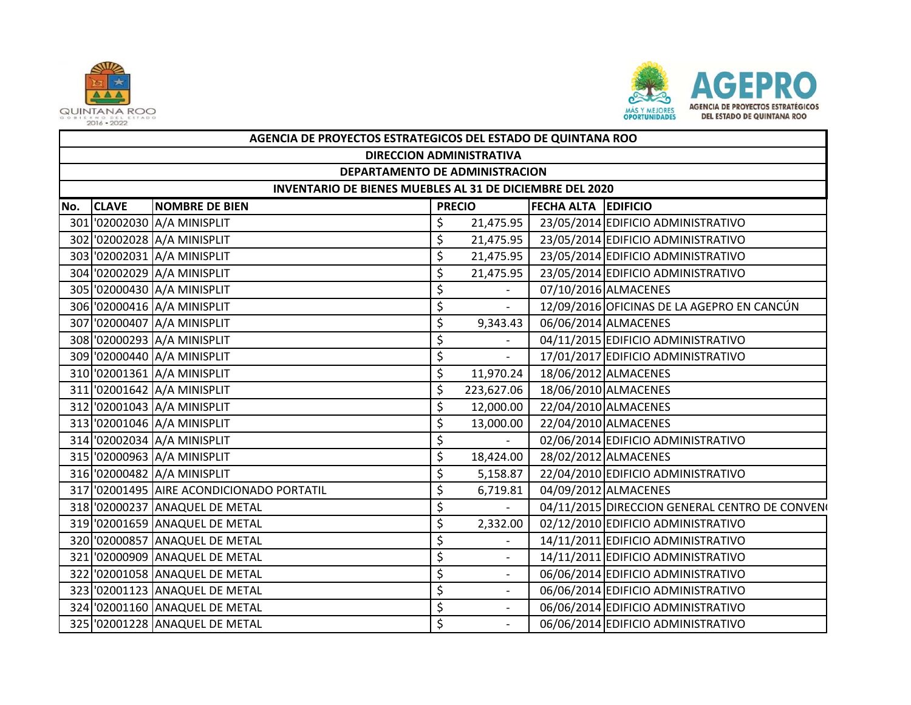



|     | AGENCIA DE PROYECTOS ESTRATEGICOS DEL ESTADO DE QUINTANA ROO |                                           |    |                                             |  |                                                |  |  |  |  |
|-----|--------------------------------------------------------------|-------------------------------------------|----|---------------------------------------------|--|------------------------------------------------|--|--|--|--|
|     | <b>DIRECCION ADMINISTRATIVA</b>                              |                                           |    |                                             |  |                                                |  |  |  |  |
|     | DEPARTAMENTO DE ADMINISTRACION                               |                                           |    |                                             |  |                                                |  |  |  |  |
|     | INVENTARIO DE BIENES MUEBLES AL 31 DE DICIEMBRE DEL 2020     |                                           |    |                                             |  |                                                |  |  |  |  |
| No. | <b>CLAVE</b>                                                 | <b>NOMBRE DE BIEN</b>                     |    | <b>FECHA ALTA EDIFICIO</b><br><b>PRECIO</b> |  |                                                |  |  |  |  |
|     |                                                              | 301 02002030 A/A MINISPLIT                | \$ | 21,475.95                                   |  | 23/05/2014 EDIFICIO ADMINISTRATIVO             |  |  |  |  |
|     |                                                              | 302 02002028 A/A MINISPLIT                | \$ | 21,475.95                                   |  | 23/05/2014 EDIFICIO ADMINISTRATIVO             |  |  |  |  |
|     |                                                              | 303 '02002031 A/A MINISPLIT               | \$ | 21,475.95                                   |  | 23/05/2014 EDIFICIO ADMINISTRATIVO             |  |  |  |  |
|     |                                                              | 304 '02002029 A/A MINISPLIT               | \$ | 21,475.95                                   |  | 23/05/2014 EDIFICIO ADMINISTRATIVO             |  |  |  |  |
|     |                                                              | 305 '02000430 A/A MINISPLIT               | \$ |                                             |  | 07/10/2016 ALMACENES                           |  |  |  |  |
|     |                                                              | 306 '02000416 A/A MINISPLIT               | \$ | $\overline{\phantom{a}}$                    |  | 12/09/2016 OFICINAS DE LA AGEPRO EN CANCÚN     |  |  |  |  |
|     |                                                              | 307 '02000407 A/A MINISPLIT               | \$ | 9,343.43                                    |  | 06/06/2014 ALMACENES                           |  |  |  |  |
|     |                                                              | 308 '02000293 A/A MINISPLIT               | \$ |                                             |  | 04/11/2015 EDIFICIO ADMINISTRATIVO             |  |  |  |  |
|     |                                                              | 309 '02000440 A/A MINISPLIT               | \$ | $\overline{\phantom{a}}$                    |  | 17/01/2017 EDIFICIO ADMINISTRATIVO             |  |  |  |  |
|     |                                                              | 310 '02001361 A/A MINISPLIT               | \$ | 11,970.24                                   |  | 18/06/2012 ALMACENES                           |  |  |  |  |
|     |                                                              | 311 '02001642 A/A MINISPLIT               | \$ | 223,627.06                                  |  | 18/06/2010 ALMACENES                           |  |  |  |  |
|     |                                                              | 312 '02001043 A/A MINISPLIT               | \$ | 12,000.00                                   |  | 22/04/2010 ALMACENES                           |  |  |  |  |
|     |                                                              | 313 '02001046 A/A MINISPLIT               | \$ | 13,000.00                                   |  | 22/04/2010 ALMACENES                           |  |  |  |  |
|     |                                                              | 314 '02002034 A/A MINISPLIT               | \$ | $\omega_{\rm c}$                            |  | 02/06/2014 EDIFICIO ADMINISTRATIVO             |  |  |  |  |
|     |                                                              | 315 '02000963 A/A MINISPLIT               | \$ | 18,424.00                                   |  | 28/02/2012 ALMACENES                           |  |  |  |  |
|     |                                                              | 316 '02000482 A/A MINISPLIT               | \$ | 5,158.87                                    |  | 22/04/2010 EDIFICIO ADMINISTRATIVO             |  |  |  |  |
|     |                                                              | 317 '02001495 AIRE ACONDICIONADO PORTATIL | \$ | 6,719.81                                    |  | 04/09/2012 ALMACENES                           |  |  |  |  |
|     |                                                              | 318 '02000237 ANAQUEL DE METAL            | \$ | $\sim$                                      |  | 04/11/2015 DIRECCION GENERAL CENTRO DE CONVENO |  |  |  |  |
|     |                                                              | 319 '02001659 ANAQUEL DE METAL            | \$ | 2,332.00                                    |  | 02/12/2010 EDIFICIO ADMINISTRATIVO             |  |  |  |  |
|     |                                                              | 320 '02000857 ANAQUEL DE METAL            | \$ |                                             |  | 14/11/2011 EDIFICIO ADMINISTRATIVO             |  |  |  |  |
|     |                                                              | 321 '02000909 ANAQUEL DE METAL            | \$ | $\overline{\phantom{a}}$                    |  | 14/11/2011 EDIFICIO ADMINISTRATIVO             |  |  |  |  |
|     |                                                              | 322 '02001058 ANAQUEL DE METAL            | \$ | $\overline{\phantom{a}}$                    |  | 06/06/2014 EDIFICIO ADMINISTRATIVO             |  |  |  |  |
|     |                                                              | 323 '02001123 ANAQUEL DE METAL            | \$ | $\overline{\phantom{a}}$                    |  | 06/06/2014 EDIFICIO ADMINISTRATIVO             |  |  |  |  |
|     |                                                              | 324 '02001160 ANAQUEL DE METAL            | \$ | $\overline{\phantom{a}}$                    |  | 06/06/2014 EDIFICIO ADMINISTRATIVO             |  |  |  |  |
|     |                                                              | 325 '02001228 ANAQUEL DE METAL            | \$ | $\overline{a}$                              |  | 06/06/2014 EDIFICIO ADMINISTRATIVO             |  |  |  |  |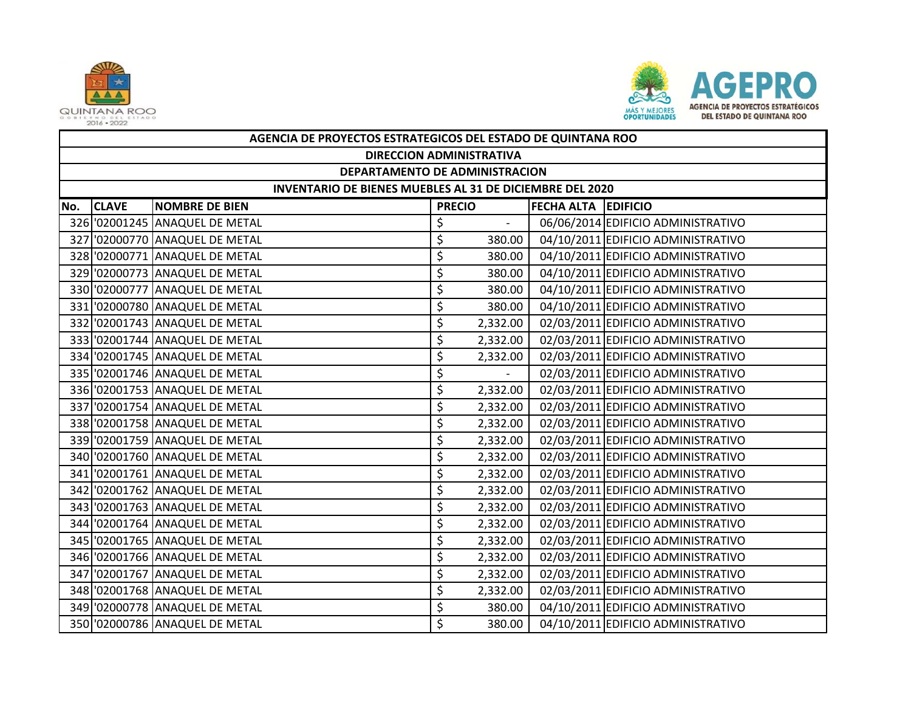



|     | AGENCIA DE PROYECTOS ESTRATEGICOS DEL ESTADO DE QUINTANA ROO |                                |                     |                          |  |                                    |  |  |  |  |
|-----|--------------------------------------------------------------|--------------------------------|---------------------|--------------------------|--|------------------------------------|--|--|--|--|
|     | <b>DIRECCION ADMINISTRATIVA</b>                              |                                |                     |                          |  |                                    |  |  |  |  |
|     | DEPARTAMENTO DE ADMINISTRACION                               |                                |                     |                          |  |                                    |  |  |  |  |
|     | INVENTARIO DE BIENES MUEBLES AL 31 DE DICIEMBRE DEL 2020     |                                |                     |                          |  |                                    |  |  |  |  |
| No. | <b>CLAVE</b>                                                 | <b>NOMBRE DE BIEN</b>          | FECHA ALTA EDIFICIO |                          |  |                                    |  |  |  |  |
|     |                                                              | 326 '02001245 ANAQUEL DE METAL | \$                  | $\overline{\phantom{a}}$ |  | 06/06/2014 EDIFICIO ADMINISTRATIVO |  |  |  |  |
|     |                                                              | 327 '02000770 ANAQUEL DE METAL | \$                  | 380.00                   |  | 04/10/2011 EDIFICIO ADMINISTRATIVO |  |  |  |  |
|     |                                                              | 328 '02000771 ANAQUEL DE METAL | \$                  | 380.00                   |  | 04/10/2011 EDIFICIO ADMINISTRATIVO |  |  |  |  |
|     |                                                              | 329 '02000773 ANAQUEL DE METAL | \$                  | 380.00                   |  | 04/10/2011 EDIFICIO ADMINISTRATIVO |  |  |  |  |
|     |                                                              | 330 '02000777 ANAQUEL DE METAL | \$                  | 380.00                   |  | 04/10/2011 EDIFICIO ADMINISTRATIVO |  |  |  |  |
|     |                                                              | 331 '02000780 ANAQUEL DE METAL | \$                  | 380.00                   |  | 04/10/2011 EDIFICIO ADMINISTRATIVO |  |  |  |  |
|     |                                                              | 332 '02001743 ANAQUEL DE METAL | \$                  | 2,332.00                 |  | 02/03/2011 EDIFICIO ADMINISTRATIVO |  |  |  |  |
|     |                                                              | 333 '02001744 ANAQUEL DE METAL | \$                  | 2,332.00                 |  | 02/03/2011 EDIFICIO ADMINISTRATIVO |  |  |  |  |
|     |                                                              | 334 '02001745 ANAQUEL DE METAL | \$                  | 2,332.00                 |  | 02/03/2011 EDIFICIO ADMINISTRATIVO |  |  |  |  |
|     |                                                              | 335 '02001746 ANAQUEL DE METAL | \$                  |                          |  | 02/03/2011 EDIFICIO ADMINISTRATIVO |  |  |  |  |
|     |                                                              | 336 '02001753 ANAQUEL DE METAL | \$                  | 2,332.00                 |  | 02/03/2011 EDIFICIO ADMINISTRATIVO |  |  |  |  |
|     |                                                              | 337 '02001754 ANAQUEL DE METAL | \$                  | 2,332.00                 |  | 02/03/2011 EDIFICIO ADMINISTRATIVO |  |  |  |  |
|     |                                                              | 338 '02001758 ANAQUEL DE METAL | \$                  | 2,332.00                 |  | 02/03/2011 EDIFICIO ADMINISTRATIVO |  |  |  |  |
|     |                                                              | 339 '02001759 ANAQUEL DE METAL | \$                  | 2,332.00                 |  | 02/03/2011 EDIFICIO ADMINISTRATIVO |  |  |  |  |
|     |                                                              | 340 '02001760 ANAQUEL DE METAL | \$                  | 2,332.00                 |  | 02/03/2011 EDIFICIO ADMINISTRATIVO |  |  |  |  |
|     |                                                              | 341 '02001761 ANAQUEL DE METAL | \$                  | 2,332.00                 |  | 02/03/2011 EDIFICIO ADMINISTRATIVO |  |  |  |  |
|     |                                                              | 342 '02001762 ANAQUEL DE METAL | \$                  | 2,332.00                 |  | 02/03/2011 EDIFICIO ADMINISTRATIVO |  |  |  |  |
|     |                                                              | 343 '02001763 ANAQUEL DE METAL | \$                  | 2,332.00                 |  | 02/03/2011 EDIFICIO ADMINISTRATIVO |  |  |  |  |
|     |                                                              | 344 '02001764 ANAQUEL DE METAL | \$                  | 2,332.00                 |  | 02/03/2011 EDIFICIO ADMINISTRATIVO |  |  |  |  |
|     |                                                              | 345 '02001765 ANAQUEL DE METAL | \$                  | 2,332.00                 |  | 02/03/2011 EDIFICIO ADMINISTRATIVO |  |  |  |  |
|     |                                                              | 346 '02001766 ANAQUEL DE METAL | \$                  | 2,332.00                 |  | 02/03/2011 EDIFICIO ADMINISTRATIVO |  |  |  |  |
|     |                                                              | 347 '02001767 ANAQUEL DE METAL | \$                  | 2,332.00                 |  | 02/03/2011 EDIFICIO ADMINISTRATIVO |  |  |  |  |
|     |                                                              | 348 '02001768 ANAQUEL DE METAL | \$                  | 2,332.00                 |  | 02/03/2011 EDIFICIO ADMINISTRATIVO |  |  |  |  |
|     |                                                              | 349 '02000778 ANAQUEL DE METAL | \$                  | 380.00                   |  | 04/10/2011 EDIFICIO ADMINISTRATIVO |  |  |  |  |
|     |                                                              | 350 '02000786 ANAQUEL DE METAL | $\zeta$             | 380.00                   |  | 04/10/2011 EDIFICIO ADMINISTRATIVO |  |  |  |  |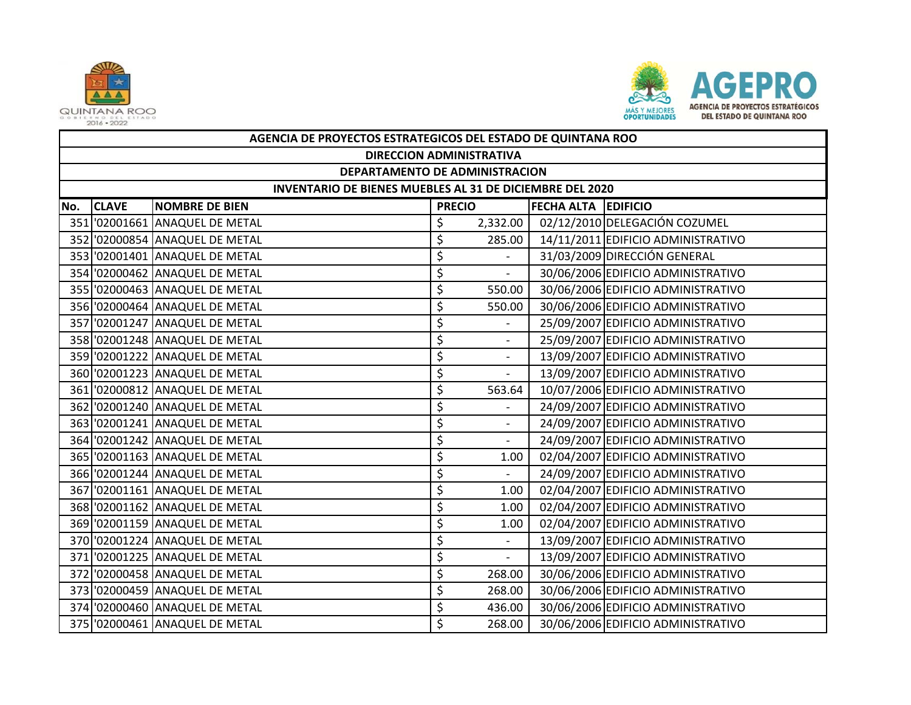



|     | AGENCIA DE PROYECTOS ESTRATEGICOS DEL ESTADO DE QUINTANA ROO |                                |               |                          |                            |                                    |  |  |  |
|-----|--------------------------------------------------------------|--------------------------------|---------------|--------------------------|----------------------------|------------------------------------|--|--|--|
|     | <b>DIRECCION ADMINISTRATIVA</b>                              |                                |               |                          |                            |                                    |  |  |  |
|     | DEPARTAMENTO DE ADMINISTRACION                               |                                |               |                          |                            |                                    |  |  |  |
|     | INVENTARIO DE BIENES MUEBLES AL 31 DE DICIEMBRE DEL 2020     |                                |               |                          |                            |                                    |  |  |  |
| No. | <b>CLAVE</b>                                                 | <b>NOMBRE DE BIEN</b>          | <b>PRECIO</b> |                          | <b>FECHA ALTA EDIFICIO</b> |                                    |  |  |  |
|     |                                                              | 351 '02001661 ANAQUEL DE METAL | \$            | 2,332.00                 |                            | 02/12/2010 DELEGACIÓN COZUMEL      |  |  |  |
|     |                                                              | 352 '02000854 ANAQUEL DE METAL | \$            | 285.00                   |                            | 14/11/2011 EDIFICIO ADMINISTRATIVO |  |  |  |
|     |                                                              | 353 '02001401 ANAQUEL DE METAL | \$            |                          |                            | 31/03/2009 DIRECCIÓN GENERAL       |  |  |  |
|     |                                                              | 354 '02000462 ANAQUEL DE METAL | \$            | $\overline{\phantom{a}}$ |                            | 30/06/2006 EDIFICIO ADMINISTRATIVO |  |  |  |
|     |                                                              | 355 '02000463 ANAQUEL DE METAL | \$            | 550.00                   |                            | 30/06/2006 EDIFICIO ADMINISTRATIVO |  |  |  |
|     |                                                              | 356 '02000464 ANAQUEL DE METAL | \$            | 550.00                   |                            | 30/06/2006 EDIFICIO ADMINISTRATIVO |  |  |  |
|     |                                                              | 357 '02001247 ANAQUEL DE METAL | \$            |                          |                            | 25/09/2007 EDIFICIO ADMINISTRATIVO |  |  |  |
|     |                                                              | 358 '02001248 ANAQUEL DE METAL | \$            | $\sim$                   |                            | 25/09/2007 EDIFICIO ADMINISTRATIVO |  |  |  |
|     |                                                              | 359 '02001222 ANAQUEL DE METAL | \$            |                          |                            | 13/09/2007 EDIFICIO ADMINISTRATIVO |  |  |  |
|     |                                                              |                                | \$            | $\sim$                   |                            | 13/09/2007 EDIFICIO ADMINISTRATIVO |  |  |  |
|     |                                                              | 361 '02000812 ANAQUEL DE METAL | \$            | 563.64                   |                            | 10/07/2006 EDIFICIO ADMINISTRATIVO |  |  |  |
|     |                                                              | 362 02001240 ANAQUEL DE METAL  | \$            | $\overline{a}$           |                            | 24/09/2007 EDIFICIO ADMINISTRATIVO |  |  |  |
|     |                                                              | 363 '02001241 ANAQUEL DE METAL | \$            |                          |                            | 24/09/2007 EDIFICIO ADMINISTRATIVO |  |  |  |
|     |                                                              | 364 '02001242 ANAQUEL DE METAL | \$            | $\sim$                   |                            | 24/09/2007 EDIFICIO ADMINISTRATIVO |  |  |  |
|     |                                                              | 365 '02001163 ANAQUEL DE METAL | \$            | 1.00                     |                            | 02/04/2007 EDIFICIO ADMINISTRATIVO |  |  |  |
|     |                                                              | 366 '02001244 ANAQUEL DE METAL | \$            | $\sim$                   |                            | 24/09/2007 EDIFICIO ADMINISTRATIVO |  |  |  |
|     |                                                              | 367 '02001161 ANAQUEL DE METAL | \$            | 1.00                     |                            | 02/04/2007 EDIFICIO ADMINISTRATIVO |  |  |  |
|     |                                                              | 368 '02001162 ANAQUEL DE METAL | \$            | 1.00                     |                            | 02/04/2007 EDIFICIO ADMINISTRATIVO |  |  |  |
|     |                                                              | 369 '02001159 ANAQUEL DE METAL | \$            | 1.00                     |                            | 02/04/2007 EDIFICIO ADMINISTRATIVO |  |  |  |
|     |                                                              | 370 '02001224 ANAQUEL DE METAL | \$            | $\overline{\phantom{a}}$ |                            | 13/09/2007 EDIFICIO ADMINISTRATIVO |  |  |  |
|     |                                                              | 371 '02001225 ANAQUEL DE METAL | \$            |                          |                            | 13/09/2007 EDIFICIO ADMINISTRATIVO |  |  |  |
|     |                                                              | 372 '02000458 ANAQUEL DE METAL | \$            | 268.00                   |                            | 30/06/2006 EDIFICIO ADMINISTRATIVO |  |  |  |
|     |                                                              | 373 '02000459 ANAQUEL DE METAL | \$            | 268.00                   |                            | 30/06/2006 EDIFICIO ADMINISTRATIVO |  |  |  |
|     |                                                              | 374 '02000460 ANAQUEL DE METAL | \$            | 436.00                   |                            | 30/06/2006 EDIFICIO ADMINISTRATIVO |  |  |  |
|     |                                                              | 375 '02000461 ANAQUEL DE METAL | \$            | 268.00                   |                            | 30/06/2006 EDIFICIO ADMINISTRATIVO |  |  |  |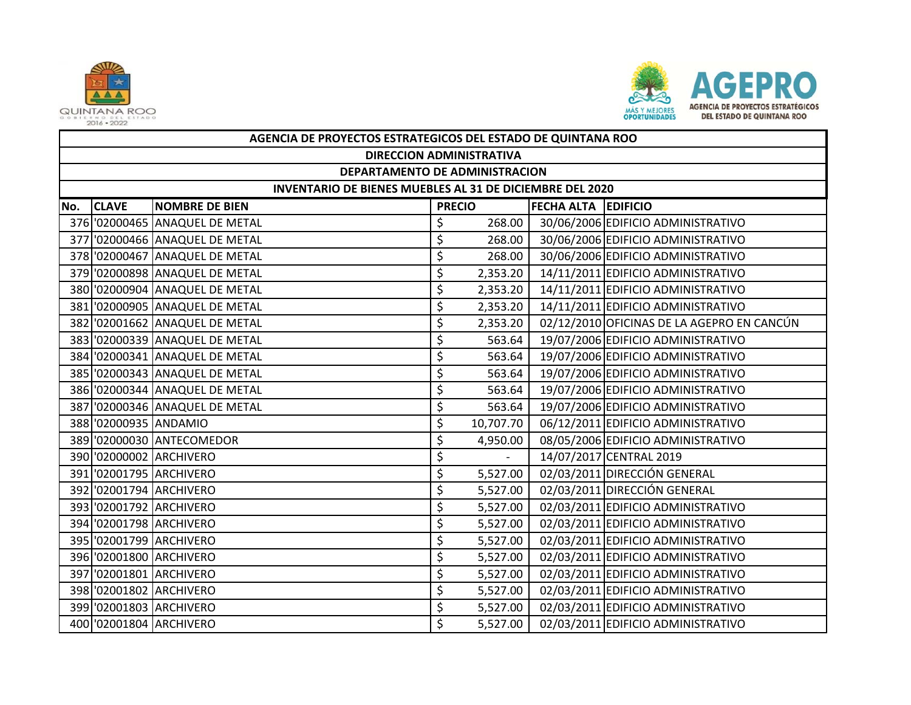



|     | AGENCIA DE PROYECTOS ESTRATEGICOS DEL ESTADO DE QUINTANA ROO |                                |               |           |                            |                                            |  |  |  |  |
|-----|--------------------------------------------------------------|--------------------------------|---------------|-----------|----------------------------|--------------------------------------------|--|--|--|--|
|     | <b>DIRECCION ADMINISTRATIVA</b>                              |                                |               |           |                            |                                            |  |  |  |  |
|     | DEPARTAMENTO DE ADMINISTRACION                               |                                |               |           |                            |                                            |  |  |  |  |
|     | INVENTARIO DE BIENES MUEBLES AL 31 DE DICIEMBRE DEL 2020     |                                |               |           |                            |                                            |  |  |  |  |
| No. | <b>CLAVE</b>                                                 | <b>NOMBRE DE BIEN</b>          | <b>PRECIO</b> |           | <b>FECHA ALTA EDIFICIO</b> |                                            |  |  |  |  |
|     |                                                              | 376 '02000465 ANAQUEL DE METAL | \$            | 268.00    |                            | 30/06/2006 EDIFICIO ADMINISTRATIVO         |  |  |  |  |
|     |                                                              | 377 '02000466 ANAQUEL DE METAL | \$            | 268.00    |                            | 30/06/2006 EDIFICIO ADMINISTRATIVO         |  |  |  |  |
|     |                                                              | 378 '02000467 ANAQUEL DE METAL | \$            | 268.00    |                            | 30/06/2006 EDIFICIO ADMINISTRATIVO         |  |  |  |  |
|     |                                                              | 379 '02000898 ANAQUEL DE METAL | \$            | 2,353.20  |                            | 14/11/2011 EDIFICIO ADMINISTRATIVO         |  |  |  |  |
|     |                                                              | 380 '02000904 ANAQUEL DE METAL | \$            | 2,353.20  |                            | 14/11/2011 EDIFICIO ADMINISTRATIVO         |  |  |  |  |
|     |                                                              | 381 '02000905 ANAQUEL DE METAL | \$            | 2,353.20  |                            | 14/11/2011 EDIFICIO ADMINISTRATIVO         |  |  |  |  |
|     |                                                              | 382 '02001662 ANAQUEL DE METAL | \$            | 2,353.20  |                            | 02/12/2010 OFICINAS DE LA AGEPRO EN CANCÚN |  |  |  |  |
|     |                                                              | 383 '02000339 ANAQUEL DE METAL | \$            | 563.64    |                            | 19/07/2006 EDIFICIO ADMINISTRATIVO         |  |  |  |  |
|     |                                                              | 384 '02000341 ANAQUEL DE METAL | \$            | 563.64    |                            | 19/07/2006 EDIFICIO ADMINISTRATIVO         |  |  |  |  |
|     |                                                              | 385 '02000343 ANAQUEL DE METAL | \$            | 563.64    |                            | 19/07/2006 EDIFICIO ADMINISTRATIVO         |  |  |  |  |
|     |                                                              | 386 '02000344 ANAQUEL DE METAL | \$            | 563.64    |                            | 19/07/2006 EDIFICIO ADMINISTRATIVO         |  |  |  |  |
|     |                                                              | 387 '02000346 ANAQUEL DE METAL | \$            | 563.64    |                            | 19/07/2006 EDIFICIO ADMINISTRATIVO         |  |  |  |  |
|     | 388 '02000935 ANDAMIO                                        |                                | \$            | 10,707.70 |                            | 06/12/2011 EDIFICIO ADMINISTRATIVO         |  |  |  |  |
|     |                                                              | 389 '02000030 ANTECOMEDOR      | \$            | 4,950.00  |                            | 08/05/2006 EDIFICIO ADMINISTRATIVO         |  |  |  |  |
|     |                                                              | 390 '02000002 ARCHIVERO        | \$            |           |                            | 14/07/2017 CENTRAL 2019                    |  |  |  |  |
|     |                                                              | 391 '02001795 ARCHIVERO        | \$            | 5,527.00  |                            | 02/03/2011 DIRECCIÓN GENERAL               |  |  |  |  |
|     |                                                              | 392 '02001794 ARCHIVERO        | \$            | 5,527.00  |                            | 02/03/2011 DIRECCIÓN GENERAL               |  |  |  |  |
|     |                                                              | 393 '02001792 ARCHIVERO        | \$            | 5,527.00  |                            | 02/03/2011 EDIFICIO ADMINISTRATIVO         |  |  |  |  |
|     |                                                              | 394 '02001798 ARCHIVERO        | \$            | 5,527.00  |                            | 02/03/2011 EDIFICIO ADMINISTRATIVO         |  |  |  |  |
|     |                                                              | 395 '02001799 ARCHIVERO        | \$            | 5,527.00  |                            | 02/03/2011 EDIFICIO ADMINISTRATIVO         |  |  |  |  |
|     |                                                              | 396 '02001800 ARCHIVERO        | \$            | 5,527.00  |                            | 02/03/2011 EDIFICIO ADMINISTRATIVO         |  |  |  |  |
|     |                                                              | 397 '02001801 ARCHIVERO        | \$            | 5,527.00  |                            | 02/03/2011 EDIFICIO ADMINISTRATIVO         |  |  |  |  |
|     |                                                              | 398 '02001802 ARCHIVERO        | \$            | 5,527.00  |                            | 02/03/2011 EDIFICIO ADMINISTRATIVO         |  |  |  |  |
|     |                                                              | 399 '02001803 ARCHIVERO        | \$            | 5,527.00  |                            | 02/03/2011 EDIFICIO ADMINISTRATIVO         |  |  |  |  |
|     |                                                              | 400 '02001804 ARCHIVERO        | \$            | 5,527.00  |                            | 02/03/2011 EDIFICIO ADMINISTRATIVO         |  |  |  |  |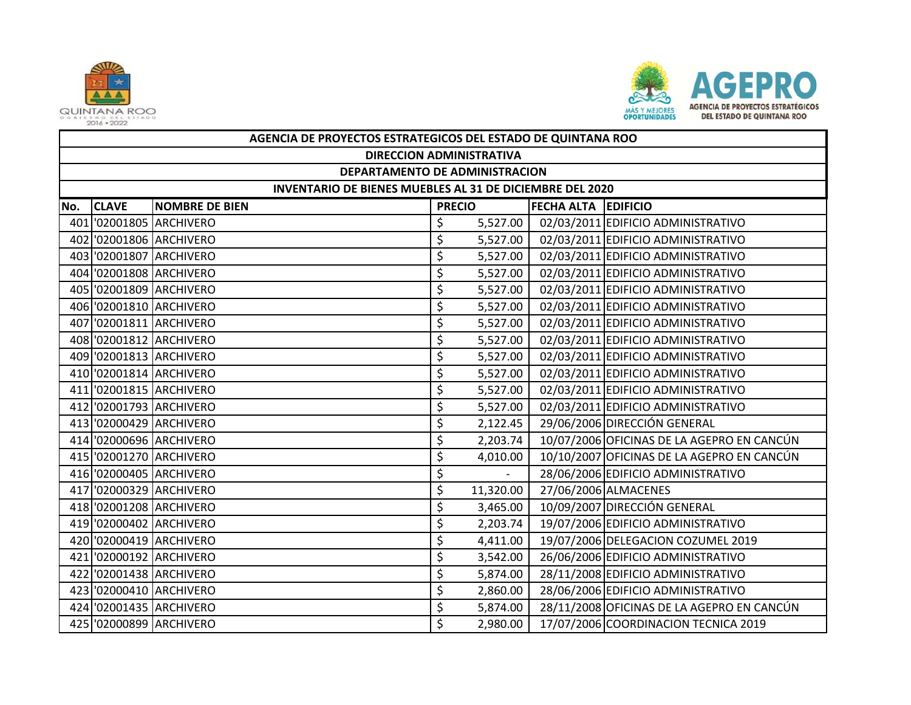



|     | AGENCIA DE PROYECTOS ESTRATEGICOS DEL ESTADO DE QUINTANA ROO |                         |               |                |                            |                                            |  |  |  |  |
|-----|--------------------------------------------------------------|-------------------------|---------------|----------------|----------------------------|--------------------------------------------|--|--|--|--|
|     | <b>DIRECCION ADMINISTRATIVA</b>                              |                         |               |                |                            |                                            |  |  |  |  |
|     | DEPARTAMENTO DE ADMINISTRACION                               |                         |               |                |                            |                                            |  |  |  |  |
|     | INVENTARIO DE BIENES MUEBLES AL 31 DE DICIEMBRE DEL 2020     |                         |               |                |                            |                                            |  |  |  |  |
| No. | <b>CLAVE</b>                                                 | <b>NOMBRE DE BIEN</b>   | <b>PRECIO</b> |                | <b>FECHA ALTA EDIFICIO</b> |                                            |  |  |  |  |
|     |                                                              | 401 02001805 ARCHIVERO  | \$            | 5,527.00       |                            | 02/03/2011 EDIFICIO ADMINISTRATIVO         |  |  |  |  |
|     |                                                              | 402 02001806 ARCHIVERO  | \$            | 5,527.00       |                            | 02/03/2011 EDIFICIO ADMINISTRATIVO         |  |  |  |  |
|     |                                                              | 403 02001807 ARCHIVERO  | \$            | 5,527.00       |                            | 02/03/2011 EDIFICIO ADMINISTRATIVO         |  |  |  |  |
|     |                                                              | 404 '02001808 ARCHIVERO | \$            | 5,527.00       |                            | 02/03/2011 EDIFICIO ADMINISTRATIVO         |  |  |  |  |
|     |                                                              | 405 '02001809 ARCHIVERO | \$            | 5,527.00       |                            | 02/03/2011 EDIFICIO ADMINISTRATIVO         |  |  |  |  |
|     |                                                              | 406 '02001810 ARCHIVERO | \$            | 5,527.00       |                            | 02/03/2011 EDIFICIO ADMINISTRATIVO         |  |  |  |  |
|     |                                                              | 407 02001811 ARCHIVERO  | \$            | 5,527.00       |                            | 02/03/2011 EDIFICIO ADMINISTRATIVO         |  |  |  |  |
|     |                                                              | 408 '02001812 ARCHIVERO | \$            | 5,527.00       |                            | 02/03/2011 EDIFICIO ADMINISTRATIVO         |  |  |  |  |
|     |                                                              | 409 '02001813 ARCHIVERO | \$            | 5,527.00       |                            | 02/03/2011 EDIFICIO ADMINISTRATIVO         |  |  |  |  |
|     |                                                              | 410 '02001814 ARCHIVERO | \$            | 5,527.00       |                            | 02/03/2011 EDIFICIO ADMINISTRATIVO         |  |  |  |  |
|     |                                                              | 411 02001815 ARCHIVERO  | \$            | 5,527.00       |                            | 02/03/2011 EDIFICIO ADMINISTRATIVO         |  |  |  |  |
|     |                                                              | 412 '02001793 ARCHIVERO | \$            | 5,527.00       |                            | 02/03/2011 EDIFICIO ADMINISTRATIVO         |  |  |  |  |
|     |                                                              | 413 02000429 ARCHIVERO  | \$            | 2,122.45       |                            | 29/06/2006 DIRECCIÓN GENERAL               |  |  |  |  |
|     |                                                              | 414 '02000696 ARCHIVERO | \$            | 2,203.74       |                            | 10/07/2006 OFICINAS DE LA AGEPRO EN CANCÚN |  |  |  |  |
|     |                                                              | 415 '02001270 ARCHIVERO | \$            | 4,010.00       |                            | 10/10/2007 OFICINAS DE LA AGEPRO EN CANCÚN |  |  |  |  |
|     |                                                              | 416 '02000405 ARCHIVERO | \$            | $\blacksquare$ |                            | 28/06/2006 EDIFICIO ADMINISTRATIVO         |  |  |  |  |
|     |                                                              | 417 '02000329 ARCHIVERO | \$            | 11,320.00      |                            | 27/06/2006 ALMACENES                       |  |  |  |  |
|     |                                                              | 418 '02001208 ARCHIVERO | \$            | 3,465.00       |                            | 10/09/2007 DIRECCIÓN GENERAL               |  |  |  |  |
|     |                                                              | 419 '02000402 ARCHIVERO | \$            | 2,203.74       |                            | 19/07/2006 EDIFICIO ADMINISTRATIVO         |  |  |  |  |
|     |                                                              | 420 '02000419 ARCHIVERO | \$            | 4,411.00       |                            | 19/07/2006 DELEGACION COZUMEL 2019         |  |  |  |  |
|     |                                                              | 421 '02000192 ARCHIVERO | \$            | 3,542.00       |                            | 26/06/2006 EDIFICIO ADMINISTRATIVO         |  |  |  |  |
|     |                                                              | 422 '02001438 ARCHIVERO | \$            | 5,874.00       |                            | 28/11/2008 EDIFICIO ADMINISTRATIVO         |  |  |  |  |
|     |                                                              | 423 02000410 ARCHIVERO  | \$            | 2,860.00       |                            | 28/06/2006 EDIFICIO ADMINISTRATIVO         |  |  |  |  |
|     |                                                              | 424 '02001435 ARCHIVERO | \$            | 5,874.00       |                            | 28/11/2008 OFICINAS DE LA AGEPRO EN CANCÚN |  |  |  |  |
|     |                                                              | 425 '02000899 ARCHIVERO | \$            | 2,980.00       |                            | 17/07/2006 COORDINACION TECNICA 2019       |  |  |  |  |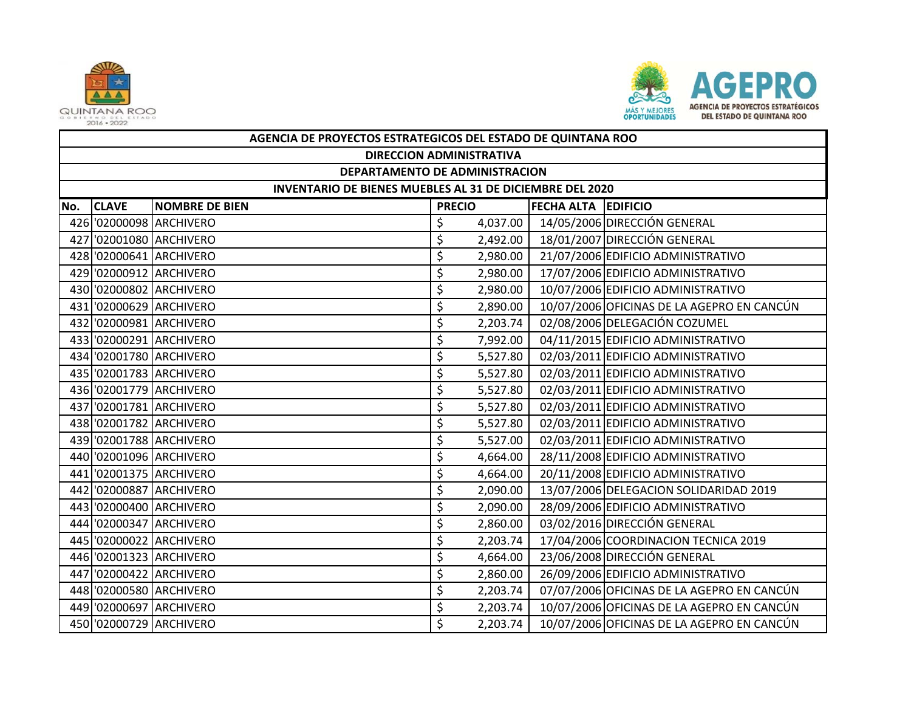



|     | AGENCIA DE PROYECTOS ESTRATEGICOS DEL ESTADO DE QUINTANA ROO |                         |               |          |                            |                                            |  |  |  |
|-----|--------------------------------------------------------------|-------------------------|---------------|----------|----------------------------|--------------------------------------------|--|--|--|
|     | <b>DIRECCION ADMINISTRATIVA</b>                              |                         |               |          |                            |                                            |  |  |  |
|     | DEPARTAMENTO DE ADMINISTRACION                               |                         |               |          |                            |                                            |  |  |  |
|     | INVENTARIO DE BIENES MUEBLES AL 31 DE DICIEMBRE DEL 2020     |                         |               |          |                            |                                            |  |  |  |
| No. | <b>CLAVE</b>                                                 | <b>NOMBRE DE BIEN</b>   | <b>PRECIO</b> |          | <b>FECHA ALTA EDIFICIO</b> |                                            |  |  |  |
|     |                                                              | 426 '02000098 ARCHIVERO | \$            | 4,037.00 |                            | 14/05/2006 DIRECCIÓN GENERAL               |  |  |  |
|     |                                                              | 427 '02001080 ARCHIVERO | \$            | 2,492.00 |                            | 18/01/2007 DIRECCIÓN GENERAL               |  |  |  |
|     |                                                              | 428 '02000641 ARCHIVERO | \$            | 2,980.00 |                            | 21/07/2006 EDIFICIO ADMINISTRATIVO         |  |  |  |
|     |                                                              | 429 '02000912 ARCHIVERO | \$            | 2,980.00 |                            | 17/07/2006 EDIFICIO ADMINISTRATIVO         |  |  |  |
|     |                                                              | 430 '02000802 ARCHIVERO | \$            | 2,980.00 |                            | 10/07/2006 EDIFICIO ADMINISTRATIVO         |  |  |  |
|     |                                                              | 431 '02000629 ARCHIVERO | \$            | 2,890.00 |                            | 10/07/2006 OFICINAS DE LA AGEPRO EN CANCÚN |  |  |  |
|     |                                                              | 432 '02000981 ARCHIVERO | \$            | 2,203.74 |                            | 02/08/2006 DELEGACIÓN COZUMEL              |  |  |  |
|     |                                                              | 433 '02000291 ARCHIVERO | \$            | 7,992.00 |                            | 04/11/2015 EDIFICIO ADMINISTRATIVO         |  |  |  |
|     |                                                              | 434 '02001780 ARCHIVERO | \$            | 5,527.80 |                            | 02/03/2011 EDIFICIO ADMINISTRATIVO         |  |  |  |
|     |                                                              | 435 '02001783 ARCHIVERO | \$            | 5,527.80 |                            | 02/03/2011 EDIFICIO ADMINISTRATIVO         |  |  |  |
|     |                                                              | 436 '02001779 ARCHIVERO | \$            | 5,527.80 |                            | 02/03/2011 EDIFICIO ADMINISTRATIVO         |  |  |  |
|     |                                                              | 437 '02001781 ARCHIVERO | \$            | 5,527.80 |                            | 02/03/2011 EDIFICIO ADMINISTRATIVO         |  |  |  |
|     |                                                              | 438 '02001782 ARCHIVERO | \$            | 5,527.80 |                            | 02/03/2011 EDIFICIO ADMINISTRATIVO         |  |  |  |
|     |                                                              | 439 '02001788 ARCHIVERO | \$            | 5,527.00 |                            | 02/03/2011 EDIFICIO ADMINISTRATIVO         |  |  |  |
|     |                                                              | 440 '02001096 ARCHIVERO | \$            | 4,664.00 |                            | 28/11/2008 EDIFICIO ADMINISTRATIVO         |  |  |  |
|     |                                                              | 441 '02001375 ARCHIVERO | \$            | 4,664.00 |                            | 20/11/2008 EDIFICIO ADMINISTRATIVO         |  |  |  |
|     |                                                              | 442 '02000887 ARCHIVERO | \$            | 2,090.00 |                            | 13/07/2006 DELEGACION SOLIDARIDAD 2019     |  |  |  |
|     |                                                              | 443 '02000400 ARCHIVERO | \$            | 2,090.00 |                            | 28/09/2006 EDIFICIO ADMINISTRATIVO         |  |  |  |
|     |                                                              | 444 '02000347 ARCHIVERO | \$            | 2,860.00 |                            | 03/02/2016 DIRECCIÓN GENERAL               |  |  |  |
|     |                                                              | 445 '02000022 ARCHIVERO | \$            | 2,203.74 |                            | 17/04/2006 COORDINACION TECNICA 2019       |  |  |  |
|     |                                                              | 446 '02001323 ARCHIVERO | \$            | 4,664.00 |                            | 23/06/2008 DIRECCIÓN GENERAL               |  |  |  |
|     |                                                              | 447 '02000422 ARCHIVERO | \$            | 2,860.00 |                            | 26/09/2006 EDIFICIO ADMINISTRATIVO         |  |  |  |
|     |                                                              | 448 '02000580 ARCHIVERO | \$            | 2,203.74 |                            | 07/07/2006 OFICINAS DE LA AGEPRO EN CANCÚN |  |  |  |
|     |                                                              | 449 '02000697 ARCHIVERO | \$            | 2,203.74 |                            | 10/07/2006 OFICINAS DE LA AGEPRO EN CANCÚN |  |  |  |
|     |                                                              | 450 '02000729 ARCHIVERO | \$            | 2,203.74 |                            | 10/07/2006 OFICINAS DE LA AGEPRO EN CANCÚN |  |  |  |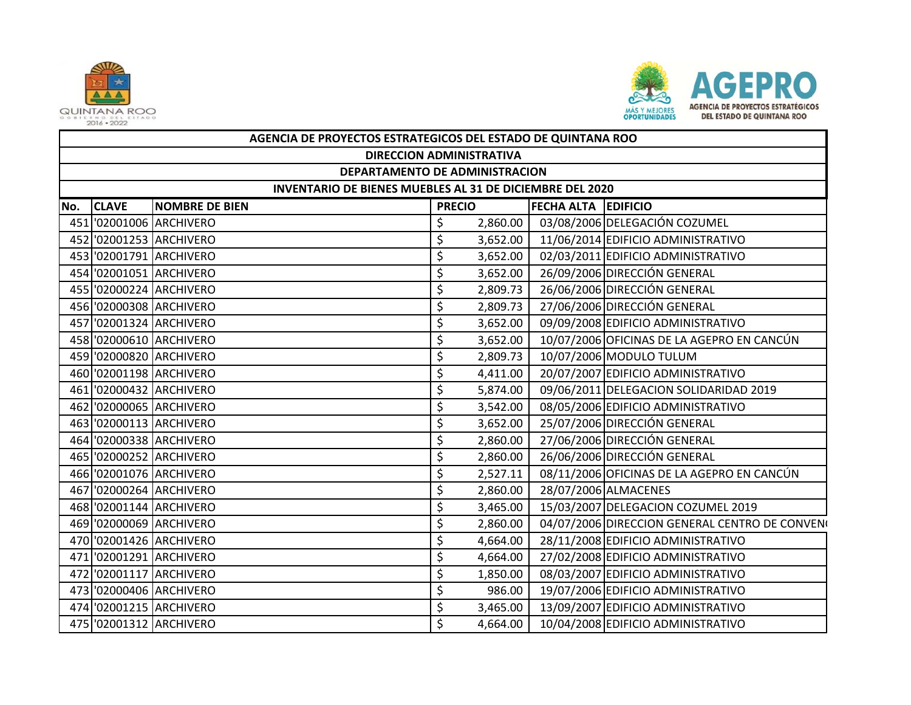



|     | AGENCIA DE PROYECTOS ESTRATEGICOS DEL ESTADO DE QUINTANA ROO |                         |                                             |          |  |                                                |  |  |  |  |
|-----|--------------------------------------------------------------|-------------------------|---------------------------------------------|----------|--|------------------------------------------------|--|--|--|--|
|     | <b>DIRECCION ADMINISTRATIVA</b>                              |                         |                                             |          |  |                                                |  |  |  |  |
|     | DEPARTAMENTO DE ADMINISTRACION                               |                         |                                             |          |  |                                                |  |  |  |  |
|     | INVENTARIO DE BIENES MUEBLES AL 31 DE DICIEMBRE DEL 2020     |                         |                                             |          |  |                                                |  |  |  |  |
| No. | <b>CLAVE</b>                                                 | <b>NOMBRE DE BIEN</b>   | <b>FECHA ALTA EDIFICIO</b><br><b>PRECIO</b> |          |  |                                                |  |  |  |  |
|     |                                                              | 451 '02001006 ARCHIVERO | \$                                          | 2,860.00 |  | 03/08/2006 DELEGACIÓN COZUMEL                  |  |  |  |  |
|     |                                                              | 452 '02001253 ARCHIVERO | \$                                          | 3,652.00 |  | 11/06/2014 EDIFICIO ADMINISTRATIVO             |  |  |  |  |
|     |                                                              | 453 '02001791 ARCHIVERO | \$                                          | 3,652.00 |  | 02/03/2011 EDIFICIO ADMINISTRATIVO             |  |  |  |  |
|     |                                                              | 454 '02001051 ARCHIVERO | \$                                          | 3,652.00 |  | 26/09/2006 DIRECCIÓN GENERAL                   |  |  |  |  |
|     |                                                              | 455 '02000224 ARCHIVERO | \$                                          | 2,809.73 |  | 26/06/2006 DIRECCIÓN GENERAL                   |  |  |  |  |
|     |                                                              | 456 '02000308 ARCHIVERO | \$                                          | 2,809.73 |  | 27/06/2006 DIRECCIÓN GENERAL                   |  |  |  |  |
|     |                                                              | 457 '02001324 ARCHIVERO | \$                                          | 3,652.00 |  | 09/09/2008 EDIFICIO ADMINISTRATIVO             |  |  |  |  |
|     |                                                              | 458 '02000610 ARCHIVERO | \$                                          | 3,652.00 |  | 10/07/2006 OFICINAS DE LA AGEPRO EN CANCÚN     |  |  |  |  |
|     |                                                              | 459 '02000820 ARCHIVERO | \$                                          | 2,809.73 |  | 10/07/2006 MODULO TULUM                        |  |  |  |  |
|     |                                                              | 460 '02001198 ARCHIVERO | \$                                          | 4,411.00 |  | 20/07/2007 EDIFICIO ADMINISTRATIVO             |  |  |  |  |
|     |                                                              | 461 '02000432 ARCHIVERO | \$                                          | 5,874.00 |  | 09/06/2011 DELEGACION SOLIDARIDAD 2019         |  |  |  |  |
|     |                                                              | 462 '02000065 ARCHIVERO | \$                                          | 3,542.00 |  | 08/05/2006 EDIFICIO ADMINISTRATIVO             |  |  |  |  |
|     |                                                              | 463 '02000113 ARCHIVERO | \$                                          | 3,652.00 |  | 25/07/2006 DIRECCIÓN GENERAL                   |  |  |  |  |
|     |                                                              | 464 '02000338 ARCHIVERO | \$                                          | 2,860.00 |  | 27/06/2006 DIRECCIÓN GENERAL                   |  |  |  |  |
|     |                                                              | 465 '02000252 ARCHIVERO | \$                                          | 2,860.00 |  | 26/06/2006 DIRECCIÓN GENERAL                   |  |  |  |  |
|     |                                                              | 466 '02001076 ARCHIVERO | \$                                          | 2,527.11 |  | 08/11/2006 OFICINAS DE LA AGEPRO EN CANCÚN     |  |  |  |  |
|     |                                                              | 467 '02000264 ARCHIVERO | \$                                          | 2,860.00 |  | 28/07/2006 ALMACENES                           |  |  |  |  |
|     |                                                              | 468 '02001144 ARCHIVERO | \$                                          | 3,465.00 |  | 15/03/2007 DELEGACION COZUMEL 2019             |  |  |  |  |
|     |                                                              | 469 '02000069 ARCHIVERO | \$                                          | 2,860.00 |  | 04/07/2006 DIRECCION GENERAL CENTRO DE CONVENO |  |  |  |  |
|     |                                                              | 470 '02001426 ARCHIVERO | \$                                          | 4,664.00 |  | 28/11/2008 EDIFICIO ADMINISTRATIVO             |  |  |  |  |
|     |                                                              | 471 02001291 ARCHIVERO  | \$                                          | 4,664.00 |  | 27/02/2008 EDIFICIO ADMINISTRATIVO             |  |  |  |  |
|     |                                                              | 472 '02001117 ARCHIVERO | \$                                          | 1,850.00 |  | 08/03/2007 EDIFICIO ADMINISTRATIVO             |  |  |  |  |
|     |                                                              | 473 '02000406 ARCHIVERO | \$                                          | 986.00   |  | 19/07/2006 EDIFICIO ADMINISTRATIVO             |  |  |  |  |
|     |                                                              | 474 '02001215 ARCHIVERO | \$                                          | 3,465.00 |  | 13/09/2007 EDIFICIO ADMINISTRATIVO             |  |  |  |  |
|     |                                                              | 475 '02001312 ARCHIVERO | \$                                          | 4,664.00 |  | 10/04/2008 EDIFICIO ADMINISTRATIVO             |  |  |  |  |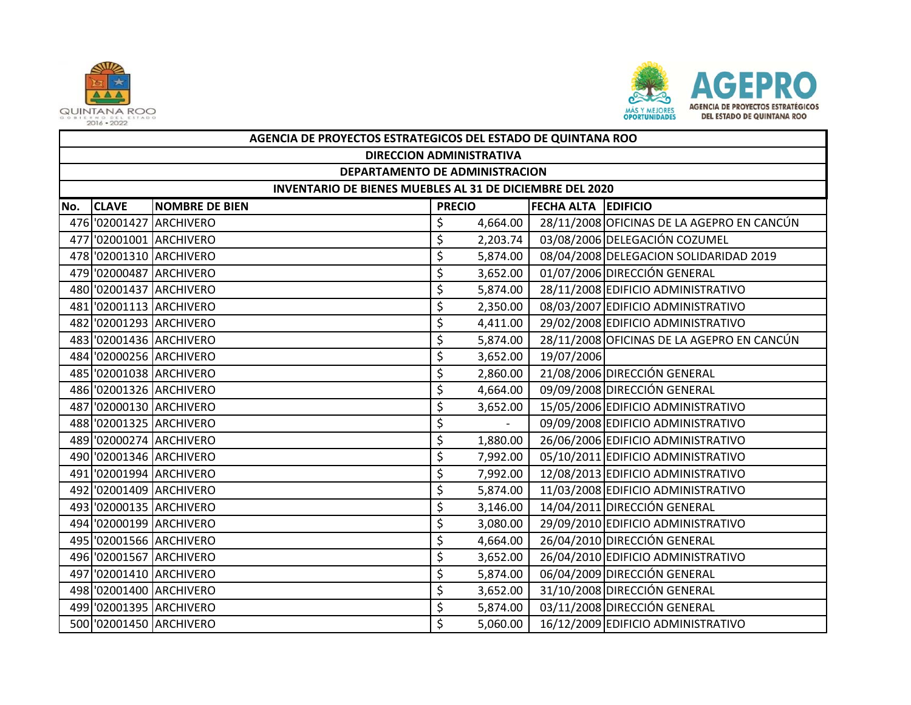



|     | AGENCIA DE PROYECTOS ESTRATEGICOS DEL ESTADO DE QUINTANA ROO |                         |               |          |                            |                                            |  |  |  |
|-----|--------------------------------------------------------------|-------------------------|---------------|----------|----------------------------|--------------------------------------------|--|--|--|
|     | <b>DIRECCION ADMINISTRATIVA</b>                              |                         |               |          |                            |                                            |  |  |  |
|     | DEPARTAMENTO DE ADMINISTRACION                               |                         |               |          |                            |                                            |  |  |  |
|     | INVENTARIO DE BIENES MUEBLES AL 31 DE DICIEMBRE DEL 2020     |                         |               |          |                            |                                            |  |  |  |
| No. | <b>CLAVE</b>                                                 | <b>NOMBRE DE BIEN</b>   | <b>PRECIO</b> |          | <b>FECHA ALTA EDIFICIO</b> |                                            |  |  |  |
|     |                                                              | 476 '02001427 ARCHIVERO | \$            | 4,664.00 |                            | 28/11/2008 OFICINAS DE LA AGEPRO EN CANCÚN |  |  |  |
|     |                                                              | 477 '02001001 ARCHIVERO | \$            | 2,203.74 |                            | 03/08/2006 DELEGACIÓN COZUMEL              |  |  |  |
|     |                                                              | 478 '02001310 ARCHIVERO | \$            | 5,874.00 |                            | 08/04/2008 DELEGACION SOLIDARIDAD 2019     |  |  |  |
|     |                                                              | 479 '02000487 ARCHIVERO | \$            | 3,652.00 |                            | 01/07/2006 DIRECCIÓN GENERAL               |  |  |  |
|     |                                                              | 480 '02001437 ARCHIVERO | \$            | 5,874.00 |                            | 28/11/2008 EDIFICIO ADMINISTRATIVO         |  |  |  |
|     |                                                              | 481 '02001113 ARCHIVERO | \$            | 2,350.00 |                            | 08/03/2007 EDIFICIO ADMINISTRATIVO         |  |  |  |
|     |                                                              | 482 '02001293 ARCHIVERO | \$            | 4,411.00 |                            | 29/02/2008 EDIFICIO ADMINISTRATIVO         |  |  |  |
|     |                                                              | 483 '02001436 ARCHIVERO | \$            | 5,874.00 |                            | 28/11/2008 OFICINAS DE LA AGEPRO EN CANCÚN |  |  |  |
|     |                                                              | 484 '02000256 ARCHIVERO | \$            | 3,652.00 | 19/07/2006                 |                                            |  |  |  |
|     |                                                              | 485 '02001038 ARCHIVERO | \$            | 2,860.00 |                            | 21/08/2006 DIRECCIÓN GENERAL               |  |  |  |
|     |                                                              | 486 '02001326 ARCHIVERO | \$            | 4,664.00 |                            | 09/09/2008 DIRECCIÓN GENERAL               |  |  |  |
|     |                                                              | 487 '02000130 ARCHIVERO | \$            | 3,652.00 |                            | 15/05/2006 EDIFICIO ADMINISTRATIVO         |  |  |  |
|     |                                                              | 488 '02001325 ARCHIVERO | \$            |          |                            | 09/09/2008 EDIFICIO ADMINISTRATIVO         |  |  |  |
|     |                                                              | 489 '02000274 ARCHIVERO | \$            | 1,880.00 |                            | 26/06/2006 EDIFICIO ADMINISTRATIVO         |  |  |  |
|     |                                                              | 490 '02001346 ARCHIVERO | \$            | 7,992.00 |                            | 05/10/2011 EDIFICIO ADMINISTRATIVO         |  |  |  |
|     |                                                              | 491 02001994 ARCHIVERO  | \$            | 7,992.00 |                            | 12/08/2013 EDIFICIO ADMINISTRATIVO         |  |  |  |
|     |                                                              | 492 '02001409 ARCHIVERO | \$            | 5,874.00 |                            | 11/03/2008 EDIFICIO ADMINISTRATIVO         |  |  |  |
|     |                                                              | 493 '02000135 ARCHIVERO | \$            | 3,146.00 |                            | 14/04/2011 DIRECCIÓN GENERAL               |  |  |  |
|     |                                                              | 494 '02000199 ARCHIVERO | \$            | 3,080.00 |                            | 29/09/2010 EDIFICIO ADMINISTRATIVO         |  |  |  |
|     |                                                              | 495 '02001566 ARCHIVERO | \$            | 4,664.00 |                            | 26/04/2010 DIRECCIÓN GENERAL               |  |  |  |
|     |                                                              | 496 '02001567 ARCHIVERO | \$            | 3,652.00 |                            | 26/04/2010 EDIFICIO ADMINISTRATIVO         |  |  |  |
|     |                                                              | 497 '02001410 ARCHIVERO | \$            | 5,874.00 |                            | 06/04/2009 DIRECCIÓN GENERAL               |  |  |  |
|     |                                                              | 498 '02001400 ARCHIVERO | \$            | 3,652.00 |                            | 31/10/2008 DIRECCIÓN GENERAL               |  |  |  |
|     |                                                              | 499 '02001395 ARCHIVERO | \$            | 5,874.00 |                            | 03/11/2008 DIRECCIÓN GENERAL               |  |  |  |
|     |                                                              | 500 '02001450 ARCHIVERO | \$            | 5,060.00 |                            | 16/12/2009 EDIFICIO ADMINISTRATIVO         |  |  |  |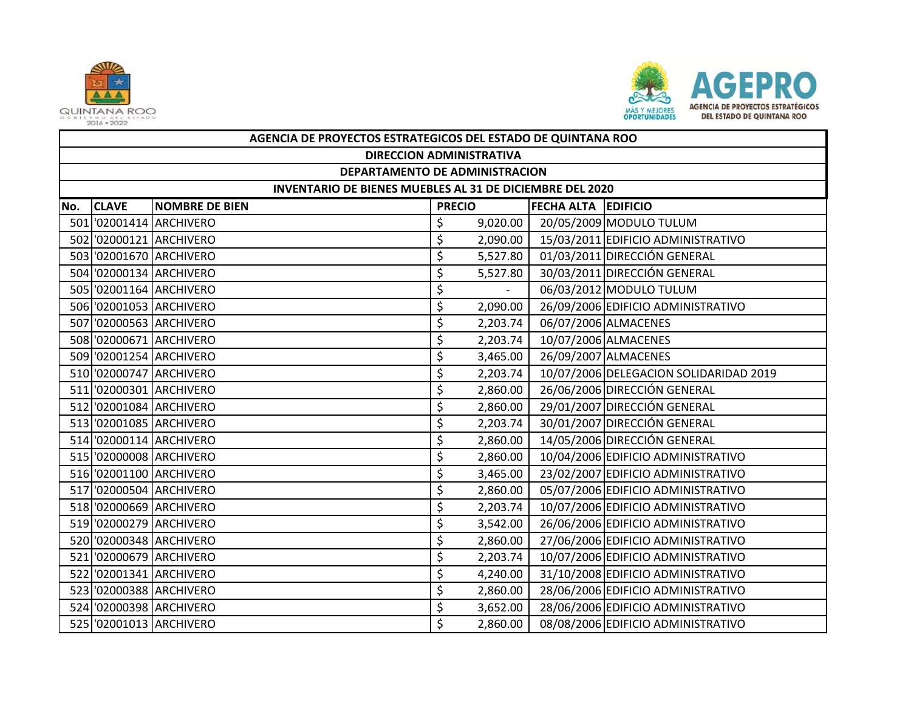



|     | AGENCIA DE PROYECTOS ESTRATEGICOS DEL ESTADO DE QUINTANA ROO |                         |               |          |                            |                                        |  |  |  |
|-----|--------------------------------------------------------------|-------------------------|---------------|----------|----------------------------|----------------------------------------|--|--|--|
|     | <b>DIRECCION ADMINISTRATIVA</b>                              |                         |               |          |                            |                                        |  |  |  |
|     | DEPARTAMENTO DE ADMINISTRACION                               |                         |               |          |                            |                                        |  |  |  |
|     | INVENTARIO DE BIENES MUEBLES AL 31 DE DICIEMBRE DEL 2020     |                         |               |          |                            |                                        |  |  |  |
| No. | <b>CLAVE</b>                                                 | <b>NOMBRE DE BIEN</b>   | <b>PRECIO</b> |          | <b>FECHA ALTA EDIFICIO</b> |                                        |  |  |  |
|     |                                                              | 501 '02001414 ARCHIVERO | \$            | 9,020.00 |                            | 20/05/2009 MODULO TULUM                |  |  |  |
|     |                                                              | 502 '02000121 ARCHIVERO | \$            | 2,090.00 |                            | 15/03/2011 EDIFICIO ADMINISTRATIVO     |  |  |  |
|     |                                                              | 503 '02001670 ARCHIVERO | \$            | 5,527.80 |                            | 01/03/2011 DIRECCIÓN GENERAL           |  |  |  |
|     |                                                              | 504 '02000134 ARCHIVERO | \$            | 5,527.80 |                            | 30/03/2011 DIRECCIÓN GENERAL           |  |  |  |
|     |                                                              | 505 '02001164 ARCHIVERO | \$            |          |                            | 06/03/2012 MODULO TULUM                |  |  |  |
|     |                                                              | 506 '02001053 ARCHIVERO | \$            | 2,090.00 |                            | 26/09/2006 EDIFICIO ADMINISTRATIVO     |  |  |  |
|     |                                                              | 507 '02000563 ARCHIVERO | \$            | 2,203.74 |                            | 06/07/2006 ALMACENES                   |  |  |  |
|     |                                                              | 508 '02000671 ARCHIVERO | \$            | 2,203.74 |                            | 10/07/2006 ALMACENES                   |  |  |  |
|     |                                                              | 509 '02001254 ARCHIVERO | \$            | 3,465.00 |                            | 26/09/2007 ALMACENES                   |  |  |  |
|     |                                                              | 510 '02000747 ARCHIVERO | \$            | 2,203.74 |                            | 10/07/2006 DELEGACION SOLIDARIDAD 2019 |  |  |  |
|     |                                                              | 511 '02000301 ARCHIVERO | \$            | 2,860.00 |                            | 26/06/2006 DIRECCIÓN GENERAL           |  |  |  |
|     |                                                              | 512 '02001084 ARCHIVERO | \$            | 2,860.00 |                            | 29/01/2007 DIRECCIÓN GENERAL           |  |  |  |
|     |                                                              | 513 '02001085 ARCHIVERO | \$            | 2,203.74 |                            | 30/01/2007 DIRECCIÓN GENERAL           |  |  |  |
|     |                                                              | 514 '02000114 ARCHIVERO | \$            | 2,860.00 |                            | 14/05/2006 DIRECCIÓN GENERAL           |  |  |  |
|     |                                                              | 515 '02000008 ARCHIVERO | \$            | 2,860.00 |                            | 10/04/2006 EDIFICIO ADMINISTRATIVO     |  |  |  |
|     |                                                              | 516 '02001100 ARCHIVERO | \$            | 3,465.00 |                            | 23/02/2007 EDIFICIO ADMINISTRATIVO     |  |  |  |
|     |                                                              | 517 '02000504 ARCHIVERO | \$            | 2,860.00 |                            | 05/07/2006 EDIFICIO ADMINISTRATIVO     |  |  |  |
|     |                                                              | 518 '02000669 ARCHIVERO | \$            | 2,203.74 |                            | 10/07/2006 EDIFICIO ADMINISTRATIVO     |  |  |  |
|     |                                                              | 519 '02000279 ARCHIVERO | \$            | 3,542.00 |                            | 26/06/2006 EDIFICIO ADMINISTRATIVO     |  |  |  |
|     |                                                              | 520 '02000348 ARCHIVERO | \$            | 2,860.00 |                            | 27/06/2006 EDIFICIO ADMINISTRATIVO     |  |  |  |
|     |                                                              | 521 '02000679 ARCHIVERO | \$            | 2,203.74 |                            | 10/07/2006 EDIFICIO ADMINISTRATIVO     |  |  |  |
|     |                                                              | 522 '02001341 ARCHIVERO | \$            | 4,240.00 |                            | 31/10/2008 EDIFICIO ADMINISTRATIVO     |  |  |  |
|     |                                                              | 523 '02000388 ARCHIVERO | \$            | 2,860.00 |                            | 28/06/2006 EDIFICIO ADMINISTRATIVO     |  |  |  |
|     |                                                              | 524 '02000398 ARCHIVERO | \$            | 3,652.00 |                            | 28/06/2006 EDIFICIO ADMINISTRATIVO     |  |  |  |
|     |                                                              | 525 '02001013 ARCHIVERO | \$            | 2,860.00 |                            | 08/08/2006 EDIFICIO ADMINISTRATIVO     |  |  |  |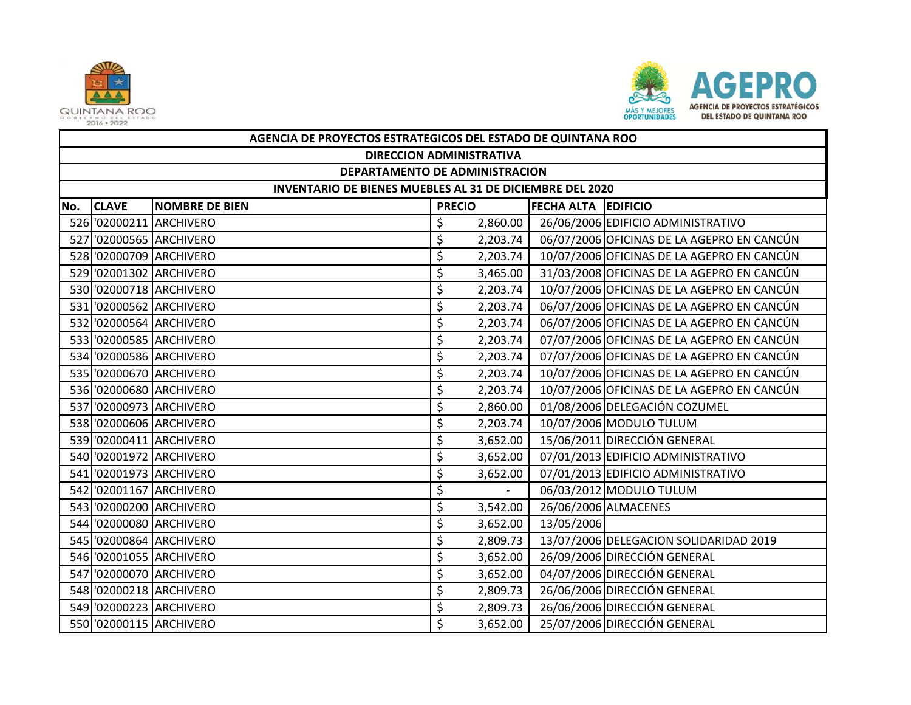



|     | AGENCIA DE PROYECTOS ESTRATEGICOS DEL ESTADO DE QUINTANA ROO |                         |               |          |                            |                                            |  |  |  |
|-----|--------------------------------------------------------------|-------------------------|---------------|----------|----------------------------|--------------------------------------------|--|--|--|
|     | <b>DIRECCION ADMINISTRATIVA</b>                              |                         |               |          |                            |                                            |  |  |  |
|     | DEPARTAMENTO DE ADMINISTRACION                               |                         |               |          |                            |                                            |  |  |  |
|     | INVENTARIO DE BIENES MUEBLES AL 31 DE DICIEMBRE DEL 2020     |                         |               |          |                            |                                            |  |  |  |
| No. | <b>CLAVE</b>                                                 | <b>NOMBRE DE BIEN</b>   | <b>PRECIO</b> |          | <b>FECHA ALTA EDIFICIO</b> |                                            |  |  |  |
|     |                                                              | 526 '02000211 ARCHIVERO | \$            | 2,860.00 |                            | 26/06/2006 EDIFICIO ADMINISTRATIVO         |  |  |  |
|     |                                                              | 527 '02000565 ARCHIVERO | \$            | 2,203.74 |                            | 06/07/2006 OFICINAS DE LA AGEPRO EN CANCÚN |  |  |  |
|     |                                                              | 528 '02000709 ARCHIVERO | \$            | 2,203.74 |                            | 10/07/2006 OFICINAS DE LA AGEPRO EN CANCÚN |  |  |  |
|     |                                                              | 529 '02001302 ARCHIVERO | \$            | 3,465.00 |                            | 31/03/2008 OFICINAS DE LA AGEPRO EN CANCÚN |  |  |  |
|     |                                                              | 530 '02000718 ARCHIVERO | \$            | 2,203.74 |                            | 10/07/2006 OFICINAS DE LA AGEPRO EN CANCÚN |  |  |  |
|     |                                                              | 531 '02000562 ARCHIVERO | \$            | 2,203.74 |                            | 06/07/2006 OFICINAS DE LA AGEPRO EN CANCÚN |  |  |  |
|     |                                                              | 532 '02000564 ARCHIVERO | \$            | 2,203.74 |                            | 06/07/2006 OFICINAS DE LA AGEPRO EN CANCÚN |  |  |  |
|     |                                                              | 533 '02000585 ARCHIVERO | \$            | 2,203.74 |                            | 07/07/2006 OFICINAS DE LA AGEPRO EN CANCÚN |  |  |  |
|     |                                                              | 534 '02000586 ARCHIVERO | \$            | 2,203.74 |                            | 07/07/2006 OFICINAS DE LA AGEPRO EN CANCÚN |  |  |  |
|     |                                                              | 535 '02000670 ARCHIVERO | \$            | 2,203.74 |                            | 10/07/2006 OFICINAS DE LA AGEPRO EN CANCÚN |  |  |  |
|     |                                                              | 536 '02000680 ARCHIVERO | \$            | 2,203.74 |                            | 10/07/2006 OFICINAS DE LA AGEPRO EN CANCÚN |  |  |  |
|     |                                                              | 537 '02000973 ARCHIVERO | \$            | 2,860.00 |                            | 01/08/2006 DELEGACIÓN COZUMEL              |  |  |  |
|     |                                                              | 538 '02000606 ARCHIVERO | \$            | 2,203.74 |                            | 10/07/2006 MODULO TULUM                    |  |  |  |
|     |                                                              | 539 '02000411 ARCHIVERO | \$            | 3,652.00 |                            | 15/06/2011 DIRECCIÓN GENERAL               |  |  |  |
|     |                                                              | 540 '02001972 ARCHIVERO | \$            | 3,652.00 |                            | 07/01/2013 EDIFICIO ADMINISTRATIVO         |  |  |  |
|     |                                                              | 541 '02001973 ARCHIVERO | \$            | 3,652.00 |                            | 07/01/2013 EDIFICIO ADMINISTRATIVO         |  |  |  |
|     |                                                              | 542 '02001167 ARCHIVERO | \$            |          |                            | 06/03/2012 MODULO TULUM                    |  |  |  |
|     |                                                              | 543 '02000200 ARCHIVERO | \$            | 3,542.00 |                            | 26/06/2006 ALMACENES                       |  |  |  |
|     |                                                              | 544 '02000080 ARCHIVERO | \$            | 3,652.00 | 13/05/2006                 |                                            |  |  |  |
|     |                                                              | 545 '02000864 ARCHIVERO | \$            | 2,809.73 |                            | 13/07/2006 DELEGACION SOLIDARIDAD 2019     |  |  |  |
|     |                                                              | 546 '02001055 ARCHIVERO | \$            | 3,652.00 |                            | 26/09/2006 DIRECCIÓN GENERAL               |  |  |  |
|     |                                                              | 547 '02000070 ARCHIVERO | \$            | 3,652.00 |                            | 04/07/2006 DIRECCIÓN GENERAL               |  |  |  |
|     |                                                              | 548 '02000218 ARCHIVERO | \$            | 2,809.73 |                            | 26/06/2006 DIRECCIÓN GENERAL               |  |  |  |
|     |                                                              | 549 '02000223 ARCHIVERO | \$            | 2,809.73 |                            | 26/06/2006 DIRECCIÓN GENERAL               |  |  |  |
|     |                                                              | 550 '02000115 ARCHIVERO | \$            | 3,652.00 |                            | 25/07/2006 DIRECCIÓN GENERAL               |  |  |  |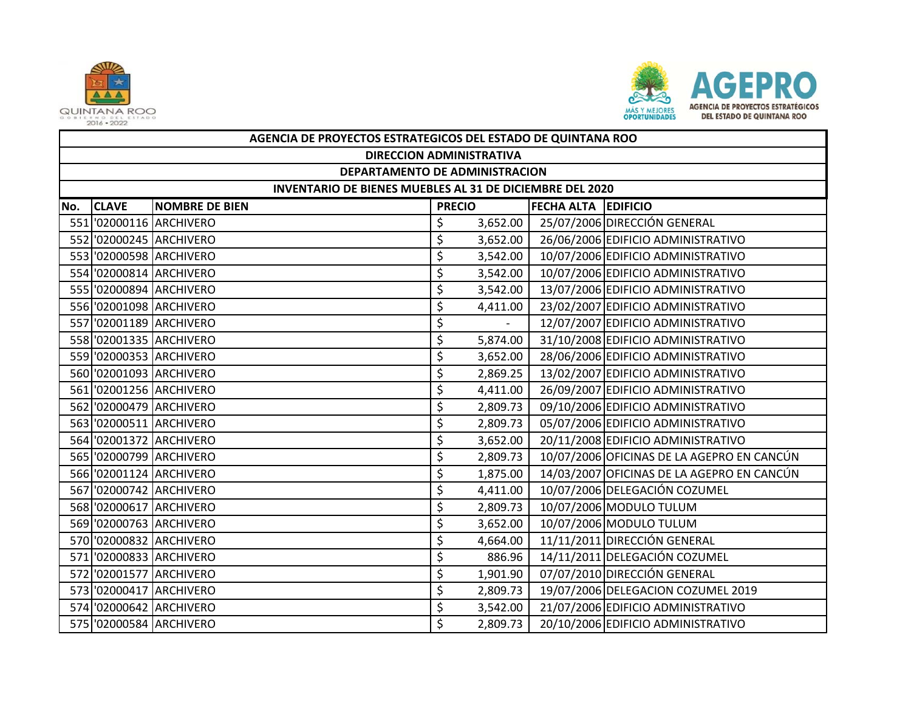



|     | AGENCIA DE PROYECTOS ESTRATEGICOS DEL ESTADO DE QUINTANA ROO |                                                          |               |          |                     |                                            |  |  |  |
|-----|--------------------------------------------------------------|----------------------------------------------------------|---------------|----------|---------------------|--------------------------------------------|--|--|--|
|     | <b>DIRECCION ADMINISTRATIVA</b>                              |                                                          |               |          |                     |                                            |  |  |  |
|     | DEPARTAMENTO DE ADMINISTRACION                               |                                                          |               |          |                     |                                            |  |  |  |
|     |                                                              | INVENTARIO DE BIENES MUEBLES AL 31 DE DICIEMBRE DEL 2020 |               |          |                     |                                            |  |  |  |
| No. | <b>CLAVE</b>                                                 | <b>NOMBRE DE BIEN</b>                                    | <b>PRECIO</b> |          | FECHA ALTA EDIFICIO |                                            |  |  |  |
|     |                                                              | 551 '02000116 ARCHIVERO                                  | \$            | 3,652.00 |                     | 25/07/2006 DIRECCIÓN GENERAL               |  |  |  |
|     |                                                              | 552 '02000245 ARCHIVERO                                  | \$            | 3,652.00 |                     | 26/06/2006 EDIFICIO ADMINISTRATIVO         |  |  |  |
|     |                                                              | 553 '02000598 ARCHIVERO                                  | \$            | 3,542.00 |                     | 10/07/2006 EDIFICIO ADMINISTRATIVO         |  |  |  |
|     |                                                              | 554 '02000814 ARCHIVERO                                  | \$            | 3,542.00 |                     | 10/07/2006 EDIFICIO ADMINISTRATIVO         |  |  |  |
|     |                                                              | 555 '02000894 ARCHIVERO                                  | \$            | 3,542.00 |                     | 13/07/2006 EDIFICIO ADMINISTRATIVO         |  |  |  |
|     |                                                              | 556 '02001098 ARCHIVERO                                  | \$            | 4,411.00 |                     | 23/02/2007 EDIFICIO ADMINISTRATIVO         |  |  |  |
|     |                                                              | 557 '02001189 ARCHIVERO                                  | \$            |          |                     | 12/07/2007 EDIFICIO ADMINISTRATIVO         |  |  |  |
|     |                                                              | 558 '02001335 ARCHIVERO                                  | \$            | 5,874.00 |                     | 31/10/2008 EDIFICIO ADMINISTRATIVO         |  |  |  |
|     |                                                              | 559 '02000353 ARCHIVERO                                  | \$            | 3,652.00 |                     | 28/06/2006 EDIFICIO ADMINISTRATIVO         |  |  |  |
|     |                                                              | 560 '02001093 ARCHIVERO                                  | \$            | 2,869.25 |                     | 13/02/2007 EDIFICIO ADMINISTRATIVO         |  |  |  |
|     |                                                              | 561 '02001256 ARCHIVERO                                  | \$            | 4,411.00 |                     | 26/09/2007 EDIFICIO ADMINISTRATIVO         |  |  |  |
|     |                                                              | 562 '02000479 ARCHIVERO                                  | \$            | 2,809.73 |                     | 09/10/2006 EDIFICIO ADMINISTRATIVO         |  |  |  |
|     |                                                              | 563 '02000511 ARCHIVERO                                  | \$            | 2,809.73 |                     | 05/07/2006 EDIFICIO ADMINISTRATIVO         |  |  |  |
|     |                                                              | 564 '02001372 ARCHIVERO                                  | \$            | 3,652.00 |                     | 20/11/2008 EDIFICIO ADMINISTRATIVO         |  |  |  |
|     |                                                              | 565 '02000799 ARCHIVERO                                  | \$            | 2,809.73 |                     | 10/07/2006 OFICINAS DE LA AGEPRO EN CANCÚN |  |  |  |
|     |                                                              | 566 '02001124 ARCHIVERO                                  | \$            | 1,875.00 |                     | 14/03/2007 OFICINAS DE LA AGEPRO EN CANCÚN |  |  |  |
|     |                                                              | 567 '02000742 ARCHIVERO                                  | \$            | 4,411.00 |                     | 10/07/2006 DELEGACIÓN COZUMEL              |  |  |  |
|     |                                                              | 568 '02000617 ARCHIVERO                                  | \$            | 2,809.73 |                     | 10/07/2006 MODULO TULUM                    |  |  |  |
|     |                                                              | 569 '02000763 ARCHIVERO                                  | \$            | 3,652.00 |                     | 10/07/2006 MODULO TULUM                    |  |  |  |
|     |                                                              | 570 '02000832 ARCHIVERO                                  | \$            | 4,664.00 |                     | 11/11/2011 DIRECCIÓN GENERAL               |  |  |  |
|     |                                                              | 571 '02000833 ARCHIVERO                                  | \$            | 886.96   |                     | 14/11/2011 DELEGACIÓN COZUMEL              |  |  |  |
|     |                                                              | 572 '02001577 ARCHIVERO                                  | \$            | 1,901.90 |                     | 07/07/2010 DIRECCIÓN GENERAL               |  |  |  |
|     |                                                              | 573 '02000417 ARCHIVERO                                  | \$            | 2,809.73 |                     | 19/07/2006 DELEGACION COZUMEL 2019         |  |  |  |
|     |                                                              | 574 '02000642 ARCHIVERO                                  | \$            | 3,542.00 |                     | 21/07/2006 EDIFICIO ADMINISTRATIVO         |  |  |  |
|     |                                                              | 575 '02000584 ARCHIVERO                                  | \$            | 2,809.73 |                     | 20/10/2006 EDIFICIO ADMINISTRATIVO         |  |  |  |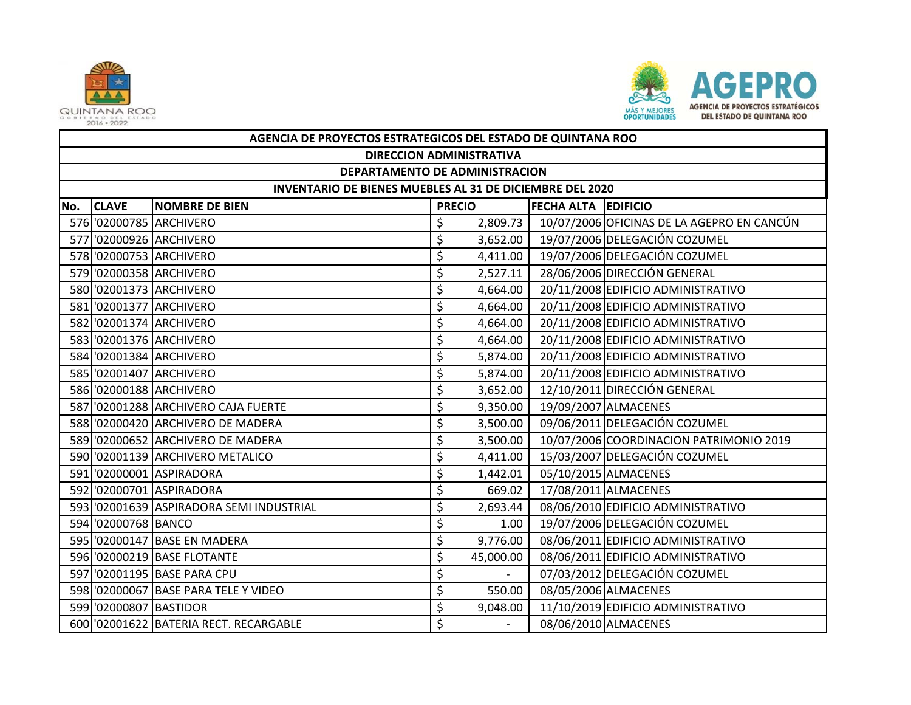



|     | AGENCIA DE PROYECTOS ESTRATEGICOS DEL ESTADO DE QUINTANA ROO |                                          |               |           |                            |                                            |  |  |  |  |
|-----|--------------------------------------------------------------|------------------------------------------|---------------|-----------|----------------------------|--------------------------------------------|--|--|--|--|
|     | <b>DIRECCION ADMINISTRATIVA</b>                              |                                          |               |           |                            |                                            |  |  |  |  |
|     | DEPARTAMENTO DE ADMINISTRACION                               |                                          |               |           |                            |                                            |  |  |  |  |
|     | INVENTARIO DE BIENES MUEBLES AL 31 DE DICIEMBRE DEL 2020     |                                          |               |           |                            |                                            |  |  |  |  |
| No. | <b>CLAVE</b>                                                 | <b>NOMBRE DE BIEN</b>                    | <b>PRECIO</b> |           | <b>FECHA ALTA EDIFICIO</b> |                                            |  |  |  |  |
|     |                                                              | 576 '02000785 ARCHIVERO                  | \$            | 2,809.73  |                            | 10/07/2006 OFICINAS DE LA AGEPRO EN CANCÚN |  |  |  |  |
|     |                                                              | 577 '02000926 ARCHIVERO                  | \$            | 3,652.00  |                            | 19/07/2006 DELEGACIÓN COZUMEL              |  |  |  |  |
|     |                                                              | 578 '02000753 ARCHIVERO                  | \$            | 4,411.00  |                            | 19/07/2006 DELEGACIÓN COZUMEL              |  |  |  |  |
|     |                                                              | 579 '02000358 ARCHIVERO                  | \$            | 2,527.11  |                            | 28/06/2006 DIRECCIÓN GENERAL               |  |  |  |  |
|     |                                                              | 580 '02001373 ARCHIVERO                  | \$            | 4,664.00  |                            | 20/11/2008 EDIFICIO ADMINISTRATIVO         |  |  |  |  |
|     |                                                              | 581 '02001377 ARCHIVERO                  | \$            | 4,664.00  |                            | 20/11/2008 EDIFICIO ADMINISTRATIVO         |  |  |  |  |
|     |                                                              | 582 '02001374 ARCHIVERO                  | \$            | 4,664.00  |                            | 20/11/2008 EDIFICIO ADMINISTRATIVO         |  |  |  |  |
|     |                                                              | 583 '02001376 ARCHIVERO                  | \$            | 4,664.00  |                            | 20/11/2008 EDIFICIO ADMINISTRATIVO         |  |  |  |  |
|     |                                                              | 584 '02001384 ARCHIVERO                  | \$            | 5,874.00  |                            | 20/11/2008 EDIFICIO ADMINISTRATIVO         |  |  |  |  |
|     |                                                              | 585 '02001407 ARCHIVERO                  | \$            | 5,874.00  |                            | 20/11/2008 EDIFICIO ADMINISTRATIVO         |  |  |  |  |
|     |                                                              | 586 '02000188 ARCHIVERO                  | \$            | 3,652.00  |                            | 12/10/2011 DIRECCIÓN GENERAL               |  |  |  |  |
|     |                                                              | 587 '02001288 ARCHIVERO CAJA FUERTE      | \$            | 9,350.00  |                            | 19/09/2007 ALMACENES                       |  |  |  |  |
|     |                                                              | 588 '02000420 ARCHIVERO DE MADERA        | \$            | 3,500.00  |                            | 09/06/2011 DELEGACIÓN COZUMEL              |  |  |  |  |
|     |                                                              | 589 '02000652 ARCHIVERO DE MADERA        | \$            | 3,500.00  |                            | 10/07/2006 COORDINACION PATRIMONIO 2019    |  |  |  |  |
|     |                                                              | 590 '02001139 ARCHIVERO METALICO         | \$            | 4,411.00  |                            | 15/03/2007 DELEGACIÓN COZUMEL              |  |  |  |  |
|     |                                                              | 591 '02000001 ASPIRADORA                 | \$            | 1,442.01  |                            | 05/10/2015 ALMACENES                       |  |  |  |  |
|     |                                                              | 592 '02000701 ASPIRADORA                 | \$            | 669.02    |                            | 17/08/2011 ALMACENES                       |  |  |  |  |
|     |                                                              | 593 '02001639 ASPIRADORA SEMI INDUSTRIAL | \$            | 2,693.44  |                            | 08/06/2010 EDIFICIO ADMINISTRATIVO         |  |  |  |  |
|     | 594 '02000768 BANCO                                          |                                          | \$            | 1.00      |                            | 19/07/2006 DELEGACIÓN COZUMEL              |  |  |  |  |
|     |                                                              | 595 '02000147 BASE EN MADERA             | \$            | 9,776.00  |                            | 08/06/2011 EDIFICIO ADMINISTRATIVO         |  |  |  |  |
|     |                                                              | 596 '02000219 BASE FLOTANTE              | \$            | 45,000.00 |                            | 08/06/2011 EDIFICIO ADMINISTRATIVO         |  |  |  |  |
|     |                                                              | 597 '02001195 BASE PARA CPU              | \$            | $\sim$    |                            | 07/03/2012 DELEGACIÓN COZUMEL              |  |  |  |  |
|     |                                                              | 598 '02000067 BASE PARA TELE Y VIDEO     | \$            | 550.00    |                            | 08/05/2006 ALMACENES                       |  |  |  |  |
|     | 599 '02000807 BASTIDOR                                       |                                          | \$            | 9,048.00  |                            | 11/10/2019 EDIFICIO ADMINISTRATIVO         |  |  |  |  |
|     |                                                              | 600 '02001622 BATERIA RECT. RECARGABLE   | \$            |           |                            | 08/06/2010 ALMACENES                       |  |  |  |  |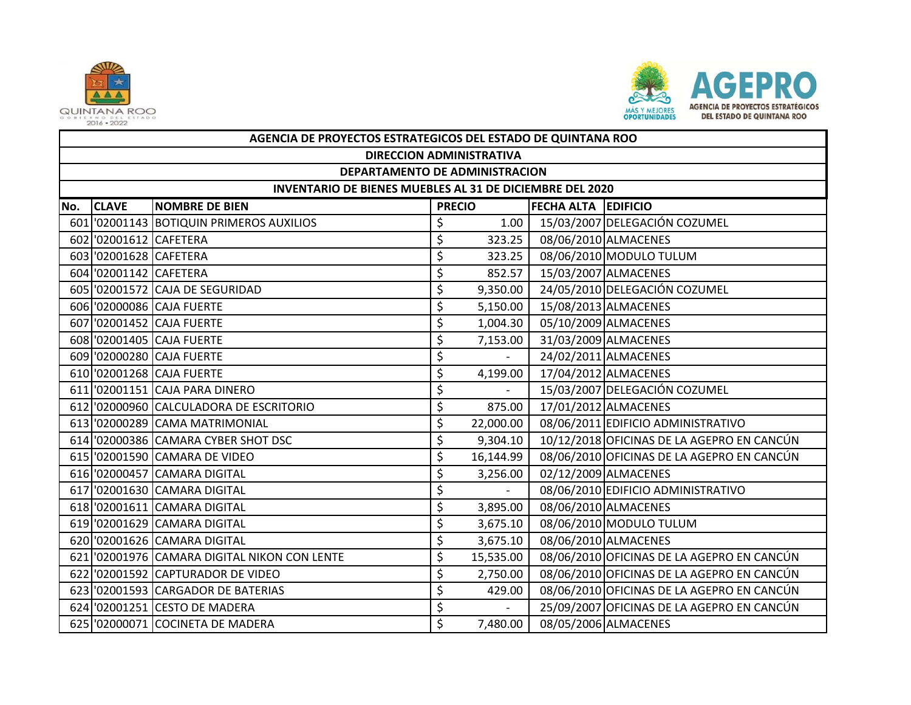



|     | AGENCIA DE PROYECTOS ESTRATEGICOS DEL ESTADO DE QUINTANA ROO |                                              |               |           |                            |                                            |  |  |  |  |
|-----|--------------------------------------------------------------|----------------------------------------------|---------------|-----------|----------------------------|--------------------------------------------|--|--|--|--|
|     | <b>DIRECCION ADMINISTRATIVA</b>                              |                                              |               |           |                            |                                            |  |  |  |  |
|     | DEPARTAMENTO DE ADMINISTRACION                               |                                              |               |           |                            |                                            |  |  |  |  |
|     | INVENTARIO DE BIENES MUEBLES AL 31 DE DICIEMBRE DEL 2020     |                                              |               |           |                            |                                            |  |  |  |  |
| No. | <b>CLAVE</b>                                                 | <b>NOMBRE DE BIEN</b>                        | <b>PRECIO</b> |           | <b>FECHA ALTA EDIFICIO</b> |                                            |  |  |  |  |
|     |                                                              | 601 02001143 BOTIQUIN PRIMEROS AUXILIOS      | \$            | 1.00      |                            | 15/03/2007 DELEGACIÓN COZUMEL              |  |  |  |  |
|     | 602 02001612 CAFETERA                                        |                                              | \$            | 323.25    |                            | 08/06/2010 ALMACENES                       |  |  |  |  |
|     | 603 02001628 CAFETERA                                        |                                              | \$            | 323.25    |                            | 08/06/2010 MODULO TULUM                    |  |  |  |  |
|     | 604 02001142 CAFETERA                                        |                                              | \$            | 852.57    |                            | 15/03/2007 ALMACENES                       |  |  |  |  |
|     |                                                              | 605 '02001572 CAJA DE SEGURIDAD              | \$            | 9,350.00  |                            | 24/05/2010 DELEGACIÓN COZUMEL              |  |  |  |  |
|     |                                                              | 606 '02000086 CAJA FUERTE                    | \$            | 5,150.00  |                            | 15/08/2013 ALMACENES                       |  |  |  |  |
|     |                                                              | 607 '02001452 CAJA FUERTE                    | \$            | 1,004.30  |                            | 05/10/2009 ALMACENES                       |  |  |  |  |
|     |                                                              | 608 '02001405 CAJA FUERTE                    | \$            | 7,153.00  |                            | 31/03/2009 ALMACENES                       |  |  |  |  |
|     |                                                              | 609 '02000280 CAJA FUERTE                    | \$            |           |                            | 24/02/2011 ALMACENES                       |  |  |  |  |
|     |                                                              | 610 '02001268 CAJA FUERTE                    | \$            | 4,199.00  |                            | 17/04/2012 ALMACENES                       |  |  |  |  |
|     |                                                              | 611 02001151 CAJA PARA DINERO                | \$            |           |                            | 15/03/2007 DELEGACIÓN COZUMEL              |  |  |  |  |
|     |                                                              | 612 '02000960 CALCULADORA DE ESCRITORIO      | \$            | 875.00    |                            | 17/01/2012 ALMACENES                       |  |  |  |  |
|     |                                                              | 613 '02000289 CAMA MATRIMONIAL               | \$            | 22,000.00 |                            | 08/06/2011 EDIFICIO ADMINISTRATIVO         |  |  |  |  |
|     |                                                              | 614 '02000386 CAMARA CYBER SHOT DSC          | \$            | 9,304.10  |                            | 10/12/2018 OFICINAS DE LA AGEPRO EN CANCÚN |  |  |  |  |
|     |                                                              | 615 '02001590 CAMARA DE VIDEO                | \$            | 16,144.99 |                            | 08/06/2010 OFICINAS DE LA AGEPRO EN CANCÚN |  |  |  |  |
|     |                                                              | 616 '02000457 CAMARA DIGITAL                 | \$            | 3,256.00  |                            | 02/12/2009 ALMACENES                       |  |  |  |  |
|     |                                                              | 617 '02001630 CAMARA DIGITAL                 | \$            |           |                            | 08/06/2010 EDIFICIO ADMINISTRATIVO         |  |  |  |  |
|     |                                                              | 618 '02001611 CAMARA DIGITAL                 | \$            | 3,895.00  |                            | 08/06/2010 ALMACENES                       |  |  |  |  |
|     |                                                              | 619 '02001629 CAMARA DIGITAL                 | \$            | 3,675.10  |                            | 08/06/2010 MODULO TULUM                    |  |  |  |  |
|     |                                                              | 620 '02001626 CAMARA DIGITAL                 | \$            | 3,675.10  |                            | 08/06/2010 ALMACENES                       |  |  |  |  |
|     |                                                              | 621 '02001976 CAMARA DIGITAL NIKON CON LENTE | \$            | 15,535.00 |                            | 08/06/2010 OFICINAS DE LA AGEPRO EN CANCÚN |  |  |  |  |
|     |                                                              | 622 '02001592 CAPTURADOR DE VIDEO            | \$            | 2,750.00  |                            | 08/06/2010 OFICINAS DE LA AGEPRO EN CANCÚN |  |  |  |  |
|     |                                                              | 623 '02001593 CARGADOR DE BATERIAS           | \$            | 429.00    |                            | 08/06/2010 OFICINAS DE LA AGEPRO EN CANCÚN |  |  |  |  |
|     |                                                              | 624 '02001251 CESTO DE MADERA                | \$            |           |                            | 25/09/2007 OFICINAS DE LA AGEPRO EN CANCÚN |  |  |  |  |
|     |                                                              | 625 '02000071 COCINETA DE MADERA             | \$            | 7,480.00  |                            | 08/05/2006 ALMACENES                       |  |  |  |  |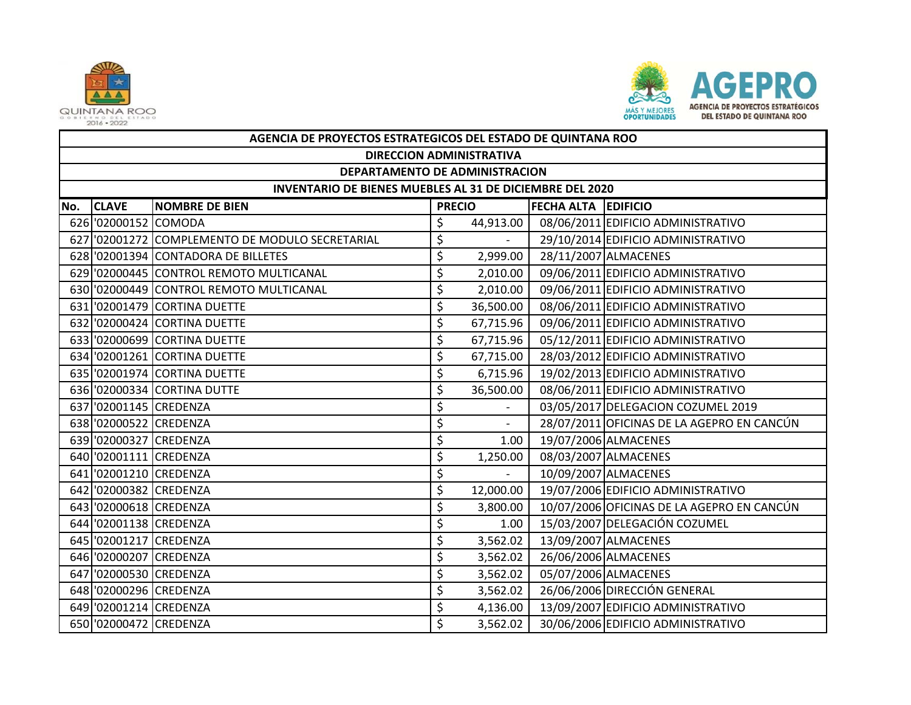



|     | AGENCIA DE PROYECTOS ESTRATEGICOS DEL ESTADO DE QUINTANA ROO    |                                                |               |           |                            |                                            |  |  |  |  |
|-----|-----------------------------------------------------------------|------------------------------------------------|---------------|-----------|----------------------------|--------------------------------------------|--|--|--|--|
|     | <b>DIRECCION ADMINISTRATIVA</b>                                 |                                                |               |           |                            |                                            |  |  |  |  |
|     | DEPARTAMENTO DE ADMINISTRACION                                  |                                                |               |           |                            |                                            |  |  |  |  |
|     | <b>INVENTARIO DE BIENES MUEBLES AL 31 DE DICIEMBRE DEL 2020</b> |                                                |               |           |                            |                                            |  |  |  |  |
| No. | <b>CLAVE</b>                                                    | <b>NOMBRE DE BIEN</b>                          | <b>PRECIO</b> |           | <b>FECHA ALTA EDIFICIO</b> |                                            |  |  |  |  |
|     | 626 '02000152 COMODA                                            |                                                | \$            | 44,913.00 |                            | 08/06/2011 EDIFICIO ADMINISTRATIVO         |  |  |  |  |
|     |                                                                 | 627 02001272 COMPLEMENTO DE MODULO SECRETARIAL | \$            | $\sim$    |                            | 29/10/2014 EDIFICIO ADMINISTRATIVO         |  |  |  |  |
|     |                                                                 | 628 '02001394 CONTADORA DE BILLETES            | \$            | 2,999.00  |                            | 28/11/2007 ALMACENES                       |  |  |  |  |
|     |                                                                 | 629 '02000445 CONTROL REMOTO MULTICANAL        | \$            | 2,010.00  |                            | 09/06/2011 EDIFICIO ADMINISTRATIVO         |  |  |  |  |
|     |                                                                 | 630 '02000449 CONTROL REMOTO MULTICANAL        | \$            | 2,010.00  |                            | 09/06/2011 EDIFICIO ADMINISTRATIVO         |  |  |  |  |
|     |                                                                 | 631 '02001479 CORTINA DUETTE                   | \$            | 36,500.00 |                            | 08/06/2011 EDIFICIO ADMINISTRATIVO         |  |  |  |  |
|     |                                                                 | 632 '02000424 CORTINA DUETTE                   | \$            | 67,715.96 |                            | 09/06/2011 EDIFICIO ADMINISTRATIVO         |  |  |  |  |
|     |                                                                 | 633 '02000699 CORTINA DUETTE                   | \$            | 67,715.96 |                            | 05/12/2011 EDIFICIO ADMINISTRATIVO         |  |  |  |  |
|     |                                                                 | 634 '02001261 CORTINA DUETTE                   | \$            | 67,715.00 |                            | 28/03/2012 EDIFICIO ADMINISTRATIVO         |  |  |  |  |
|     |                                                                 | 635 '02001974 CORTINA DUETTE                   | \$            | 6,715.96  |                            | 19/02/2013 EDIFICIO ADMINISTRATIVO         |  |  |  |  |
|     |                                                                 | 636 '02000334 CORTINA DUTTE                    | \$            | 36,500.00 |                            | 08/06/2011 EDIFICIO ADMINISTRATIVO         |  |  |  |  |
|     | 637 '02001145 CREDENZA                                          |                                                | \$            | $\sim$    |                            | 03/05/2017 DELEGACION COZUMEL 2019         |  |  |  |  |
|     | 638 '02000522 CREDENZA                                          |                                                | \$            |           |                            | 28/07/2011 OFICINAS DE LA AGEPRO EN CANCÚN |  |  |  |  |
|     | 639 '02000327 CREDENZA                                          |                                                | \$            | 1.00      |                            | 19/07/2006 ALMACENES                       |  |  |  |  |
|     | 640 '02001111 CREDENZA                                          |                                                | \$            | 1,250.00  |                            | 08/03/2007 ALMACENES                       |  |  |  |  |
|     | 641 02001210 CREDENZA                                           |                                                | \$            |           |                            | 10/09/2007 ALMACENES                       |  |  |  |  |
|     | 642 '02000382 CREDENZA                                          |                                                | \$            | 12,000.00 |                            | 19/07/2006 EDIFICIO ADMINISTRATIVO         |  |  |  |  |
|     | 643 02000618 CREDENZA                                           |                                                | \$            | 3,800.00  |                            | 10/07/2006 OFICINAS DE LA AGEPRO EN CANCÚN |  |  |  |  |
|     | 644 '02001138 CREDENZA                                          |                                                | \$            | 1.00      |                            | 15/03/2007 DELEGACIÓN COZUMEL              |  |  |  |  |
|     | 645 '02001217 CREDENZA                                          |                                                | \$            | 3,562.02  |                            | 13/09/2007 ALMACENES                       |  |  |  |  |
|     | 646 '02000207 CREDENZA                                          |                                                | \$            | 3,562.02  |                            | 26/06/2006 ALMACENES                       |  |  |  |  |
|     | 647 '02000530 CREDENZA                                          |                                                | \$            | 3,562.02  |                            | 05/07/2006 ALMACENES                       |  |  |  |  |
|     | 648 02000296 CREDENZA                                           |                                                | \$            | 3,562.02  |                            | 26/06/2006 DIRECCIÓN GENERAL               |  |  |  |  |
|     | 649 '02001214 CREDENZA                                          |                                                | \$            | 4,136.00  |                            | 13/09/2007 EDIFICIO ADMINISTRATIVO         |  |  |  |  |
|     | 650 '02000472 CREDENZA                                          |                                                | \$            | 3,562.02  |                            | 30/06/2006 EDIFICIO ADMINISTRATIVO         |  |  |  |  |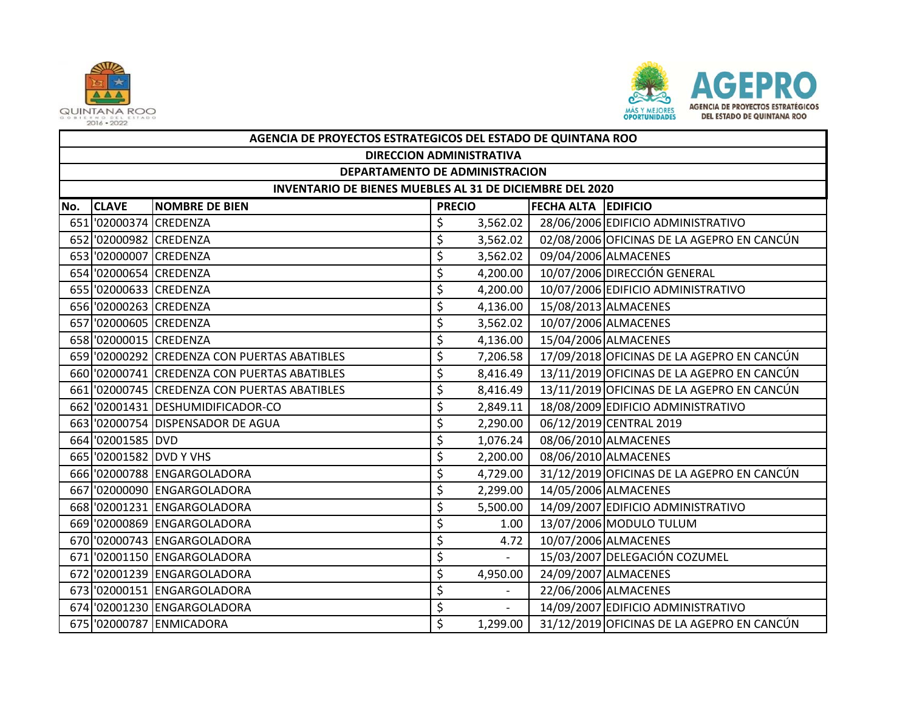



|     | AGENCIA DE PROYECTOS ESTRATEGICOS DEL ESTADO DE QUINTANA ROO |                                              |               |                          |                            |                                            |  |  |  |  |
|-----|--------------------------------------------------------------|----------------------------------------------|---------------|--------------------------|----------------------------|--------------------------------------------|--|--|--|--|
|     | <b>DIRECCION ADMINISTRATIVA</b>                              |                                              |               |                          |                            |                                            |  |  |  |  |
|     | DEPARTAMENTO DE ADMINISTRACION                               |                                              |               |                          |                            |                                            |  |  |  |  |
|     | INVENTARIO DE BIENES MUEBLES AL 31 DE DICIEMBRE DEL 2020     |                                              |               |                          |                            |                                            |  |  |  |  |
| No. | <b>CLAVE</b>                                                 | <b>NOMBRE DE BIEN</b>                        | <b>PRECIO</b> |                          | <b>FECHA ALTA EDIFICIO</b> |                                            |  |  |  |  |
|     | 651 '02000374 CREDENZA                                       |                                              | \$            | 3,562.02                 |                            | 28/06/2006 EDIFICIO ADMINISTRATIVO         |  |  |  |  |
|     | 652 '02000982 CREDENZA                                       |                                              | \$            | 3,562.02                 |                            | 02/08/2006 OFICINAS DE LA AGEPRO EN CANCÚN |  |  |  |  |
|     | 653 '02000007 CREDENZA                                       |                                              | \$            | 3,562.02                 |                            | 09/04/2006 ALMACENES                       |  |  |  |  |
|     | 654 '02000654 CREDENZA                                       |                                              | \$            | 4,200.00                 |                            | 10/07/2006 DIRECCIÓN GENERAL               |  |  |  |  |
|     | 655 '02000633 CREDENZA                                       |                                              | \$            | 4,200.00                 |                            | 10/07/2006 EDIFICIO ADMINISTRATIVO         |  |  |  |  |
|     | 656 '02000263 CREDENZA                                       |                                              | \$            | 4,136.00                 |                            | 15/08/2013 ALMACENES                       |  |  |  |  |
|     | 657 '02000605 CREDENZA                                       |                                              | \$            | 3,562.02                 |                            | 10/07/2006 ALMACENES                       |  |  |  |  |
|     | 658 '02000015 CREDENZA                                       |                                              | \$            | 4,136.00                 |                            | 15/04/2006 ALMACENES                       |  |  |  |  |
|     |                                                              | 659 '02000292 CREDENZA CON PUERTAS ABATIBLES | \$            | 7,206.58                 |                            | 17/09/2018 OFICINAS DE LA AGEPRO EN CANCÚN |  |  |  |  |
|     |                                                              | 660 '02000741 CREDENZA CON PUERTAS ABATIBLES | \$            | 8,416.49                 |                            | 13/11/2019 OFICINAS DE LA AGEPRO EN CANCÚN |  |  |  |  |
|     |                                                              | 661 '02000745 CREDENZA CON PUERTAS ABATIBLES | \$            | 8,416.49                 |                            | 13/11/2019 OFICINAS DE LA AGEPRO EN CANCÚN |  |  |  |  |
|     |                                                              | 662 '02001431 DESHUMIDIFICADOR-CO            | \$            | 2,849.11                 |                            | 18/08/2009 EDIFICIO ADMINISTRATIVO         |  |  |  |  |
|     |                                                              | 663 '02000754 DISPENSADOR DE AGUA            | \$            | 2,290.00                 |                            | 06/12/2019 CENTRAL 2019                    |  |  |  |  |
|     | 664 '02001585 DVD                                            |                                              | \$            | 1,076.24                 |                            | 08/06/2010 ALMACENES                       |  |  |  |  |
|     | 665 '02001582 DVD Y VHS                                      |                                              | \$            | 2,200.00                 |                            | 08/06/2010 ALMACENES                       |  |  |  |  |
|     |                                                              | 666 '02000788 ENGARGOLADORA                  | \$            | 4,729.00                 |                            | 31/12/2019 OFICINAS DE LA AGEPRO EN CANCÚN |  |  |  |  |
|     |                                                              | 667 '02000090 ENGARGOLADORA                  | \$            | 2,299.00                 |                            | 14/05/2006 ALMACENES                       |  |  |  |  |
|     |                                                              | 668 '02001231 ENGARGOLADORA                  | \$            | 5,500.00                 |                            | 14/09/2007 EDIFICIO ADMINISTRATIVO         |  |  |  |  |
|     |                                                              | 669 '02000869 ENGARGOLADORA                  | \$            | 1.00                     |                            | 13/07/2006 MODULO TULUM                    |  |  |  |  |
|     |                                                              | 670 '02000743 ENGARGOLADORA                  | \$            | 4.72                     |                            | 10/07/2006 ALMACENES                       |  |  |  |  |
|     |                                                              | 671 '02001150 ENGARGOLADORA                  | \$            |                          |                            | 15/03/2007 DELEGACIÓN COZUMEL              |  |  |  |  |
|     |                                                              | 672 '02001239 ENGARGOLADORA                  | \$            | 4,950.00                 |                            | 24/09/2007 ALMACENES                       |  |  |  |  |
|     |                                                              | 673 '02000151 ENGARGOLADORA                  | \$            |                          |                            | 22/06/2006 ALMACENES                       |  |  |  |  |
|     |                                                              | 674 '02001230 ENGARGOLADORA                  | \$            | $\overline{\phantom{a}}$ |                            | 14/09/2007 EDIFICIO ADMINISTRATIVO         |  |  |  |  |
|     |                                                              | 675 '02000787 ENMICADORA                     | \$            | 1,299.00                 |                            | 31/12/2019 OFICINAS DE LA AGEPRO EN CANCÚN |  |  |  |  |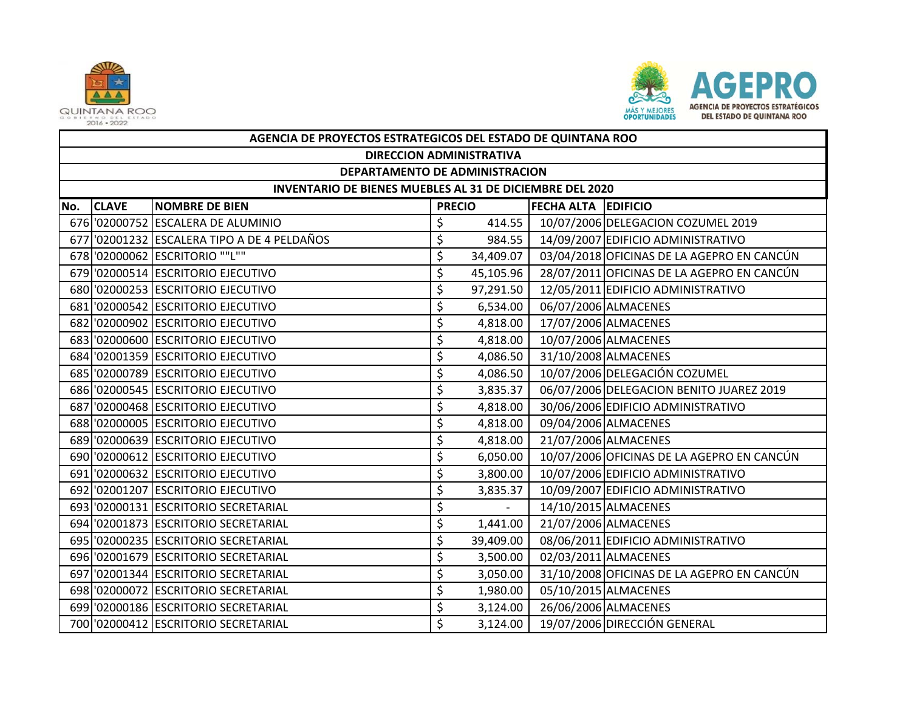



|     | AGENCIA DE PROYECTOS ESTRATEGICOS DEL ESTADO DE QUINTANA ROO    |                                            |               |           |                            |                                            |  |  |  |  |
|-----|-----------------------------------------------------------------|--------------------------------------------|---------------|-----------|----------------------------|--------------------------------------------|--|--|--|--|
|     | <b>DIRECCION ADMINISTRATIVA</b>                                 |                                            |               |           |                            |                                            |  |  |  |  |
|     | DEPARTAMENTO DE ADMINISTRACION                                  |                                            |               |           |                            |                                            |  |  |  |  |
|     | <b>INVENTARIO DE BIENES MUEBLES AL 31 DE DICIEMBRE DEL 2020</b> |                                            |               |           |                            |                                            |  |  |  |  |
| No. | <b>CLAVE</b>                                                    | <b>NOMBRE DE BIEN</b>                      | <b>PRECIO</b> |           | <b>FECHA ALTA EDIFICIO</b> |                                            |  |  |  |  |
|     |                                                                 | 676 '02000752 ESCALERA DE ALUMINIO         | \$            | 414.55    |                            | 10/07/2006 DELEGACION COZUMEL 2019         |  |  |  |  |
|     |                                                                 | 677 02001232 ESCALERA TIPO A DE 4 PELDAÑOS | \$            | 984.55    |                            | 14/09/2007 EDIFICIO ADMINISTRATIVO         |  |  |  |  |
|     |                                                                 | 678 '02000062 ESCRITORIO ""L""             | \$            | 34,409.07 |                            | 03/04/2018 OFICINAS DE LA AGEPRO EN CANCÚN |  |  |  |  |
|     |                                                                 | 679 '02000514 ESCRITORIO EJECUTIVO         | \$            | 45,105.96 |                            | 28/07/2011 OFICINAS DE LA AGEPRO EN CANCÚN |  |  |  |  |
|     |                                                                 | 680 '02000253 ESCRITORIO EJECUTIVO         | \$            | 97,291.50 |                            | 12/05/2011 EDIFICIO ADMINISTRATIVO         |  |  |  |  |
|     |                                                                 | 681 '02000542 ESCRITORIO EJECUTIVO         | \$            | 6,534.00  |                            | 06/07/2006 ALMACENES                       |  |  |  |  |
|     |                                                                 | 682 '02000902 ESCRITORIO EJECUTIVO         | \$            | 4,818.00  |                            | 17/07/2006 ALMACENES                       |  |  |  |  |
|     |                                                                 | 683 '02000600 ESCRITORIO EJECUTIVO         | \$            | 4,818.00  |                            | 10/07/2006 ALMACENES                       |  |  |  |  |
|     |                                                                 | 684 '02001359 ESCRITORIO EJECUTIVO         | \$            | 4,086.50  |                            | 31/10/2008 ALMACENES                       |  |  |  |  |
|     |                                                                 | 685 '02000789 ESCRITORIO EJECUTIVO         | \$            | 4,086.50  |                            | 10/07/2006 DELEGACIÓN COZUMEL              |  |  |  |  |
|     |                                                                 | 686 '02000545 ESCRITORIO EJECUTIVO         | \$            | 3,835.37  |                            | 06/07/2006 DELEGACION BENITO JUAREZ 2019   |  |  |  |  |
|     |                                                                 | 687 '02000468 ESCRITORIO EJECUTIVO         | \$            | 4,818.00  |                            | 30/06/2006 EDIFICIO ADMINISTRATIVO         |  |  |  |  |
|     |                                                                 | 688 '02000005 ESCRITORIO EJECUTIVO         | \$            | 4,818.00  |                            | 09/04/2006 ALMACENES                       |  |  |  |  |
|     |                                                                 | 689 '02000639 ESCRITORIO EJECUTIVO         | \$            | 4,818.00  |                            | 21/07/2006 ALMACENES                       |  |  |  |  |
|     |                                                                 | 690 '02000612 ESCRITORIO EJECUTIVO         | \$            | 6,050.00  |                            | 10/07/2006 OFICINAS DE LA AGEPRO EN CANCÚN |  |  |  |  |
|     |                                                                 | 691 '02000632 ESCRITORIO EJECUTIVO         | \$            | 3,800.00  |                            | 10/07/2006 EDIFICIO ADMINISTRATIVO         |  |  |  |  |
|     |                                                                 | 692 '02001207 ESCRITORIO EJECUTIVO         | \$            | 3,835.37  |                            | 10/09/2007 EDIFICIO ADMINISTRATIVO         |  |  |  |  |
|     |                                                                 | 693 '02000131 ESCRITORIO SECRETARIAL       | \$            | $\sim$    |                            | 14/10/2015 ALMACENES                       |  |  |  |  |
|     |                                                                 | 694 '02001873 ESCRITORIO SECRETARIAL       | \$            | 1,441.00  |                            | 21/07/2006 ALMACENES                       |  |  |  |  |
|     |                                                                 | 695 '02000235 ESCRITORIO SECRETARIAL       | \$            | 39,409.00 |                            | 08/06/2011 EDIFICIO ADMINISTRATIVO         |  |  |  |  |
|     |                                                                 | 696 '02001679 ESCRITORIO SECRETARIAL       | \$            | 3,500.00  |                            | 02/03/2011 ALMACENES                       |  |  |  |  |
|     |                                                                 | 697 '02001344 ESCRITORIO SECRETARIAL       | \$            | 3,050.00  |                            | 31/10/2008 OFICINAS DE LA AGEPRO EN CANCÚN |  |  |  |  |
|     |                                                                 | 698 '02000072 ESCRITORIO SECRETARIAL       | \$            | 1,980.00  |                            | 05/10/2015 ALMACENES                       |  |  |  |  |
|     |                                                                 | 699 '02000186 ESCRITORIO SECRETARIAL       | \$            | 3,124.00  |                            | 26/06/2006 ALMACENES                       |  |  |  |  |
|     |                                                                 | 700 '02000412 ESCRITORIO SECRETARIAL       | \$            | 3,124.00  |                            | 19/07/2006 DIRECCIÓN GENERAL               |  |  |  |  |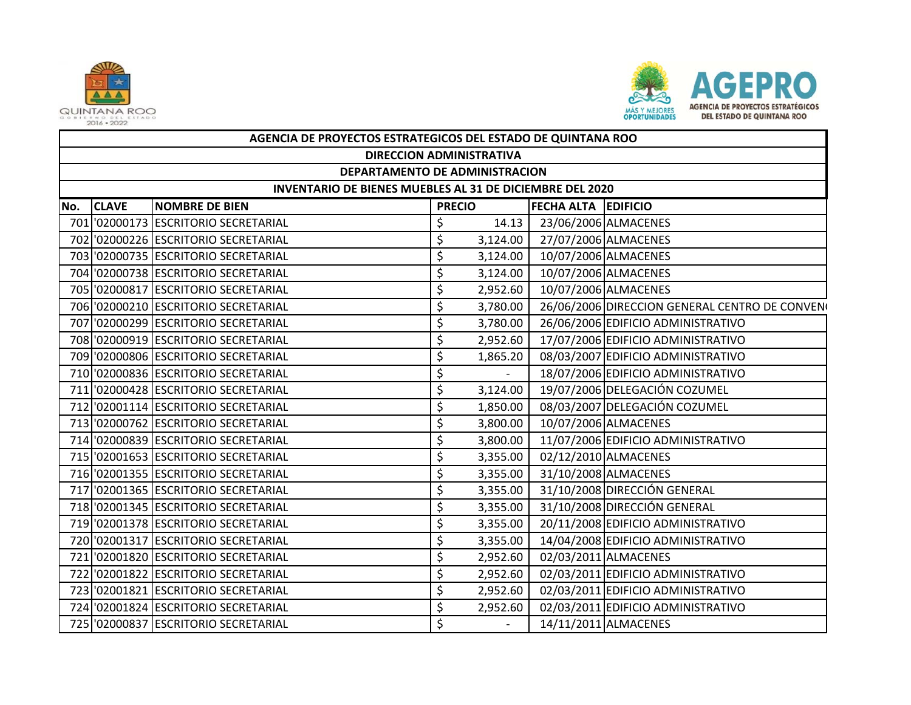



|     | AGENCIA DE PROYECTOS ESTRATEGICOS DEL ESTADO DE QUINTANA ROO    |                                      |               |                          |                            |                                                |  |  |  |  |
|-----|-----------------------------------------------------------------|--------------------------------------|---------------|--------------------------|----------------------------|------------------------------------------------|--|--|--|--|
|     | <b>DIRECCION ADMINISTRATIVA</b>                                 |                                      |               |                          |                            |                                                |  |  |  |  |
|     | DEPARTAMENTO DE ADMINISTRACION                                  |                                      |               |                          |                            |                                                |  |  |  |  |
|     | <b>INVENTARIO DE BIENES MUEBLES AL 31 DE DICIEMBRE DEL 2020</b> |                                      |               |                          |                            |                                                |  |  |  |  |
| No. | <b>CLAVE</b>                                                    | <b>NOMBRE DE BIEN</b>                | <b>PRECIO</b> |                          | <b>FECHA ALTA EDIFICIO</b> |                                                |  |  |  |  |
|     |                                                                 | 701 '02000173 ESCRITORIO SECRETARIAL | \$            | 14.13                    |                            | 23/06/2006 ALMACENES                           |  |  |  |  |
|     |                                                                 | 702 '02000226 ESCRITORIO SECRETARIAL | \$            | 3,124.00                 |                            | 27/07/2006 ALMACENES                           |  |  |  |  |
|     |                                                                 | 703 '02000735 ESCRITORIO SECRETARIAL | \$            | 3,124.00                 |                            | 10/07/2006 ALMACENES                           |  |  |  |  |
|     |                                                                 | 704 '02000738 ESCRITORIO SECRETARIAL | \$            | 3,124.00                 |                            | 10/07/2006 ALMACENES                           |  |  |  |  |
|     |                                                                 | 705 '02000817 ESCRITORIO SECRETARIAL | \$            | 2,952.60                 |                            | 10/07/2006 ALMACENES                           |  |  |  |  |
|     |                                                                 | 706 '02000210 ESCRITORIO SECRETARIAL | \$            | 3,780.00                 |                            | 26/06/2006 DIRECCION GENERAL CENTRO DE CONVENO |  |  |  |  |
|     |                                                                 | 707 '02000299 ESCRITORIO SECRETARIAL | \$            | 3,780.00                 |                            | 26/06/2006 EDIFICIO ADMINISTRATIVO             |  |  |  |  |
|     |                                                                 | 708 '02000919 ESCRITORIO SECRETARIAL | \$            | 2,952.60                 |                            | 17/07/2006 EDIFICIO ADMINISTRATIVO             |  |  |  |  |
|     |                                                                 | 709 '02000806 ESCRITORIO SECRETARIAL | \$            | 1,865.20                 |                            | 08/03/2007 EDIFICIO ADMINISTRATIVO             |  |  |  |  |
|     |                                                                 | 710 '02000836 ESCRITORIO SECRETARIAL | \$            | $\sim$                   |                            | 18/07/2006 EDIFICIO ADMINISTRATIVO             |  |  |  |  |
|     |                                                                 | 711 '02000428 ESCRITORIO SECRETARIAL | \$            | 3,124.00                 |                            | 19/07/2006 DELEGACIÓN COZUMEL                  |  |  |  |  |
|     |                                                                 | 712 '02001114 ESCRITORIO SECRETARIAL | \$            | 1,850.00                 |                            | 08/03/2007 DELEGACIÓN COZUMEL                  |  |  |  |  |
|     |                                                                 | 713 '02000762 ESCRITORIO SECRETARIAL | \$            | 3,800.00                 |                            | 10/07/2006 ALMACENES                           |  |  |  |  |
|     |                                                                 | 714 '02000839 ESCRITORIO SECRETARIAL | \$            | 3,800.00                 |                            | 11/07/2006 EDIFICIO ADMINISTRATIVO             |  |  |  |  |
|     |                                                                 | 715 '02001653 ESCRITORIO SECRETARIAL | \$            | 3,355.00                 |                            | 02/12/2010 ALMACENES                           |  |  |  |  |
|     |                                                                 | 716 '02001355 ESCRITORIO SECRETARIAL | \$            | 3,355.00                 |                            | 31/10/2008 ALMACENES                           |  |  |  |  |
|     |                                                                 | 717 '02001365 ESCRITORIO SECRETARIAL | \$            | 3,355.00                 |                            | 31/10/2008 DIRECCIÓN GENERAL                   |  |  |  |  |
|     |                                                                 | 718 '02001345 ESCRITORIO SECRETARIAL | \$            | 3,355.00                 |                            | 31/10/2008 DIRECCIÓN GENERAL                   |  |  |  |  |
|     |                                                                 | 719 '02001378 ESCRITORIO SECRETARIAL | \$            | 3,355.00                 |                            | 20/11/2008 EDIFICIO ADMINISTRATIVO             |  |  |  |  |
|     |                                                                 | 720 '02001317 ESCRITORIO SECRETARIAL | \$            | 3,355.00                 |                            | 14/04/2008 EDIFICIO ADMINISTRATIVO             |  |  |  |  |
|     |                                                                 | 721 '02001820 ESCRITORIO SECRETARIAL | \$            | 2,952.60                 |                            | 02/03/2011 ALMACENES                           |  |  |  |  |
|     |                                                                 | 722 '02001822 ESCRITORIO SECRETARIAL | \$            | 2,952.60                 |                            | 02/03/2011 EDIFICIO ADMINISTRATIVO             |  |  |  |  |
|     |                                                                 | 723 '02001821 ESCRITORIO SECRETARIAL | \$            | 2,952.60                 |                            | 02/03/2011 EDIFICIO ADMINISTRATIVO             |  |  |  |  |
|     |                                                                 | 724 '02001824 ESCRITORIO SECRETARIAL | \$            | 2,952.60                 |                            | 02/03/2011 EDIFICIO ADMINISTRATIVO             |  |  |  |  |
|     |                                                                 | 725 '02000837 ESCRITORIO SECRETARIAL | \$            | $\overline{\phantom{0}}$ |                            | 14/11/2011 ALMACENES                           |  |  |  |  |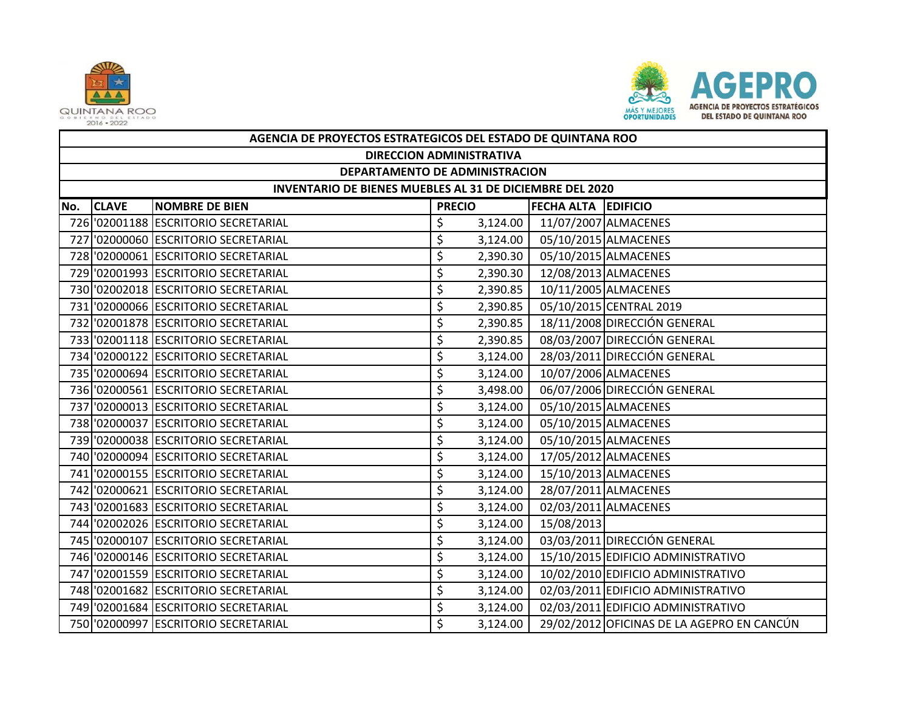



|     | AGENCIA DE PROYECTOS ESTRATEGICOS DEL ESTADO DE QUINTANA ROO |                                      |               |          |                            |                                            |  |  |  |
|-----|--------------------------------------------------------------|--------------------------------------|---------------|----------|----------------------------|--------------------------------------------|--|--|--|
|     | <b>DIRECCION ADMINISTRATIVA</b>                              |                                      |               |          |                            |                                            |  |  |  |
|     | DEPARTAMENTO DE ADMINISTRACION                               |                                      |               |          |                            |                                            |  |  |  |
|     | INVENTARIO DE BIENES MUEBLES AL 31 DE DICIEMBRE DEL 2020     |                                      |               |          |                            |                                            |  |  |  |
| No. | <b>CLAVE</b>                                                 | <b>NOMBRE DE BIEN</b>                | <b>PRECIO</b> |          | <b>FECHA ALTA EDIFICIO</b> |                                            |  |  |  |
|     |                                                              | 726 '02001188 ESCRITORIO SECRETARIAL | \$            | 3,124.00 |                            | 11/07/2007 ALMACENES                       |  |  |  |
|     |                                                              | 727 '02000060 ESCRITORIO SECRETARIAL | \$            | 3,124.00 |                            | 05/10/2015 ALMACENES                       |  |  |  |
|     |                                                              | 728 '02000061 ESCRITORIO SECRETARIAL | \$            | 2,390.30 |                            | 05/10/2015 ALMACENES                       |  |  |  |
|     |                                                              | 729 '02001993 ESCRITORIO SECRETARIAL | \$            | 2,390.30 |                            | 12/08/2013 ALMACENES                       |  |  |  |
|     |                                                              | 730 '02002018 ESCRITORIO SECRETARIAL | \$            | 2,390.85 |                            | 10/11/2005 ALMACENES                       |  |  |  |
|     |                                                              | 731 '02000066 ESCRITORIO SECRETARIAL | \$            | 2,390.85 |                            | 05/10/2015 CENTRAL 2019                    |  |  |  |
|     |                                                              | 732 '02001878 ESCRITORIO SECRETARIAL | \$            | 2,390.85 |                            | 18/11/2008 DIRECCIÓN GENERAL               |  |  |  |
|     |                                                              | 733 '02001118 ESCRITORIO SECRETARIAL | \$            | 2,390.85 |                            | 08/03/2007 DIRECCIÓN GENERAL               |  |  |  |
|     |                                                              | 734 '02000122 ESCRITORIO SECRETARIAL | \$            | 3,124.00 |                            | 28/03/2011 DIRECCIÓN GENERAL               |  |  |  |
|     |                                                              | 735 '02000694 ESCRITORIO SECRETARIAL | \$            | 3,124.00 |                            | 10/07/2006 ALMACENES                       |  |  |  |
|     |                                                              | 736 '02000561 ESCRITORIO SECRETARIAL | \$            | 3,498.00 |                            | 06/07/2006 DIRECCIÓN GENERAL               |  |  |  |
|     |                                                              | 737 '02000013 ESCRITORIO SECRETARIAL | \$            | 3,124.00 |                            | 05/10/2015 ALMACENES                       |  |  |  |
|     |                                                              | 738 '02000037 ESCRITORIO SECRETARIAL | \$            | 3,124.00 |                            | 05/10/2015 ALMACENES                       |  |  |  |
|     |                                                              | 739 '02000038 ESCRITORIO SECRETARIAL | \$            | 3,124.00 |                            | 05/10/2015 ALMACENES                       |  |  |  |
|     |                                                              | 740 '02000094 ESCRITORIO SECRETARIAL | \$            | 3,124.00 |                            | 17/05/2012 ALMACENES                       |  |  |  |
|     |                                                              | 741 '02000155 ESCRITORIO SECRETARIAL | \$            | 3,124.00 |                            | 15/10/2013 ALMACENES                       |  |  |  |
|     |                                                              | 742 '02000621 ESCRITORIO SECRETARIAL | \$            | 3,124.00 |                            | 28/07/2011 ALMACENES                       |  |  |  |
|     |                                                              | 743 '02001683 ESCRITORIO SECRETARIAL | \$            | 3,124.00 |                            | 02/03/2011 ALMACENES                       |  |  |  |
|     |                                                              | 744 '02002026 ESCRITORIO SECRETARIAL | \$            | 3,124.00 | 15/08/2013                 |                                            |  |  |  |
|     |                                                              | 745 '02000107 ESCRITORIO SECRETARIAL | \$            | 3,124.00 |                            | 03/03/2011 DIRECCIÓN GENERAL               |  |  |  |
|     |                                                              | 746 '02000146 ESCRITORIO SECRETARIAL | \$            | 3,124.00 |                            | 15/10/2015 EDIFICIO ADMINISTRATIVO         |  |  |  |
|     |                                                              | 747 '02001559 ESCRITORIO SECRETARIAL | \$            | 3,124.00 |                            | 10/02/2010 EDIFICIO ADMINISTRATIVO         |  |  |  |
|     |                                                              | 748 '02001682 ESCRITORIO SECRETARIAL | \$            | 3,124.00 |                            | 02/03/2011 EDIFICIO ADMINISTRATIVO         |  |  |  |
|     |                                                              | 749 '02001684 ESCRITORIO SECRETARIAL | \$            | 3,124.00 |                            | 02/03/2011 EDIFICIO ADMINISTRATIVO         |  |  |  |
|     |                                                              | 750 '02000997 ESCRITORIO SECRETARIAL | Ś             | 3,124.00 |                            | 29/02/2012 OFICINAS DE LA AGEPRO EN CANCÚN |  |  |  |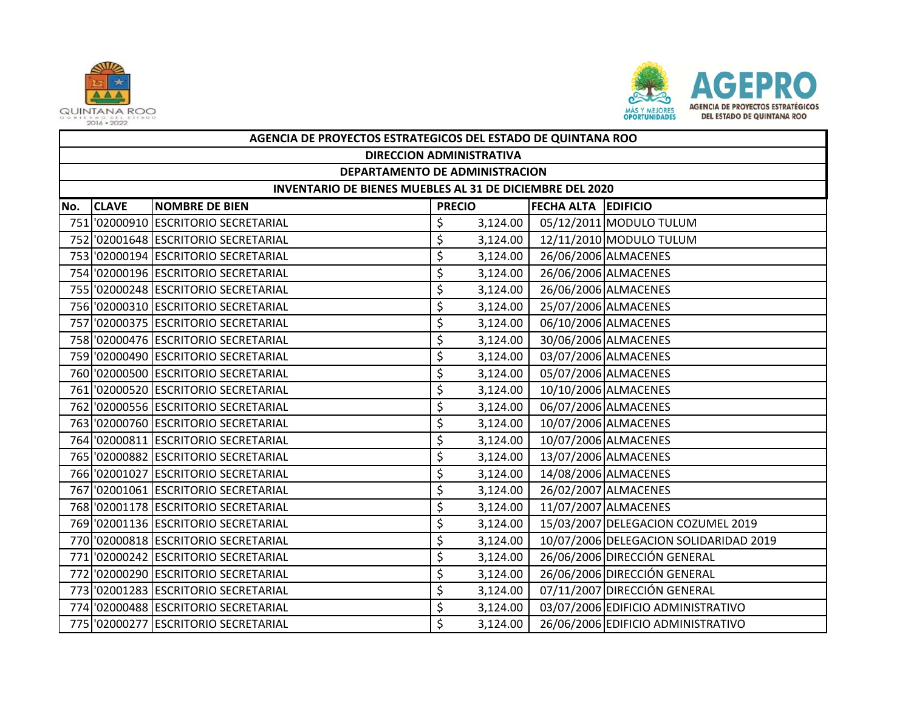



|     | AGENCIA DE PROYECTOS ESTRATEGICOS DEL ESTADO DE QUINTANA ROO |                                      |               |          |                            |                                        |  |  |  |
|-----|--------------------------------------------------------------|--------------------------------------|---------------|----------|----------------------------|----------------------------------------|--|--|--|
|     | <b>DIRECCION ADMINISTRATIVA</b>                              |                                      |               |          |                            |                                        |  |  |  |
|     | DEPARTAMENTO DE ADMINISTRACION                               |                                      |               |          |                            |                                        |  |  |  |
|     | INVENTARIO DE BIENES MUEBLES AL 31 DE DICIEMBRE DEL 2020     |                                      |               |          |                            |                                        |  |  |  |
| No. | <b>CLAVE</b>                                                 | <b>NOMBRE DE BIEN</b>                | <b>PRECIO</b> |          | <b>FECHA ALTA EDIFICIO</b> |                                        |  |  |  |
|     |                                                              | 751 '02000910 ESCRITORIO SECRETARIAL | \$            | 3,124.00 |                            | 05/12/2011 MODULO TULUM                |  |  |  |
|     |                                                              | 752 '02001648 ESCRITORIO SECRETARIAL | \$            | 3,124.00 |                            | 12/11/2010 MODULO TULUM                |  |  |  |
|     |                                                              | 753 '02000194 ESCRITORIO SECRETARIAL | \$            | 3,124.00 |                            | 26/06/2006 ALMACENES                   |  |  |  |
|     |                                                              | 754 '02000196 ESCRITORIO SECRETARIAL | \$            | 3,124.00 |                            | 26/06/2006 ALMACENES                   |  |  |  |
|     |                                                              | 755 '02000248 ESCRITORIO SECRETARIAL | \$            | 3,124.00 |                            | 26/06/2006 ALMACENES                   |  |  |  |
|     |                                                              | 756 '02000310 ESCRITORIO SECRETARIAL | \$            | 3,124.00 |                            | 25/07/2006 ALMACENES                   |  |  |  |
|     |                                                              | 757 '02000375 ESCRITORIO SECRETARIAL | \$            | 3,124.00 |                            | 06/10/2006 ALMACENES                   |  |  |  |
|     |                                                              | 758 '02000476 ESCRITORIO SECRETARIAL | \$            | 3,124.00 |                            | 30/06/2006 ALMACENES                   |  |  |  |
|     |                                                              | 759 '02000490 ESCRITORIO SECRETARIAL | \$            | 3,124.00 |                            | 03/07/2006 ALMACENES                   |  |  |  |
|     |                                                              | 760 '02000500 ESCRITORIO SECRETARIAL | \$            | 3,124.00 |                            | 05/07/2006 ALMACENES                   |  |  |  |
|     |                                                              | 761 '02000520 ESCRITORIO SECRETARIAL | \$            | 3,124.00 | 10/10/2006 ALMACENES       |                                        |  |  |  |
|     |                                                              | 762 '02000556 ESCRITORIO SECRETARIAL | \$            | 3,124.00 |                            | 06/07/2006 ALMACENES                   |  |  |  |
|     |                                                              | 763 '02000760 ESCRITORIO SECRETARIAL | \$            | 3,124.00 |                            | 10/07/2006 ALMACENES                   |  |  |  |
|     |                                                              | 764 '02000811 ESCRITORIO SECRETARIAL | \$            | 3,124.00 |                            | 10/07/2006 ALMACENES                   |  |  |  |
|     |                                                              | 765 '02000882 ESCRITORIO SECRETARIAL | \$            | 3,124.00 |                            | 13/07/2006 ALMACENES                   |  |  |  |
|     |                                                              | 766 '02001027 ESCRITORIO SECRETARIAL | \$            | 3,124.00 |                            | 14/08/2006 ALMACENES                   |  |  |  |
|     |                                                              | 767 '02001061 ESCRITORIO SECRETARIAL | \$            | 3,124.00 |                            | 26/02/2007 ALMACENES                   |  |  |  |
|     |                                                              | 768 '02001178 ESCRITORIO SECRETARIAL | \$            | 3,124.00 |                            | 11/07/2007 ALMACENES                   |  |  |  |
|     |                                                              | 769 '02001136 ESCRITORIO SECRETARIAL | \$            | 3,124.00 |                            | 15/03/2007 DELEGACION COZUMEL 2019     |  |  |  |
|     |                                                              | 770 '02000818 ESCRITORIO SECRETARIAL | \$            | 3,124.00 |                            | 10/07/2006 DELEGACION SOLIDARIDAD 2019 |  |  |  |
|     |                                                              | 771 '02000242 ESCRITORIO SECRETARIAL | \$            | 3,124.00 |                            | 26/06/2006 DIRECCIÓN GENERAL           |  |  |  |
|     |                                                              | 772 '02000290 ESCRITORIO SECRETARIAL | \$            | 3,124.00 |                            | 26/06/2006 DIRECCIÓN GENERAL           |  |  |  |
|     |                                                              | 773 '02001283 ESCRITORIO SECRETARIAL | \$            | 3,124.00 |                            | 07/11/2007 DIRECCIÓN GENERAL           |  |  |  |
|     |                                                              | 774 '02000488 ESCRITORIO SECRETARIAL | \$            | 3,124.00 |                            | 03/07/2006 EDIFICIO ADMINISTRATIVO     |  |  |  |
|     |                                                              | 775 '02000277 ESCRITORIO SECRETARIAL | \$            | 3,124.00 |                            | 26/06/2006 EDIFICIO ADMINISTRATIVO     |  |  |  |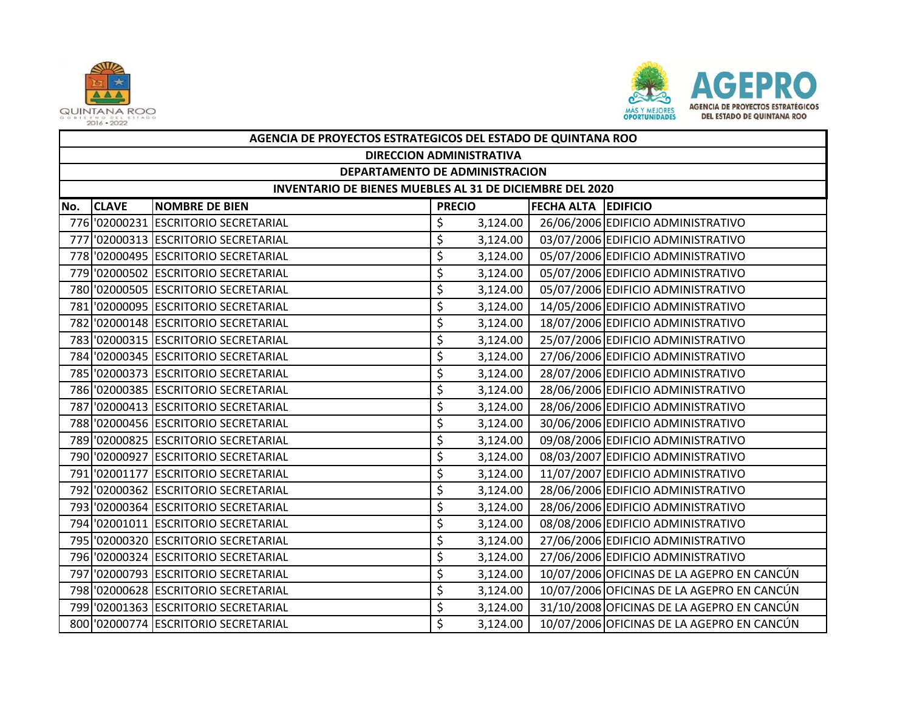



|     | AGENCIA DE PROYECTOS ESTRATEGICOS DEL ESTADO DE QUINTANA ROO |                                      |               |          |                            |                                            |  |  |  |  |
|-----|--------------------------------------------------------------|--------------------------------------|---------------|----------|----------------------------|--------------------------------------------|--|--|--|--|
|     | <b>DIRECCION ADMINISTRATIVA</b>                              |                                      |               |          |                            |                                            |  |  |  |  |
|     | DEPARTAMENTO DE ADMINISTRACION                               |                                      |               |          |                            |                                            |  |  |  |  |
|     | INVENTARIO DE BIENES MUEBLES AL 31 DE DICIEMBRE DEL 2020     |                                      |               |          |                            |                                            |  |  |  |  |
| No. | <b>CLAVE</b>                                                 | <b>NOMBRE DE BIEN</b>                | <b>PRECIO</b> |          | <b>FECHA ALTA EDIFICIO</b> |                                            |  |  |  |  |
|     |                                                              | 776 '02000231 ESCRITORIO SECRETARIAL | \$            | 3,124.00 |                            | 26/06/2006 EDIFICIO ADMINISTRATIVO         |  |  |  |  |
|     |                                                              | 777 '02000313 ESCRITORIO SECRETARIAL | \$            | 3,124.00 |                            | 03/07/2006 EDIFICIO ADMINISTRATIVO         |  |  |  |  |
|     |                                                              | 778 '02000495 ESCRITORIO SECRETARIAL | \$            | 3,124.00 |                            | 05/07/2006 EDIFICIO ADMINISTRATIVO         |  |  |  |  |
|     |                                                              | 779 '02000502 ESCRITORIO SECRETARIAL | \$            | 3,124.00 |                            | 05/07/2006 EDIFICIO ADMINISTRATIVO         |  |  |  |  |
|     |                                                              | 780 '02000505 ESCRITORIO SECRETARIAL | \$            | 3,124.00 |                            | 05/07/2006 EDIFICIO ADMINISTRATIVO         |  |  |  |  |
|     |                                                              | 781 '02000095 ESCRITORIO SECRETARIAL | \$            | 3,124.00 |                            | 14/05/2006 EDIFICIO ADMINISTRATIVO         |  |  |  |  |
|     |                                                              | 782 '02000148 ESCRITORIO SECRETARIAL | \$            | 3,124.00 |                            | 18/07/2006 EDIFICIO ADMINISTRATIVO         |  |  |  |  |
|     |                                                              | 783 '02000315 ESCRITORIO SECRETARIAL | \$            | 3,124.00 |                            | 25/07/2006 EDIFICIO ADMINISTRATIVO         |  |  |  |  |
|     |                                                              | 784 '02000345 ESCRITORIO SECRETARIAL | \$            | 3,124.00 |                            | 27/06/2006 EDIFICIO ADMINISTRATIVO         |  |  |  |  |
|     |                                                              | 785 '02000373 ESCRITORIO SECRETARIAL | \$            | 3,124.00 |                            | 28/07/2006 EDIFICIO ADMINISTRATIVO         |  |  |  |  |
|     |                                                              | 786 '02000385 ESCRITORIO SECRETARIAL | \$            | 3,124.00 |                            | 28/06/2006 EDIFICIO ADMINISTRATIVO         |  |  |  |  |
|     |                                                              | 787 '02000413 ESCRITORIO SECRETARIAL | \$            | 3,124.00 |                            | 28/06/2006 EDIFICIO ADMINISTRATIVO         |  |  |  |  |
|     |                                                              | 788 '02000456 ESCRITORIO SECRETARIAL | \$            | 3,124.00 |                            | 30/06/2006 EDIFICIO ADMINISTRATIVO         |  |  |  |  |
|     |                                                              | 789 '02000825 ESCRITORIO SECRETARIAL | \$            | 3,124.00 |                            | 09/08/2006 EDIFICIO ADMINISTRATIVO         |  |  |  |  |
|     |                                                              | 790 '02000927 ESCRITORIO SECRETARIAL | \$            | 3,124.00 |                            | 08/03/2007 EDIFICIO ADMINISTRATIVO         |  |  |  |  |
|     |                                                              | 791 '02001177 ESCRITORIO SECRETARIAL | \$            | 3,124.00 |                            | 11/07/2007 EDIFICIO ADMINISTRATIVO         |  |  |  |  |
|     |                                                              | 792 '02000362 ESCRITORIO SECRETARIAL | \$            | 3,124.00 |                            | 28/06/2006 EDIFICIO ADMINISTRATIVO         |  |  |  |  |
|     |                                                              | 793 '02000364 ESCRITORIO SECRETARIAL | \$            | 3,124.00 |                            | 28/06/2006 EDIFICIO ADMINISTRATIVO         |  |  |  |  |
|     |                                                              | 794 '02001011 ESCRITORIO SECRETARIAL | \$            | 3,124.00 |                            | 08/08/2006 EDIFICIO ADMINISTRATIVO         |  |  |  |  |
|     |                                                              | 795 '02000320 ESCRITORIO SECRETARIAL | \$            | 3,124.00 |                            | 27/06/2006 EDIFICIO ADMINISTRATIVO         |  |  |  |  |
|     |                                                              | 796 '02000324 ESCRITORIO SECRETARIAL | \$            | 3,124.00 |                            | 27/06/2006 EDIFICIO ADMINISTRATIVO         |  |  |  |  |
| 797 |                                                              | '02000793 ESCRITORIO SECRETARIAL     | \$            | 3,124.00 |                            | 10/07/2006 OFICINAS DE LA AGEPRO EN CANCÚN |  |  |  |  |
|     |                                                              | 798 '02000628 ESCRITORIO SECRETARIAL | \$            | 3,124.00 |                            | 10/07/2006 OFICINAS DE LA AGEPRO EN CANCÚN |  |  |  |  |
|     |                                                              | 799 '02001363 ESCRITORIO SECRETARIAL | \$            | 3,124.00 |                            | 31/10/2008 OFICINAS DE LA AGEPRO EN CANCÚN |  |  |  |  |
|     |                                                              | 800 '02000774 ESCRITORIO SECRETARIAL | Ś             | 3,124.00 |                            | 10/07/2006 OFICINAS DE LA AGEPRO EN CANCÚN |  |  |  |  |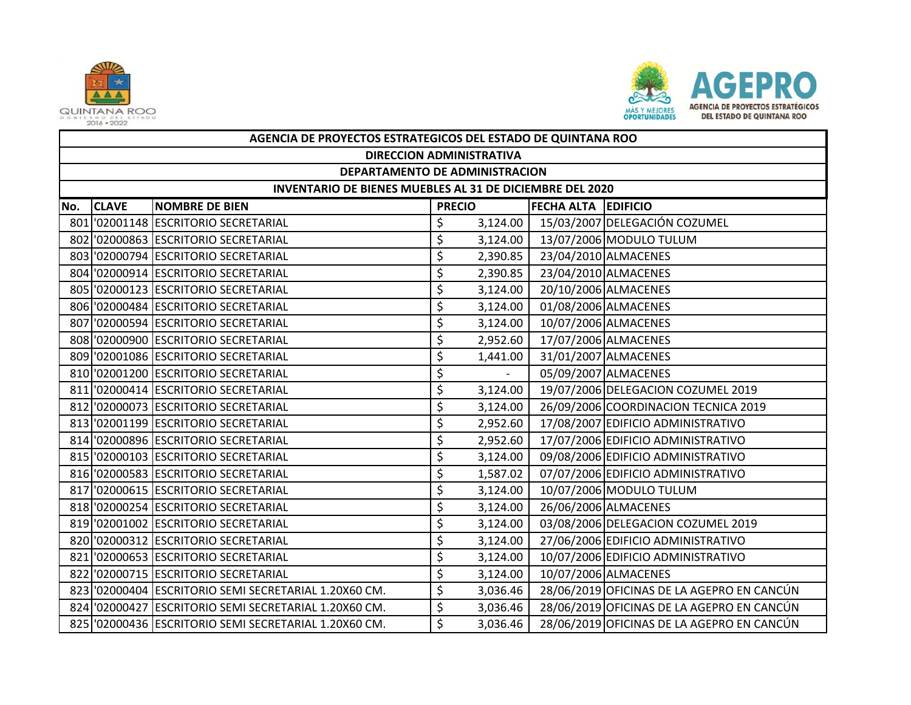



|     | AGENCIA DE PROYECTOS ESTRATEGICOS DEL ESTADO DE QUINTANA ROO |                                                       |               |                          |                      |                                            |  |  |  |
|-----|--------------------------------------------------------------|-------------------------------------------------------|---------------|--------------------------|----------------------|--------------------------------------------|--|--|--|
|     | <b>DIRECCION ADMINISTRATIVA</b>                              |                                                       |               |                          |                      |                                            |  |  |  |
|     | DEPARTAMENTO DE ADMINISTRACION                               |                                                       |               |                          |                      |                                            |  |  |  |
|     | INVENTARIO DE BIENES MUEBLES AL 31 DE DICIEMBRE DEL 2020     |                                                       |               |                          |                      |                                            |  |  |  |
| No. | <b>CLAVE</b>                                                 | <b>NOMBRE DE BIEN</b>                                 | <b>PRECIO</b> |                          | FECHA ALTA EDIFICIO  |                                            |  |  |  |
|     |                                                              | 801 '02001148 ESCRITORIO SECRETARIAL                  | \$            | 3,124.00                 |                      | 15/03/2007 DELEGACIÓN COZUMEL              |  |  |  |
|     |                                                              | 802 '02000863 ESCRITORIO SECRETARIAL                  | \$            | 3,124.00                 |                      | 13/07/2006 MODULO TULUM                    |  |  |  |
|     |                                                              | 803 '02000794 ESCRITORIO SECRETARIAL                  | \$            | 2,390.85                 | 23/04/2010 ALMACENES |                                            |  |  |  |
|     |                                                              | 804 '02000914 ESCRITORIO SECRETARIAL                  | \$            | 2,390.85                 |                      | 23/04/2010 ALMACENES                       |  |  |  |
|     |                                                              | 805 '02000123 ESCRITORIO SECRETARIAL                  | \$            | 3,124.00                 |                      | 20/10/2006 ALMACENES                       |  |  |  |
|     |                                                              | 806 '02000484 ESCRITORIO SECRETARIAL                  | \$            | 3,124.00                 |                      | 01/08/2006 ALMACENES                       |  |  |  |
|     |                                                              | 807 '02000594 ESCRITORIO SECRETARIAL                  | \$            | 3,124.00                 |                      | 10/07/2006 ALMACENES                       |  |  |  |
|     |                                                              | 808 '02000900 ESCRITORIO SECRETARIAL                  | \$            | 2,952.60                 |                      | 17/07/2006 ALMACENES                       |  |  |  |
|     |                                                              | 809 '02001086 ESCRITORIO SECRETARIAL                  | \$            | 1,441.00                 |                      | 31/01/2007 ALMACENES                       |  |  |  |
|     |                                                              | 810 '02001200 ESCRITORIO SECRETARIAL                  | \$            | $\overline{\phantom{a}}$ |                      | 05/09/2007 ALMACENES                       |  |  |  |
|     |                                                              | 811 '02000414 ESCRITORIO SECRETARIAL                  | \$            | 3,124.00                 |                      | 19/07/2006 DELEGACION COZUMEL 2019         |  |  |  |
|     |                                                              | 812 '02000073 ESCRITORIO SECRETARIAL                  | \$            | 3,124.00                 |                      | 26/09/2006 COORDINACION TECNICA 2019       |  |  |  |
|     |                                                              | 813 '02001199 ESCRITORIO SECRETARIAL                  | \$            | 2,952.60                 |                      | 17/08/2007 EDIFICIO ADMINISTRATIVO         |  |  |  |
|     |                                                              | 814 '02000896 ESCRITORIO SECRETARIAL                  | \$            | 2,952.60                 |                      | 17/07/2006 EDIFICIO ADMINISTRATIVO         |  |  |  |
|     |                                                              | 815 '02000103 ESCRITORIO SECRETARIAL                  | \$            | 3,124.00                 |                      | 09/08/2006 EDIFICIO ADMINISTRATIVO         |  |  |  |
|     |                                                              | 816 '02000583 ESCRITORIO SECRETARIAL                  | \$            | 1,587.02                 |                      | 07/07/2006 EDIFICIO ADMINISTRATIVO         |  |  |  |
|     |                                                              | 817 '02000615 ESCRITORIO SECRETARIAL                  | \$            | 3,124.00                 |                      | 10/07/2006 MODULO TULUM                    |  |  |  |
|     |                                                              | 818 '02000254 ESCRITORIO SECRETARIAL                  | \$            | 3,124.00                 |                      | 26/06/2006 ALMACENES                       |  |  |  |
|     |                                                              | 819 '02001002 ESCRITORIO SECRETARIAL                  | \$            | 3,124.00                 |                      | 03/08/2006 DELEGACION COZUMEL 2019         |  |  |  |
|     |                                                              | 820 '02000312 ESCRITORIO SECRETARIAL                  | \$            | 3,124.00                 |                      | 27/06/2006 EDIFICIO ADMINISTRATIVO         |  |  |  |
|     |                                                              | 821 '02000653 ESCRITORIO SECRETARIAL                  | \$            | 3,124.00                 |                      | 10/07/2006 EDIFICIO ADMINISTRATIVO         |  |  |  |
|     |                                                              | 822 '02000715 ESCRITORIO SECRETARIAL                  | \$            | 3,124.00                 |                      | 10/07/2006 ALMACENES                       |  |  |  |
|     |                                                              | 823 '02000404 ESCRITORIO SEMI SECRETARIAL 1.20X60 CM. | \$            | 3,036.46                 |                      | 28/06/2019 OFICINAS DE LA AGEPRO EN CANCÚN |  |  |  |
|     |                                                              | 824 '02000427 ESCRITORIO SEMI SECRETARIAL 1.20X60 CM. | \$            | 3,036.46                 |                      | 28/06/2019 OFICINAS DE LA AGEPRO EN CANCÚN |  |  |  |
|     |                                                              | 825 '02000436 ESCRITORIO SEMI SECRETARIAL 1.20X60 CM. | \$            | 3,036.46                 |                      | 28/06/2019 OFICINAS DE LA AGEPRO EN CANCÚN |  |  |  |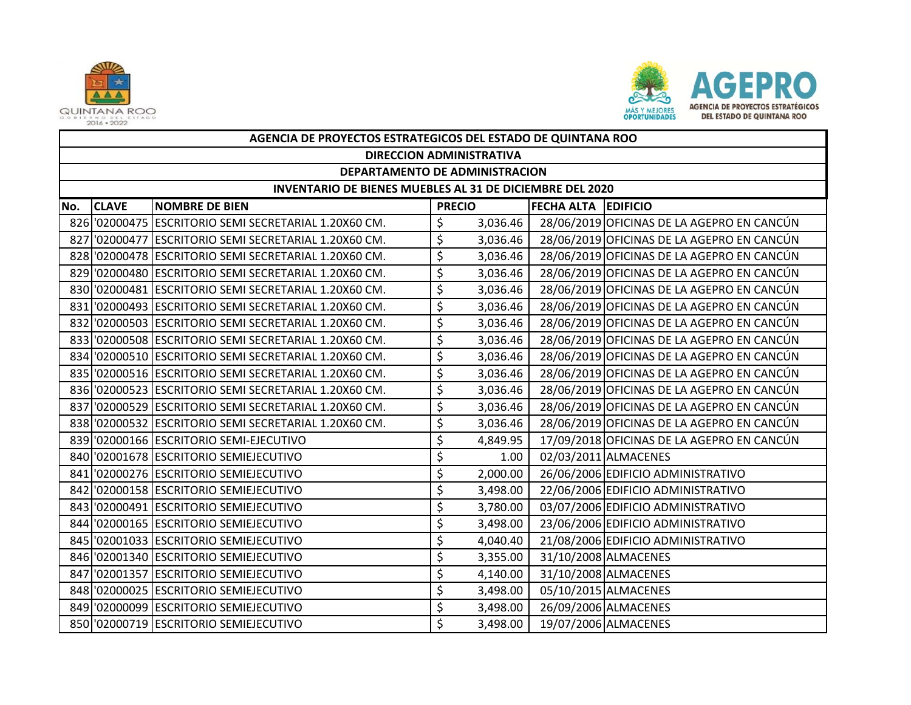



|     | AGENCIA DE PROYECTOS ESTRATEGICOS DEL ESTADO DE QUINTANA ROO |                                                       |    |                                 |                            |                                            |  |  |  |  |
|-----|--------------------------------------------------------------|-------------------------------------------------------|----|---------------------------------|----------------------------|--------------------------------------------|--|--|--|--|
|     |                                                              |                                                       |    | <b>DIRECCION ADMINISTRATIVA</b> |                            |                                            |  |  |  |  |
|     | DEPARTAMENTO DE ADMINISTRACION                               |                                                       |    |                                 |                            |                                            |  |  |  |  |
|     | INVENTARIO DE BIENES MUEBLES AL 31 DE DICIEMBRE DEL 2020     |                                                       |    |                                 |                            |                                            |  |  |  |  |
| No. | <b>CLAVE</b>                                                 | <b>NOMBRE DE BIEN</b>                                 |    | <b>PRECIO</b>                   | <b>FECHA ALTA EDIFICIO</b> |                                            |  |  |  |  |
|     |                                                              | 826 '02000475 ESCRITORIO SEMI SECRETARIAL 1.20X60 CM. | \$ | 3,036.46                        |                            | 28/06/2019 OFICINAS DE LA AGEPRO EN CANCÚN |  |  |  |  |
|     |                                                              | 827 '02000477 ESCRITORIO SEMI SECRETARIAL 1.20X60 CM. | \$ | 3,036.46                        |                            | 28/06/2019 OFICINAS DE LA AGEPRO EN CANCÚN |  |  |  |  |
|     |                                                              | 828 '02000478 ESCRITORIO SEMI SECRETARIAL 1.20X60 CM. | \$ | 3,036.46                        |                            | 28/06/2019 OFICINAS DE LA AGEPRO EN CANCÚN |  |  |  |  |
|     |                                                              | 829 '02000480 ESCRITORIO SEMI SECRETARIAL 1.20X60 CM. | \$ | 3,036.46                        |                            | 28/06/2019 OFICINAS DE LA AGEPRO EN CANCÚN |  |  |  |  |
|     |                                                              | 830 '02000481 ESCRITORIO SEMI SECRETARIAL 1.20X60 CM. | \$ | 3,036.46                        |                            | 28/06/2019 OFICINAS DE LA AGEPRO EN CANCÚN |  |  |  |  |
|     |                                                              | 831 '02000493 ESCRITORIO SEMI SECRETARIAL 1.20X60 CM. | \$ | 3,036.46                        |                            | 28/06/2019 OFICINAS DE LA AGEPRO EN CANCÚN |  |  |  |  |
|     |                                                              | 832 '02000503 ESCRITORIO SEMI SECRETARIAL 1.20X60 CM. | \$ | 3,036.46                        |                            | 28/06/2019 OFICINAS DE LA AGEPRO EN CANCÚN |  |  |  |  |
|     |                                                              | 833 '02000508 ESCRITORIO SEMI SECRETARIAL 1.20X60 CM. | \$ | 3,036.46                        |                            | 28/06/2019 OFICINAS DE LA AGEPRO EN CANCÚN |  |  |  |  |
|     |                                                              | 834 '02000510 ESCRITORIO SEMI SECRETARIAL 1.20X60 CM. | \$ | 3,036.46                        |                            | 28/06/2019 OFICINAS DE LA AGEPRO EN CANCÚN |  |  |  |  |
|     |                                                              | 835 '02000516 ESCRITORIO SEMI SECRETARIAL 1.20X60 CM. | \$ | 3,036.46                        |                            | 28/06/2019 OFICINAS DE LA AGEPRO EN CANCÚN |  |  |  |  |
|     |                                                              | 836 '02000523 ESCRITORIO SEMI SECRETARIAL 1.20X60 CM. | \$ | 3,036.46                        |                            | 28/06/2019 OFICINAS DE LA AGEPRO EN CANCÚN |  |  |  |  |
|     |                                                              | 837 '02000529 ESCRITORIO SEMI SECRETARIAL 1.20X60 CM. | \$ | 3,036.46                        |                            | 28/06/2019 OFICINAS DE LA AGEPRO EN CANCÚN |  |  |  |  |
|     |                                                              | 838 '02000532 ESCRITORIO SEMI SECRETARIAL 1.20X60 CM. | \$ | 3,036.46                        |                            | 28/06/2019 OFICINAS DE LA AGEPRO EN CANCÚN |  |  |  |  |
|     |                                                              | 839 '02000166 ESCRITORIO SEMI-EJECUTIVO               | \$ | 4,849.95                        |                            | 17/09/2018 OFICINAS DE LA AGEPRO EN CANCÚN |  |  |  |  |
|     |                                                              | 840 '02001678 ESCRITORIO SEMIEJECUTIVO                | \$ | 1.00                            |                            | 02/03/2011 ALMACENES                       |  |  |  |  |
|     |                                                              | 841 '02000276 ESCRITORIO SEMIEJECUTIVO                | \$ | 2,000.00                        |                            | 26/06/2006 EDIFICIO ADMINISTRATIVO         |  |  |  |  |
|     |                                                              | 842 '02000158 ESCRITORIO SEMIEJECUTIVO                | \$ | 3,498.00                        |                            | 22/06/2006 EDIFICIO ADMINISTRATIVO         |  |  |  |  |
|     |                                                              | 843 02000491 ESCRITORIO SEMIEJECUTIVO                 | \$ | 3,780.00                        |                            | 03/07/2006 EDIFICIO ADMINISTRATIVO         |  |  |  |  |
|     |                                                              | 844 '02000165 ESCRITORIO SEMIEJECUTIVO                | \$ | 3,498.00                        |                            | 23/06/2006 EDIFICIO ADMINISTRATIVO         |  |  |  |  |
|     |                                                              | 845 '02001033 ESCRITORIO SEMIEJECUTIVO                | \$ | 4,040.40                        |                            | 21/08/2006 EDIFICIO ADMINISTRATIVO         |  |  |  |  |
|     |                                                              | 846 '02001340 ESCRITORIO SEMIEJECUTIVO                | \$ | 3,355.00                        |                            | 31/10/2008 ALMACENES                       |  |  |  |  |
|     |                                                              | 847 '02001357 ESCRITORIO SEMIEJECUTIVO                | \$ | 4,140.00                        |                            | 31/10/2008 ALMACENES                       |  |  |  |  |
|     |                                                              | 848 '02000025 ESCRITORIO SEMIEJECUTIVO                | \$ | 3,498.00                        |                            | 05/10/2015 ALMACENES                       |  |  |  |  |
|     |                                                              | 849 '02000099 ESCRITORIO SEMIEJECUTIVO                | \$ | 3,498.00                        |                            | 26/09/2006 ALMACENES                       |  |  |  |  |
|     |                                                              | 850 '02000719 ESCRITORIO SEMIEJECUTIVO                | \$ | 3,498.00                        |                            | 19/07/2006 ALMACENES                       |  |  |  |  |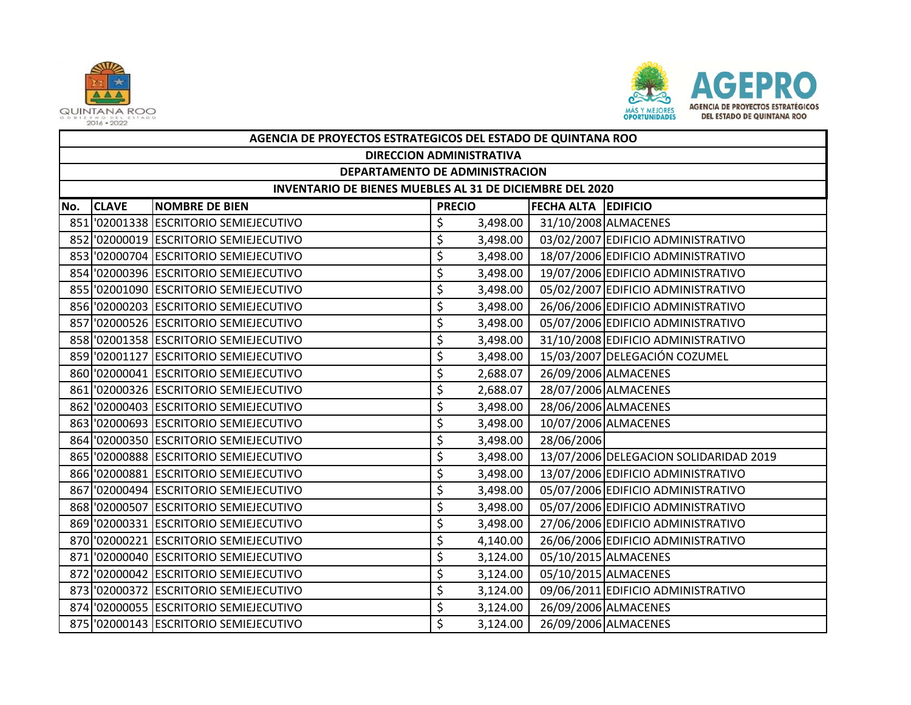



|     | AGENCIA DE PROYECTOS ESTRATEGICOS DEL ESTADO DE QUINTANA ROO |                                        |                                 |          |                            |                                        |  |  |  |
|-----|--------------------------------------------------------------|----------------------------------------|---------------------------------|----------|----------------------------|----------------------------------------|--|--|--|
|     | <b>DIRECCION ADMINISTRATIVA</b>                              |                                        |                                 |          |                            |                                        |  |  |  |
|     | DEPARTAMENTO DE ADMINISTRACION                               |                                        |                                 |          |                            |                                        |  |  |  |
|     | INVENTARIO DE BIENES MUEBLES AL 31 DE DICIEMBRE DEL 2020     |                                        |                                 |          |                            |                                        |  |  |  |
| No. | <b>CLAVE</b>                                                 | <b>NOMBRE DE BIEN</b>                  | <b>PRECIO</b>                   |          | <b>FECHA ALTA EDIFICIO</b> |                                        |  |  |  |
|     |                                                              | 851 '02001338 ESCRITORIO SEMIEJECUTIVO | \$                              | 3,498.00 |                            | 31/10/2008 ALMACENES                   |  |  |  |
|     |                                                              | 852 '02000019 ESCRITORIO SEMIEJECUTIVO | \$                              | 3,498.00 |                            | 03/02/2007 EDIFICIO ADMINISTRATIVO     |  |  |  |
|     |                                                              | 853 '02000704 ESCRITORIO SEMIEJECUTIVO | \$                              | 3,498.00 |                            | 18/07/2006 EDIFICIO ADMINISTRATIVO     |  |  |  |
|     |                                                              | 854 '02000396 ESCRITORIO SEMIEJECUTIVO | \$                              | 3,498.00 |                            | 19/07/2006 EDIFICIO ADMINISTRATIVO     |  |  |  |
|     |                                                              | 855 '02001090 ESCRITORIO SEMIEJECUTIVO | \$                              | 3,498.00 |                            | 05/02/2007 EDIFICIO ADMINISTRATIVO     |  |  |  |
|     |                                                              | 856 '02000203 ESCRITORIO SEMIEJECUTIVO | \$                              | 3,498.00 |                            | 26/06/2006 EDIFICIO ADMINISTRATIVO     |  |  |  |
|     |                                                              | 857 '02000526 ESCRITORIO SEMIEJECUTIVO | \$                              | 3,498.00 |                            | 05/07/2006 EDIFICIO ADMINISTRATIVO     |  |  |  |
|     |                                                              | 858 '02001358 ESCRITORIO SEMIEJECUTIVO | \$                              | 3,498.00 |                            | 31/10/2008 EDIFICIO ADMINISTRATIVO     |  |  |  |
|     |                                                              | 859 '02001127 ESCRITORIO SEMIEJECUTIVO | $\overline{\boldsymbol{\zeta}}$ | 3,498.00 |                            | 15/03/2007 DELEGACIÓN COZUMEL          |  |  |  |
|     |                                                              | 860 '02000041 ESCRITORIO SEMIEJECUTIVO | \$                              | 2,688.07 |                            | 26/09/2006 ALMACENES                   |  |  |  |
|     |                                                              | 861 '02000326 ESCRITORIO SEMIEJECUTIVO | \$                              | 2,688.07 |                            | 28/07/2006 ALMACENES                   |  |  |  |
|     |                                                              | 862 '02000403 ESCRITORIO SEMIEJECUTIVO | \$                              | 3,498.00 |                            | 28/06/2006 ALMACENES                   |  |  |  |
|     |                                                              | 863 '02000693 ESCRITORIO SEMIEJECUTIVO | \$                              | 3,498.00 |                            | 10/07/2006 ALMACENES                   |  |  |  |
|     |                                                              | 864 '02000350 ESCRITORIO SEMIEJECUTIVO | \$                              | 3,498.00 | 28/06/2006                 |                                        |  |  |  |
|     |                                                              | 865 '02000888 ESCRITORIO SEMIEJECUTIVO | \$                              | 3,498.00 |                            | 13/07/2006 DELEGACION SOLIDARIDAD 2019 |  |  |  |
|     |                                                              | 866 '02000881 ESCRITORIO SEMIEJECUTIVO | \$                              | 3,498.00 |                            | 13/07/2006 EDIFICIO ADMINISTRATIVO     |  |  |  |
|     |                                                              | 867 '02000494 ESCRITORIO SEMIEJECUTIVO | \$                              | 3,498.00 |                            | 05/07/2006 EDIFICIO ADMINISTRATIVO     |  |  |  |
|     |                                                              | 868 '02000507 ESCRITORIO SEMIEJECUTIVO | \$                              | 3,498.00 |                            | 05/07/2006 EDIFICIO ADMINISTRATIVO     |  |  |  |
|     |                                                              | 869 '02000331 ESCRITORIO SEMIEJECUTIVO | \$                              | 3,498.00 |                            | 27/06/2006 EDIFICIO ADMINISTRATIVO     |  |  |  |
|     |                                                              | 870 '02000221 ESCRITORIO SEMIEJECUTIVO | \$                              | 4,140.00 |                            | 26/06/2006 EDIFICIO ADMINISTRATIVO     |  |  |  |
|     |                                                              | 871 '02000040 ESCRITORIO SEMIEJECUTIVO | \$                              | 3,124.00 |                            | 05/10/2015 ALMACENES                   |  |  |  |
|     |                                                              | 872 '02000042 ESCRITORIO SEMIEJECUTIVO | \$                              | 3,124.00 |                            | 05/10/2015 ALMACENES                   |  |  |  |
|     |                                                              | 873 '02000372 ESCRITORIO SEMIEJECUTIVO | \$                              | 3,124.00 |                            | 09/06/2011 EDIFICIO ADMINISTRATIVO     |  |  |  |
|     |                                                              | 874 '02000055 ESCRITORIO SEMIEJECUTIVO | \$                              | 3,124.00 |                            | 26/09/2006 ALMACENES                   |  |  |  |
|     |                                                              | 875 '02000143 ESCRITORIO SEMIEJECUTIVO | \$                              | 3,124.00 |                            | 26/09/2006 ALMACENES                   |  |  |  |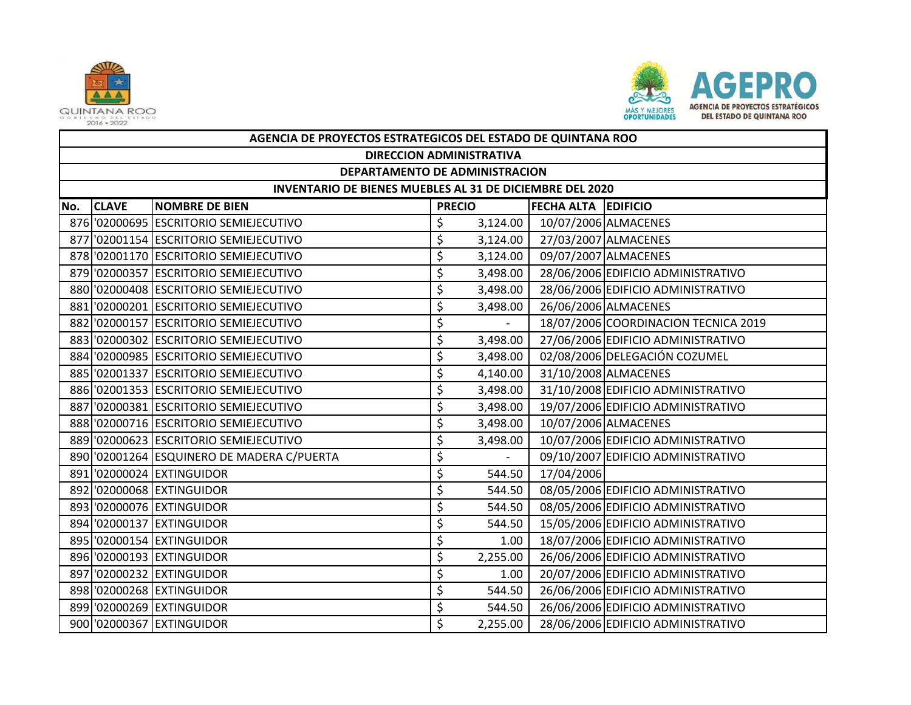



|     | AGENCIA DE PROYECTOS ESTRATEGICOS DEL ESTADO DE QUINTANA ROO |                                            |               |          |                            |                                      |  |  |  |
|-----|--------------------------------------------------------------|--------------------------------------------|---------------|----------|----------------------------|--------------------------------------|--|--|--|
|     | <b>DIRECCION ADMINISTRATIVA</b>                              |                                            |               |          |                            |                                      |  |  |  |
|     | DEPARTAMENTO DE ADMINISTRACION                               |                                            |               |          |                            |                                      |  |  |  |
|     | INVENTARIO DE BIENES MUEBLES AL 31 DE DICIEMBRE DEL 2020     |                                            |               |          |                            |                                      |  |  |  |
| No. | <b>CLAVE</b>                                                 | <b>NOMBRE DE BIEN</b>                      | <b>PRECIO</b> |          | <b>FECHA ALTA EDIFICIO</b> |                                      |  |  |  |
|     |                                                              | 876 '02000695 ESCRITORIO SEMIEJECUTIVO     | \$            | 3,124.00 |                            | 10/07/2006 ALMACENES                 |  |  |  |
|     |                                                              | 877 '02001154 ESCRITORIO SEMIEJECUTIVO     | \$            | 3,124.00 |                            | 27/03/2007 ALMACENES                 |  |  |  |
|     |                                                              | 878 '02001170 ESCRITORIO SEMIEJECUTIVO     | \$            | 3,124.00 |                            | 09/07/2007 ALMACENES                 |  |  |  |
|     |                                                              | 879 '02000357 ESCRITORIO SEMIEJECUTIVO     | \$            | 3,498.00 |                            | 28/06/2006 EDIFICIO ADMINISTRATIVO   |  |  |  |
|     |                                                              | 880 '02000408 ESCRITORIO SEMIEJECUTIVO     | \$            | 3,498.00 |                            | 28/06/2006 EDIFICIO ADMINISTRATIVO   |  |  |  |
|     |                                                              | 881 '02000201 ESCRITORIO SEMIEJECUTIVO     | \$            | 3,498.00 |                            | 26/06/2006 ALMACENES                 |  |  |  |
|     |                                                              | 882 '02000157 ESCRITORIO SEMIEJECUTIVO     | \$            |          |                            | 18/07/2006 COORDINACION TECNICA 2019 |  |  |  |
|     |                                                              | 883 '02000302 ESCRITORIO SEMIEJECUTIVO     | \$            | 3,498.00 |                            | 27/06/2006 EDIFICIO ADMINISTRATIVO   |  |  |  |
|     |                                                              | 884 '02000985 ESCRITORIO SEMIEJECUTIVO     | \$            | 3,498.00 |                            | 02/08/2006 DELEGACIÓN COZUMEL        |  |  |  |
|     |                                                              | 885 02001337 ESCRITORIO SEMIEJECUTIVO      | \$            | 4,140.00 |                            | 31/10/2008 ALMACENES                 |  |  |  |
|     |                                                              | 886 '02001353 ESCRITORIO SEMIEJECUTIVO     | \$            | 3,498.00 |                            | 31/10/2008 EDIFICIO ADMINISTRATIVO   |  |  |  |
|     |                                                              | 887 '02000381 ESCRITORIO SEMIEJECUTIVO     | \$            | 3,498.00 |                            | 19/07/2006 EDIFICIO ADMINISTRATIVO   |  |  |  |
|     |                                                              | 888 '02000716 ESCRITORIO SEMIEJECUTIVO     | \$            | 3,498.00 |                            | 10/07/2006 ALMACENES                 |  |  |  |
|     |                                                              | 889 02000623 ESCRITORIO SEMIEJECUTIVO      | \$            | 3,498.00 |                            | 10/07/2006 EDIFICIO ADMINISTRATIVO   |  |  |  |
|     |                                                              | 890 '02001264 ESQUINERO DE MADERA C/PUERTA | \$            |          |                            | 09/10/2007 EDIFICIO ADMINISTRATIVO   |  |  |  |
|     |                                                              | 891 '02000024 EXTINGUIDOR                  | \$            | 544.50   | 17/04/2006                 |                                      |  |  |  |
|     |                                                              | 892 '02000068 EXTINGUIDOR                  | \$            | 544.50   |                            | 08/05/2006 EDIFICIO ADMINISTRATIVO   |  |  |  |
|     |                                                              | 893 '02000076 EXTINGUIDOR                  | \$            | 544.50   |                            | 08/05/2006 EDIFICIO ADMINISTRATIVO   |  |  |  |
|     |                                                              | 894 '02000137 EXTINGUIDOR                  | \$            | 544.50   |                            | 15/05/2006 EDIFICIO ADMINISTRATIVO   |  |  |  |
|     |                                                              | 895 '02000154 EXTINGUIDOR                  | \$            | 1.00     |                            | 18/07/2006 EDIFICIO ADMINISTRATIVO   |  |  |  |
|     |                                                              | 896 '02000193 EXTINGUIDOR                  | \$            | 2,255.00 |                            | 26/06/2006 EDIFICIO ADMINISTRATIVO   |  |  |  |
|     |                                                              | 897 '02000232 EXTINGUIDOR                  | \$            | 1.00     |                            | 20/07/2006 EDIFICIO ADMINISTRATIVO   |  |  |  |
|     |                                                              | 898 '02000268 EXTINGUIDOR                  | \$            | 544.50   |                            | 26/06/2006 EDIFICIO ADMINISTRATIVO   |  |  |  |
|     |                                                              | 899 '02000269 EXTINGUIDOR                  | \$            | 544.50   |                            | 26/06/2006 EDIFICIO ADMINISTRATIVO   |  |  |  |
|     |                                                              | 900 '02000367 EXTINGUIDOR                  | \$            | 2,255.00 |                            | 28/06/2006 EDIFICIO ADMINISTRATIVO   |  |  |  |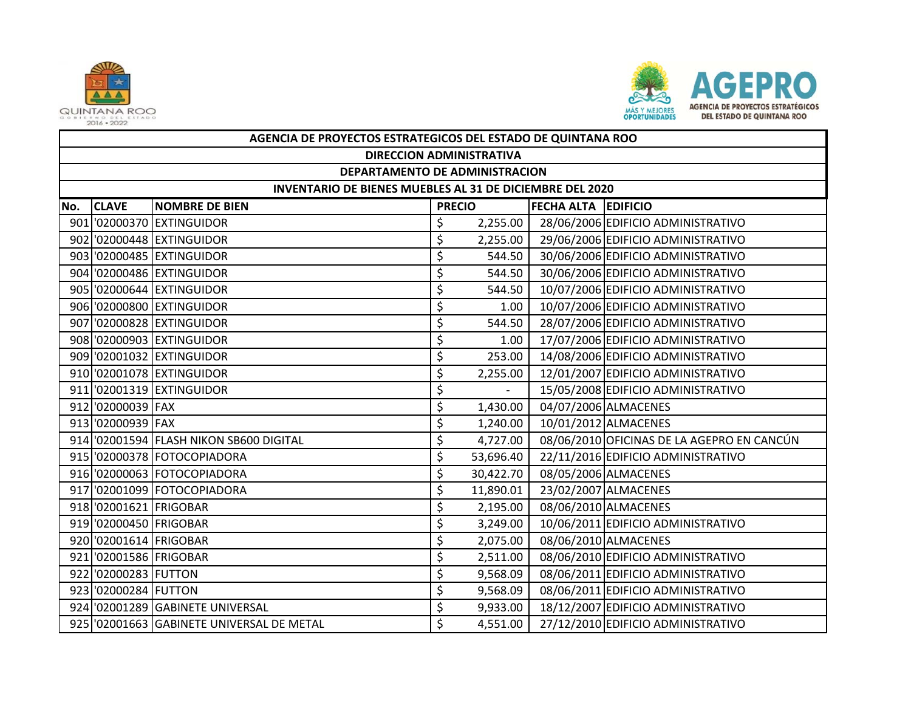



|     | AGENCIA DE PROYECTOS ESTRATEGICOS DEL ESTADO DE QUINTANA ROO    |                                           |               |           |                            |                                            |  |  |  |  |  |
|-----|-----------------------------------------------------------------|-------------------------------------------|---------------|-----------|----------------------------|--------------------------------------------|--|--|--|--|--|
|     | <b>DIRECCION ADMINISTRATIVA</b>                                 |                                           |               |           |                            |                                            |  |  |  |  |  |
|     | DEPARTAMENTO DE ADMINISTRACION                                  |                                           |               |           |                            |                                            |  |  |  |  |  |
|     | <b>INVENTARIO DE BIENES MUEBLES AL 31 DE DICIEMBRE DEL 2020</b> |                                           |               |           |                            |                                            |  |  |  |  |  |
| No. | <b>CLAVE</b>                                                    | <b>NOMBRE DE BIEN</b>                     | <b>PRECIO</b> |           | <b>FECHA ALTA EDIFICIO</b> |                                            |  |  |  |  |  |
|     |                                                                 | 901 '02000370 EXTINGUIDOR                 | \$            | 2,255.00  |                            | 28/06/2006 EDIFICIO ADMINISTRATIVO         |  |  |  |  |  |
|     |                                                                 | 902 '02000448 EXTINGUIDOR                 | \$            | 2,255.00  |                            | 29/06/2006 EDIFICIO ADMINISTRATIVO         |  |  |  |  |  |
|     |                                                                 | 903 '02000485 EXTINGUIDOR                 | \$            | 544.50    |                            | 30/06/2006 EDIFICIO ADMINISTRATIVO         |  |  |  |  |  |
|     |                                                                 | 904 '02000486 EXTINGUIDOR                 | \$            | 544.50    |                            | 30/06/2006 EDIFICIO ADMINISTRATIVO         |  |  |  |  |  |
|     |                                                                 | 905 '02000644 EXTINGUIDOR                 | \$            | 544.50    |                            | 10/07/2006 EDIFICIO ADMINISTRATIVO         |  |  |  |  |  |
|     |                                                                 | 906 '02000800 EXTINGUIDOR                 | \$            | 1.00      |                            | 10/07/2006 EDIFICIO ADMINISTRATIVO         |  |  |  |  |  |
|     |                                                                 | 907 '02000828 EXTINGUIDOR                 | \$            | 544.50    |                            | 28/07/2006 EDIFICIO ADMINISTRATIVO         |  |  |  |  |  |
|     |                                                                 | 908 '02000903 EXTINGUIDOR                 | \$            | 1.00      |                            | 17/07/2006 EDIFICIO ADMINISTRATIVO         |  |  |  |  |  |
|     |                                                                 | 909 '02001032 EXTINGUIDOR                 | \$            | 253.00    |                            | 14/08/2006 EDIFICIO ADMINISTRATIVO         |  |  |  |  |  |
|     |                                                                 | 910 '02001078 EXTINGUIDOR                 | \$            | 2,255.00  |                            | 12/01/2007 EDIFICIO ADMINISTRATIVO         |  |  |  |  |  |
|     |                                                                 | 911 '02001319 EXTINGUIDOR                 | \$            |           |                            | 15/05/2008 EDIFICIO ADMINISTRATIVO         |  |  |  |  |  |
|     | 912 '02000039 FAX                                               |                                           | \$            | 1,430.00  |                            | 04/07/2006 ALMACENES                       |  |  |  |  |  |
|     | 913 '02000939 FAX                                               |                                           | \$            | 1,240.00  |                            | 10/01/2012 ALMACENES                       |  |  |  |  |  |
|     |                                                                 | 914 '02001594 FLASH NIKON SB600 DIGITAL   | \$            | 4,727.00  |                            | 08/06/2010 OFICINAS DE LA AGEPRO EN CANCÚN |  |  |  |  |  |
|     |                                                                 | 915 '02000378 FOTOCOPIADORA               | \$            | 53,696.40 |                            | 22/11/2016 EDIFICIO ADMINISTRATIVO         |  |  |  |  |  |
|     |                                                                 | 916 '02000063 FOTOCOPIADORA               | \$            | 30,422.70 |                            | 08/05/2006 ALMACENES                       |  |  |  |  |  |
|     |                                                                 | 917 '02001099 FOTOCOPIADORA               | \$            | 11,890.01 |                            | 23/02/2007 ALMACENES                       |  |  |  |  |  |
|     | 918 02001621 FRIGOBAR                                           |                                           | \$            | 2,195.00  |                            | 08/06/2010 ALMACENES                       |  |  |  |  |  |
|     | 919 '02000450 FRIGOBAR                                          |                                           | \$            | 3,249.00  |                            | 10/06/2011 EDIFICIO ADMINISTRATIVO         |  |  |  |  |  |
|     | 920 '02001614 FRIGOBAR                                          |                                           | \$            | 2,075.00  |                            | 08/06/2010 ALMACENES                       |  |  |  |  |  |
|     | 921 02001586 FRIGOBAR                                           |                                           | \$            | 2,511.00  |                            | 08/06/2010 EDIFICIO ADMINISTRATIVO         |  |  |  |  |  |
|     | 922 '02000283 FUTTON                                            |                                           | \$            | 9,568.09  |                            | 08/06/2011 EDIFICIO ADMINISTRATIVO         |  |  |  |  |  |
|     | 923 '02000284 FUTTON                                            |                                           | \$            | 9,568.09  |                            | 08/06/2011 EDIFICIO ADMINISTRATIVO         |  |  |  |  |  |
|     |                                                                 | 924 '02001289 GABINETE UNIVERSAL          | \$            | 9,933.00  |                            | 18/12/2007 EDIFICIO ADMINISTRATIVO         |  |  |  |  |  |
|     |                                                                 | 925 '02001663 GABINETE UNIVERSAL DE METAL | Ś             | 4,551.00  |                            | 27/12/2010 EDIFICIO ADMINISTRATIVO         |  |  |  |  |  |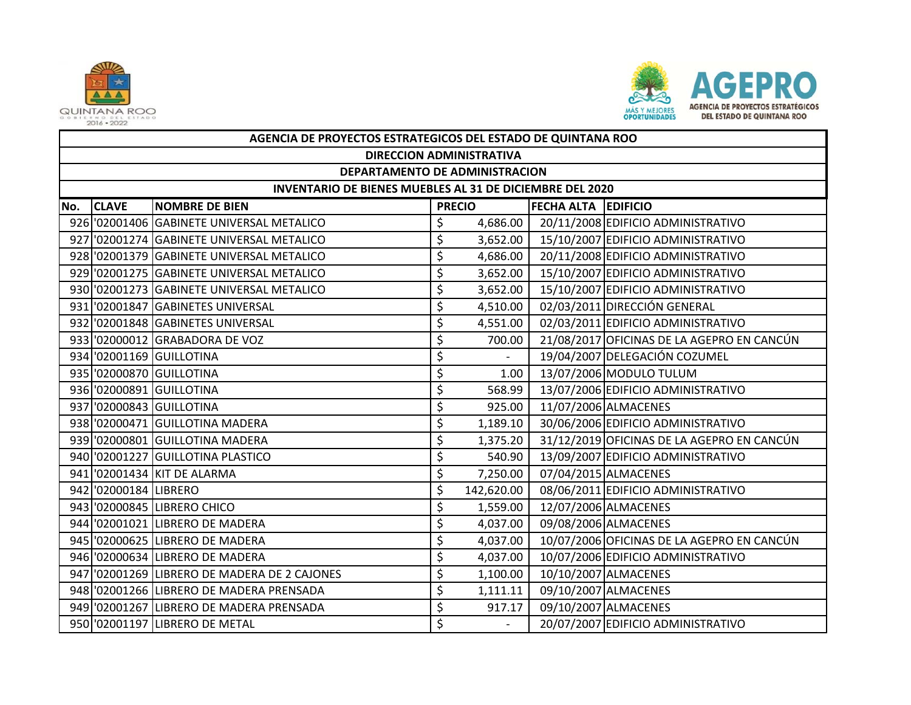



|     | AGENCIA DE PROYECTOS ESTRATEGICOS DEL ESTADO DE QUINTANA ROO |                                             |    |               |                            |                                            |  |  |  |  |  |
|-----|--------------------------------------------------------------|---------------------------------------------|----|---------------|----------------------------|--------------------------------------------|--|--|--|--|--|
|     | <b>DIRECCION ADMINISTRATIVA</b>                              |                                             |    |               |                            |                                            |  |  |  |  |  |
|     | DEPARTAMENTO DE ADMINISTRACION                               |                                             |    |               |                            |                                            |  |  |  |  |  |
|     | INVENTARIO DE BIENES MUEBLES AL 31 DE DICIEMBRE DEL 2020     |                                             |    |               |                            |                                            |  |  |  |  |  |
| No. | <b>CLAVE</b>                                                 | <b>NOMBRE DE BIEN</b>                       |    | <b>PRECIO</b> | <b>FECHA ALTA EDIFICIO</b> |                                            |  |  |  |  |  |
|     |                                                              | 926 '02001406 GABINETE UNIVERSAL METALICO   | \$ | 4,686.00      |                            | 20/11/2008 EDIFICIO ADMINISTRATIVO         |  |  |  |  |  |
|     |                                                              | 927 '02001274 GABINETE UNIVERSAL METALICO   | \$ | 3,652.00      |                            | 15/10/2007 EDIFICIO ADMINISTRATIVO         |  |  |  |  |  |
|     |                                                              | 928 '02001379 GABINETE UNIVERSAL METALICO   | \$ | 4,686.00      |                            | 20/11/2008 EDIFICIO ADMINISTRATIVO         |  |  |  |  |  |
|     |                                                              | 929 '02001275 GABINETE UNIVERSAL METALICO   | \$ | 3,652.00      |                            | 15/10/2007 EDIFICIO ADMINISTRATIVO         |  |  |  |  |  |
|     |                                                              | 930 '02001273 GABINETE UNIVERSAL METALICO   | \$ | 3,652.00      |                            | 15/10/2007 EDIFICIO ADMINISTRATIVO         |  |  |  |  |  |
|     |                                                              | 931 '02001847 GABINETES UNIVERSAL           | \$ | 4,510.00      |                            | 02/03/2011 DIRECCIÓN GENERAL               |  |  |  |  |  |
|     |                                                              | 932 '02001848 GABINETES UNIVERSAL           | \$ | 4,551.00      |                            | 02/03/2011 EDIFICIO ADMINISTRATIVO         |  |  |  |  |  |
|     |                                                              | 933 '02000012 GRABADORA DE VOZ              | \$ | 700.00        |                            | 21/08/2017 OFICINAS DE LA AGEPRO EN CANCÚN |  |  |  |  |  |
|     |                                                              | 934 '02001169 GUILLOTINA                    | \$ |               |                            | 19/04/2007 DELEGACIÓN COZUMEL              |  |  |  |  |  |
|     |                                                              | 935 '02000870 GUILLOTINA                    | \$ | 1.00          |                            | 13/07/2006 MODULO TULUM                    |  |  |  |  |  |
|     |                                                              | 936 '02000891 GUILLOTINA                    | \$ | 568.99        |                            | 13/07/2006 EDIFICIO ADMINISTRATIVO         |  |  |  |  |  |
|     |                                                              | 937 '02000843 GUILLOTINA                    | \$ | 925.00        |                            | 11/07/2006 ALMACENES                       |  |  |  |  |  |
|     |                                                              | 938 '02000471 GUILLOTINA MADERA             | \$ | 1,189.10      |                            | 30/06/2006 EDIFICIO ADMINISTRATIVO         |  |  |  |  |  |
|     |                                                              | 939 '02000801 GUILLOTINA MADERA             | \$ | 1,375.20      |                            | 31/12/2019 OFICINAS DE LA AGEPRO EN CANCÚN |  |  |  |  |  |
|     |                                                              | 940 '02001227 GUILLOTINA PLASTICO           | \$ | 540.90        |                            | 13/09/2007 EDIFICIO ADMINISTRATIVO         |  |  |  |  |  |
|     |                                                              | 941 02001434 KIT DE ALARMA                  | \$ | 7,250.00      |                            | 07/04/2015 ALMACENES                       |  |  |  |  |  |
|     | 942 '02000184 LIBRERO                                        |                                             | \$ | 142,620.00    |                            | 08/06/2011 EDIFICIO ADMINISTRATIVO         |  |  |  |  |  |
|     |                                                              | 943 '02000845 LIBRERO CHICO                 | \$ | 1,559.00      |                            | 12/07/2006 ALMACENES                       |  |  |  |  |  |
|     |                                                              | 944 '02001021 LIBRERO DE MADERA             | \$ | 4,037.00      |                            | 09/08/2006 ALMACENES                       |  |  |  |  |  |
|     |                                                              | 945 '02000625 LIBRERO DE MADERA             | \$ | 4,037.00      |                            | 10/07/2006 OFICINAS DE LA AGEPRO EN CANCÚN |  |  |  |  |  |
|     |                                                              | 946 '02000634 LIBRERO DE MADERA             | \$ | 4,037.00      |                            | 10/07/2006 EDIFICIO ADMINISTRATIVO         |  |  |  |  |  |
|     |                                                              | 947 02001269 LIBRERO DE MADERA DE 2 CAJONES | \$ | 1,100.00      |                            | 10/10/2007 ALMACENES                       |  |  |  |  |  |
|     |                                                              | 948 02001266 LIBRERO DE MADERA PRENSADA     | \$ | 1,111.11      |                            | 09/10/2007 ALMACENES                       |  |  |  |  |  |
|     |                                                              | 949 02001267 LIBRERO DE MADERA PRENSADA     | \$ | 917.17        |                            | 09/10/2007 ALMACENES                       |  |  |  |  |  |
|     |                                                              | 950 '02001197 LIBRERO DE METAL              | \$ |               |                            | 20/07/2007 EDIFICIO ADMINISTRATIVO         |  |  |  |  |  |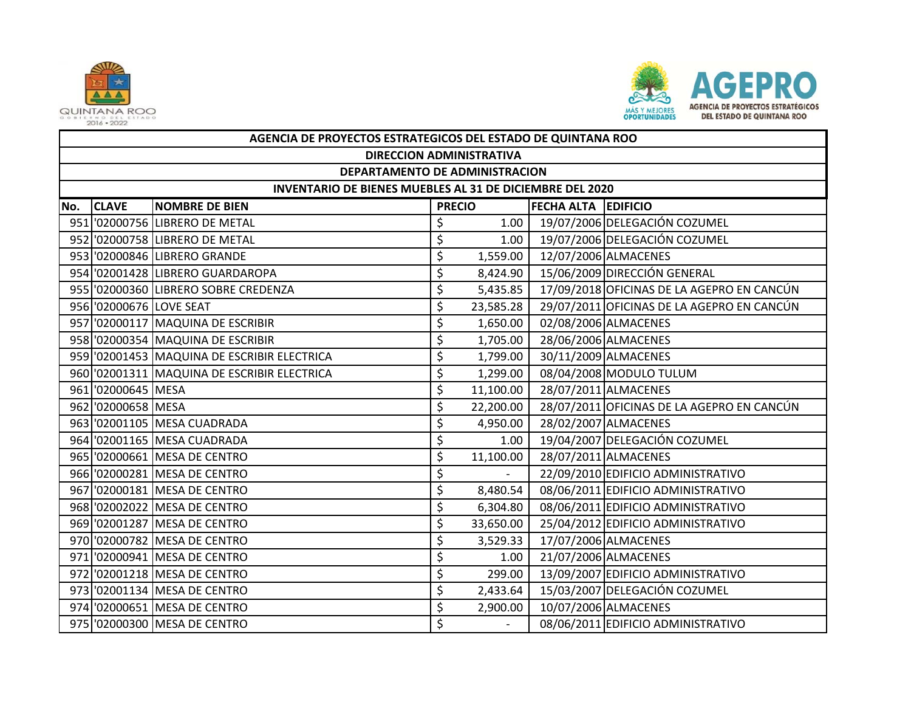



|     | AGENCIA DE PROYECTOS ESTRATEGICOS DEL ESTADO DE QUINTANA ROO |                                             |               |           |                     |                                            |  |  |  |  |
|-----|--------------------------------------------------------------|---------------------------------------------|---------------|-----------|---------------------|--------------------------------------------|--|--|--|--|
|     | <b>DIRECCION ADMINISTRATIVA</b>                              |                                             |               |           |                     |                                            |  |  |  |  |
|     | DEPARTAMENTO DE ADMINISTRACION                               |                                             |               |           |                     |                                            |  |  |  |  |
|     | INVENTARIO DE BIENES MUEBLES AL 31 DE DICIEMBRE DEL 2020     |                                             |               |           |                     |                                            |  |  |  |  |
| No. | <b>CLAVE</b>                                                 | <b>NOMBRE DE BIEN</b>                       | <b>PRECIO</b> |           | FECHA ALTA EDIFICIO |                                            |  |  |  |  |
|     |                                                              | 951 '02000756 LIBRERO DE METAL              | \$            | 1.00      |                     | 19/07/2006 DELEGACIÓN COZUMEL              |  |  |  |  |
|     |                                                              | 952 '02000758 LIBRERO DE METAL              | \$            | 1.00      |                     | 19/07/2006 DELEGACIÓN COZUMEL              |  |  |  |  |
|     |                                                              | 953 '02000846 LIBRERO GRANDE                | \$            | 1,559.00  |                     | 12/07/2006 ALMACENES                       |  |  |  |  |
|     |                                                              | 954 '02001428 LIBRERO GUARDAROPA            | \$            | 8,424.90  |                     | 15/06/2009 DIRECCIÓN GENERAL               |  |  |  |  |
|     |                                                              | 955 '02000360 LIBRERO SOBRE CREDENZA        | \$            | 5,435.85  |                     | 17/09/2018 OFICINAS DE LA AGEPRO EN CANCÚN |  |  |  |  |
|     | 956 '02000676 LOVE SEAT                                      |                                             | \$            | 23,585.28 |                     | 29/07/2011 OFICINAS DE LA AGEPRO EN CANCÚN |  |  |  |  |
|     |                                                              | 957 '02000117 MAQUINA DE ESCRIBIR           | \$            | 1,650.00  |                     | 02/08/2006 ALMACENES                       |  |  |  |  |
|     |                                                              | 958 '02000354 MAQUINA DE ESCRIBIR           | \$            | 1,705.00  |                     | 28/06/2006 ALMACENES                       |  |  |  |  |
|     |                                                              | 959 '02001453 MAQUINA DE ESCRIBIR ELECTRICA | \$            | 1,799.00  |                     | 30/11/2009 ALMACENES                       |  |  |  |  |
|     |                                                              | 960 '02001311 MAQUINA DE ESCRIBIR ELECTRICA | \$            | 1,299.00  |                     | 08/04/2008 MODULO TULUM                    |  |  |  |  |
|     | 961 '02000645 MESA                                           |                                             | \$            | 11,100.00 |                     | 28/07/2011 ALMACENES                       |  |  |  |  |
|     | 962 02000658 MESA                                            |                                             | \$            | 22,200.00 |                     | 28/07/2011 OFICINAS DE LA AGEPRO EN CANCÚN |  |  |  |  |
|     |                                                              | 963 '02001105 MESA CUADRADA                 | \$            | 4,950.00  |                     | 28/02/2007 ALMACENES                       |  |  |  |  |
|     |                                                              | 964 '02001165 MESA CUADRADA                 | \$            | 1.00      |                     | 19/04/2007 DELEGACIÓN COZUMEL              |  |  |  |  |
|     |                                                              | 965 '02000661 MESA DE CENTRO                | \$            | 11,100.00 |                     | 28/07/2011 ALMACENES                       |  |  |  |  |
|     |                                                              | 966 '02000281 MESA DE CENTRO                | \$            |           |                     | 22/09/2010 EDIFICIO ADMINISTRATIVO         |  |  |  |  |
|     |                                                              | 967 '02000181 MESA DE CENTRO                | \$            | 8,480.54  |                     | 08/06/2011 EDIFICIO ADMINISTRATIVO         |  |  |  |  |
|     |                                                              | 968 '02002022 MESA DE CENTRO                | \$            | 6,304.80  |                     | 08/06/2011 EDIFICIO ADMINISTRATIVO         |  |  |  |  |
|     |                                                              | 969 '02001287 MESA DE CENTRO                | \$            | 33,650.00 |                     | 25/04/2012 EDIFICIO ADMINISTRATIVO         |  |  |  |  |
|     |                                                              | 970 '02000782 MESA DE CENTRO                | \$            | 3,529.33  |                     | 17/07/2006 ALMACENES                       |  |  |  |  |
|     |                                                              | 971 '02000941 MESA DE CENTRO                | \$            | 1.00      |                     | 21/07/2006 ALMACENES                       |  |  |  |  |
|     |                                                              | 972 '02001218 MESA DE CENTRO                | \$            | 299.00    |                     | 13/09/2007 EDIFICIO ADMINISTRATIVO         |  |  |  |  |
|     |                                                              | 973 '02001134 MESA DE CENTRO                | \$            | 2,433.64  |                     | 15/03/2007 DELEGACIÓN COZUMEL              |  |  |  |  |
|     |                                                              | 974 '02000651 MESA DE CENTRO                | \$            | 2,900.00  |                     | 10/07/2006 ALMACENES                       |  |  |  |  |
|     |                                                              | 975 '02000300 MESA DE CENTRO                | \$            | $\equiv$  |                     | 08/06/2011 EDIFICIO ADMINISTRATIVO         |  |  |  |  |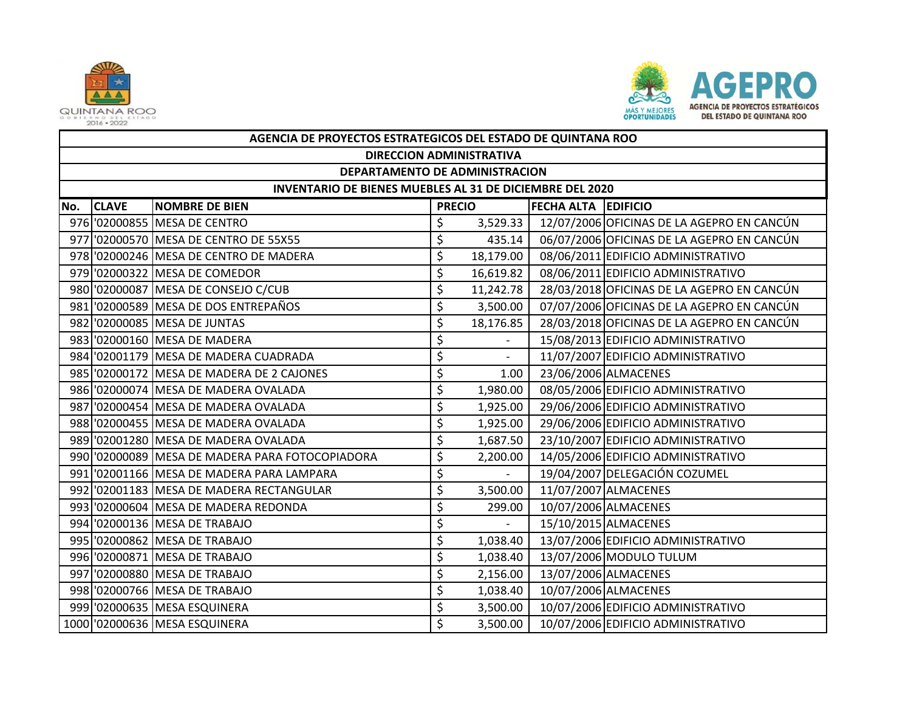



|     | AGENCIA DE PROYECTOS ESTRATEGICOS DEL ESTADO DE QUINTANA ROO |                                                 |    |               |                            |                                            |  |  |  |  |  |
|-----|--------------------------------------------------------------|-------------------------------------------------|----|---------------|----------------------------|--------------------------------------------|--|--|--|--|--|
|     | <b>DIRECCION ADMINISTRATIVA</b>                              |                                                 |    |               |                            |                                            |  |  |  |  |  |
|     | DEPARTAMENTO DE ADMINISTRACION                               |                                                 |    |               |                            |                                            |  |  |  |  |  |
|     | INVENTARIO DE BIENES MUEBLES AL 31 DE DICIEMBRE DEL 2020     |                                                 |    |               |                            |                                            |  |  |  |  |  |
| No. | <b>CLAVE</b>                                                 | <b>NOMBRE DE BIEN</b>                           |    | <b>PRECIO</b> | <b>FECHA ALTA EDIFICIO</b> |                                            |  |  |  |  |  |
|     |                                                              | 976 '02000855 MESA DE CENTRO                    | \$ | 3,529.33      |                            | 12/07/2006 OFICINAS DE LA AGEPRO EN CANCÚN |  |  |  |  |  |
|     |                                                              | 977 '02000570 MESA DE CENTRO DE 55X55           | \$ | 435.14        |                            | 06/07/2006 OFICINAS DE LA AGEPRO EN CANCÚN |  |  |  |  |  |
|     |                                                              | 978 '02000246 MESA DE CENTRO DE MADERA          | \$ | 18,179.00     |                            | 08/06/2011 EDIFICIO ADMINISTRATIVO         |  |  |  |  |  |
|     |                                                              | 979 '02000322 MESA DE COMEDOR                   | \$ | 16,619.82     |                            | 08/06/2011 EDIFICIO ADMINISTRATIVO         |  |  |  |  |  |
|     |                                                              | 980 '02000087 MESA DE CONSEJO C/CUB             | \$ | 11,242.78     |                            | 28/03/2018 OFICINAS DE LA AGEPRO EN CANCÚN |  |  |  |  |  |
|     |                                                              | 981 '02000589 MESA DE DOS ENTREPAÑOS            | \$ | 3,500.00      |                            | 07/07/2006 OFICINAS DE LA AGEPRO EN CANCÚN |  |  |  |  |  |
|     |                                                              | 982 '02000085 MESA DE JUNTAS                    | \$ | 18,176.85     |                            | 28/03/2018 OFICINAS DE LA AGEPRO EN CANCÚN |  |  |  |  |  |
|     |                                                              | 983 '02000160 MESA DE MADERA                    | \$ |               |                            | 15/08/2013 EDIFICIO ADMINISTRATIVO         |  |  |  |  |  |
|     |                                                              | 984 '02001179 MESA DE MADERA CUADRADA           | \$ |               |                            | 11/07/2007 EDIFICIO ADMINISTRATIVO         |  |  |  |  |  |
|     |                                                              | 985 02000172 MESA DE MADERA DE 2 CAJONES        | \$ | 1.00          |                            | 23/06/2006 ALMACENES                       |  |  |  |  |  |
|     |                                                              | 986 '02000074 MESA DE MADERA OVALADA            | \$ | 1,980.00      |                            | 08/05/2006 EDIFICIO ADMINISTRATIVO         |  |  |  |  |  |
|     |                                                              | 987 02000454 MESA DE MADERA OVALADA             | \$ | 1,925.00      |                            | 29/06/2006 EDIFICIO ADMINISTRATIVO         |  |  |  |  |  |
|     |                                                              | 988 '02000455 MESA DE MADERA OVALADA            | \$ | 1,925.00      |                            | 29/06/2006 EDIFICIO ADMINISTRATIVO         |  |  |  |  |  |
|     |                                                              | 989 '02001280 MESA DE MADERA OVALADA            | \$ | 1,687.50      |                            | 23/10/2007 EDIFICIO ADMINISTRATIVO         |  |  |  |  |  |
|     |                                                              | 990 '02000089 MESA DE MADERA PARA FOTOCOPIADORA | \$ | 2,200.00      |                            | 14/05/2006 EDIFICIO ADMINISTRATIVO         |  |  |  |  |  |
|     |                                                              | 991 02001166 MESA DE MADERA PARA LAMPARA        | \$ |               |                            | 19/04/2007 DELEGACIÓN COZUMEL              |  |  |  |  |  |
|     |                                                              | 992 '02001183 MESA DE MADERA RECTANGULAR        | \$ | 3,500.00      |                            | 11/07/2007 ALMACENES                       |  |  |  |  |  |
|     |                                                              | 993 '02000604 MESA DE MADERA REDONDA            | \$ | 299.00        |                            | 10/07/2006 ALMACENES                       |  |  |  |  |  |
|     |                                                              | 994 '02000136 MESA DE TRABAJO                   | \$ |               |                            | 15/10/2015 ALMACENES                       |  |  |  |  |  |
|     |                                                              | 995 '02000862 MESA DE TRABAJO                   | \$ | 1,038.40      |                            | 13/07/2006 EDIFICIO ADMINISTRATIVO         |  |  |  |  |  |
|     |                                                              | 996 '02000871 MESA DE TRABAJO                   | \$ | 1,038.40      |                            | 13/07/2006 MODULO TULUM                    |  |  |  |  |  |
|     |                                                              | 997 '02000880 MESA DE TRABAJO                   | \$ | 2,156.00      |                            | 13/07/2006 ALMACENES                       |  |  |  |  |  |
|     |                                                              | 998 '02000766 MESA DE TRABAJO                   | \$ | 1,038.40      |                            | 10/07/2006 ALMACENES                       |  |  |  |  |  |
|     |                                                              | 999 '02000635 MESA ESQUINERA                    | \$ | 3,500.00      |                            | 10/07/2006 EDIFICIO ADMINISTRATIVO         |  |  |  |  |  |
|     |                                                              | 1000 '02000636 MESA ESQUINERA                   | \$ | 3,500.00      |                            | 10/07/2006 EDIFICIO ADMINISTRATIVO         |  |  |  |  |  |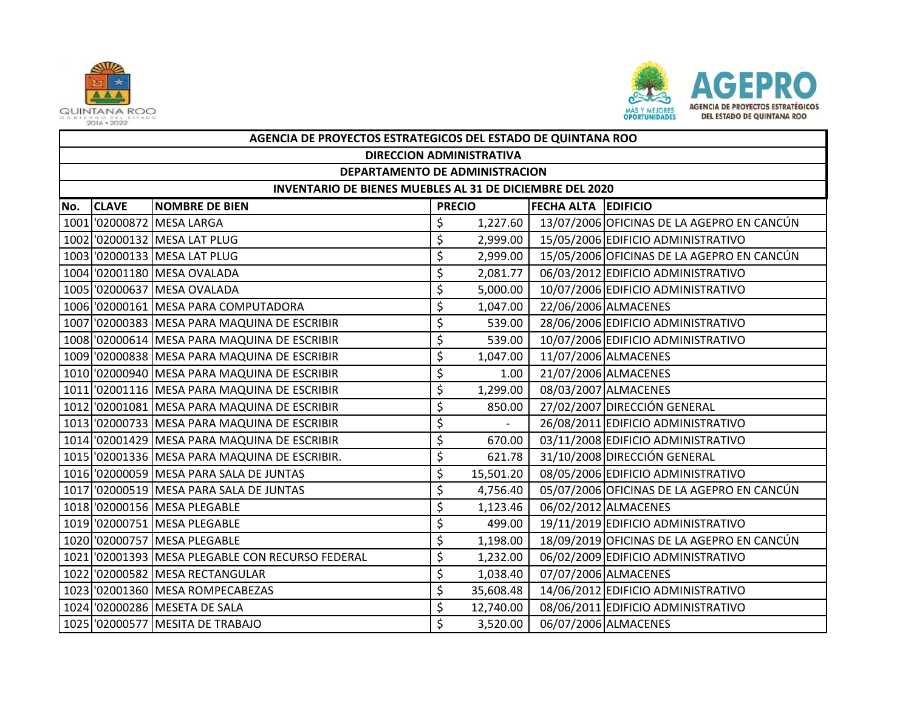



|     | AGENCIA DE PROYECTOS ESTRATEGICOS DEL ESTADO DE QUINTANA ROO    |                                                 |               |           |                            |                                            |  |  |  |  |  |
|-----|-----------------------------------------------------------------|-------------------------------------------------|---------------|-----------|----------------------------|--------------------------------------------|--|--|--|--|--|
|     | <b>DIRECCION ADMINISTRATIVA</b>                                 |                                                 |               |           |                            |                                            |  |  |  |  |  |
|     | DEPARTAMENTO DE ADMINISTRACION                                  |                                                 |               |           |                            |                                            |  |  |  |  |  |
|     | <b>INVENTARIO DE BIENES MUEBLES AL 31 DE DICIEMBRE DEL 2020</b> |                                                 |               |           |                            |                                            |  |  |  |  |  |
| No. | <b>CLAVE</b>                                                    | <b>NOMBRE DE BIEN</b>                           | <b>PRECIO</b> |           | <b>FECHA ALTA EDIFICIO</b> |                                            |  |  |  |  |  |
|     |                                                                 | 1001 '02000872 MESA LARGA                       | \$            | 1,227.60  |                            | 13/07/2006 OFICINAS DE LA AGEPRO EN CANCÚN |  |  |  |  |  |
|     |                                                                 | 1002 '02000132 MESA LAT PLUG                    | \$            | 2,999.00  |                            | 15/05/2006 EDIFICIO ADMINISTRATIVO         |  |  |  |  |  |
|     |                                                                 | 1003 '02000133 MESA LAT PLUG                    | \$            | 2,999.00  |                            | 15/05/2006 OFICINAS DE LA AGEPRO EN CANCÚN |  |  |  |  |  |
|     |                                                                 | 1004 '02001180 MESA OVALADA                     | \$            | 2,081.77  |                            | 06/03/2012 EDIFICIO ADMINISTRATIVO         |  |  |  |  |  |
|     |                                                                 | 1005 '02000637 MESA OVALADA                     | \$            | 5,000.00  |                            | 10/07/2006 EDIFICIO ADMINISTRATIVO         |  |  |  |  |  |
|     |                                                                 | 1006 '02000161 MESA PARA COMPUTADORA            | \$            | 1,047.00  |                            | 22/06/2006 ALMACENES                       |  |  |  |  |  |
|     |                                                                 | 1007 '02000383 MESA PARA MAQUINA DE ESCRIBIR    | \$            | 539.00    |                            | 28/06/2006 EDIFICIO ADMINISTRATIVO         |  |  |  |  |  |
|     |                                                                 | 1008 '02000614 MESA PARA MAQUINA DE ESCRIBIR    | \$            | 539.00    |                            | 10/07/2006 EDIFICIO ADMINISTRATIVO         |  |  |  |  |  |
|     |                                                                 | 1009 '02000838 MESA PARA MAQUINA DE ESCRIBIR    | \$            | 1,047.00  |                            | 11/07/2006 ALMACENES                       |  |  |  |  |  |
|     |                                                                 | 1010 '02000940 MESA PARA MAQUINA DE ESCRIBIR    | \$            | 1.00      |                            | 21/07/2006 ALMACENES                       |  |  |  |  |  |
|     |                                                                 | 1011 '02001116 MESA PARA MAQUINA DE ESCRIBIR    | \$            | 1,299.00  |                            | 08/03/2007 ALMACENES                       |  |  |  |  |  |
|     |                                                                 | 1012 '02001081 MESA PARA MAQUINA DE ESCRIBIR    | \$            | 850.00    |                            | 27/02/2007 DIRECCIÓN GENERAL               |  |  |  |  |  |
|     |                                                                 | 1013 '02000733 MESA PARA MAQUINA DE ESCRIBIR    | \$            |           |                            | 26/08/2011 EDIFICIO ADMINISTRATIVO         |  |  |  |  |  |
|     |                                                                 | 1014 '02001429 MESA PARA MAQUINA DE ESCRIBIR    | \$            | 670.00    |                            | 03/11/2008 EDIFICIO ADMINISTRATIVO         |  |  |  |  |  |
|     |                                                                 | 1015 '02001336   MESA PARA MAQUINA DE ESCRIBIR. | \$            | 621.78    |                            | 31/10/2008 DIRECCIÓN GENERAL               |  |  |  |  |  |
|     |                                                                 | 1016 '02000059 MESA PARA SALA DE JUNTAS         | \$            | 15,501.20 |                            | 08/05/2006 EDIFICIO ADMINISTRATIVO         |  |  |  |  |  |
|     |                                                                 | 1017 02000519 MESA PARA SALA DE JUNTAS          | \$            | 4,756.40  |                            | 05/07/2006 OFICINAS DE LA AGEPRO EN CANCÚN |  |  |  |  |  |
|     |                                                                 | 1018 '02000156 MESA PLEGABLE                    | \$            | 1,123.46  |                            | 06/02/2012 ALMACENES                       |  |  |  |  |  |
|     |                                                                 | 1019 '02000751 MESA PLEGABLE                    | \$            | 499.00    |                            | 19/11/2019 EDIFICIO ADMINISTRATIVO         |  |  |  |  |  |
|     |                                                                 | 1020 '02000757 MESA PLEGABLE                    | \$            | 1,198.00  |                            | 18/09/2019 OFICINAS DE LA AGEPRO EN CANCÚN |  |  |  |  |  |
|     |                                                                 | 1021 02001393 MESA PLEGABLE CON RECURSO FEDERAL | \$            | 1,232.00  |                            | 06/02/2009 EDIFICIO ADMINISTRATIVO         |  |  |  |  |  |
|     |                                                                 | 1022 '02000582 MESA RECTANGULAR                 | \$            | 1,038.40  |                            | 07/07/2006 ALMACENES                       |  |  |  |  |  |
|     |                                                                 | 1023 '02001360 MESA ROMPECABEZAS                | \$            | 35,608.48 |                            | 14/06/2012 EDIFICIO ADMINISTRATIVO         |  |  |  |  |  |
|     |                                                                 | 1024 '02000286 MESETA DE SALA                   | \$            | 12,740.00 |                            | 08/06/2011 EDIFICIO ADMINISTRATIVO         |  |  |  |  |  |
|     |                                                                 | 1025 '02000577 MESITA DE TRABAJO                | \$            | 3,520.00  |                            | 06/07/2006 ALMACENES                       |  |  |  |  |  |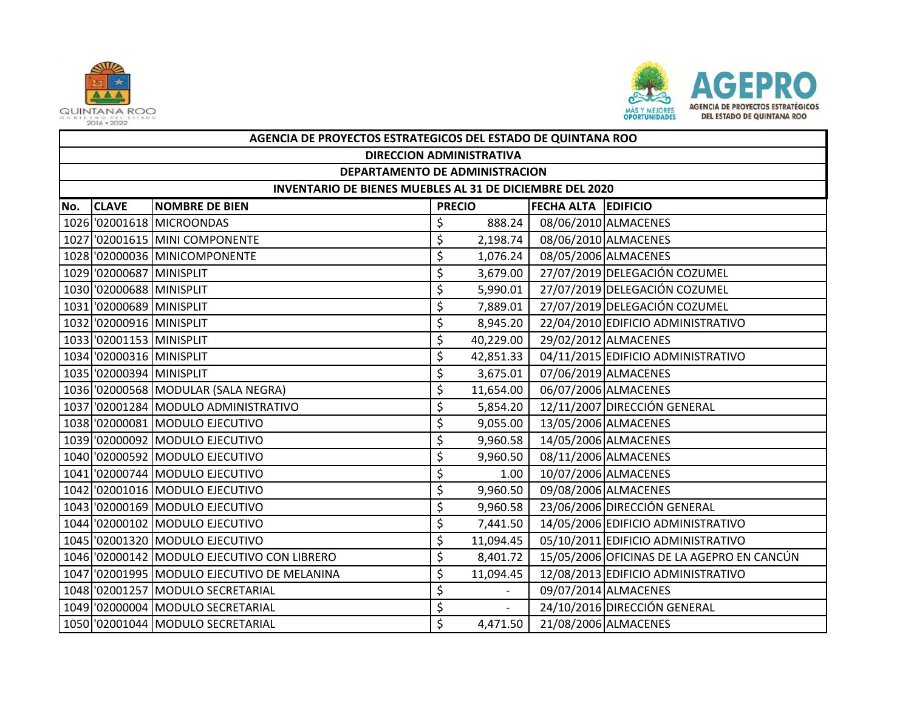



|     | AGENCIA DE PROYECTOS ESTRATEGICOS DEL ESTADO DE QUINTANA ROO |                                             |               |           |                            |                                            |  |  |  |  |
|-----|--------------------------------------------------------------|---------------------------------------------|---------------|-----------|----------------------------|--------------------------------------------|--|--|--|--|
|     | <b>DIRECCION ADMINISTRATIVA</b>                              |                                             |               |           |                            |                                            |  |  |  |  |
|     | DEPARTAMENTO DE ADMINISTRACION                               |                                             |               |           |                            |                                            |  |  |  |  |
|     | INVENTARIO DE BIENES MUEBLES AL 31 DE DICIEMBRE DEL 2020     |                                             |               |           |                            |                                            |  |  |  |  |
| No. | <b>CLAVE</b>                                                 | <b>NOMBRE DE BIEN</b>                       | <b>PRECIO</b> |           | <b>FECHA ALTA EDIFICIO</b> |                                            |  |  |  |  |
|     |                                                              | 1026 '02001618 MICROONDAS                   | \$            | 888.24    |                            | 08/06/2010 ALMACENES                       |  |  |  |  |
|     |                                                              | 1027 '02001615 MINI COMPONENTE              | \$            | 2,198.74  |                            | 08/06/2010 ALMACENES                       |  |  |  |  |
|     |                                                              | 1028 '02000036 MINICOMPONENTE               | \$            | 1,076.24  |                            | 08/05/2006 ALMACENES                       |  |  |  |  |
|     | 1029 '02000687 MINISPLIT                                     |                                             | \$            | 3,679.00  |                            | 27/07/2019 DELEGACIÓN COZUMEL              |  |  |  |  |
|     | 1030 '02000688 MINISPLIT                                     |                                             | \$            | 5,990.01  |                            | 27/07/2019 DELEGACIÓN COZUMEL              |  |  |  |  |
|     | 1031 '02000689 MINISPLIT                                     |                                             | \$            | 7,889.01  |                            | 27/07/2019 DELEGACIÓN COZUMEL              |  |  |  |  |
|     | 1032 '02000916 MINISPLIT                                     |                                             | \$            | 8,945.20  |                            | 22/04/2010 EDIFICIO ADMINISTRATIVO         |  |  |  |  |
|     | 1033 '02001153 MINISPLIT                                     |                                             | \$            | 40,229.00 |                            | 29/02/2012 ALMACENES                       |  |  |  |  |
|     | 1034 '02000316 MINISPLIT                                     |                                             | \$            | 42,851.33 |                            | 04/11/2015 EDIFICIO ADMINISTRATIVO         |  |  |  |  |
|     | 1035 '02000394 MINISPLIT                                     |                                             | \$            | 3,675.01  |                            | 07/06/2019 ALMACENES                       |  |  |  |  |
|     |                                                              | 1036 '02000568 MODULAR (SALA NEGRA)         | \$            | 11,654.00 |                            | 06/07/2006 ALMACENES                       |  |  |  |  |
|     |                                                              | 1037 '02001284 MODULO ADMINISTRATIVO        | \$            | 5,854.20  |                            | 12/11/2007 DIRECCIÓN GENERAL               |  |  |  |  |
|     |                                                              | 1038 '02000081 MODULO EJECUTIVO             | \$            | 9,055.00  |                            | 13/05/2006 ALMACENES                       |  |  |  |  |
|     |                                                              | 1039 '02000092 MODULO EJECUTIVO             | \$            | 9,960.58  |                            | 14/05/2006 ALMACENES                       |  |  |  |  |
|     |                                                              | 1040 '02000592 MODULO EJECUTIVO             | \$            | 9,960.50  |                            | 08/11/2006 ALMACENES                       |  |  |  |  |
|     |                                                              | 1041 02000744 MODULO EJECUTIVO              | \$            | 1.00      |                            | 10/07/2006 ALMACENES                       |  |  |  |  |
|     |                                                              | 1042 02001016 MODULO EJECUTIVO              | \$            | 9,960.50  |                            | 09/08/2006 ALMACENES                       |  |  |  |  |
|     |                                                              | 1043 '02000169 MODULO EJECUTIVO             | \$            | 9,960.58  |                            | 23/06/2006 DIRECCIÓN GENERAL               |  |  |  |  |
|     |                                                              | 1044 '02000102 MODULO EJECUTIVO             | \$            | 7,441.50  |                            | 14/05/2006 EDIFICIO ADMINISTRATIVO         |  |  |  |  |
|     |                                                              | 1045 '02001320 MODULO EJECUTIVO             | \$            | 11,094.45 |                            | 05/10/2011 EDIFICIO ADMINISTRATIVO         |  |  |  |  |
|     |                                                              | 1046 '02000142 MODULO EJECUTIVO CON LIBRERO | \$            | 8,401.72  |                            | 15/05/2006 OFICINAS DE LA AGEPRO EN CANCÚN |  |  |  |  |
|     |                                                              | 1047 02001995 MODULO EJECUTIVO DE MELANINA  | \$            | 11,094.45 |                            | 12/08/2013 EDIFICIO ADMINISTRATIVO         |  |  |  |  |
|     |                                                              | 1048 '02001257 MODULO SECRETARIAL           | \$            |           |                            | 09/07/2014 ALMACENES                       |  |  |  |  |
|     |                                                              | 1049 02000004 MODULO SECRETARIAL            | \$            | $\sim$    |                            | 24/10/2016 DIRECCIÓN GENERAL               |  |  |  |  |
|     |                                                              | 1050 '02001044 MODULO SECRETARIAL           | \$            | 4,471.50  |                            | 21/08/2006 ALMACENES                       |  |  |  |  |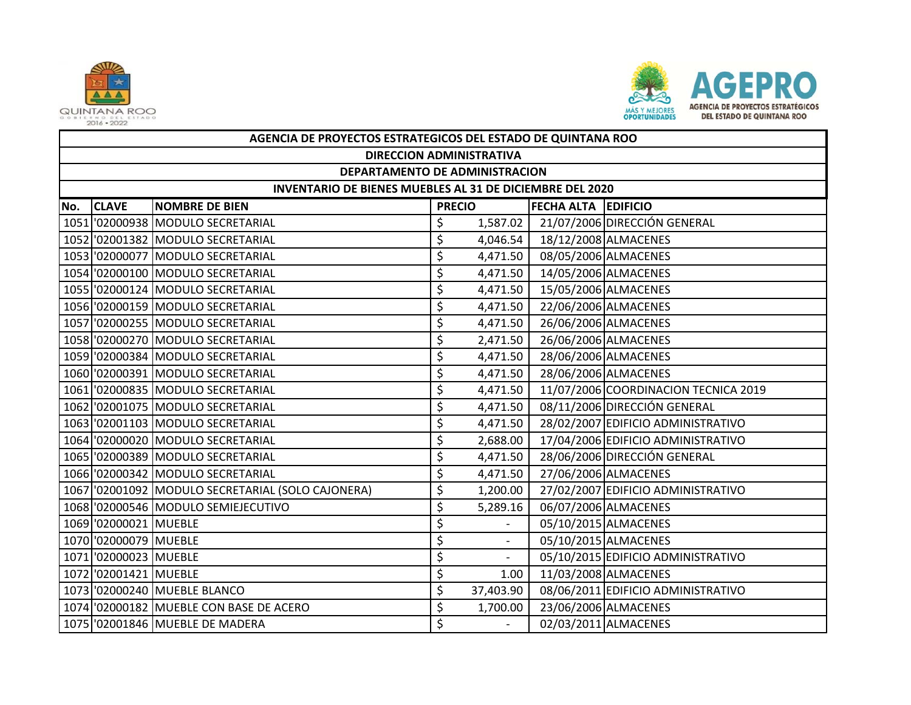



|     | AGENCIA DE PROYECTOS ESTRATEGICOS DEL ESTADO DE QUINTANA ROO |                                                   |               |                          |                     |                                      |  |  |  |  |
|-----|--------------------------------------------------------------|---------------------------------------------------|---------------|--------------------------|---------------------|--------------------------------------|--|--|--|--|
|     | <b>DIRECCION ADMINISTRATIVA</b>                              |                                                   |               |                          |                     |                                      |  |  |  |  |
|     | DEPARTAMENTO DE ADMINISTRACION                               |                                                   |               |                          |                     |                                      |  |  |  |  |
|     | INVENTARIO DE BIENES MUEBLES AL 31 DE DICIEMBRE DEL 2020     |                                                   |               |                          |                     |                                      |  |  |  |  |
| No. | <b>CLAVE</b>                                                 | <b>NOMBRE DE BIEN</b>                             | <b>PRECIO</b> |                          | FECHA ALTA EDIFICIO |                                      |  |  |  |  |
|     |                                                              | 1051 '02000938 MODULO SECRETARIAL                 | \$            | 1,587.02                 |                     | 21/07/2006 DIRECCIÓN GENERAL         |  |  |  |  |
|     |                                                              | 1052 '02001382 MODULO SECRETARIAL                 | \$            | 4,046.54                 |                     | 18/12/2008 ALMACENES                 |  |  |  |  |
|     |                                                              | 1053 '02000077 MODULO SECRETARIAL                 | \$            | 4,471.50                 |                     | 08/05/2006 ALMACENES                 |  |  |  |  |
|     |                                                              | 1054 '02000100 MODULO SECRETARIAL                 | \$            | 4,471.50                 |                     | 14/05/2006 ALMACENES                 |  |  |  |  |
|     |                                                              | 1055 '02000124 MODULO SECRETARIAL                 | \$            | 4,471.50                 |                     | 15/05/2006 ALMACENES                 |  |  |  |  |
|     |                                                              | 1056 '02000159 MODULO SECRETARIAL                 | \$            | 4,471.50                 |                     | 22/06/2006 ALMACENES                 |  |  |  |  |
|     |                                                              | 1057 '02000255 MODULO SECRETARIAL                 | \$            | 4,471.50                 |                     | 26/06/2006 ALMACENES                 |  |  |  |  |
|     |                                                              | 1058 '02000270 MODULO SECRETARIAL                 | \$            | 2,471.50                 |                     | 26/06/2006 ALMACENES                 |  |  |  |  |
|     |                                                              | 1059 '02000384 MODULO SECRETARIAL                 | \$            | 4,471.50                 |                     | 28/06/2006 ALMACENES                 |  |  |  |  |
|     |                                                              | 1060 '02000391 MODULO SECRETARIAL                 | \$            | 4,471.50                 |                     | 28/06/2006 ALMACENES                 |  |  |  |  |
|     |                                                              | 1061 '02000835 MODULO SECRETARIAL                 | \$            | 4,471.50                 |                     | 11/07/2006 COORDINACION TECNICA 2019 |  |  |  |  |
|     |                                                              | 1062 '02001075 MODULO SECRETARIAL                 | \$            | 4,471.50                 |                     | 08/11/2006 DIRECCIÓN GENERAL         |  |  |  |  |
|     |                                                              | 1063 '02001103 MODULO SECRETARIAL                 | \$            | 4,471.50                 |                     | 28/02/2007 EDIFICIO ADMINISTRATIVO   |  |  |  |  |
|     |                                                              | 1064 '02000020 MODULO SECRETARIAL                 | \$            | 2,688.00                 |                     | 17/04/2006 EDIFICIO ADMINISTRATIVO   |  |  |  |  |
|     |                                                              | 1065 '02000389 MODULO SECRETARIAL                 | \$            | 4,471.50                 |                     | 28/06/2006 DIRECCIÓN GENERAL         |  |  |  |  |
|     |                                                              | 1066 '02000342 MODULO SECRETARIAL                 | \$            | 4,471.50                 |                     | 27/06/2006 ALMACENES                 |  |  |  |  |
|     |                                                              | 1067 '02001092 MODULO SECRETARIAL (SOLO CAJONERA) | \$            | 1,200.00                 |                     | 27/02/2007 EDIFICIO ADMINISTRATIVO   |  |  |  |  |
|     |                                                              | 1068 '02000546 MODULO SEMIEJECUTIVO               | \$            | 5,289.16                 |                     | 06/07/2006 ALMACENES                 |  |  |  |  |
|     | 1069 '02000021 MUEBLE                                        |                                                   | \$            |                          |                     | 05/10/2015 ALMACENES                 |  |  |  |  |
|     | 1070 '02000079 MUEBLE                                        |                                                   | \$            | $\overline{\phantom{a}}$ |                     | 05/10/2015 ALMACENES                 |  |  |  |  |
|     | 1071 02000023 MUEBLE                                         |                                                   | \$            |                          |                     | 05/10/2015 EDIFICIO ADMINISTRATIVO   |  |  |  |  |
|     | 1072 02001421 MUEBLE                                         |                                                   | \$            | 1.00                     |                     | 11/03/2008 ALMACENES                 |  |  |  |  |
|     |                                                              | 1073 '02000240 MUEBLE BLANCO                      | \$            | 37,403.90                |                     | 08/06/2011 EDIFICIO ADMINISTRATIVO   |  |  |  |  |
|     |                                                              | 1074 '02000182 MUEBLE CON BASE DE ACERO           | \$            | 1,700.00                 |                     | 23/06/2006 ALMACENES                 |  |  |  |  |
|     |                                                              | 1075 '02001846 MUEBLE DE MADERA                   | \$            | $\sim$                   |                     | 02/03/2011 ALMACENES                 |  |  |  |  |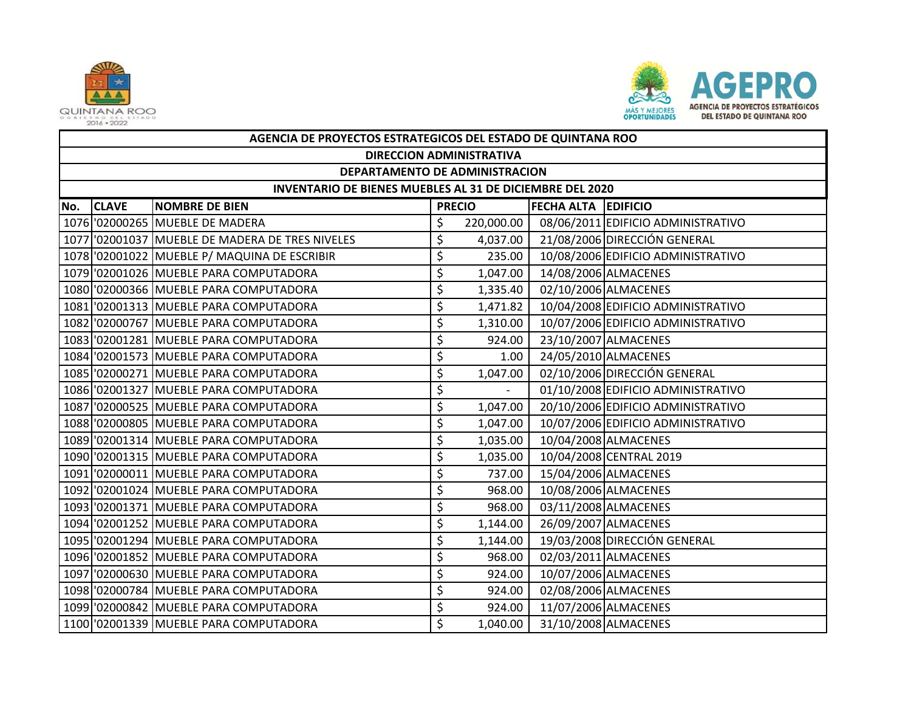



|     | AGENCIA DE PROYECTOS ESTRATEGICOS DEL ESTADO DE QUINTANA ROO |                                                 |         |               |                            |                                    |  |  |  |  |  |
|-----|--------------------------------------------------------------|-------------------------------------------------|---------|---------------|----------------------------|------------------------------------|--|--|--|--|--|
|     | <b>DIRECCION ADMINISTRATIVA</b>                              |                                                 |         |               |                            |                                    |  |  |  |  |  |
|     | DEPARTAMENTO DE ADMINISTRACION                               |                                                 |         |               |                            |                                    |  |  |  |  |  |
|     | INVENTARIO DE BIENES MUEBLES AL 31 DE DICIEMBRE DEL 2020     |                                                 |         |               |                            |                                    |  |  |  |  |  |
| No. | <b>CLAVE</b>                                                 | <b>NOMBRE DE BIEN</b>                           |         | <b>PRECIO</b> | <b>FECHA ALTA EDIFICIO</b> |                                    |  |  |  |  |  |
|     |                                                              | 1076 '02000265 MUEBLE DE MADERA                 | \$      | 220,000.00    |                            | 08/06/2011 EDIFICIO ADMINISTRATIVO |  |  |  |  |  |
|     |                                                              | 1077 '02001037 MUEBLE DE MADERA DE TRES NIVELES | \$      | 4,037.00      |                            | 21/08/2006 DIRECCIÓN GENERAL       |  |  |  |  |  |
|     |                                                              | 1078 '02001022 MUEBLE P/ MAQUINA DE ESCRIBIR    | \$      | 235.00        |                            | 10/08/2006 EDIFICIO ADMINISTRATIVO |  |  |  |  |  |
|     |                                                              | 1079 '02001026 MUEBLE PARA COMPUTADORA          | \$      | 1,047.00      |                            | 14/08/2006 ALMACENES               |  |  |  |  |  |
|     |                                                              | 1080 '02000366 MUEBLE PARA COMPUTADORA          | \$      | 1,335.40      |                            | 02/10/2006 ALMACENES               |  |  |  |  |  |
|     |                                                              | 1081 02001313 MUEBLE PARA COMPUTADORA           | \$      | 1,471.82      |                            | 10/04/2008 EDIFICIO ADMINISTRATIVO |  |  |  |  |  |
|     |                                                              | 1082 '02000767 MUEBLE PARA COMPUTADORA          | \$      | 1,310.00      |                            | 10/07/2006 EDIFICIO ADMINISTRATIVO |  |  |  |  |  |
|     |                                                              | 1083 '02001281 MUEBLE PARA COMPUTADORA          | \$      | 924.00        |                            | 23/10/2007 ALMACENES               |  |  |  |  |  |
|     |                                                              | 1084 '02001573 MUEBLE PARA COMPUTADORA          | \$      | 1.00          |                            | 24/05/2010 ALMACENES               |  |  |  |  |  |
|     |                                                              | 1085 '02000271 MUEBLE PARA COMPUTADORA          | \$      | 1,047.00      |                            | 02/10/2006 DIRECCIÓN GENERAL       |  |  |  |  |  |
|     |                                                              | 1086 '02001327 MUEBLE PARA COMPUTADORA          | \$      |               |                            | 01/10/2008 EDIFICIO ADMINISTRATIVO |  |  |  |  |  |
|     |                                                              | 1087 '02000525 MUEBLE PARA COMPUTADORA          | \$      | 1,047.00      |                            | 20/10/2006 EDIFICIO ADMINISTRATIVO |  |  |  |  |  |
|     |                                                              | 1088 '02000805 MUEBLE PARA COMPUTADORA          | \$      | 1,047.00      |                            | 10/07/2006 EDIFICIO ADMINISTRATIVO |  |  |  |  |  |
|     |                                                              | 1089 '02001314 MUEBLE PARA COMPUTADORA          | \$      | 1,035.00      |                            | 10/04/2008 ALMACENES               |  |  |  |  |  |
|     |                                                              | 1090 '02001315 MUEBLE PARA COMPUTADORA          | \$      | 1,035.00      |                            | 10/04/2008 CENTRAL 2019            |  |  |  |  |  |
|     |                                                              | 1091 02000011 MUEBLE PARA COMPUTADORA           | \$      | 737.00        |                            | 15/04/2006 ALMACENES               |  |  |  |  |  |
|     |                                                              | 1092 '02001024 MUEBLE PARA COMPUTADORA          | \$      | 968.00        |                            | 10/08/2006 ALMACENES               |  |  |  |  |  |
|     |                                                              | 1093 '02001371 MUEBLE PARA COMPUTADORA          | \$      | 968.00        |                            | 03/11/2008 ALMACENES               |  |  |  |  |  |
|     |                                                              | 1094 '02001252 MUEBLE PARA COMPUTADORA          | \$      | 1,144.00      |                            | 26/09/2007 ALMACENES               |  |  |  |  |  |
|     |                                                              | 1095 '02001294 MUEBLE PARA COMPUTADORA          | \$      | 1,144.00      |                            | 19/03/2008 DIRECCIÓN GENERAL       |  |  |  |  |  |
|     |                                                              | 1096 '02001852 MUEBLE PARA COMPUTADORA          | \$      | 968.00        |                            | 02/03/2011 ALMACENES               |  |  |  |  |  |
|     |                                                              | 1097 '02000630 MUEBLE PARA COMPUTADORA          | \$      | 924.00        |                            | 10/07/2006 ALMACENES               |  |  |  |  |  |
|     |                                                              | 1098 '02000784 MUEBLE PARA COMPUTADORA          | \$      | 924.00        |                            | 02/08/2006 ALMACENES               |  |  |  |  |  |
|     |                                                              | 1099 '02000842 MUEBLE PARA COMPUTADORA          | \$      | 924.00        |                            | 11/07/2006 ALMACENES               |  |  |  |  |  |
|     |                                                              | 1100 '02001339 MUEBLE PARA COMPUTADORA          | $\zeta$ | 1,040.00      |                            | 31/10/2008 ALMACENES               |  |  |  |  |  |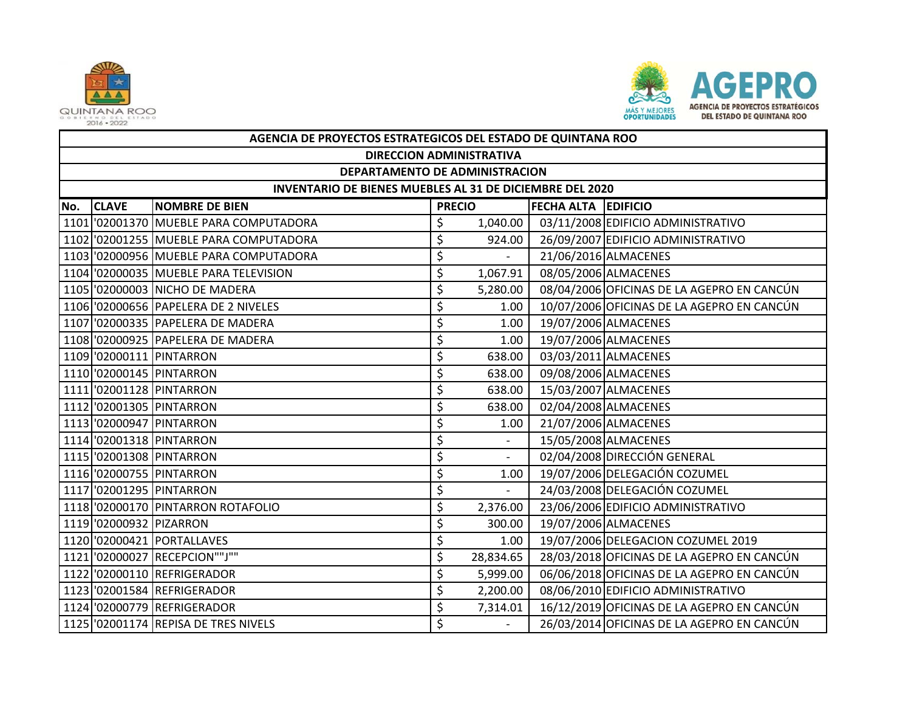



|     | AGENCIA DE PROYECTOS ESTRATEGICOS DEL ESTADO DE QUINTANA ROO |                                        |                     |                          |  |                                            |  |  |  |  |
|-----|--------------------------------------------------------------|----------------------------------------|---------------------|--------------------------|--|--------------------------------------------|--|--|--|--|
|     | <b>DIRECCION ADMINISTRATIVA</b>                              |                                        |                     |                          |  |                                            |  |  |  |  |
|     | DEPARTAMENTO DE ADMINISTRACION                               |                                        |                     |                          |  |                                            |  |  |  |  |
|     | INVENTARIO DE BIENES MUEBLES AL 31 DE DICIEMBRE DEL 2020     |                                        |                     |                          |  |                                            |  |  |  |  |
| No. | <b>CLAVE</b>                                                 | <b>NOMBRE DE BIEN</b>                  | FECHA ALTA EDIFICIO |                          |  |                                            |  |  |  |  |
|     |                                                              | 1101 02001370 MUEBLE PARA COMPUTADORA  | \$                  | 1,040.00                 |  | 03/11/2008 EDIFICIO ADMINISTRATIVO         |  |  |  |  |
|     |                                                              | 1102 '02001255 MUEBLE PARA COMPUTADORA | \$                  | 924.00                   |  | 26/09/2007 EDIFICIO ADMINISTRATIVO         |  |  |  |  |
|     |                                                              | 1103 02000956 MUEBLE PARA COMPUTADORA  | \$                  |                          |  | 21/06/2016 ALMACENES                       |  |  |  |  |
|     |                                                              | 1104 02000035 MUEBLE PARA TELEVISION   | \$                  | 1,067.91                 |  | 08/05/2006 ALMACENES                       |  |  |  |  |
|     |                                                              | 1105 '02000003 NICHO DE MADERA         | \$                  | 5,280.00                 |  | 08/04/2006 OFICINAS DE LA AGEPRO EN CANCÚN |  |  |  |  |
|     |                                                              | 1106 '02000656 PAPELERA DE 2 NIVELES   | \$                  | 1.00                     |  | 10/07/2006 OFICINAS DE LA AGEPRO EN CANCÚN |  |  |  |  |
|     |                                                              | 1107 '02000335 PAPELERA DE MADERA      | \$                  | 1.00                     |  | 19/07/2006 ALMACENES                       |  |  |  |  |
|     |                                                              | 1108 '02000925 PAPELERA DE MADERA      | \$                  | 1.00                     |  | 19/07/2006 ALMACENES                       |  |  |  |  |
|     |                                                              | 1109 '02000111 PINTARRON               | \$                  | 638.00                   |  | 03/03/2011 ALMACENES                       |  |  |  |  |
|     |                                                              | 1110 '02000145 PINTARRON               | \$                  | 638.00                   |  | 09/08/2006 ALMACENES                       |  |  |  |  |
|     |                                                              | 1111 '02001128 PINTARRON               | \$                  | 638.00                   |  | 15/03/2007 ALMACENES                       |  |  |  |  |
|     |                                                              | 1112 '02001305 PINTARRON               | \$                  | 638.00                   |  | 02/04/2008 ALMACENES                       |  |  |  |  |
|     |                                                              | 1113 '02000947 PINTARRON               | \$                  | 1.00                     |  | 21/07/2006 ALMACENES                       |  |  |  |  |
|     |                                                              | 1114 '02001318 PINTARRON               | \$                  | $\overline{\phantom{a}}$ |  | 15/05/2008 ALMACENES                       |  |  |  |  |
|     |                                                              | 1115 '02001308 PINTARRON               | \$                  |                          |  | 02/04/2008 DIRECCIÓN GENERAL               |  |  |  |  |
|     |                                                              | 1116 '02000755 PINTARRON               | \$                  | 1.00                     |  | 19/07/2006 DELEGACIÓN COZUMEL              |  |  |  |  |
|     |                                                              | 1117 '02001295 PINTARRON               | \$                  |                          |  | 24/03/2008 DELEGACIÓN COZUMEL              |  |  |  |  |
|     |                                                              | 1118 '02000170 PINTARRON ROTAFOLIO     | \$                  | 2,376.00                 |  | 23/06/2006 EDIFICIO ADMINISTRATIVO         |  |  |  |  |
|     | 1119 '02000932 PIZARRON                                      |                                        | \$                  | 300.00                   |  | 19/07/2006 ALMACENES                       |  |  |  |  |
|     |                                                              | 1120 '02000421 PORTALLAVES             | \$                  | 1.00                     |  | 19/07/2006 DELEGACION COZUMEL 2019         |  |  |  |  |
|     |                                                              | 1121 '02000027 RECEPCION""J""          | \$                  | 28,834.65                |  | 28/03/2018 OFICINAS DE LA AGEPRO EN CANCÚN |  |  |  |  |
|     |                                                              | 1122 '02000110 REFRIGERADOR            | \$                  | 5,999.00                 |  | 06/06/2018 OFICINAS DE LA AGEPRO EN CANCÚN |  |  |  |  |
|     |                                                              | 1123 '02001584 REFRIGERADOR            | \$                  | 2,200.00                 |  | 08/06/2010 EDIFICIO ADMINISTRATIVO         |  |  |  |  |
|     |                                                              | 1124 '02000779 REFRIGERADOR            | \$                  | 7,314.01                 |  | 16/12/2019 OFICINAS DE LA AGEPRO EN CANCÚN |  |  |  |  |
|     |                                                              | 1125 '02001174 REPISA DE TRES NIVELS   | Ś                   |                          |  | 26/03/2014 OFICINAS DE LA AGEPRO EN CANCÚN |  |  |  |  |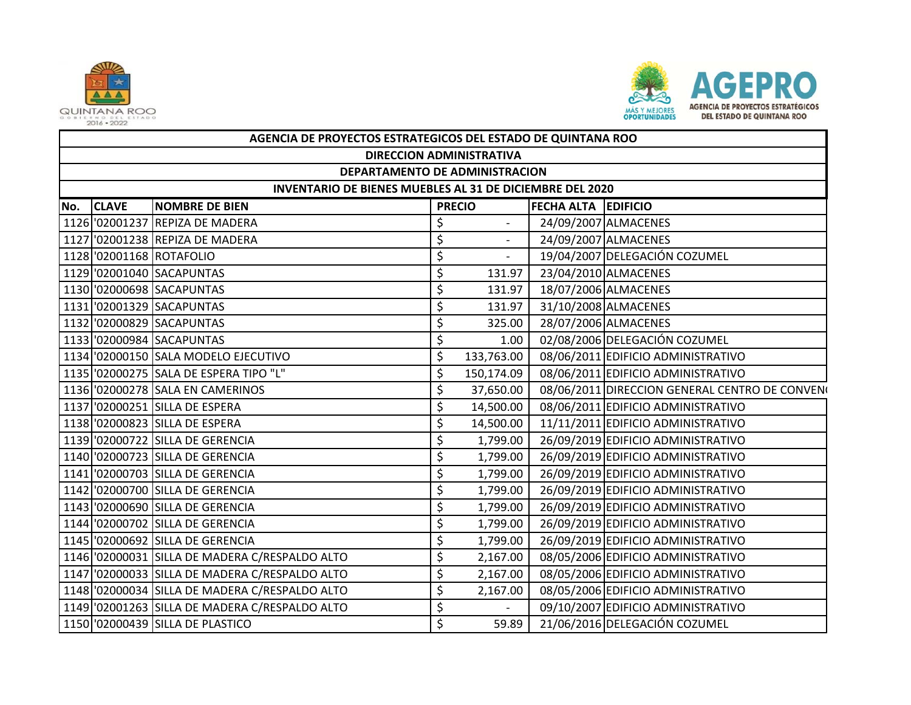



|     | AGENCIA DE PROYECTOS ESTRATEGICOS DEL ESTADO DE QUINTANA ROO |                                                |    |                              |                            |                                                |  |  |  |  |
|-----|--------------------------------------------------------------|------------------------------------------------|----|------------------------------|----------------------------|------------------------------------------------|--|--|--|--|
|     | <b>DIRECCION ADMINISTRATIVA</b>                              |                                                |    |                              |                            |                                                |  |  |  |  |
|     | DEPARTAMENTO DE ADMINISTRACION                               |                                                |    |                              |                            |                                                |  |  |  |  |
|     | INVENTARIO DE BIENES MUEBLES AL 31 DE DICIEMBRE DEL 2020     |                                                |    |                              |                            |                                                |  |  |  |  |
| No. | <b>CLAVE</b>                                                 | <b>NOMBRE DE BIEN</b>                          |    | <b>PRECIO</b>                | <b>FECHA ALTA EDIFICIO</b> |                                                |  |  |  |  |
|     |                                                              | 1126 '02001237 REPIZA DE MADERA                | \$ |                              |                            | 24/09/2007 ALMACENES                           |  |  |  |  |
|     |                                                              | 1127 '02001238 REPIZA DE MADERA                | \$ | $\overline{\phantom{a}}$     |                            | 24/09/2007 ALMACENES                           |  |  |  |  |
|     |                                                              | 1128 '02001168 ROTAFOLIO                       | \$ | $\qquad \qquad \blacksquare$ |                            | 19/04/2007 DELEGACIÓN COZUMEL                  |  |  |  |  |
|     |                                                              | 1129 '02001040 SACAPUNTAS                      | \$ | 131.97                       |                            | 23/04/2010 ALMACENES                           |  |  |  |  |
|     |                                                              | 1130 '02000698 SACAPUNTAS                      | \$ | 131.97                       |                            | 18/07/2006 ALMACENES                           |  |  |  |  |
|     |                                                              | 1131 '02001329 SACAPUNTAS                      | \$ | 131.97                       |                            | 31/10/2008 ALMACENES                           |  |  |  |  |
|     |                                                              | 1132 '02000829 SACAPUNTAS                      | \$ | 325.00                       |                            | 28/07/2006 ALMACENES                           |  |  |  |  |
|     |                                                              | 1133 '02000984 SACAPUNTAS                      | \$ | 1.00                         |                            | 02/08/2006 DELEGACIÓN COZUMEL                  |  |  |  |  |
|     |                                                              | 1134 02000150 SALA MODELO EJECUTIVO            | \$ | 133,763.00                   |                            | 08/06/2011 EDIFICIO ADMINISTRATIVO             |  |  |  |  |
|     |                                                              | 1135 '02000275 SALA DE ESPERA TIPO "L"         | \$ | 150,174.09                   |                            | 08/06/2011 EDIFICIO ADMINISTRATIVO             |  |  |  |  |
|     |                                                              | 1136 '02000278 SALA EN CAMERINOS               | \$ | 37,650.00                    |                            | 08/06/2011 DIRECCION GENERAL CENTRO DE CONVENO |  |  |  |  |
|     |                                                              | 1137 '02000251 SILLA DE ESPERA                 | \$ | 14,500.00                    |                            | 08/06/2011 EDIFICIO ADMINISTRATIVO             |  |  |  |  |
|     |                                                              | 1138 '02000823 SILLA DE ESPERA                 | \$ | 14,500.00                    |                            | 11/11/2011 EDIFICIO ADMINISTRATIVO             |  |  |  |  |
|     |                                                              | 1139 '02000722 SILLA DE GERENCIA               | \$ | 1,799.00                     |                            | 26/09/2019 EDIFICIO ADMINISTRATIVO             |  |  |  |  |
|     |                                                              | 1140 '02000723 SILLA DE GERENCIA               | \$ | 1,799.00                     |                            | 26/09/2019 EDIFICIO ADMINISTRATIVO             |  |  |  |  |
|     |                                                              | 1141 '02000703 SILLA DE GERENCIA               | \$ | 1,799.00                     |                            | 26/09/2019 EDIFICIO ADMINISTRATIVO             |  |  |  |  |
|     |                                                              | 1142 '02000700 SILLA DE GERENCIA               | \$ | 1,799.00                     |                            | 26/09/2019 EDIFICIO ADMINISTRATIVO             |  |  |  |  |
|     |                                                              | 1143 '02000690 SILLA DE GERENCIA               | \$ | 1,799.00                     |                            | 26/09/2019 EDIFICIO ADMINISTRATIVO             |  |  |  |  |
|     |                                                              | 1144 '02000702 SILLA DE GERENCIA               | \$ | 1,799.00                     |                            | 26/09/2019 EDIFICIO ADMINISTRATIVO             |  |  |  |  |
|     |                                                              | 1145 '02000692 SILLA DE GERENCIA               | \$ | 1,799.00                     |                            | 26/09/2019 EDIFICIO ADMINISTRATIVO             |  |  |  |  |
|     |                                                              | 1146 '02000031 SILLA DE MADERA C/RESPALDO ALTO | \$ | 2,167.00                     |                            | 08/05/2006 EDIFICIO ADMINISTRATIVO             |  |  |  |  |
|     |                                                              | 1147 '02000033 SILLA DE MADERA C/RESPALDO ALTO | \$ | 2,167.00                     |                            | 08/05/2006 EDIFICIO ADMINISTRATIVO             |  |  |  |  |
|     |                                                              | 1148 02000034 SILLA DE MADERA C/RESPALDO ALTO  | \$ | 2,167.00                     |                            | 08/05/2006 EDIFICIO ADMINISTRATIVO             |  |  |  |  |
|     |                                                              | 1149 '02001263 SILLA DE MADERA C/RESPALDO ALTO | \$ |                              |                            | 09/10/2007 EDIFICIO ADMINISTRATIVO             |  |  |  |  |
|     |                                                              | 1150 '02000439 SILLA DE PLASTICO               | \$ | 59.89                        |                            | 21/06/2016 DELEGACIÓN COZUMEL                  |  |  |  |  |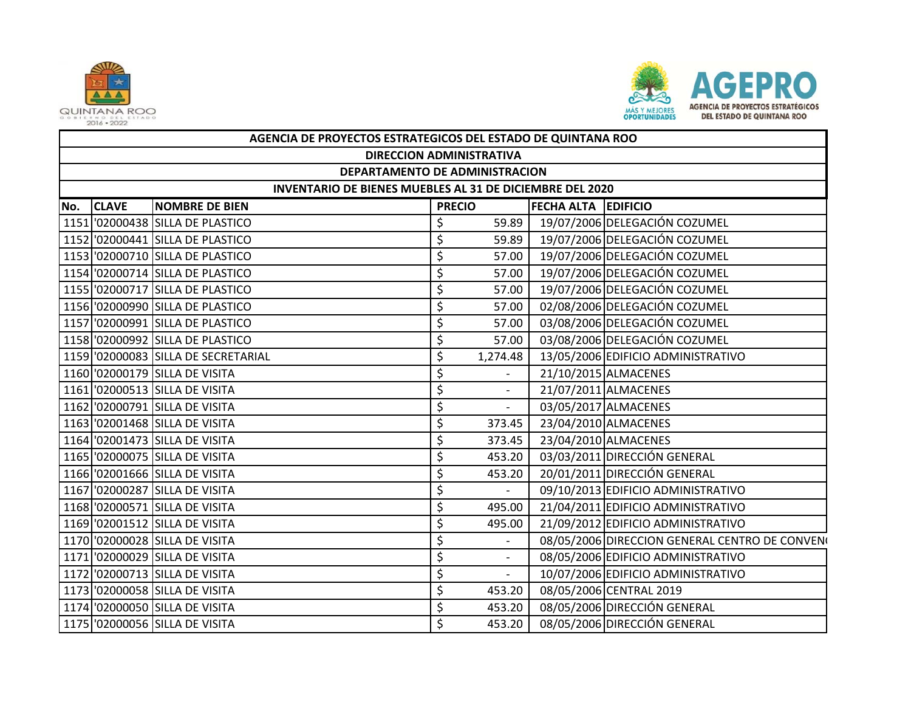



|     | AGENCIA DE PROYECTOS ESTRATEGICOS DEL ESTADO DE QUINTANA ROO |                                     |    |                                      |  |                                                |  |  |  |  |
|-----|--------------------------------------------------------------|-------------------------------------|----|--------------------------------------|--|------------------------------------------------|--|--|--|--|
|     | <b>DIRECCION ADMINISTRATIVA</b>                              |                                     |    |                                      |  |                                                |  |  |  |  |
|     | DEPARTAMENTO DE ADMINISTRACION                               |                                     |    |                                      |  |                                                |  |  |  |  |
|     | INVENTARIO DE BIENES MUEBLES AL 31 DE DICIEMBRE DEL 2020     |                                     |    |                                      |  |                                                |  |  |  |  |
| No. | <b>CLAVE</b>                                                 | <b>NOMBRE DE BIEN</b>               |    | FECHA ALTA EDIFICIO<br><b>PRECIO</b> |  |                                                |  |  |  |  |
|     |                                                              | 1151 '02000438 SILLA DE PLASTICO    | \$ | 59.89                                |  | 19/07/2006 DELEGACIÓN COZUMEL                  |  |  |  |  |
|     |                                                              | 1152 '02000441 SILLA DE PLASTICO    | \$ | 59.89                                |  | 19/07/2006 DELEGACIÓN COZUMEL                  |  |  |  |  |
|     |                                                              | 1153 '02000710 SILLA DE PLASTICO    | \$ | 57.00                                |  | 19/07/2006 DELEGACIÓN COZUMEL                  |  |  |  |  |
|     |                                                              | 1154 '02000714 SILLA DE PLASTICO    | \$ | 57.00                                |  | 19/07/2006 DELEGACIÓN COZUMEL                  |  |  |  |  |
|     |                                                              | 1155 '02000717 SILLA DE PLASTICO    | \$ | 57.00                                |  | 19/07/2006 DELEGACIÓN COZUMEL                  |  |  |  |  |
|     |                                                              | 1156 '02000990 SILLA DE PLASTICO    | \$ | 57.00                                |  | 02/08/2006 DELEGACIÓN COZUMEL                  |  |  |  |  |
|     |                                                              | 1157 '02000991 SILLA DE PLASTICO    | \$ | 57.00                                |  | 03/08/2006 DELEGACIÓN COZUMEL                  |  |  |  |  |
|     |                                                              | 1158 '02000992 SILLA DE PLASTICO    | \$ | 57.00                                |  | 03/08/2006 DELEGACIÓN COZUMEL                  |  |  |  |  |
|     |                                                              | 1159 '02000083 SILLA DE SECRETARIAL | \$ | 1,274.48                             |  | 13/05/2006 EDIFICIO ADMINISTRATIVO             |  |  |  |  |
|     |                                                              | 1160 '02000179 SILLA DE VISITA      | \$ |                                      |  | 21/10/2015 ALMACENES                           |  |  |  |  |
|     |                                                              | 1161 '02000513 SILLA DE VISITA      | \$ | $\overline{\phantom{a}}$             |  | 21/07/2011 ALMACENES                           |  |  |  |  |
|     |                                                              | 1162 '02000791 SILLA DE VISITA      | \$ | $\overline{\phantom{a}}$             |  | 03/05/2017 ALMACENES                           |  |  |  |  |
|     |                                                              | 1163 02001468 SILLA DE VISITA       | \$ | 373.45                               |  | 23/04/2010 ALMACENES                           |  |  |  |  |
|     |                                                              | 1164 '02001473 SILLA DE VISITA      | \$ | 373.45                               |  | 23/04/2010 ALMACENES                           |  |  |  |  |
|     |                                                              | 1165 '02000075 SILLA DE VISITA      | \$ | 453.20                               |  | 03/03/2011 DIRECCIÓN GENERAL                   |  |  |  |  |
|     |                                                              | 1166 '02001666 SILLA DE VISITA      | \$ | 453.20                               |  | 20/01/2011 DIRECCIÓN GENERAL                   |  |  |  |  |
|     |                                                              | 1167 '02000287 SILLA DE VISITA      |    | $\sim$                               |  | 09/10/2013 EDIFICIO ADMINISTRATIVO             |  |  |  |  |
|     |                                                              | 1168 '02000571 SILLA DE VISITA      | \$ | 495.00                               |  | 21/04/2011 EDIFICIO ADMINISTRATIVO             |  |  |  |  |
|     |                                                              | 1169 '02001512 SILLA DE VISITA      | \$ | 495.00                               |  | 21/09/2012 EDIFICIO ADMINISTRATIVO             |  |  |  |  |
|     |                                                              | 1170 '02000028 SILLA DE VISITA      | \$ |                                      |  | 08/05/2006 DIRECCION GENERAL CENTRO DE CONVENO |  |  |  |  |
|     |                                                              | 1171 '02000029 SILLA DE VISITA      | \$ | $\overline{\phantom{a}}$             |  | 08/05/2006 EDIFICIO ADMINISTRATIVO             |  |  |  |  |
|     |                                                              | 1172 '02000713 SILLA DE VISITA      | \$ | $\overline{\phantom{a}}$             |  | 10/07/2006 EDIFICIO ADMINISTRATIVO             |  |  |  |  |
|     |                                                              | 1173 '02000058 SILLA DE VISITA      | \$ | 453.20                               |  | 08/05/2006 CENTRAL 2019                        |  |  |  |  |
|     |                                                              | 1174 '02000050 SILLA DE VISITA      | \$ | 453.20                               |  | 08/05/2006 DIRECCIÓN GENERAL                   |  |  |  |  |
|     |                                                              | 1175 '02000056 SILLA DE VISITA      | \$ | 453.20                               |  | 08/05/2006 DIRECCIÓN GENERAL                   |  |  |  |  |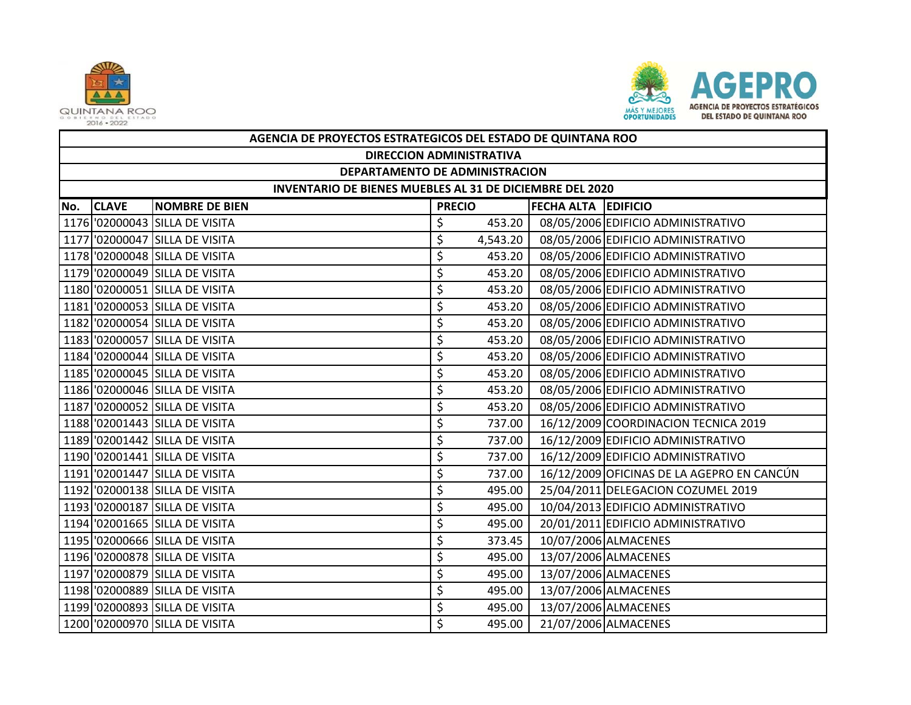



|     | AGENCIA DE PROYECTOS ESTRATEGICOS DEL ESTADO DE QUINTANA ROO |                                |                            |          |  |                                            |  |  |  |  |
|-----|--------------------------------------------------------------|--------------------------------|----------------------------|----------|--|--------------------------------------------|--|--|--|--|
|     | <b>DIRECCION ADMINISTRATIVA</b>                              |                                |                            |          |  |                                            |  |  |  |  |
|     | DEPARTAMENTO DE ADMINISTRACION                               |                                |                            |          |  |                                            |  |  |  |  |
|     | INVENTARIO DE BIENES MUEBLES AL 31 DE DICIEMBRE DEL 2020     |                                |                            |          |  |                                            |  |  |  |  |
| No. | <b>CLAVE</b>                                                 | <b>NOMBRE DE BIEN</b>          | <b>FECHA ALTA EDIFICIO</b> |          |  |                                            |  |  |  |  |
|     |                                                              | 1176 '02000043 SILLA DE VISITA | \$                         | 453.20   |  | 08/05/2006 EDIFICIO ADMINISTRATIVO         |  |  |  |  |
|     |                                                              | 1177 '02000047 SILLA DE VISITA | \$                         | 4,543.20 |  | 08/05/2006 EDIFICIO ADMINISTRATIVO         |  |  |  |  |
|     |                                                              | 1178 '02000048 SILLA DE VISITA | \$                         | 453.20   |  | 08/05/2006 EDIFICIO ADMINISTRATIVO         |  |  |  |  |
|     |                                                              | 1179 '02000049 SILLA DE VISITA | \$                         | 453.20   |  | 08/05/2006 EDIFICIO ADMINISTRATIVO         |  |  |  |  |
|     |                                                              | 1180 '02000051 SILLA DE VISITA | \$                         | 453.20   |  | 08/05/2006 EDIFICIO ADMINISTRATIVO         |  |  |  |  |
|     |                                                              | 1181 02000053 SILLA DE VISITA  | \$                         | 453.20   |  | 08/05/2006 EDIFICIO ADMINISTRATIVO         |  |  |  |  |
|     |                                                              | 1182 '02000054 SILLA DE VISITA | \$                         | 453.20   |  | 08/05/2006 EDIFICIO ADMINISTRATIVO         |  |  |  |  |
|     |                                                              | 1183 '02000057 SILLA DE VISITA | \$                         | 453.20   |  | 08/05/2006 EDIFICIO ADMINISTRATIVO         |  |  |  |  |
|     |                                                              | 1184 '02000044 SILLA DE VISITA | \$                         | 453.20   |  | 08/05/2006 EDIFICIO ADMINISTRATIVO         |  |  |  |  |
|     |                                                              | 1185 '02000045 SILLA DE VISITA | \$                         | 453.20   |  | 08/05/2006 EDIFICIO ADMINISTRATIVO         |  |  |  |  |
|     |                                                              | 1186 '02000046 SILLA DE VISITA | \$                         | 453.20   |  | 08/05/2006 EDIFICIO ADMINISTRATIVO         |  |  |  |  |
|     |                                                              | 1187 '02000052 SILLA DE VISITA | \$                         | 453.20   |  | 08/05/2006 EDIFICIO ADMINISTRATIVO         |  |  |  |  |
|     |                                                              | 1188 '02001443 SILLA DE VISITA | \$                         | 737.00   |  | 16/12/2009 COORDINACION TECNICA 2019       |  |  |  |  |
|     |                                                              | 1189 '02001442 SILLA DE VISITA | \$                         | 737.00   |  | 16/12/2009 EDIFICIO ADMINISTRATIVO         |  |  |  |  |
|     |                                                              | 1190 '02001441 SILLA DE VISITA | \$                         | 737.00   |  | 16/12/2009 EDIFICIO ADMINISTRATIVO         |  |  |  |  |
|     |                                                              | 1191 '02001447 SILLA DE VISITA | \$                         | 737.00   |  | 16/12/2009 OFICINAS DE LA AGEPRO EN CANCÚN |  |  |  |  |
|     |                                                              | 1192 '02000138 SILLA DE VISITA | \$                         | 495.00   |  | 25/04/2011 DELEGACION COZUMEL 2019         |  |  |  |  |
|     |                                                              | 1193 '02000187 SILLA DE VISITA | \$                         | 495.00   |  | 10/04/2013 EDIFICIO ADMINISTRATIVO         |  |  |  |  |
|     |                                                              | 1194 '02001665 SILLA DE VISITA | \$                         | 495.00   |  | 20/01/2011 EDIFICIO ADMINISTRATIVO         |  |  |  |  |
|     |                                                              | 1195 '02000666 SILLA DE VISITA | \$                         | 373.45   |  | 10/07/2006 ALMACENES                       |  |  |  |  |
|     |                                                              | 1196 '02000878 SILLA DE VISITA | \$                         | 495.00   |  | 13/07/2006 ALMACENES                       |  |  |  |  |
|     |                                                              | 1197 '02000879 SILLA DE VISITA | \$                         | 495.00   |  | 13/07/2006 ALMACENES                       |  |  |  |  |
|     |                                                              | 1198 '02000889 SILLA DE VISITA | \$                         | 495.00   |  | 13/07/2006 ALMACENES                       |  |  |  |  |
|     |                                                              | 1199 '02000893 SILLA DE VISITA | \$                         | 495.00   |  | 13/07/2006 ALMACENES                       |  |  |  |  |
|     |                                                              | 1200 '02000970 SILLA DE VISITA | \$                         | 495.00   |  | 21/07/2006 ALMACENES                       |  |  |  |  |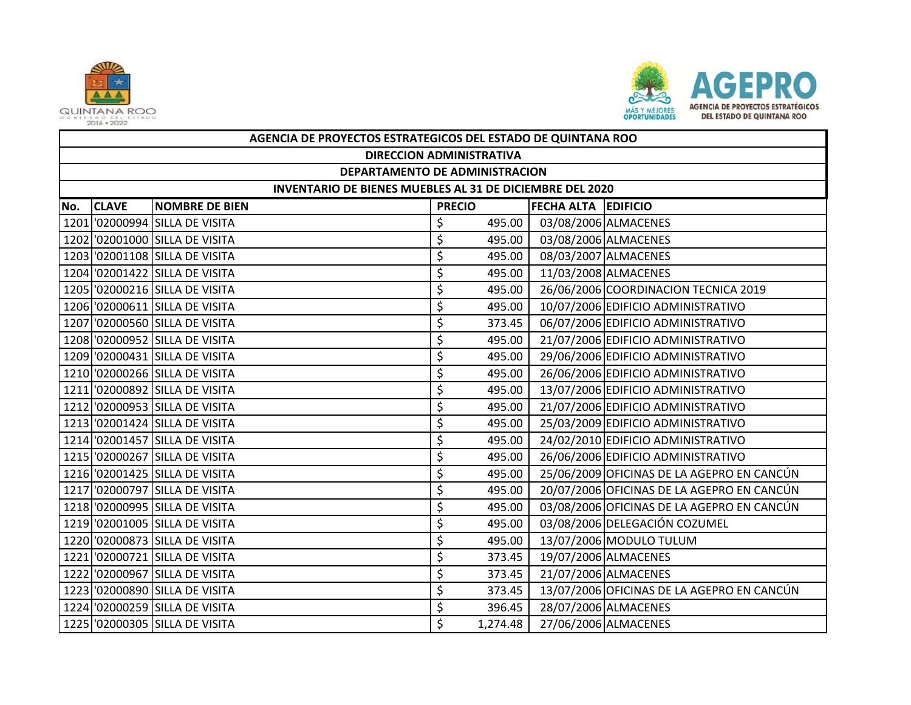



|     | AGENCIA DE PROYECTOS ESTRATEGICOS DEL ESTADO DE QUINTANA ROO |                                |                    |          |                            |                                            |  |  |  |
|-----|--------------------------------------------------------------|--------------------------------|--------------------|----------|----------------------------|--------------------------------------------|--|--|--|
|     | <b>DIRECCION ADMINISTRATIVA</b>                              |                                |                    |          |                            |                                            |  |  |  |
|     | DEPARTAMENTO DE ADMINISTRACION                               |                                |                    |          |                            |                                            |  |  |  |
|     | INVENTARIO DE BIENES MUEBLES AL 31 DE DICIEMBRE DEL 2020     |                                |                    |          |                            |                                            |  |  |  |
| No. | <b>CLAVE</b>                                                 | <b>NOMBRE DE BIEN</b>          | <b>PRECIO</b>      |          | <b>FECHA ALTA EDIFICIO</b> |                                            |  |  |  |
|     |                                                              | 1201 '02000994 SILLA DE VISITA | \$                 | 495.00   |                            | 03/08/2006 ALMACENES                       |  |  |  |
|     |                                                              | 1202 '02001000 SILLA DE VISITA | \$                 | 495.00   |                            | 03/08/2006 ALMACENES                       |  |  |  |
|     |                                                              | 1203 02001108 SILLA DE VISITA  | \$                 | 495.00   |                            | 08/03/2007 ALMACENES                       |  |  |  |
|     |                                                              | 1204 '02001422 SILLA DE VISITA | \$                 | 495.00   |                            | 11/03/2008 ALMACENES                       |  |  |  |
|     |                                                              | 1205 '02000216 SILLA DE VISITA | \$                 | 495.00   |                            | 26/06/2006 COORDINACION TECNICA 2019       |  |  |  |
|     |                                                              | 1206 '02000611 SILLA DE VISITA | \$                 | 495.00   |                            | 10/07/2006 EDIFICIO ADMINISTRATIVO         |  |  |  |
|     |                                                              | 1207 02000560 SILLA DE VISITA  | \$                 | 373.45   |                            | 06/07/2006 EDIFICIO ADMINISTRATIVO         |  |  |  |
|     |                                                              | 1208 02000952 SILLA DE VISITA  | \$                 | 495.00   |                            | 21/07/2006 EDIFICIO ADMINISTRATIVO         |  |  |  |
|     |                                                              | 1209 '02000431 SILLA DE VISITA | \$                 | 495.00   |                            | 29/06/2006 EDIFICIO ADMINISTRATIVO         |  |  |  |
|     |                                                              | 1210 '02000266 SILLA DE VISITA | \$                 | 495.00   |                            | 26/06/2006 EDIFICIO ADMINISTRATIVO         |  |  |  |
|     |                                                              | 1211 '02000892 SILLA DE VISITA | \$                 | 495.00   |                            | 13/07/2006 EDIFICIO ADMINISTRATIVO         |  |  |  |
|     |                                                              | 1212 '02000953 SILLA DE VISITA | \$                 | 495.00   |                            | 21/07/2006 EDIFICIO ADMINISTRATIVO         |  |  |  |
|     |                                                              | 1213 '02001424 SILLA DE VISITA | \$                 | 495.00   |                            | 25/03/2009 EDIFICIO ADMINISTRATIVO         |  |  |  |
|     |                                                              | 1214 '02001457 SILLA DE VISITA | \$                 | 495.00   |                            | 24/02/2010 EDIFICIO ADMINISTRATIVO         |  |  |  |
|     |                                                              | 1215 '02000267 SILLA DE VISITA | \$                 | 495.00   |                            | 26/06/2006 EDIFICIO ADMINISTRATIVO         |  |  |  |
|     |                                                              | 1216 '02001425 SILLA DE VISITA | \$                 | 495.00   |                            | 25/06/2009 OFICINAS DE LA AGEPRO EN CANCÚN |  |  |  |
|     |                                                              | 1217 '02000797 SILLA DE VISITA | \$                 | 495.00   |                            | 20/07/2006 OFICINAS DE LA AGEPRO EN CANCÚN |  |  |  |
|     |                                                              | 1218 '02000995 SILLA DE VISITA | \$                 | 495.00   |                            | 03/08/2006 OFICINAS DE LA AGEPRO EN CANCÚN |  |  |  |
|     |                                                              | 1219 '02001005 SILLA DE VISITA | \$                 | 495.00   |                            | 03/08/2006 DELEGACIÓN COZUMEL              |  |  |  |
|     |                                                              | 1220 '02000873 SILLA DE VISITA | \$                 | 495.00   |                            | 13/07/2006 MODULO TULUM                    |  |  |  |
|     |                                                              | 1221 '02000721 SILLA DE VISITA | \$                 | 373.45   |                            | 19/07/2006 ALMACENES                       |  |  |  |
|     |                                                              | 1222 '02000967 SILLA DE VISITA | \$                 | 373.45   |                            | 21/07/2006 ALMACENES                       |  |  |  |
|     |                                                              | 1223 '02000890 SILLA DE VISITA | \$                 | 373.45   |                            | 13/07/2006 OFICINAS DE LA AGEPRO EN CANCÚN |  |  |  |
|     |                                                              | 1224 '02000259 SILLA DE VISITA | \$                 | 396.45   |                            | 28/07/2006 ALMACENES                       |  |  |  |
|     |                                                              | 1225 '02000305 SILLA DE VISITA | $\mathsf{\dot{S}}$ | 1,274.48 |                            | 27/06/2006 ALMACENES                       |  |  |  |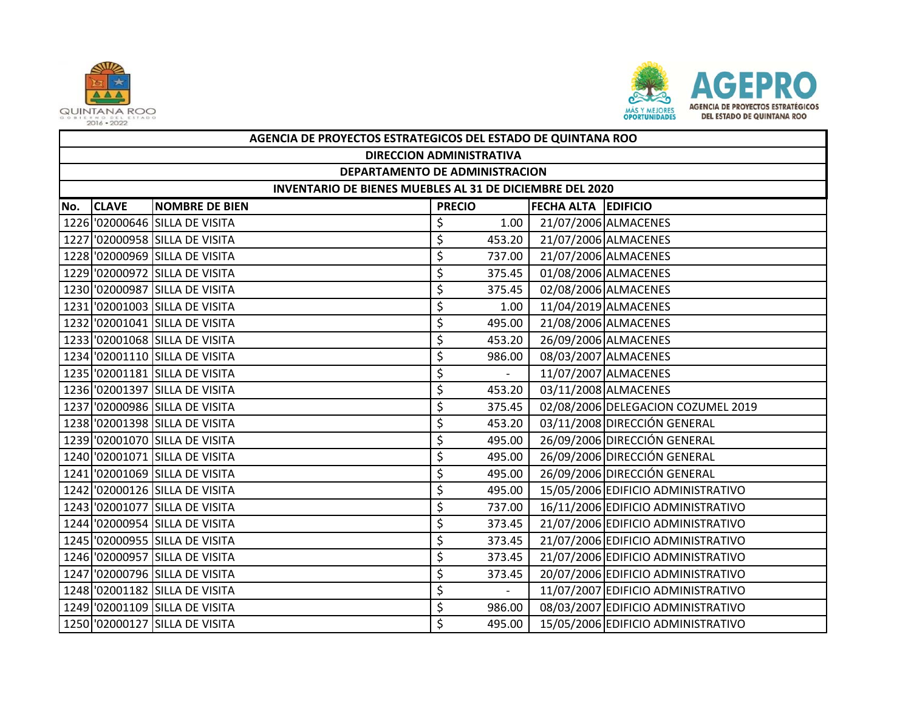



| AGENCIA DE PROYECTOS ESTRATEGICOS DEL ESTADO DE QUINTANA ROO |                                |               |                  |                     |                                    |  |  |  |
|--------------------------------------------------------------|--------------------------------|---------------|------------------|---------------------|------------------------------------|--|--|--|
| <b>DIRECCION ADMINISTRATIVA</b>                              |                                |               |                  |                     |                                    |  |  |  |
| DEPARTAMENTO DE ADMINISTRACION                               |                                |               |                  |                     |                                    |  |  |  |
| INVENTARIO DE BIENES MUEBLES AL 31 DE DICIEMBRE DEL 2020     |                                |               |                  |                     |                                    |  |  |  |
| No. CLAVE                                                    | <b>NOMBRE DE BIEN</b>          | <b>PRECIO</b> |                  | FECHA ALTA EDIFICIO |                                    |  |  |  |
|                                                              | 1226 02000646 SILLA DE VISITA  | \$            | 1.00             |                     | 21/07/2006 ALMACENES               |  |  |  |
|                                                              | 1227 '02000958 SILLA DE VISITA | \$            | 453.20           |                     | 21/07/2006 ALMACENES               |  |  |  |
|                                                              | 1228 '02000969 SILLA DE VISITA | \$            | 737.00           |                     | 21/07/2006 ALMACENES               |  |  |  |
|                                                              | 1229 '02000972 SILLA DE VISITA | \$            | 375.45           |                     | 01/08/2006 ALMACENES               |  |  |  |
|                                                              | 1230 '02000987 SILLA DE VISITA | \$            | 375.45           |                     | 02/08/2006 ALMACENES               |  |  |  |
|                                                              | 1231 '02001003 SILLA DE VISITA | \$            | 1.00             |                     | 11/04/2019 ALMACENES               |  |  |  |
|                                                              | 1232 '02001041 SILLA DE VISITA | \$            | 495.00           |                     | 21/08/2006 ALMACENES               |  |  |  |
|                                                              | 1233 02001068 SILLA DE VISITA  | \$            | 453.20           |                     | 26/09/2006 ALMACENES               |  |  |  |
|                                                              | 1234 '02001110 SILLA DE VISITA | \$            | 986.00           |                     | 08/03/2007 ALMACENES               |  |  |  |
|                                                              | 1235 '02001181 SILLA DE VISITA | \$            | $\omega_{\rm c}$ |                     | 11/07/2007 ALMACENES               |  |  |  |
|                                                              | 1236 '02001397 SILLA DE VISITA | \$            | 453.20           |                     | 03/11/2008 ALMACENES               |  |  |  |
|                                                              | 1237 '02000986 SILLA DE VISITA | \$            | 375.45           |                     | 02/08/2006 DELEGACION COZUMEL 2019 |  |  |  |
|                                                              | 1238 '02001398 SILLA DE VISITA | \$            | 453.20           |                     | 03/11/2008 DIRECCIÓN GENERAL       |  |  |  |
|                                                              | 1239 '02001070 SILLA DE VISITA | \$            | 495.00           |                     | 26/09/2006 DIRECCIÓN GENERAL       |  |  |  |
|                                                              | 1240 '02001071 SILLA DE VISITA | \$            | 495.00           |                     | 26/09/2006 DIRECCIÓN GENERAL       |  |  |  |
|                                                              | 1241 '02001069 SILLA DE VISITA | \$            | 495.00           |                     | 26/09/2006 DIRECCIÓN GENERAL       |  |  |  |
|                                                              | 1242 '02000126 SILLA DE VISITA | \$            | 495.00           |                     | 15/05/2006 EDIFICIO ADMINISTRATIVO |  |  |  |
|                                                              | 1243 '02001077 SILLA DE VISITA | \$            | 737.00           |                     | 16/11/2006 EDIFICIO ADMINISTRATIVO |  |  |  |
|                                                              | 1244 '02000954 SILLA DE VISITA | \$            | 373.45           |                     | 21/07/2006 EDIFICIO ADMINISTRATIVO |  |  |  |
|                                                              | 1245 '02000955 SILLA DE VISITA | \$            | 373.45           |                     | 21/07/2006 EDIFICIO ADMINISTRATIVO |  |  |  |
|                                                              | 1246 '02000957 SILLA DE VISITA | \$            | 373.45           |                     | 21/07/2006 EDIFICIO ADMINISTRATIVO |  |  |  |
|                                                              | 1247 '02000796 SILLA DE VISITA | \$            | 373.45           |                     | 20/07/2006 EDIFICIO ADMINISTRATIVO |  |  |  |
|                                                              | 1248 '02001182 SILLA DE VISITA | \$            |                  |                     | 11/07/2007 EDIFICIO ADMINISTRATIVO |  |  |  |
|                                                              | 1249 '02001109 SILLA DE VISITA | \$            | 986.00           |                     | 08/03/2007 EDIFICIO ADMINISTRATIVO |  |  |  |
|                                                              | 1250 '02000127 SILLA DE VISITA | \$            | 495.00           |                     | 15/05/2006 EDIFICIO ADMINISTRATIVO |  |  |  |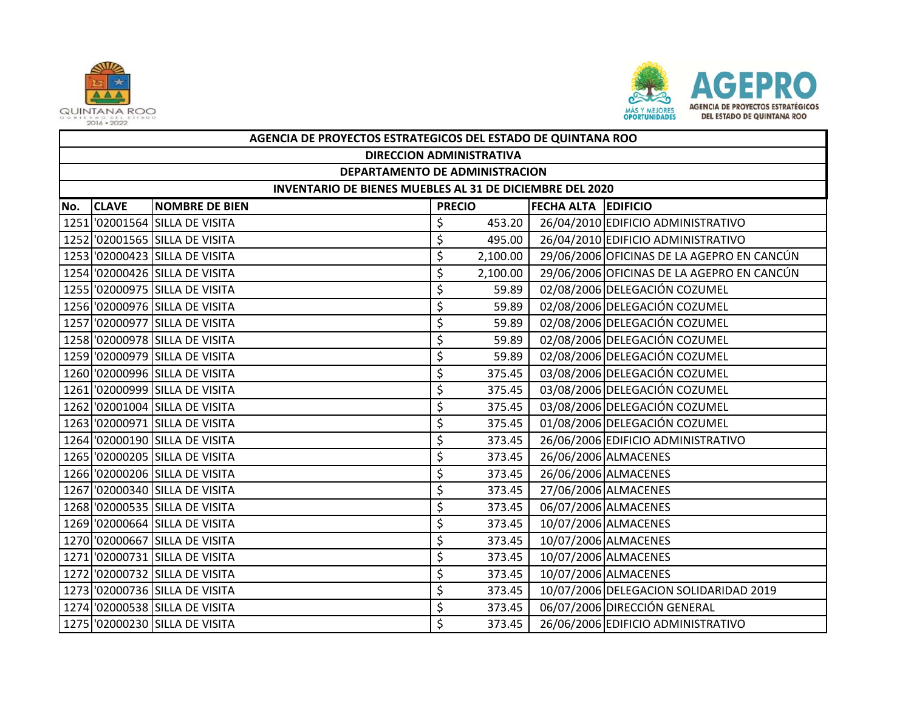



|     | AGENCIA DE PROYECTOS ESTRATEGICOS DEL ESTADO DE QUINTANA ROO |                                |               |          |                            |                                            |  |  |  |  |
|-----|--------------------------------------------------------------|--------------------------------|---------------|----------|----------------------------|--------------------------------------------|--|--|--|--|
|     | <b>DIRECCION ADMINISTRATIVA</b>                              |                                |               |          |                            |                                            |  |  |  |  |
|     | DEPARTAMENTO DE ADMINISTRACION                               |                                |               |          |                            |                                            |  |  |  |  |
|     | INVENTARIO DE BIENES MUEBLES AL 31 DE DICIEMBRE DEL 2020     |                                |               |          |                            |                                            |  |  |  |  |
| No. | <b>CLAVE</b>                                                 | <b>NOMBRE DE BIEN</b>          | <b>PRECIO</b> |          | <b>FECHA ALTA EDIFICIO</b> |                                            |  |  |  |  |
|     |                                                              | 1251 '02001564 SILLA DE VISITA | \$            | 453.20   |                            | 26/04/2010 EDIFICIO ADMINISTRATIVO         |  |  |  |  |
|     |                                                              | 1252 '02001565 SILLA DE VISITA | \$            | 495.00   |                            | 26/04/2010 EDIFICIO ADMINISTRATIVO         |  |  |  |  |
|     |                                                              | 1253 '02000423 SILLA DE VISITA | \$            | 2,100.00 |                            | 29/06/2006 OFICINAS DE LA AGEPRO EN CANCÚN |  |  |  |  |
|     |                                                              | 1254 '02000426 SILLA DE VISITA | \$            | 2,100.00 |                            | 29/06/2006 OFICINAS DE LA AGEPRO EN CANCÚN |  |  |  |  |
|     |                                                              | 1255 '02000975 SILLA DE VISITA | \$            | 59.89    |                            | 02/08/2006 DELEGACIÓN COZUMEL              |  |  |  |  |
|     |                                                              | 1256 '02000976 SILLA DE VISITA | \$            | 59.89    |                            | 02/08/2006 DELEGACIÓN COZUMEL              |  |  |  |  |
|     |                                                              | 1257 '02000977 SILLA DE VISITA | \$            | 59.89    |                            | 02/08/2006 DELEGACIÓN COZUMEL              |  |  |  |  |
|     |                                                              | 1258 '02000978 SILLA DE VISITA | \$            | 59.89    |                            | 02/08/2006 DELEGACIÓN COZUMEL              |  |  |  |  |
|     |                                                              | 1259 '02000979 SILLA DE VISITA | \$            | 59.89    |                            | 02/08/2006 DELEGACIÓN COZUMEL              |  |  |  |  |
|     |                                                              | 1260 '02000996 SILLA DE VISITA | \$            | 375.45   |                            | 03/08/2006 DELEGACIÓN COZUMEL              |  |  |  |  |
|     |                                                              | 1261 '02000999 SILLA DE VISITA | \$            | 375.45   |                            | 03/08/2006 DELEGACIÓN COZUMEL              |  |  |  |  |
|     |                                                              | 1262 '02001004 SILLA DE VISITA | \$            | 375.45   |                            | 03/08/2006 DELEGACIÓN COZUMEL              |  |  |  |  |
|     |                                                              | 1263 '02000971 SILLA DE VISITA | \$            | 375.45   |                            | 01/08/2006 DELEGACIÓN COZUMEL              |  |  |  |  |
|     |                                                              | 1264 '02000190 SILLA DE VISITA | \$            | 373.45   |                            | 26/06/2006 EDIFICIO ADMINISTRATIVO         |  |  |  |  |
|     |                                                              | 1265 '02000205 SILLA DE VISITA | \$            | 373.45   |                            | 26/06/2006 ALMACENES                       |  |  |  |  |
|     |                                                              | 1266 '02000206 SILLA DE VISITA | \$            | 373.45   |                            | 26/06/2006 ALMACENES                       |  |  |  |  |
|     |                                                              | 1267 '02000340 SILLA DE VISITA | \$            | 373.45   |                            | 27/06/2006 ALMACENES                       |  |  |  |  |
|     |                                                              | 1268 '02000535 SILLA DE VISITA | \$            | 373.45   |                            | 06/07/2006 ALMACENES                       |  |  |  |  |
|     |                                                              | 1269 '02000664 SILLA DE VISITA | \$            | 373.45   |                            | 10/07/2006 ALMACENES                       |  |  |  |  |
|     |                                                              | 1270 '02000667 SILLA DE VISITA | \$            | 373.45   |                            | 10/07/2006 ALMACENES                       |  |  |  |  |
|     |                                                              | 1271 '02000731 SILLA DE VISITA | \$            | 373.45   |                            | 10/07/2006 ALMACENES                       |  |  |  |  |
|     |                                                              | 1272 '02000732 SILLA DE VISITA | \$            | 373.45   |                            | 10/07/2006 ALMACENES                       |  |  |  |  |
|     |                                                              | 1273 '02000736 SILLA DE VISITA | \$            | 373.45   |                            | 10/07/2006 DELEGACION SOLIDARIDAD 2019     |  |  |  |  |
|     |                                                              | 1274 '02000538 SILLA DE VISITA | \$            | 373.45   |                            | 06/07/2006 DIRECCIÓN GENERAL               |  |  |  |  |
|     |                                                              | 1275 '02000230 SILLA DE VISITA | \$            | 373.45   |                            | 26/06/2006 EDIFICIO ADMINISTRATIVO         |  |  |  |  |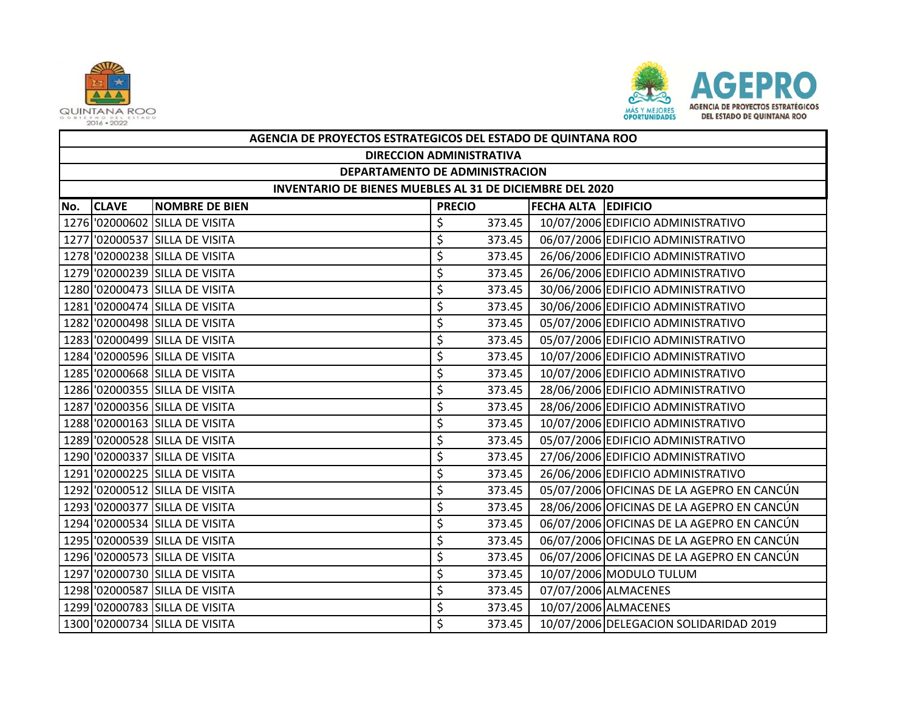



|     | AGENCIA DE PROYECTOS ESTRATEGICOS DEL ESTADO DE QUINTANA ROO |                                |               |        |                            |                                            |  |  |  |  |
|-----|--------------------------------------------------------------|--------------------------------|---------------|--------|----------------------------|--------------------------------------------|--|--|--|--|
|     | <b>DIRECCION ADMINISTRATIVA</b>                              |                                |               |        |                            |                                            |  |  |  |  |
|     | DEPARTAMENTO DE ADMINISTRACION                               |                                |               |        |                            |                                            |  |  |  |  |
|     | INVENTARIO DE BIENES MUEBLES AL 31 DE DICIEMBRE DEL 2020     |                                |               |        |                            |                                            |  |  |  |  |
| No. | <b>CLAVE</b>                                                 | <b>NOMBRE DE BIEN</b>          | <b>PRECIO</b> |        | <b>FECHA ALTA EDIFICIO</b> |                                            |  |  |  |  |
|     |                                                              | 1276 '02000602 SILLA DE VISITA | \$            | 373.45 |                            | 10/07/2006 EDIFICIO ADMINISTRATIVO         |  |  |  |  |
|     |                                                              | 1277 '02000537 SILLA DE VISITA | \$            | 373.45 |                            | 06/07/2006 EDIFICIO ADMINISTRATIVO         |  |  |  |  |
|     |                                                              | 1278 '02000238 SILLA DE VISITA | \$            | 373.45 |                            | 26/06/2006 EDIFICIO ADMINISTRATIVO         |  |  |  |  |
|     |                                                              | 1279 '02000239 SILLA DE VISITA | \$            | 373.45 |                            | 26/06/2006 EDIFICIO ADMINISTRATIVO         |  |  |  |  |
|     |                                                              | 1280 '02000473 SILLA DE VISITA | \$            | 373.45 |                            | 30/06/2006 EDIFICIO ADMINISTRATIVO         |  |  |  |  |
|     |                                                              | 1281 02000474 SILLA DE VISITA  | \$            | 373.45 |                            | 30/06/2006 EDIFICIO ADMINISTRATIVO         |  |  |  |  |
|     |                                                              | 1282 02000498 SILLA DE VISITA  | \$            | 373.45 |                            | 05/07/2006 EDIFICIO ADMINISTRATIVO         |  |  |  |  |
|     |                                                              | 1283 02000499 SILLA DE VISITA  | \$            | 373.45 |                            | 05/07/2006 EDIFICIO ADMINISTRATIVO         |  |  |  |  |
|     |                                                              | 1284 '02000596 SILLA DE VISITA | \$            | 373.45 |                            | 10/07/2006 EDIFICIO ADMINISTRATIVO         |  |  |  |  |
|     |                                                              | 1285 02000668 SILLA DE VISITA  | \$            | 373.45 |                            | 10/07/2006 EDIFICIO ADMINISTRATIVO         |  |  |  |  |
|     |                                                              | 1286 '02000355 SILLA DE VISITA | \$            | 373.45 |                            | 28/06/2006 EDIFICIO ADMINISTRATIVO         |  |  |  |  |
|     |                                                              | 1287 '02000356 SILLA DE VISITA | \$            | 373.45 |                            | 28/06/2006 EDIFICIO ADMINISTRATIVO         |  |  |  |  |
|     |                                                              | 1288 '02000163 SILLA DE VISITA | \$            | 373.45 |                            | 10/07/2006 EDIFICIO ADMINISTRATIVO         |  |  |  |  |
|     |                                                              | 1289 '02000528 SILLA DE VISITA | \$            | 373.45 |                            | 05/07/2006 EDIFICIO ADMINISTRATIVO         |  |  |  |  |
|     |                                                              | 1290 '02000337 SILLA DE VISITA | \$            | 373.45 |                            | 27/06/2006 EDIFICIO ADMINISTRATIVO         |  |  |  |  |
|     |                                                              | 1291 '02000225 SILLA DE VISITA | \$            | 373.45 |                            | 26/06/2006 EDIFICIO ADMINISTRATIVO         |  |  |  |  |
|     |                                                              | 1292 '02000512 SILLA DE VISITA | \$            | 373.45 |                            | 05/07/2006 OFICINAS DE LA AGEPRO EN CANCÚN |  |  |  |  |
|     |                                                              | 1293 '02000377 SILLA DE VISITA | \$            | 373.45 |                            | 28/06/2006 OFICINAS DE LA AGEPRO EN CANCÚN |  |  |  |  |
|     |                                                              | 1294 '02000534 SILLA DE VISITA | \$            | 373.45 |                            | 06/07/2006 OFICINAS DE LA AGEPRO EN CANCÚN |  |  |  |  |
|     |                                                              | 1295 '02000539 SILLA DE VISITA | \$            | 373.45 |                            | 06/07/2006 OFICINAS DE LA AGEPRO EN CANCÚN |  |  |  |  |
|     |                                                              | 1296 '02000573 SILLA DE VISITA | \$            | 373.45 |                            | 06/07/2006 OFICINAS DE LA AGEPRO EN CANCÚN |  |  |  |  |
|     |                                                              | 1297 '02000730 SILLA DE VISITA | \$            | 373.45 |                            | 10/07/2006 MODULO TULUM                    |  |  |  |  |
|     |                                                              | 1298 '02000587 SILLA DE VISITA | \$            | 373.45 |                            | 07/07/2006 ALMACENES                       |  |  |  |  |
|     |                                                              | 1299 '02000783 SILLA DE VISITA | \$            | 373.45 |                            | 10/07/2006 ALMACENES                       |  |  |  |  |
|     |                                                              | 1300 02000734 SILLA DE VISITA  | \$            | 373.45 |                            | 10/07/2006 DELEGACION SOLIDARIDAD 2019     |  |  |  |  |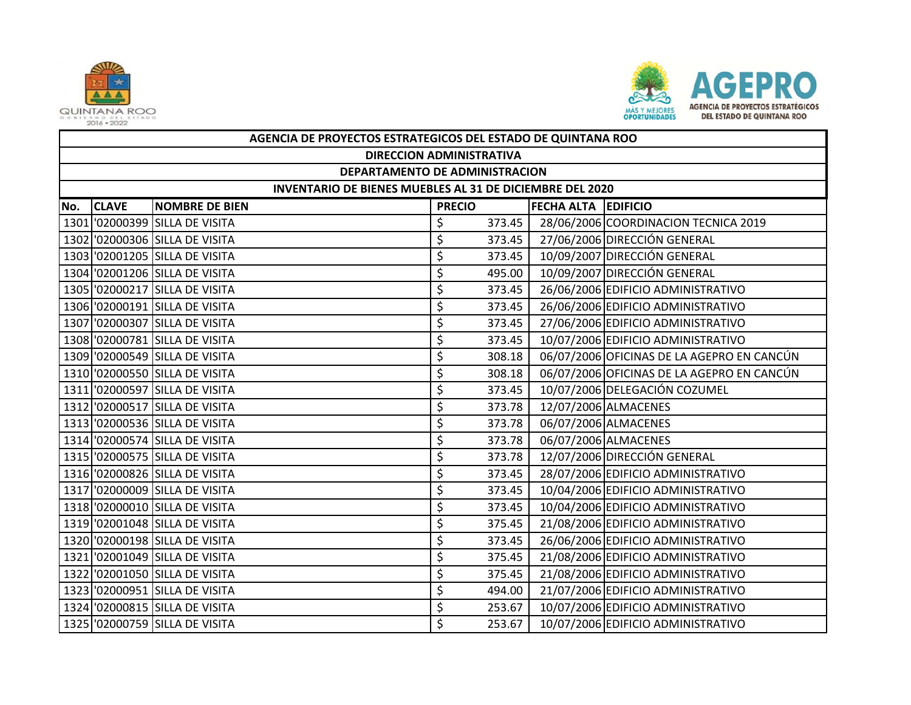



|     | AGENCIA DE PROYECTOS ESTRATEGICOS DEL ESTADO DE QUINTANA ROO |                                |               |        |                            |                                            |  |  |  |  |
|-----|--------------------------------------------------------------|--------------------------------|---------------|--------|----------------------------|--------------------------------------------|--|--|--|--|
|     | <b>DIRECCION ADMINISTRATIVA</b>                              |                                |               |        |                            |                                            |  |  |  |  |
|     | DEPARTAMENTO DE ADMINISTRACION                               |                                |               |        |                            |                                            |  |  |  |  |
|     | INVENTARIO DE BIENES MUEBLES AL 31 DE DICIEMBRE DEL 2020     |                                |               |        |                            |                                            |  |  |  |  |
| No. | <b>CLAVE</b>                                                 | <b>NOMBRE DE BIEN</b>          | <b>PRECIO</b> |        | <b>FECHA ALTA EDIFICIO</b> |                                            |  |  |  |  |
|     |                                                              | 1301 '02000399 SILLA DE VISITA | \$            | 373.45 |                            | 28/06/2006 COORDINACION TECNICA 2019       |  |  |  |  |
|     |                                                              | 1302 '02000306 SILLA DE VISITA | \$            | 373.45 |                            | 27/06/2006 DIRECCIÓN GENERAL               |  |  |  |  |
|     |                                                              | 1303 02001205 SILLA DE VISITA  | \$            | 373.45 |                            | 10/09/2007 DIRECCIÓN GENERAL               |  |  |  |  |
|     |                                                              | 1304 '02001206 SILLA DE VISITA | \$            | 495.00 |                            | 10/09/2007 DIRECCIÓN GENERAL               |  |  |  |  |
|     |                                                              | 1305 '02000217 SILLA DE VISITA | \$            | 373.45 |                            | 26/06/2006 EDIFICIO ADMINISTRATIVO         |  |  |  |  |
|     |                                                              | 1306 '02000191 SILLA DE VISITA | \$            | 373.45 |                            | 26/06/2006 EDIFICIO ADMINISTRATIVO         |  |  |  |  |
|     |                                                              | 1307 '02000307 SILLA DE VISITA | \$            | 373.45 |                            | 27/06/2006 EDIFICIO ADMINISTRATIVO         |  |  |  |  |
|     |                                                              | 1308 02000781 SILLA DE VISITA  | \$            | 373.45 |                            | 10/07/2006 EDIFICIO ADMINISTRATIVO         |  |  |  |  |
|     |                                                              | 1309 '02000549 SILLA DE VISITA | \$            | 308.18 |                            | 06/07/2006 OFICINAS DE LA AGEPRO EN CANCÚN |  |  |  |  |
|     |                                                              | 1310 02000550 SILLA DE VISITA  | \$            | 308.18 |                            | 06/07/2006 OFICINAS DE LA AGEPRO EN CANCÚN |  |  |  |  |
|     |                                                              | 1311 '02000597 SILLA DE VISITA | \$            | 373.45 |                            | 10/07/2006 DELEGACIÓN COZUMEL              |  |  |  |  |
|     |                                                              | 1312 '02000517 SILLA DE VISITA | \$            | 373.78 |                            | 12/07/2006 ALMACENES                       |  |  |  |  |
|     |                                                              | 1313 '02000536 SILLA DE VISITA | \$            | 373.78 |                            | 06/07/2006 ALMACENES                       |  |  |  |  |
|     |                                                              | 1314 '02000574 SILLA DE VISITA | \$            | 373.78 |                            | 06/07/2006 ALMACENES                       |  |  |  |  |
|     |                                                              | 1315 '02000575 SILLA DE VISITA | \$            | 373.78 |                            | 12/07/2006 DIRECCIÓN GENERAL               |  |  |  |  |
|     |                                                              | 1316 '02000826 SILLA DE VISITA | \$            | 373.45 |                            | 28/07/2006 EDIFICIO ADMINISTRATIVO         |  |  |  |  |
|     |                                                              | 1317 '02000009 SILLA DE VISITA | \$            | 373.45 |                            | 10/04/2006 EDIFICIO ADMINISTRATIVO         |  |  |  |  |
|     |                                                              | 1318 02000010 SILLA DE VISITA  | \$            | 373.45 |                            | 10/04/2006 EDIFICIO ADMINISTRATIVO         |  |  |  |  |
|     |                                                              | 1319 '02001048 SILLA DE VISITA | \$            | 375.45 |                            | 21/08/2006 EDIFICIO ADMINISTRATIVO         |  |  |  |  |
|     |                                                              | 1320 '02000198 SILLA DE VISITA | \$            | 373.45 |                            | 26/06/2006 EDIFICIO ADMINISTRATIVO         |  |  |  |  |
|     |                                                              | 1321 '02001049 SILLA DE VISITA | \$            | 375.45 |                            | 21/08/2006 EDIFICIO ADMINISTRATIVO         |  |  |  |  |
|     |                                                              | 1322 '02001050 SILLA DE VISITA | \$            | 375.45 |                            | 21/08/2006 EDIFICIO ADMINISTRATIVO         |  |  |  |  |
|     |                                                              | 1323 02000951 SILLA DE VISITA  | \$            | 494.00 |                            | 21/07/2006 EDIFICIO ADMINISTRATIVO         |  |  |  |  |
|     |                                                              | 1324 '02000815 SILLA DE VISITA | \$            | 253.67 |                            | 10/07/2006 EDIFICIO ADMINISTRATIVO         |  |  |  |  |
|     |                                                              | 1325 '02000759 SILLA DE VISITA | \$            | 253.67 |                            | 10/07/2006 EDIFICIO ADMINISTRATIVO         |  |  |  |  |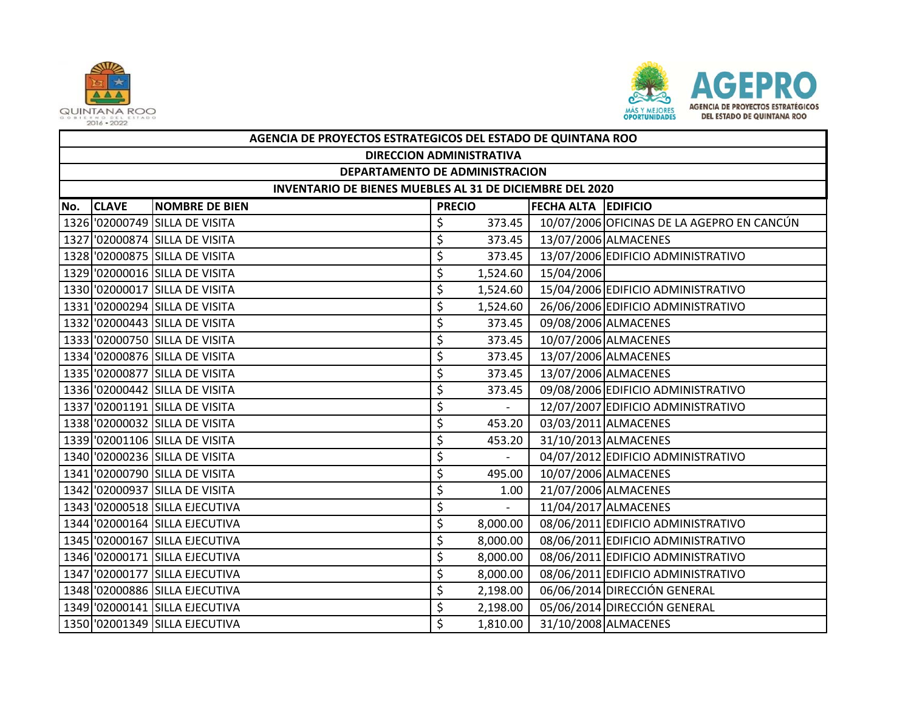



|     | AGENCIA DE PROYECTOS ESTRATEGICOS DEL ESTADO DE QUINTANA ROO |                                |               |                          |                     |                                            |  |  |  |
|-----|--------------------------------------------------------------|--------------------------------|---------------|--------------------------|---------------------|--------------------------------------------|--|--|--|
|     | <b>DIRECCION ADMINISTRATIVA</b>                              |                                |               |                          |                     |                                            |  |  |  |
|     | DEPARTAMENTO DE ADMINISTRACION                               |                                |               |                          |                     |                                            |  |  |  |
|     | INVENTARIO DE BIENES MUEBLES AL 31 DE DICIEMBRE DEL 2020     |                                |               |                          |                     |                                            |  |  |  |
| No. | <b>CLAVE</b>                                                 | <b>NOMBRE DE BIEN</b>          | <b>PRECIO</b> |                          | FECHA ALTA EDIFICIO |                                            |  |  |  |
|     |                                                              | 1326 '02000749 SILLA DE VISITA | \$            | 373.45                   |                     | 10/07/2006 OFICINAS DE LA AGEPRO EN CANCÚN |  |  |  |
|     |                                                              | 1327 '02000874 SILLA DE VISITA | \$            | 373.45                   |                     | 13/07/2006 ALMACENES                       |  |  |  |
|     |                                                              | 1328 '02000875 SILLA DE VISITA | \$            | 373.45                   |                     | 13/07/2006 EDIFICIO ADMINISTRATIVO         |  |  |  |
|     |                                                              | 1329 '02000016 SILLA DE VISITA | \$            | 1,524.60                 | 15/04/2006          |                                            |  |  |  |
|     |                                                              | 1330 '02000017 SILLA DE VISITA | \$            | 1,524.60                 |                     | 15/04/2006 EDIFICIO ADMINISTRATIVO         |  |  |  |
|     |                                                              | 1331 '02000294 SILLA DE VISITA | \$            | 1,524.60                 |                     | 26/06/2006 EDIFICIO ADMINISTRATIVO         |  |  |  |
|     |                                                              | 1332 '02000443 SILLA DE VISITA | \$            | 373.45                   |                     | 09/08/2006 ALMACENES                       |  |  |  |
|     |                                                              | 1333 '02000750 SILLA DE VISITA | \$            | 373.45                   |                     | 10/07/2006 ALMACENES                       |  |  |  |
|     |                                                              | 1334 '02000876 SILLA DE VISITA | \$            | 373.45                   |                     | 13/07/2006 ALMACENES                       |  |  |  |
|     |                                                              | 1335 '02000877 SILLA DE VISITA | \$            | 373.45                   |                     | 13/07/2006 ALMACENES                       |  |  |  |
|     |                                                              | 1336 '02000442 SILLA DE VISITA | \$            | 373.45                   |                     | 09/08/2006 EDIFICIO ADMINISTRATIVO         |  |  |  |
|     |                                                              | 1337 '02001191 SILLA DE VISITA | \$            | $\overline{\phantom{a}}$ |                     | 12/07/2007 EDIFICIO ADMINISTRATIVO         |  |  |  |
|     |                                                              | 1338 '02000032 SILLA DE VISITA | \$            | 453.20                   |                     | 03/03/2011 ALMACENES                       |  |  |  |
|     |                                                              | 1339 '02001106 SILLA DE VISITA | \$            | 453.20                   |                     | 31/10/2013 ALMACENES                       |  |  |  |
|     |                                                              | 1340 02000236 SILLA DE VISITA  | \$            |                          |                     | 04/07/2012 EDIFICIO ADMINISTRATIVO         |  |  |  |
|     |                                                              | 1341 '02000790 SILLA DE VISITA | \$            | 495.00                   |                     | 10/07/2006 ALMACENES                       |  |  |  |
|     |                                                              | 1342 '02000937 SILLA DE VISITA | \$            | 1.00                     |                     | 21/07/2006 ALMACENES                       |  |  |  |
|     |                                                              | 1343 '02000518 SILLA EJECUTIVA | \$            | $\overline{\phantom{a}}$ |                     | 11/04/2017 ALMACENES                       |  |  |  |
|     |                                                              | 1344 '02000164 SILLA EJECUTIVA | \$            | 8,000.00                 |                     | 08/06/2011 EDIFICIO ADMINISTRATIVO         |  |  |  |
|     |                                                              | 1345 '02000167 SILLA EJECUTIVA | \$            | 8,000.00                 |                     | 08/06/2011 EDIFICIO ADMINISTRATIVO         |  |  |  |
|     |                                                              | 1346 '02000171 SILLA EJECUTIVA | \$            | 8,000.00                 |                     | 08/06/2011 EDIFICIO ADMINISTRATIVO         |  |  |  |
|     |                                                              | 1347 '02000177 SILLA EJECUTIVA | \$            | 8,000.00                 |                     | 08/06/2011 EDIFICIO ADMINISTRATIVO         |  |  |  |
|     |                                                              | 1348 '02000886 SILLA EJECUTIVA | \$            | 2,198.00                 |                     | 06/06/2014 DIRECCIÓN GENERAL               |  |  |  |
|     |                                                              | 1349 '02000141 SILLA EJECUTIVA | \$            | 2,198.00                 |                     | 05/06/2014 DIRECCIÓN GENERAL               |  |  |  |
|     |                                                              | 1350 '02001349 SILLA EJECUTIVA | Ś             | 1,810.00                 |                     | 31/10/2008 ALMACENES                       |  |  |  |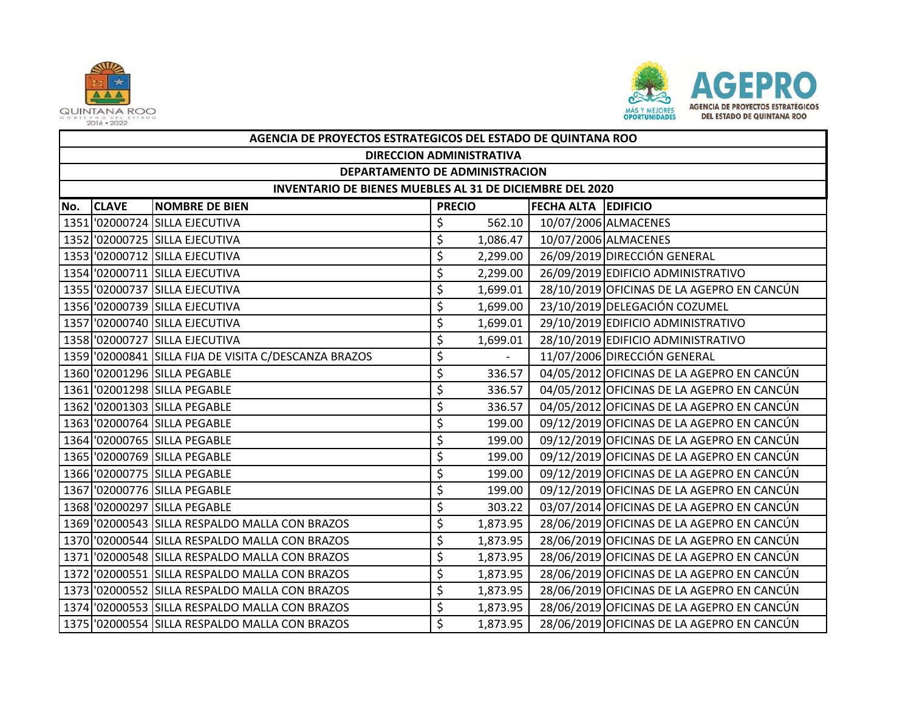



|     | AGENCIA DE PROYECTOS ESTRATEGICOS DEL ESTADO DE QUINTANA ROO |                                                       |               |          |                            |                                            |  |  |  |  |
|-----|--------------------------------------------------------------|-------------------------------------------------------|---------------|----------|----------------------------|--------------------------------------------|--|--|--|--|
|     | <b>DIRECCION ADMINISTRATIVA</b>                              |                                                       |               |          |                            |                                            |  |  |  |  |
|     | DEPARTAMENTO DE ADMINISTRACION                               |                                                       |               |          |                            |                                            |  |  |  |  |
|     | INVENTARIO DE BIENES MUEBLES AL 31 DE DICIEMBRE DEL 2020     |                                                       |               |          |                            |                                            |  |  |  |  |
| No. | <b>CLAVE</b>                                                 | <b>NOMBRE DE BIEN</b>                                 | <b>PRECIO</b> |          | <b>FECHA ALTA EDIFICIO</b> |                                            |  |  |  |  |
|     |                                                              | 1351 '02000724 SILLA EJECUTIVA                        | \$            | 562.10   |                            | 10/07/2006 ALMACENES                       |  |  |  |  |
|     |                                                              | 1352 '02000725 SILLA EJECUTIVA                        | \$            | 1,086.47 |                            | 10/07/2006 ALMACENES                       |  |  |  |  |
|     |                                                              | 1353 '02000712 SILLA EJECUTIVA                        | \$            | 2,299.00 |                            | 26/09/2019 DIRECCIÓN GENERAL               |  |  |  |  |
|     |                                                              | 1354 '02000711 SILLA EJECUTIVA                        | \$            | 2,299.00 |                            | 26/09/2019 EDIFICIO ADMINISTRATIVO         |  |  |  |  |
|     |                                                              | 1355 '02000737 SILLA EJECUTIVA                        | \$            | 1,699.01 |                            | 28/10/2019 OFICINAS DE LA AGEPRO EN CANCÚN |  |  |  |  |
|     |                                                              | 1356 '02000739 SILLA EJECUTIVA                        | \$            | 1,699.00 |                            | 23/10/2019 DELEGACIÓN COZUMEL              |  |  |  |  |
|     |                                                              | 1357 '02000740 SILLA EJECUTIVA                        | \$            | 1,699.01 |                            | 29/10/2019 EDIFICIO ADMINISTRATIVO         |  |  |  |  |
|     |                                                              | 1358 '02000727 SILLA EJECUTIVA                        | \$            | 1,699.01 |                            | 28/10/2019 EDIFICIO ADMINISTRATIVO         |  |  |  |  |
|     |                                                              | 1359 '02000841 SILLA FIJA DE VISITA C/DESCANZA BRAZOS | \$            |          |                            | 11/07/2006 DIRECCIÓN GENERAL               |  |  |  |  |
|     |                                                              | 1360 '02001296 SILLA PEGABLE                          | \$            | 336.57   |                            | 04/05/2012 OFICINAS DE LA AGEPRO EN CANCÚN |  |  |  |  |
|     |                                                              | 1361 '02001298 SILLA PEGABLE                          | \$            | 336.57   |                            | 04/05/2012 OFICINAS DE LA AGEPRO EN CANCÚN |  |  |  |  |
|     |                                                              | 1362 '02001303 SILLA PEGABLE                          | \$            | 336.57   |                            | 04/05/2012 OFICINAS DE LA AGEPRO EN CANCÚN |  |  |  |  |
|     |                                                              | 1363 '02000764 SILLA PEGABLE                          | \$            | 199.00   |                            | 09/12/2019 OFICINAS DE LA AGEPRO EN CANCÚN |  |  |  |  |
|     |                                                              | 1364 '02000765 SILLA PEGABLE                          | \$            | 199.00   |                            | 09/12/2019 OFICINAS DE LA AGEPRO EN CANCÚN |  |  |  |  |
|     |                                                              | 1365 '02000769 SILLA PEGABLE                          | \$            | 199.00   |                            | 09/12/2019 OFICINAS DE LA AGEPRO EN CANCÚN |  |  |  |  |
|     |                                                              | 1366 '02000775 SILLA PEGABLE                          | \$            | 199.00   |                            | 09/12/2019 OFICINAS DE LA AGEPRO EN CANCÚN |  |  |  |  |
|     |                                                              | 1367 '02000776 SILLA PEGABLE                          | \$            | 199.00   |                            | 09/12/2019 OFICINAS DE LA AGEPRO EN CANCÚN |  |  |  |  |
|     |                                                              | 1368 '02000297 SILLA PEGABLE                          | \$            | 303.22   |                            | 03/07/2014 OFICINAS DE LA AGEPRO EN CANCÚN |  |  |  |  |
|     |                                                              | 1369 '02000543 SILLA RESPALDO MALLA CON BRAZOS        | \$            | 1,873.95 |                            | 28/06/2019 OFICINAS DE LA AGEPRO EN CANCÚN |  |  |  |  |
|     |                                                              | 1370 '02000544 SILLA RESPALDO MALLA CON BRAZOS        | \$            | 1,873.95 |                            | 28/06/2019 OFICINAS DE LA AGEPRO EN CANCÚN |  |  |  |  |
|     |                                                              | 1371 02000548 SILLA RESPALDO MALLA CON BRAZOS         | \$            | 1,873.95 |                            | 28/06/2019 OFICINAS DE LA AGEPRO EN CANCÚN |  |  |  |  |
|     |                                                              | 1372 '02000551 SILLA RESPALDO MALLA CON BRAZOS        | \$            | 1,873.95 |                            | 28/06/2019 OFICINAS DE LA AGEPRO EN CANCÚN |  |  |  |  |
|     |                                                              | 1373 '02000552 SILLA RESPALDO MALLA CON BRAZOS        | \$            | 1,873.95 |                            | 28/06/2019 OFICINAS DE LA AGEPRO EN CANCÚN |  |  |  |  |
|     |                                                              | 1374 '02000553 SILLA RESPALDO MALLA CON BRAZOS        | \$            | 1,873.95 |                            | 28/06/2019 OFICINAS DE LA AGEPRO EN CANCÚN |  |  |  |  |
|     |                                                              | 1375 '02000554 SILLA RESPALDO MALLA CON BRAZOS        | Ś             | 1,873.95 |                            | 28/06/2019 OFICINAS DE LA AGEPRO EN CANCÚN |  |  |  |  |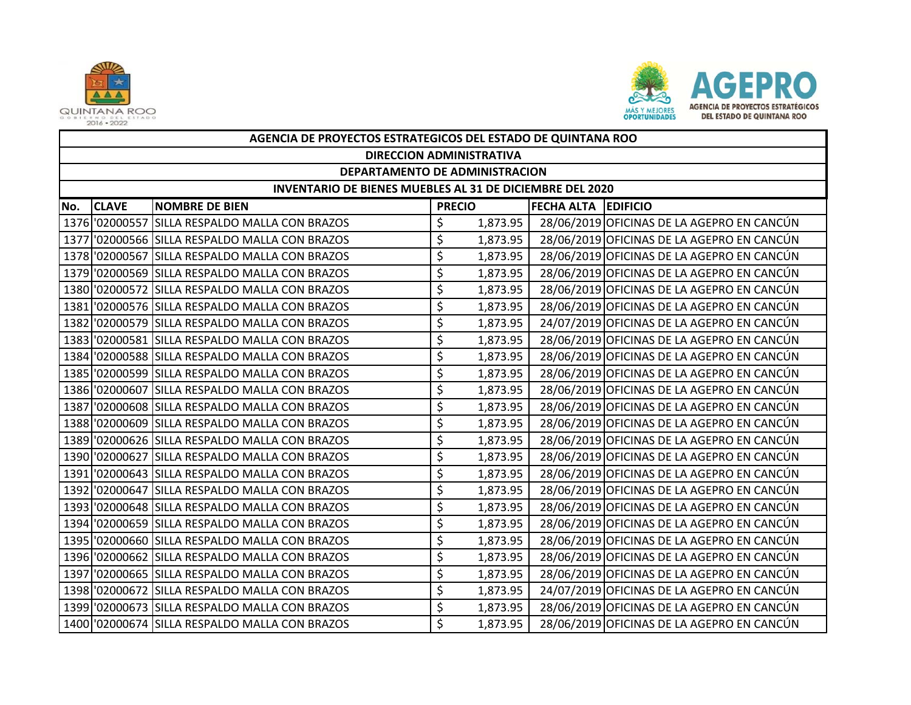



|      | AGENCIA DE PROYECTOS ESTRATEGICOS DEL ESTADO DE QUINTANA ROO    |                                                |               |          |                            |                                            |  |  |  |  |
|------|-----------------------------------------------------------------|------------------------------------------------|---------------|----------|----------------------------|--------------------------------------------|--|--|--|--|
|      | <b>DIRECCION ADMINISTRATIVA</b>                                 |                                                |               |          |                            |                                            |  |  |  |  |
|      | <b>DEPARTAMENTO DE ADMINISTRACION</b>                           |                                                |               |          |                            |                                            |  |  |  |  |
|      | <b>INVENTARIO DE BIENES MUEBLES AL 31 DE DICIEMBRE DEL 2020</b> |                                                |               |          |                            |                                            |  |  |  |  |
| No.  | <b>CLAVE</b>                                                    | <b>NOMBRE DE BIEN</b>                          | <b>PRECIO</b> |          | <b>FECHA ALTA EDIFICIO</b> |                                            |  |  |  |  |
|      |                                                                 | 1376 '02000557 SILLA RESPALDO MALLA CON BRAZOS | \$            | 1,873.95 |                            | 28/06/2019 OFICINAS DE LA AGEPRO EN CANCÚN |  |  |  |  |
|      |                                                                 | 1377 '02000566 SILLA RESPALDO MALLA CON BRAZOS | \$            | 1,873.95 |                            | 28/06/2019 OFICINAS DE LA AGEPRO EN CANCÚN |  |  |  |  |
|      |                                                                 | 1378 '02000567 SILLA RESPALDO MALLA CON BRAZOS | \$            | 1,873.95 |                            | 28/06/2019 OFICINAS DE LA AGEPRO EN CANCÚN |  |  |  |  |
|      |                                                                 | 1379 02000569 SILLA RESPALDO MALLA CON BRAZOS  | \$            | 1,873.95 |                            | 28/06/2019 OFICINAS DE LA AGEPRO EN CANCÚN |  |  |  |  |
|      |                                                                 | 1380 '02000572 SILLA RESPALDO MALLA CON BRAZOS | \$            | 1,873.95 |                            | 28/06/2019 OFICINAS DE LA AGEPRO EN CANCÚN |  |  |  |  |
|      |                                                                 | 1381 02000576 SILLA RESPALDO MALLA CON BRAZOS  | \$            | 1,873.95 |                            | 28/06/2019 OFICINAS DE LA AGEPRO EN CANCÚN |  |  |  |  |
|      |                                                                 | 1382 02000579 SILLA RESPALDO MALLA CON BRAZOS  | \$            | 1,873.95 |                            | 24/07/2019 OFICINAS DE LA AGEPRO EN CANCÚN |  |  |  |  |
|      |                                                                 | 1383 02000581 SILLA RESPALDO MALLA CON BRAZOS  | \$            | 1,873.95 |                            | 28/06/2019 OFICINAS DE LA AGEPRO EN CANCÚN |  |  |  |  |
|      |                                                                 | 1384 '02000588 SILLA RESPALDO MALLA CON BRAZOS | \$            | 1,873.95 |                            | 28/06/2019 OFICINAS DE LA AGEPRO EN CANCÚN |  |  |  |  |
|      |                                                                 | 1385 02000599 SILLA RESPALDO MALLA CON BRAZOS  | \$            | 1,873.95 |                            | 28/06/2019 OFICINAS DE LA AGEPRO EN CANCÚN |  |  |  |  |
|      |                                                                 | 1386 '02000607 SILLA RESPALDO MALLA CON BRAZOS | \$            | 1,873.95 |                            | 28/06/2019 OFICINAS DE LA AGEPRO EN CANCÚN |  |  |  |  |
|      |                                                                 | 1387 02000608 SILLA RESPALDO MALLA CON BRAZOS  | \$            | 1,873.95 |                            | 28/06/2019 OFICINAS DE LA AGEPRO EN CANCÚN |  |  |  |  |
|      |                                                                 | 1388 02000609 SILLA RESPALDO MALLA CON BRAZOS  | \$            | 1,873.95 |                            | 28/06/2019 OFICINAS DE LA AGEPRO EN CANCÚN |  |  |  |  |
| 1389 |                                                                 | '02000626 SILLA RESPALDO MALLA CON BRAZOS      | \$            | 1,873.95 |                            | 28/06/2019 OFICINAS DE LA AGEPRO EN CANCÚN |  |  |  |  |
|      |                                                                 | 1390 02000627 SILLA RESPALDO MALLA CON BRAZOS  | \$            | 1,873.95 |                            | 28/06/2019 OFICINAS DE LA AGEPRO EN CANCÚN |  |  |  |  |
|      |                                                                 | 1391 02000643 SILLA RESPALDO MALLA CON BRAZOS  | \$            | 1,873.95 |                            | 28/06/2019 OFICINAS DE LA AGEPRO EN CANCÚN |  |  |  |  |
|      |                                                                 | 1392 '02000647 SILLA RESPALDO MALLA CON BRAZOS | \$            | 1,873.95 |                            | 28/06/2019 OFICINAS DE LA AGEPRO EN CANCÚN |  |  |  |  |
|      |                                                                 | 1393 02000648 SILLA RESPALDO MALLA CON BRAZOS  | \$            | 1,873.95 |                            | 28/06/2019 OFICINAS DE LA AGEPRO EN CANCÚN |  |  |  |  |
|      |                                                                 | 1394 '02000659 SILLA RESPALDO MALLA CON BRAZOS | \$            | 1,873.95 |                            | 28/06/2019 OFICINAS DE LA AGEPRO EN CANCÚN |  |  |  |  |
|      |                                                                 | 1395 '02000660 SILLA RESPALDO MALLA CON BRAZOS | \$            | 1,873.95 |                            | 28/06/2019 OFICINAS DE LA AGEPRO EN CANCÚN |  |  |  |  |
|      |                                                                 | 1396 '02000662 SILLA RESPALDO MALLA CON BRAZOS | \$            | 1,873.95 |                            | 28/06/2019 OFICINAS DE LA AGEPRO EN CANCÚN |  |  |  |  |
| 1397 |                                                                 | '02000665 SILLA RESPALDO MALLA CON BRAZOS      | \$            | 1,873.95 |                            | 28/06/2019 OFICINAS DE LA AGEPRO EN CANCÚN |  |  |  |  |
|      |                                                                 | 1398 '02000672 SILLA RESPALDO MALLA CON BRAZOS | \$            | 1,873.95 |                            | 24/07/2019 OFICINAS DE LA AGEPRO EN CANCÚN |  |  |  |  |
|      |                                                                 | 1399 '02000673 SILLA RESPALDO MALLA CON BRAZOS | \$            | 1,873.95 |                            | 28/06/2019 OFICINAS DE LA AGEPRO EN CANCÚN |  |  |  |  |
|      |                                                                 | 1400 02000674 SILLA RESPALDO MALLA CON BRAZOS  | \$            | 1,873.95 |                            | 28/06/2019 OFICINAS DE LA AGEPRO EN CANCÚN |  |  |  |  |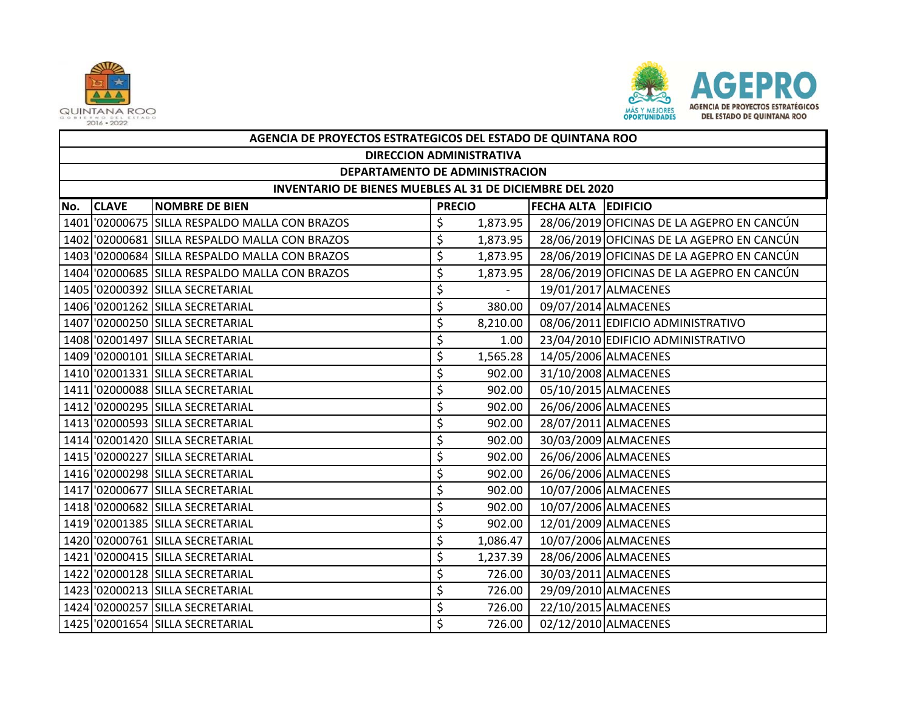



|     | AGENCIA DE PROYECTOS ESTRATEGICOS DEL ESTADO DE QUINTANA ROO    |                                                |               |          |                     |                                            |  |  |  |  |
|-----|-----------------------------------------------------------------|------------------------------------------------|---------------|----------|---------------------|--------------------------------------------|--|--|--|--|
|     | <b>DIRECCION ADMINISTRATIVA</b>                                 |                                                |               |          |                     |                                            |  |  |  |  |
|     | DEPARTAMENTO DE ADMINISTRACION                                  |                                                |               |          |                     |                                            |  |  |  |  |
|     | <b>INVENTARIO DE BIENES MUEBLES AL 31 DE DICIEMBRE DEL 2020</b> |                                                |               |          |                     |                                            |  |  |  |  |
| No. | <b>CLAVE</b>                                                    | <b>NOMBRE DE BIEN</b>                          | <b>PRECIO</b> |          | FECHA ALTA EDIFICIO |                                            |  |  |  |  |
|     |                                                                 | 1401 02000675 SILLA RESPALDO MALLA CON BRAZOS  | \$            | 1,873.95 |                     | 28/06/2019 OFICINAS DE LA AGEPRO EN CANCÚN |  |  |  |  |
|     |                                                                 | 1402 02000681 SILLA RESPALDO MALLA CON BRAZOS  | \$            | 1,873.95 |                     | 28/06/2019 OFICINAS DE LA AGEPRO EN CANCÚN |  |  |  |  |
|     |                                                                 | 1403 '02000684 SILLA RESPALDO MALLA CON BRAZOS | \$            | 1,873.95 |                     | 28/06/2019 OFICINAS DE LA AGEPRO EN CANCÚN |  |  |  |  |
|     |                                                                 | 1404 02000685 SILLA RESPALDO MALLA CON BRAZOS  | \$            | 1,873.95 |                     | 28/06/2019 OFICINAS DE LA AGEPRO EN CANCÚN |  |  |  |  |
|     |                                                                 | 1405 '02000392 SILLA SECRETARIAL               | \$            | $\sim$   |                     | 19/01/2017 ALMACENES                       |  |  |  |  |
|     |                                                                 | 1406 '02001262 SILLA SECRETARIAL               | \$            | 380.00   |                     | 09/07/2014 ALMACENES                       |  |  |  |  |
|     |                                                                 | 1407 '02000250 SILLA SECRETARIAL               | \$            | 8,210.00 |                     | 08/06/2011 EDIFICIO ADMINISTRATIVO         |  |  |  |  |
|     |                                                                 | 1408 '02001497 SILLA SECRETARIAL               | \$            | 1.00     |                     | 23/04/2010 EDIFICIO ADMINISTRATIVO         |  |  |  |  |
|     |                                                                 | 1409 '02000101 SILLA SECRETARIAL               | \$            | 1,565.28 |                     | 14/05/2006 ALMACENES                       |  |  |  |  |
|     |                                                                 | 1410 '02001331 SILLA SECRETARIAL               | \$            | 902.00   |                     | 31/10/2008 ALMACENES                       |  |  |  |  |
|     |                                                                 | 1411 '02000088 SILLA SECRETARIAL               | \$            | 902.00   |                     | 05/10/2015 ALMACENES                       |  |  |  |  |
|     |                                                                 | 1412 '02000295 SILLA SECRETARIAL               | \$            | 902.00   |                     | 26/06/2006 ALMACENES                       |  |  |  |  |
|     |                                                                 | 1413 '02000593 SILLA SECRETARIAL               | \$            | 902.00   |                     | 28/07/2011 ALMACENES                       |  |  |  |  |
|     |                                                                 | 1414 '02001420 SILLA SECRETARIAL               | \$            | 902.00   |                     | 30/03/2009 ALMACENES                       |  |  |  |  |
|     |                                                                 | 1415 '02000227 SILLA SECRETARIAL               | \$            | 902.00   |                     | 26/06/2006 ALMACENES                       |  |  |  |  |
|     |                                                                 | 1416 '02000298 SILLA SECRETARIAL               | \$            | 902.00   |                     | 26/06/2006 ALMACENES                       |  |  |  |  |
|     |                                                                 | 1417 '02000677 SILLA SECRETARIAL               | \$            | 902.00   |                     | 10/07/2006 ALMACENES                       |  |  |  |  |
|     |                                                                 | 1418 '02000682 SILLA SECRETARIAL               | \$            | 902.00   |                     | 10/07/2006 ALMACENES                       |  |  |  |  |
|     |                                                                 | 1419 '02001385 SILLA SECRETARIAL               | \$            | 902.00   |                     | 12/01/2009 ALMACENES                       |  |  |  |  |
|     |                                                                 | 1420 '02000761 SILLA SECRETARIAL               | \$            | 1,086.47 |                     | 10/07/2006 ALMACENES                       |  |  |  |  |
|     |                                                                 | 1421 '02000415 SILLA SECRETARIAL               | \$            | 1,237.39 |                     | 28/06/2006 ALMACENES                       |  |  |  |  |
|     |                                                                 | 1422 '02000128 SILLA SECRETARIAL               | \$            | 726.00   |                     | 30/03/2011 ALMACENES                       |  |  |  |  |
|     |                                                                 | 1423 '02000213 SILLA SECRETARIAL               | \$            | 726.00   |                     | 29/09/2010 ALMACENES                       |  |  |  |  |
|     |                                                                 | 1424 '02000257 SILLA SECRETARIAL               | \$            | 726.00   |                     | 22/10/2015 ALMACENES                       |  |  |  |  |
|     |                                                                 | 1425 '02001654 SILLA SECRETARIAL               | \$            | 726.00   |                     | 02/12/2010 ALMACENES                       |  |  |  |  |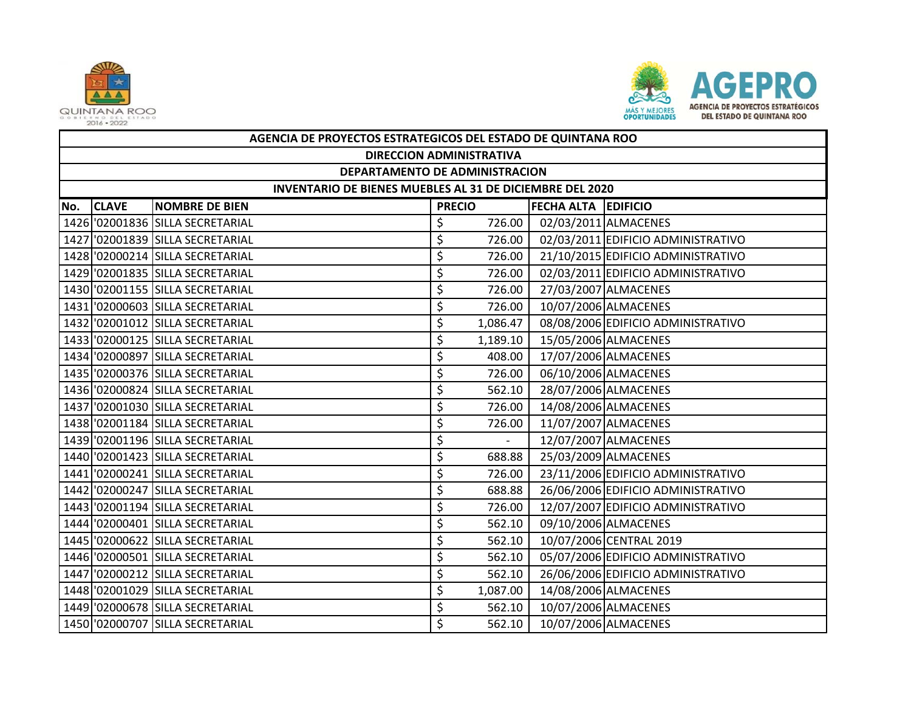



|     | AGENCIA DE PROYECTOS ESTRATEGICOS DEL ESTADO DE QUINTANA ROO |                                  |               |          |                            |                                    |  |  |  |
|-----|--------------------------------------------------------------|----------------------------------|---------------|----------|----------------------------|------------------------------------|--|--|--|
|     | <b>DIRECCION ADMINISTRATIVA</b>                              |                                  |               |          |                            |                                    |  |  |  |
|     | DEPARTAMENTO DE ADMINISTRACION                               |                                  |               |          |                            |                                    |  |  |  |
|     | INVENTARIO DE BIENES MUEBLES AL 31 DE DICIEMBRE DEL 2020     |                                  |               |          |                            |                                    |  |  |  |
| No. | <b>CLAVE</b>                                                 | <b>NOMBRE DE BIEN</b>            | <b>PRECIO</b> |          | <b>FECHA ALTA EDIFICIO</b> |                                    |  |  |  |
|     |                                                              | 1426 '02001836 SILLA SECRETARIAL | \$            | 726.00   |                            | 02/03/2011 ALMACENES               |  |  |  |
|     |                                                              | 1427 02001839 SILLA SECRETARIAL  | \$            | 726.00   |                            | 02/03/2011 EDIFICIO ADMINISTRATIVO |  |  |  |
|     |                                                              | 1428 '02000214 SILLA SECRETARIAL | \$            | 726.00   |                            | 21/10/2015 EDIFICIO ADMINISTRATIVO |  |  |  |
|     |                                                              | 1429 '02001835 SILLA SECRETARIAL | \$            | 726.00   |                            | 02/03/2011 EDIFICIO ADMINISTRATIVO |  |  |  |
|     |                                                              | 1430 '02001155 SILLA SECRETARIAL | \$            | 726.00   |                            | 27/03/2007 ALMACENES               |  |  |  |
|     |                                                              | 1431 '02000603 SILLA SECRETARIAL | \$            | 726.00   |                            | 10/07/2006 ALMACENES               |  |  |  |
|     |                                                              | 1432 '02001012 SILLA SECRETARIAL | \$            | 1,086.47 |                            | 08/08/2006 EDIFICIO ADMINISTRATIVO |  |  |  |
|     |                                                              | 1433 '02000125 SILLA SECRETARIAL | \$            | 1,189.10 |                            | 15/05/2006 ALMACENES               |  |  |  |
|     |                                                              | 1434 '02000897 SILLA SECRETARIAL | \$            | 408.00   |                            | 17/07/2006 ALMACENES               |  |  |  |
|     |                                                              | 1435 '02000376 SILLA SECRETARIAL | \$            | 726.00   |                            | 06/10/2006 ALMACENES               |  |  |  |
|     |                                                              | 1436 '02000824 SILLA SECRETARIAL | \$            | 562.10   |                            | 28/07/2006 ALMACENES               |  |  |  |
|     |                                                              | 1437 '02001030 SILLA SECRETARIAL | \$            | 726.00   |                            | 14/08/2006 ALMACENES               |  |  |  |
|     |                                                              | 1438 '02001184 SILLA SECRETARIAL | \$            | 726.00   |                            | 11/07/2007 ALMACENES               |  |  |  |
|     |                                                              | 1439 '02001196 SILLA SECRETARIAL | \$            | $\sim$   |                            | 12/07/2007 ALMACENES               |  |  |  |
|     |                                                              | 1440 '02001423 SILLA SECRETARIAL | \$            | 688.88   |                            | 25/03/2009 ALMACENES               |  |  |  |
|     |                                                              | 1441 '02000241 SILLA SECRETARIAL | \$            | 726.00   |                            | 23/11/2006 EDIFICIO ADMINISTRATIVO |  |  |  |
|     |                                                              | 1442 '02000247 SILLA SECRETARIAL | \$            | 688.88   |                            | 26/06/2006 EDIFICIO ADMINISTRATIVO |  |  |  |
|     |                                                              | 1443 '02001194 SILLA SECRETARIAL | \$            | 726.00   |                            | 12/07/2007 EDIFICIO ADMINISTRATIVO |  |  |  |
|     |                                                              | 1444 '02000401 SILLA SECRETARIAL | \$            | 562.10   |                            | 09/10/2006 ALMACENES               |  |  |  |
|     |                                                              | 1445 '02000622 SILLA SECRETARIAL | \$            | 562.10   |                            | 10/07/2006 CENTRAL 2019            |  |  |  |
|     |                                                              | 1446 '02000501 SILLA SECRETARIAL | \$            | 562.10   |                            | 05/07/2006 EDIFICIO ADMINISTRATIVO |  |  |  |
|     |                                                              | 1447 '02000212 SILLA SECRETARIAL | \$            | 562.10   |                            | 26/06/2006 EDIFICIO ADMINISTRATIVO |  |  |  |
|     |                                                              | 1448 '02001029 SILLA SECRETARIAL | \$            | 1,087.00 |                            | 14/08/2006 ALMACENES               |  |  |  |
|     |                                                              | 1449 '02000678 SILLA SECRETARIAL | \$            | 562.10   |                            | 10/07/2006 ALMACENES               |  |  |  |
|     |                                                              | 1450 '02000707 SILLA SECRETARIAL | \$            | 562.10   |                            | 10/07/2006 ALMACENES               |  |  |  |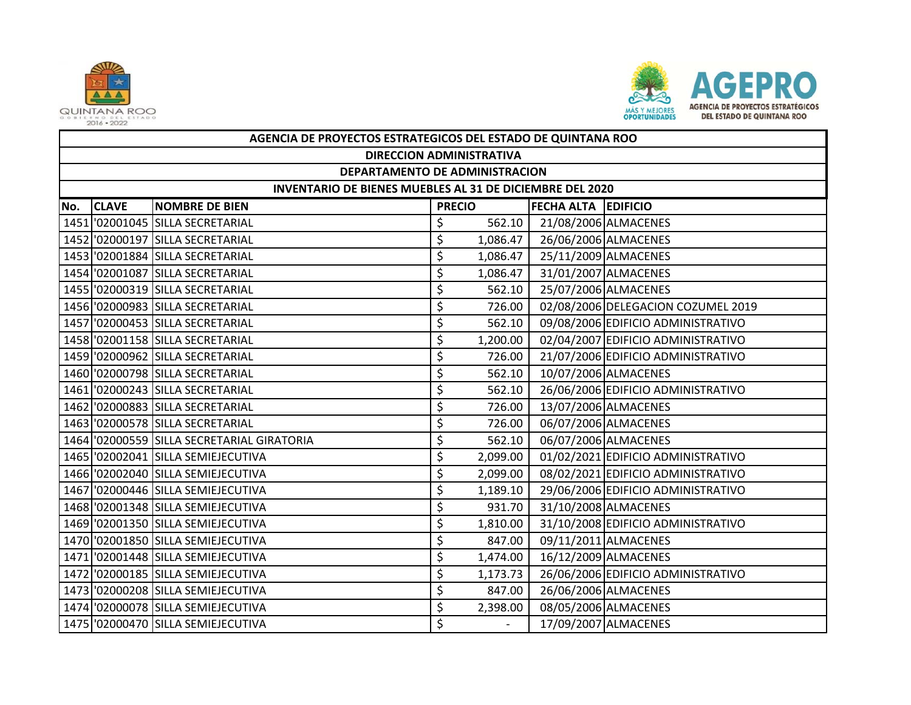



|     | AGENCIA DE PROYECTOS ESTRATEGICOS DEL ESTADO DE QUINTANA ROO |                                            |               |                          |                            |                                    |  |  |  |  |
|-----|--------------------------------------------------------------|--------------------------------------------|---------------|--------------------------|----------------------------|------------------------------------|--|--|--|--|
|     | <b>DIRECCION ADMINISTRATIVA</b>                              |                                            |               |                          |                            |                                    |  |  |  |  |
|     | DEPARTAMENTO DE ADMINISTRACION                               |                                            |               |                          |                            |                                    |  |  |  |  |
|     | INVENTARIO DE BIENES MUEBLES AL 31 DE DICIEMBRE DEL 2020     |                                            |               |                          |                            |                                    |  |  |  |  |
| No. | <b>CLAVE</b>                                                 | <b>NOMBRE DE BIEN</b>                      | <b>PRECIO</b> |                          | <b>FECHA ALTA EDIFICIO</b> |                                    |  |  |  |  |
|     |                                                              | 1451 '02001045 SILLA SECRETARIAL           | \$            | 562.10                   |                            | 21/08/2006 ALMACENES               |  |  |  |  |
|     |                                                              | 1452 '02000197 SILLA SECRETARIAL           | \$            | 1,086.47                 |                            | 26/06/2006 ALMACENES               |  |  |  |  |
|     |                                                              | 1453 '02001884 SILLA SECRETARIAL           | \$            | 1,086.47                 |                            | 25/11/2009 ALMACENES               |  |  |  |  |
|     |                                                              | 1454 '02001087 SILLA SECRETARIAL           | \$            | 1,086.47                 |                            | 31/01/2007 ALMACENES               |  |  |  |  |
|     |                                                              | 1455 '02000319 SILLA SECRETARIAL           | \$            | 562.10                   |                            | 25/07/2006 ALMACENES               |  |  |  |  |
|     |                                                              | 1456 '02000983 SILLA SECRETARIAL           | \$            | 726.00                   |                            | 02/08/2006 DELEGACION COZUMEL 2019 |  |  |  |  |
|     |                                                              | 1457 '02000453 SILLA SECRETARIAL           | \$            | 562.10                   |                            | 09/08/2006 EDIFICIO ADMINISTRATIVO |  |  |  |  |
|     |                                                              | 1458 '02001158 SILLA SECRETARIAL           | \$            | 1,200.00                 |                            | 02/04/2007 EDIFICIO ADMINISTRATIVO |  |  |  |  |
|     |                                                              | 1459 '02000962 SILLA SECRETARIAL           | \$            | 726.00                   |                            | 21/07/2006 EDIFICIO ADMINISTRATIVO |  |  |  |  |
|     |                                                              | 1460 '02000798 SILLA SECRETARIAL           | \$            | 562.10                   |                            | 10/07/2006 ALMACENES               |  |  |  |  |
|     |                                                              | 1461 '02000243 SILLA SECRETARIAL           | \$            | 562.10                   |                            | 26/06/2006 EDIFICIO ADMINISTRATIVO |  |  |  |  |
|     |                                                              | 1462 '02000883 SILLA SECRETARIAL           | \$            | 726.00                   |                            | 13/07/2006 ALMACENES               |  |  |  |  |
|     |                                                              | 1463 '02000578 SILLA SECRETARIAL           | \$            | 726.00                   |                            | 06/07/2006 ALMACENES               |  |  |  |  |
|     |                                                              | 1464 '02000559 SILLA SECRETARIAL GIRATORIA | \$            | 562.10                   |                            | 06/07/2006 ALMACENES               |  |  |  |  |
|     |                                                              | 1465 '02002041 SILLA SEMIEJECUTIVA         | \$            | 2,099.00                 |                            | 01/02/2021 EDIFICIO ADMINISTRATIVO |  |  |  |  |
|     |                                                              | 1466 '02002040 SILLA SEMIEJECUTIVA         | \$            | 2,099.00                 |                            | 08/02/2021 EDIFICIO ADMINISTRATIVO |  |  |  |  |
|     |                                                              | 1467 02000446 SILLA SEMIEJECUTIVA          | \$            | 1,189.10                 |                            | 29/06/2006 EDIFICIO ADMINISTRATIVO |  |  |  |  |
|     |                                                              | 1468 '02001348 SILLA SEMIEJECUTIVA         | \$            | 931.70                   |                            | 31/10/2008 ALMACENES               |  |  |  |  |
|     |                                                              | 1469 '02001350 SILLA SEMIEJECUTIVA         | \$            | 1,810.00                 |                            | 31/10/2008 EDIFICIO ADMINISTRATIVO |  |  |  |  |
|     |                                                              | 1470 '02001850 SILLA SEMIEJECUTIVA         | \$            | 847.00                   |                            | 09/11/2011 ALMACENES               |  |  |  |  |
|     |                                                              | 1471 '02001448 SILLA SEMIEJECUTIVA         | \$            | 1,474.00                 |                            | 16/12/2009 ALMACENES               |  |  |  |  |
|     |                                                              | 1472 '02000185 SILLA SEMIEJECUTIVA         | \$            | 1,173.73                 |                            | 26/06/2006 EDIFICIO ADMINISTRATIVO |  |  |  |  |
|     |                                                              | 1473 '02000208 SILLA SEMIEJECUTIVA         | \$            | 847.00                   |                            | 26/06/2006 ALMACENES               |  |  |  |  |
|     |                                                              | 1474 02000078 SILLA SEMIEJECUTIVA          | \$            | 2,398.00                 |                            | 08/05/2006 ALMACENES               |  |  |  |  |
|     |                                                              | 1475 '02000470 SILLA SEMIEJECUTIVA         | Ś             | $\overline{\phantom{0}}$ |                            | 17/09/2007 ALMACENES               |  |  |  |  |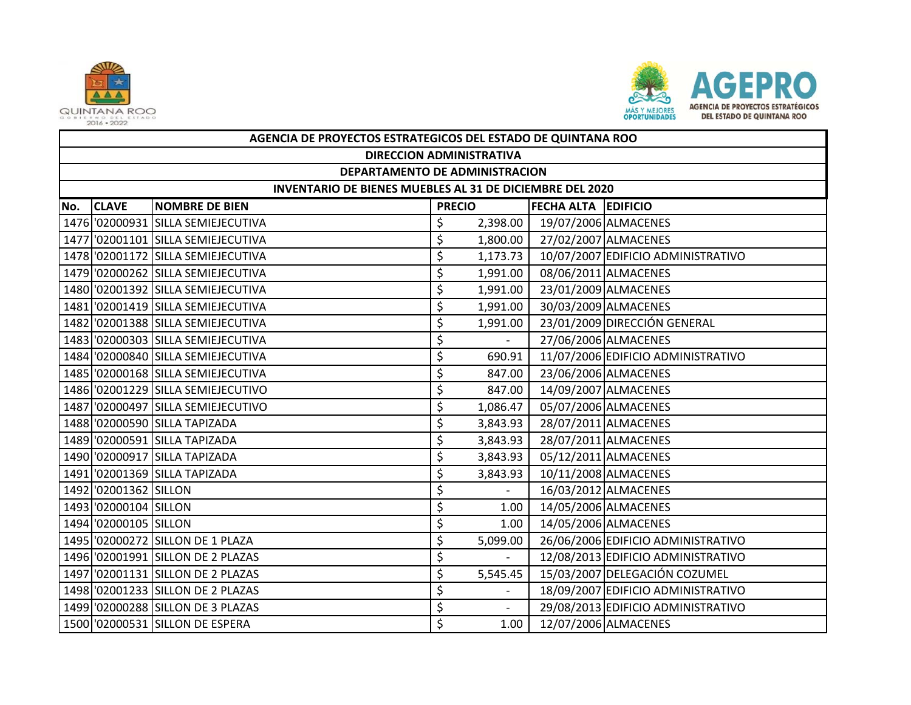



|     | AGENCIA DE PROYECTOS ESTRATEGICOS DEL ESTADO DE QUINTANA ROO |                                    |               |          |                     |                                    |  |  |  |  |
|-----|--------------------------------------------------------------|------------------------------------|---------------|----------|---------------------|------------------------------------|--|--|--|--|
|     | <b>DIRECCION ADMINISTRATIVA</b>                              |                                    |               |          |                     |                                    |  |  |  |  |
|     | DEPARTAMENTO DE ADMINISTRACION                               |                                    |               |          |                     |                                    |  |  |  |  |
|     | INVENTARIO DE BIENES MUEBLES AL 31 DE DICIEMBRE DEL 2020     |                                    |               |          |                     |                                    |  |  |  |  |
| No. | <b>CLAVE</b>                                                 | <b>NOMBRE DE BIEN</b>              | <b>PRECIO</b> |          | FECHA ALTA EDIFICIO |                                    |  |  |  |  |
|     |                                                              | 1476 '02000931 SILLA SEMIEJECUTIVA | \$            | 2,398.00 |                     | 19/07/2006 ALMACENES               |  |  |  |  |
|     |                                                              | 1477 '02001101 SILLA SEMIEJECUTIVA | \$            | 1,800.00 |                     | 27/02/2007 ALMACENES               |  |  |  |  |
|     |                                                              | 1478 '02001172 SILLA SEMIEJECUTIVA | \$            | 1,173.73 |                     | 10/07/2007 EDIFICIO ADMINISTRATIVO |  |  |  |  |
|     |                                                              | 1479 '02000262 SILLA SEMIEJECUTIVA | \$            | 1,991.00 |                     | 08/06/2011 ALMACENES               |  |  |  |  |
|     |                                                              | 1480 '02001392 SILLA SEMIEJECUTIVA | \$            | 1,991.00 |                     | 23/01/2009 ALMACENES               |  |  |  |  |
|     |                                                              | 1481 02001419 SILLA SEMIEJECUTIVA  | \$            | 1,991.00 |                     | 30/03/2009 ALMACENES               |  |  |  |  |
|     |                                                              | 1482 '02001388 SILLA SEMIEJECUTIVA | \$            | 1,991.00 |                     | 23/01/2009 DIRECCIÓN GENERAL       |  |  |  |  |
|     |                                                              | 1483 02000303 SILLA SEMIEJECUTIVA  | \$            |          |                     | 27/06/2006 ALMACENES               |  |  |  |  |
|     |                                                              | 1484 '02000840 SILLA SEMIEJECUTIVA | \$            | 690.91   |                     | 11/07/2006 EDIFICIO ADMINISTRATIVO |  |  |  |  |
|     |                                                              | 1485 '02000168 SILLA SEMIEJECUTIVA | \$            | 847.00   |                     | 23/06/2006 ALMACENES               |  |  |  |  |
|     |                                                              | 1486 '02001229 SILLA SEMIEJECUTIVO | \$            | 847.00   |                     | 14/09/2007 ALMACENES               |  |  |  |  |
|     |                                                              | 1487 02000497 SILLA SEMIEJECUTIVO  | \$            | 1,086.47 |                     | 05/07/2006 ALMACENES               |  |  |  |  |
|     |                                                              | 1488 '02000590 SILLA TAPIZADA      | \$            | 3,843.93 |                     | 28/07/2011 ALMACENES               |  |  |  |  |
|     |                                                              | 1489 '02000591 SILLA TAPIZADA      | \$            | 3,843.93 |                     | 28/07/2011 ALMACENES               |  |  |  |  |
|     |                                                              | 1490 '02000917 SILLA TAPIZADA      | \$            | 3,843.93 |                     | 05/12/2011 ALMACENES               |  |  |  |  |
|     |                                                              | 1491 '02001369 SILLA TAPIZADA      | \$            | 3,843.93 |                     | 10/11/2008 ALMACENES               |  |  |  |  |
|     | 1492 '02001362 SILLON                                        |                                    | \$            |          |                     | 16/03/2012 ALMACENES               |  |  |  |  |
|     | 1493 02000104 SILLON                                         |                                    | \$            | 1.00     |                     | 14/05/2006 ALMACENES               |  |  |  |  |
|     | 1494 '02000105 SILLON                                        |                                    | \$            | 1.00     |                     | 14/05/2006 ALMACENES               |  |  |  |  |
|     |                                                              | 1495 '02000272 SILLON DE 1 PLAZA   | \$            | 5,099.00 |                     | 26/06/2006 EDIFICIO ADMINISTRATIVO |  |  |  |  |
|     |                                                              | 1496 '02001991 SILLON DE 2 PLAZAS  | \$            |          |                     | 12/08/2013 EDIFICIO ADMINISTRATIVO |  |  |  |  |
|     |                                                              | 1497 '02001131 SILLON DE 2 PLAZAS  | \$            | 5,545.45 |                     | 15/03/2007 DELEGACIÓN COZUMEL      |  |  |  |  |
|     |                                                              | 1498 '02001233 SILLON DE 2 PLAZAS  | \$            |          |                     | 18/09/2007 EDIFICIO ADMINISTRATIVO |  |  |  |  |
|     |                                                              | 1499 02000288 SILLON DE 3 PLAZAS   | \$            |          |                     | 29/08/2013 EDIFICIO ADMINISTRATIVO |  |  |  |  |
|     |                                                              | 1500 '02000531 SILLON DE ESPERA    | \$            | 1.00     |                     | 12/07/2006 ALMACENES               |  |  |  |  |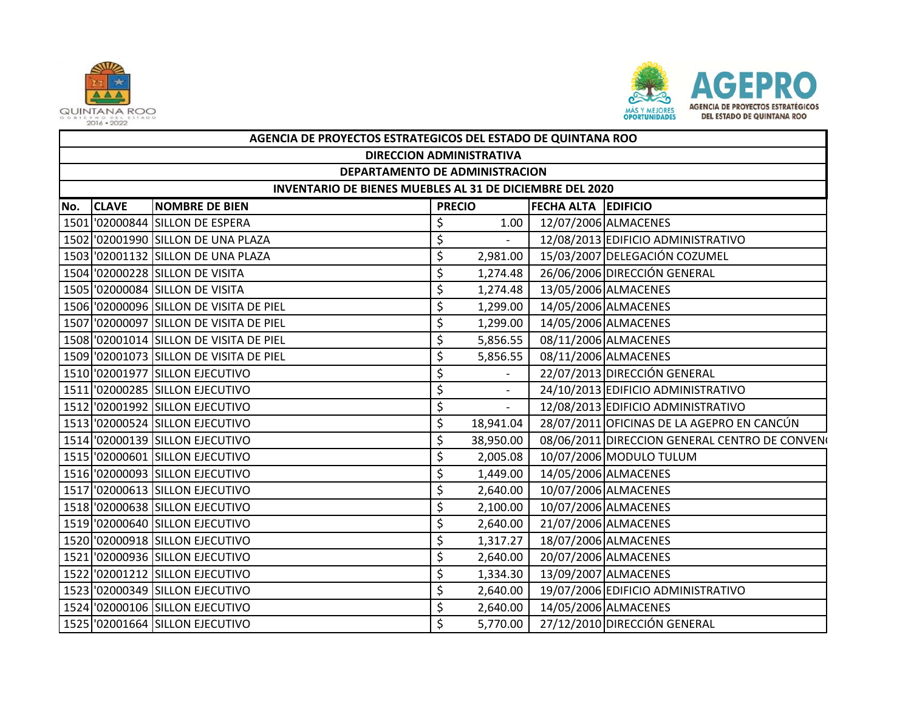



|     | AGENCIA DE PROYECTOS ESTRATEGICOS DEL ESTADO DE QUINTANA ROO |                                         |               |                          |                            |                                                |  |  |  |  |
|-----|--------------------------------------------------------------|-----------------------------------------|---------------|--------------------------|----------------------------|------------------------------------------------|--|--|--|--|
|     | <b>DIRECCION ADMINISTRATIVA</b>                              |                                         |               |                          |                            |                                                |  |  |  |  |
|     | DEPARTAMENTO DE ADMINISTRACION                               |                                         |               |                          |                            |                                                |  |  |  |  |
|     | INVENTARIO DE BIENES MUEBLES AL 31 DE DICIEMBRE DEL 2020     |                                         |               |                          |                            |                                                |  |  |  |  |
| No. | <b>CLAVE</b>                                                 | <b>NOMBRE DE BIEN</b>                   | <b>PRECIO</b> |                          | <b>FECHA ALTA EDIFICIO</b> |                                                |  |  |  |  |
|     |                                                              | 1501 '02000844 SILLON DE ESPERA         | \$            | 1.00                     |                            | 12/07/2006 ALMACENES                           |  |  |  |  |
|     |                                                              | 1502 '02001990 SILLON DE UNA PLAZA      | \$            | $\overline{\phantom{0}}$ |                            | 12/08/2013 EDIFICIO ADMINISTRATIVO             |  |  |  |  |
|     |                                                              | 1503 '02001132 SILLON DE UNA PLAZA      | \$            | 2,981.00                 |                            | 15/03/2007 DELEGACIÓN COZUMEL                  |  |  |  |  |
|     |                                                              | 1504 '02000228 SILLON DE VISITA         | \$            | 1,274.48                 |                            | 26/06/2006 DIRECCIÓN GENERAL                   |  |  |  |  |
|     |                                                              | 1505 '02000084 SILLON DE VISITA         | \$            | 1,274.48                 |                            | 13/05/2006 ALMACENES                           |  |  |  |  |
|     |                                                              | 1506 '02000096 SILLON DE VISITA DE PIEL | \$            | 1,299.00                 |                            | 14/05/2006 ALMACENES                           |  |  |  |  |
|     |                                                              | 1507 '02000097 SILLON DE VISITA DE PIEL | \$            | 1,299.00                 |                            | 14/05/2006 ALMACENES                           |  |  |  |  |
|     |                                                              | 1508 02001014 SILLON DE VISITA DE PIEL  | \$            | 5,856.55                 |                            | 08/11/2006 ALMACENES                           |  |  |  |  |
|     |                                                              | 1509 02001073 SILLON DE VISITA DE PIEL  | \$            | 5,856.55                 |                            | 08/11/2006 ALMACENES                           |  |  |  |  |
|     |                                                              | 1510 '02001977 SILLON EJECUTIVO         | \$            |                          |                            | 22/07/2013 DIRECCIÓN GENERAL                   |  |  |  |  |
|     |                                                              | 1511 '02000285 SILLON EJECUTIVO         | \$            |                          |                            | 24/10/2013 EDIFICIO ADMINISTRATIVO             |  |  |  |  |
|     |                                                              | 1512 '02001992 SILLON EJECUTIVO         | \$            | $\overline{\phantom{0}}$ |                            | 12/08/2013 EDIFICIO ADMINISTRATIVO             |  |  |  |  |
|     |                                                              | 1513 '02000524 SILLON EJECUTIVO         | \$            | 18,941.04                |                            | 28/07/2011 OFICINAS DE LA AGEPRO EN CANCÚN     |  |  |  |  |
|     |                                                              | 1514 '02000139 SILLON EJECUTIVO         | \$            | 38,950.00                |                            | 08/06/2011 DIRECCION GENERAL CENTRO DE CONVENO |  |  |  |  |
|     |                                                              | 1515 '02000601 SILLON EJECUTIVO         | \$            | 2,005.08                 |                            | 10/07/2006 MODULO TULUM                        |  |  |  |  |
|     |                                                              | 1516 '02000093 SILLON EJECUTIVO         | \$            | 1,449.00                 |                            | 14/05/2006 ALMACENES                           |  |  |  |  |
|     |                                                              | 1517 '02000613 SILLON EJECUTIVO         | \$            | 2,640.00                 |                            | 10/07/2006 ALMACENES                           |  |  |  |  |
|     |                                                              | 1518 '02000638 SILLON EJECUTIVO         | \$            | 2,100.00                 |                            | 10/07/2006 ALMACENES                           |  |  |  |  |
|     |                                                              | 1519 '02000640 SILLON EJECUTIVO         | \$            | 2,640.00                 |                            | 21/07/2006 ALMACENES                           |  |  |  |  |
|     |                                                              | 1520 '02000918 SILLON EJECUTIVO         | \$            | 1,317.27                 |                            | 18/07/2006 ALMACENES                           |  |  |  |  |
|     |                                                              | 1521 '02000936 SILLON EJECUTIVO         | \$            | 2,640.00                 |                            | 20/07/2006 ALMACENES                           |  |  |  |  |
|     |                                                              | 1522 '02001212 SILLON EJECUTIVO         | \$            | 1,334.30                 |                            | 13/09/2007 ALMACENES                           |  |  |  |  |
|     |                                                              | 1523 '02000349 SILLON EJECUTIVO         | \$            | 2,640.00                 |                            | 19/07/2006 EDIFICIO ADMINISTRATIVO             |  |  |  |  |
|     |                                                              | 1524 '02000106 SILLON EJECUTIVO         | \$            | 2,640.00                 |                            | 14/05/2006 ALMACENES                           |  |  |  |  |
|     |                                                              | 1525 '02001664 SILLON EJECUTIVO         | $\zeta$       | 5,770.00                 |                            | 27/12/2010 DIRECCIÓN GENERAL                   |  |  |  |  |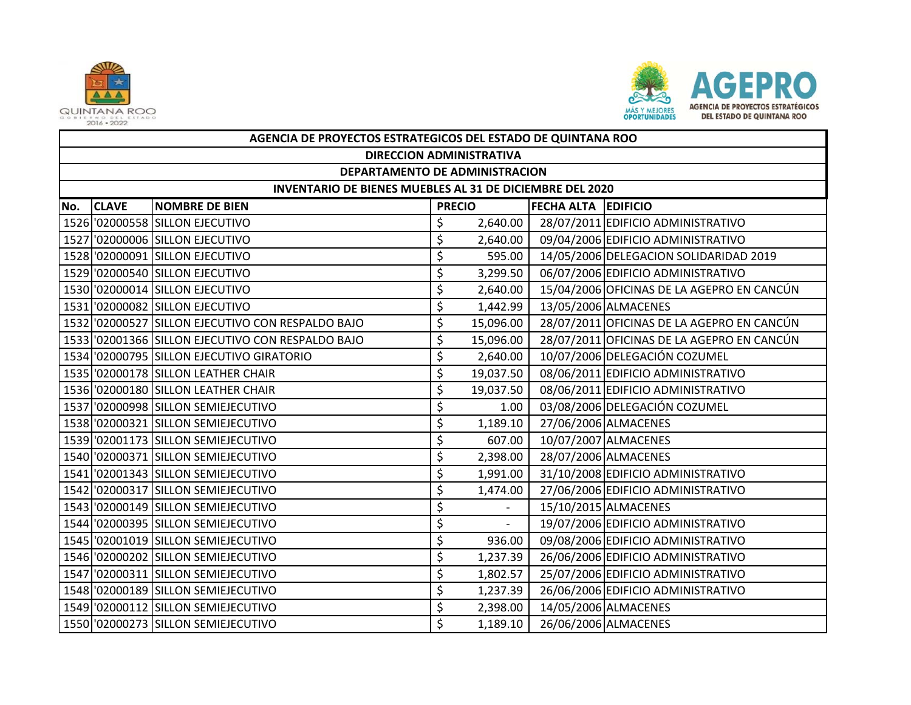



|     | AGENCIA DE PROYECTOS ESTRATEGICOS DEL ESTADO DE QUINTANA ROO    |                                                   |               |                          |                            |                                            |  |  |  |  |
|-----|-----------------------------------------------------------------|---------------------------------------------------|---------------|--------------------------|----------------------------|--------------------------------------------|--|--|--|--|
|     | <b>DIRECCION ADMINISTRATIVA</b>                                 |                                                   |               |                          |                            |                                            |  |  |  |  |
|     | DEPARTAMENTO DE ADMINISTRACION                                  |                                                   |               |                          |                            |                                            |  |  |  |  |
|     | <b>INVENTARIO DE BIENES MUEBLES AL 31 DE DICIEMBRE DEL 2020</b> |                                                   |               |                          |                            |                                            |  |  |  |  |
| No. | <b>CLAVE</b>                                                    | <b>NOMBRE DE BIEN</b>                             | <b>PRECIO</b> |                          | <b>FECHA ALTA EDIFICIO</b> |                                            |  |  |  |  |
|     |                                                                 | 1526 '02000558 SILLON EJECUTIVO                   | \$            | 2,640.00                 |                            | 28/07/2011 EDIFICIO ADMINISTRATIVO         |  |  |  |  |
|     |                                                                 | 1527 '02000006 SILLON EJECUTIVO                   | \$            | 2,640.00                 |                            | 09/04/2006 EDIFICIO ADMINISTRATIVO         |  |  |  |  |
|     |                                                                 | 1528 '02000091 SILLON EJECUTIVO                   | \$            | 595.00                   |                            | 14/05/2006 DELEGACION SOLIDARIDAD 2019     |  |  |  |  |
|     |                                                                 | 1529 '02000540 SILLON EJECUTIVO                   | \$            | 3,299.50                 |                            | 06/07/2006 EDIFICIO ADMINISTRATIVO         |  |  |  |  |
|     |                                                                 | 1530 '02000014 SILLON EJECUTIVO                   | \$            | 2,640.00                 |                            | 15/04/2006 OFICINAS DE LA AGEPRO EN CANCÚN |  |  |  |  |
|     |                                                                 | 1531 '02000082 SILLON EJECUTIVO                   | \$            | 1,442.99                 |                            | 13/05/2006 ALMACENES                       |  |  |  |  |
|     |                                                                 | 1532 '02000527 SILLON EJECUTIVO CON RESPALDO BAJO | \$            | 15,096.00                |                            | 28/07/2011 OFICINAS DE LA AGEPRO EN CANCÚN |  |  |  |  |
|     |                                                                 | 1533 '02001366 SILLON EJECUTIVO CON RESPALDO BAJO | \$            | 15,096.00                |                            | 28/07/2011 OFICINAS DE LA AGEPRO EN CANCÚN |  |  |  |  |
|     |                                                                 | 1534 '02000795 SILLON EJECUTIVO GIRATORIO         | \$            | 2,640.00                 |                            | 10/07/2006 DELEGACIÓN COZUMEL              |  |  |  |  |
|     |                                                                 | 1535 '02000178 SILLON LEATHER CHAIR               | \$            | 19,037.50                |                            | 08/06/2011 EDIFICIO ADMINISTRATIVO         |  |  |  |  |
|     |                                                                 | 1536 '02000180 SILLON LEATHER CHAIR               | \$            | 19,037.50                |                            | 08/06/2011 EDIFICIO ADMINISTRATIVO         |  |  |  |  |
|     |                                                                 | 1537 02000998 SILLON SEMIEJECUTIVO                | \$            | 1.00                     |                            | 03/08/2006 DELEGACIÓN COZUMEL              |  |  |  |  |
|     |                                                                 | 1538 '02000321 SILLON SEMIEJECUTIVO               | \$            | 1,189.10                 |                            | 27/06/2006 ALMACENES                       |  |  |  |  |
|     |                                                                 | 1539 '02001173 SILLON SEMIEJECUTIVO               | \$            | 607.00                   |                            | 10/07/2007 ALMACENES                       |  |  |  |  |
|     |                                                                 | 1540 '02000371 SILLON SEMIEJECUTIVO               | \$            | 2,398.00                 |                            | 28/07/2006 ALMACENES                       |  |  |  |  |
|     |                                                                 | 1541 02001343 SILLON SEMIEJECUTIVO                | \$            | 1,991.00                 |                            | 31/10/2008 EDIFICIO ADMINISTRATIVO         |  |  |  |  |
|     |                                                                 | 1542 '02000317 SILLON SEMIEJECUTIVO               | \$            | 1,474.00                 |                            | 27/06/2006 EDIFICIO ADMINISTRATIVO         |  |  |  |  |
|     |                                                                 | 1543 02000149 SILLON SEMIEJECUTIVO                | \$            |                          |                            | 15/10/2015 ALMACENES                       |  |  |  |  |
|     |                                                                 | 1544 '02000395 SILLON SEMIEJECUTIVO               | \$            | $\overline{\phantom{a}}$ |                            | 19/07/2006 EDIFICIO ADMINISTRATIVO         |  |  |  |  |
|     |                                                                 | 1545 '02001019 SILLON SEMIEJECUTIVO               | \$            | 936.00                   |                            | 09/08/2006 EDIFICIO ADMINISTRATIVO         |  |  |  |  |
|     |                                                                 | 1546 '02000202 SILLON SEMIEJECUTIVO               | \$            | 1,237.39                 |                            | 26/06/2006 EDIFICIO ADMINISTRATIVO         |  |  |  |  |
|     |                                                                 | 1547 '02000311 SILLON SEMIEJECUTIVO               | \$            | 1,802.57                 |                            | 25/07/2006 EDIFICIO ADMINISTRATIVO         |  |  |  |  |
|     |                                                                 | 1548 '02000189 SILLON SEMIEJECUTIVO               | \$            | 1,237.39                 |                            | 26/06/2006 EDIFICIO ADMINISTRATIVO         |  |  |  |  |
|     |                                                                 | 1549 02000112 SILLON SEMIEJECUTIVO                | \$            | 2,398.00                 |                            | 14/05/2006 ALMACENES                       |  |  |  |  |
|     |                                                                 | 1550 '02000273 SILLON SEMIEJECUTIVO               | \$            | 1,189.10                 |                            | 26/06/2006 ALMACENES                       |  |  |  |  |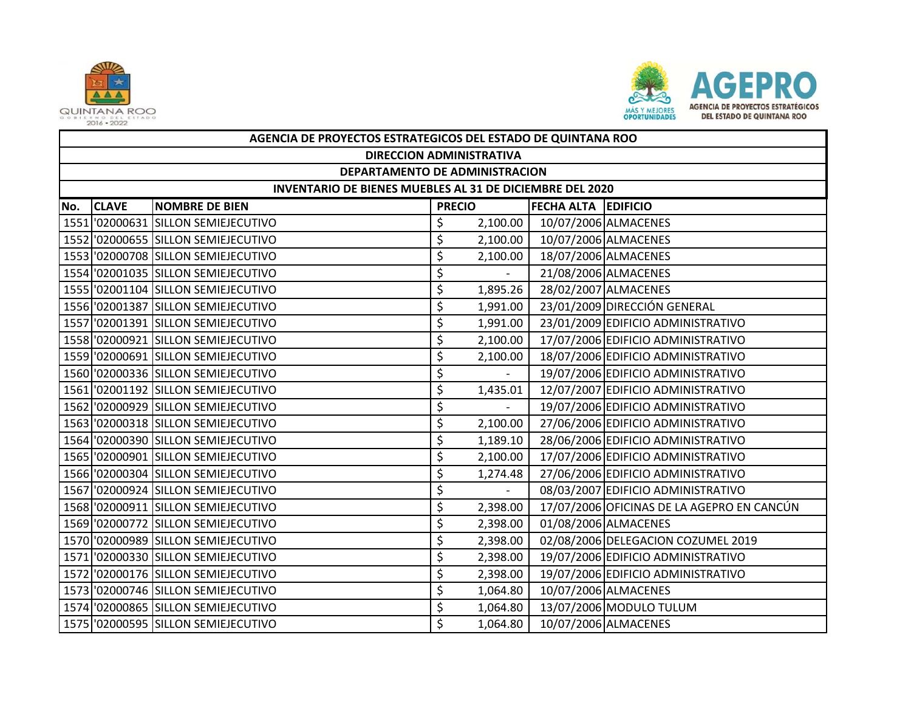



|     | AGENCIA DE PROYECTOS ESTRATEGICOS DEL ESTADO DE QUINTANA ROO |                                     |    |          |                     |                                            |  |  |  |  |
|-----|--------------------------------------------------------------|-------------------------------------|----|----------|---------------------|--------------------------------------------|--|--|--|--|
|     | <b>DIRECCION ADMINISTRATIVA</b>                              |                                     |    |          |                     |                                            |  |  |  |  |
|     | DEPARTAMENTO DE ADMINISTRACION                               |                                     |    |          |                     |                                            |  |  |  |  |
|     | INVENTARIO DE BIENES MUEBLES AL 31 DE DICIEMBRE DEL 2020     |                                     |    |          |                     |                                            |  |  |  |  |
| No. | <b>CLAVE</b><br><b>NOMBRE DE BIEN</b><br><b>PRECIO</b>       |                                     |    |          | FECHA ALTA EDIFICIO |                                            |  |  |  |  |
|     |                                                              | 1551 '02000631 SILLON SEMIEJECUTIVO | \$ | 2,100.00 |                     | 10/07/2006 ALMACENES                       |  |  |  |  |
|     |                                                              | 1552 '02000655 SILLON SEMIEJECUTIVO | \$ | 2,100.00 |                     | 10/07/2006 ALMACENES                       |  |  |  |  |
|     |                                                              | 1553 '02000708 SILLON SEMIEJECUTIVO | \$ | 2,100.00 |                     | 18/07/2006 ALMACENES                       |  |  |  |  |
|     |                                                              | 1554 '02001035 SILLON SEMIEJECUTIVO | \$ |          |                     | 21/08/2006 ALMACENES                       |  |  |  |  |
|     |                                                              | 1555 '02001104 SILLON SEMIEJECUTIVO | \$ | 1,895.26 |                     | 28/02/2007 ALMACENES                       |  |  |  |  |
|     |                                                              | 1556 '02001387 SILLON SEMIEJECUTIVO | \$ | 1,991.00 |                     | 23/01/2009 DIRECCIÓN GENERAL               |  |  |  |  |
|     |                                                              | 1557 '02001391 SILLON SEMIEJECUTIVO | \$ | 1,991.00 |                     | 23/01/2009 EDIFICIO ADMINISTRATIVO         |  |  |  |  |
|     |                                                              | 1558 '02000921 SILLON SEMIEJECUTIVO | \$ | 2,100.00 |                     | 17/07/2006 EDIFICIO ADMINISTRATIVO         |  |  |  |  |
|     |                                                              | 1559 '02000691 SILLON SEMIEJECUTIVO | \$ | 2,100.00 |                     | 18/07/2006 EDIFICIO ADMINISTRATIVO         |  |  |  |  |
|     |                                                              | 1560 '02000336 SILLON SEMIEJECUTIVO | \$ | $\sim$   |                     | 19/07/2006 EDIFICIO ADMINISTRATIVO         |  |  |  |  |
|     |                                                              | 1561 '02001192 SILLON SEMIEJECUTIVO | \$ | 1,435.01 |                     | 12/07/2007 EDIFICIO ADMINISTRATIVO         |  |  |  |  |
|     |                                                              | 1562 02000929 SILLON SEMIEJECUTIVO  | \$ |          |                     | 19/07/2006 EDIFICIO ADMINISTRATIVO         |  |  |  |  |
|     |                                                              | 1563 '02000318 SILLON SEMIEJECUTIVO | \$ | 2,100.00 |                     | 27/06/2006 EDIFICIO ADMINISTRATIVO         |  |  |  |  |
|     |                                                              | 1564 '02000390 SILLON SEMIEJECUTIVO | \$ | 1,189.10 |                     | 28/06/2006 EDIFICIO ADMINISTRATIVO         |  |  |  |  |
|     |                                                              | 1565 '02000901 SILLON SEMIEJECUTIVO | \$ | 2,100.00 |                     | 17/07/2006 EDIFICIO ADMINISTRATIVO         |  |  |  |  |
|     |                                                              | 1566 '02000304 SILLON SEMIEJECUTIVO | \$ | 1,274.48 |                     | 27/06/2006 EDIFICIO ADMINISTRATIVO         |  |  |  |  |
|     |                                                              | 1567 '02000924 SILLON SEMIEJECUTIVO | \$ |          |                     | 08/03/2007 EDIFICIO ADMINISTRATIVO         |  |  |  |  |
|     |                                                              | 1568 '02000911 SILLON SEMIEJECUTIVO | \$ | 2,398.00 |                     | 17/07/2006 OFICINAS DE LA AGEPRO EN CANCÚN |  |  |  |  |
|     |                                                              | 1569 '02000772 SILLON SEMIEJECUTIVO | \$ | 2,398.00 |                     | 01/08/2006 ALMACENES                       |  |  |  |  |
|     |                                                              | 1570 '02000989 SILLON SEMIEJECUTIVO | \$ | 2,398.00 |                     | 02/08/2006 DELEGACION COZUMEL 2019         |  |  |  |  |
|     |                                                              | 1571 02000330 SILLON SEMIEJECUTIVO  | \$ | 2,398.00 |                     | 19/07/2006 EDIFICIO ADMINISTRATIVO         |  |  |  |  |
|     |                                                              | 1572 '02000176 SILLON SEMIEJECUTIVO | \$ | 2,398.00 |                     | 19/07/2006 EDIFICIO ADMINISTRATIVO         |  |  |  |  |
|     |                                                              | 1573 '02000746 SILLON SEMIEJECUTIVO | \$ | 1,064.80 |                     | 10/07/2006 ALMACENES                       |  |  |  |  |
|     |                                                              | 1574 '02000865 SILLON SEMIEJECUTIVO | \$ | 1,064.80 |                     | 13/07/2006 MODULO TULUM                    |  |  |  |  |
|     |                                                              | 1575 '02000595 SILLON SEMIEJECUTIVO | Ś  | 1,064.80 |                     | 10/07/2006 ALMACENES                       |  |  |  |  |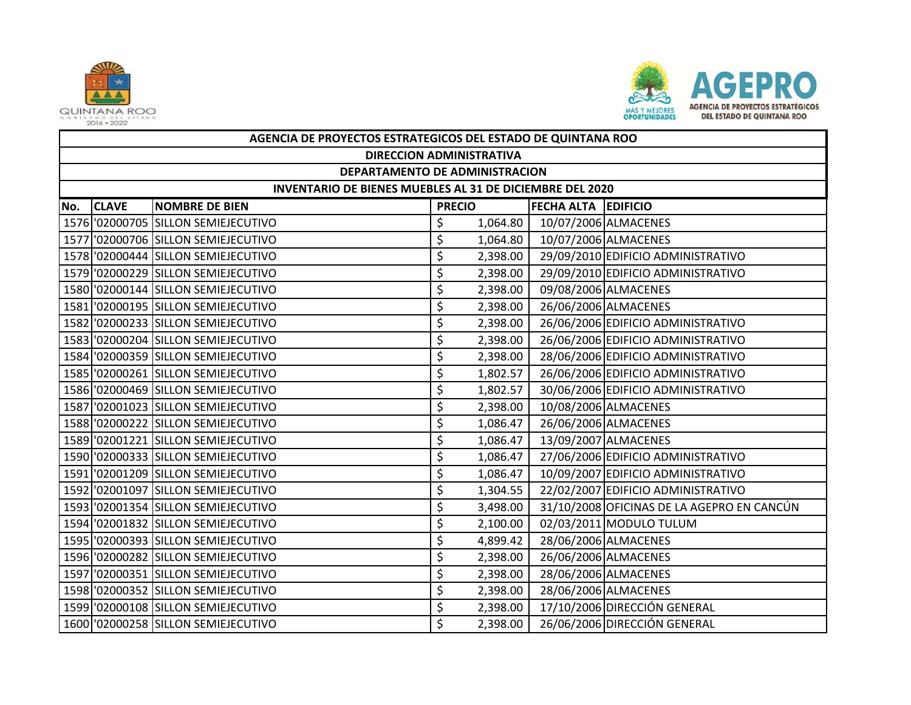



|     | AGENCIA DE PROYECTOS ESTRATEGICOS DEL ESTADO DE QUINTANA ROO |                                     |               |          |                     |                                            |  |  |  |  |
|-----|--------------------------------------------------------------|-------------------------------------|---------------|----------|---------------------|--------------------------------------------|--|--|--|--|
|     | <b>DIRECCION ADMINISTRATIVA</b>                              |                                     |               |          |                     |                                            |  |  |  |  |
|     | DEPARTAMENTO DE ADMINISTRACION                               |                                     |               |          |                     |                                            |  |  |  |  |
|     | INVENTARIO DE BIENES MUEBLES AL 31 DE DICIEMBRE DEL 2020     |                                     |               |          |                     |                                            |  |  |  |  |
| No. | <b>CLAVE</b>                                                 | <b>NOMBRE DE BIEN</b>               | <b>PRECIO</b> |          | FECHA ALTA EDIFICIO |                                            |  |  |  |  |
|     |                                                              | 1576 '02000705 SILLON SEMIEJECUTIVO | \$            | 1,064.80 |                     | 10/07/2006 ALMACENES                       |  |  |  |  |
|     |                                                              | 1577 '02000706 SILLON SEMIEJECUTIVO | \$            | 1,064.80 |                     | 10/07/2006 ALMACENES                       |  |  |  |  |
|     |                                                              | 1578 '02000444 SILLON SEMIEJECUTIVO | \$            | 2,398.00 |                     | 29/09/2010 EDIFICIO ADMINISTRATIVO         |  |  |  |  |
|     |                                                              | 1579 02000229 SILLON SEMIEJECUTIVO  | \$            | 2,398.00 |                     | 29/09/2010 EDIFICIO ADMINISTRATIVO         |  |  |  |  |
|     |                                                              | 1580 '02000144 SILLON SEMIEJECUTIVO | \$            | 2,398.00 |                     | 09/08/2006 ALMACENES                       |  |  |  |  |
|     |                                                              | 1581 '02000195 SILLON SEMIEJECUTIVO | \$            | 2,398.00 |                     | 26/06/2006 ALMACENES                       |  |  |  |  |
|     |                                                              | 1582 '02000233 SILLON SEMIEJECUTIVO | \$            | 2,398.00 |                     | 26/06/2006 EDIFICIO ADMINISTRATIVO         |  |  |  |  |
|     |                                                              | 1583 02000204 SILLON SEMIEJECUTIVO  | \$            | 2,398.00 |                     | 26/06/2006 EDIFICIO ADMINISTRATIVO         |  |  |  |  |
|     |                                                              | 1584 02000359 SILLON SEMIEJECUTIVO  | \$            | 2,398.00 |                     | 28/06/2006 EDIFICIO ADMINISTRATIVO         |  |  |  |  |
|     |                                                              | 1585 '02000261 SILLON SEMIEJECUTIVO | \$            | 1,802.57 |                     | 26/06/2006 EDIFICIO ADMINISTRATIVO         |  |  |  |  |
|     |                                                              | 1586 '02000469 SILLON SEMIEJECUTIVO | \$            | 1,802.57 |                     | 30/06/2006 EDIFICIO ADMINISTRATIVO         |  |  |  |  |
|     |                                                              | 1587 02001023 SILLON SEMIEJECUTIVO  | \$            | 2,398.00 |                     | 10/08/2006 ALMACENES                       |  |  |  |  |
|     |                                                              | 1588 '02000222 SILLON SEMIEJECUTIVO | \$            | 1,086.47 |                     | 26/06/2006 ALMACENES                       |  |  |  |  |
|     |                                                              | 1589 '02001221 SILLON SEMIEJECUTIVO | \$            | 1,086.47 |                     | 13/09/2007 ALMACENES                       |  |  |  |  |
|     |                                                              | 1590 '02000333 SILLON SEMIEJECUTIVO | \$            | 1,086.47 |                     | 27/06/2006 EDIFICIO ADMINISTRATIVO         |  |  |  |  |
|     |                                                              | 1591 '02001209 SILLON SEMIEJECUTIVO | \$            | 1,086.47 |                     | 10/09/2007 EDIFICIO ADMINISTRATIVO         |  |  |  |  |
|     |                                                              | 1592 02001097 SILLON SEMIEJECUTIVO  | \$            | 1,304.55 |                     | 22/02/2007 EDIFICIO ADMINISTRATIVO         |  |  |  |  |
|     |                                                              | 1593 '02001354 SILLON SEMIEJECUTIVO | \$            | 3,498.00 |                     | 31/10/2008 OFICINAS DE LA AGEPRO EN CANCÚN |  |  |  |  |
|     |                                                              | 1594 '02001832 SILLON SEMIEJECUTIVO | \$            | 2,100.00 |                     | 02/03/2011 MODULO TULUM                    |  |  |  |  |
|     |                                                              | 1595 02000393 SILLON SEMIEJECUTIVO  | \$            | 4,899.42 |                     | 28/06/2006 ALMACENES                       |  |  |  |  |
|     |                                                              | 1596 '02000282 SILLON SEMIEJECUTIVO | \$            | 2,398.00 |                     | 26/06/2006 ALMACENES                       |  |  |  |  |
|     |                                                              | 1597 '02000351 SILLON SEMIEJECUTIVO | \$            | 2,398.00 |                     | 28/06/2006 ALMACENES                       |  |  |  |  |
|     |                                                              | 1598 '02000352 SILLON SEMIEJECUTIVO | \$            | 2,398.00 |                     | 28/06/2006 ALMACENES                       |  |  |  |  |
|     |                                                              | 1599 '02000108 SILLON SEMIEJECUTIVO | \$            | 2,398.00 |                     | 17/10/2006 DIRECCIÓN GENERAL               |  |  |  |  |
|     |                                                              | 1600 02000258 SILLON SEMIEJECUTIVO  | Ś             | 2,398.00 |                     | 26/06/2006 DIRECCIÓN GENERAL               |  |  |  |  |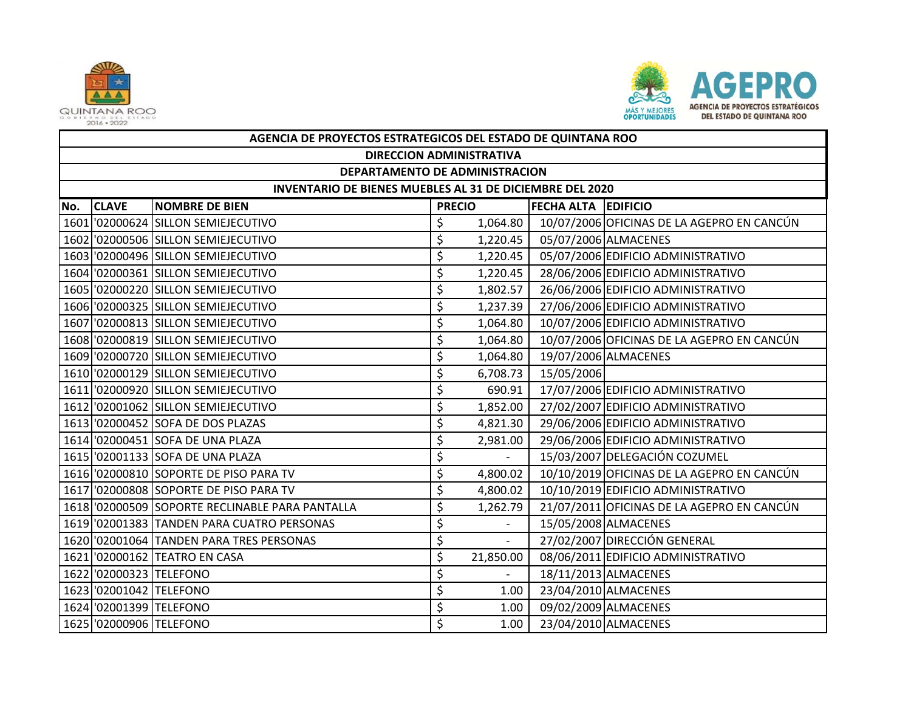



|     | AGENCIA DE PROYECTOS ESTRATEGICOS DEL ESTADO DE QUINTANA ROO |                                                 |               |                |                     |                                            |  |  |  |  |
|-----|--------------------------------------------------------------|-------------------------------------------------|---------------|----------------|---------------------|--------------------------------------------|--|--|--|--|
|     | <b>DIRECCION ADMINISTRATIVA</b>                              |                                                 |               |                |                     |                                            |  |  |  |  |
|     | DEPARTAMENTO DE ADMINISTRACION                               |                                                 |               |                |                     |                                            |  |  |  |  |
|     | INVENTARIO DE BIENES MUEBLES AL 31 DE DICIEMBRE DEL 2020     |                                                 |               |                |                     |                                            |  |  |  |  |
| No. | <b>CLAVE</b>                                                 | <b>NOMBRE DE BIEN</b>                           | <b>PRECIO</b> |                | FECHA ALTA EDIFICIO |                                            |  |  |  |  |
|     |                                                              | 1601 02000624 SILLON SEMIEJECUTIVO              | \$            | 1,064.80       |                     | 10/07/2006 OFICINAS DE LA AGEPRO EN CANCÚN |  |  |  |  |
|     |                                                              | 1602 02000506 SILLON SEMIEJECUTIVO              | \$            | 1,220.45       |                     | 05/07/2006 ALMACENES                       |  |  |  |  |
|     |                                                              | 1603 '02000496 SILLON SEMIEJECUTIVO             | \$            | 1,220.45       |                     | 05/07/2006 EDIFICIO ADMINISTRATIVO         |  |  |  |  |
|     |                                                              | 1604 '02000361 SILLON SEMIEJECUTIVO             | \$            | 1,220.45       |                     | 28/06/2006 EDIFICIO ADMINISTRATIVO         |  |  |  |  |
|     |                                                              | 1605 '02000220 SILLON SEMIEJECUTIVO             | \$            | 1,802.57       |                     | 26/06/2006 EDIFICIO ADMINISTRATIVO         |  |  |  |  |
|     |                                                              | 1606 '02000325 SILLON SEMIEJECUTIVO             | \$            | 1,237.39       |                     | 27/06/2006 EDIFICIO ADMINISTRATIVO         |  |  |  |  |
|     |                                                              | 1607 02000813 SILLON SEMIEJECUTIVO              | \$            | 1,064.80       |                     | 10/07/2006 EDIFICIO ADMINISTRATIVO         |  |  |  |  |
|     |                                                              | 1608 '02000819 SILLON SEMIEJECUTIVO             | \$            | 1,064.80       |                     | 10/07/2006 OFICINAS DE LA AGEPRO EN CANCÚN |  |  |  |  |
|     |                                                              | 1609 '02000720 SILLON SEMIEJECUTIVO             | \$            | 1,064.80       |                     | 19/07/2006 ALMACENES                       |  |  |  |  |
|     |                                                              | 1610 '02000129 SILLON SEMIEJECUTIVO             | \$            | 6,708.73       | 15/05/2006          |                                            |  |  |  |  |
|     |                                                              | 1611 02000920 SILLON SEMIEJECUTIVO              | \$            | 690.91         |                     | 17/07/2006 EDIFICIO ADMINISTRATIVO         |  |  |  |  |
|     |                                                              | 1612 '02001062 SILLON SEMIEJECUTIVO             | \$            | 1,852.00       |                     | 27/02/2007 EDIFICIO ADMINISTRATIVO         |  |  |  |  |
|     |                                                              | 1613 '02000452 SOFA DE DOS PLAZAS               | \$            | 4,821.30       |                     | 29/06/2006 EDIFICIO ADMINISTRATIVO         |  |  |  |  |
|     |                                                              | 1614 '02000451 SOFA DE UNA PLAZA                | \$            | 2,981.00       |                     | 29/06/2006 EDIFICIO ADMINISTRATIVO         |  |  |  |  |
|     |                                                              | 1615 '02001133 SOFA DE UNA PLAZA                | \$            |                |                     | 15/03/2007 DELEGACIÓN COZUMEL              |  |  |  |  |
|     |                                                              | 1616 '02000810 SOPORTE DE PISO PARA TV          | \$            | 4,800.02       |                     | 10/10/2019 OFICINAS DE LA AGEPRO EN CANCÚN |  |  |  |  |
|     |                                                              | 1617 02000808 SOPORTE DE PISO PARA TV           | \$            | 4,800.02       |                     | 10/10/2019 EDIFICIO ADMINISTRATIVO         |  |  |  |  |
|     |                                                              | 1618 '02000509 SOPORTE RECLINABLE PARA PANTALLA | \$            | 1,262.79       |                     | 21/07/2011 OFICINAS DE LA AGEPRO EN CANCÚN |  |  |  |  |
|     |                                                              | 1619 '02001383 TANDEN PARA CUATRO PERSONAS      | \$            |                |                     | 15/05/2008 ALMACENES                       |  |  |  |  |
|     |                                                              | 1620 '02001064 TANDEN PARA TRES PERSONAS        | \$            | $\blacksquare$ |                     | 27/02/2007 DIRECCIÓN GENERAL               |  |  |  |  |
|     |                                                              | 1621 '02000162 TEATRO EN CASA                   | \$            | 21,850.00      |                     | 08/06/2011 EDIFICIO ADMINISTRATIVO         |  |  |  |  |
|     | 1622 '02000323 TELEFONO                                      |                                                 | \$            | $\equiv$       |                     | 18/11/2013 ALMACENES                       |  |  |  |  |
|     | 1623 02001042 TELEFONO                                       |                                                 | \$            | 1.00           |                     | 23/04/2010 ALMACENES                       |  |  |  |  |
|     | 1624 '02001399 TELEFONO                                      |                                                 | \$            | 1.00           |                     | 09/02/2009 ALMACENES                       |  |  |  |  |
|     | 1625 '02000906 TELEFONO                                      |                                                 | \$            | 1.00           |                     | 23/04/2010 ALMACENES                       |  |  |  |  |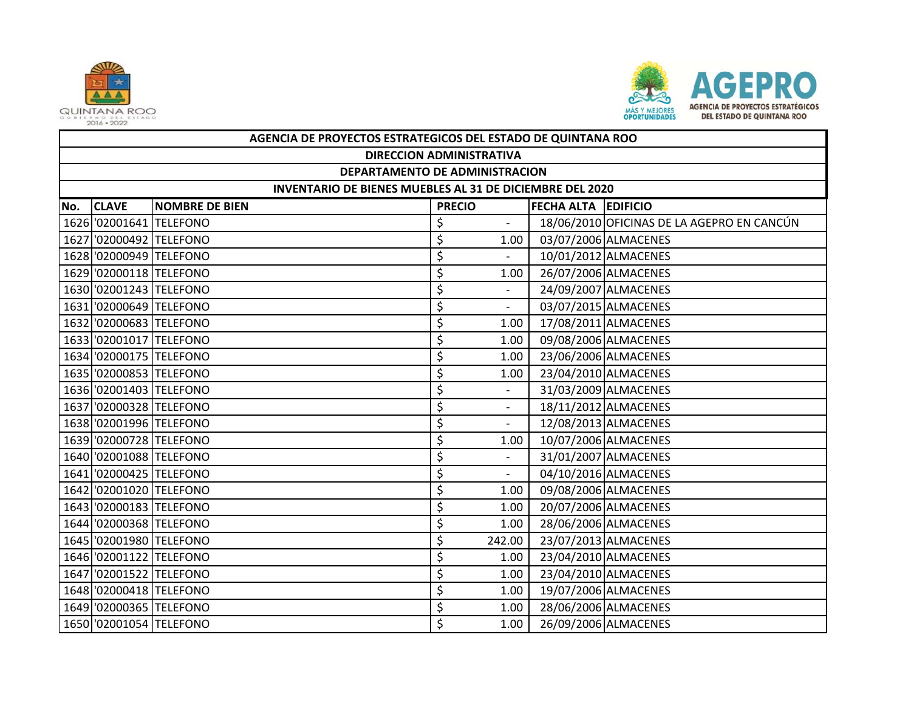



|     | AGENCIA DE PROYECTOS ESTRATEGICOS DEL ESTADO DE QUINTANA ROO    |                       |               |                          |                            |                                            |  |  |  |
|-----|-----------------------------------------------------------------|-----------------------|---------------|--------------------------|----------------------------|--------------------------------------------|--|--|--|
|     | <b>DIRECCION ADMINISTRATIVA</b>                                 |                       |               |                          |                            |                                            |  |  |  |
|     | DEPARTAMENTO DE ADMINISTRACION                                  |                       |               |                          |                            |                                            |  |  |  |
|     | <b>INVENTARIO DE BIENES MUEBLES AL 31 DE DICIEMBRE DEL 2020</b> |                       |               |                          |                            |                                            |  |  |  |
| No. | <b>CLAVE</b>                                                    | <b>NOMBRE DE BIEN</b> | <b>PRECIO</b> |                          | <b>FECHA ALTA EDIFICIO</b> |                                            |  |  |  |
|     | 1626 '02001641 TELEFONO                                         |                       | \$            |                          |                            | 18/06/2010 OFICINAS DE LA AGEPRO EN CANCÚN |  |  |  |
|     | 1627 '02000492 TELEFONO                                         |                       | \$            | 1.00                     |                            | 03/07/2006 ALMACENES                       |  |  |  |
|     | 1628 '02000949 TELEFONO                                         |                       | \$            |                          |                            | 10/01/2012 ALMACENES                       |  |  |  |
|     | 1629 '02000118 TELEFONO                                         |                       | \$            | 1.00                     |                            | 26/07/2006 ALMACENES                       |  |  |  |
|     | 1630 '02001243 TELEFONO                                         |                       | \$            |                          |                            | 24/09/2007 ALMACENES                       |  |  |  |
|     | 1631 '02000649 TELEFONO                                         |                       | \$            | $\sim$                   |                            | 03/07/2015 ALMACENES                       |  |  |  |
|     | 1632 '02000683 TELEFONO                                         |                       | \$            | 1.00                     |                            | 17/08/2011 ALMACENES                       |  |  |  |
|     | 1633 '02001017 TELEFONO                                         |                       | \$            | 1.00                     |                            | 09/08/2006 ALMACENES                       |  |  |  |
|     | 1634 '02000175 TELEFONO                                         |                       | \$            | 1.00                     |                            | 23/06/2006 ALMACENES                       |  |  |  |
|     | 1635 '02000853 TELEFONO                                         |                       | \$            | 1.00                     |                            | 23/04/2010 ALMACENES                       |  |  |  |
|     | 1636 '02001403 TELEFONO                                         |                       | \$            |                          |                            | 31/03/2009 ALMACENES                       |  |  |  |
|     | 1637 '02000328 TELEFONO                                         |                       | \$            | $\overline{\phantom{a}}$ |                            | 18/11/2012 ALMACENES                       |  |  |  |
|     | 1638 02001996 TELEFONO                                          |                       | \$            |                          |                            | 12/08/2013 ALMACENES                       |  |  |  |
|     | 1639 '02000728 TELEFONO                                         |                       | \$            | 1.00                     |                            | 10/07/2006 ALMACENES                       |  |  |  |
|     | 1640 '02001088 TELEFONO                                         |                       | \$            |                          |                            | 31/01/2007 ALMACENES                       |  |  |  |
|     | 1641 02000425 TELEFONO                                          |                       | \$            | $\overline{\phantom{0}}$ |                            | 04/10/2016 ALMACENES                       |  |  |  |
|     | 1642 '02001020 TELEFONO                                         |                       | \$            | 1.00                     |                            | 09/08/2006 ALMACENES                       |  |  |  |
|     | 1643 02000183 TELEFONO                                          |                       | \$            | 1.00                     |                            | 20/07/2006 ALMACENES                       |  |  |  |
|     | 1644 '02000368 TELEFONO                                         |                       | \$            | 1.00                     |                            | 28/06/2006 ALMACENES                       |  |  |  |
|     | 1645 '02001980 TELEFONO                                         |                       | \$            | 242.00                   |                            | 23/07/2013 ALMACENES                       |  |  |  |
|     | 1646 '02001122 TELEFONO                                         |                       | \$            | 1.00                     |                            | 23/04/2010 ALMACENES                       |  |  |  |
|     | 1647 '02001522 TELEFONO                                         |                       | \$            | 1.00                     |                            | 23/04/2010 ALMACENES                       |  |  |  |
|     | 1648 02000418 TELEFONO                                          |                       | \$            | 1.00                     |                            | 19/07/2006 ALMACENES                       |  |  |  |
|     | 1649 02000365 TELEFONO                                          |                       | \$            | 1.00                     |                            | 28/06/2006 ALMACENES                       |  |  |  |
|     | 1650 '02001054 TELEFONO                                         |                       | \$            | 1.00                     |                            | 26/09/2006 ALMACENES                       |  |  |  |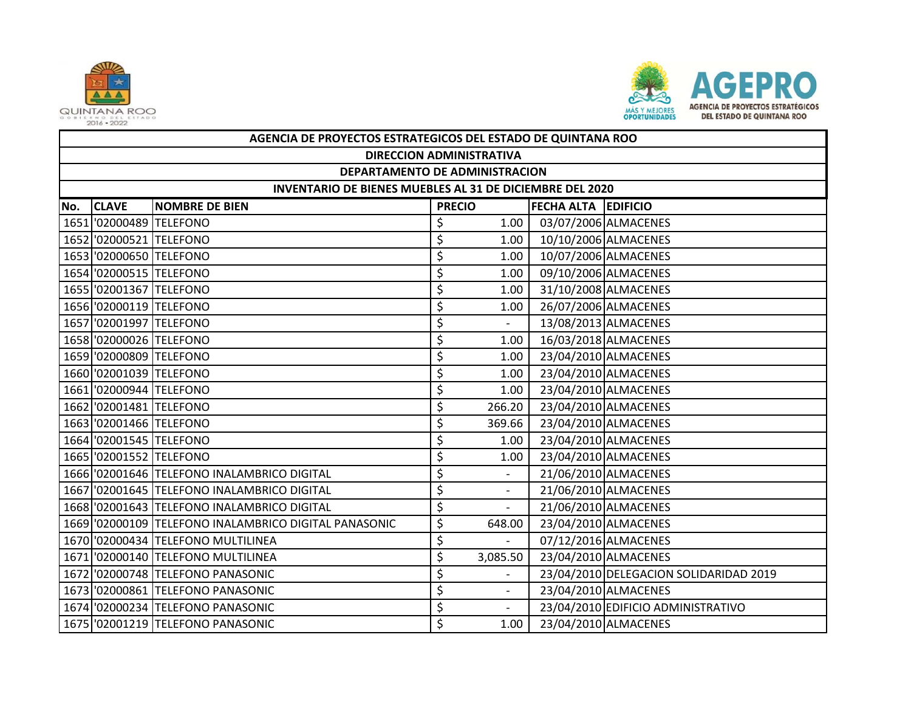



|     | AGENCIA DE PROYECTOS ESTRATEGICOS DEL ESTADO DE QUINTANA ROO |                                                       |               |                          |                            |                                        |  |  |  |
|-----|--------------------------------------------------------------|-------------------------------------------------------|---------------|--------------------------|----------------------------|----------------------------------------|--|--|--|
|     | <b>DIRECCION ADMINISTRATIVA</b>                              |                                                       |               |                          |                            |                                        |  |  |  |
|     | DEPARTAMENTO DE ADMINISTRACION                               |                                                       |               |                          |                            |                                        |  |  |  |
|     | INVENTARIO DE BIENES MUEBLES AL 31 DE DICIEMBRE DEL 2020     |                                                       |               |                          |                            |                                        |  |  |  |
| No. | <b>CLAVE</b>                                                 | <b>NOMBRE DE BIEN</b>                                 | <b>PRECIO</b> |                          | <b>FECHA ALTA EDIFICIO</b> |                                        |  |  |  |
|     | 1651 '02000489 TELEFONO                                      |                                                       | \$            | 1.00                     |                            | 03/07/2006 ALMACENES                   |  |  |  |
|     | 1652 '02000521 TELEFONO                                      |                                                       | \$            | 1.00                     |                            | 10/10/2006 ALMACENES                   |  |  |  |
|     | 1653 02000650 TELEFONO                                       |                                                       | \$            | 1.00                     |                            | 10/07/2006 ALMACENES                   |  |  |  |
|     | 1654 '02000515 TELEFONO                                      |                                                       | \$            | 1.00                     |                            | 09/10/2006 ALMACENES                   |  |  |  |
|     | 1655 '02001367 TELEFONO                                      |                                                       | \$            | 1.00                     |                            | 31/10/2008 ALMACENES                   |  |  |  |
|     | 1656 '02000119 TELEFONO                                      |                                                       | \$            | 1.00                     |                            | 26/07/2006 ALMACENES                   |  |  |  |
|     | 1657 '02001997 TELEFONO                                      |                                                       | \$            |                          |                            | 13/08/2013 ALMACENES                   |  |  |  |
|     | 1658 '02000026 TELEFONO                                      |                                                       | \$            | 1.00                     |                            | 16/03/2018 ALMACENES                   |  |  |  |
|     | 1659 '02000809 TELEFONO                                      |                                                       | \$            | 1.00                     |                            | 23/04/2010 ALMACENES                   |  |  |  |
|     | 1660 '02001039 TELEFONO                                      |                                                       | \$            | 1.00                     |                            | 23/04/2010 ALMACENES                   |  |  |  |
|     | 1661 02000944 TELEFONO                                       |                                                       | \$            | 1.00                     |                            | 23/04/2010 ALMACENES                   |  |  |  |
|     | 1662 '02001481 TELEFONO                                      |                                                       | \$            | 266.20                   |                            | 23/04/2010 ALMACENES                   |  |  |  |
|     | 1663 02001466 TELEFONO                                       |                                                       | \$            | 369.66                   |                            | 23/04/2010 ALMACENES                   |  |  |  |
|     | 1664 '02001545 TELEFONO                                      |                                                       | \$            | 1.00                     |                            | 23/04/2010 ALMACENES                   |  |  |  |
|     | 1665 02001552 TELEFONO                                       |                                                       | \$            | 1.00                     |                            | 23/04/2010 ALMACENES                   |  |  |  |
|     |                                                              | 1666 '02001646 TELEFONO INALAMBRICO DIGITAL           | \$            | $\overline{\phantom{a}}$ |                            | 21/06/2010 ALMACENES                   |  |  |  |
|     |                                                              | 1667 '02001645 TELEFONO INALAMBRICO DIGITAL           | \$            |                          |                            | 21/06/2010 ALMACENES                   |  |  |  |
|     |                                                              | 1668 '02001643 TELEFONO INALAMBRICO DIGITAL           | \$            | $\overline{a}$           |                            | 21/06/2010 ALMACENES                   |  |  |  |
|     |                                                              | 1669 '02000109 TELEFONO INALAMBRICO DIGITAL PANASONIC | \$            | 648.00                   |                            | 23/04/2010 ALMACENES                   |  |  |  |
|     |                                                              | 1670 '02000434 TELEFONO MULTILINEA                    | \$            | $\overline{\phantom{a}}$ |                            | 07/12/2016 ALMACENES                   |  |  |  |
|     |                                                              | 1671 '02000140 TELEFONO MULTILINEA                    | \$            | 3,085.50                 |                            | 23/04/2010 ALMACENES                   |  |  |  |
|     |                                                              | 1672 '02000748 TELEFONO PANASONIC                     | \$            |                          |                            | 23/04/2010 DELEGACION SOLIDARIDAD 2019 |  |  |  |
|     |                                                              | 1673 '02000861 TELEFONO PANASONIC                     | \$            | $\blacksquare$           |                            | 23/04/2010 ALMACENES                   |  |  |  |
|     |                                                              | 1674 '02000234 TELEFONO PANASONIC                     | \$            |                          |                            | 23/04/2010 EDIFICIO ADMINISTRATIVO     |  |  |  |
|     |                                                              | 1675 '02001219 TELEFONO PANASONIC                     | \$            | 1.00                     |                            | 23/04/2010 ALMACENES                   |  |  |  |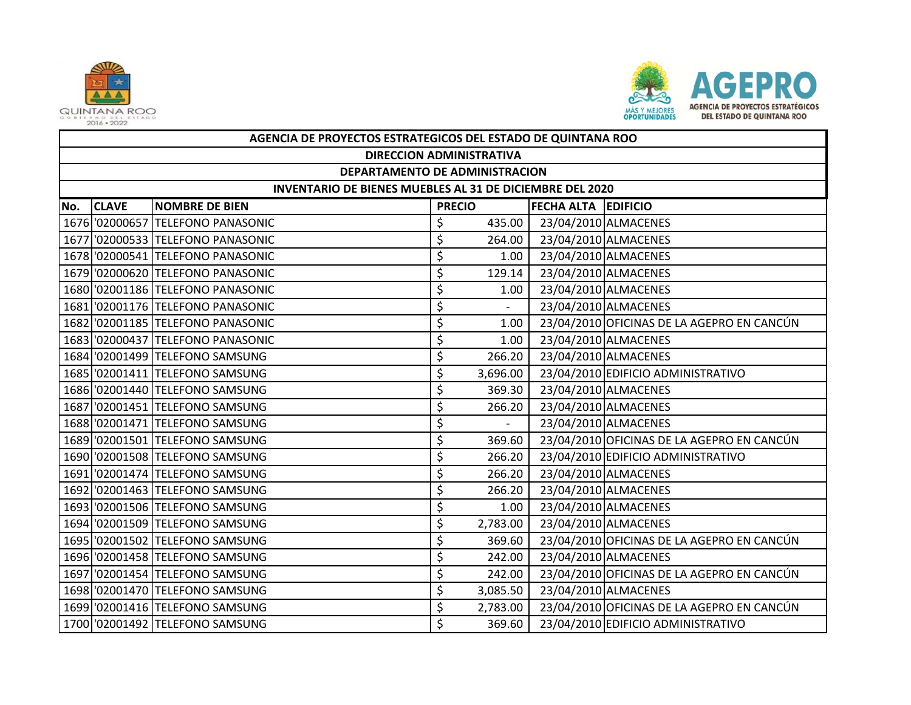



|     | AGENCIA DE PROYECTOS ESTRATEGICOS DEL ESTADO DE QUINTANA ROO    |                                   |               |                          |                            |                                            |  |  |  |  |
|-----|-----------------------------------------------------------------|-----------------------------------|---------------|--------------------------|----------------------------|--------------------------------------------|--|--|--|--|
|     |                                                                 | <b>DIRECCION ADMINISTRATIVA</b>   |               |                          |                            |                                            |  |  |  |  |
|     | DEPARTAMENTO DE ADMINISTRACION                                  |                                   |               |                          |                            |                                            |  |  |  |  |
|     | <b>INVENTARIO DE BIENES MUEBLES AL 31 DE DICIEMBRE DEL 2020</b> |                                   |               |                          |                            |                                            |  |  |  |  |
| No. | <b>CLAVE</b>                                                    | <b>NOMBRE DE BIEN</b>             | <b>PRECIO</b> |                          | <b>FECHA ALTA EDIFICIO</b> |                                            |  |  |  |  |
|     |                                                                 | 1676 '02000657 TELEFONO PANASONIC | \$            | 435.00                   |                            | 23/04/2010 ALMACENES                       |  |  |  |  |
|     |                                                                 | 1677 '02000533 TELEFONO PANASONIC | \$            | 264.00                   |                            | 23/04/2010 ALMACENES                       |  |  |  |  |
|     |                                                                 | 1678 '02000541 TELEFONO PANASONIC | \$            | 1.00                     |                            | 23/04/2010 ALMACENES                       |  |  |  |  |
|     |                                                                 | 1679 '02000620 TELEFONO PANASONIC | \$            | 129.14                   |                            | 23/04/2010 ALMACENES                       |  |  |  |  |
|     |                                                                 | 1680 '02001186 TELEFONO PANASONIC | \$            | 1.00                     |                            | 23/04/2010 ALMACENES                       |  |  |  |  |
|     |                                                                 | 1681 02001176 TELEFONO PANASONIC  | \$            | $\overline{\phantom{0}}$ |                            | 23/04/2010 ALMACENES                       |  |  |  |  |
|     |                                                                 | 1682 '02001185 TELEFONO PANASONIC | \$            | 1.00                     |                            | 23/04/2010 OFICINAS DE LA AGEPRO EN CANCÚN |  |  |  |  |
|     |                                                                 | 1683 '02000437 TELEFONO PANASONIC | \$            | 1.00                     |                            | 23/04/2010 ALMACENES                       |  |  |  |  |
|     |                                                                 | 1684 '02001499 TELEFONO SAMSUNG   | \$            | 266.20                   |                            | 23/04/2010 ALMACENES                       |  |  |  |  |
|     |                                                                 | 1685 '02001411 TELEFONO SAMSUNG   | \$            | 3,696.00                 |                            | 23/04/2010 EDIFICIO ADMINISTRATIVO         |  |  |  |  |
|     |                                                                 | 1686 '02001440 TELEFONO SAMSUNG   | \$            | 369.30                   |                            | 23/04/2010 ALMACENES                       |  |  |  |  |
|     |                                                                 | 1687 '02001451 TELEFONO SAMSUNG   | \$            | 266.20                   |                            | 23/04/2010 ALMACENES                       |  |  |  |  |
|     |                                                                 | 1688 '02001471 TELEFONO SAMSUNG   | \$            |                          |                            | 23/04/2010 ALMACENES                       |  |  |  |  |
|     |                                                                 | 1689 '02001501 TELEFONO SAMSUNG   | \$            | 369.60                   |                            | 23/04/2010 OFICINAS DE LA AGEPRO EN CANCÚN |  |  |  |  |
|     |                                                                 | 1690 '02001508 TELEFONO SAMSUNG   | \$            | 266.20                   |                            | 23/04/2010 EDIFICIO ADMINISTRATIVO         |  |  |  |  |
|     |                                                                 | 1691 '02001474 TELEFONO SAMSUNG   | \$            | 266.20                   |                            | 23/04/2010 ALMACENES                       |  |  |  |  |
|     |                                                                 | 1692 '02001463 TELEFONO SAMSUNG   | \$            | 266.20                   |                            | 23/04/2010 ALMACENES                       |  |  |  |  |
|     |                                                                 | 1693 '02001506 TELEFONO SAMSUNG   | \$            | 1.00                     |                            | 23/04/2010 ALMACENES                       |  |  |  |  |
|     |                                                                 | 1694 '02001509 TELEFONO SAMSUNG   | \$            | 2,783.00                 |                            | 23/04/2010 ALMACENES                       |  |  |  |  |
|     |                                                                 | 1695 '02001502 TELEFONO SAMSUNG   | \$            | 369.60                   |                            | 23/04/2010 OFICINAS DE LA AGEPRO EN CANCÚN |  |  |  |  |
|     |                                                                 | 1696 '02001458 TELEFONO SAMSUNG   | \$            | 242.00                   |                            | 23/04/2010 ALMACENES                       |  |  |  |  |
|     |                                                                 | 1697 '02001454 TELEFONO SAMSUNG   | \$            | 242.00                   |                            | 23/04/2010 OFICINAS DE LA AGEPRO EN CANCÚN |  |  |  |  |
|     |                                                                 | 1698 '02001470 TELEFONO SAMSUNG   | \$            | 3,085.50                 |                            | 23/04/2010 ALMACENES                       |  |  |  |  |
|     |                                                                 | 1699 '02001416 TELEFONO SAMSUNG   | \$            | 2,783.00                 |                            | 23/04/2010 OFICINAS DE LA AGEPRO EN CANCÚN |  |  |  |  |
|     |                                                                 | 1700 '02001492 TELEFONO SAMSUNG   | \$            | 369.60                   |                            | 23/04/2010 EDIFICIO ADMINISTRATIVO         |  |  |  |  |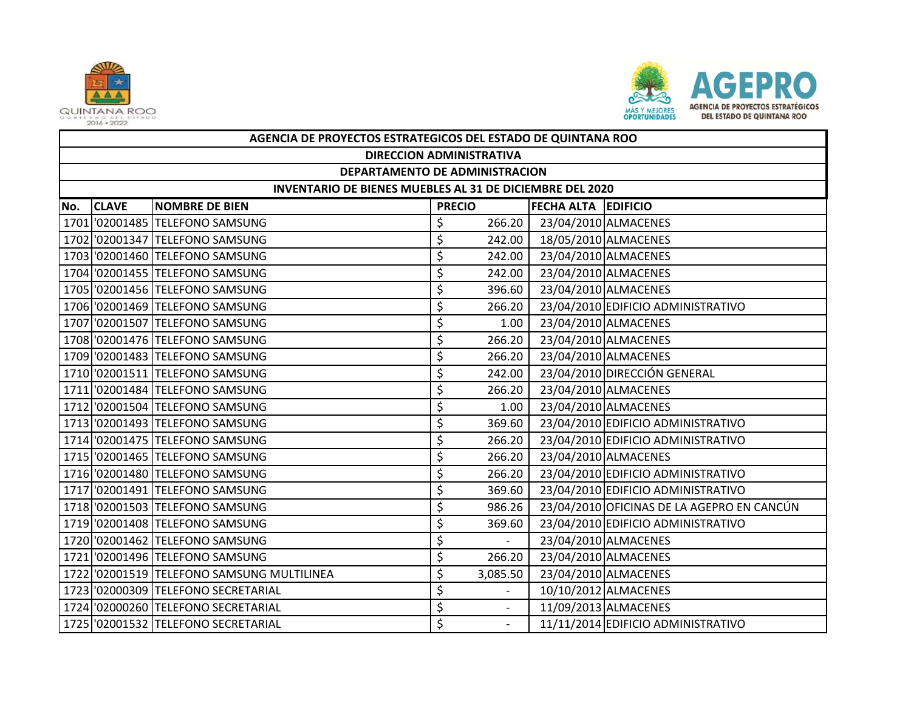



|     | AGENCIA DE PROYECTOS ESTRATEGICOS DEL ESTADO DE QUINTANA ROO |                                            |               |                |                            |                                            |  |  |  |
|-----|--------------------------------------------------------------|--------------------------------------------|---------------|----------------|----------------------------|--------------------------------------------|--|--|--|
|     | <b>DIRECCION ADMINISTRATIVA</b>                              |                                            |               |                |                            |                                            |  |  |  |
|     | DEPARTAMENTO DE ADMINISTRACION                               |                                            |               |                |                            |                                            |  |  |  |
|     | INVENTARIO DE BIENES MUEBLES AL 31 DE DICIEMBRE DEL 2020     |                                            |               |                |                            |                                            |  |  |  |
| No. | <b>CLAVE</b>                                                 | <b>NOMBRE DE BIEN</b>                      | <b>PRECIO</b> |                | <b>FECHA ALTA EDIFICIO</b> |                                            |  |  |  |
|     |                                                              | 1701 '02001485 TELEFONO SAMSUNG            | \$            | 266.20         |                            | 23/04/2010 ALMACENES                       |  |  |  |
|     |                                                              | 1702 '02001347 TELEFONO SAMSUNG            | \$            | 242.00         |                            | 18/05/2010 ALMACENES                       |  |  |  |
|     |                                                              | 1703 '02001460 TELEFONO SAMSUNG            | \$            | 242.00         |                            | 23/04/2010 ALMACENES                       |  |  |  |
|     |                                                              | 1704 '02001455 TELEFONO SAMSUNG            | \$            | 242.00         |                            | 23/04/2010 ALMACENES                       |  |  |  |
|     |                                                              | 1705 '02001456 TELEFONO SAMSUNG            | \$            | 396.60         |                            | 23/04/2010 ALMACENES                       |  |  |  |
|     |                                                              | 1706 '02001469 TELEFONO SAMSUNG            | \$            | 266.20         |                            | 23/04/2010 EDIFICIO ADMINISTRATIVO         |  |  |  |
|     |                                                              | 1707 '02001507 TELEFONO SAMSUNG            | \$            | 1.00           |                            | 23/04/2010 ALMACENES                       |  |  |  |
|     |                                                              | 1708 '02001476 TELEFONO SAMSUNG            | \$            | 266.20         |                            | 23/04/2010 ALMACENES                       |  |  |  |
|     |                                                              | 1709 '02001483 TELEFONO SAMSUNG            | \$            | 266.20         |                            | 23/04/2010 ALMACENES                       |  |  |  |
|     |                                                              | 1710 '02001511 TELEFONO SAMSUNG            | \$            | 242.00         |                            | 23/04/2010 DIRECCIÓN GENERAL               |  |  |  |
|     |                                                              | 1711 '02001484 TELEFONO SAMSUNG            | \$            | 266.20         |                            | 23/04/2010 ALMACENES                       |  |  |  |
|     |                                                              | 1712 '02001504 TELEFONO SAMSUNG            | \$            | 1.00           |                            | 23/04/2010 ALMACENES                       |  |  |  |
|     |                                                              | 1713 '02001493 TELEFONO SAMSUNG            | \$            | 369.60         |                            | 23/04/2010 EDIFICIO ADMINISTRATIVO         |  |  |  |
|     |                                                              | 1714 '02001475 TELEFONO SAMSUNG            | \$            | 266.20         |                            | 23/04/2010 EDIFICIO ADMINISTRATIVO         |  |  |  |
|     |                                                              | 1715 '02001465 TELEFONO SAMSUNG            | \$            | 266.20         |                            | 23/04/2010 ALMACENES                       |  |  |  |
|     |                                                              | 1716 '02001480 TELEFONO SAMSUNG            | \$            | 266.20         |                            | 23/04/2010 EDIFICIO ADMINISTRATIVO         |  |  |  |
|     |                                                              | 1717 '02001491 TELEFONO SAMSUNG            | \$            | 369.60         |                            | 23/04/2010 EDIFICIO ADMINISTRATIVO         |  |  |  |
|     |                                                              | 1718 '02001503 TELEFONO SAMSUNG            | \$            | 986.26         |                            | 23/04/2010 OFICINAS DE LA AGEPRO EN CANCÚN |  |  |  |
|     |                                                              | 1719 '02001408 TELEFONO SAMSUNG            | \$            | 369.60         |                            | 23/04/2010 EDIFICIO ADMINISTRATIVO         |  |  |  |
|     |                                                              | 1720 '02001462 TELEFONO SAMSUNG            | \$            | $\sim$         |                            | 23/04/2010 ALMACENES                       |  |  |  |
|     |                                                              | 1721 '02001496 TELEFONO SAMSUNG            | \$            | 266.20         |                            | 23/04/2010 ALMACENES                       |  |  |  |
|     |                                                              | 1722 '02001519 TELEFONO SAMSUNG MULTILINEA | \$            | 3,085.50       |                            | 23/04/2010 ALMACENES                       |  |  |  |
|     |                                                              | 1723 '02000309 TELEFONO SECRETARIAL        | \$            |                |                            | 10/10/2012 ALMACENES                       |  |  |  |
|     |                                                              | 1724 '02000260 TELEFONO SECRETARIAL        | \$            | $\blacksquare$ |                            | 11/09/2013 ALMACENES                       |  |  |  |
|     |                                                              | 1725 '02001532 TELEFONO SECRETARIAL        | \$            |                |                            | 11/11/2014 EDIFICIO ADMINISTRATIVO         |  |  |  |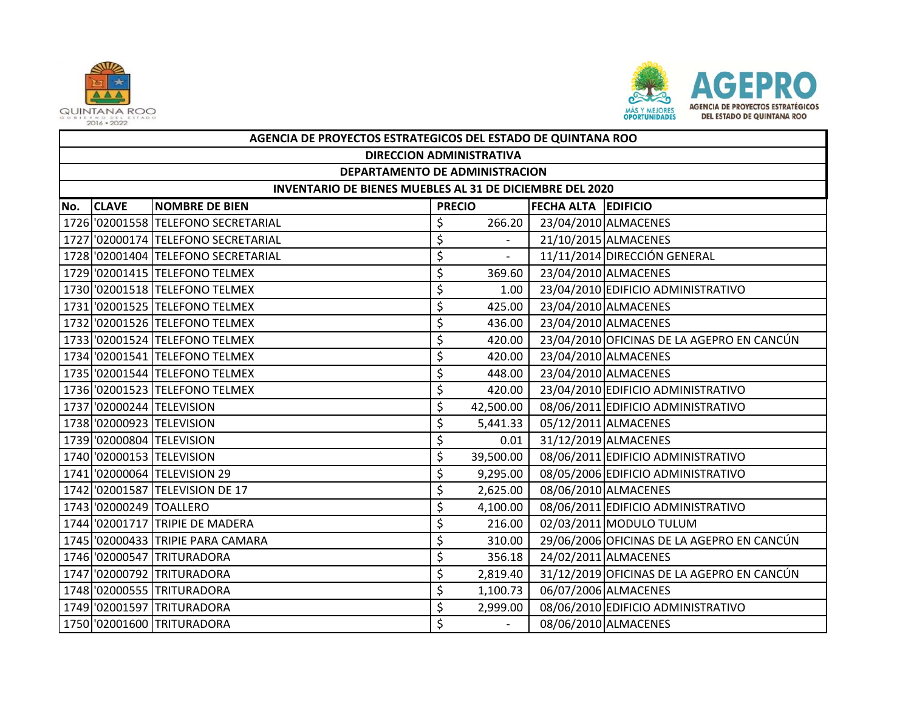



|     | AGENCIA DE PROYECTOS ESTRATEGICOS DEL ESTADO DE QUINTANA ROO    |                                     |               |           |                            |                                            |  |  |  |  |
|-----|-----------------------------------------------------------------|-------------------------------------|---------------|-----------|----------------------------|--------------------------------------------|--|--|--|--|
|     | <b>DIRECCION ADMINISTRATIVA</b>                                 |                                     |               |           |                            |                                            |  |  |  |  |
|     | DEPARTAMENTO DE ADMINISTRACION                                  |                                     |               |           |                            |                                            |  |  |  |  |
|     | <b>INVENTARIO DE BIENES MUEBLES AL 31 DE DICIEMBRE DEL 2020</b> |                                     |               |           |                            |                                            |  |  |  |  |
| No. | <b>CLAVE</b>                                                    | <b>NOMBRE DE BIEN</b>               | <b>PRECIO</b> |           | <b>FECHA ALTA EDIFICIO</b> |                                            |  |  |  |  |
|     |                                                                 | 1726 '02001558 TELEFONO SECRETARIAL | \$            | 266.20    |                            | 23/04/2010 ALMACENES                       |  |  |  |  |
|     |                                                                 | 1727 '02000174 TELEFONO SECRETARIAL | \$            |           |                            | 21/10/2015 ALMACENES                       |  |  |  |  |
|     |                                                                 | 1728 '02001404 TELEFONO SECRETARIAL | \$            |           |                            | 11/11/2014 DIRECCIÓN GENERAL               |  |  |  |  |
|     |                                                                 | 1729 '02001415 TELEFONO TELMEX      | \$            | 369.60    |                            | 23/04/2010 ALMACENES                       |  |  |  |  |
|     |                                                                 | 1730 '02001518 TELEFONO TELMEX      | \$            | 1.00      |                            | 23/04/2010 EDIFICIO ADMINISTRATIVO         |  |  |  |  |
|     |                                                                 | 1731 '02001525 TELEFONO TELMEX      | \$            | 425.00    |                            | 23/04/2010 ALMACENES                       |  |  |  |  |
|     |                                                                 | 1732 '02001526 TELEFONO TELMEX      | \$            | 436.00    |                            | 23/04/2010 ALMACENES                       |  |  |  |  |
|     |                                                                 | 1733 '02001524 TELEFONO TELMEX      | \$            | 420.00    |                            | 23/04/2010 OFICINAS DE LA AGEPRO EN CANCÚN |  |  |  |  |
|     |                                                                 | 1734 '02001541 TELEFONO TELMEX      | \$            | 420.00    |                            | 23/04/2010 ALMACENES                       |  |  |  |  |
|     |                                                                 | 1735 '02001544 TELEFONO TELMEX      | \$            | 448.00    |                            | 23/04/2010 ALMACENES                       |  |  |  |  |
|     |                                                                 | 1736 '02001523 TELEFONO TELMEX      | \$            | 420.00    |                            | 23/04/2010 EDIFICIO ADMINISTRATIVO         |  |  |  |  |
|     |                                                                 | 1737 '02000244 TELEVISION           | \$            | 42,500.00 |                            | 08/06/2011 EDIFICIO ADMINISTRATIVO         |  |  |  |  |
|     |                                                                 | 1738 '02000923 TELEVISION           | \$            | 5,441.33  |                            | 05/12/2011 ALMACENES                       |  |  |  |  |
|     |                                                                 | 1739 '02000804 TELEVISION           | \$            | 0.01      |                            | 31/12/2019 ALMACENES                       |  |  |  |  |
|     |                                                                 | 1740 '02000153 TELEVISION           | \$            | 39,500.00 |                            | 08/06/2011 EDIFICIO ADMINISTRATIVO         |  |  |  |  |
|     |                                                                 | 1741 '02000064 TELEVISION 29        | \$            | 9,295.00  |                            | 08/05/2006 EDIFICIO ADMINISTRATIVO         |  |  |  |  |
|     |                                                                 | 1742 '02001587 TELEVISION DE 17     | \$            | 2,625.00  |                            | 08/06/2010 ALMACENES                       |  |  |  |  |
|     | 1743 02000249 TOALLERO                                          |                                     | \$            | 4,100.00  |                            | 08/06/2011 EDIFICIO ADMINISTRATIVO         |  |  |  |  |
|     |                                                                 | 1744 '02001717 TRIPIE DE MADERA     | \$            | 216.00    |                            | 02/03/2011 MODULO TULUM                    |  |  |  |  |
|     |                                                                 | 1745 '02000433 TRIPIE PARA CAMARA   | \$            | 310.00    |                            | 29/06/2006 OFICINAS DE LA AGEPRO EN CANCÚN |  |  |  |  |
|     |                                                                 | 1746 '02000547 TRITURADORA          | \$            | 356.18    |                            | 24/02/2011 ALMACENES                       |  |  |  |  |
|     |                                                                 | 1747 '02000792 TRITURADORA          | \$            | 2,819.40  |                            | 31/12/2019 OFICINAS DE LA AGEPRO EN CANCÚN |  |  |  |  |
|     |                                                                 | 1748 '02000555 TRITURADORA          | \$            | 1,100.73  |                            | 06/07/2006 ALMACENES                       |  |  |  |  |
|     |                                                                 | 1749 '02001597 TRITURADORA          | \$            | 2,999.00  |                            | 08/06/2010 EDIFICIO ADMINISTRATIVO         |  |  |  |  |
|     |                                                                 | 1750 '02001600 TRITURADORA          | \$            |           |                            | 08/06/2010 ALMACENES                       |  |  |  |  |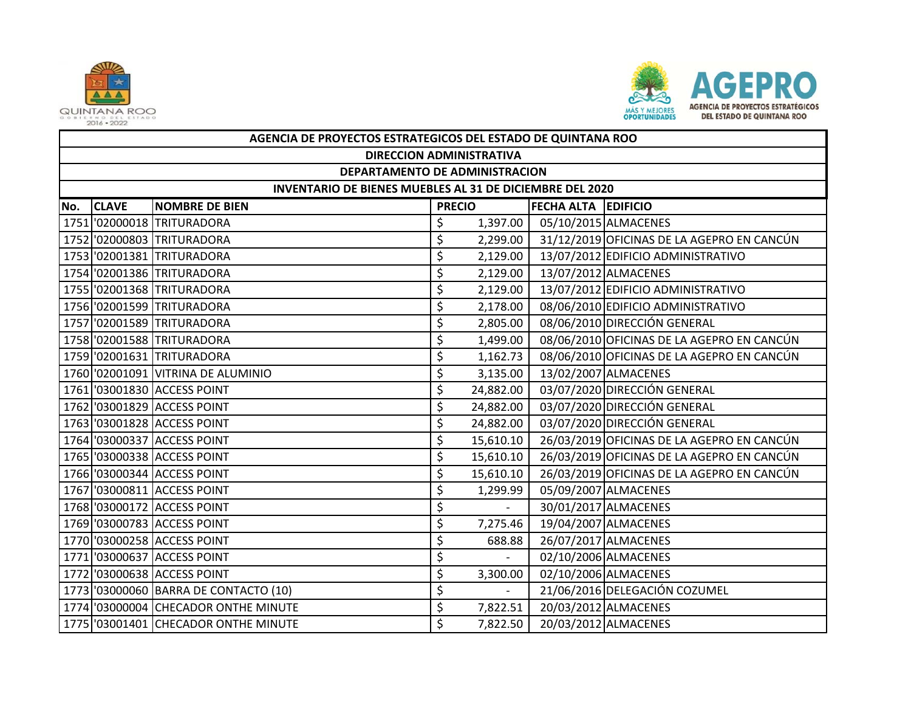



|     | AGENCIA DE PROYECTOS ESTRATEGICOS DEL ESTADO DE QUINTANA ROO |                                       |               |           |                            |                                            |  |  |  |  |
|-----|--------------------------------------------------------------|---------------------------------------|---------------|-----------|----------------------------|--------------------------------------------|--|--|--|--|
|     | <b>DIRECCION ADMINISTRATIVA</b>                              |                                       |               |           |                            |                                            |  |  |  |  |
|     | DEPARTAMENTO DE ADMINISTRACION                               |                                       |               |           |                            |                                            |  |  |  |  |
|     | INVENTARIO DE BIENES MUEBLES AL 31 DE DICIEMBRE DEL 2020     |                                       |               |           |                            |                                            |  |  |  |  |
| No. | <b>CLAVE</b>                                                 | <b>NOMBRE DE BIEN</b>                 | <b>PRECIO</b> |           | <b>FECHA ALTA EDIFICIO</b> |                                            |  |  |  |  |
|     |                                                              | 1751 '02000018 TRITURADORA            | \$            | 1,397.00  |                            | 05/10/2015 ALMACENES                       |  |  |  |  |
|     |                                                              | 1752 '02000803 TRITURADORA            | \$            | 2,299.00  |                            | 31/12/2019 OFICINAS DE LA AGEPRO EN CANCÚN |  |  |  |  |
|     |                                                              | 1753 '02001381 TRITURADORA            | \$            | 2,129.00  |                            | 13/07/2012 EDIFICIO ADMINISTRATIVO         |  |  |  |  |
|     |                                                              | 1754 '02001386 TRITURADORA            | \$            | 2,129.00  |                            | 13/07/2012 ALMACENES                       |  |  |  |  |
|     |                                                              | 1755 '02001368 TRITURADORA            | \$            | 2,129.00  |                            | 13/07/2012 EDIFICIO ADMINISTRATIVO         |  |  |  |  |
|     |                                                              | 1756 '02001599 TRITURADORA            | \$            | 2,178.00  |                            | 08/06/2010 EDIFICIO ADMINISTRATIVO         |  |  |  |  |
|     |                                                              | 1757 '02001589 TRITURADORA            | \$            | 2,805.00  |                            | 08/06/2010 DIRECCIÓN GENERAL               |  |  |  |  |
|     |                                                              | 1758 '02001588 TRITURADORA            | \$            | 1,499.00  |                            | 08/06/2010 OFICINAS DE LA AGEPRO EN CANCÚN |  |  |  |  |
|     |                                                              | 1759 '02001631 TRITURADORA            | \$            | 1,162.73  |                            | 08/06/2010 OFICINAS DE LA AGEPRO EN CANCÚN |  |  |  |  |
|     |                                                              | 1760 '02001091 VITRINA DE ALUMINIO    | \$            | 3,135.00  |                            | 13/02/2007 ALMACENES                       |  |  |  |  |
|     |                                                              | 1761 '03001830 ACCESS POINT           | \$            | 24,882.00 |                            | 03/07/2020 DIRECCIÓN GENERAL               |  |  |  |  |
|     |                                                              | 1762 '03001829 ACCESS POINT           | \$            | 24,882.00 |                            | 03/07/2020 DIRECCIÓN GENERAL               |  |  |  |  |
|     |                                                              | 1763 '03001828 ACCESS POINT           | \$            | 24,882.00 |                            | 03/07/2020 DIRECCIÓN GENERAL               |  |  |  |  |
|     |                                                              | 1764 '03000337 ACCESS POINT           | \$            | 15,610.10 |                            | 26/03/2019 OFICINAS DE LA AGEPRO EN CANCÚN |  |  |  |  |
|     |                                                              | 1765 '03000338 ACCESS POINT           | \$            | 15,610.10 |                            | 26/03/2019 OFICINAS DE LA AGEPRO EN CANCÚN |  |  |  |  |
|     |                                                              | 1766 '03000344 ACCESS POINT           | \$            | 15,610.10 |                            | 26/03/2019 OFICINAS DE LA AGEPRO EN CANCÚN |  |  |  |  |
|     |                                                              | 1767 '03000811 ACCESS POINT           | \$            | 1,299.99  |                            | 05/09/2007 ALMACENES                       |  |  |  |  |
|     |                                                              | 1768 '03000172 ACCESS POINT           | \$            | $\sim$    |                            | 30/01/2017 ALMACENES                       |  |  |  |  |
|     |                                                              | 1769 '03000783 ACCESS POINT           | \$            | 7,275.46  |                            | 19/04/2007 ALMACENES                       |  |  |  |  |
|     |                                                              | 1770 '03000258 ACCESS POINT           | \$            | 688.88    |                            | 26/07/2017 ALMACENES                       |  |  |  |  |
|     |                                                              | 1771 '03000637 ACCESS POINT           | \$            |           |                            | 02/10/2006 ALMACENES                       |  |  |  |  |
|     |                                                              | 1772 '03000638 ACCESS POINT           | \$            | 3,300.00  |                            | 02/10/2006 ALMACENES                       |  |  |  |  |
|     |                                                              | 1773 '03000060 BARRA DE CONTACTO (10) | \$            |           |                            | 21/06/2016 DELEGACIÓN COZUMEL              |  |  |  |  |
|     |                                                              | 1774 '03000004 CHECADOR ONTHE MINUTE  | \$            | 7,822.51  |                            | 20/03/2012 ALMACENES                       |  |  |  |  |
|     |                                                              | 1775 '03001401 CHECADOR ONTHE MINUTE  | \$            | 7,822.50  |                            | 20/03/2012 ALMACENES                       |  |  |  |  |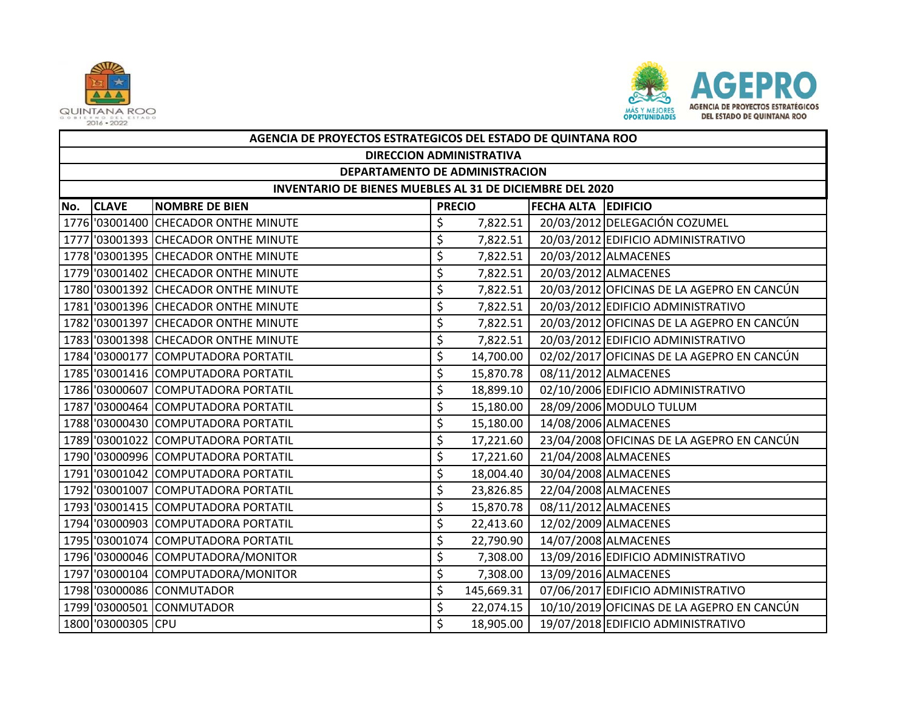



|     | AGENCIA DE PROYECTOS ESTRATEGICOS DEL ESTADO DE QUINTANA ROO |                                      |    |               |                            |                                            |  |  |  |  |
|-----|--------------------------------------------------------------|--------------------------------------|----|---------------|----------------------------|--------------------------------------------|--|--|--|--|
|     | <b>DIRECCION ADMINISTRATIVA</b>                              |                                      |    |               |                            |                                            |  |  |  |  |
|     | DEPARTAMENTO DE ADMINISTRACION                               |                                      |    |               |                            |                                            |  |  |  |  |
|     | INVENTARIO DE BIENES MUEBLES AL 31 DE DICIEMBRE DEL 2020     |                                      |    |               |                            |                                            |  |  |  |  |
| No. | <b>CLAVE</b>                                                 | <b>NOMBRE DE BIEN</b>                |    | <b>PRECIO</b> | <b>FECHA ALTA EDIFICIO</b> |                                            |  |  |  |  |
|     |                                                              | 1776 '03001400 CHECADOR ONTHE MINUTE | \$ | 7,822.51      |                            | 20/03/2012 DELEGACIÓN COZUMEL              |  |  |  |  |
|     |                                                              | 1777 '03001393 CHECADOR ONTHE MINUTE | \$ | 7,822.51      |                            | 20/03/2012 EDIFICIO ADMINISTRATIVO         |  |  |  |  |
|     |                                                              | 1778 '03001395 CHECADOR ONTHE MINUTE | \$ | 7,822.51      |                            | 20/03/2012 ALMACENES                       |  |  |  |  |
|     |                                                              | 1779 '03001402 CHECADOR ONTHE MINUTE | \$ | 7,822.51      |                            | 20/03/2012 ALMACENES                       |  |  |  |  |
|     |                                                              | 1780 '03001392 CHECADOR ONTHE MINUTE | \$ | 7,822.51      |                            | 20/03/2012 OFICINAS DE LA AGEPRO EN CANCÚN |  |  |  |  |
|     |                                                              | 1781 '03001396 CHECADOR ONTHE MINUTE | \$ | 7,822.51      |                            | 20/03/2012 EDIFICIO ADMINISTRATIVO         |  |  |  |  |
|     |                                                              | 1782 '03001397 CHECADOR ONTHE MINUTE | \$ | 7,822.51      |                            | 20/03/2012 OFICINAS DE LA AGEPRO EN CANCÚN |  |  |  |  |
|     |                                                              | 1783 '03001398 CHECADOR ONTHE MINUTE | \$ | 7,822.51      |                            | 20/03/2012 EDIFICIO ADMINISTRATIVO         |  |  |  |  |
|     |                                                              | 1784 '03000177 COMPUTADORA PORTATIL  | \$ | 14,700.00     |                            | 02/02/2017 OFICINAS DE LA AGEPRO EN CANCÚN |  |  |  |  |
|     |                                                              | 1785 '03001416 COMPUTADORA PORTATIL  | \$ | 15,870.78     |                            | 08/11/2012 ALMACENES                       |  |  |  |  |
|     |                                                              | 1786 '03000607 COMPUTADORA PORTATIL  | \$ | 18,899.10     |                            | 02/10/2006 EDIFICIO ADMINISTRATIVO         |  |  |  |  |
|     |                                                              | 1787 '03000464 COMPUTADORA PORTATIL  | \$ | 15,180.00     |                            | 28/09/2006 MODULO TULUM                    |  |  |  |  |
|     |                                                              | 1788 '03000430 COMPUTADORA PORTATIL  | \$ | 15,180.00     |                            | 14/08/2006 ALMACENES                       |  |  |  |  |
|     |                                                              | 1789 '03001022 COMPUTADORA PORTATIL  | \$ | 17,221.60     |                            | 23/04/2008 OFICINAS DE LA AGEPRO EN CANCÚN |  |  |  |  |
|     |                                                              | 1790 '03000996 COMPUTADORA PORTATIL  | \$ | 17,221.60     |                            | 21/04/2008 ALMACENES                       |  |  |  |  |
|     |                                                              | 1791 '03001042 COMPUTADORA PORTATIL  | \$ | 18,004.40     |                            | 30/04/2008 ALMACENES                       |  |  |  |  |
|     |                                                              | 1792 '03001007 COMPUTADORA PORTATIL  | \$ | 23,826.85     |                            | 22/04/2008 ALMACENES                       |  |  |  |  |
|     |                                                              | 1793 03001415 COMPUTADORA PORTATIL   | \$ | 15,870.78     |                            | 08/11/2012 ALMACENES                       |  |  |  |  |
|     |                                                              | 1794 '03000903 COMPUTADORA PORTATIL  | \$ | 22,413.60     |                            | 12/02/2009 ALMACENES                       |  |  |  |  |
|     |                                                              | 1795 '03001074 COMPUTADORA PORTATIL  | \$ | 22,790.90     |                            | 14/07/2008 ALMACENES                       |  |  |  |  |
|     |                                                              | 1796 03000046 COMPUTADORA/MONITOR    | \$ | 7,308.00      |                            | 13/09/2016 EDIFICIO ADMINISTRATIVO         |  |  |  |  |
|     |                                                              | 1797 '03000104 COMPUTADORA/MONITOR   | \$ | 7,308.00      |                            | 13/09/2016 ALMACENES                       |  |  |  |  |
|     |                                                              | 1798 '03000086 CONMUTADOR            | \$ | 145,669.31    |                            | 07/06/2017 EDIFICIO ADMINISTRATIVO         |  |  |  |  |
|     |                                                              | 1799 '03000501 CONMUTADOR            | \$ | 22,074.15     |                            | 10/10/2019 OFICINAS DE LA AGEPRO EN CANCÚN |  |  |  |  |
|     | 1800 '03000305 CPU                                           |                                      | \$ | 18,905.00     |                            | 19/07/2018 EDIFICIO ADMINISTRATIVO         |  |  |  |  |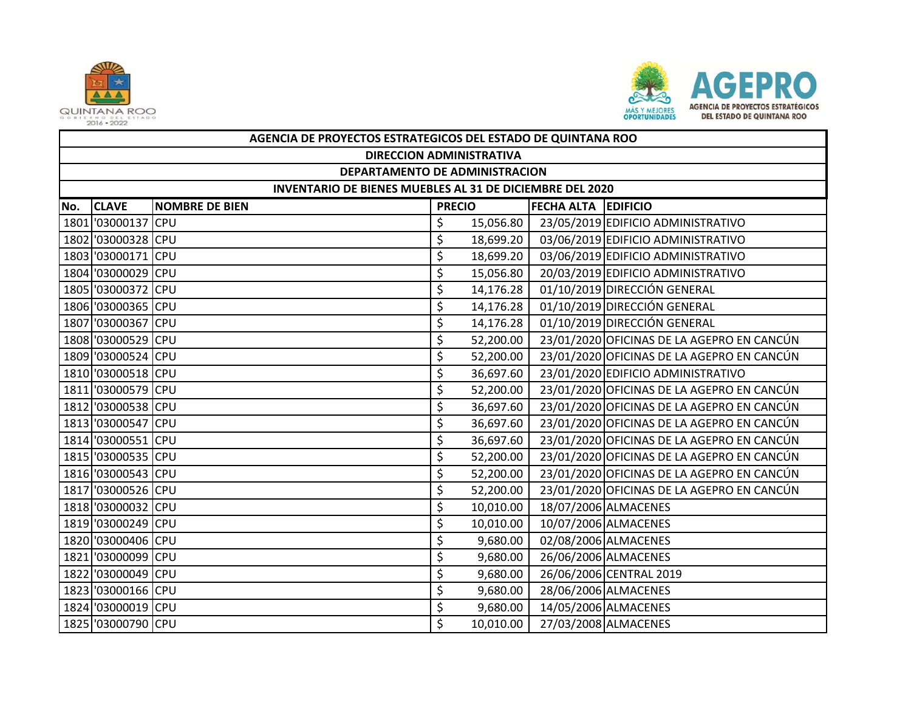



|     | AGENCIA DE PROYECTOS ESTRATEGICOS DEL ESTADO DE QUINTANA ROO    |                       |               |           |                            |                                            |  |  |  |  |
|-----|-----------------------------------------------------------------|-----------------------|---------------|-----------|----------------------------|--------------------------------------------|--|--|--|--|
|     | <b>DIRECCION ADMINISTRATIVA</b>                                 |                       |               |           |                            |                                            |  |  |  |  |
|     | DEPARTAMENTO DE ADMINISTRACION                                  |                       |               |           |                            |                                            |  |  |  |  |
|     | <b>INVENTARIO DE BIENES MUEBLES AL 31 DE DICIEMBRE DEL 2020</b> |                       |               |           |                            |                                            |  |  |  |  |
| No. | <b>CLAVE</b>                                                    | <b>NOMBRE DE BIEN</b> | <b>PRECIO</b> |           | <b>FECHA ALTA EDIFICIO</b> |                                            |  |  |  |  |
|     | 1801 03000137 CPU                                               |                       | \$            | 15,056.80 |                            | 23/05/2019 EDIFICIO ADMINISTRATIVO         |  |  |  |  |
|     | 1802 '03000328 CPU                                              |                       | \$            | 18,699.20 |                            | 03/06/2019 EDIFICIO ADMINISTRATIVO         |  |  |  |  |
|     | 1803 '03000171 CPU                                              |                       | \$            | 18,699.20 |                            | 03/06/2019 EDIFICIO ADMINISTRATIVO         |  |  |  |  |
|     | 1804 '03000029 CPU                                              |                       | \$            | 15,056.80 |                            | 20/03/2019 EDIFICIO ADMINISTRATIVO         |  |  |  |  |
|     | 1805 '03000372 CPU                                              |                       | \$            | 14,176.28 |                            | 01/10/2019 DIRECCIÓN GENERAL               |  |  |  |  |
|     | 1806 '03000365 CPU                                              |                       | \$            | 14,176.28 |                            | 01/10/2019 DIRECCIÓN GENERAL               |  |  |  |  |
|     | 1807 '03000367 CPU                                              |                       | \$            | 14,176.28 |                            | 01/10/2019 DIRECCIÓN GENERAL               |  |  |  |  |
|     | 1808 '03000529 CPU                                              |                       | \$            | 52,200.00 |                            | 23/01/2020 OFICINAS DE LA AGEPRO EN CANCÚN |  |  |  |  |
|     | 1809 '03000524 CPU                                              |                       | \$            | 52,200.00 |                            | 23/01/2020 OFICINAS DE LA AGEPRO EN CANCÚN |  |  |  |  |
|     | 1810 '03000518 CPU                                              |                       | \$            | 36,697.60 |                            | 23/01/2020 EDIFICIO ADMINISTRATIVO         |  |  |  |  |
|     | 1811 '03000579 CPU                                              |                       | \$            | 52,200.00 |                            | 23/01/2020 OFICINAS DE LA AGEPRO EN CANCÚN |  |  |  |  |
|     | 1812 '03000538 CPU                                              |                       | \$            | 36,697.60 |                            | 23/01/2020 OFICINAS DE LA AGEPRO EN CANCÚN |  |  |  |  |
|     | 1813 '03000547 CPU                                              |                       | \$            | 36,697.60 |                            | 23/01/2020 OFICINAS DE LA AGEPRO EN CANCÚN |  |  |  |  |
|     | 1814 '03000551 CPU                                              |                       | \$            | 36,697.60 |                            | 23/01/2020 OFICINAS DE LA AGEPRO EN CANCÚN |  |  |  |  |
|     | 1815 '03000535 CPU                                              |                       | \$            | 52,200.00 |                            | 23/01/2020 OFICINAS DE LA AGEPRO EN CANCÚN |  |  |  |  |
|     | 1816 '03000543 CPU                                              |                       | \$            | 52,200.00 |                            | 23/01/2020 OFICINAS DE LA AGEPRO EN CANCÚN |  |  |  |  |
|     | 1817 '03000526 CPU                                              |                       | \$            | 52,200.00 |                            | 23/01/2020 OFICINAS DE LA AGEPRO EN CANCÚN |  |  |  |  |
|     | 1818 '03000032 CPU                                              |                       | \$            | 10,010.00 |                            | 18/07/2006 ALMACENES                       |  |  |  |  |
|     | 1819 '03000249 CPU                                              |                       | \$            | 10,010.00 |                            | 10/07/2006 ALMACENES                       |  |  |  |  |
|     | 1820 '03000406 CPU                                              |                       | \$            | 9,680.00  |                            | 02/08/2006 ALMACENES                       |  |  |  |  |
|     | 1821 '03000099 CPU                                              |                       | \$            | 9,680.00  |                            | 26/06/2006 ALMACENES                       |  |  |  |  |
|     | 1822 '03000049 CPU                                              |                       | \$            | 9,680.00  |                            | 26/06/2006 CENTRAL 2019                    |  |  |  |  |
|     | 1823 '03000166 CPU                                              |                       | \$            | 9,680.00  |                            | 28/06/2006 ALMACENES                       |  |  |  |  |
|     | 1824 '03000019 CPU                                              |                       | \$            | 9,680.00  |                            | 14/05/2006 ALMACENES                       |  |  |  |  |
|     | 1825 '03000790 CPU                                              |                       | Ś             | 10,010.00 |                            | 27/03/2008 ALMACENES                       |  |  |  |  |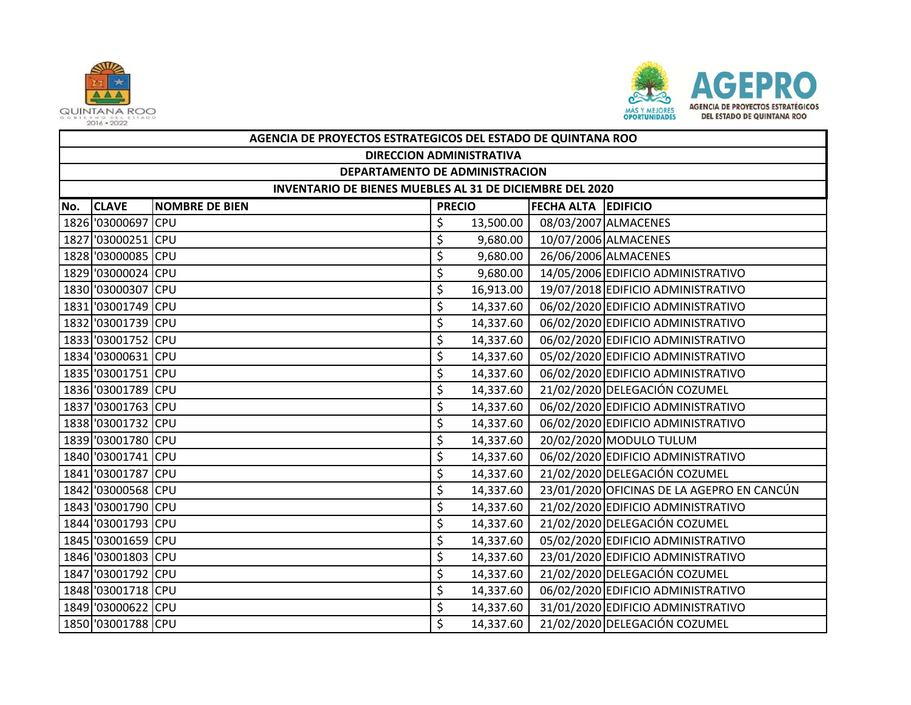



|     | AGENCIA DE PROYECTOS ESTRATEGICOS DEL ESTADO DE QUINTANA ROO |                       |               |           |                            |                                            |  |  |  |  |
|-----|--------------------------------------------------------------|-----------------------|---------------|-----------|----------------------------|--------------------------------------------|--|--|--|--|
|     | <b>DIRECCION ADMINISTRATIVA</b>                              |                       |               |           |                            |                                            |  |  |  |  |
|     | DEPARTAMENTO DE ADMINISTRACION                               |                       |               |           |                            |                                            |  |  |  |  |
|     | INVENTARIO DE BIENES MUEBLES AL 31 DE DICIEMBRE DEL 2020     |                       |               |           |                            |                                            |  |  |  |  |
| No. | <b>CLAVE</b>                                                 | <b>NOMBRE DE BIEN</b> | <b>PRECIO</b> |           | <b>FECHA ALTA EDIFICIO</b> |                                            |  |  |  |  |
|     | 1826 '03000697 CPU                                           |                       | \$            | 13,500.00 |                            | 08/03/2007 ALMACENES                       |  |  |  |  |
|     | 1827 '03000251 CPU                                           |                       | \$            | 9,680.00  |                            | 10/07/2006 ALMACENES                       |  |  |  |  |
|     | 1828 '03000085 CPU                                           |                       | \$            | 9,680.00  |                            | 26/06/2006 ALMACENES                       |  |  |  |  |
|     | 1829 '03000024 CPU                                           |                       | \$            | 9,680.00  |                            | 14/05/2006 EDIFICIO ADMINISTRATIVO         |  |  |  |  |
|     | 1830 '03000307 CPU                                           |                       | \$            | 16,913.00 |                            | 19/07/2018 EDIFICIO ADMINISTRATIVO         |  |  |  |  |
|     | 1831 '03001749 CPU                                           |                       | \$            | 14,337.60 |                            | 06/02/2020 EDIFICIO ADMINISTRATIVO         |  |  |  |  |
|     | 1832 '03001739 CPU                                           |                       | \$            | 14,337.60 |                            | 06/02/2020 EDIFICIO ADMINISTRATIVO         |  |  |  |  |
|     | 1833 '03001752 CPU                                           |                       | \$            | 14,337.60 |                            | 06/02/2020 EDIFICIO ADMINISTRATIVO         |  |  |  |  |
|     | 1834 '03000631 CPU                                           |                       | \$            | 14,337.60 |                            | 05/02/2020 EDIFICIO ADMINISTRATIVO         |  |  |  |  |
|     | 1835 '03001751 CPU                                           |                       | \$            | 14,337.60 |                            | 06/02/2020 EDIFICIO ADMINISTRATIVO         |  |  |  |  |
|     | 1836 '03001789 CPU                                           |                       | \$            | 14,337.60 |                            | 21/02/2020 DELEGACIÓN COZUMEL              |  |  |  |  |
|     | 1837 '03001763 CPU                                           |                       | \$            | 14,337.60 |                            | 06/02/2020 EDIFICIO ADMINISTRATIVO         |  |  |  |  |
|     | 1838 '03001732 CPU                                           |                       | \$            | 14,337.60 |                            | 06/02/2020 EDIFICIO ADMINISTRATIVO         |  |  |  |  |
|     | 1839 '03001780 CPU                                           |                       | \$            | 14,337.60 |                            | 20/02/2020 MODULO TULUM                    |  |  |  |  |
|     | 1840 '03001741 CPU                                           |                       | \$            | 14,337.60 |                            | 06/02/2020 EDIFICIO ADMINISTRATIVO         |  |  |  |  |
|     | 1841 '03001787 CPU                                           |                       | \$            | 14,337.60 |                            | 21/02/2020 DELEGACIÓN COZUMEL              |  |  |  |  |
|     | 1842 '03000568 CPU                                           |                       | \$            | 14,337.60 |                            | 23/01/2020 OFICINAS DE LA AGEPRO EN CANCÚN |  |  |  |  |
|     | 1843 '03001790 CPU                                           |                       | \$            | 14,337.60 |                            | 21/02/2020 EDIFICIO ADMINISTRATIVO         |  |  |  |  |
|     | 1844 '03001793 CPU                                           |                       | \$            | 14,337.60 |                            | 21/02/2020 DELEGACIÓN COZUMEL              |  |  |  |  |
|     | 1845 '03001659 CPU                                           |                       | \$            | 14,337.60 |                            | 05/02/2020 EDIFICIO ADMINISTRATIVO         |  |  |  |  |
|     | 1846 '03001803 CPU                                           |                       | \$            | 14,337.60 |                            | 23/01/2020 EDIFICIO ADMINISTRATIVO         |  |  |  |  |
|     | 1847 '03001792 CPU                                           |                       | \$            | 14,337.60 |                            | 21/02/2020 DELEGACIÓN COZUMEL              |  |  |  |  |
|     | 1848 '03001718 CPU                                           |                       | \$            | 14,337.60 |                            | 06/02/2020 EDIFICIO ADMINISTRATIVO         |  |  |  |  |
|     | 1849 '03000622 CPU                                           |                       | \$            | 14,337.60 |                            | 31/01/2020 EDIFICIO ADMINISTRATIVO         |  |  |  |  |
|     | 1850 '03001788 CPU                                           |                       | \$            | 14,337.60 |                            | 21/02/2020 DELEGACIÓN COZUMEL              |  |  |  |  |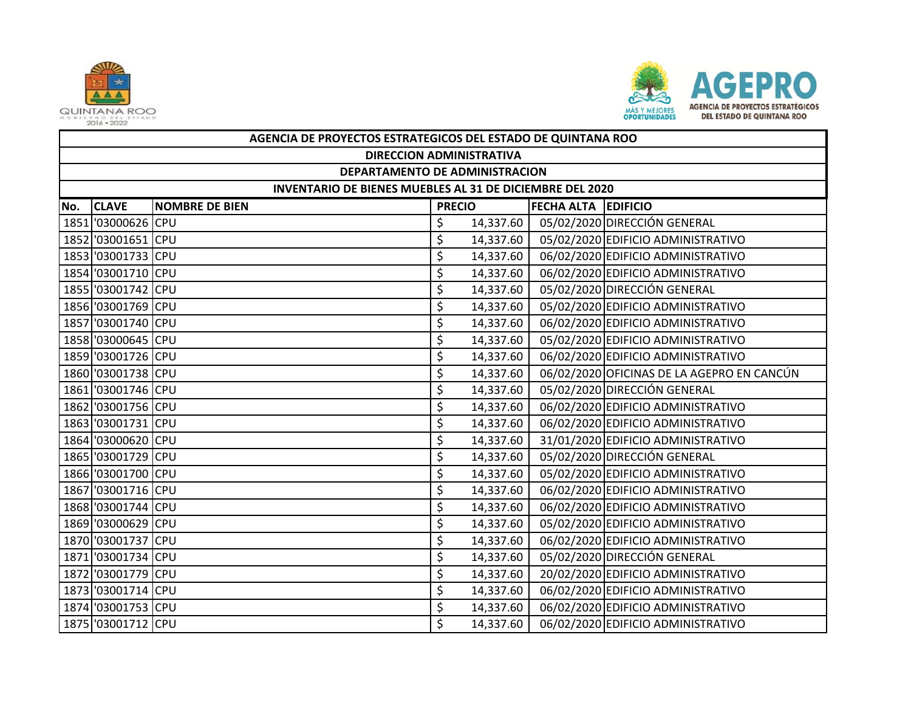



|     | AGENCIA DE PROYECTOS ESTRATEGICOS DEL ESTADO DE QUINTANA ROO |                       |               |           |                            |                                            |  |  |  |  |
|-----|--------------------------------------------------------------|-----------------------|---------------|-----------|----------------------------|--------------------------------------------|--|--|--|--|
|     | <b>DIRECCION ADMINISTRATIVA</b>                              |                       |               |           |                            |                                            |  |  |  |  |
|     | DEPARTAMENTO DE ADMINISTRACION                               |                       |               |           |                            |                                            |  |  |  |  |
|     | INVENTARIO DE BIENES MUEBLES AL 31 DE DICIEMBRE DEL 2020     |                       |               |           |                            |                                            |  |  |  |  |
| No. | <b>CLAVE</b>                                                 | <b>NOMBRE DE BIEN</b> | <b>PRECIO</b> |           | <b>FECHA ALTA EDIFICIO</b> |                                            |  |  |  |  |
|     | 1851 '03000626 CPU                                           |                       | \$            | 14,337.60 |                            | 05/02/2020 DIRECCIÓN GENERAL               |  |  |  |  |
|     | 1852 '03001651 CPU                                           |                       | \$            | 14,337.60 |                            | 05/02/2020 EDIFICIO ADMINISTRATIVO         |  |  |  |  |
|     | 1853 '03001733 CPU                                           |                       | \$            | 14,337.60 |                            | 06/02/2020 EDIFICIO ADMINISTRATIVO         |  |  |  |  |
|     | 1854 '03001710 CPU                                           |                       | \$            | 14,337.60 |                            | 06/02/2020 EDIFICIO ADMINISTRATIVO         |  |  |  |  |
|     | 1855 '03001742 CPU                                           |                       | \$            | 14,337.60 |                            | 05/02/2020 DIRECCIÓN GENERAL               |  |  |  |  |
|     | 1856 '03001769 CPU                                           |                       | \$            | 14,337.60 |                            | 05/02/2020 EDIFICIO ADMINISTRATIVO         |  |  |  |  |
|     | 1857 '03001740 CPU                                           |                       | \$            | 14,337.60 |                            | 06/02/2020 EDIFICIO ADMINISTRATIVO         |  |  |  |  |
|     | 1858 '03000645 CPU                                           |                       | \$            | 14,337.60 |                            | 05/02/2020 EDIFICIO ADMINISTRATIVO         |  |  |  |  |
|     | 1859 '03001726 CPU                                           |                       | \$            | 14,337.60 |                            | 06/02/2020 EDIFICIO ADMINISTRATIVO         |  |  |  |  |
|     | 1860 '03001738 CPU                                           |                       | \$            | 14,337.60 |                            | 06/02/2020 OFICINAS DE LA AGEPRO EN CANCÚN |  |  |  |  |
|     | 1861 '03001746 CPU                                           |                       | \$            | 14,337.60 |                            | 05/02/2020 DIRECCIÓN GENERAL               |  |  |  |  |
|     | 1862 '03001756 CPU                                           |                       | \$            | 14,337.60 |                            | 06/02/2020 EDIFICIO ADMINISTRATIVO         |  |  |  |  |
|     | 1863 '03001731 CPU                                           |                       | \$            | 14,337.60 |                            | 06/02/2020 EDIFICIO ADMINISTRATIVO         |  |  |  |  |
|     | 1864 '03000620 CPU                                           |                       | \$            | 14,337.60 |                            | 31/01/2020 EDIFICIO ADMINISTRATIVO         |  |  |  |  |
|     | 1865 '03001729 CPU                                           |                       | \$            | 14,337.60 |                            | 05/02/2020 DIRECCIÓN GENERAL               |  |  |  |  |
|     | 1866 '03001700 CPU                                           |                       | \$            | 14,337.60 |                            | 05/02/2020 EDIFICIO ADMINISTRATIVO         |  |  |  |  |
|     | 1867 '03001716 CPU                                           |                       | \$            | 14,337.60 |                            | 06/02/2020 EDIFICIO ADMINISTRATIVO         |  |  |  |  |
|     | 1868 '03001744 CPU                                           |                       | \$            | 14,337.60 |                            | 06/02/2020 EDIFICIO ADMINISTRATIVO         |  |  |  |  |
|     | 1869 '03000629 CPU                                           |                       | \$            | 14,337.60 |                            | 05/02/2020 EDIFICIO ADMINISTRATIVO         |  |  |  |  |
|     | 1870 '03001737 CPU                                           |                       | \$            | 14,337.60 |                            | 06/02/2020 EDIFICIO ADMINISTRATIVO         |  |  |  |  |
|     | 1871 '03001734 CPU                                           |                       | \$            | 14,337.60 |                            | 05/02/2020 DIRECCIÓN GENERAL               |  |  |  |  |
|     | 1872 '03001779 CPU                                           |                       | \$            | 14,337.60 |                            | 20/02/2020 EDIFICIO ADMINISTRATIVO         |  |  |  |  |
|     | 1873 3001714 CPU                                             |                       | \$            | 14,337.60 |                            | 06/02/2020 EDIFICIO ADMINISTRATIVO         |  |  |  |  |
|     | 1874 '03001753 CPU                                           |                       | \$            | 14,337.60 |                            | 06/02/2020 EDIFICIO ADMINISTRATIVO         |  |  |  |  |
|     | 1875 3001712 CPU                                             |                       | \$            | 14,337.60 |                            | 06/02/2020 EDIFICIO ADMINISTRATIVO         |  |  |  |  |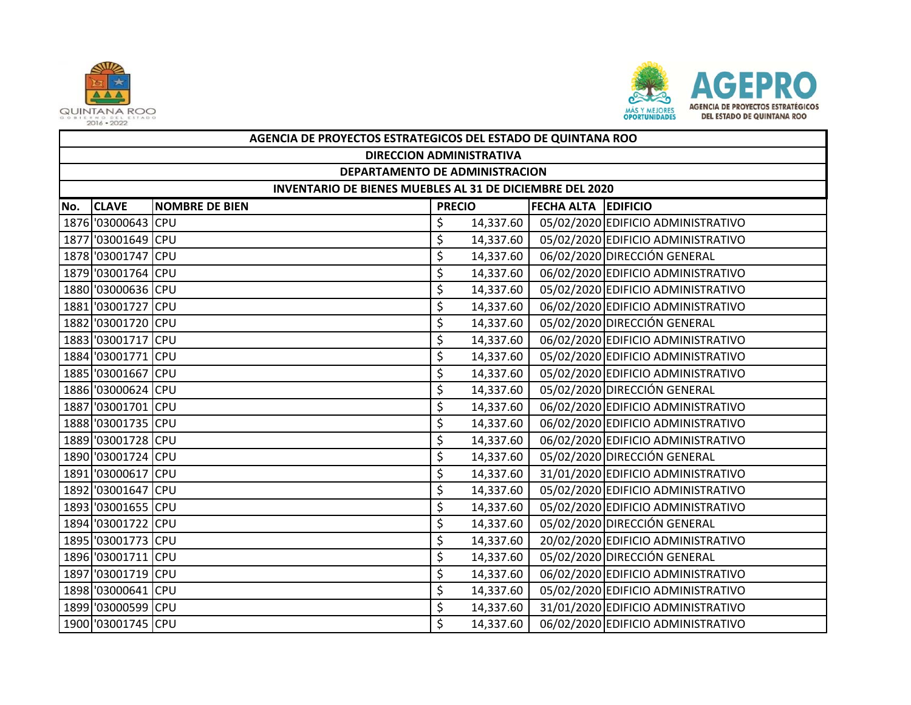



|     | AGENCIA DE PROYECTOS ESTRATEGICOS DEL ESTADO DE QUINTANA ROO |                       |               |           |                            |                                    |  |  |  |  |
|-----|--------------------------------------------------------------|-----------------------|---------------|-----------|----------------------------|------------------------------------|--|--|--|--|
|     | <b>DIRECCION ADMINISTRATIVA</b>                              |                       |               |           |                            |                                    |  |  |  |  |
|     | DEPARTAMENTO DE ADMINISTRACION                               |                       |               |           |                            |                                    |  |  |  |  |
|     | INVENTARIO DE BIENES MUEBLES AL 31 DE DICIEMBRE DEL 2020     |                       |               |           |                            |                                    |  |  |  |  |
| No. | <b>CLAVE</b>                                                 | <b>NOMBRE DE BIEN</b> | <b>PRECIO</b> |           | <b>FECHA ALTA EDIFICIO</b> |                                    |  |  |  |  |
|     | 1876 '03000643 CPU                                           |                       | \$            | 14,337.60 |                            | 05/02/2020 EDIFICIO ADMINISTRATIVO |  |  |  |  |
|     | 1877 '03001649 CPU                                           |                       | \$            | 14,337.60 |                            | 05/02/2020 EDIFICIO ADMINISTRATIVO |  |  |  |  |
|     | 1878 '03001747 CPU                                           |                       | \$            | 14,337.60 |                            | 06/02/2020 DIRECCIÓN GENERAL       |  |  |  |  |
|     | 1879 '03001764 CPU                                           |                       | \$            | 14,337.60 |                            | 06/02/2020 EDIFICIO ADMINISTRATIVO |  |  |  |  |
|     | 1880 '03000636 CPU                                           |                       | \$            | 14,337.60 |                            | 05/02/2020 EDIFICIO ADMINISTRATIVO |  |  |  |  |
|     | 1881 '03001727 CPU                                           |                       | \$            | 14,337.60 |                            | 06/02/2020 EDIFICIO ADMINISTRATIVO |  |  |  |  |
|     | 1882 '03001720 CPU                                           |                       | \$            | 14,337.60 |                            | 05/02/2020 DIRECCIÓN GENERAL       |  |  |  |  |
|     | 1883 '03001717 CPU                                           |                       | \$            | 14,337.60 |                            | 06/02/2020 EDIFICIO ADMINISTRATIVO |  |  |  |  |
|     | 1884 '03001771 CPU                                           |                       | \$            | 14,337.60 |                            | 05/02/2020 EDIFICIO ADMINISTRATIVO |  |  |  |  |
|     | 1885 '03001667 CPU                                           |                       | \$            | 14,337.60 |                            | 05/02/2020 EDIFICIO ADMINISTRATIVO |  |  |  |  |
|     | 1886 '03000624 CPU                                           |                       | \$            | 14,337.60 |                            | 05/02/2020 DIRECCIÓN GENERAL       |  |  |  |  |
|     | 1887 '03001701 CPU                                           |                       | \$            | 14,337.60 |                            | 06/02/2020 EDIFICIO ADMINISTRATIVO |  |  |  |  |
|     | 1888 '03001735 CPU                                           |                       | \$            | 14,337.60 |                            | 06/02/2020 EDIFICIO ADMINISTRATIVO |  |  |  |  |
|     | 1889 '03001728 CPU                                           |                       | \$            | 14,337.60 |                            | 06/02/2020 EDIFICIO ADMINISTRATIVO |  |  |  |  |
|     | 1890 '03001724 CPU                                           |                       | \$            | 14,337.60 |                            | 05/02/2020 DIRECCIÓN GENERAL       |  |  |  |  |
|     | 1891 '03000617 CPU                                           |                       | \$            | 14,337.60 |                            | 31/01/2020 EDIFICIO ADMINISTRATIVO |  |  |  |  |
|     | 1892 '03001647 CPU                                           |                       | \$            | 14,337.60 |                            | 05/02/2020 EDIFICIO ADMINISTRATIVO |  |  |  |  |
|     | 1893 '03001655 CPU                                           |                       | \$            | 14,337.60 |                            | 05/02/2020 EDIFICIO ADMINISTRATIVO |  |  |  |  |
|     | 1894 '03001722 CPU                                           |                       | \$            | 14,337.60 |                            | 05/02/2020 DIRECCIÓN GENERAL       |  |  |  |  |
|     | 1895 '03001773 CPU                                           |                       | \$            | 14,337.60 |                            | 20/02/2020 EDIFICIO ADMINISTRATIVO |  |  |  |  |
|     | 1896 '03001711 CPU                                           |                       | \$            | 14,337.60 |                            | 05/02/2020 DIRECCIÓN GENERAL       |  |  |  |  |
|     | 1897 '03001719 CPU                                           |                       | \$            | 14,337.60 |                            | 06/02/2020 EDIFICIO ADMINISTRATIVO |  |  |  |  |
|     | 1898 '03000641 CPU                                           |                       | \$            | 14,337.60 |                            | 05/02/2020 EDIFICIO ADMINISTRATIVO |  |  |  |  |
|     | 1899 '03000599 CPU                                           |                       | \$            | 14,337.60 |                            | 31/01/2020 EDIFICIO ADMINISTRATIVO |  |  |  |  |
|     | 1900 '03001745 CPU                                           |                       | \$            | 14,337.60 |                            | 06/02/2020 EDIFICIO ADMINISTRATIVO |  |  |  |  |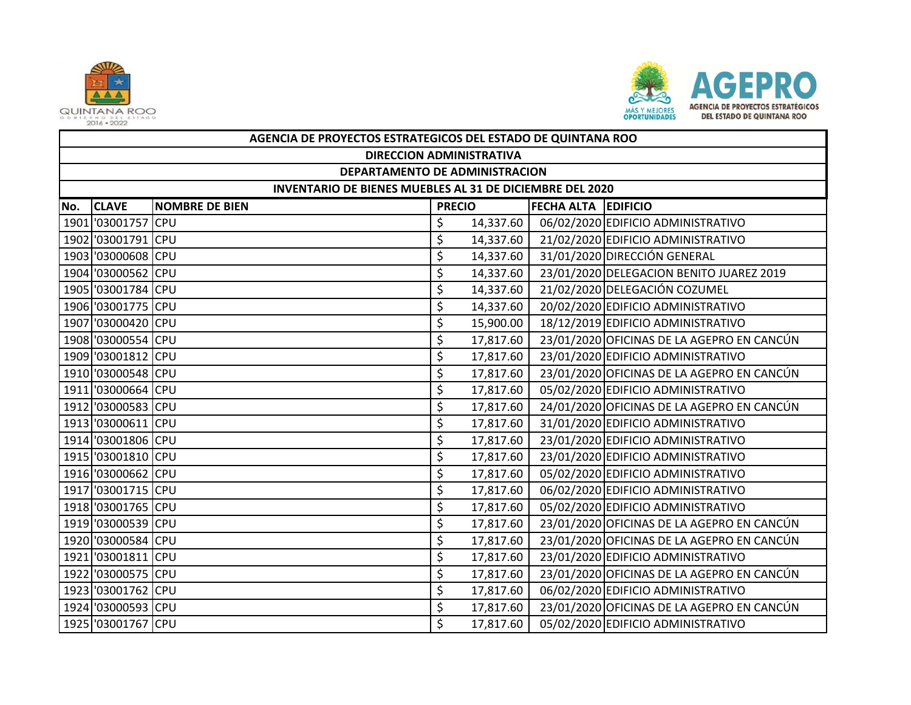



|     | AGENCIA DE PROYECTOS ESTRATEGICOS DEL ESTADO DE QUINTANA ROO |                       |               |           |                     |                                            |  |  |  |  |
|-----|--------------------------------------------------------------|-----------------------|---------------|-----------|---------------------|--------------------------------------------|--|--|--|--|
|     | <b>DIRECCION ADMINISTRATIVA</b>                              |                       |               |           |                     |                                            |  |  |  |  |
|     | DEPARTAMENTO DE ADMINISTRACION                               |                       |               |           |                     |                                            |  |  |  |  |
|     | INVENTARIO DE BIENES MUEBLES AL 31 DE DICIEMBRE DEL 2020     |                       |               |           |                     |                                            |  |  |  |  |
| No. | <b>CLAVE</b>                                                 | <b>NOMBRE DE BIEN</b> | <b>PRECIO</b> |           | FECHA ALTA EDIFICIO |                                            |  |  |  |  |
|     | 1901 '03001757 CPU                                           |                       | \$            | 14,337.60 |                     | 06/02/2020 EDIFICIO ADMINISTRATIVO         |  |  |  |  |
|     | 1902 '03001791 CPU                                           |                       | \$            | 14,337.60 |                     | 21/02/2020 EDIFICIO ADMINISTRATIVO         |  |  |  |  |
|     | 1903 '03000608 CPU                                           |                       | \$            | 14,337.60 |                     | 31/01/2020 DIRECCIÓN GENERAL               |  |  |  |  |
|     | 1904 '03000562 CPU                                           |                       | \$            | 14,337.60 |                     | 23/01/2020 DELEGACION BENITO JUAREZ 2019   |  |  |  |  |
|     | 1905 '03001784 CPU                                           |                       | \$            | 14,337.60 |                     | 21/02/2020 DELEGACIÓN COZUMEL              |  |  |  |  |
|     | 1906 '03001775 CPU                                           |                       | \$            | 14,337.60 |                     | 20/02/2020 EDIFICIO ADMINISTRATIVO         |  |  |  |  |
|     | 1907 '03000420 CPU                                           |                       | \$            | 15,900.00 |                     | 18/12/2019 EDIFICIO ADMINISTRATIVO         |  |  |  |  |
|     | 1908 '03000554 CPU                                           |                       | \$            | 17,817.60 |                     | 23/01/2020 OFICINAS DE LA AGEPRO EN CANCÚN |  |  |  |  |
|     | 1909 '03001812 CPU                                           |                       | \$            | 17,817.60 |                     | 23/01/2020 EDIFICIO ADMINISTRATIVO         |  |  |  |  |
|     | 1910 '03000548 CPU                                           |                       | \$            | 17,817.60 |                     | 23/01/2020 OFICINAS DE LA AGEPRO EN CANCÚN |  |  |  |  |
|     | 1911 '03000664 CPU                                           |                       | \$            | 17,817.60 |                     | 05/02/2020 EDIFICIO ADMINISTRATIVO         |  |  |  |  |
|     | 1912 '03000583 CPU                                           |                       | \$            | 17,817.60 |                     | 24/01/2020 OFICINAS DE LA AGEPRO EN CANCÚN |  |  |  |  |
|     | 1913 '03000611 CPU                                           |                       | \$            | 17,817.60 |                     | 31/01/2020 EDIFICIO ADMINISTRATIVO         |  |  |  |  |
|     | 1914 '03001806 CPU                                           |                       | \$            | 17,817.60 |                     | 23/01/2020 EDIFICIO ADMINISTRATIVO         |  |  |  |  |
|     | 1915 '03001810 CPU                                           |                       | \$            | 17,817.60 |                     | 23/01/2020 EDIFICIO ADMINISTRATIVO         |  |  |  |  |
|     | 1916 '03000662 CPU                                           |                       | \$            | 17,817.60 |                     | 05/02/2020 EDIFICIO ADMINISTRATIVO         |  |  |  |  |
|     | 1917 '03001715 CPU                                           |                       | \$            | 17,817.60 |                     | 06/02/2020 EDIFICIO ADMINISTRATIVO         |  |  |  |  |
|     | 1918 '03001765 CPU                                           |                       | \$            | 17,817.60 |                     | 05/02/2020 EDIFICIO ADMINISTRATIVO         |  |  |  |  |
|     | 1919 '03000539 CPU                                           |                       | \$            | 17,817.60 |                     | 23/01/2020 OFICINAS DE LA AGEPRO EN CANCÚN |  |  |  |  |
|     | 1920 '03000584 CPU                                           |                       | \$            | 17,817.60 |                     | 23/01/2020 OFICINAS DE LA AGEPRO EN CANCÚN |  |  |  |  |
|     | 1921 '03001811 CPU                                           |                       | \$            | 17,817.60 |                     | 23/01/2020 EDIFICIO ADMINISTRATIVO         |  |  |  |  |
|     | 1922 '03000575 CPU                                           |                       | \$            | 17,817.60 |                     | 23/01/2020 OFICINAS DE LA AGEPRO EN CANCÚN |  |  |  |  |
|     | 1923 '03001762 CPU                                           |                       | \$            | 17,817.60 |                     | 06/02/2020 EDIFICIO ADMINISTRATIVO         |  |  |  |  |
|     | 1924 '03000593 CPU                                           |                       | \$            | 17,817.60 |                     | 23/01/2020 OFICINAS DE LA AGEPRO EN CANCÚN |  |  |  |  |
|     | 1925 '03001767 CPU                                           |                       | \$            | 17,817.60 |                     | 05/02/2020 EDIFICIO ADMINISTRATIVO         |  |  |  |  |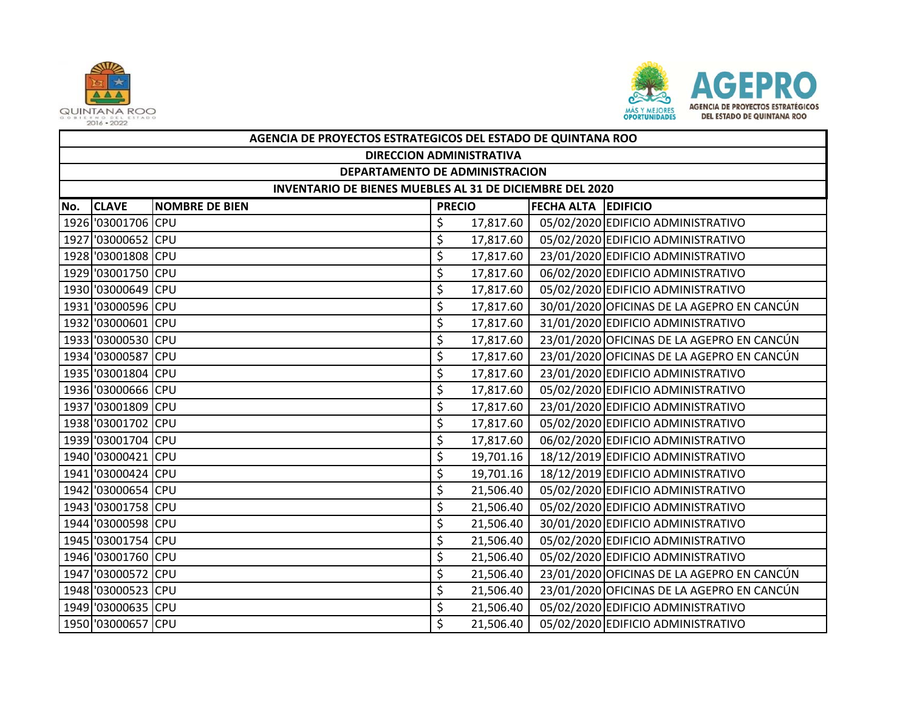



|     | AGENCIA DE PROYECTOS ESTRATEGICOS DEL ESTADO DE QUINTANA ROO |                       |               |           |                            |                                            |  |  |  |  |
|-----|--------------------------------------------------------------|-----------------------|---------------|-----------|----------------------------|--------------------------------------------|--|--|--|--|
|     | <b>DIRECCION ADMINISTRATIVA</b>                              |                       |               |           |                            |                                            |  |  |  |  |
|     | DEPARTAMENTO DE ADMINISTRACION                               |                       |               |           |                            |                                            |  |  |  |  |
|     | INVENTARIO DE BIENES MUEBLES AL 31 DE DICIEMBRE DEL 2020     |                       |               |           |                            |                                            |  |  |  |  |
| No. | <b>CLAVE</b>                                                 | <b>NOMBRE DE BIEN</b> | <b>PRECIO</b> |           | <b>FECHA ALTA EDIFICIO</b> |                                            |  |  |  |  |
|     | 1926 '03001706 CPU                                           |                       | \$            | 17,817.60 |                            | 05/02/2020 EDIFICIO ADMINISTRATIVO         |  |  |  |  |
|     | 1927 '03000652 CPU                                           |                       | \$            | 17,817.60 |                            | 05/02/2020 EDIFICIO ADMINISTRATIVO         |  |  |  |  |
|     | 1928 '03001808 CPU                                           |                       | \$            | 17,817.60 |                            | 23/01/2020 EDIFICIO ADMINISTRATIVO         |  |  |  |  |
|     | 1929 '03001750 CPU                                           |                       | \$            | 17,817.60 |                            | 06/02/2020 EDIFICIO ADMINISTRATIVO         |  |  |  |  |
|     | 1930 '03000649 CPU                                           |                       | \$            | 17,817.60 |                            | 05/02/2020 EDIFICIO ADMINISTRATIVO         |  |  |  |  |
|     | 1931 '03000596 CPU                                           |                       | \$            | 17,817.60 |                            | 30/01/2020 OFICINAS DE LA AGEPRO EN CANCÚN |  |  |  |  |
|     | 1932 '03000601 CPU                                           |                       | \$            | 17,817.60 |                            | 31/01/2020 EDIFICIO ADMINISTRATIVO         |  |  |  |  |
|     | 1933 '03000530 CPU                                           |                       | \$            | 17,817.60 |                            | 23/01/2020 OFICINAS DE LA AGEPRO EN CANCÚN |  |  |  |  |
|     | 1934 '03000587 CPU                                           |                       | \$            | 17,817.60 |                            | 23/01/2020 OFICINAS DE LA AGEPRO EN CANCÚN |  |  |  |  |
|     | 1935 '03001804 CPU                                           |                       | \$            | 17,817.60 |                            | 23/01/2020 EDIFICIO ADMINISTRATIVO         |  |  |  |  |
|     | 1936 '03000666 CPU                                           |                       | \$            | 17,817.60 |                            | 05/02/2020 EDIFICIO ADMINISTRATIVO         |  |  |  |  |
|     | 1937 '03001809 CPU                                           |                       | \$            | 17,817.60 |                            | 23/01/2020 EDIFICIO ADMINISTRATIVO         |  |  |  |  |
|     | 1938 '03001702 CPU                                           |                       | \$            | 17,817.60 |                            | 05/02/2020 EDIFICIO ADMINISTRATIVO         |  |  |  |  |
|     | 1939 '03001704 CPU                                           |                       | \$            | 17,817.60 |                            | 06/02/2020 EDIFICIO ADMINISTRATIVO         |  |  |  |  |
|     | 1940 '03000421 CPU                                           |                       | \$            | 19,701.16 |                            | 18/12/2019 EDIFICIO ADMINISTRATIVO         |  |  |  |  |
|     | 1941 '03000424 CPU                                           |                       | \$            | 19,701.16 |                            | 18/12/2019 EDIFICIO ADMINISTRATIVO         |  |  |  |  |
|     | 1942 '03000654 CPU                                           |                       | \$            | 21,506.40 |                            | 05/02/2020 EDIFICIO ADMINISTRATIVO         |  |  |  |  |
|     | 1943 '03001758 CPU                                           |                       | \$            | 21,506.40 |                            | 05/02/2020 EDIFICIO ADMINISTRATIVO         |  |  |  |  |
|     | 1944 '03000598 CPU                                           |                       | \$            | 21,506.40 |                            | 30/01/2020 EDIFICIO ADMINISTRATIVO         |  |  |  |  |
|     | 1945 '03001754 CPU                                           |                       | \$            | 21,506.40 |                            | 05/02/2020 EDIFICIO ADMINISTRATIVO         |  |  |  |  |
|     | 1946 '03001760 CPU                                           |                       | \$            | 21,506.40 |                            | 05/02/2020 EDIFICIO ADMINISTRATIVO         |  |  |  |  |
|     | 1947 '03000572 CPU                                           |                       | \$            | 21,506.40 |                            | 23/01/2020 OFICINAS DE LA AGEPRO EN CANCÚN |  |  |  |  |
|     | 1948 '03000523 CPU                                           |                       | \$            | 21,506.40 |                            | 23/01/2020 OFICINAS DE LA AGEPRO EN CANCÚN |  |  |  |  |
|     | 1949 '03000635 CPU                                           |                       | \$            | 21,506.40 |                            | 05/02/2020 EDIFICIO ADMINISTRATIVO         |  |  |  |  |
|     | 1950 '03000657 CPU                                           |                       | \$            | 21,506.40 |                            | 05/02/2020 EDIFICIO ADMINISTRATIVO         |  |  |  |  |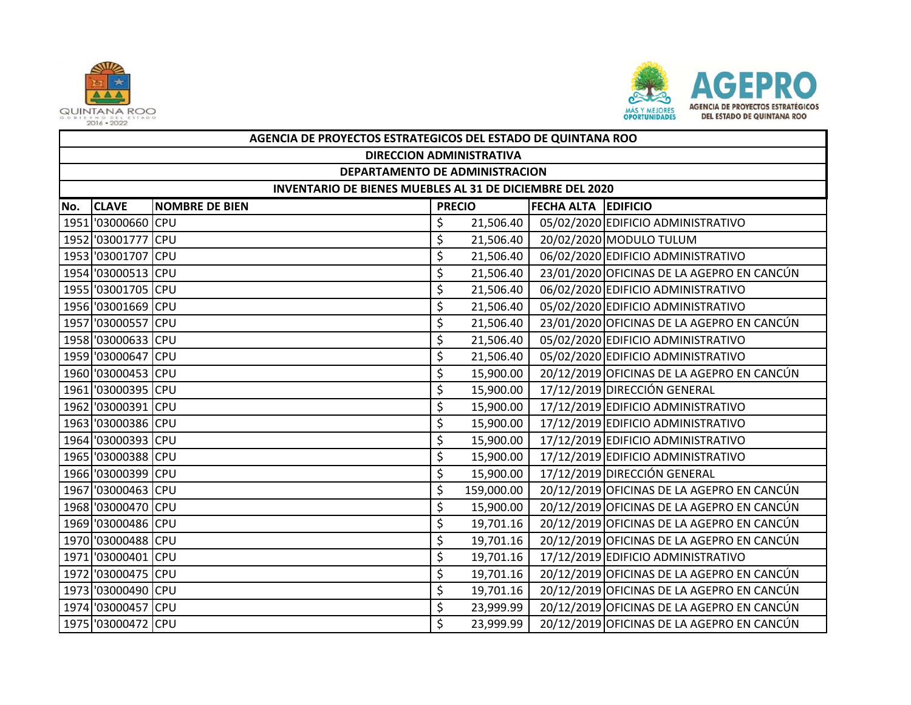



|     | AGENCIA DE PROYECTOS ESTRATEGICOS DEL ESTADO DE QUINTANA ROO |                       |               |            |                            |                                            |  |  |  |  |
|-----|--------------------------------------------------------------|-----------------------|---------------|------------|----------------------------|--------------------------------------------|--|--|--|--|
|     | <b>DIRECCION ADMINISTRATIVA</b>                              |                       |               |            |                            |                                            |  |  |  |  |
|     | DEPARTAMENTO DE ADMINISTRACION                               |                       |               |            |                            |                                            |  |  |  |  |
|     | INVENTARIO DE BIENES MUEBLES AL 31 DE DICIEMBRE DEL 2020     |                       |               |            |                            |                                            |  |  |  |  |
| No. | <b>CLAVE</b>                                                 | <b>NOMBRE DE BIEN</b> | <b>PRECIO</b> |            | <b>FECHA ALTA EDIFICIO</b> |                                            |  |  |  |  |
|     | 1951 '03000660 CPU                                           |                       | \$            | 21,506.40  |                            | 05/02/2020 EDIFICIO ADMINISTRATIVO         |  |  |  |  |
|     | 1952 '03001777 CPU                                           |                       | \$            | 21,506.40  |                            | 20/02/2020 MODULO TULUM                    |  |  |  |  |
|     | 1953 '03001707 CPU                                           |                       | \$            | 21,506.40  |                            | 06/02/2020 EDIFICIO ADMINISTRATIVO         |  |  |  |  |
|     | 1954 '03000513 CPU                                           |                       | \$            | 21,506.40  |                            | 23/01/2020 OFICINAS DE LA AGEPRO EN CANCÚN |  |  |  |  |
|     | 1955 '03001705 CPU                                           |                       | \$            | 21,506.40  |                            | 06/02/2020 EDIFICIO ADMINISTRATIVO         |  |  |  |  |
|     | 1956 '03001669 CPU                                           |                       | \$            | 21,506.40  |                            | 05/02/2020 EDIFICIO ADMINISTRATIVO         |  |  |  |  |
|     | 1957 '03000557 CPU                                           |                       | \$            | 21,506.40  |                            | 23/01/2020 OFICINAS DE LA AGEPRO EN CANCÚN |  |  |  |  |
|     | 1958 '03000633 CPU                                           |                       | \$            | 21,506.40  |                            | 05/02/2020 EDIFICIO ADMINISTRATIVO         |  |  |  |  |
|     | 1959 '03000647 CPU                                           |                       | \$            | 21,506.40  |                            | 05/02/2020 EDIFICIO ADMINISTRATIVO         |  |  |  |  |
|     | 1960 '03000453 CPU                                           |                       | \$            | 15,900.00  |                            | 20/12/2019 OFICINAS DE LA AGEPRO EN CANCÚN |  |  |  |  |
|     | 1961 '03000395 CPU                                           |                       | \$            | 15,900.00  |                            | 17/12/2019 DIRECCIÓN GENERAL               |  |  |  |  |
|     | 1962 '03000391 CPU                                           |                       | \$            | 15,900.00  |                            | 17/12/2019 EDIFICIO ADMINISTRATIVO         |  |  |  |  |
|     | 1963 '03000386 CPU                                           |                       | \$            | 15,900.00  |                            | 17/12/2019 EDIFICIO ADMINISTRATIVO         |  |  |  |  |
|     | 1964 '03000393 CPU                                           |                       | \$            | 15,900.00  |                            | 17/12/2019 EDIFICIO ADMINISTRATIVO         |  |  |  |  |
|     | 1965 '03000388 CPU                                           |                       | \$            | 15,900.00  |                            | 17/12/2019 EDIFICIO ADMINISTRATIVO         |  |  |  |  |
|     | 1966 '03000399 CPU                                           |                       | \$            | 15,900.00  |                            | 17/12/2019 DIRECCIÓN GENERAL               |  |  |  |  |
|     | 1967 '03000463 CPU                                           |                       | \$            | 159,000.00 |                            | 20/12/2019 OFICINAS DE LA AGEPRO EN CANCÚN |  |  |  |  |
|     | 1968 '03000470 CPU                                           |                       | \$            | 15,900.00  |                            | 20/12/2019 OFICINAS DE LA AGEPRO EN CANCÚN |  |  |  |  |
|     | 1969 '03000486 CPU                                           |                       | \$            | 19,701.16  |                            | 20/12/2019 OFICINAS DE LA AGEPRO EN CANCÚN |  |  |  |  |
|     | 1970 '03000488 CPU                                           |                       | \$            | 19,701.16  |                            | 20/12/2019 OFICINAS DE LA AGEPRO EN CANCÚN |  |  |  |  |
|     | 1971 '03000401 CPU                                           |                       | \$            | 19,701.16  |                            | 17/12/2019 EDIFICIO ADMINISTRATIVO         |  |  |  |  |
|     | 1972 '03000475 CPU                                           |                       | \$            | 19,701.16  |                            | 20/12/2019 OFICINAS DE LA AGEPRO EN CANCÚN |  |  |  |  |
|     | 1973 '03000490 CPU                                           |                       | \$            | 19,701.16  |                            | 20/12/2019 OFICINAS DE LA AGEPRO EN CANCÚN |  |  |  |  |
|     | 1974 '03000457 CPU                                           |                       | \$            | 23,999.99  |                            | 20/12/2019 OFICINAS DE LA AGEPRO EN CANCÚN |  |  |  |  |
|     | 1975 '03000472 CPU                                           |                       | \$            | 23,999.99  |                            | 20/12/2019 OFICINAS DE LA AGEPRO EN CANCÚN |  |  |  |  |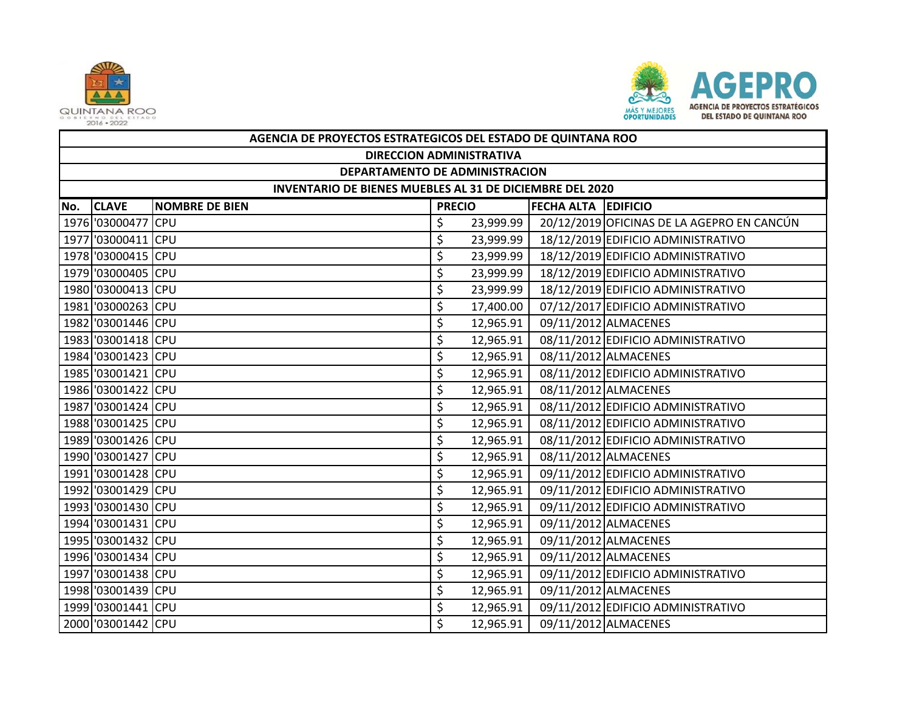



|     | AGENCIA DE PROYECTOS ESTRATEGICOS DEL ESTADO DE QUINTANA ROO |                       |               |           |                            |                                            |  |  |  |  |
|-----|--------------------------------------------------------------|-----------------------|---------------|-----------|----------------------------|--------------------------------------------|--|--|--|--|
|     | <b>DIRECCION ADMINISTRATIVA</b>                              |                       |               |           |                            |                                            |  |  |  |  |
|     | DEPARTAMENTO DE ADMINISTRACION                               |                       |               |           |                            |                                            |  |  |  |  |
|     | INVENTARIO DE BIENES MUEBLES AL 31 DE DICIEMBRE DEL 2020     |                       |               |           |                            |                                            |  |  |  |  |
| No. | <b>CLAVE</b>                                                 | <b>NOMBRE DE BIEN</b> | <b>PRECIO</b> |           | <b>FECHA ALTA EDIFICIO</b> |                                            |  |  |  |  |
|     | 1976 '03000477 CPU                                           |                       | \$            | 23,999.99 |                            | 20/12/2019 OFICINAS DE LA AGEPRO EN CANCÚN |  |  |  |  |
|     | 1977 '03000411 CPU                                           |                       | \$            | 23,999.99 |                            | 18/12/2019 EDIFICIO ADMINISTRATIVO         |  |  |  |  |
|     | 1978 '03000415 CPU                                           |                       | \$            | 23,999.99 |                            | 18/12/2019 EDIFICIO ADMINISTRATIVO         |  |  |  |  |
|     | 1979 '03000405 CPU                                           |                       | \$            | 23,999.99 |                            | 18/12/2019 EDIFICIO ADMINISTRATIVO         |  |  |  |  |
|     | 1980 '03000413 CPU                                           |                       | \$            | 23,999.99 |                            | 18/12/2019 EDIFICIO ADMINISTRATIVO         |  |  |  |  |
|     | 1981 '03000263 CPU                                           |                       | \$            | 17,400.00 |                            | 07/12/2017 EDIFICIO ADMINISTRATIVO         |  |  |  |  |
|     | 1982 '03001446 CPU                                           |                       | \$            | 12,965.91 |                            | 09/11/2012 ALMACENES                       |  |  |  |  |
|     | 1983 '03001418 CPU                                           |                       | \$            | 12,965.91 |                            | 08/11/2012 EDIFICIO ADMINISTRATIVO         |  |  |  |  |
|     | 1984 '03001423 CPU                                           |                       | \$            | 12,965.91 |                            | 08/11/2012 ALMACENES                       |  |  |  |  |
|     | 1985 '03001421 CPU                                           |                       | \$            | 12,965.91 |                            | 08/11/2012 EDIFICIO ADMINISTRATIVO         |  |  |  |  |
|     | 1986 '03001422 CPU                                           |                       | \$            | 12,965.91 |                            | 08/11/2012 ALMACENES                       |  |  |  |  |
|     | 1987 '03001424 CPU                                           |                       | \$            | 12,965.91 |                            | 08/11/2012 EDIFICIO ADMINISTRATIVO         |  |  |  |  |
|     | 1988 '03001425 CPU                                           |                       | \$            | 12,965.91 |                            | 08/11/2012 EDIFICIO ADMINISTRATIVO         |  |  |  |  |
|     | 1989 '03001426 CPU                                           |                       | \$            | 12,965.91 |                            | 08/11/2012 EDIFICIO ADMINISTRATIVO         |  |  |  |  |
|     | 1990 '03001427 CPU                                           |                       | \$            | 12,965.91 |                            | 08/11/2012 ALMACENES                       |  |  |  |  |
|     | 1991 '03001428 CPU                                           |                       | \$            | 12,965.91 |                            | 09/11/2012 EDIFICIO ADMINISTRATIVO         |  |  |  |  |
|     | 1992 '03001429 CPU                                           |                       | \$            | 12,965.91 |                            | 09/11/2012 EDIFICIO ADMINISTRATIVO         |  |  |  |  |
|     | 1993 '03001430 CPU                                           |                       | \$            | 12,965.91 |                            | 09/11/2012 EDIFICIO ADMINISTRATIVO         |  |  |  |  |
|     | 1994 '03001431 CPU                                           |                       | \$            | 12,965.91 |                            | 09/11/2012 ALMACENES                       |  |  |  |  |
|     | 1995 '03001432 CPU                                           |                       | \$            | 12,965.91 |                            | 09/11/2012 ALMACENES                       |  |  |  |  |
|     | 1996 '03001434 CPU                                           |                       | \$            | 12,965.91 |                            | 09/11/2012 ALMACENES                       |  |  |  |  |
|     | 1997 '03001438 CPU                                           |                       | \$            | 12,965.91 |                            | 09/11/2012 EDIFICIO ADMINISTRATIVO         |  |  |  |  |
|     | 1998 '03001439 CPU                                           |                       | \$            | 12,965.91 |                            | 09/11/2012 ALMACENES                       |  |  |  |  |
|     | 1999 '03001441 CPU                                           |                       | \$            | 12,965.91 |                            | 09/11/2012 EDIFICIO ADMINISTRATIVO         |  |  |  |  |
|     | 2000 '03001442 CPU                                           |                       | \$            | 12,965.91 |                            | 09/11/2012 ALMACENES                       |  |  |  |  |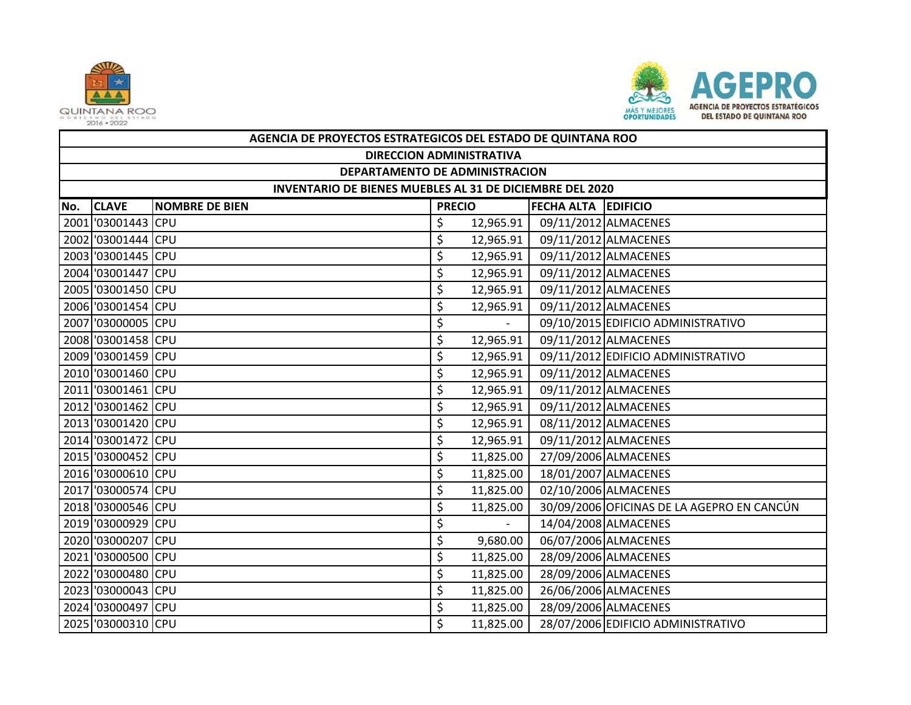



|     | AGENCIA DE PROYECTOS ESTRATEGICOS DEL ESTADO DE QUINTANA ROO |                       |               |           |                            |                                            |  |  |  |
|-----|--------------------------------------------------------------|-----------------------|---------------|-----------|----------------------------|--------------------------------------------|--|--|--|
|     | <b>DIRECCION ADMINISTRATIVA</b>                              |                       |               |           |                            |                                            |  |  |  |
|     | DEPARTAMENTO DE ADMINISTRACION                               |                       |               |           |                            |                                            |  |  |  |
|     | INVENTARIO DE BIENES MUEBLES AL 31 DE DICIEMBRE DEL 2020     |                       |               |           |                            |                                            |  |  |  |
| No. | <b>CLAVE</b>                                                 | <b>NOMBRE DE BIEN</b> | <b>PRECIO</b> |           | <b>FECHA ALTA EDIFICIO</b> |                                            |  |  |  |
|     | 2001 03001443 CPU                                            |                       | \$            | 12,965.91 |                            | 09/11/2012 ALMACENES                       |  |  |  |
|     | 2002 03001444 CPU                                            |                       | \$            | 12,965.91 |                            | 09/11/2012 ALMACENES                       |  |  |  |
|     | 2003 '03001445 CPU                                           |                       | \$            | 12,965.91 |                            | 09/11/2012 ALMACENES                       |  |  |  |
|     | 2004 '03001447 CPU                                           |                       | \$            | 12,965.91 |                            | 09/11/2012 ALMACENES                       |  |  |  |
|     | 2005 '03001450 CPU                                           |                       | \$            | 12,965.91 |                            | 09/11/2012 ALMACENES                       |  |  |  |
|     | 2006 '03001454 CPU                                           |                       | \$            | 12,965.91 |                            | 09/11/2012 ALMACENES                       |  |  |  |
|     | 2007 '03000005 CPU                                           |                       | \$            |           |                            | 09/10/2015 EDIFICIO ADMINISTRATIVO         |  |  |  |
|     | 2008 '03001458 CPU                                           |                       | \$            | 12,965.91 |                            | 09/11/2012 ALMACENES                       |  |  |  |
|     | 2009 '03001459 CPU                                           |                       | \$            | 12,965.91 |                            | 09/11/2012 EDIFICIO ADMINISTRATIVO         |  |  |  |
|     | 2010 '03001460 CPU                                           |                       | \$            | 12,965.91 |                            | 09/11/2012 ALMACENES                       |  |  |  |
|     | 2011 '03001461 CPU                                           |                       | \$            | 12,965.91 |                            | 09/11/2012 ALMACENES                       |  |  |  |
|     | 2012 '03001462 CPU                                           |                       | \$            | 12,965.91 |                            | 09/11/2012 ALMACENES                       |  |  |  |
|     | 2013 '03001420 CPU                                           |                       | \$            | 12,965.91 |                            | 08/11/2012 ALMACENES                       |  |  |  |
|     | 2014 '03001472 CPU                                           |                       | \$            | 12,965.91 |                            | 09/11/2012 ALMACENES                       |  |  |  |
|     | 2015 '03000452 CPU                                           |                       | \$            | 11,825.00 |                            | 27/09/2006 ALMACENES                       |  |  |  |
|     | 2016 '03000610 CPU                                           |                       | \$            | 11,825.00 |                            | 18/01/2007 ALMACENES                       |  |  |  |
|     | 2017 '03000574 CPU                                           |                       | \$            | 11,825.00 |                            | 02/10/2006 ALMACENES                       |  |  |  |
|     | 2018 '03000546 CPU                                           |                       | \$            | 11,825.00 |                            | 30/09/2006 OFICINAS DE LA AGEPRO EN CANCÚN |  |  |  |
|     | 2019 '03000929 CPU                                           |                       | \$            |           |                            | 14/04/2008 ALMACENES                       |  |  |  |
|     | 2020 '03000207 CPU                                           |                       | \$            | 9,680.00  |                            | 06/07/2006 ALMACENES                       |  |  |  |
|     | 2021 '03000500 CPU                                           |                       | \$            | 11,825.00 |                            | 28/09/2006 ALMACENES                       |  |  |  |
|     | 2022 '03000480 CPU                                           |                       | \$            | 11,825.00 |                            | 28/09/2006 ALMACENES                       |  |  |  |
|     | 2023 '03000043 CPU                                           |                       | \$            | 11,825.00 |                            | 26/06/2006 ALMACENES                       |  |  |  |
|     | 2024 '03000497 CPU                                           |                       | \$            | 11,825.00 |                            | 28/09/2006 ALMACENES                       |  |  |  |
|     | 2025 '03000310 CPU                                           |                       | \$            | 11,825.00 |                            | 28/07/2006 EDIFICIO ADMINISTRATIVO         |  |  |  |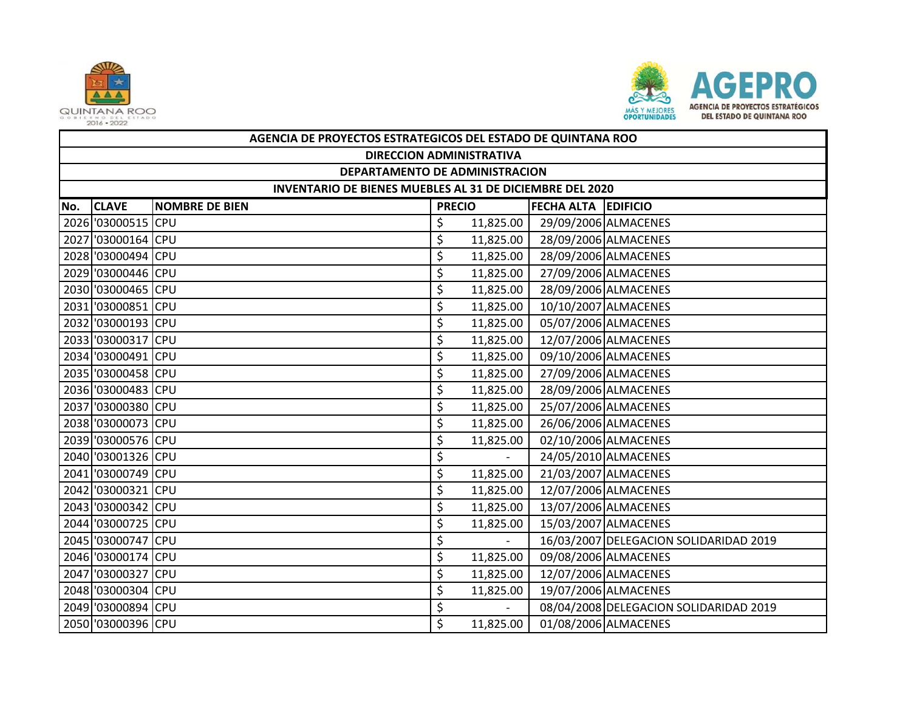



|     | AGENCIA DE PROYECTOS ESTRATEGICOS DEL ESTADO DE QUINTANA ROO |                       |               |           |                            |                                        |  |  |  |
|-----|--------------------------------------------------------------|-----------------------|---------------|-----------|----------------------------|----------------------------------------|--|--|--|
|     | <b>DIRECCION ADMINISTRATIVA</b>                              |                       |               |           |                            |                                        |  |  |  |
|     | DEPARTAMENTO DE ADMINISTRACION                               |                       |               |           |                            |                                        |  |  |  |
|     | INVENTARIO DE BIENES MUEBLES AL 31 DE DICIEMBRE DEL 2020     |                       |               |           |                            |                                        |  |  |  |
| No. | <b>CLAVE</b>                                                 | <b>NOMBRE DE BIEN</b> | <b>PRECIO</b> |           | <b>FECHA ALTA EDIFICIO</b> |                                        |  |  |  |
|     | 2026 '03000515 CPU                                           |                       | \$            | 11,825.00 |                            | 29/09/2006 ALMACENES                   |  |  |  |
|     | 2027 '03000164 CPU                                           |                       | \$            | 11,825.00 |                            | 28/09/2006 ALMACENES                   |  |  |  |
|     | 2028 '03000494 CPU                                           |                       | \$            | 11,825.00 |                            | 28/09/2006 ALMACENES                   |  |  |  |
|     | 2029 '03000446 CPU                                           |                       | \$            | 11,825.00 |                            | 27/09/2006 ALMACENES                   |  |  |  |
|     | 2030 '03000465 CPU                                           |                       | \$            | 11,825.00 |                            | 28/09/2006 ALMACENES                   |  |  |  |
|     | 2031 '03000851 CPU                                           |                       | \$            | 11,825.00 |                            | 10/10/2007 ALMACENES                   |  |  |  |
|     | 2032 '03000193 CPU                                           |                       | \$            | 11,825.00 |                            | 05/07/2006 ALMACENES                   |  |  |  |
|     | 2033 '03000317 CPU                                           |                       | \$            | 11,825.00 |                            | 12/07/2006 ALMACENES                   |  |  |  |
|     | 2034 '03000491 CPU                                           |                       | \$            | 11,825.00 |                            | 09/10/2006 ALMACENES                   |  |  |  |
|     | 2035 '03000458 CPU                                           |                       | \$            | 11,825.00 |                            | 27/09/2006 ALMACENES                   |  |  |  |
|     | 2036 '03000483 CPU                                           |                       | \$            | 11,825.00 |                            | 28/09/2006 ALMACENES                   |  |  |  |
|     | 2037 '03000380 CPU                                           |                       | \$            | 11,825.00 |                            | 25/07/2006 ALMACENES                   |  |  |  |
|     | 2038 '03000073 CPU                                           |                       | \$            | 11,825.00 |                            | 26/06/2006 ALMACENES                   |  |  |  |
|     | 2039 '03000576 CPU                                           |                       | \$            | 11,825.00 |                            | 02/10/2006 ALMACENES                   |  |  |  |
|     | 2040 '03001326 CPU                                           |                       | \$            |           |                            | 24/05/2010 ALMACENES                   |  |  |  |
|     | 2041 '03000749 CPU                                           |                       | \$            | 11,825.00 |                            | 21/03/2007 ALMACENES                   |  |  |  |
|     | 2042 '03000321 CPU                                           |                       | \$            | 11,825.00 |                            | 12/07/2006 ALMACENES                   |  |  |  |
|     | 2043 '03000342 CPU                                           |                       | \$            | 11,825.00 |                            | 13/07/2006 ALMACENES                   |  |  |  |
|     | 2044 '03000725 CPU                                           |                       | \$            | 11,825.00 |                            | 15/03/2007 ALMACENES                   |  |  |  |
|     | 2045 '03000747 CPU                                           |                       | \$            |           |                            | 16/03/2007 DELEGACION SOLIDARIDAD 2019 |  |  |  |
|     | 2046 '03000174 CPU                                           |                       | \$            | 11,825.00 |                            | 09/08/2006 ALMACENES                   |  |  |  |
|     | 2047 '03000327 CPU                                           |                       | \$            | 11,825.00 |                            | 12/07/2006 ALMACENES                   |  |  |  |
|     | 2048 '03000304 CPU                                           |                       | \$            | 11,825.00 |                            | 19/07/2006 ALMACENES                   |  |  |  |
|     | 2049 '03000894 CPU                                           |                       | \$            |           |                            | 08/04/2008 DELEGACION SOLIDARIDAD 2019 |  |  |  |
|     | 2050 '03000396 CPU                                           |                       | \$            | 11,825.00 |                            | 01/08/2006 ALMACENES                   |  |  |  |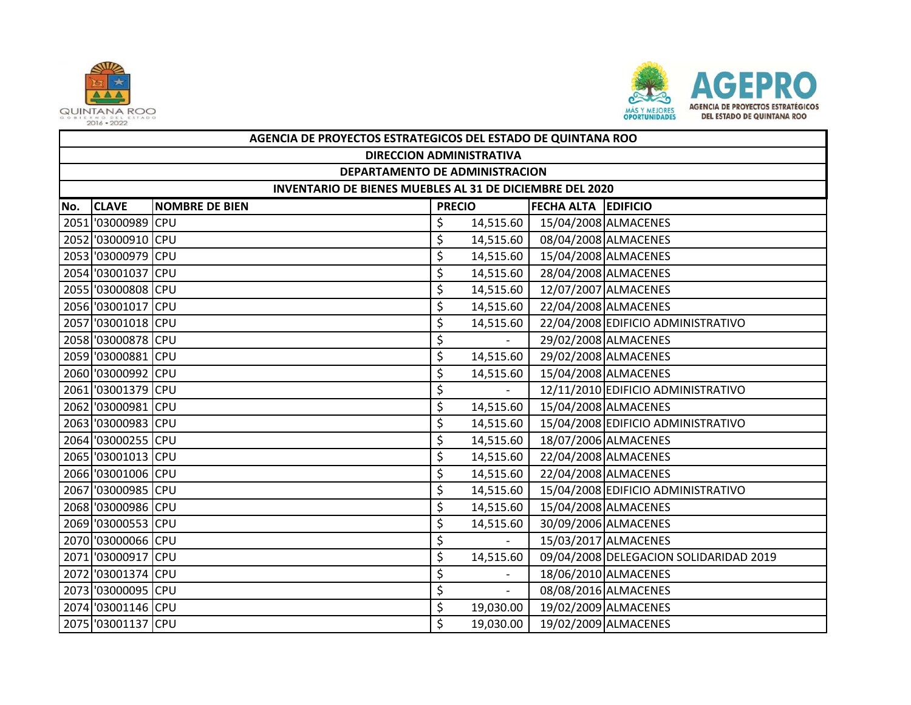



|     | AGENCIA DE PROYECTOS ESTRATEGICOS DEL ESTADO DE QUINTANA ROO |                       |               |                     |                            |                                        |  |  |  |
|-----|--------------------------------------------------------------|-----------------------|---------------|---------------------|----------------------------|----------------------------------------|--|--|--|
|     | <b>DIRECCION ADMINISTRATIVA</b>                              |                       |               |                     |                            |                                        |  |  |  |
|     | DEPARTAMENTO DE ADMINISTRACION                               |                       |               |                     |                            |                                        |  |  |  |
|     | INVENTARIO DE BIENES MUEBLES AL 31 DE DICIEMBRE DEL 2020     |                       |               |                     |                            |                                        |  |  |  |
| No. | <b>CLAVE</b>                                                 | <b>NOMBRE DE BIEN</b> | <b>PRECIO</b> |                     | <b>FECHA ALTA EDIFICIO</b> |                                        |  |  |  |
|     | 2051 '03000989 CPU                                           |                       | \$            | 14,515.60           |                            | 15/04/2008 ALMACENES                   |  |  |  |
|     | 2052 '03000910 CPU                                           |                       | \$            | 14,515.60           |                            | 08/04/2008 ALMACENES                   |  |  |  |
|     | 2053 '03000979 CPU                                           |                       | \$            | 14,515.60           |                            | 15/04/2008 ALMACENES                   |  |  |  |
|     | 2054 '03001037 CPU                                           |                       | \$            | 14,515.60           |                            | 28/04/2008 ALMACENES                   |  |  |  |
|     | 2055 '03000808 CPU                                           |                       | \$            | 14,515.60           | 12/07/2007 ALMACENES       |                                        |  |  |  |
|     | 2056 '03001017 CPU                                           |                       | \$            | 14,515.60           |                            | 22/04/2008 ALMACENES                   |  |  |  |
|     | 2057 '03001018 CPU                                           |                       | \$            | 14,515.60           |                            | 22/04/2008 EDIFICIO ADMINISTRATIVO     |  |  |  |
|     | 2058 '03000878 CPU                                           |                       | \$            |                     |                            | 29/02/2008 ALMACENES                   |  |  |  |
|     | 2059 '03000881 CPU                                           |                       | \$            | 14,515.60           |                            | 29/02/2008 ALMACENES                   |  |  |  |
|     | 2060 '03000992 CPU                                           |                       | \$            | 14,515.60           |                            | 15/04/2008 ALMACENES                   |  |  |  |
|     | 2061 '03001379 CPU                                           |                       | \$            |                     |                            | 12/11/2010 EDIFICIO ADMINISTRATIVO     |  |  |  |
|     | 2062 '03000981 CPU                                           |                       | \$            | 14,515.60           |                            | 15/04/2008 ALMACENES                   |  |  |  |
|     | 2063 '03000983 CPU                                           |                       | \$            | 14,515.60           |                            | 15/04/2008 EDIFICIO ADMINISTRATIVO     |  |  |  |
|     | 2064 '03000255 CPU                                           |                       | \$            | 14,515.60           |                            | 18/07/2006 ALMACENES                   |  |  |  |
|     | 2065 '03001013 CPU                                           |                       | \$            | 14,515.60           |                            | 22/04/2008 ALMACENES                   |  |  |  |
|     | 2066 '03001006 CPU                                           |                       | \$            | 14,515.60           |                            | 22/04/2008 ALMACENES                   |  |  |  |
|     | 2067 '03000985 CPU                                           |                       | \$            | 14,515.60           |                            | 15/04/2008 EDIFICIO ADMINISTRATIVO     |  |  |  |
|     | 2068 '03000986 CPU                                           |                       | \$            | 14,515.60           |                            | 15/04/2008 ALMACENES                   |  |  |  |
|     | 2069 '03000553 CPU                                           |                       | \$            | 14,515.60           |                            | 30/09/2006 ALMACENES                   |  |  |  |
|     | 2070 '03000066 CPU                                           |                       | \$            |                     |                            | 15/03/2017 ALMACENES                   |  |  |  |
|     | 2071 '03000917 CPU                                           |                       | \$            | 14,515.60           |                            | 09/04/2008 DELEGACION SOLIDARIDAD 2019 |  |  |  |
|     | 2072 '03001374 CPU                                           |                       | \$            |                     |                            | 18/06/2010 ALMACENES                   |  |  |  |
|     | 2073 '03000095 CPU                                           |                       | \$            | $\mathcal{L}^{\pm}$ |                            | 08/08/2016 ALMACENES                   |  |  |  |
|     | 2074 '03001146 CPU                                           |                       | \$            | 19,030.00           |                            | 19/02/2009 ALMACENES                   |  |  |  |
|     | 2075 '03001137 CPU                                           |                       | \$            | 19,030.00           |                            | 19/02/2009 ALMACENES                   |  |  |  |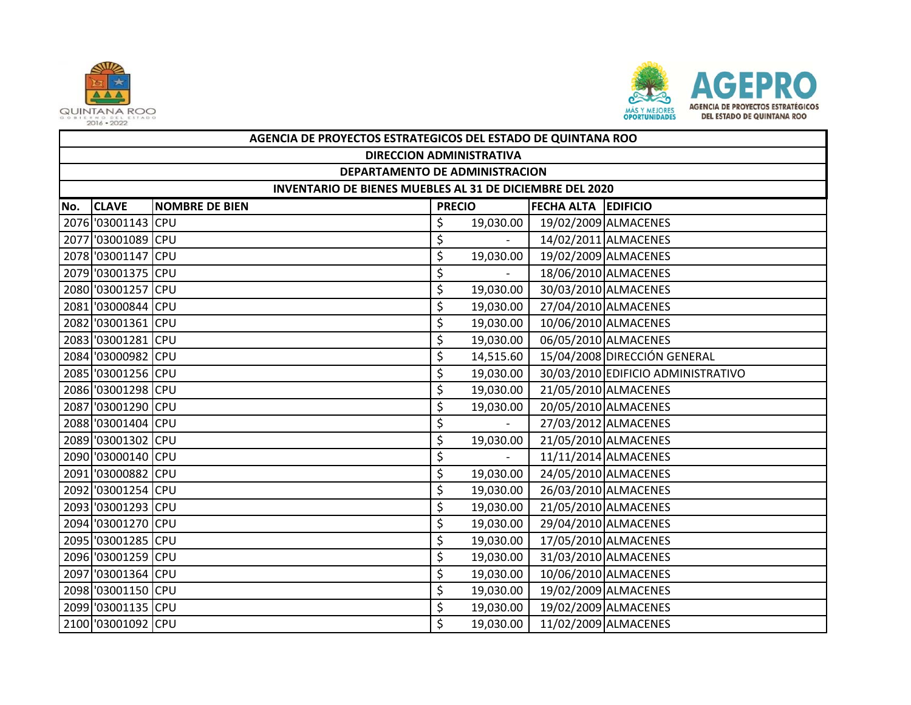



|     | AGENCIA DE PROYECTOS ESTRATEGICOS DEL ESTADO DE QUINTANA ROO |                       |               |           |                            |                                    |  |  |  |  |
|-----|--------------------------------------------------------------|-----------------------|---------------|-----------|----------------------------|------------------------------------|--|--|--|--|
|     | <b>DIRECCION ADMINISTRATIVA</b>                              |                       |               |           |                            |                                    |  |  |  |  |
|     | DEPARTAMENTO DE ADMINISTRACION                               |                       |               |           |                            |                                    |  |  |  |  |
|     | INVENTARIO DE BIENES MUEBLES AL 31 DE DICIEMBRE DEL 2020     |                       |               |           |                            |                                    |  |  |  |  |
| No. | <b>CLAVE</b>                                                 | <b>NOMBRE DE BIEN</b> | <b>PRECIO</b> |           | <b>FECHA ALTA EDIFICIO</b> |                                    |  |  |  |  |
|     | 2076 '03001143 CPU                                           |                       | \$            | 19,030.00 |                            | 19/02/2009 ALMACENES               |  |  |  |  |
|     | 2077 '03001089 CPU                                           |                       | \$            | $\sim$    |                            | 14/02/2011 ALMACENES               |  |  |  |  |
|     | 2078 '03001147 CPU                                           |                       | \$            | 19,030.00 | 19/02/2009 ALMACENES       |                                    |  |  |  |  |
|     | 2079 '03001375 CPU                                           |                       | \$            |           |                            | 18/06/2010 ALMACENES               |  |  |  |  |
|     | 2080 '03001257 CPU                                           |                       | \$            | 19,030.00 |                            | 30/03/2010 ALMACENES               |  |  |  |  |
|     | 2081 '03000844 CPU                                           |                       | \$            | 19,030.00 |                            | 27/04/2010 ALMACENES               |  |  |  |  |
|     | 2082 '03001361 CPU                                           |                       | \$            | 19,030.00 |                            | 10/06/2010 ALMACENES               |  |  |  |  |
|     | 2083 03001281 CPU                                            |                       | \$            | 19,030.00 |                            | 06/05/2010 ALMACENES               |  |  |  |  |
|     | 2084 '03000982 CPU                                           |                       | \$            | 14,515.60 |                            | 15/04/2008 DIRECCIÓN GENERAL       |  |  |  |  |
|     | 2085 '03001256 CPU                                           |                       | \$            | 19,030.00 |                            | 30/03/2010 EDIFICIO ADMINISTRATIVO |  |  |  |  |
|     | 2086 '03001298 CPU                                           |                       | \$            | 19,030.00 |                            | 21/05/2010 ALMACENES               |  |  |  |  |
|     | 2087 '03001290 CPU                                           |                       | \$            | 19,030.00 |                            | 20/05/2010 ALMACENES               |  |  |  |  |
|     | 2088 '03001404 CPU                                           |                       | \$            |           |                            | 27/03/2012 ALMACENES               |  |  |  |  |
|     | 2089 '03001302 CPU                                           |                       | \$            | 19,030.00 |                            | 21/05/2010 ALMACENES               |  |  |  |  |
|     | 2090 '03000140 CPU                                           |                       | \$            |           |                            | 11/11/2014 ALMACENES               |  |  |  |  |
|     | 2091 '03000882 CPU                                           |                       | \$            | 19,030.00 |                            | 24/05/2010 ALMACENES               |  |  |  |  |
|     | 2092 '03001254 CPU                                           |                       | \$            | 19,030.00 |                            | 26/03/2010 ALMACENES               |  |  |  |  |
|     | 2093 '03001293 CPU                                           |                       | \$            | 19,030.00 |                            | 21/05/2010 ALMACENES               |  |  |  |  |
|     | 2094 '03001270 CPU                                           |                       | \$            | 19,030.00 |                            | 29/04/2010 ALMACENES               |  |  |  |  |
|     | 2095 '03001285 CPU                                           |                       | \$            | 19,030.00 |                            | 17/05/2010 ALMACENES               |  |  |  |  |
|     | 2096 '03001259 CPU                                           |                       | \$            | 19,030.00 |                            | 31/03/2010 ALMACENES               |  |  |  |  |
|     | 2097 '03001364 CPU                                           |                       | \$            | 19,030.00 |                            | 10/06/2010 ALMACENES               |  |  |  |  |
|     | 2098 '03001150 CPU                                           |                       | \$            | 19,030.00 |                            | 19/02/2009 ALMACENES               |  |  |  |  |
|     | 2099 '03001135 CPU                                           |                       | \$            | 19,030.00 |                            | 19/02/2009 ALMACENES               |  |  |  |  |
|     | 2100 '03001092 CPU                                           |                       | \$            | 19,030.00 | 11/02/2009 ALMACENES       |                                    |  |  |  |  |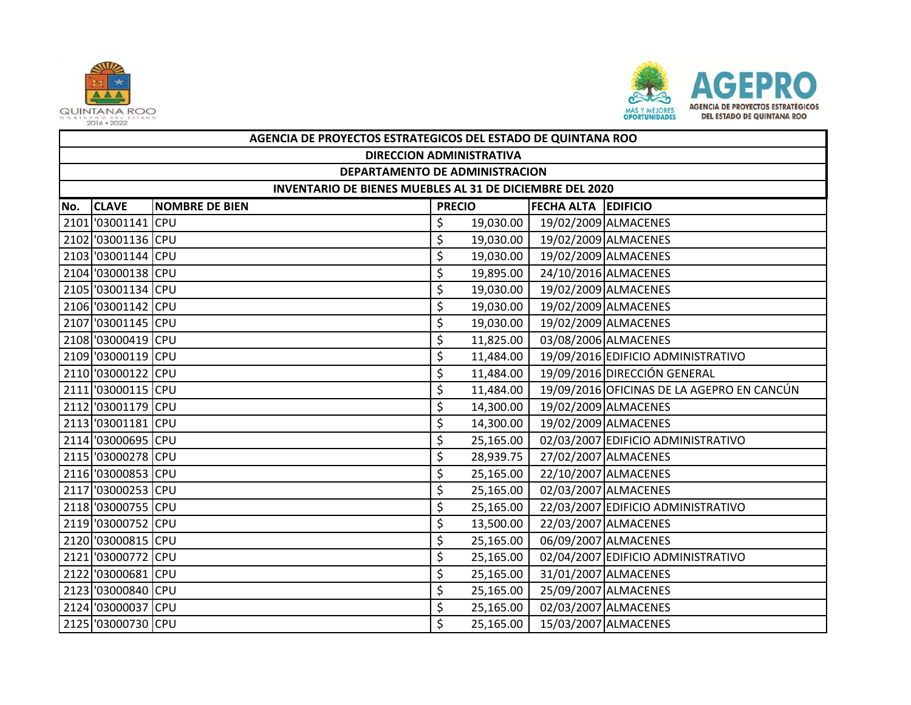



|     | AGENCIA DE PROYECTOS ESTRATEGICOS DEL ESTADO DE QUINTANA ROO |                       |               |           |                            |                                            |  |  |  |  |
|-----|--------------------------------------------------------------|-----------------------|---------------|-----------|----------------------------|--------------------------------------------|--|--|--|--|
|     | <b>DIRECCION ADMINISTRATIVA</b>                              |                       |               |           |                            |                                            |  |  |  |  |
|     | DEPARTAMENTO DE ADMINISTRACION                               |                       |               |           |                            |                                            |  |  |  |  |
|     | INVENTARIO DE BIENES MUEBLES AL 31 DE DICIEMBRE DEL 2020     |                       |               |           |                            |                                            |  |  |  |  |
| No. | <b>CLAVE</b>                                                 | <b>NOMBRE DE BIEN</b> | <b>PRECIO</b> |           | <b>FECHA ALTA EDIFICIO</b> |                                            |  |  |  |  |
|     | 2101 03001141 CPU                                            |                       | \$            | 19,030.00 |                            | 19/02/2009 ALMACENES                       |  |  |  |  |
|     | 2102 '03001136 CPU                                           |                       | \$            | 19,030.00 |                            | 19/02/2009 ALMACENES                       |  |  |  |  |
|     | 2103 03001144 CPU                                            |                       | \$            | 19,030.00 |                            | 19/02/2009 ALMACENES                       |  |  |  |  |
|     | 2104 '03000138 CPU                                           |                       | \$            | 19,895.00 |                            | 24/10/2016 ALMACENES                       |  |  |  |  |
|     | 2105 '03001134 CPU                                           |                       | \$            | 19,030.00 |                            | 19/02/2009 ALMACENES                       |  |  |  |  |
|     | 2106 '03001142 CPU                                           |                       | \$            | 19,030.00 |                            | 19/02/2009 ALMACENES                       |  |  |  |  |
|     | 2107 '03001145 CPU                                           |                       | \$            | 19,030.00 |                            | 19/02/2009 ALMACENES                       |  |  |  |  |
|     | 2108 '03000419 CPU                                           |                       | \$            | 11,825.00 |                            | 03/08/2006 ALMACENES                       |  |  |  |  |
|     | 2109 '03000119 CPU                                           |                       | \$            | 11,484.00 |                            | 19/09/2016 EDIFICIO ADMINISTRATIVO         |  |  |  |  |
|     | 2110 '03000122 CPU                                           |                       | \$            | 11,484.00 |                            | 19/09/2016 DIRECCIÓN GENERAL               |  |  |  |  |
|     | 2111 '03000115 CPU                                           |                       | \$            | 11,484.00 |                            | 19/09/2016 OFICINAS DE LA AGEPRO EN CANCÚN |  |  |  |  |
|     | 2112 '03001179 CPU                                           |                       | \$            | 14,300.00 |                            | 19/02/2009 ALMACENES                       |  |  |  |  |
|     | 2113 '03001181 CPU                                           |                       | \$            | 14,300.00 |                            | 19/02/2009 ALMACENES                       |  |  |  |  |
|     | 2114 '03000695 CPU                                           |                       | \$            | 25,165.00 |                            | 02/03/2007 EDIFICIO ADMINISTRATIVO         |  |  |  |  |
|     | 2115 '03000278 CPU                                           |                       | \$            | 28,939.75 |                            | 27/02/2007 ALMACENES                       |  |  |  |  |
|     | 2116 '03000853 CPU                                           |                       | \$            | 25,165.00 |                            | 22/10/2007 ALMACENES                       |  |  |  |  |
|     | 2117 '03000253 CPU                                           |                       | \$            | 25,165.00 |                            | 02/03/2007 ALMACENES                       |  |  |  |  |
|     | 2118 '03000755 CPU                                           |                       | \$            | 25,165.00 |                            | 22/03/2007 EDIFICIO ADMINISTRATIVO         |  |  |  |  |
|     | 2119 '03000752 CPU                                           |                       | \$            | 13,500.00 |                            | 22/03/2007 ALMACENES                       |  |  |  |  |
|     | 2120 '03000815 CPU                                           |                       | \$            | 25,165.00 |                            | 06/09/2007 ALMACENES                       |  |  |  |  |
|     | 2121 '03000772 CPU                                           |                       | \$            | 25,165.00 |                            | 02/04/2007 EDIFICIO ADMINISTRATIVO         |  |  |  |  |
|     | 2122 '03000681 CPU                                           |                       | \$            | 25,165.00 |                            | 31/01/2007 ALMACENES                       |  |  |  |  |
|     | 2123 '03000840 CPU                                           |                       | \$            | 25,165.00 |                            | 25/09/2007 ALMACENES                       |  |  |  |  |
|     | 2124 '03000037 CPU                                           |                       | \$            | 25,165.00 |                            | 02/03/2007 ALMACENES                       |  |  |  |  |
|     | 2125 '03000730 CPU                                           |                       | \$            | 25,165.00 |                            | 15/03/2007 ALMACENES                       |  |  |  |  |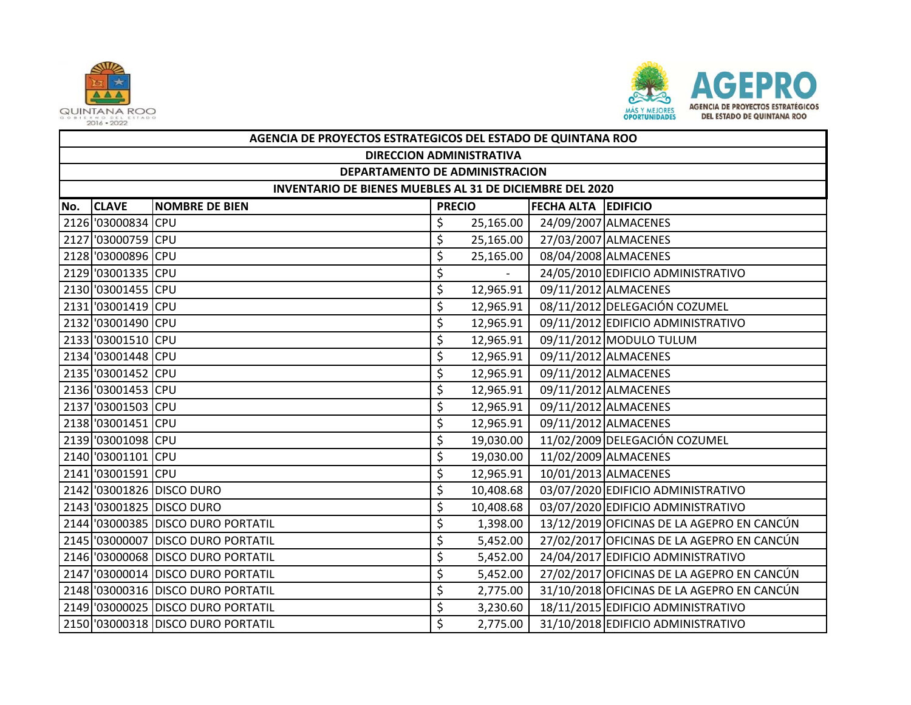



|     | AGENCIA DE PROYECTOS ESTRATEGICOS DEL ESTADO DE QUINTANA ROO |                                    |               |           |                            |                                            |  |  |  |  |
|-----|--------------------------------------------------------------|------------------------------------|---------------|-----------|----------------------------|--------------------------------------------|--|--|--|--|
|     | <b>DIRECCION ADMINISTRATIVA</b>                              |                                    |               |           |                            |                                            |  |  |  |  |
|     | DEPARTAMENTO DE ADMINISTRACION                               |                                    |               |           |                            |                                            |  |  |  |  |
|     | INVENTARIO DE BIENES MUEBLES AL 31 DE DICIEMBRE DEL 2020     |                                    |               |           |                            |                                            |  |  |  |  |
| No. | <b>CLAVE</b>                                                 | <b>NOMBRE DE BIEN</b>              | <b>PRECIO</b> |           | <b>FECHA ALTA EDIFICIO</b> |                                            |  |  |  |  |
|     | 2126 '03000834 CPU                                           |                                    | \$            | 25,165.00 |                            | 24/09/2007 ALMACENES                       |  |  |  |  |
|     | 2127 '03000759 CPU                                           |                                    | \$            | 25,165.00 |                            | 27/03/2007 ALMACENES                       |  |  |  |  |
|     | 2128 '03000896 CPU                                           |                                    | \$            | 25,165.00 |                            | 08/04/2008 ALMACENES                       |  |  |  |  |
|     | 2129 '03001335 CPU                                           |                                    | \$            |           |                            | 24/05/2010 EDIFICIO ADMINISTRATIVO         |  |  |  |  |
|     | 2130 '03001455 CPU                                           |                                    | \$            | 12,965.91 |                            | 09/11/2012 ALMACENES                       |  |  |  |  |
|     | 2131 '03001419 CPU                                           |                                    | \$            | 12,965.91 |                            | 08/11/2012 DELEGACIÓN COZUMEL              |  |  |  |  |
|     | 2132 '03001490 CPU                                           |                                    | \$            | 12,965.91 |                            | 09/11/2012 EDIFICIO ADMINISTRATIVO         |  |  |  |  |
|     | 2133 '03001510 CPU                                           |                                    | \$            | 12,965.91 |                            | 09/11/2012 MODULO TULUM                    |  |  |  |  |
|     | 2134 '03001448 CPU                                           |                                    | \$            | 12,965.91 |                            | 09/11/2012 ALMACENES                       |  |  |  |  |
|     | 2135 '03001452 CPU                                           |                                    | \$            | 12,965.91 |                            | 09/11/2012 ALMACENES                       |  |  |  |  |
|     | 2136 '03001453 CPU                                           |                                    | \$            | 12,965.91 |                            | 09/11/2012 ALMACENES                       |  |  |  |  |
|     | 2137 '03001503 CPU                                           |                                    | \$            | 12,965.91 |                            | 09/11/2012 ALMACENES                       |  |  |  |  |
|     | 2138 '03001451 CPU                                           |                                    | \$            | 12,965.91 |                            | 09/11/2012 ALMACENES                       |  |  |  |  |
|     | 2139 '03001098 CPU                                           |                                    | \$            | 19,030.00 |                            | 11/02/2009 DELEGACIÓN COZUMEL              |  |  |  |  |
|     | 2140 '03001101 CPU                                           |                                    | \$            | 19,030.00 |                            | 11/02/2009 ALMACENES                       |  |  |  |  |
|     | 2141 '03001591 CPU                                           |                                    | \$            | 12,965.91 |                            | 10/01/2013 ALMACENES                       |  |  |  |  |
|     |                                                              | 2142 '03001826 DISCO DURO          | \$            | 10,408.68 |                            | 03/07/2020 EDIFICIO ADMINISTRATIVO         |  |  |  |  |
|     |                                                              | 2143 '03001825 DISCO DURO          | \$            | 10,408.68 |                            | 03/07/2020 EDIFICIO ADMINISTRATIVO         |  |  |  |  |
|     |                                                              | 2144 '03000385 DISCO DURO PORTATIL | \$            | 1,398.00  |                            | 13/12/2019 OFICINAS DE LA AGEPRO EN CANCÚN |  |  |  |  |
|     |                                                              | 2145 '03000007 DISCO DURO PORTATIL | \$            | 5,452.00  |                            | 27/02/2017 OFICINAS DE LA AGEPRO EN CANCÚN |  |  |  |  |
|     |                                                              | 2146 '03000068 DISCO DURO PORTATIL | \$            | 5,452.00  |                            | 24/04/2017 EDIFICIO ADMINISTRATIVO         |  |  |  |  |
|     |                                                              | 2147 '03000014 DISCO DURO PORTATIL | \$            | 5,452.00  |                            | 27/02/2017 OFICINAS DE LA AGEPRO EN CANCÚN |  |  |  |  |
|     |                                                              | 2148 '03000316 DISCO DURO PORTATIL | \$            | 2,775.00  |                            | 31/10/2018 OFICINAS DE LA AGEPRO EN CANCÚN |  |  |  |  |
|     |                                                              | 2149 '03000025 DISCO DURO PORTATIL | \$            | 3,230.60  |                            | 18/11/2015 EDIFICIO ADMINISTRATIVO         |  |  |  |  |
|     |                                                              | 2150 '03000318 DISCO DURO PORTATIL | Ś             | 2,775.00  |                            | 31/10/2018 EDIFICIO ADMINISTRATIVO         |  |  |  |  |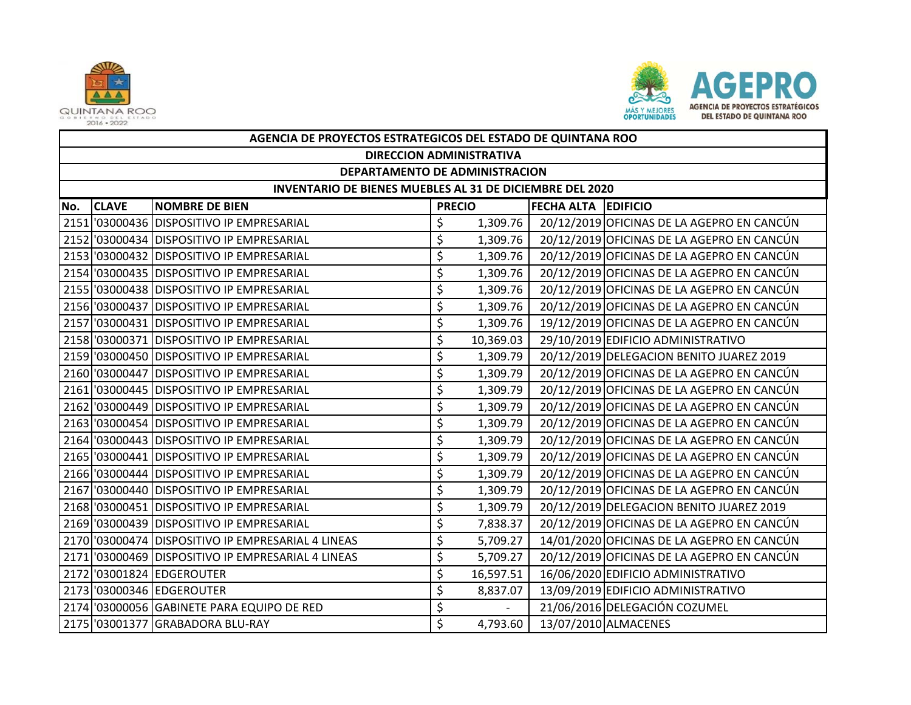



|     | AGENCIA DE PROYECTOS ESTRATEGICOS DEL ESTADO DE QUINTANA ROO |                                                    |               |           |                            |                                            |  |  |  |  |
|-----|--------------------------------------------------------------|----------------------------------------------------|---------------|-----------|----------------------------|--------------------------------------------|--|--|--|--|
|     | <b>DIRECCION ADMINISTRATIVA</b>                              |                                                    |               |           |                            |                                            |  |  |  |  |
|     | DEPARTAMENTO DE ADMINISTRACION                               |                                                    |               |           |                            |                                            |  |  |  |  |
|     | INVENTARIO DE BIENES MUEBLES AL 31 DE DICIEMBRE DEL 2020     |                                                    |               |           |                            |                                            |  |  |  |  |
| No. | <b>CLAVE</b>                                                 | <b>NOMBRE DE BIEN</b>                              | <b>PRECIO</b> |           | <b>FECHA ALTA EDIFICIO</b> |                                            |  |  |  |  |
|     |                                                              | 2151 03000436 DISPOSITIVO IP EMPRESARIAL           | \$            | 1,309.76  |                            | 20/12/2019 OFICINAS DE LA AGEPRO EN CANCÚN |  |  |  |  |
|     |                                                              | 2152 03000434 DISPOSITIVO IP EMPRESARIAL           | \$            | 1,309.76  |                            | 20/12/2019 OFICINAS DE LA AGEPRO EN CANCÚN |  |  |  |  |
|     |                                                              | 2153 03000432 DISPOSITIVO IP EMPRESARIAL           | \$            | 1,309.76  |                            | 20/12/2019 OFICINAS DE LA AGEPRO EN CANCÚN |  |  |  |  |
|     |                                                              | 2154 03000435 DISPOSITIVO IP EMPRESARIAL           | \$            | 1,309.76  |                            | 20/12/2019 OFICINAS DE LA AGEPRO EN CANCÚN |  |  |  |  |
|     |                                                              | 2155 '03000438 DISPOSITIVO IP EMPRESARIAL          | \$            | 1,309.76  |                            | 20/12/2019 OFICINAS DE LA AGEPRO EN CANCÚN |  |  |  |  |
|     |                                                              | 2156 03000437 DISPOSITIVO IP EMPRESARIAL           | \$            | 1,309.76  |                            | 20/12/2019 OFICINAS DE LA AGEPRO EN CANCÚN |  |  |  |  |
|     |                                                              | 2157 03000431 DISPOSITIVO IP EMPRESARIAL           | \$            | 1,309.76  |                            | 19/12/2019 OFICINAS DE LA AGEPRO EN CANCÚN |  |  |  |  |
|     |                                                              | 2158 '03000371 DISPOSITIVO IP EMPRESARIAL          | \$            | 10,369.03 |                            | 29/10/2019 EDIFICIO ADMINISTRATIVO         |  |  |  |  |
|     |                                                              | 2159 03000450 DISPOSITIVO IP EMPRESARIAL           | \$            | 1,309.79  |                            | 20/12/2019 DELEGACION BENITO JUAREZ 2019   |  |  |  |  |
|     |                                                              | 2160 '03000447 DISPOSITIVO IP EMPRESARIAL          | \$            | 1,309.79  |                            | 20/12/2019 OFICINAS DE LA AGEPRO EN CANCÚN |  |  |  |  |
|     |                                                              | 2161 03000445 DISPOSITIVO IP EMPRESARIAL           | \$            | 1,309.79  |                            | 20/12/2019 OFICINAS DE LA AGEPRO EN CANCÚN |  |  |  |  |
|     |                                                              | 2162 '03000449 DISPOSITIVO IP EMPRESARIAL          | \$            | 1,309.79  |                            | 20/12/2019 OFICINAS DE LA AGEPRO EN CANCÚN |  |  |  |  |
|     |                                                              | 2163 03000454 DISPOSITIVO IP EMPRESARIAL           | \$            | 1,309.79  |                            | 20/12/2019 OFICINAS DE LA AGEPRO EN CANCÚN |  |  |  |  |
|     |                                                              | 2164 03000443 DISPOSITIVO IP EMPRESARIAL           | \$            | 1,309.79  |                            | 20/12/2019 OFICINAS DE LA AGEPRO EN CANCÚN |  |  |  |  |
|     |                                                              | 2165 '03000441 DISPOSITIVO IP EMPRESARIAL          | \$            | 1,309.79  |                            | 20/12/2019 OFICINAS DE LA AGEPRO EN CANCÚN |  |  |  |  |
|     |                                                              | 2166 '03000444 DISPOSITIVO IP EMPRESARIAL          | \$            | 1,309.79  |                            | 20/12/2019 OFICINAS DE LA AGEPRO EN CANCÚN |  |  |  |  |
|     |                                                              | 2167 '03000440 DISPOSITIVO IP EMPRESARIAL          | \$            | 1,309.79  |                            | 20/12/2019 OFICINAS DE LA AGEPRO EN CANCÚN |  |  |  |  |
|     |                                                              | 2168 '03000451 DISPOSITIVO IP EMPRESARIAL          | \$            | 1,309.79  |                            | 20/12/2019 DELEGACION BENITO JUAREZ 2019   |  |  |  |  |
|     |                                                              | 2169 '03000439 DISPOSITIVO IP EMPRESARIAL          | \$            | 7,838.37  |                            | 20/12/2019 OFICINAS DE LA AGEPRO EN CANCÚN |  |  |  |  |
|     |                                                              | 2170 '03000474 DISPOSITIVO IP EMPRESARIAL 4 LINEAS | \$            | 5,709.27  |                            | 14/01/2020 OFICINAS DE LA AGEPRO EN CANCÚN |  |  |  |  |
|     |                                                              | 2171 '03000469 DISPOSITIVO IP EMPRESARIAL 4 LINEAS | \$            | 5,709.27  |                            | 20/12/2019 OFICINAS DE LA AGEPRO EN CANCÚN |  |  |  |  |
|     |                                                              | 2172 '03001824 EDGEROUTER                          | \$            | 16,597.51 |                            | 16/06/2020 EDIFICIO ADMINISTRATIVO         |  |  |  |  |
|     |                                                              | 2173 '03000346 EDGEROUTER                          | \$            | 8,837.07  |                            | 13/09/2019 EDIFICIO ADMINISTRATIVO         |  |  |  |  |
|     |                                                              | 2174 '03000056 GABINETE PARA EQUIPO DE RED         | \$            |           |                            | 21/06/2016 DELEGACIÓN COZUMEL              |  |  |  |  |
|     |                                                              | 2175 '03001377 GRABADORA BLU-RAY                   | $\zeta$       | 4,793.60  |                            | 13/07/2010 ALMACENES                       |  |  |  |  |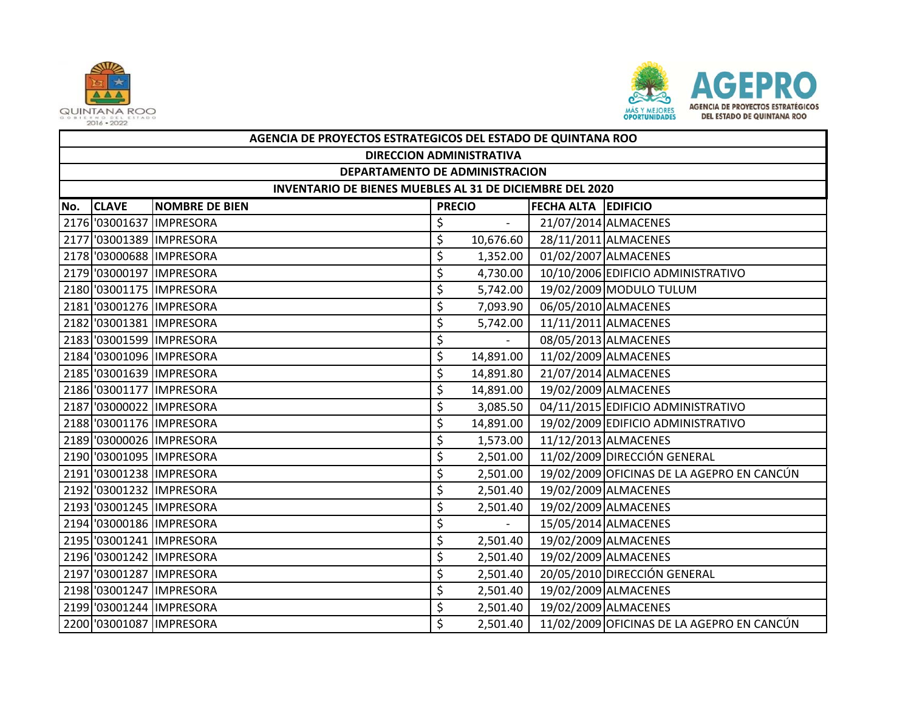



|     | AGENCIA DE PROYECTOS ESTRATEGICOS DEL ESTADO DE QUINTANA ROO |                            |               |           |                     |                                            |  |  |  |  |
|-----|--------------------------------------------------------------|----------------------------|---------------|-----------|---------------------|--------------------------------------------|--|--|--|--|
|     | <b>DIRECCION ADMINISTRATIVA</b>                              |                            |               |           |                     |                                            |  |  |  |  |
|     | DEPARTAMENTO DE ADMINISTRACION                               |                            |               |           |                     |                                            |  |  |  |  |
|     | INVENTARIO DE BIENES MUEBLES AL 31 DE DICIEMBRE DEL 2020     |                            |               |           |                     |                                            |  |  |  |  |
| No. | <b>CLAVE</b>                                                 | <b>NOMBRE DE BIEN</b>      | <b>PRECIO</b> |           | FECHA ALTA EDIFICIO |                                            |  |  |  |  |
|     |                                                              | 2176 '03001637 IMPRESORA   | \$            |           |                     | 21/07/2014 ALMACENES                       |  |  |  |  |
|     |                                                              | 2177 '03001389 IMPRESORA   | \$            | 10,676.60 |                     | 28/11/2011 ALMACENES                       |  |  |  |  |
|     |                                                              | 2178 '03000688 IMPRESORA   | \$            | 1,352.00  |                     | 01/02/2007 ALMACENES                       |  |  |  |  |
|     |                                                              | 2179 '03000197 IMPRESORA   | \$            | 4,730.00  |                     | 10/10/2006 EDIFICIO ADMINISTRATIVO         |  |  |  |  |
|     |                                                              | 2180 '03001175   IMPRESORA | \$            | 5,742.00  |                     | 19/02/2009 MODULO TULUM                    |  |  |  |  |
|     |                                                              | 2181 '03001276 IMPRESORA   | \$            | 7,093.90  |                     | 06/05/2010 ALMACENES                       |  |  |  |  |
|     |                                                              | 2182 '03001381 IMPRESORA   | \$            | 5,742.00  |                     | 11/11/2011 ALMACENES                       |  |  |  |  |
|     |                                                              | 2183 '03001599 IMPRESORA   | \$            |           |                     | 08/05/2013 ALMACENES                       |  |  |  |  |
|     |                                                              | 2184 '03001096 IMPRESORA   | \$            | 14,891.00 |                     | 11/02/2009 ALMACENES                       |  |  |  |  |
|     |                                                              | 2185 '03001639 IMPRESORA   | \$            | 14,891.80 |                     | 21/07/2014 ALMACENES                       |  |  |  |  |
|     |                                                              | 2186 '03001177 IMPRESORA   | \$            | 14,891.00 |                     | 19/02/2009 ALMACENES                       |  |  |  |  |
|     |                                                              | 2187 '03000022 IMPRESORA   | \$            | 3,085.50  |                     | 04/11/2015 EDIFICIO ADMINISTRATIVO         |  |  |  |  |
|     |                                                              | 2188 '03001176 IMPRESORA   | \$            | 14,891.00 |                     | 19/02/2009 EDIFICIO ADMINISTRATIVO         |  |  |  |  |
|     |                                                              | 2189 '03000026 IMPRESORA   | \$            | 1,573.00  |                     | 11/12/2013 ALMACENES                       |  |  |  |  |
|     |                                                              | 2190 '03001095 IMPRESORA   | \$            | 2,501.00  |                     | 11/02/2009 DIRECCIÓN GENERAL               |  |  |  |  |
|     |                                                              | 2191 '03001238 IMPRESORA   | \$            | 2,501.00  |                     | 19/02/2009 OFICINAS DE LA AGEPRO EN CANCÚN |  |  |  |  |
|     |                                                              | 2192 '03001232 IMPRESORA   | \$            | 2,501.40  |                     | 19/02/2009 ALMACENES                       |  |  |  |  |
|     |                                                              | 2193 '03001245 IMPRESORA   | \$            | 2,501.40  |                     | 19/02/2009 ALMACENES                       |  |  |  |  |
|     |                                                              | 2194 '03000186 IMPRESORA   | \$            |           |                     | 15/05/2014 ALMACENES                       |  |  |  |  |
|     |                                                              | 2195 '03001241 IMPRESORA   | \$            | 2,501.40  |                     | 19/02/2009 ALMACENES                       |  |  |  |  |
|     |                                                              | 2196 '03001242 IMPRESORA   | \$            | 2,501.40  |                     | 19/02/2009 ALMACENES                       |  |  |  |  |
|     |                                                              | 2197 '03001287 IMPRESORA   | \$            | 2,501.40  |                     | 20/05/2010 DIRECCIÓN GENERAL               |  |  |  |  |
|     |                                                              | 2198 '03001247 IMPRESORA   | \$            | 2,501.40  |                     | 19/02/2009 ALMACENES                       |  |  |  |  |
|     |                                                              | 2199 '03001244 IMPRESORA   | \$            | 2,501.40  |                     | 19/02/2009 ALMACENES                       |  |  |  |  |
|     |                                                              | 2200 '03001087 IMPRESORA   | Ś             | 2,501.40  |                     | 11/02/2009 OFICINAS DE LA AGEPRO EN CANCÚN |  |  |  |  |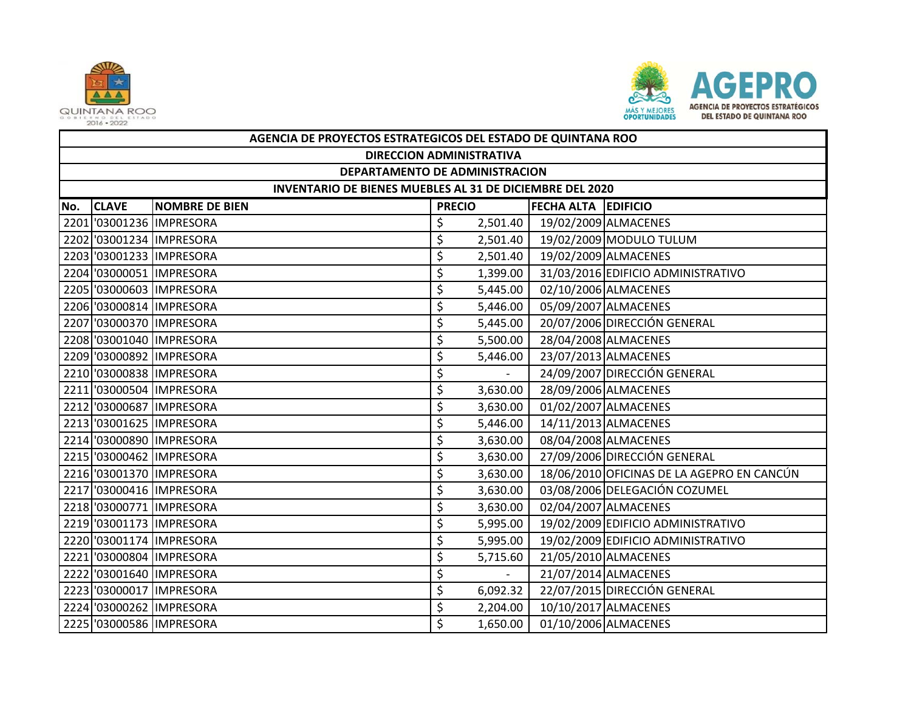



|     | AGENCIA DE PROYECTOS ESTRATEGICOS DEL ESTADO DE QUINTANA ROO |                          |               |            |                            |                                            |  |  |  |
|-----|--------------------------------------------------------------|--------------------------|---------------|------------|----------------------------|--------------------------------------------|--|--|--|
|     | <b>DIRECCION ADMINISTRATIVA</b>                              |                          |               |            |                            |                                            |  |  |  |
|     | DEPARTAMENTO DE ADMINISTRACION                               |                          |               |            |                            |                                            |  |  |  |
|     | INVENTARIO DE BIENES MUEBLES AL 31 DE DICIEMBRE DEL 2020     |                          |               |            |                            |                                            |  |  |  |
| No. | <b>CLAVE</b>                                                 | <b>NOMBRE DE BIEN</b>    | <b>PRECIO</b> |            | <b>FECHA ALTA EDIFICIO</b> |                                            |  |  |  |
|     |                                                              | 2201 '03001236 IMPRESORA | \$            | 2,501.40   |                            | 19/02/2009 ALMACENES                       |  |  |  |
|     |                                                              | 2202 '03001234 IMPRESORA | \$            | 2,501.40   |                            | 19/02/2009 MODULO TULUM                    |  |  |  |
|     |                                                              | 2203 '03001233 IMPRESORA | \$            | 2,501.40   |                            | 19/02/2009 ALMACENES                       |  |  |  |
|     |                                                              | 2204 '03000051 IMPRESORA | \$            | 1,399.00   |                            | 31/03/2016 EDIFICIO ADMINISTRATIVO         |  |  |  |
|     |                                                              | 2205 '03000603 IMPRESORA | \$            | 5,445.00   |                            | 02/10/2006 ALMACENES                       |  |  |  |
|     |                                                              | 2206 '03000814 IMPRESORA | \$            | 5,446.00   |                            | 05/09/2007 ALMACENES                       |  |  |  |
|     |                                                              | 2207 '03000370 IMPRESORA | \$            | 5,445.00   |                            | 20/07/2006 DIRECCIÓN GENERAL               |  |  |  |
|     |                                                              | 2208 '03001040 IMPRESORA | \$            | 5,500.00   |                            | 28/04/2008 ALMACENES                       |  |  |  |
|     |                                                              | 2209 '03000892 IMPRESORA | \$            | 5,446.00   |                            | 23/07/2013 ALMACENES                       |  |  |  |
|     |                                                              | 2210 '03000838 IMPRESORA | \$            | $\sim$     |                            | 24/09/2007 DIRECCIÓN GENERAL               |  |  |  |
|     |                                                              | 2211 '03000504 IMPRESORA | \$            | 3,630.00   |                            | 28/09/2006 ALMACENES                       |  |  |  |
|     |                                                              | 2212 '03000687 IMPRESORA | \$            | 3,630.00   |                            | 01/02/2007 ALMACENES                       |  |  |  |
|     |                                                              | 2213 '03001625 IMPRESORA | \$            | 5,446.00   |                            | 14/11/2013 ALMACENES                       |  |  |  |
|     |                                                              | 2214 '03000890 IMPRESORA | \$            | 3,630.00   |                            | 08/04/2008 ALMACENES                       |  |  |  |
|     |                                                              | 2215 '03000462 IMPRESORA | \$            | 3,630.00   |                            | 27/09/2006 DIRECCIÓN GENERAL               |  |  |  |
|     |                                                              | 2216 '03001370 IMPRESORA | \$            | 3,630.00   |                            | 18/06/2010 OFICINAS DE LA AGEPRO EN CANCÚN |  |  |  |
|     |                                                              | 2217 '03000416 IMPRESORA | \$            | 3,630.00   |                            | 03/08/2006 DELEGACIÓN COZUMEL              |  |  |  |
|     |                                                              | 2218 '03000771 IMPRESORA | \$            | 3,630.00   |                            | 02/04/2007 ALMACENES                       |  |  |  |
|     |                                                              | 2219 '03001173 IMPRESORA | \$            | 5,995.00   |                            | 19/02/2009 EDIFICIO ADMINISTRATIVO         |  |  |  |
|     |                                                              | 2220 '03001174 IMPRESORA | \$            | 5,995.00   |                            | 19/02/2009 EDIFICIO ADMINISTRATIVO         |  |  |  |
|     |                                                              | 2221 '03000804 IMPRESORA | \$            | 5,715.60   |                            | 21/05/2010 ALMACENES                       |  |  |  |
|     |                                                              | 2222 '03001640 IMPRESORA | \$            | $\omega$ . |                            | 21/07/2014 ALMACENES                       |  |  |  |
|     |                                                              | 2223 '03000017 IMPRESORA | \$            | 6,092.32   |                            | 22/07/2015 DIRECCIÓN GENERAL               |  |  |  |
|     |                                                              | 2224 '03000262 IMPRESORA | \$            | 2,204.00   |                            | 10/10/2017 ALMACENES                       |  |  |  |
|     |                                                              | 2225 '03000586 IMPRESORA | Ś             | 1,650.00   |                            | 01/10/2006 ALMACENES                       |  |  |  |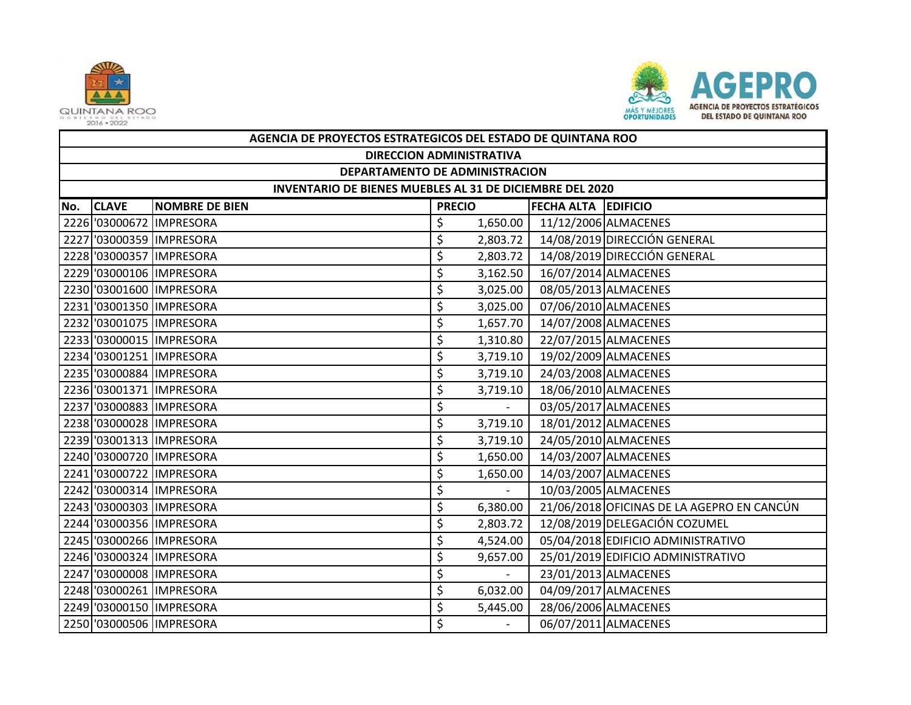



|     | AGENCIA DE PROYECTOS ESTRATEGICOS DEL ESTADO DE QUINTANA ROO |                          |               |                |                            |                                            |  |  |  |  |
|-----|--------------------------------------------------------------|--------------------------|---------------|----------------|----------------------------|--------------------------------------------|--|--|--|--|
|     | <b>DIRECCION ADMINISTRATIVA</b>                              |                          |               |                |                            |                                            |  |  |  |  |
|     | DEPARTAMENTO DE ADMINISTRACION                               |                          |               |                |                            |                                            |  |  |  |  |
|     | INVENTARIO DE BIENES MUEBLES AL 31 DE DICIEMBRE DEL 2020     |                          |               |                |                            |                                            |  |  |  |  |
| No. | <b>CLAVE</b>                                                 | <b>NOMBRE DE BIEN</b>    | <b>PRECIO</b> |                | <b>FECHA ALTA EDIFICIO</b> |                                            |  |  |  |  |
|     |                                                              | 2226 '03000672 IMPRESORA | \$            | 1,650.00       |                            | 11/12/2006 ALMACENES                       |  |  |  |  |
|     |                                                              | 2227 '03000359 IMPRESORA | \$            | 2,803.72       |                            | 14/08/2019 DIRECCIÓN GENERAL               |  |  |  |  |
|     |                                                              | 2228 '03000357 IMPRESORA | \$            | 2,803.72       |                            | 14/08/2019 DIRECCIÓN GENERAL               |  |  |  |  |
|     |                                                              | 2229 '03000106 IMPRESORA | \$            | 3,162.50       |                            | 16/07/2014 ALMACENES                       |  |  |  |  |
|     |                                                              | 2230 '03001600 IMPRESORA | \$            | 3,025.00       |                            | 08/05/2013 ALMACENES                       |  |  |  |  |
|     |                                                              | 2231 '03001350 IMPRESORA | \$            | 3,025.00       |                            | 07/06/2010 ALMACENES                       |  |  |  |  |
|     |                                                              | 2232 '03001075 IMPRESORA | \$            | 1,657.70       |                            | 14/07/2008 ALMACENES                       |  |  |  |  |
|     |                                                              | 2233 '03000015 IMPRESORA | \$            | 1,310.80       |                            | 22/07/2015 ALMACENES                       |  |  |  |  |
|     |                                                              | 2234 '03001251 IMPRESORA | \$            | 3,719.10       |                            | 19/02/2009 ALMACENES                       |  |  |  |  |
|     |                                                              | 2235 '03000884 IMPRESORA | \$            | 3,719.10       |                            | 24/03/2008 ALMACENES                       |  |  |  |  |
|     |                                                              | 2236 '03001371 IMPRESORA | \$            | 3,719.10       |                            | 18/06/2010 ALMACENES                       |  |  |  |  |
|     |                                                              | 2237 '03000883 IMPRESORA | \$            | $\sim$         |                            | 03/05/2017 ALMACENES                       |  |  |  |  |
|     |                                                              | 2238 '03000028 IMPRESORA | \$            | 3,719.10       |                            | 18/01/2012 ALMACENES                       |  |  |  |  |
|     |                                                              | 2239 '03001313 IMPRESORA | \$            | 3,719.10       |                            | 24/05/2010 ALMACENES                       |  |  |  |  |
|     |                                                              | 2240 '03000720 IMPRESORA | \$            | 1,650.00       |                            | 14/03/2007 ALMACENES                       |  |  |  |  |
|     |                                                              | 2241 '03000722 IMPRESORA | \$            | 1,650.00       |                            | 14/03/2007 ALMACENES                       |  |  |  |  |
|     |                                                              | 2242 '03000314 IMPRESORA | \$            | $\overline{a}$ |                            | 10/03/2005 ALMACENES                       |  |  |  |  |
|     |                                                              | 2243 '03000303 IMPRESORA | \$            | 6,380.00       |                            | 21/06/2018 OFICINAS DE LA AGEPRO EN CANCÚN |  |  |  |  |
|     |                                                              | 2244 '03000356 IMPRESORA | \$            | 2,803.72       |                            | 12/08/2019 DELEGACIÓN COZUMEL              |  |  |  |  |
|     |                                                              | 2245 '03000266 IMPRESORA | \$            | 4,524.00       |                            | 05/04/2018 EDIFICIO ADMINISTRATIVO         |  |  |  |  |
|     |                                                              | 2246 '03000324 IMPRESORA | \$            | 9,657.00       |                            | 25/01/2019 EDIFICIO ADMINISTRATIVO         |  |  |  |  |
|     |                                                              | 2247 '03000008 IMPRESORA | \$            | $\sim$         |                            | 23/01/2013 ALMACENES                       |  |  |  |  |
|     |                                                              | 2248 '03000261 IMPRESORA | \$            | 6,032.00       |                            | 04/09/2017 ALMACENES                       |  |  |  |  |
|     |                                                              | 2249 '03000150 IMPRESORA | \$            | 5,445.00       |                            | 28/06/2006 ALMACENES                       |  |  |  |  |
|     |                                                              | 2250 '03000506 IMPRESORA | \$            |                |                            | 06/07/2011 ALMACENES                       |  |  |  |  |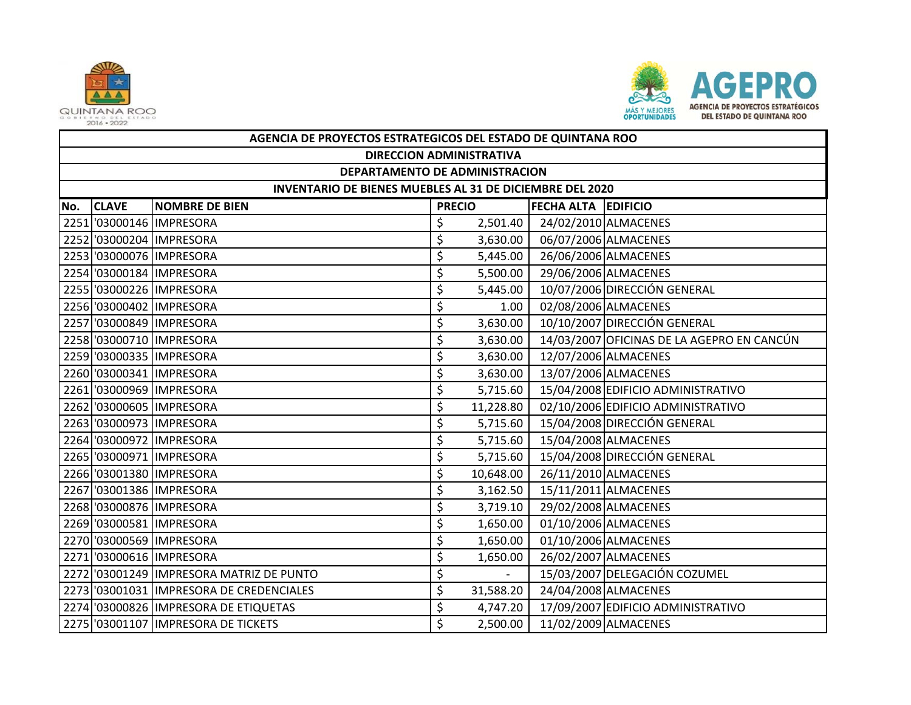



|     | AGENCIA DE PROYECTOS ESTRATEGICOS DEL ESTADO DE QUINTANA ROO |                                          |               |           |                            |                                            |  |  |  |  |
|-----|--------------------------------------------------------------|------------------------------------------|---------------|-----------|----------------------------|--------------------------------------------|--|--|--|--|
|     | <b>DIRECCION ADMINISTRATIVA</b>                              |                                          |               |           |                            |                                            |  |  |  |  |
|     | DEPARTAMENTO DE ADMINISTRACION                               |                                          |               |           |                            |                                            |  |  |  |  |
|     | INVENTARIO DE BIENES MUEBLES AL 31 DE DICIEMBRE DEL 2020     |                                          |               |           |                            |                                            |  |  |  |  |
| No. | <b>CLAVE</b>                                                 | <b>NOMBRE DE BIEN</b>                    | <b>PRECIO</b> |           | <b>FECHA ALTA EDIFICIO</b> |                                            |  |  |  |  |
|     |                                                              | 2251 '03000146 IMPRESORA                 | \$            | 2,501.40  |                            | 24/02/2010 ALMACENES                       |  |  |  |  |
|     |                                                              | 2252 '03000204 IMPRESORA                 | \$            | 3,630.00  |                            | 06/07/2006 ALMACENES                       |  |  |  |  |
|     |                                                              | 2253 '03000076 IMPRESORA                 | \$            | 5,445.00  |                            | 26/06/2006 ALMACENES                       |  |  |  |  |
|     |                                                              | 2254 '03000184 IMPRESORA                 | \$            | 5,500.00  |                            | 29/06/2006 ALMACENES                       |  |  |  |  |
|     |                                                              | 2255 '03000226 IMPRESORA                 | \$            | 5,445.00  |                            | 10/07/2006 DIRECCIÓN GENERAL               |  |  |  |  |
|     |                                                              | 2256 '03000402 IMPRESORA                 | \$            | 1.00      |                            | 02/08/2006 ALMACENES                       |  |  |  |  |
|     |                                                              | 2257 '03000849 IMPRESORA                 | \$            | 3,630.00  |                            | 10/10/2007 DIRECCIÓN GENERAL               |  |  |  |  |
|     |                                                              | 2258 '03000710 IMPRESORA                 | \$            | 3,630.00  |                            | 14/03/2007 OFICINAS DE LA AGEPRO EN CANCÚN |  |  |  |  |
|     |                                                              | 2259 '03000335 IMPRESORA                 | \$            | 3,630.00  |                            | 12/07/2006 ALMACENES                       |  |  |  |  |
|     |                                                              | 2260 '03000341 IMPRESORA                 | \$            | 3,630.00  |                            | 13/07/2006 ALMACENES                       |  |  |  |  |
|     |                                                              | 2261 '03000969 IMPRESORA                 | \$            | 5,715.60  |                            | 15/04/2008 EDIFICIO ADMINISTRATIVO         |  |  |  |  |
|     |                                                              | 2262 '03000605 IMPRESORA                 | \$            | 11,228.80 |                            | 02/10/2006 EDIFICIO ADMINISTRATIVO         |  |  |  |  |
|     |                                                              | 2263 '03000973 IMPRESORA                 | \$            | 5,715.60  |                            | 15/04/2008 DIRECCIÓN GENERAL               |  |  |  |  |
|     |                                                              | 2264 '03000972 IMPRESORA                 | \$            | 5,715.60  |                            | 15/04/2008 ALMACENES                       |  |  |  |  |
|     |                                                              | 2265 '03000971 IMPRESORA                 | \$            | 5,715.60  |                            | 15/04/2008 DIRECCIÓN GENERAL               |  |  |  |  |
|     |                                                              | 2266 '03001380 IMPRESORA                 | \$            | 10,648.00 |                            | 26/11/2010 ALMACENES                       |  |  |  |  |
|     |                                                              | 2267 '03001386 IMPRESORA                 | \$            | 3,162.50  |                            | 15/11/2011 ALMACENES                       |  |  |  |  |
|     |                                                              | 2268 '03000876 IMPRESORA                 | \$            | 3,719.10  |                            | 29/02/2008 ALMACENES                       |  |  |  |  |
|     |                                                              | 2269 '03000581 IMPRESORA                 | \$            | 1,650.00  |                            | 01/10/2006 ALMACENES                       |  |  |  |  |
|     |                                                              | 2270 '03000569 IMPRESORA                 | \$            | 1,650.00  |                            | 01/10/2006 ALMACENES                       |  |  |  |  |
|     |                                                              | 2271 '03000616 IMPRESORA                 | \$            | 1,650.00  |                            | 26/02/2007 ALMACENES                       |  |  |  |  |
|     |                                                              | 2272 '03001249 IMPRESORA MATRIZ DE PUNTO | \$            | $\sim$    |                            | 15/03/2007 DELEGACIÓN COZUMEL              |  |  |  |  |
|     |                                                              | 2273 '03001031 IMPRESORA DE CREDENCIALES | \$            | 31,588.20 |                            | 24/04/2008 ALMACENES                       |  |  |  |  |
|     |                                                              | 2274 '03000826 IMPRESORA DE ETIQUETAS    | \$            | 4,747.20  |                            | 17/09/2007 EDIFICIO ADMINISTRATIVO         |  |  |  |  |
|     |                                                              | 2275 '03001107 IMPRESORA DE TICKETS      | \$            | 2,500.00  |                            | 11/02/2009 ALMACENES                       |  |  |  |  |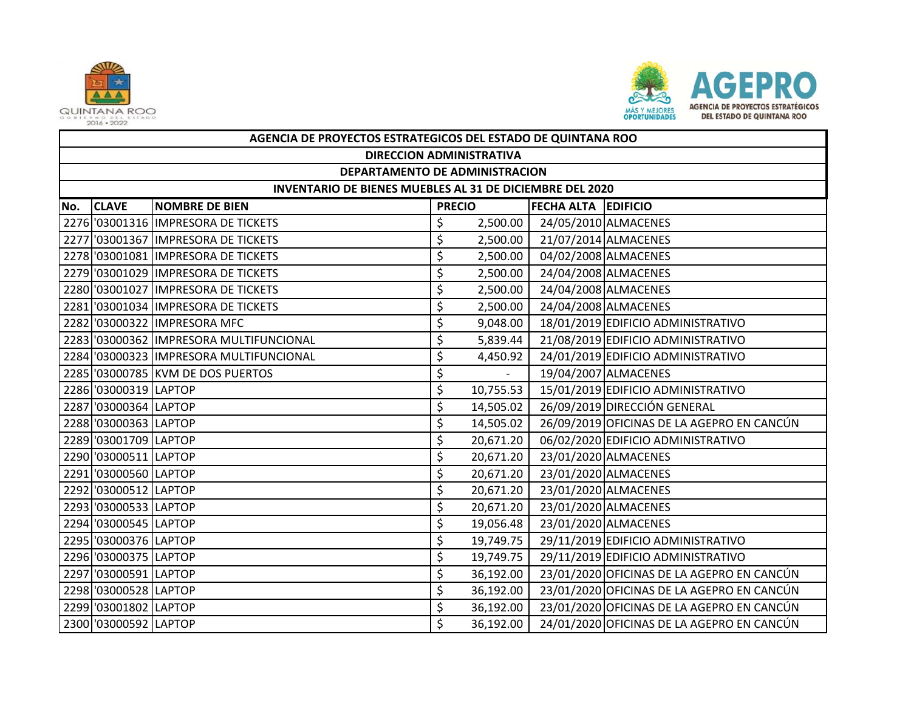



|     | AGENCIA DE PROYECTOS ESTRATEGICOS DEL ESTADO DE QUINTANA ROO |                                         |               |           |                            |                                            |  |  |  |  |
|-----|--------------------------------------------------------------|-----------------------------------------|---------------|-----------|----------------------------|--------------------------------------------|--|--|--|--|
|     | <b>DIRECCION ADMINISTRATIVA</b>                              |                                         |               |           |                            |                                            |  |  |  |  |
|     | DEPARTAMENTO DE ADMINISTRACION                               |                                         |               |           |                            |                                            |  |  |  |  |
|     | INVENTARIO DE BIENES MUEBLES AL 31 DE DICIEMBRE DEL 2020     |                                         |               |           |                            |                                            |  |  |  |  |
| No. | <b>CLAVE</b>                                                 | <b>NOMBRE DE BIEN</b>                   | <b>PRECIO</b> |           | <b>FECHA ALTA EDIFICIO</b> |                                            |  |  |  |  |
|     |                                                              | 2276 '03001316 IMPRESORA DE TICKETS     | \$            | 2,500.00  |                            | 24/05/2010 ALMACENES                       |  |  |  |  |
|     |                                                              | 2277 03001367 IMPRESORA DE TICKETS      | \$            | 2,500.00  |                            | 21/07/2014 ALMACENES                       |  |  |  |  |
|     |                                                              | 2278 '03001081 IMPRESORA DE TICKETS     | \$            | 2,500.00  |                            | 04/02/2008 ALMACENES                       |  |  |  |  |
|     |                                                              | 2279 03001029 IMPRESORA DE TICKETS      | \$            | 2,500.00  |                            | 24/04/2008 ALMACENES                       |  |  |  |  |
|     |                                                              | 2280 '03001027 IMPRESORA DE TICKETS     | \$            | 2,500.00  |                            | 24/04/2008 ALMACENES                       |  |  |  |  |
|     |                                                              | 2281 03001034 IMPRESORA DE TICKETS      | \$            | 2,500.00  |                            | 24/04/2008 ALMACENES                       |  |  |  |  |
|     |                                                              | 2282 '03000322 IMPRESORA MFC            | \$            | 9,048.00  |                            | 18/01/2019 EDIFICIO ADMINISTRATIVO         |  |  |  |  |
|     |                                                              | 2283 '03000362 IMPRESORA MULTIFUNCIONAL | \$            | 5,839.44  |                            | 21/08/2019 EDIFICIO ADMINISTRATIVO         |  |  |  |  |
|     |                                                              | 2284 '03000323 IMPRESORA MULTIFUNCIONAL | \$            | 4,450.92  |                            | 24/01/2019 EDIFICIO ADMINISTRATIVO         |  |  |  |  |
|     |                                                              | 2285 '03000785 KVM DE DOS PUERTOS       | \$            | $\sim$    |                            | 19/04/2007 ALMACENES                       |  |  |  |  |
|     | 2286 '03000319 LAPTOP                                        |                                         | \$            | 10,755.53 |                            | 15/01/2019 EDIFICIO ADMINISTRATIVO         |  |  |  |  |
|     | 2287 '03000364 LAPTOP                                        |                                         | \$            | 14,505.02 |                            | 26/09/2019 DIRECCIÓN GENERAL               |  |  |  |  |
|     | 2288 '03000363 LAPTOP                                        |                                         | \$            | 14,505.02 |                            | 26/09/2019 OFICINAS DE LA AGEPRO EN CANCÚN |  |  |  |  |
|     | 2289 '03001709 LAPTOP                                        |                                         | \$            | 20,671.20 |                            | 06/02/2020 EDIFICIO ADMINISTRATIVO         |  |  |  |  |
|     | 2290 '03000511 LAPTOP                                        |                                         | \$            | 20,671.20 |                            | 23/01/2020 ALMACENES                       |  |  |  |  |
|     | 2291 '03000560 LAPTOP                                        |                                         | \$            | 20,671.20 |                            | 23/01/2020 ALMACENES                       |  |  |  |  |
|     | 2292 '03000512 LAPTOP                                        |                                         | \$            | 20,671.20 |                            | 23/01/2020 ALMACENES                       |  |  |  |  |
|     | 2293 '03000533 LAPTOP                                        |                                         | \$            | 20,671.20 |                            | 23/01/2020 ALMACENES                       |  |  |  |  |
|     | 2294 '03000545 LAPTOP                                        |                                         | \$            | 19,056.48 |                            | 23/01/2020 ALMACENES                       |  |  |  |  |
|     | 2295 '03000376 LAPTOP                                        |                                         | \$            | 19,749.75 |                            | 29/11/2019 EDIFICIO ADMINISTRATIVO         |  |  |  |  |
|     | 2296 '03000375 LAPTOP                                        |                                         | \$            | 19,749.75 |                            | 29/11/2019 EDIFICIO ADMINISTRATIVO         |  |  |  |  |
|     | 2297 '03000591 LAPTOP                                        |                                         | \$            | 36,192.00 |                            | 23/01/2020 OFICINAS DE LA AGEPRO EN CANCÚN |  |  |  |  |
|     | 2298 '03000528 LAPTOP                                        |                                         | \$            | 36,192.00 |                            | 23/01/2020 OFICINAS DE LA AGEPRO EN CANCÚN |  |  |  |  |
|     | 2299 '03001802 LAPTOP                                        |                                         | \$            | 36,192.00 |                            | 23/01/2020 OFICINAS DE LA AGEPRO EN CANCÚN |  |  |  |  |
|     | 2300 '03000592 LAPTOP                                        |                                         | \$            | 36,192.00 |                            | 24/01/2020 OFICINAS DE LA AGEPRO EN CANCÚN |  |  |  |  |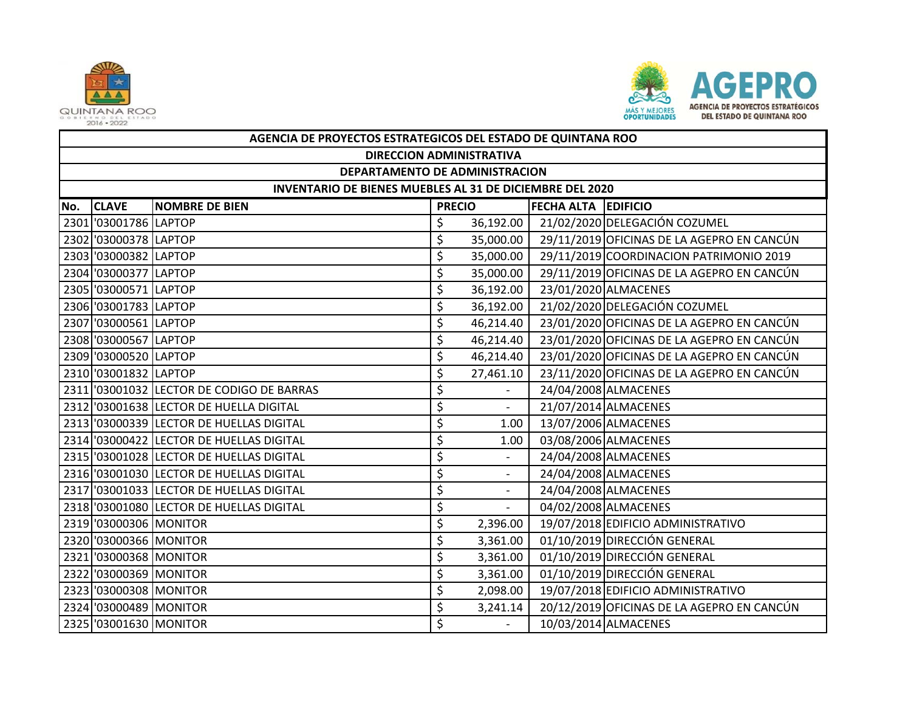



|     | AGENCIA DE PROYECTOS ESTRATEGICOS DEL ESTADO DE QUINTANA ROO |                                           |               |                          |                            |                                            |  |  |  |  |
|-----|--------------------------------------------------------------|-------------------------------------------|---------------|--------------------------|----------------------------|--------------------------------------------|--|--|--|--|
|     |                                                              | <b>DIRECCION ADMINISTRATIVA</b>           |               |                          |                            |                                            |  |  |  |  |
|     | DEPARTAMENTO DE ADMINISTRACION                               |                                           |               |                          |                            |                                            |  |  |  |  |
|     | INVENTARIO DE BIENES MUEBLES AL 31 DE DICIEMBRE DEL 2020     |                                           |               |                          |                            |                                            |  |  |  |  |
| No. | <b>CLAVE</b>                                                 | <b>NOMBRE DE BIEN</b>                     | <b>PRECIO</b> |                          | <b>FECHA ALTA EDIFICIO</b> |                                            |  |  |  |  |
|     | 2301 '03001786 LAPTOP                                        |                                           | \$            | 36,192.00                |                            | 21/02/2020 DELEGACIÓN COZUMEL              |  |  |  |  |
|     | 2302 '03000378 LAPTOP                                        |                                           | \$            | 35,000.00                |                            | 29/11/2019 OFICINAS DE LA AGEPRO EN CANCÚN |  |  |  |  |
|     | 2303 '03000382 LAPTOP                                        |                                           | \$            | 35,000.00                |                            | 29/11/2019 COORDINACION PATRIMONIO 2019    |  |  |  |  |
|     | 2304 '03000377 LAPTOP                                        |                                           | \$            | 35,000.00                |                            | 29/11/2019 OFICINAS DE LA AGEPRO EN CANCÚN |  |  |  |  |
|     | 2305 '03000571 LAPTOP                                        |                                           | \$            | 36,192.00                |                            | 23/01/2020 ALMACENES                       |  |  |  |  |
|     | 2306 '03001783 LAPTOP                                        |                                           | \$            | 36,192.00                |                            | 21/02/2020 DELEGACIÓN COZUMEL              |  |  |  |  |
|     | 2307 '03000561 LAPTOP                                        |                                           | \$            | 46,214.40                |                            | 23/01/2020 OFICINAS DE LA AGEPRO EN CANCÚN |  |  |  |  |
|     | 2308 '03000567 LAPTOP                                        |                                           | \$            | 46,214.40                |                            | 23/01/2020 OFICINAS DE LA AGEPRO EN CANCÚN |  |  |  |  |
|     | 2309 '03000520 LAPTOP                                        |                                           | \$            | 46,214.40                |                            | 23/01/2020 OFICINAS DE LA AGEPRO EN CANCÚN |  |  |  |  |
|     | 2310 '03001832 LAPTOP                                        |                                           | \$            | 27,461.10                |                            | 23/11/2020 OFICINAS DE LA AGEPRO EN CANCÚN |  |  |  |  |
|     |                                                              | 2311 '03001032 LECTOR DE CODIGO DE BARRAS | \$            |                          |                            | 24/04/2008 ALMACENES                       |  |  |  |  |
|     |                                                              | 2312 '03001638 LECTOR DE HUELLA DIGITAL   | \$            | $\sim$                   |                            | 21/07/2014 ALMACENES                       |  |  |  |  |
|     |                                                              | 2313 '03000339 LECTOR DE HUELLAS DIGITAL  | \$            | 1.00                     |                            | 13/07/2006 ALMACENES                       |  |  |  |  |
|     |                                                              | 2314 '03000422 LECTOR DE HUELLAS DIGITAL  | \$            | 1.00                     |                            | 03/08/2006 ALMACENES                       |  |  |  |  |
|     |                                                              | 2315 '03001028 LECTOR DE HUELLAS DIGITAL  | \$            |                          |                            | 24/04/2008 ALMACENES                       |  |  |  |  |
|     |                                                              | 2316 '03001030 LECTOR DE HUELLAS DIGITAL  | \$            | $\overline{\phantom{a}}$ |                            | 24/04/2008 ALMACENES                       |  |  |  |  |
|     |                                                              | 2317 '03001033 LECTOR DE HUELLAS DIGITAL  | \$            |                          |                            | 24/04/2008 ALMACENES                       |  |  |  |  |
|     |                                                              | 2318 '03001080 LECTOR DE HUELLAS DIGITAL  | \$            | $\blacksquare$           |                            | 04/02/2008 ALMACENES                       |  |  |  |  |
|     | 2319 '03000306 MONITOR                                       |                                           | \$            | 2,396.00                 |                            | 19/07/2018 EDIFICIO ADMINISTRATIVO         |  |  |  |  |
|     | 2320 '03000366 MONITOR                                       |                                           | \$            | 3,361.00                 |                            | 01/10/2019 DIRECCIÓN GENERAL               |  |  |  |  |
|     | 2321 '03000368 MONITOR                                       |                                           | \$            | 3,361.00                 |                            | 01/10/2019 DIRECCIÓN GENERAL               |  |  |  |  |
|     | 2322 '03000369 MONITOR                                       |                                           | \$            | 3,361.00                 |                            | 01/10/2019 DIRECCIÓN GENERAL               |  |  |  |  |
|     | 2323 '03000308 MONITOR                                       |                                           | \$            | 2,098.00                 |                            | 19/07/2018 EDIFICIO ADMINISTRATIVO         |  |  |  |  |
|     | 2324 '03000489 MONITOR                                       |                                           | \$            | 3,241.14                 |                            | 20/12/2019 OFICINAS DE LA AGEPRO EN CANCÚN |  |  |  |  |
|     | 2325 '03001630 MONITOR                                       |                                           | Ś             | $\overline{\phantom{0}}$ |                            | 10/03/2014 ALMACENES                       |  |  |  |  |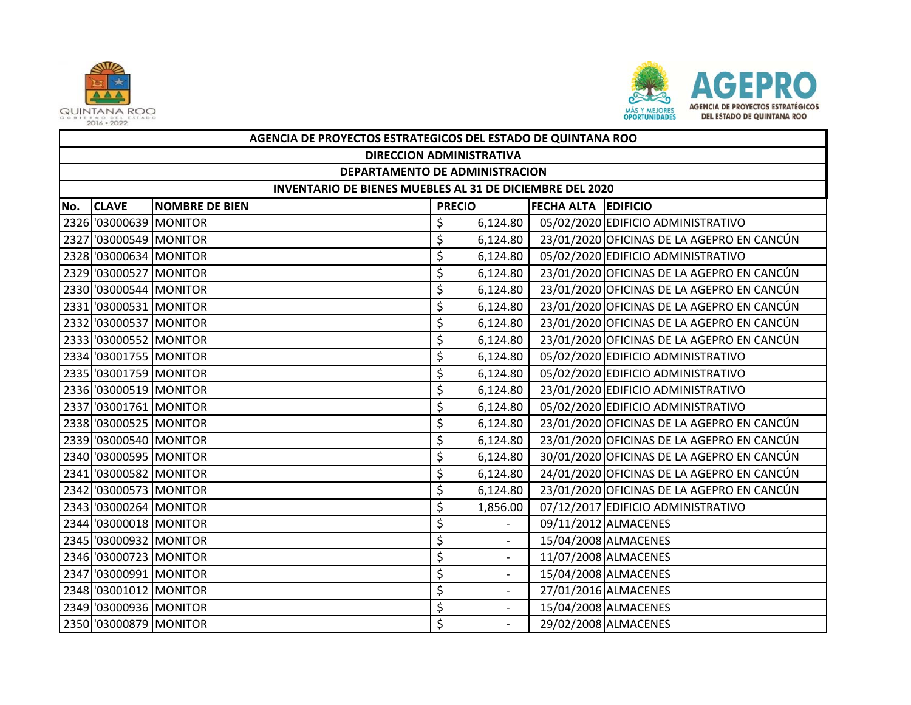



|     | AGENCIA DE PROYECTOS ESTRATEGICOS DEL ESTADO DE QUINTANA ROO |                       |               |                          |  |                                            |  |  |  |
|-----|--------------------------------------------------------------|-----------------------|---------------|--------------------------|--|--------------------------------------------|--|--|--|
|     | <b>DIRECCION ADMINISTRATIVA</b>                              |                       |               |                          |  |                                            |  |  |  |
|     | DEPARTAMENTO DE ADMINISTRACION                               |                       |               |                          |  |                                            |  |  |  |
|     | INVENTARIO DE BIENES MUEBLES AL 31 DE DICIEMBRE DEL 2020     |                       |               |                          |  |                                            |  |  |  |
| No. | <b>CLAVE</b>                                                 | <b>NOMBRE DE BIEN</b> | <b>PRECIO</b> |                          |  | <b>FECHA ALTA EDIFICIO</b>                 |  |  |  |
|     | 2326 '03000639 MONITOR                                       |                       | \$            | 6,124.80                 |  | 05/02/2020 EDIFICIO ADMINISTRATIVO         |  |  |  |
|     | 2327 '03000549 MONITOR                                       |                       | \$            | 6,124.80                 |  | 23/01/2020 OFICINAS DE LA AGEPRO EN CANCÚN |  |  |  |
|     | 2328 '03000634 MONITOR                                       |                       | \$            | 6,124.80                 |  | 05/02/2020 EDIFICIO ADMINISTRATIVO         |  |  |  |
|     | 2329 '03000527 MONITOR                                       |                       | \$            | 6,124.80                 |  | 23/01/2020 OFICINAS DE LA AGEPRO EN CANCÚN |  |  |  |
|     | 2330 '03000544 MONITOR                                       |                       | \$            | 6,124.80                 |  | 23/01/2020 OFICINAS DE LA AGEPRO EN CANCÚN |  |  |  |
|     | 2331 '03000531 MONITOR                                       |                       | \$            | 6,124.80                 |  | 23/01/2020 OFICINAS DE LA AGEPRO EN CANCÚN |  |  |  |
|     | 2332 '03000537 MONITOR                                       |                       | \$            | 6,124.80                 |  | 23/01/2020 OFICINAS DE LA AGEPRO EN CANCÚN |  |  |  |
|     | 2333 '03000552 MONITOR                                       |                       | \$            | 6,124.80                 |  | 23/01/2020 OFICINAS DE LA AGEPRO EN CANCÚN |  |  |  |
|     | 2334 '03001755 MONITOR                                       |                       | \$            | 6,124.80                 |  | 05/02/2020 EDIFICIO ADMINISTRATIVO         |  |  |  |
|     | 2335 '03001759 MONITOR                                       |                       | \$            | 6,124.80                 |  | 05/02/2020 EDIFICIO ADMINISTRATIVO         |  |  |  |
|     | 2336 '03000519 MONITOR                                       |                       | \$            | 6,124.80                 |  | 23/01/2020 EDIFICIO ADMINISTRATIVO         |  |  |  |
|     | 2337 '03001761 MONITOR                                       |                       | \$            | 6,124.80                 |  | 05/02/2020 EDIFICIO ADMINISTRATIVO         |  |  |  |
|     | 2338 '03000525 MONITOR                                       |                       | \$            | 6,124.80                 |  | 23/01/2020 OFICINAS DE LA AGEPRO EN CANCÚN |  |  |  |
|     | 2339 '03000540 MONITOR                                       |                       | \$            | 6,124.80                 |  | 23/01/2020 OFICINAS DE LA AGEPRO EN CANCÚN |  |  |  |
|     | 2340 '03000595 MONITOR                                       |                       | \$            | 6,124.80                 |  | 30/01/2020 OFICINAS DE LA AGEPRO EN CANCÚN |  |  |  |
|     | 2341 '03000582 MONITOR                                       |                       | \$            | 6,124.80                 |  | 24/01/2020 OFICINAS DE LA AGEPRO EN CANCÚN |  |  |  |
|     | 2342 '03000573 MONITOR                                       |                       | \$            | 6,124.80                 |  | 23/01/2020 OFICINAS DE LA AGEPRO EN CANCÚN |  |  |  |
|     | 2343 '03000264 MONITOR                                       |                       | \$            | 1,856.00                 |  | 07/12/2017 EDIFICIO ADMINISTRATIVO         |  |  |  |
|     | 2344 '03000018 MONITOR                                       |                       | \$            |                          |  | 09/11/2012 ALMACENES                       |  |  |  |
|     | 2345 '03000932 MONITOR                                       |                       | \$            | $\overline{\phantom{a}}$ |  | 15/04/2008 ALMACENES                       |  |  |  |
|     | 2346 '03000723 MONITOR                                       |                       | \$            |                          |  | 11/07/2008 ALMACENES                       |  |  |  |
|     | 2347 '03000991 MONITOR                                       |                       | \$            | $\overline{\phantom{a}}$ |  | 15/04/2008 ALMACENES                       |  |  |  |
|     | 2348 '03001012 MONITOR                                       |                       | \$            |                          |  | 27/01/2016 ALMACENES                       |  |  |  |
|     | 2349 '03000936 MONITOR                                       |                       | \$            | $\overline{\phantom{a}}$ |  | 15/04/2008 ALMACENES                       |  |  |  |
|     | 2350 '03000879 MONITOR                                       |                       | \$            |                          |  | 29/02/2008 ALMACENES                       |  |  |  |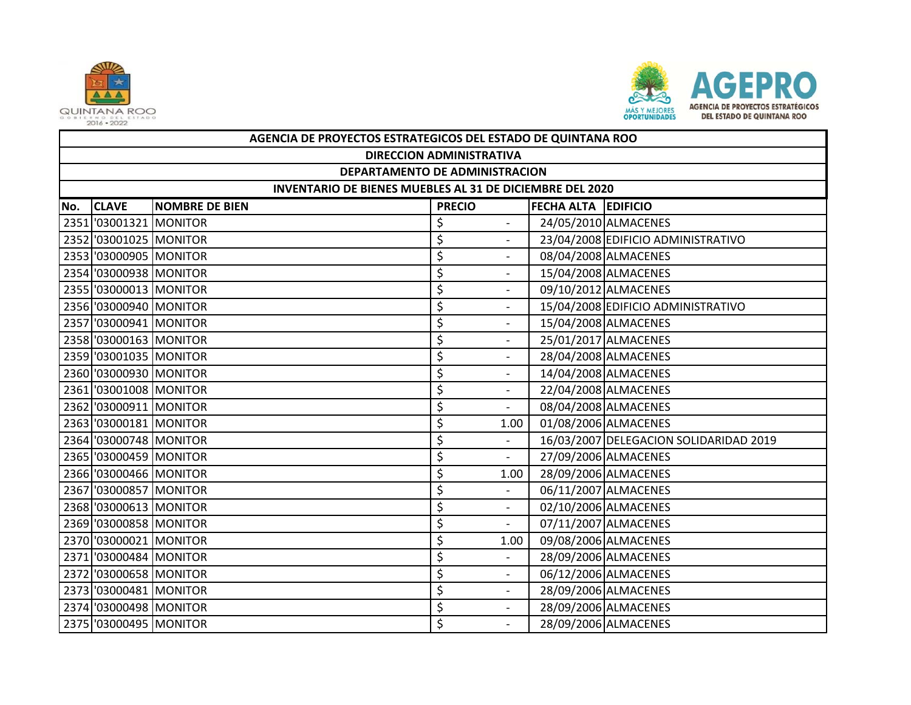



|     | AGENCIA DE PROYECTOS ESTRATEGICOS DEL ESTADO DE QUINTANA ROO |                            |    |                          |  |                                        |  |  |  |
|-----|--------------------------------------------------------------|----------------------------|----|--------------------------|--|----------------------------------------|--|--|--|
|     | <b>DIRECCION ADMINISTRATIVA</b>                              |                            |    |                          |  |                                        |  |  |  |
|     | DEPARTAMENTO DE ADMINISTRACION                               |                            |    |                          |  |                                        |  |  |  |
|     | INVENTARIO DE BIENES MUEBLES AL 31 DE DICIEMBRE DEL 2020     |                            |    |                          |  |                                        |  |  |  |
| No. | <b>CLAVE</b><br><b>NOMBRE DE BIEN</b>                        | <b>FECHA ALTA EDIFICIO</b> |    |                          |  |                                        |  |  |  |
|     | 2351 '03001321 MONITOR                                       |                            | \$ |                          |  | 24/05/2010 ALMACENES                   |  |  |  |
|     | 2352 '03001025 MONITOR                                       |                            | \$ | $\sim$                   |  | 23/04/2008 EDIFICIO ADMINISTRATIVO     |  |  |  |
|     | 2353 '03000905 MONITOR                                       |                            | \$ |                          |  | 08/04/2008 ALMACENES                   |  |  |  |
|     | 2354 '03000938 MONITOR                                       |                            | \$ | $\overline{\phantom{a}}$ |  | 15/04/2008 ALMACENES                   |  |  |  |
|     | 2355 '03000013 MONITOR                                       |                            | \$ |                          |  | 09/10/2012 ALMACENES                   |  |  |  |
|     | 2356 '03000940 MONITOR                                       |                            | \$ | $\overline{\phantom{a}}$ |  | 15/04/2008 EDIFICIO ADMINISTRATIVO     |  |  |  |
|     | 2357 '03000941 MONITOR                                       |                            | \$ |                          |  | 15/04/2008 ALMACENES                   |  |  |  |
|     | 2358 '03000163 MONITOR                                       |                            | \$ | $\overline{\phantom{a}}$ |  | 25/01/2017 ALMACENES                   |  |  |  |
|     | 2359 '03001035 MONITOR                                       |                            | \$ |                          |  | 28/04/2008 ALMACENES                   |  |  |  |
|     | 2360 '03000930 MONITOR                                       |                            | \$ | $\overline{\phantom{a}}$ |  | 14/04/2008 ALMACENES                   |  |  |  |
|     | 2361 '03001008 MONITOR                                       |                            | \$ |                          |  | 22/04/2008 ALMACENES                   |  |  |  |
|     | 2362 '03000911 MONITOR                                       |                            | \$ | $\sim$                   |  | 08/04/2008 ALMACENES                   |  |  |  |
|     | 2363 '03000181 MONITOR                                       |                            | \$ | 1.00                     |  | 01/08/2006 ALMACENES                   |  |  |  |
|     | 2364 '03000748 MONITOR                                       |                            | \$ | $\sim$                   |  | 16/03/2007 DELEGACION SOLIDARIDAD 2019 |  |  |  |
|     | 2365 '03000459 MONITOR                                       |                            | \$ | $\blacksquare$           |  | 27/09/2006 ALMACENES                   |  |  |  |
|     | 2366 '03000466 MONITOR                                       |                            | \$ | 1.00                     |  | 28/09/2006 ALMACENES                   |  |  |  |
|     | 2367 '03000857 MONITOR                                       |                            | \$ |                          |  | 06/11/2007 ALMACENES                   |  |  |  |
|     | 2368 '03000613 MONITOR                                       |                            | \$ | $\overline{a}$           |  | 02/10/2006 ALMACENES                   |  |  |  |
|     | 2369 '03000858 MONITOR                                       |                            | \$ | $\blacksquare$           |  | 07/11/2007 ALMACENES                   |  |  |  |
|     | 2370 '03000021 MONITOR                                       |                            | \$ | 1.00                     |  | 09/08/2006 ALMACENES                   |  |  |  |
|     | 2371 '03000484 MONITOR                                       |                            | \$ |                          |  | 28/09/2006 ALMACENES                   |  |  |  |
|     | 2372 '03000658 MONITOR                                       |                            | \$ | $\overline{\phantom{a}}$ |  | 06/12/2006 ALMACENES                   |  |  |  |
|     | 2373 '03000481 MONITOR                                       |                            | \$ | $\blacksquare$           |  | 28/09/2006 ALMACENES                   |  |  |  |
|     | 2374 '03000498 MONITOR                                       |                            | \$ |                          |  | 28/09/2006 ALMACENES                   |  |  |  |
|     | 2375 '03000495 MONITOR                                       |                            | \$ |                          |  | 28/09/2006 ALMACENES                   |  |  |  |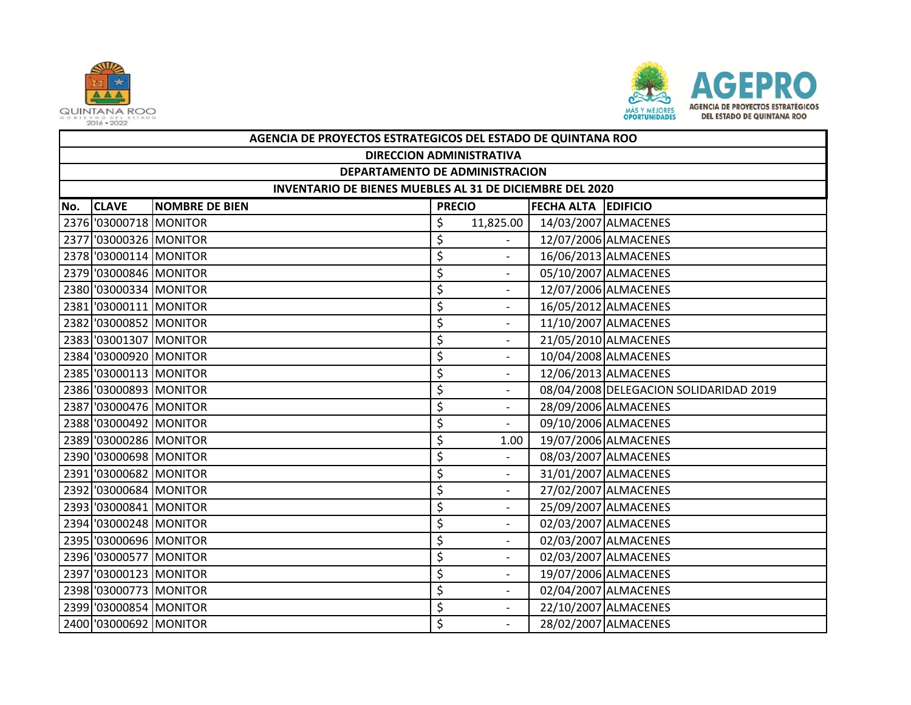



|     | AGENCIA DE PROYECTOS ESTRATEGICOS DEL ESTADO DE QUINTANA ROO |                       |               |                          |                            |                                        |  |  |  |
|-----|--------------------------------------------------------------|-----------------------|---------------|--------------------------|----------------------------|----------------------------------------|--|--|--|
|     | <b>DIRECCION ADMINISTRATIVA</b>                              |                       |               |                          |                            |                                        |  |  |  |
|     | DEPARTAMENTO DE ADMINISTRACION                               |                       |               |                          |                            |                                        |  |  |  |
|     | INVENTARIO DE BIENES MUEBLES AL 31 DE DICIEMBRE DEL 2020     |                       |               |                          |                            |                                        |  |  |  |
| No. | <b>CLAVE</b>                                                 | <b>NOMBRE DE BIEN</b> | <b>PRECIO</b> |                          | <b>FECHA ALTA EDIFICIO</b> |                                        |  |  |  |
|     | 2376 '03000718 MONITOR                                       |                       | \$            | 11,825.00                |                            | 14/03/2007 ALMACENES                   |  |  |  |
|     | 2377 '03000326 MONITOR                                       |                       | \$            | $\sim$                   |                            | 12/07/2006 ALMACENES                   |  |  |  |
|     | 2378 '03000114 MONITOR                                       |                       | \$            |                          |                            | 16/06/2013 ALMACENES                   |  |  |  |
|     | 2379 '03000846 MONITOR                                       |                       | \$            | $\overline{a}$           |                            | 05/10/2007 ALMACENES                   |  |  |  |
|     | 2380 '03000334 MONITOR                                       |                       | \$            |                          |                            | 12/07/2006 ALMACENES                   |  |  |  |
|     | 2381 '03000111 MONITOR                                       |                       | \$            | $\overline{\phantom{0}}$ |                            | 16/05/2012 ALMACENES                   |  |  |  |
|     | 2382 '03000852 MONITOR                                       |                       | \$            |                          |                            | 11/10/2007 ALMACENES                   |  |  |  |
|     | 2383 '03001307 MONITOR                                       |                       | \$            | $\overline{\phantom{a}}$ |                            | 21/05/2010 ALMACENES                   |  |  |  |
|     | 2384 '03000920 MONITOR                                       |                       | \$            | $\overline{\phantom{a}}$ |                            | 10/04/2008 ALMACENES                   |  |  |  |
|     | 2385 '03000113 MONITOR                                       |                       | \$            | $\overline{\phantom{0}}$ |                            | 12/06/2013 ALMACENES                   |  |  |  |
|     | 2386 '03000893 MONITOR                                       |                       | \$            |                          |                            | 08/04/2008 DELEGACION SOLIDARIDAD 2019 |  |  |  |
|     | 2387 '03000476 MONITOR                                       |                       | \$            | $\overline{\phantom{a}}$ |                            | 28/09/2006 ALMACENES                   |  |  |  |
|     | 2388 '03000492 MONITOR                                       |                       | \$            | $\blacksquare$           |                            | 09/10/2006 ALMACENES                   |  |  |  |
|     | 2389 '03000286 MONITOR                                       |                       | \$            | 1.00                     |                            | 19/07/2006 ALMACENES                   |  |  |  |
|     | 2390 '03000698 MONITOR                                       |                       | \$            |                          |                            | 08/03/2007 ALMACENES                   |  |  |  |
|     | 2391 '03000682 MONITOR                                       |                       | \$            | $\overline{\phantom{a}}$ |                            | 31/01/2007 ALMACENES                   |  |  |  |
|     | 2392 '03000684 MONITOR                                       |                       | \$            |                          |                            | 27/02/2007 ALMACENES                   |  |  |  |
|     | 2393 '03000841 MONITOR                                       |                       | \$            | $\overline{\phantom{a}}$ |                            | 25/09/2007 ALMACENES                   |  |  |  |
|     | 2394 '03000248 MONITOR                                       |                       | \$            | $\blacksquare$           |                            | 02/03/2007 ALMACENES                   |  |  |  |
|     | 2395 '03000696 MONITOR                                       |                       | \$            | $\overline{\phantom{a}}$ |                            | 02/03/2007 ALMACENES                   |  |  |  |
|     | 2396 '03000577 MONITOR                                       |                       | \$            |                          |                            | 02/03/2007 ALMACENES                   |  |  |  |
|     | 2397 '03000123 MONITOR                                       |                       | \$            | $\overline{\phantom{a}}$ |                            | 19/07/2006 ALMACENES                   |  |  |  |
|     | 2398 '03000773 MONITOR                                       |                       | \$            |                          |                            | 02/04/2007 ALMACENES                   |  |  |  |
|     | 2399 '03000854 MONITOR                                       |                       | \$            | $\overline{\phantom{a}}$ |                            | 22/10/2007 ALMACENES                   |  |  |  |
|     | 2400 '03000692 MONITOR                                       |                       | \$            |                          |                            | 28/02/2007 ALMACENES                   |  |  |  |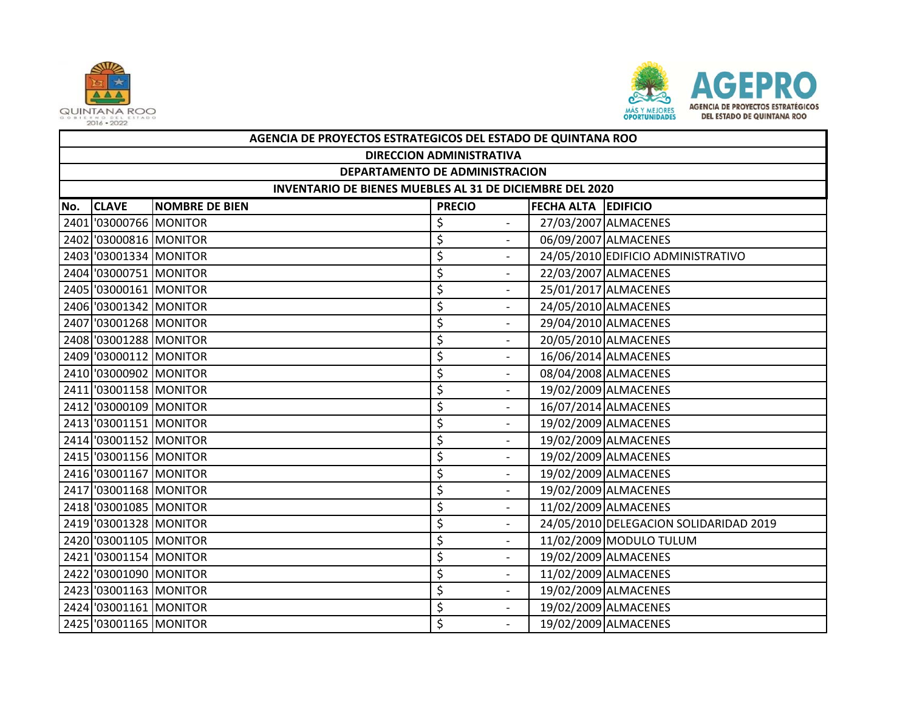



|     | AGENCIA DE PROYECTOS ESTRATEGICOS DEL ESTADO DE QUINTANA ROO                         |  |                                |  |                                        |  |  |  |  |
|-----|--------------------------------------------------------------------------------------|--|--------------------------------|--|----------------------------------------|--|--|--|--|
|     | <b>DIRECCION ADMINISTRATIVA</b>                                                      |  |                                |  |                                        |  |  |  |  |
|     | DEPARTAMENTO DE ADMINISTRACION                                                       |  |                                |  |                                        |  |  |  |  |
|     | INVENTARIO DE BIENES MUEBLES AL 31 DE DICIEMBRE DEL 2020                             |  |                                |  |                                        |  |  |  |  |
| No. | <b>CLAVE</b><br><b>NOMBRE DE BIEN</b><br><b>FECHA ALTA EDIFICIO</b><br><b>PRECIO</b> |  |                                |  |                                        |  |  |  |  |
|     | 2401 '03000766 MONITOR                                                               |  | \$                             |  | 27/03/2007 ALMACENES                   |  |  |  |  |
|     | 2402 '03000816 MONITOR                                                               |  | \$<br>$\overline{a}$           |  | 06/09/2007 ALMACENES                   |  |  |  |  |
|     | 2403 '03001334 MONITOR                                                               |  | \$                             |  | 24/05/2010 EDIFICIO ADMINISTRATIVO     |  |  |  |  |
|     | 2404 '03000751 MONITOR                                                               |  | \$<br>$\overline{\phantom{a}}$ |  | 22/03/2007 ALMACENES                   |  |  |  |  |
|     | 2405 '03000161 MONITOR                                                               |  | \$                             |  | 25/01/2017 ALMACENES                   |  |  |  |  |
|     | 2406 '03001342 MONITOR                                                               |  | \$<br>$\overline{\phantom{a}}$ |  | 24/05/2010 ALMACENES                   |  |  |  |  |
|     | 2407 '03001268 MONITOR                                                               |  | \$                             |  | 29/04/2010 ALMACENES                   |  |  |  |  |
|     | 2408 '03001288 MONITOR                                                               |  | \$<br>$\blacksquare$           |  | 20/05/2010 ALMACENES                   |  |  |  |  |
|     | 2409 '03000112 MONITOR                                                               |  | \$                             |  | 16/06/2014 ALMACENES                   |  |  |  |  |
|     | 2410 '03000902 MONITOR                                                               |  | \$<br>$\overline{\phantom{a}}$ |  | 08/04/2008 ALMACENES                   |  |  |  |  |
|     | 2411 '03001158 MONITOR                                                               |  | \$                             |  | 19/02/2009 ALMACENES                   |  |  |  |  |
|     | 2412 '03000109 MONITOR                                                               |  | \$<br>$\overline{a}$           |  | 16/07/2014 ALMACENES                   |  |  |  |  |
|     | 2413 '03001151 MONITOR                                                               |  | \$                             |  | 19/02/2009 ALMACENES                   |  |  |  |  |
|     | 2414 '03001152 MONITOR                                                               |  | \$<br>$\overline{\phantom{0}}$ |  | 19/02/2009 ALMACENES                   |  |  |  |  |
|     | 2415 '03001156 MONITOR                                                               |  | \$                             |  | 19/02/2009 ALMACENES                   |  |  |  |  |
|     | 2416 '03001167 MONITOR                                                               |  | \$<br>$\overline{\phantom{a}}$ |  | 19/02/2009 ALMACENES                   |  |  |  |  |
|     | 2417 '03001168 MONITOR                                                               |  | \$                             |  | 19/02/2009 ALMACENES                   |  |  |  |  |
|     | 2418 '03001085 MONITOR                                                               |  | \$<br>$\overline{\phantom{0}}$ |  | 11/02/2009 ALMACENES                   |  |  |  |  |
|     | 2419 '03001328 MONITOR                                                               |  | \$                             |  | 24/05/2010 DELEGACION SOLIDARIDAD 2019 |  |  |  |  |
|     | 2420 '03001105 MONITOR                                                               |  | \$<br>$\overline{\phantom{a}}$ |  | 11/02/2009 MODULO TULUM                |  |  |  |  |
|     | 2421 '03001154 MONITOR                                                               |  | \$                             |  | 19/02/2009 ALMACENES                   |  |  |  |  |
|     | 2422 '03001090 MONITOR                                                               |  | \$<br>$\blacksquare$           |  | 11/02/2009 ALMACENES                   |  |  |  |  |
|     | 2423 '03001163 MONITOR                                                               |  | \$<br>$\blacksquare$           |  | 19/02/2009 ALMACENES                   |  |  |  |  |
|     | 2424 '03001161 MONITOR                                                               |  | \$<br>$\blacksquare$           |  | 19/02/2009 ALMACENES                   |  |  |  |  |
|     | 2425 '03001165 MONITOR                                                               |  | \$                             |  | 19/02/2009 ALMACENES                   |  |  |  |  |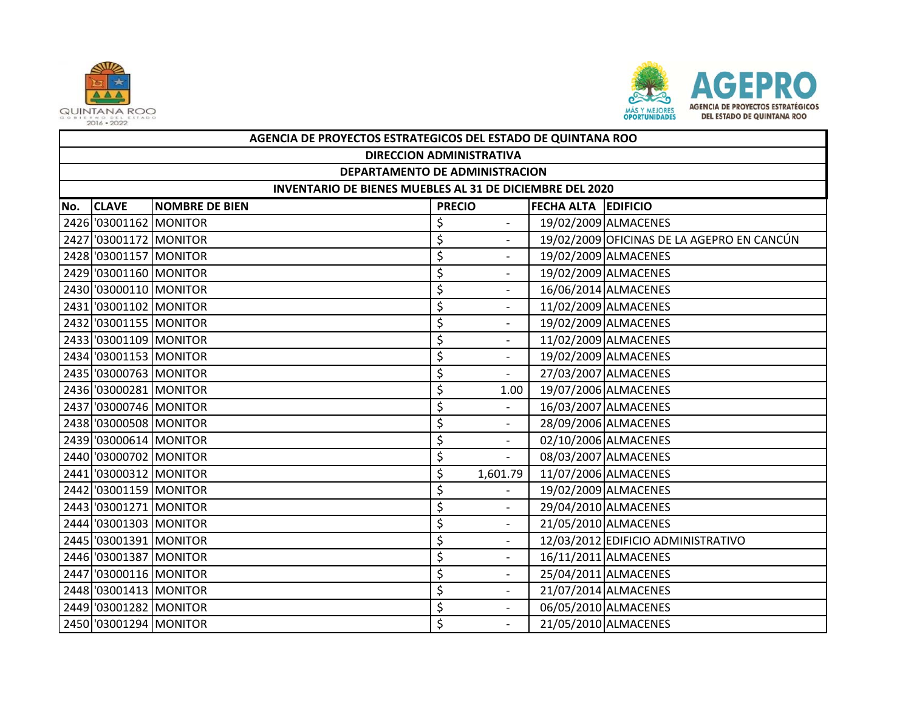



|     | AGENCIA DE PROYECTOS ESTRATEGICOS DEL ESTADO DE QUINTANA ROO                         |  |    |                          |  |                                            |  |  |  |
|-----|--------------------------------------------------------------------------------------|--|----|--------------------------|--|--------------------------------------------|--|--|--|
|     | <b>DIRECCION ADMINISTRATIVA</b>                                                      |  |    |                          |  |                                            |  |  |  |
|     | DEPARTAMENTO DE ADMINISTRACION                                                       |  |    |                          |  |                                            |  |  |  |
|     | INVENTARIO DE BIENES MUEBLES AL 31 DE DICIEMBRE DEL 2020                             |  |    |                          |  |                                            |  |  |  |
| No. | <b>CLAVE</b><br><b>NOMBRE DE BIEN</b><br><b>FECHA ALTA EDIFICIO</b><br><b>PRECIO</b> |  |    |                          |  |                                            |  |  |  |
|     | 2426 '03001162 MONITOR                                                               |  | \$ |                          |  | 19/02/2009 ALMACENES                       |  |  |  |
|     | 2427 '03001172 MONITOR                                                               |  | \$ | $\overline{a}$           |  | 19/02/2009 OFICINAS DE LA AGEPRO EN CANCÚN |  |  |  |
|     | 2428 '03001157 MONITOR                                                               |  | \$ |                          |  | 19/02/2009 ALMACENES                       |  |  |  |
|     | 2429 '03001160 MONITOR                                                               |  | \$ | $\overline{\phantom{0}}$ |  | 19/02/2009 ALMACENES                       |  |  |  |
|     | 2430 '03000110 MONITOR                                                               |  | \$ |                          |  | 16/06/2014 ALMACENES                       |  |  |  |
|     | 2431 '03001102 MONITOR                                                               |  | \$ | $\overline{\phantom{a}}$ |  | 11/02/2009 ALMACENES                       |  |  |  |
|     | 2432 '03001155 MONITOR                                                               |  | \$ |                          |  | 19/02/2009 ALMACENES                       |  |  |  |
|     | 2433 '03001109 MONITOR                                                               |  | \$ | $\overline{\phantom{a}}$ |  | 11/02/2009 ALMACENES                       |  |  |  |
|     | 2434 '03001153 MONITOR                                                               |  | \$ | $\blacksquare$           |  | 19/02/2009 ALMACENES                       |  |  |  |
|     | 2435 '03000763 MONITOR                                                               |  | \$ | $\blacksquare$           |  | 27/03/2007 ALMACENES                       |  |  |  |
|     | 2436 '03000281 MONITOR                                                               |  | \$ | 1.00                     |  | 19/07/2006 ALMACENES                       |  |  |  |
|     | 2437 '03000746 MONITOR                                                               |  | \$ | $\overline{\phantom{a}}$ |  | 16/03/2007 ALMACENES                       |  |  |  |
|     | 2438 '03000508 MONITOR                                                               |  | \$ |                          |  | 28/09/2006 ALMACENES                       |  |  |  |
|     | 2439 '03000614 MONITOR                                                               |  | \$ | $\overline{\phantom{a}}$ |  | 02/10/2006 ALMACENES                       |  |  |  |
|     | 2440 '03000702 MONITOR                                                               |  | \$ | $\blacksquare$           |  | 08/03/2007 ALMACENES                       |  |  |  |
|     | 2441 '03000312 MONITOR                                                               |  | \$ | 1,601.79                 |  | 11/07/2006 ALMACENES                       |  |  |  |
|     | 2442 '03001159 MONITOR                                                               |  | \$ |                          |  | 19/02/2009 ALMACENES                       |  |  |  |
|     | 2443 03001271 MONITOR                                                                |  | \$ | $\overline{\phantom{a}}$ |  | 29/04/2010 ALMACENES                       |  |  |  |
|     | 2444 '03001303 MONITOR                                                               |  | \$ | $\overline{\phantom{a}}$ |  | 21/05/2010 ALMACENES                       |  |  |  |
|     | 2445 '03001391 MONITOR                                                               |  | \$ | $\overline{\phantom{a}}$ |  | 12/03/2012 EDIFICIO ADMINISTRATIVO         |  |  |  |
|     | 2446 '03001387 MONITOR                                                               |  | \$ | $\overline{\phantom{0}}$ |  | 16/11/2011 ALMACENES                       |  |  |  |
|     | 2447 03000116 MONITOR                                                                |  | \$ | $\overline{\phantom{a}}$ |  | 25/04/2011 ALMACENES                       |  |  |  |
|     | 2448 '03001413 MONITOR                                                               |  | \$ | $\overline{\phantom{a}}$ |  | 21/07/2014 ALMACENES                       |  |  |  |
|     | 2449 '03001282 MONITOR                                                               |  | \$ | $\overline{\phantom{a}}$ |  | 06/05/2010 ALMACENES                       |  |  |  |
|     | 2450 '03001294 MONITOR                                                               |  | \$ |                          |  | 21/05/2010 ALMACENES                       |  |  |  |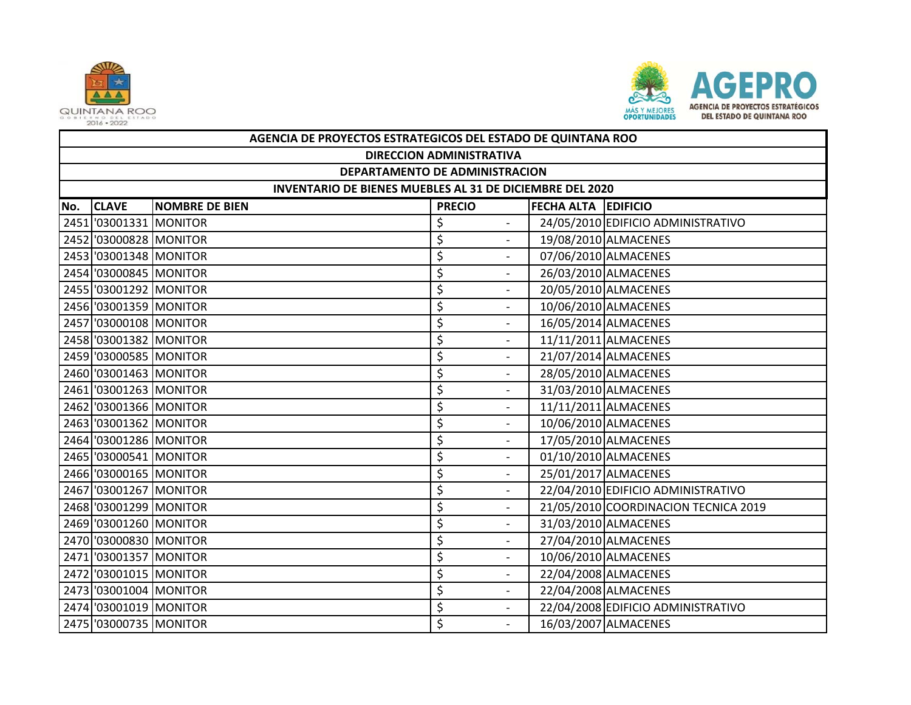



|     | AGENCIA DE PROYECTOS ESTRATEGICOS DEL ESTADO DE QUINTANA ROO                         |  |                                |  |                                      |  |  |  |  |
|-----|--------------------------------------------------------------------------------------|--|--------------------------------|--|--------------------------------------|--|--|--|--|
|     | <b>DIRECCION ADMINISTRATIVA</b>                                                      |  |                                |  |                                      |  |  |  |  |
|     | DEPARTAMENTO DE ADMINISTRACION                                                       |  |                                |  |                                      |  |  |  |  |
|     | INVENTARIO DE BIENES MUEBLES AL 31 DE DICIEMBRE DEL 2020                             |  |                                |  |                                      |  |  |  |  |
| No. | <b>CLAVE</b><br><b>NOMBRE DE BIEN</b><br><b>PRECIO</b><br><b>FECHA ALTA EDIFICIO</b> |  |                                |  |                                      |  |  |  |  |
|     | 2451 '03001331 MONITOR                                                               |  | \$                             |  | 24/05/2010 EDIFICIO ADMINISTRATIVO   |  |  |  |  |
|     | 2452 '03000828 MONITOR                                                               |  | \$<br>$\overline{\phantom{a}}$ |  | 19/08/2010 ALMACENES                 |  |  |  |  |
|     | 2453 '03001348 MONITOR                                                               |  | \$<br>$\blacksquare$           |  | 07/06/2010 ALMACENES                 |  |  |  |  |
|     | 2454 '03000845 MONITOR                                                               |  | \$<br>$\overline{\phantom{a}}$ |  | 26/03/2010 ALMACENES                 |  |  |  |  |
|     | 2455 '03001292 MONITOR                                                               |  | \$                             |  | 20/05/2010 ALMACENES                 |  |  |  |  |
|     | 2456 '03001359 MONITOR                                                               |  | \$<br>$\overline{\phantom{a}}$ |  | 10/06/2010 ALMACENES                 |  |  |  |  |
|     | 2457 '03000108 MONITOR                                                               |  | \$                             |  | 16/05/2014 ALMACENES                 |  |  |  |  |
|     | 2458 '03001382 MONITOR                                                               |  | \$<br>$\blacksquare$           |  | 11/11/2011 ALMACENES                 |  |  |  |  |
|     | 2459 '03000585 MONITOR                                                               |  | \$                             |  | 21/07/2014 ALMACENES                 |  |  |  |  |
|     | 2460 '03001463 MONITOR                                                               |  | \$<br>$\overline{\phantom{a}}$ |  | 28/05/2010 ALMACENES                 |  |  |  |  |
|     | 2461 '03001263 MONITOR                                                               |  | \$                             |  | 31/03/2010 ALMACENES                 |  |  |  |  |
|     | 2462 '03001366 MONITOR                                                               |  | \$<br>$\overline{a}$           |  | 11/11/2011 ALMACENES                 |  |  |  |  |
|     | 2463 '03001362 MONITOR                                                               |  | \$                             |  | 10/06/2010 ALMACENES                 |  |  |  |  |
|     | 2464 '03001286 MONITOR                                                               |  | \$<br>$\overline{a}$           |  | 17/05/2010 ALMACENES                 |  |  |  |  |
|     | 2465 '03000541 MONITOR                                                               |  | \$                             |  | 01/10/2010 ALMACENES                 |  |  |  |  |
|     | 2466 '03000165 MONITOR                                                               |  | \$<br>$\overline{\phantom{a}}$ |  | 25/01/2017 ALMACENES                 |  |  |  |  |
|     | 2467 '03001267 MONITOR                                                               |  | \$                             |  | 22/04/2010 EDIFICIO ADMINISTRATIVO   |  |  |  |  |
|     | 2468 '03001299 MONITOR                                                               |  | \$<br>$\overline{\phantom{a}}$ |  | 21/05/2010 COORDINACION TECNICA 2019 |  |  |  |  |
|     | 2469 '03001260 MONITOR                                                               |  | \$<br>$\overline{\phantom{0}}$ |  | 31/03/2010 ALMACENES                 |  |  |  |  |
|     | 2470 '03000830 MONITOR                                                               |  | \$<br>$\overline{\phantom{a}}$ |  | 27/04/2010 ALMACENES                 |  |  |  |  |
|     | 2471 '03001357 MONITOR                                                               |  | \$                             |  | 10/06/2010 ALMACENES                 |  |  |  |  |
|     | 2472 '03001015 MONITOR                                                               |  | \$<br>$\overline{\phantom{a}}$ |  | 22/04/2008 ALMACENES                 |  |  |  |  |
|     | 2473 '03001004 MONITOR                                                               |  | \$<br>$\overline{\phantom{a}}$ |  | 22/04/2008 ALMACENES                 |  |  |  |  |
|     | 2474 '03001019 MONITOR                                                               |  | \$<br>$\overline{\phantom{a}}$ |  | 22/04/2008 EDIFICIO ADMINISTRATIVO   |  |  |  |  |
|     | 2475 '03000735 MONITOR                                                               |  | \$                             |  | 16/03/2007 ALMACENES                 |  |  |  |  |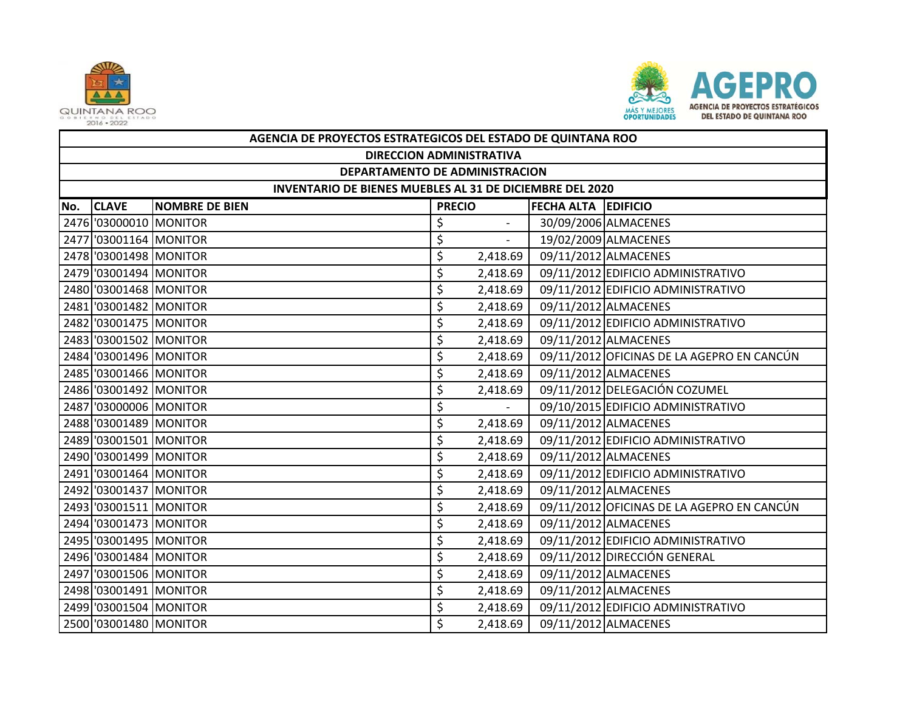



|     | AGENCIA DE PROYECTOS ESTRATEGICOS DEL ESTADO DE QUINTANA ROO    |                       |               |                          |                            |                                            |  |  |  |
|-----|-----------------------------------------------------------------|-----------------------|---------------|--------------------------|----------------------------|--------------------------------------------|--|--|--|
|     | <b>DIRECCION ADMINISTRATIVA</b>                                 |                       |               |                          |                            |                                            |  |  |  |
|     | DEPARTAMENTO DE ADMINISTRACION                                  |                       |               |                          |                            |                                            |  |  |  |
|     | <b>INVENTARIO DE BIENES MUEBLES AL 31 DE DICIEMBRE DEL 2020</b> |                       |               |                          |                            |                                            |  |  |  |
| No. | <b>CLAVE</b>                                                    | <b>NOMBRE DE BIEN</b> | <b>PRECIO</b> |                          | <b>FECHA ALTA EDIFICIO</b> |                                            |  |  |  |
|     | 2476 '03000010 MONITOR                                          |                       | \$            |                          |                            | 30/09/2006 ALMACENES                       |  |  |  |
|     | 2477 '03001164 MONITOR                                          |                       | \$            | $\overline{\phantom{a}}$ |                            | 19/02/2009 ALMACENES                       |  |  |  |
|     | 2478 '03001498 MONITOR                                          |                       | \$            | 2,418.69                 |                            | 09/11/2012 ALMACENES                       |  |  |  |
|     | 2479 '03001494 MONITOR                                          |                       | \$            | 2,418.69                 |                            | 09/11/2012 EDIFICIO ADMINISTRATIVO         |  |  |  |
|     | 2480 '03001468 MONITOR                                          |                       | \$            | 2,418.69                 |                            | 09/11/2012 EDIFICIO ADMINISTRATIVO         |  |  |  |
|     | 2481 '03001482 MONITOR                                          |                       | \$            | 2,418.69                 |                            | 09/11/2012 ALMACENES                       |  |  |  |
|     | 2482 '03001475 MONITOR                                          |                       | \$            | 2,418.69                 |                            | 09/11/2012 EDIFICIO ADMINISTRATIVO         |  |  |  |
|     | 2483 '03001502 MONITOR                                          |                       | \$            | 2,418.69                 |                            | 09/11/2012 ALMACENES                       |  |  |  |
|     | 2484 '03001496 MONITOR                                          |                       | \$            | 2,418.69                 |                            | 09/11/2012 OFICINAS DE LA AGEPRO EN CANCÚN |  |  |  |
|     | 2485 '03001466 MONITOR                                          |                       | \$            | 2,418.69                 |                            | 09/11/2012 ALMACENES                       |  |  |  |
|     | 2486 '03001492 MONITOR                                          |                       | \$            | 2,418.69                 |                            | 09/11/2012 DELEGACIÓN COZUMEL              |  |  |  |
|     | 2487 '03000006 MONITOR                                          |                       | \$            |                          |                            | 09/10/2015 EDIFICIO ADMINISTRATIVO         |  |  |  |
|     | 2488 '03001489 MONITOR                                          |                       | \$            | 2,418.69                 |                            | 09/11/2012 ALMACENES                       |  |  |  |
|     | 2489 '03001501 MONITOR                                          |                       | \$            | 2,418.69                 |                            | 09/11/2012 EDIFICIO ADMINISTRATIVO         |  |  |  |
|     | 2490 '03001499 MONITOR                                          |                       | \$            | 2,418.69                 |                            | 09/11/2012 ALMACENES                       |  |  |  |
|     | 2491 '03001464 MONITOR                                          |                       | \$            | 2,418.69                 |                            | 09/11/2012 EDIFICIO ADMINISTRATIVO         |  |  |  |
|     | 2492 '03001437 MONITOR                                          |                       | \$            | 2,418.69                 |                            | 09/11/2012 ALMACENES                       |  |  |  |
|     | 2493 '03001511 MONITOR                                          |                       | \$            | 2,418.69                 |                            | 09/11/2012 OFICINAS DE LA AGEPRO EN CANCÚN |  |  |  |
|     | 2494 '03001473 MONITOR                                          |                       | \$            | 2,418.69                 |                            | 09/11/2012 ALMACENES                       |  |  |  |
|     | 2495 '03001495 MONITOR                                          |                       | \$            | 2,418.69                 |                            | 09/11/2012 EDIFICIO ADMINISTRATIVO         |  |  |  |
|     | 2496 '03001484 MONITOR                                          |                       | \$            | 2,418.69                 |                            | 09/11/2012 DIRECCIÓN GENERAL               |  |  |  |
|     | 2497 '03001506 MONITOR                                          |                       | \$            | 2,418.69                 |                            | 09/11/2012 ALMACENES                       |  |  |  |
|     | 2498 '03001491 MONITOR                                          |                       | \$            | 2,418.69                 |                            | 09/11/2012 ALMACENES                       |  |  |  |
|     | 2499 '03001504 MONITOR                                          |                       | \$            | 2,418.69                 |                            | 09/11/2012 EDIFICIO ADMINISTRATIVO         |  |  |  |
|     | 2500 '03001480 MONITOR                                          |                       | \$            | 2,418.69                 |                            | 09/11/2012 ALMACENES                       |  |  |  |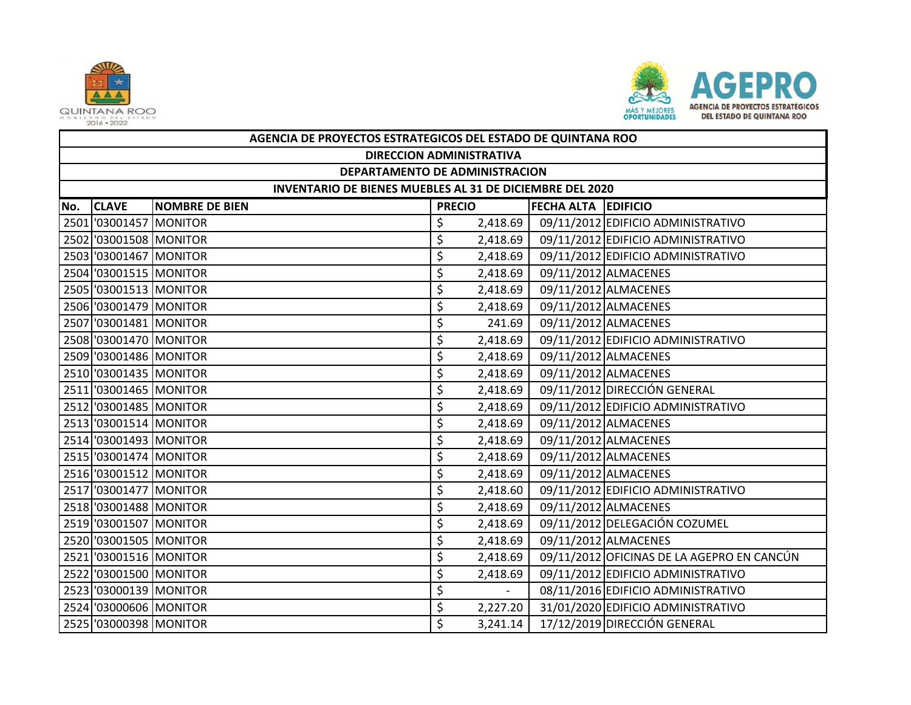



|     | AGENCIA DE PROYECTOS ESTRATEGICOS DEL ESTADO DE QUINTANA ROO    |                            |    |          |  |                                            |  |  |  |
|-----|-----------------------------------------------------------------|----------------------------|----|----------|--|--------------------------------------------|--|--|--|
|     | <b>DIRECCION ADMINISTRATIVA</b>                                 |                            |    |          |  |                                            |  |  |  |
|     | DEPARTAMENTO DE ADMINISTRACION                                  |                            |    |          |  |                                            |  |  |  |
|     | <b>INVENTARIO DE BIENES MUEBLES AL 31 DE DICIEMBRE DEL 2020</b> |                            |    |          |  |                                            |  |  |  |
| No. | <b>CLAVE</b>                                                    | <b>FECHA ALTA EDIFICIO</b> |    |          |  |                                            |  |  |  |
|     | 2501 '03001457 MONITOR                                          |                            | \$ | 2,418.69 |  | 09/11/2012 EDIFICIO ADMINISTRATIVO         |  |  |  |
|     | 2502 '03001508 MONITOR                                          |                            | \$ | 2,418.69 |  | 09/11/2012 EDIFICIO ADMINISTRATIVO         |  |  |  |
|     | 2503 '03001467 MONITOR                                          |                            | \$ | 2,418.69 |  | 09/11/2012 EDIFICIO ADMINISTRATIVO         |  |  |  |
|     | 2504 '03001515 MONITOR                                          |                            | \$ | 2,418.69 |  | 09/11/2012 ALMACENES                       |  |  |  |
|     | 2505 '03001513 MONITOR                                          |                            | \$ | 2,418.69 |  | 09/11/2012 ALMACENES                       |  |  |  |
|     | 2506 '03001479 MONITOR                                          |                            | \$ | 2,418.69 |  | 09/11/2012 ALMACENES                       |  |  |  |
|     | 2507 '03001481 MONITOR                                          |                            | \$ | 241.69   |  | 09/11/2012 ALMACENES                       |  |  |  |
|     | 2508 '03001470 MONITOR                                          |                            | \$ | 2,418.69 |  | 09/11/2012 EDIFICIO ADMINISTRATIVO         |  |  |  |
|     | 2509 '03001486 MONITOR                                          |                            | \$ | 2,418.69 |  | 09/11/2012 ALMACENES                       |  |  |  |
|     | 2510 '03001435 MONITOR                                          |                            | \$ | 2,418.69 |  | 09/11/2012 ALMACENES                       |  |  |  |
|     | 2511 '03001465 MONITOR                                          |                            | \$ | 2,418.69 |  | 09/11/2012 DIRECCIÓN GENERAL               |  |  |  |
|     | 2512 '03001485 MONITOR                                          |                            | \$ | 2,418.69 |  | 09/11/2012 EDIFICIO ADMINISTRATIVO         |  |  |  |
|     | 2513 '03001514 MONITOR                                          |                            | \$ | 2,418.69 |  | 09/11/2012 ALMACENES                       |  |  |  |
|     | 2514 '03001493 MONITOR                                          |                            | \$ | 2,418.69 |  | 09/11/2012 ALMACENES                       |  |  |  |
|     | 2515 '03001474 MONITOR                                          |                            | \$ | 2,418.69 |  | 09/11/2012 ALMACENES                       |  |  |  |
|     | 2516 '03001512 MONITOR                                          |                            | \$ | 2,418.69 |  | 09/11/2012 ALMACENES                       |  |  |  |
|     | 2517 '03001477 MONITOR                                          |                            | \$ | 2,418.60 |  | 09/11/2012 EDIFICIO ADMINISTRATIVO         |  |  |  |
|     | 2518 '03001488 MONITOR                                          |                            | \$ | 2,418.69 |  | 09/11/2012 ALMACENES                       |  |  |  |
|     | 2519 '03001507 MONITOR                                          |                            | \$ | 2,418.69 |  | 09/11/2012 DELEGACIÓN COZUMEL              |  |  |  |
|     | 2520 '03001505 MONITOR                                          |                            | \$ | 2,418.69 |  | 09/11/2012 ALMACENES                       |  |  |  |
|     | 2521 '03001516 MONITOR                                          |                            | \$ | 2,418.69 |  | 09/11/2012 OFICINAS DE LA AGEPRO EN CANCÚN |  |  |  |
|     | 2522 '03001500 MONITOR                                          |                            | \$ | 2,418.69 |  | 09/11/2012 EDIFICIO ADMINISTRATIVO         |  |  |  |
|     | 2523 '03000139 MONITOR                                          |                            | \$ | $\sim$   |  | 08/11/2016 EDIFICIO ADMINISTRATIVO         |  |  |  |
|     | 2524 '03000606 MONITOR                                          |                            | \$ | 2,227.20 |  | 31/01/2020 EDIFICIO ADMINISTRATIVO         |  |  |  |
|     | 2525 '03000398 MONITOR                                          |                            | \$ | 3,241.14 |  | 17/12/2019 DIRECCIÓN GENERAL               |  |  |  |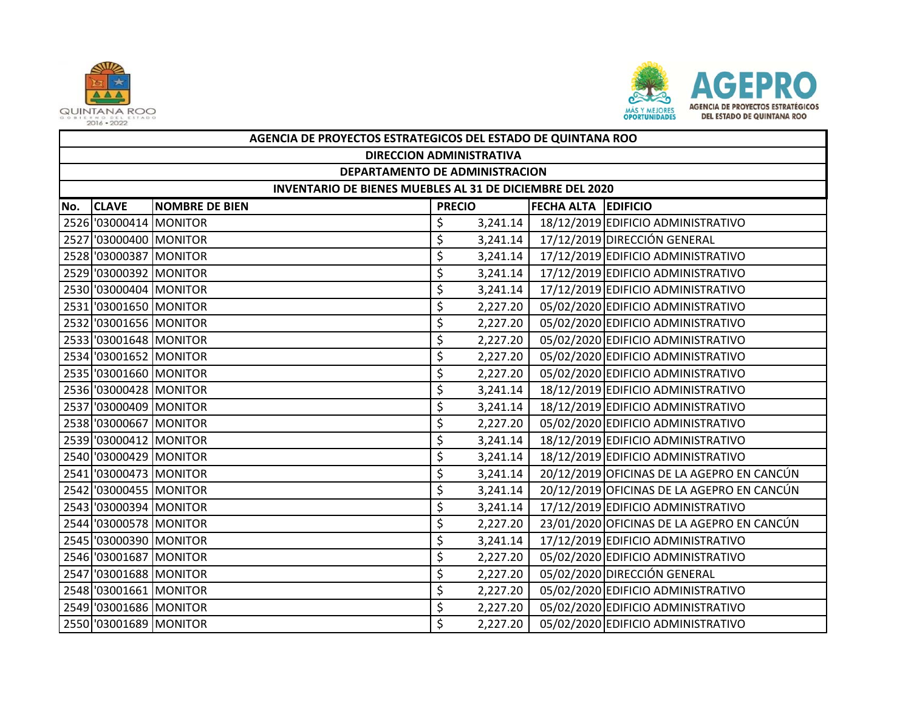



|     | AGENCIA DE PROYECTOS ESTRATEGICOS DEL ESTADO DE QUINTANA ROO                         |  |    |          |  |                                            |  |  |  |
|-----|--------------------------------------------------------------------------------------|--|----|----------|--|--------------------------------------------|--|--|--|
|     | <b>DIRECCION ADMINISTRATIVA</b>                                                      |  |    |          |  |                                            |  |  |  |
|     | DEPARTAMENTO DE ADMINISTRACION                                                       |  |    |          |  |                                            |  |  |  |
|     | INVENTARIO DE BIENES MUEBLES AL 31 DE DICIEMBRE DEL 2020                             |  |    |          |  |                                            |  |  |  |
| No. | <b>CLAVE</b><br><b>NOMBRE DE BIEN</b><br><b>PRECIO</b><br><b>FECHA ALTA EDIFICIO</b> |  |    |          |  |                                            |  |  |  |
|     | 2526 '03000414 MONITOR                                                               |  | \$ | 3,241.14 |  | 18/12/2019 EDIFICIO ADMINISTRATIVO         |  |  |  |
|     | 2527 '03000400 MONITOR                                                               |  | \$ | 3,241.14 |  | 17/12/2019 DIRECCIÓN GENERAL               |  |  |  |
|     | 2528 '03000387 MONITOR                                                               |  | \$ | 3,241.14 |  | 17/12/2019 EDIFICIO ADMINISTRATIVO         |  |  |  |
|     | 2529 '03000392 MONITOR                                                               |  | \$ | 3,241.14 |  | 17/12/2019 EDIFICIO ADMINISTRATIVO         |  |  |  |
|     | 2530 '03000404 MONITOR                                                               |  | \$ | 3,241.14 |  | 17/12/2019 EDIFICIO ADMINISTRATIVO         |  |  |  |
|     | 2531 '03001650 MONITOR                                                               |  | \$ | 2,227.20 |  | 05/02/2020 EDIFICIO ADMINISTRATIVO         |  |  |  |
|     | 2532 '03001656 MONITOR                                                               |  | \$ | 2,227.20 |  | 05/02/2020 EDIFICIO ADMINISTRATIVO         |  |  |  |
|     | 2533 '03001648 MONITOR                                                               |  | \$ | 2,227.20 |  | 05/02/2020 EDIFICIO ADMINISTRATIVO         |  |  |  |
|     | 2534 '03001652 MONITOR                                                               |  | \$ | 2,227.20 |  | 05/02/2020 EDIFICIO ADMINISTRATIVO         |  |  |  |
|     | 2535 '03001660 MONITOR                                                               |  | \$ | 2,227.20 |  | 05/02/2020 EDIFICIO ADMINISTRATIVO         |  |  |  |
|     | 2536 '03000428 MONITOR                                                               |  | \$ | 3,241.14 |  | 18/12/2019 EDIFICIO ADMINISTRATIVO         |  |  |  |
|     | 2537 '03000409 MONITOR                                                               |  | \$ | 3,241.14 |  | 18/12/2019 EDIFICIO ADMINISTRATIVO         |  |  |  |
|     | 2538 '03000667 MONITOR                                                               |  | \$ | 2,227.20 |  | 05/02/2020 EDIFICIO ADMINISTRATIVO         |  |  |  |
|     | 2539 '03000412 MONITOR                                                               |  | \$ | 3,241.14 |  | 18/12/2019 EDIFICIO ADMINISTRATIVO         |  |  |  |
|     | 2540 '03000429 MONITOR                                                               |  | \$ | 3,241.14 |  | 18/12/2019 EDIFICIO ADMINISTRATIVO         |  |  |  |
|     | 2541 '03000473 MONITOR                                                               |  | \$ | 3,241.14 |  | 20/12/2019 OFICINAS DE LA AGEPRO EN CANCÚN |  |  |  |
|     | 2542 '03000455 MONITOR                                                               |  | \$ | 3,241.14 |  | 20/12/2019 OFICINAS DE LA AGEPRO EN CANCÚN |  |  |  |
|     | 2543 '03000394 MONITOR                                                               |  | \$ | 3,241.14 |  | 17/12/2019 EDIFICIO ADMINISTRATIVO         |  |  |  |
|     | 2544 '03000578 MONITOR                                                               |  | \$ | 2,227.20 |  | 23/01/2020 OFICINAS DE LA AGEPRO EN CANCÚN |  |  |  |
|     | 2545 '03000390 MONITOR                                                               |  | \$ | 3,241.14 |  | 17/12/2019 EDIFICIO ADMINISTRATIVO         |  |  |  |
|     | 2546 '03001687 MONITOR                                                               |  | \$ | 2,227.20 |  | 05/02/2020 EDIFICIO ADMINISTRATIVO         |  |  |  |
|     | 2547 '03001688 MONITOR                                                               |  | \$ | 2,227.20 |  | 05/02/2020 DIRECCIÓN GENERAL               |  |  |  |
|     | 2548 '03001661 MONITOR                                                               |  | \$ | 2,227.20 |  | 05/02/2020 EDIFICIO ADMINISTRATIVO         |  |  |  |
|     | 2549 '03001686 MONITOR                                                               |  | \$ | 2,227.20 |  | 05/02/2020 EDIFICIO ADMINISTRATIVO         |  |  |  |
|     | 2550 '03001689 MONITOR                                                               |  | \$ | 2,227.20 |  | 05/02/2020 EDIFICIO ADMINISTRATIVO         |  |  |  |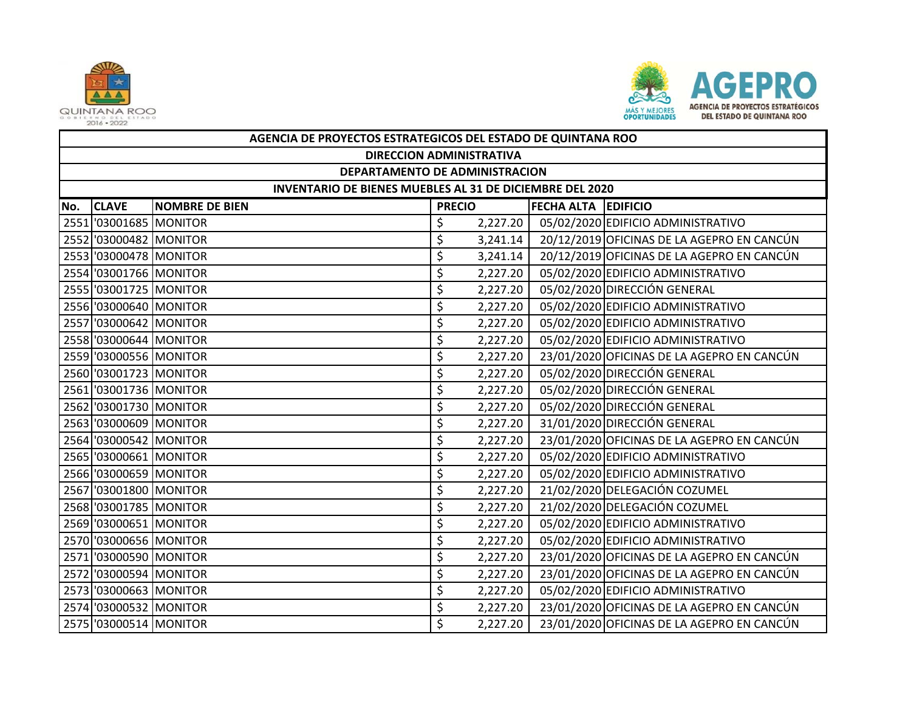



|     | AGENCIA DE PROYECTOS ESTRATEGICOS DEL ESTADO DE QUINTANA ROO |                       |                                             |          |  |                                            |  |  |  |
|-----|--------------------------------------------------------------|-----------------------|---------------------------------------------|----------|--|--------------------------------------------|--|--|--|
|     | <b>DIRECCION ADMINISTRATIVA</b>                              |                       |                                             |          |  |                                            |  |  |  |
|     | DEPARTAMENTO DE ADMINISTRACION                               |                       |                                             |          |  |                                            |  |  |  |
|     | INVENTARIO DE BIENES MUEBLES AL 31 DE DICIEMBRE DEL 2020     |                       |                                             |          |  |                                            |  |  |  |
| No. | <b>CLAVE</b>                                                 | <b>NOMBRE DE BIEN</b> | <b>FECHA ALTA EDIFICIO</b><br><b>PRECIO</b> |          |  |                                            |  |  |  |
|     | 2551 '03001685 MONITOR                                       |                       | \$                                          | 2,227.20 |  | 05/02/2020 EDIFICIO ADMINISTRATIVO         |  |  |  |
|     | 2552 '03000482 MONITOR                                       |                       | \$                                          | 3,241.14 |  | 20/12/2019 OFICINAS DE LA AGEPRO EN CANCÚN |  |  |  |
|     | 2553 '03000478 MONITOR                                       |                       | \$                                          | 3,241.14 |  | 20/12/2019 OFICINAS DE LA AGEPRO EN CANCÚN |  |  |  |
|     | 2554 '03001766 MONITOR                                       |                       | \$                                          | 2,227.20 |  | 05/02/2020 EDIFICIO ADMINISTRATIVO         |  |  |  |
|     | 2555 '03001725 MONITOR                                       |                       | \$                                          | 2,227.20 |  | 05/02/2020 DIRECCIÓN GENERAL               |  |  |  |
|     | 2556 '03000640 MONITOR                                       |                       | \$                                          | 2,227.20 |  | 05/02/2020 EDIFICIO ADMINISTRATIVO         |  |  |  |
|     | 2557 '03000642 MONITOR                                       |                       | \$                                          | 2,227.20 |  | 05/02/2020 EDIFICIO ADMINISTRATIVO         |  |  |  |
|     | 2558 '03000644 MONITOR                                       |                       | \$                                          | 2,227.20 |  | 05/02/2020 EDIFICIO ADMINISTRATIVO         |  |  |  |
|     | 2559 '03000556 MONITOR                                       |                       | \$                                          | 2,227.20 |  | 23/01/2020 OFICINAS DE LA AGEPRO EN CANCÚN |  |  |  |
|     | 2560 '03001723 MONITOR                                       |                       | \$                                          | 2,227.20 |  | 05/02/2020 DIRECCIÓN GENERAL               |  |  |  |
|     | 2561 '03001736 MONITOR                                       |                       | \$                                          | 2,227.20 |  | 05/02/2020 DIRECCIÓN GENERAL               |  |  |  |
|     | 2562 '03001730 MONITOR                                       |                       | \$                                          | 2,227.20 |  | 05/02/2020 DIRECCIÓN GENERAL               |  |  |  |
|     | 2563 '03000609 MONITOR                                       |                       | \$                                          | 2,227.20 |  | 31/01/2020 DIRECCIÓN GENERAL               |  |  |  |
|     | 2564 '03000542 MONITOR                                       |                       | \$                                          | 2,227.20 |  | 23/01/2020 OFICINAS DE LA AGEPRO EN CANCÚN |  |  |  |
|     | 2565 '03000661 MONITOR                                       |                       | \$                                          | 2,227.20 |  | 05/02/2020 EDIFICIO ADMINISTRATIVO         |  |  |  |
|     | 2566 '03000659 MONITOR                                       |                       | \$                                          | 2,227.20 |  | 05/02/2020 EDIFICIO ADMINISTRATIVO         |  |  |  |
|     | 2567 '03001800 MONITOR                                       |                       | \$                                          | 2,227.20 |  | 21/02/2020 DELEGACIÓN COZUMEL              |  |  |  |
|     | 2568 '03001785 MONITOR                                       |                       | \$                                          | 2,227.20 |  | 21/02/2020 DELEGACIÓN COZUMEL              |  |  |  |
|     | 2569 '03000651 MONITOR                                       |                       | \$                                          | 2,227.20 |  | 05/02/2020 EDIFICIO ADMINISTRATIVO         |  |  |  |
|     | 2570 '03000656 MONITOR                                       |                       | \$                                          | 2,227.20 |  | 05/02/2020 EDIFICIO ADMINISTRATIVO         |  |  |  |
|     | 2571 '03000590 MONITOR                                       |                       | \$                                          | 2,227.20 |  | 23/01/2020 OFICINAS DE LA AGEPRO EN CANCÚN |  |  |  |
|     | 2572 '03000594 MONITOR                                       |                       | \$                                          | 2,227.20 |  | 23/01/2020 OFICINAS DE LA AGEPRO EN CANCÚN |  |  |  |
|     | 2573 '03000663 MONITOR                                       |                       | \$                                          | 2,227.20 |  | 05/02/2020 EDIFICIO ADMINISTRATIVO         |  |  |  |
|     | 2574 '03000532 MONITOR                                       |                       | \$                                          | 2,227.20 |  | 23/01/2020 OFICINAS DE LA AGEPRO EN CANCÚN |  |  |  |
|     | 2575 '03000514 MONITOR                                       |                       | \$                                          | 2,227.20 |  | 23/01/2020 OFICINAS DE LA AGEPRO EN CANCÚN |  |  |  |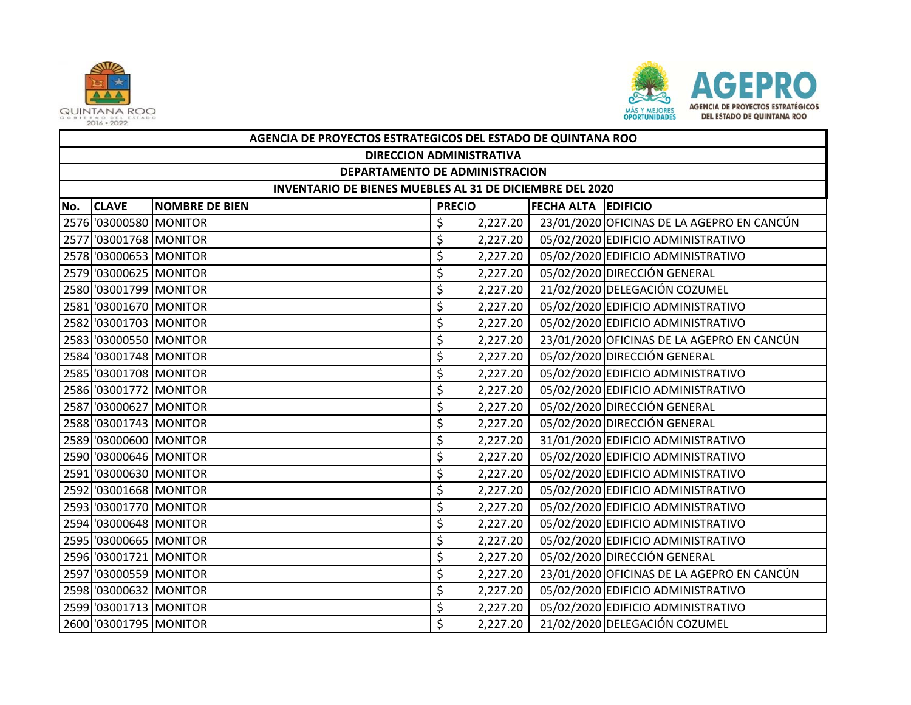



|                                | AGENCIA DE PROYECTOS ESTRATEGICOS DEL ESTADO DE QUINTANA ROO |                       |               |          |                            |                                            |  |  |  |  |
|--------------------------------|--------------------------------------------------------------|-----------------------|---------------|----------|----------------------------|--------------------------------------------|--|--|--|--|
|                                | <b>DIRECCION ADMINISTRATIVA</b>                              |                       |               |          |                            |                                            |  |  |  |  |
| DEPARTAMENTO DE ADMINISTRACION |                                                              |                       |               |          |                            |                                            |  |  |  |  |
|                                | INVENTARIO DE BIENES MUEBLES AL 31 DE DICIEMBRE DEL 2020     |                       |               |          |                            |                                            |  |  |  |  |
| No.                            | <b>CLAVE</b>                                                 | <b>NOMBRE DE BIEN</b> | <b>PRECIO</b> |          | <b>FECHA ALTA EDIFICIO</b> |                                            |  |  |  |  |
|                                | 2576 '03000580 MONITOR                                       |                       | \$            | 2,227.20 |                            | 23/01/2020 OFICINAS DE LA AGEPRO EN CANCÚN |  |  |  |  |
|                                | 2577 '03001768 MONITOR                                       |                       | \$            | 2,227.20 |                            | 05/02/2020 EDIFICIO ADMINISTRATIVO         |  |  |  |  |
|                                | 2578 '03000653 MONITOR                                       |                       | \$            | 2,227.20 |                            | 05/02/2020 EDIFICIO ADMINISTRATIVO         |  |  |  |  |
|                                | 2579 '03000625 MONITOR                                       |                       | \$            | 2,227.20 |                            | 05/02/2020 DIRECCIÓN GENERAL               |  |  |  |  |
|                                | 2580 '03001799 MONITOR                                       |                       | \$            | 2,227.20 |                            | 21/02/2020 DELEGACIÓN COZUMEL              |  |  |  |  |
|                                | 2581 '03001670 MONITOR                                       |                       | \$            | 2,227.20 |                            | 05/02/2020 EDIFICIO ADMINISTRATIVO         |  |  |  |  |
|                                | 2582 '03001703 MONITOR                                       |                       | \$            | 2,227.20 |                            | 05/02/2020 EDIFICIO ADMINISTRATIVO         |  |  |  |  |
|                                | 2583 '03000550 MONITOR                                       |                       | \$            | 2,227.20 |                            | 23/01/2020 OFICINAS DE LA AGEPRO EN CANCÚN |  |  |  |  |
|                                | 2584 '03001748 MONITOR                                       |                       | \$            | 2,227.20 |                            | 05/02/2020 DIRECCIÓN GENERAL               |  |  |  |  |
|                                | 2585 '03001708 MONITOR                                       |                       | \$            | 2,227.20 |                            | 05/02/2020 EDIFICIO ADMINISTRATIVO         |  |  |  |  |
|                                | 2586 '03001772 MONITOR                                       |                       | \$            | 2,227.20 |                            | 05/02/2020 EDIFICIO ADMINISTRATIVO         |  |  |  |  |
|                                | 2587 '03000627 MONITOR                                       |                       | \$            | 2,227.20 |                            | 05/02/2020 DIRECCIÓN GENERAL               |  |  |  |  |
|                                | 2588 '03001743 MONITOR                                       |                       | \$            | 2,227.20 |                            | 05/02/2020 DIRECCIÓN GENERAL               |  |  |  |  |
|                                | 2589 '03000600 MONITOR                                       |                       | \$            | 2,227.20 |                            | 31/01/2020 EDIFICIO ADMINISTRATIVO         |  |  |  |  |
|                                | 2590 '03000646 MONITOR                                       |                       | \$            | 2,227.20 |                            | 05/02/2020 EDIFICIO ADMINISTRATIVO         |  |  |  |  |
|                                | 2591 '03000630 MONITOR                                       |                       | \$            | 2,227.20 |                            | 05/02/2020 EDIFICIO ADMINISTRATIVO         |  |  |  |  |
|                                | 2592 '03001668 MONITOR                                       |                       | \$            | 2,227.20 |                            | 05/02/2020 EDIFICIO ADMINISTRATIVO         |  |  |  |  |
|                                | 2593 '03001770 MONITOR                                       |                       | \$            | 2,227.20 |                            | 05/02/2020 EDIFICIO ADMINISTRATIVO         |  |  |  |  |
|                                | 2594 '03000648 MONITOR                                       |                       | \$            | 2,227.20 |                            | 05/02/2020 EDIFICIO ADMINISTRATIVO         |  |  |  |  |
|                                | 2595 '03000665 MONITOR                                       |                       | \$            | 2,227.20 |                            | 05/02/2020 EDIFICIO ADMINISTRATIVO         |  |  |  |  |
|                                | 2596 '03001721 MONITOR                                       |                       | \$            | 2,227.20 |                            | 05/02/2020 DIRECCIÓN GENERAL               |  |  |  |  |
|                                | 2597 '03000559 MONITOR                                       |                       | \$            | 2,227.20 |                            | 23/01/2020 OFICINAS DE LA AGEPRO EN CANCÚN |  |  |  |  |
|                                | 2598 '03000632 MONITOR                                       |                       | \$            | 2,227.20 |                            | 05/02/2020 EDIFICIO ADMINISTRATIVO         |  |  |  |  |
|                                | 2599 '03001713 MONITOR                                       |                       | \$            | 2,227.20 |                            | 05/02/2020 EDIFICIO ADMINISTRATIVO         |  |  |  |  |
|                                | 2600 '03001795 MONITOR                                       |                       | \$            | 2,227.20 |                            | 21/02/2020 DELEGACIÓN COZUMEL              |  |  |  |  |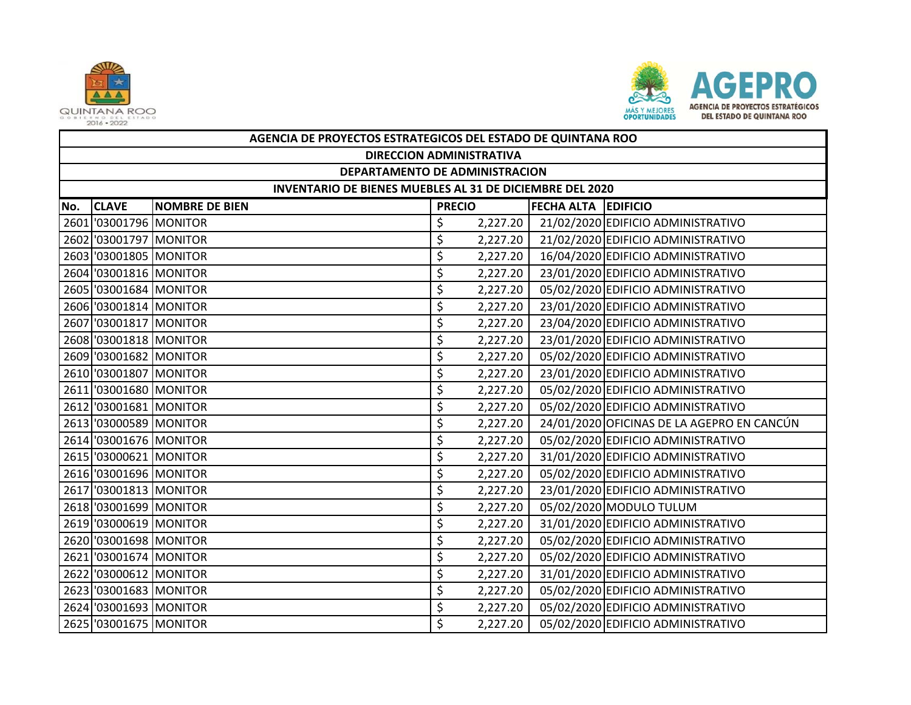



|     | AGENCIA DE PROYECTOS ESTRATEGICOS DEL ESTADO DE QUINTANA ROO |                       |               |          |                            |                                            |  |  |  |
|-----|--------------------------------------------------------------|-----------------------|---------------|----------|----------------------------|--------------------------------------------|--|--|--|
|     | <b>DIRECCION ADMINISTRATIVA</b>                              |                       |               |          |                            |                                            |  |  |  |
|     | DEPARTAMENTO DE ADMINISTRACION                               |                       |               |          |                            |                                            |  |  |  |
|     | INVENTARIO DE BIENES MUEBLES AL 31 DE DICIEMBRE DEL 2020     |                       |               |          |                            |                                            |  |  |  |
| No. | <b>CLAVE</b>                                                 | <b>NOMBRE DE BIEN</b> | <b>PRECIO</b> |          | <b>FECHA ALTA EDIFICIO</b> |                                            |  |  |  |
|     | 2601 03001796 MONITOR                                        |                       | \$            | 2,227.20 |                            | 21/02/2020 EDIFICIO ADMINISTRATIVO         |  |  |  |
|     | 2602 '03001797 MONITOR                                       |                       | \$            | 2,227.20 |                            | 21/02/2020 EDIFICIO ADMINISTRATIVO         |  |  |  |
|     | 2603 03001805 MONITOR                                        |                       | \$            | 2,227.20 |                            | 16/04/2020 EDIFICIO ADMINISTRATIVO         |  |  |  |
|     | 2604 '03001816 MONITOR                                       |                       | \$            | 2,227.20 |                            | 23/01/2020 EDIFICIO ADMINISTRATIVO         |  |  |  |
|     | 2605 '03001684 MONITOR                                       |                       | \$            | 2,227.20 |                            | 05/02/2020 EDIFICIO ADMINISTRATIVO         |  |  |  |
|     | 2606 '03001814 MONITOR                                       |                       | \$            | 2,227.20 |                            | 23/01/2020 EDIFICIO ADMINISTRATIVO         |  |  |  |
|     | 2607 '03001817 MONITOR                                       |                       | \$            | 2,227.20 |                            | 23/04/2020 EDIFICIO ADMINISTRATIVO         |  |  |  |
|     | 2608 '03001818 MONITOR                                       |                       | \$            | 2,227.20 |                            | 23/01/2020 EDIFICIO ADMINISTRATIVO         |  |  |  |
|     | 2609 '03001682 MONITOR                                       |                       | \$            | 2,227.20 |                            | 05/02/2020 EDIFICIO ADMINISTRATIVO         |  |  |  |
|     | 2610 '03001807 MONITOR                                       |                       | \$            | 2,227.20 |                            | 23/01/2020 EDIFICIO ADMINISTRATIVO         |  |  |  |
|     | 2611 '03001680 MONITOR                                       |                       | \$            | 2,227.20 |                            | 05/02/2020 EDIFICIO ADMINISTRATIVO         |  |  |  |
|     | 2612 '03001681 MONITOR                                       |                       | \$            | 2,227.20 |                            | 05/02/2020 EDIFICIO ADMINISTRATIVO         |  |  |  |
|     | 2613 '03000589 MONITOR                                       |                       | \$            | 2,227.20 |                            | 24/01/2020 OFICINAS DE LA AGEPRO EN CANCÚN |  |  |  |
|     | 2614 '03001676 MONITOR                                       |                       | \$            | 2,227.20 |                            | 05/02/2020 EDIFICIO ADMINISTRATIVO         |  |  |  |
|     | 2615 '03000621 MONITOR                                       |                       | \$            | 2,227.20 |                            | 31/01/2020 EDIFICIO ADMINISTRATIVO         |  |  |  |
|     | 2616 '03001696 MONITOR                                       |                       | \$            | 2,227.20 |                            | 05/02/2020 EDIFICIO ADMINISTRATIVO         |  |  |  |
|     | 2617 '03001813 MONITOR                                       |                       | \$            | 2,227.20 |                            | 23/01/2020 EDIFICIO ADMINISTRATIVO         |  |  |  |
|     | 2618 '03001699 MONITOR                                       |                       | \$            | 2,227.20 |                            | 05/02/2020 MODULO TULUM                    |  |  |  |
|     | 2619 '03000619 MONITOR                                       |                       | \$            | 2,227.20 |                            | 31/01/2020 EDIFICIO ADMINISTRATIVO         |  |  |  |
|     | 2620 '03001698 MONITOR                                       |                       | \$            | 2,227.20 |                            | 05/02/2020 EDIFICIO ADMINISTRATIVO         |  |  |  |
|     | 2621 '03001674 MONITOR                                       |                       | \$            | 2,227.20 |                            | 05/02/2020 EDIFICIO ADMINISTRATIVO         |  |  |  |
|     | 2622 '03000612 MONITOR                                       |                       | \$            | 2,227.20 |                            | 31/01/2020 EDIFICIO ADMINISTRATIVO         |  |  |  |
|     | 2623 '03001683 MONITOR                                       |                       | \$            | 2,227.20 |                            | 05/02/2020 EDIFICIO ADMINISTRATIVO         |  |  |  |
|     | 2624 '03001693 MONITOR                                       |                       | \$            | 2,227.20 |                            | 05/02/2020 EDIFICIO ADMINISTRATIVO         |  |  |  |
|     | 2625 '03001675 MONITOR                                       |                       | \$            | 2,227.20 |                            | 05/02/2020 EDIFICIO ADMINISTRATIVO         |  |  |  |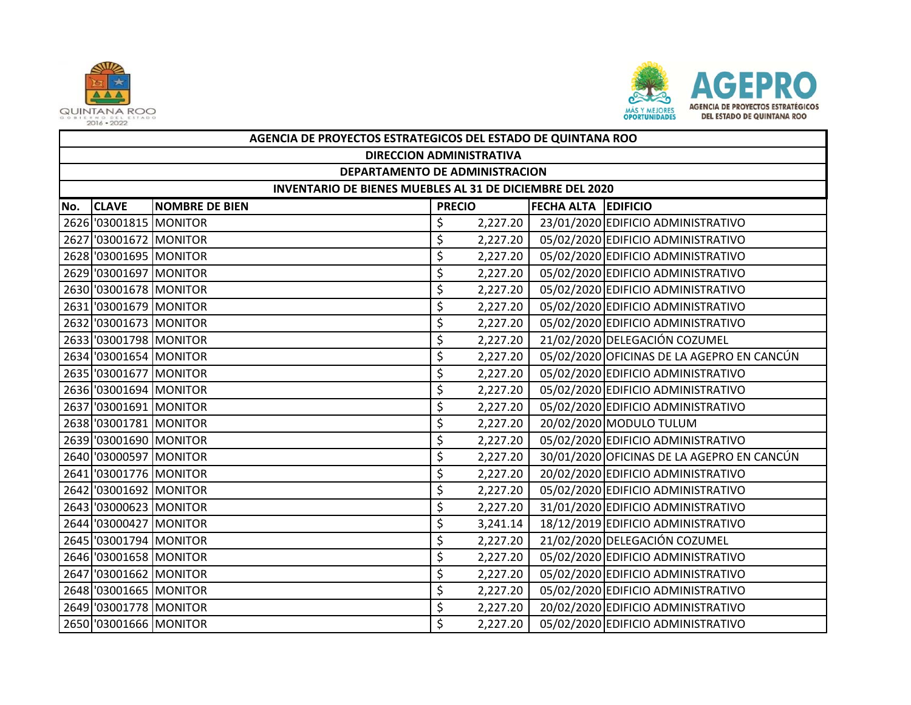



|     | AGENCIA DE PROYECTOS ESTRATEGICOS DEL ESTADO DE QUINTANA ROO    |                       |                            |          |  |                                            |  |  |  |  |
|-----|-----------------------------------------------------------------|-----------------------|----------------------------|----------|--|--------------------------------------------|--|--|--|--|
|     | <b>DIRECCION ADMINISTRATIVA</b>                                 |                       |                            |          |  |                                            |  |  |  |  |
|     | DEPARTAMENTO DE ADMINISTRACION                                  |                       |                            |          |  |                                            |  |  |  |  |
|     | <b>INVENTARIO DE BIENES MUEBLES AL 31 DE DICIEMBRE DEL 2020</b> |                       |                            |          |  |                                            |  |  |  |  |
| No. | <b>CLAVE</b>                                                    | <b>NOMBRE DE BIEN</b> | <b>FECHA ALTA EDIFICIO</b> |          |  |                                            |  |  |  |  |
|     | 2626 '03001815 MONITOR                                          |                       | \$                         | 2,227.20 |  | 23/01/2020 EDIFICIO ADMINISTRATIVO         |  |  |  |  |
|     | 2627 '03001672 MONITOR                                          |                       | \$                         | 2,227.20 |  | 05/02/2020 EDIFICIO ADMINISTRATIVO         |  |  |  |  |
|     | 2628 '03001695 MONITOR                                          |                       | \$                         | 2,227.20 |  | 05/02/2020 EDIFICIO ADMINISTRATIVO         |  |  |  |  |
|     | 2629 '03001697 MONITOR                                          |                       | \$                         | 2,227.20 |  | 05/02/2020 EDIFICIO ADMINISTRATIVO         |  |  |  |  |
|     | 2630 '03001678 MONITOR                                          |                       | \$                         | 2,227.20 |  | 05/02/2020 EDIFICIO ADMINISTRATIVO         |  |  |  |  |
|     | 2631 '03001679 MONITOR                                          |                       | \$                         | 2,227.20 |  | 05/02/2020 EDIFICIO ADMINISTRATIVO         |  |  |  |  |
|     | 2632 '03001673 MONITOR                                          |                       | \$                         | 2,227.20 |  | 05/02/2020 EDIFICIO ADMINISTRATIVO         |  |  |  |  |
|     | 2633 '03001798 MONITOR                                          |                       | \$                         | 2,227.20 |  | 21/02/2020 DELEGACIÓN COZUMEL              |  |  |  |  |
|     | 2634 '03001654 MONITOR                                          |                       | \$                         | 2,227.20 |  | 05/02/2020 OFICINAS DE LA AGEPRO EN CANCÚN |  |  |  |  |
|     | 2635 '03001677 MONITOR                                          |                       | \$                         | 2,227.20 |  | 05/02/2020 EDIFICIO ADMINISTRATIVO         |  |  |  |  |
|     | 2636 '03001694 MONITOR                                          |                       | \$                         | 2,227.20 |  | 05/02/2020 EDIFICIO ADMINISTRATIVO         |  |  |  |  |
|     | 2637 '03001691 MONITOR                                          |                       | \$                         | 2,227.20 |  | 05/02/2020 EDIFICIO ADMINISTRATIVO         |  |  |  |  |
|     | 2638 '03001781 MONITOR                                          |                       | \$                         | 2,227.20 |  | 20/02/2020 MODULO TULUM                    |  |  |  |  |
|     | 2639 '03001690 MONITOR                                          |                       | \$                         | 2,227.20 |  | 05/02/2020 EDIFICIO ADMINISTRATIVO         |  |  |  |  |
|     | 2640 '03000597 MONITOR                                          |                       | \$                         | 2,227.20 |  | 30/01/2020 OFICINAS DE LA AGEPRO EN CANCÚN |  |  |  |  |
|     | 2641 '03001776 MONITOR                                          |                       | \$                         | 2,227.20 |  | 20/02/2020 EDIFICIO ADMINISTRATIVO         |  |  |  |  |
|     | 2642 '03001692 MONITOR                                          |                       | \$                         | 2,227.20 |  | 05/02/2020 EDIFICIO ADMINISTRATIVO         |  |  |  |  |
|     | 2643 '03000623 MONITOR                                          |                       | \$                         | 2,227.20 |  | 31/01/2020 EDIFICIO ADMINISTRATIVO         |  |  |  |  |
|     | 2644 '03000427 MONITOR                                          |                       | \$                         | 3,241.14 |  | 18/12/2019 EDIFICIO ADMINISTRATIVO         |  |  |  |  |
|     | 2645 '03001794 MONITOR                                          |                       | \$                         | 2,227.20 |  | 21/02/2020 DELEGACIÓN COZUMEL              |  |  |  |  |
|     | 2646 '03001658 MONITOR                                          |                       | \$                         | 2,227.20 |  | 05/02/2020 EDIFICIO ADMINISTRATIVO         |  |  |  |  |
|     | 2647 '03001662 MONITOR                                          |                       | \$                         | 2,227.20 |  | 05/02/2020 EDIFICIO ADMINISTRATIVO         |  |  |  |  |
|     | 2648 '03001665 MONITOR                                          |                       | \$                         | 2,227.20 |  | 05/02/2020 EDIFICIO ADMINISTRATIVO         |  |  |  |  |
|     | 2649 '03001778 MONITOR                                          |                       | \$                         | 2,227.20 |  | 20/02/2020 EDIFICIO ADMINISTRATIVO         |  |  |  |  |
|     | 2650 '03001666 MONITOR                                          |                       | \$                         | 2,227.20 |  | 05/02/2020 EDIFICIO ADMINISTRATIVO         |  |  |  |  |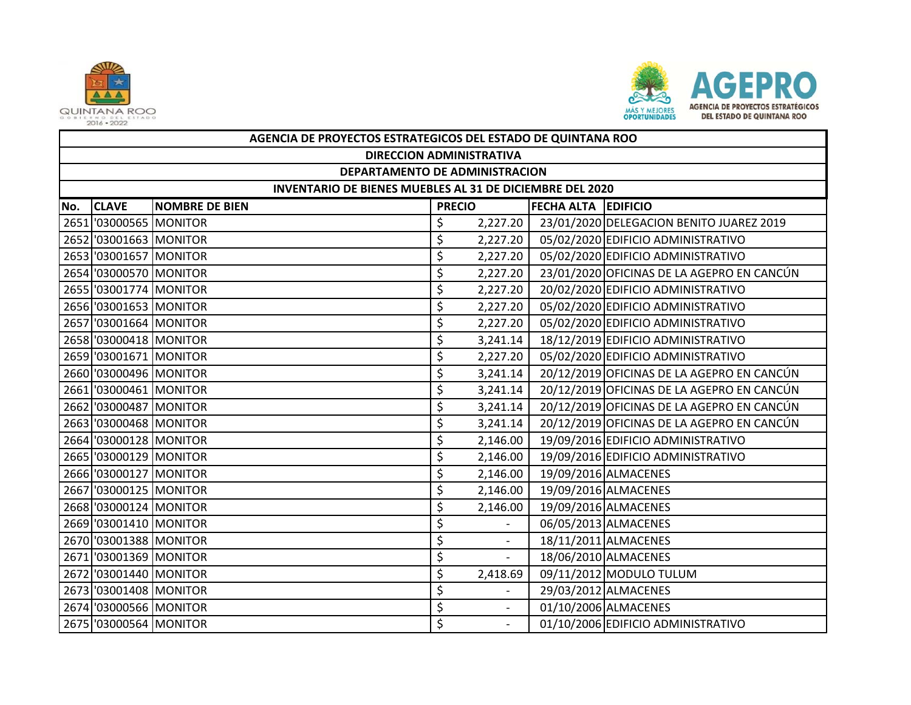



|     | AGENCIA DE PROYECTOS ESTRATEGICOS DEL ESTADO DE QUINTANA ROO |                       |                            |                |  |                                            |  |  |  |
|-----|--------------------------------------------------------------|-----------------------|----------------------------|----------------|--|--------------------------------------------|--|--|--|
|     | <b>DIRECCION ADMINISTRATIVA</b>                              |                       |                            |                |  |                                            |  |  |  |
|     | DEPARTAMENTO DE ADMINISTRACION                               |                       |                            |                |  |                                            |  |  |  |
|     | INVENTARIO DE BIENES MUEBLES AL 31 DE DICIEMBRE DEL 2020     |                       |                            |                |  |                                            |  |  |  |
| No. | <b>CLAVE</b>                                                 | <b>NOMBRE DE BIEN</b> | <b>FECHA ALTA EDIFICIO</b> |                |  |                                            |  |  |  |
|     | 2651 '03000565 MONITOR                                       |                       | \$                         | 2,227.20       |  | 23/01/2020 DELEGACION BENITO JUAREZ 2019   |  |  |  |
|     | 2652 '03001663 MONITOR                                       |                       | \$                         | 2,227.20       |  | 05/02/2020 EDIFICIO ADMINISTRATIVO         |  |  |  |
|     | 2653 '03001657 MONITOR                                       |                       | \$                         | 2,227.20       |  | 05/02/2020 EDIFICIO ADMINISTRATIVO         |  |  |  |
|     | 2654 '03000570 MONITOR                                       |                       | \$                         | 2,227.20       |  | 23/01/2020 OFICINAS DE LA AGEPRO EN CANCÚN |  |  |  |
|     | 2655 '03001774 MONITOR                                       |                       | \$                         | 2,227.20       |  | 20/02/2020 EDIFICIO ADMINISTRATIVO         |  |  |  |
|     | 2656 '03001653 MONITOR                                       |                       | \$                         | 2,227.20       |  | 05/02/2020 EDIFICIO ADMINISTRATIVO         |  |  |  |
|     | 2657 '03001664 MONITOR                                       |                       | \$                         | 2,227.20       |  | 05/02/2020 EDIFICIO ADMINISTRATIVO         |  |  |  |
|     | 2658 '03000418 MONITOR                                       |                       | \$                         | 3,241.14       |  | 18/12/2019 EDIFICIO ADMINISTRATIVO         |  |  |  |
|     | 2659 '03001671 MONITOR                                       |                       | \$                         | 2,227.20       |  | 05/02/2020 EDIFICIO ADMINISTRATIVO         |  |  |  |
|     | 2660 '03000496 MONITOR                                       |                       | \$                         | 3,241.14       |  | 20/12/2019 OFICINAS DE LA AGEPRO EN CANCÚN |  |  |  |
|     | 2661 '03000461 MONITOR                                       |                       | \$                         | 3,241.14       |  | 20/12/2019 OFICINAS DE LA AGEPRO EN CANCÚN |  |  |  |
|     | 2662 '03000487 MONITOR                                       |                       | \$                         | 3,241.14       |  | 20/12/2019 OFICINAS DE LA AGEPRO EN CANCÚN |  |  |  |
|     | 2663 '03000468 MONITOR                                       |                       | \$                         | 3,241.14       |  | 20/12/2019 OFICINAS DE LA AGEPRO EN CANCÚN |  |  |  |
|     | 2664 '03000128 MONITOR                                       |                       | \$                         | 2,146.00       |  | 19/09/2016 EDIFICIO ADMINISTRATIVO         |  |  |  |
|     | 2665 '03000129 MONITOR                                       |                       | \$                         | 2,146.00       |  | 19/09/2016 EDIFICIO ADMINISTRATIVO         |  |  |  |
|     | 2666 '03000127 MONITOR                                       |                       | \$                         | 2,146.00       |  | 19/09/2016 ALMACENES                       |  |  |  |
|     | 2667 '03000125 MONITOR                                       |                       | \$                         | 2,146.00       |  | 19/09/2016 ALMACENES                       |  |  |  |
|     | 2668 '03000124 MONITOR                                       |                       | \$                         | 2,146.00       |  | 19/09/2016 ALMACENES                       |  |  |  |
|     | 2669 '03001410 MONITOR                                       |                       | \$                         |                |  | 06/05/2013 ALMACENES                       |  |  |  |
|     | 2670 '03001388 MONITOR                                       |                       | \$                         | $\overline{a}$ |  | 18/11/2011 ALMACENES                       |  |  |  |
|     | 2671 '03001369 MONITOR                                       |                       | \$                         |                |  | 18/06/2010 ALMACENES                       |  |  |  |
|     | 2672 '03001440 MONITOR                                       |                       | \$                         | 2,418.69       |  | 09/11/2012 MODULO TULUM                    |  |  |  |
|     | 2673 '03001408 MONITOR                                       |                       | \$                         |                |  | 29/03/2012 ALMACENES                       |  |  |  |
|     | 2674 '03000566 MONITOR                                       |                       | \$                         |                |  | 01/10/2006 ALMACENES                       |  |  |  |
|     | 2675 '03000564 MONITOR                                       |                       | \$                         |                |  | 01/10/2006 EDIFICIO ADMINISTRATIVO         |  |  |  |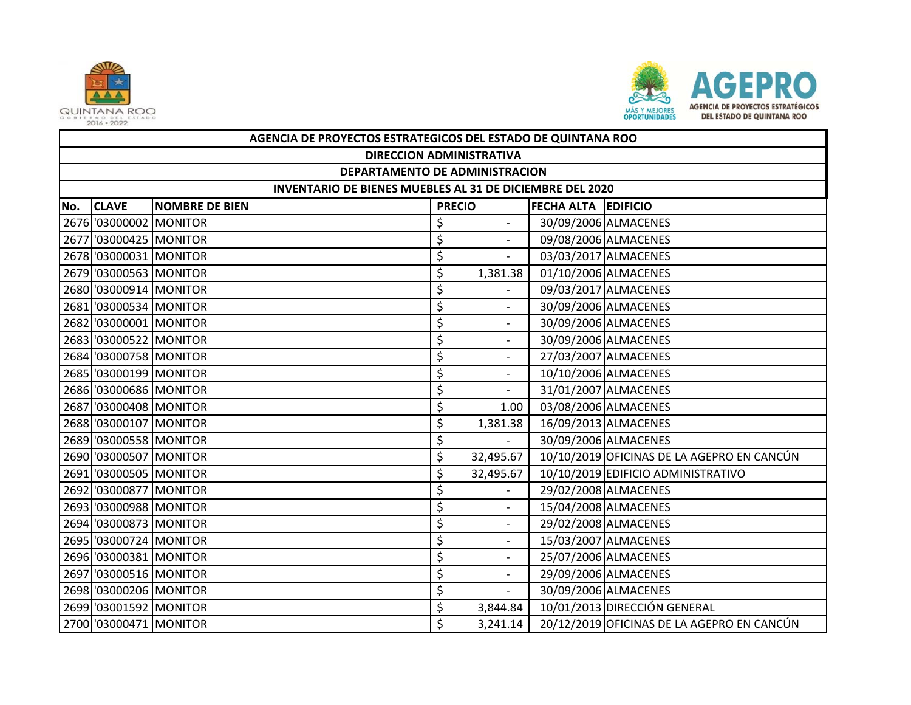



|     | AGENCIA DE PROYECTOS ESTRATEGICOS DEL ESTADO DE QUINTANA ROO |                       |               |                          |                     |                                            |  |  |  |
|-----|--------------------------------------------------------------|-----------------------|---------------|--------------------------|---------------------|--------------------------------------------|--|--|--|
|     | <b>DIRECCION ADMINISTRATIVA</b>                              |                       |               |                          |                     |                                            |  |  |  |
|     | DEPARTAMENTO DE ADMINISTRACION                               |                       |               |                          |                     |                                            |  |  |  |
|     | INVENTARIO DE BIENES MUEBLES AL 31 DE DICIEMBRE DEL 2020     |                       |               |                          |                     |                                            |  |  |  |
| No. | <b>CLAVE</b>                                                 | <b>NOMBRE DE BIEN</b> | <b>PRECIO</b> |                          | FECHA ALTA EDIFICIO |                                            |  |  |  |
|     | 2676 '03000002 MONITOR                                       |                       | \$            |                          |                     | 30/09/2006 ALMACENES                       |  |  |  |
|     | 2677 '03000425 MONITOR                                       |                       | \$            | $\sim$                   |                     | 09/08/2006 ALMACENES                       |  |  |  |
|     | 2678 '03000031 MONITOR                                       |                       | \$            | $\overline{\phantom{a}}$ |                     | 03/03/2017 ALMACENES                       |  |  |  |
|     | 2679 '03000563 MONITOR                                       |                       | \$            | 1,381.38                 |                     | 01/10/2006 ALMACENES                       |  |  |  |
|     | 2680 '03000914 MONITOR                                       |                       | \$            |                          |                     | 09/03/2017 ALMACENES                       |  |  |  |
|     | 2681 '03000534 MONITOR                                       |                       | \$            | $\sim$                   |                     | 30/09/2006 ALMACENES                       |  |  |  |
|     | 2682 '03000001 MONITOR                                       |                       | \$            |                          |                     | 30/09/2006 ALMACENES                       |  |  |  |
|     | 2683 '03000522 MONITOR                                       |                       | \$            | $\sim$                   |                     | 30/09/2006 ALMACENES                       |  |  |  |
|     | 2684 '03000758 MONITOR                                       |                       | \$            |                          |                     | 27/03/2007 ALMACENES                       |  |  |  |
|     | 2685 '03000199 MONITOR                                       |                       | \$            | $\blacksquare$           |                     | 10/10/2006 ALMACENES                       |  |  |  |
|     | 2686 '03000686 MONITOR                                       |                       | \$            |                          |                     | 31/01/2007 ALMACENES                       |  |  |  |
|     | 2687 '03000408 MONITOR                                       |                       | \$            | 1.00                     |                     | 03/08/2006 ALMACENES                       |  |  |  |
|     | 2688 '03000107 MONITOR                                       |                       | \$            | 1,381.38                 |                     | 16/09/2013 ALMACENES                       |  |  |  |
|     | 2689 '03000558 MONITOR                                       |                       | \$            | $\sim$                   |                     | 30/09/2006 ALMACENES                       |  |  |  |
|     | 2690 '03000507 MONITOR                                       |                       | \$            | 32,495.67                |                     | 10/10/2019 OFICINAS DE LA AGEPRO EN CANCÚN |  |  |  |
|     | 2691 '03000505 MONITOR                                       |                       | \$            | 32,495.67                |                     | 10/10/2019 EDIFICIO ADMINISTRATIVO         |  |  |  |
|     | 2692 '03000877 MONITOR                                       |                       | \$            |                          |                     | 29/02/2008 ALMACENES                       |  |  |  |
|     | 2693 '03000988 MONITOR                                       |                       | \$            | $\sim$                   |                     | 15/04/2008 ALMACENES                       |  |  |  |
|     | 2694 '03000873 MONITOR                                       |                       | \$            |                          |                     | 29/02/2008 ALMACENES                       |  |  |  |
|     | 2695 '03000724 MONITOR                                       |                       | \$            | $\overline{\phantom{a}}$ |                     | 15/03/2007 ALMACENES                       |  |  |  |
|     | 2696 '03000381 MONITOR                                       |                       | \$            |                          |                     | 25/07/2006 ALMACENES                       |  |  |  |
|     | 2697 '03000516 MONITOR                                       |                       | \$            | $\sim$                   |                     | 29/09/2006 ALMACENES                       |  |  |  |
|     | 2698 '03000206 MONITOR                                       |                       | \$            |                          |                     | 30/09/2006 ALMACENES                       |  |  |  |
|     | 2699 '03001592 MONITOR                                       |                       | \$            | 3,844.84                 |                     | 10/01/2013 DIRECCIÓN GENERAL               |  |  |  |
|     | 2700 '03000471 MONITOR                                       |                       | Ś             | 3,241.14                 |                     | 20/12/2019 OFICINAS DE LA AGEPRO EN CANCÚN |  |  |  |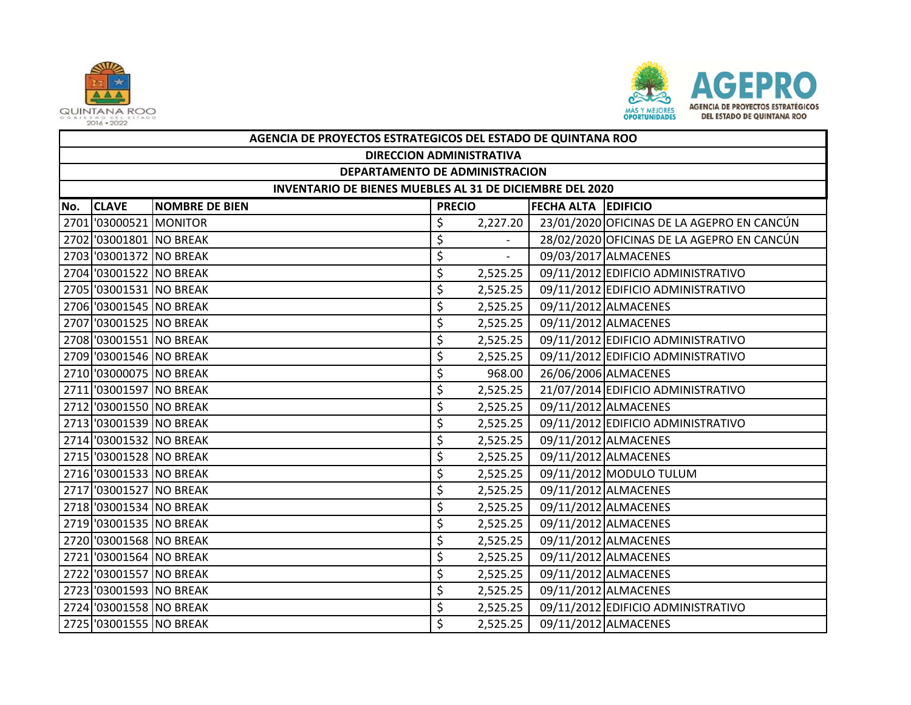



|     | AGENCIA DE PROYECTOS ESTRATEGICOS DEL ESTADO DE QUINTANA ROO    |                       |               |          |  |                                            |  |  |  |  |
|-----|-----------------------------------------------------------------|-----------------------|---------------|----------|--|--------------------------------------------|--|--|--|--|
|     | <b>DIRECCION ADMINISTRATIVA</b>                                 |                       |               |          |  |                                            |  |  |  |  |
|     | DEPARTAMENTO DE ADMINISTRACION                                  |                       |               |          |  |                                            |  |  |  |  |
|     | <b>INVENTARIO DE BIENES MUEBLES AL 31 DE DICIEMBRE DEL 2020</b> |                       |               |          |  |                                            |  |  |  |  |
| No. | <b>CLAVE</b>                                                    | <b>NOMBRE DE BIEN</b> | <b>PRECIO</b> |          |  | <b>FECHA ALTA EDIFICIO</b>                 |  |  |  |  |
|     | 2701 '03000521 MONITOR                                          |                       | \$            | 2,227.20 |  | 23/01/2020 OFICINAS DE LA AGEPRO EN CANCÚN |  |  |  |  |
|     | 2702 '03001801 NO BREAK                                         |                       | \$            |          |  | 28/02/2020 OFICINAS DE LA AGEPRO EN CANCÚN |  |  |  |  |
|     | 2703 '03001372 NO BREAK                                         |                       | \$            |          |  | 09/03/2017 ALMACENES                       |  |  |  |  |
|     | 2704 '03001522 NO BREAK                                         |                       | \$            | 2,525.25 |  | 09/11/2012 EDIFICIO ADMINISTRATIVO         |  |  |  |  |
|     | 2705 '03001531 NO BREAK                                         |                       | \$            | 2,525.25 |  | 09/11/2012 EDIFICIO ADMINISTRATIVO         |  |  |  |  |
|     | 2706 '03001545 NO BREAK                                         |                       | \$            | 2,525.25 |  | 09/11/2012 ALMACENES                       |  |  |  |  |
|     | 2707 '03001525 NO BREAK                                         |                       | \$            | 2,525.25 |  | 09/11/2012 ALMACENES                       |  |  |  |  |
|     | 2708 '03001551 NO BREAK                                         |                       | \$            | 2,525.25 |  | 09/11/2012 EDIFICIO ADMINISTRATIVO         |  |  |  |  |
|     | 2709 '03001546 NO BREAK                                         |                       | \$            | 2,525.25 |  | 09/11/2012 EDIFICIO ADMINISTRATIVO         |  |  |  |  |
|     | 2710 '03000075 NO BREAK                                         |                       | \$            | 968.00   |  | 26/06/2006 ALMACENES                       |  |  |  |  |
|     | 2711 '03001597 NO BREAK                                         |                       | \$            | 2,525.25 |  | 21/07/2014 EDIFICIO ADMINISTRATIVO         |  |  |  |  |
|     | 2712 '03001550 NO BREAK                                         |                       | \$            | 2,525.25 |  | 09/11/2012 ALMACENES                       |  |  |  |  |
|     | 2713 '03001539 NO BREAK                                         |                       | \$            | 2,525.25 |  | 09/11/2012 EDIFICIO ADMINISTRATIVO         |  |  |  |  |
|     | 2714 '03001532 NO BREAK                                         |                       | \$            | 2,525.25 |  | 09/11/2012 ALMACENES                       |  |  |  |  |
|     | 2715 '03001528 NO BREAK                                         |                       | \$            | 2,525.25 |  | 09/11/2012 ALMACENES                       |  |  |  |  |
|     | 2716 '03001533 NO BREAK                                         |                       | \$            | 2,525.25 |  | 09/11/2012 MODULO TULUM                    |  |  |  |  |
|     | 2717 '03001527 NO BREAK                                         |                       | \$            | 2,525.25 |  | 09/11/2012 ALMACENES                       |  |  |  |  |
|     | 2718 '03001534 NO BREAK                                         |                       | \$            | 2,525.25 |  | 09/11/2012 ALMACENES                       |  |  |  |  |
|     | 2719 '03001535 NO BREAK                                         |                       | \$            | 2,525.25 |  | 09/11/2012 ALMACENES                       |  |  |  |  |
|     | 2720 '03001568 NO BREAK                                         |                       | \$            | 2,525.25 |  | 09/11/2012 ALMACENES                       |  |  |  |  |
|     | 2721 '03001564 NO BREAK                                         |                       | \$            | 2,525.25 |  | 09/11/2012 ALMACENES                       |  |  |  |  |
|     | 2722 '03001557 NO BREAK                                         |                       | \$            | 2,525.25 |  | 09/11/2012 ALMACENES                       |  |  |  |  |
|     | 2723 '03001593 NO BREAK                                         |                       | \$            | 2,525.25 |  | 09/11/2012 ALMACENES                       |  |  |  |  |
|     | 2724 '03001558 NO BREAK                                         |                       | \$            | 2,525.25 |  | 09/11/2012 EDIFICIO ADMINISTRATIVO         |  |  |  |  |
|     | 2725 '03001555 NO BREAK                                         |                       | \$            | 2,525.25 |  | 09/11/2012 ALMACENES                       |  |  |  |  |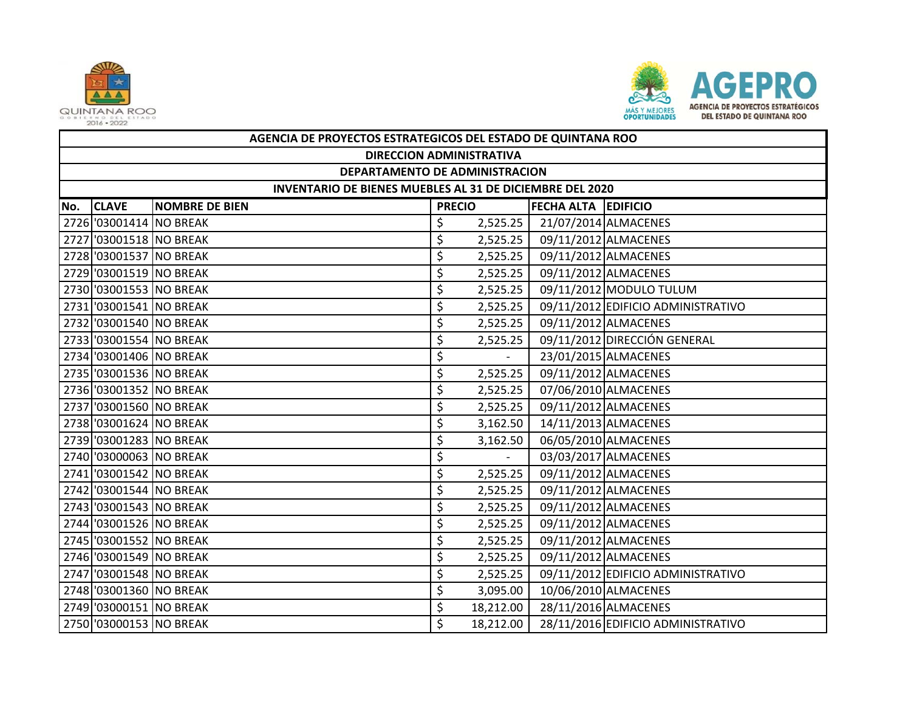



|     | AGENCIA DE PROYECTOS ESTRATEGICOS DEL ESTADO DE QUINTANA ROO |                       |               |           |                            |                                    |  |  |  |
|-----|--------------------------------------------------------------|-----------------------|---------------|-----------|----------------------------|------------------------------------|--|--|--|
|     | <b>DIRECCION ADMINISTRATIVA</b>                              |                       |               |           |                            |                                    |  |  |  |
|     | DEPARTAMENTO DE ADMINISTRACION                               |                       |               |           |                            |                                    |  |  |  |
|     | INVENTARIO DE BIENES MUEBLES AL 31 DE DICIEMBRE DEL 2020     |                       |               |           |                            |                                    |  |  |  |
| No. | <b>CLAVE</b>                                                 | <b>NOMBRE DE BIEN</b> | <b>PRECIO</b> |           | <b>FECHA ALTA EDIFICIO</b> |                                    |  |  |  |
|     | 2726 '03001414 NO BREAK                                      |                       | \$            | 2,525.25  |                            | 21/07/2014 ALMACENES               |  |  |  |
|     | 2727 '03001518 NO BREAK                                      |                       | \$            | 2,525.25  |                            | 09/11/2012 ALMACENES               |  |  |  |
|     | 2728 '03001537 NO BREAK                                      |                       | \$            | 2,525.25  |                            | 09/11/2012 ALMACENES               |  |  |  |
|     | 2729 '03001519 NO BREAK                                      |                       | \$            | 2,525.25  |                            | 09/11/2012 ALMACENES               |  |  |  |
|     | 2730 '03001553 NO BREAK                                      |                       | \$            | 2,525.25  |                            | 09/11/2012 MODULO TULUM            |  |  |  |
|     | 2731 '03001541 NO BREAK                                      |                       | \$            | 2,525.25  |                            | 09/11/2012 EDIFICIO ADMINISTRATIVO |  |  |  |
|     | 2732 '03001540 NO BREAK                                      |                       | \$            | 2,525.25  |                            | 09/11/2012 ALMACENES               |  |  |  |
|     | 2733 '03001554 NO BREAK                                      |                       | \$            | 2,525.25  |                            | 09/11/2012 DIRECCIÓN GENERAL       |  |  |  |
|     | 2734 '03001406 NO BREAK                                      |                       | \$            |           |                            | 23/01/2015 ALMACENES               |  |  |  |
|     | 2735 '03001536 NO BREAK                                      |                       | \$            | 2,525.25  |                            | 09/11/2012 ALMACENES               |  |  |  |
|     | 2736 '03001352 NO BREAK                                      |                       | \$            | 2,525.25  |                            | 07/06/2010 ALMACENES               |  |  |  |
|     | 2737 '03001560 NO BREAK                                      |                       | \$            | 2,525.25  |                            | 09/11/2012 ALMACENES               |  |  |  |
|     | 2738 '03001624 NO BREAK                                      |                       | \$            | 3,162.50  |                            | 14/11/2013 ALMACENES               |  |  |  |
|     | 2739 '03001283 NO BREAK                                      |                       | \$            | 3,162.50  |                            | 06/05/2010 ALMACENES               |  |  |  |
|     | 2740 '03000063 NO BREAK                                      |                       | \$            |           |                            | 03/03/2017 ALMACENES               |  |  |  |
|     | 2741 '03001542 NO BREAK                                      |                       | \$            | 2,525.25  |                            | 09/11/2012 ALMACENES               |  |  |  |
|     | 2742 '03001544 NO BREAK                                      |                       | \$            | 2,525.25  |                            | 09/11/2012 ALMACENES               |  |  |  |
|     | 2743 '03001543 NO BREAK                                      |                       | \$            | 2,525.25  |                            | 09/11/2012 ALMACENES               |  |  |  |
|     | 2744 '03001526 NO BREAK                                      |                       | \$            | 2,525.25  |                            | 09/11/2012 ALMACENES               |  |  |  |
|     | 2745 '03001552 NO BREAK                                      |                       | \$            | 2,525.25  |                            | 09/11/2012 ALMACENES               |  |  |  |
|     | 2746 '03001549 NO BREAK                                      |                       | \$            | 2,525.25  |                            | 09/11/2012 ALMACENES               |  |  |  |
|     | 2747 '03001548 NO BREAK                                      |                       | \$            | 2,525.25  |                            | 09/11/2012 EDIFICIO ADMINISTRATIVO |  |  |  |
|     | 2748 '03001360 NO BREAK                                      |                       | \$            | 3,095.00  |                            | 10/06/2010 ALMACENES               |  |  |  |
|     | 2749 '03000151 NO BREAK                                      |                       | \$            | 18,212.00 |                            | 28/11/2016 ALMACENES               |  |  |  |
|     | 2750 '03000153 NO BREAK                                      |                       | \$            | 18,212.00 |                            | 28/11/2016 EDIFICIO ADMINISTRATIVO |  |  |  |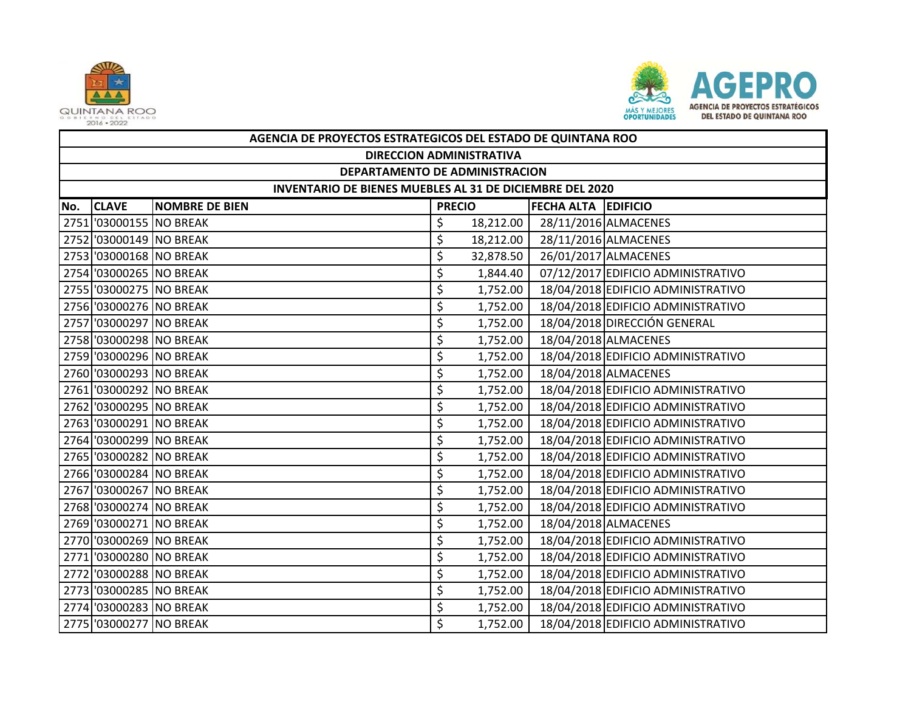



|     | AGENCIA DE PROYECTOS ESTRATEGICOS DEL ESTADO DE QUINTANA ROO |                       |               |           |                            |                                    |  |  |  |  |
|-----|--------------------------------------------------------------|-----------------------|---------------|-----------|----------------------------|------------------------------------|--|--|--|--|
|     | <b>DIRECCION ADMINISTRATIVA</b>                              |                       |               |           |                            |                                    |  |  |  |  |
|     | DEPARTAMENTO DE ADMINISTRACION                               |                       |               |           |                            |                                    |  |  |  |  |
|     | INVENTARIO DE BIENES MUEBLES AL 31 DE DICIEMBRE DEL 2020     |                       |               |           |                            |                                    |  |  |  |  |
| No. | <b>CLAVE</b>                                                 | <b>NOMBRE DE BIEN</b> | <b>PRECIO</b> |           | <b>FECHA ALTA EDIFICIO</b> |                                    |  |  |  |  |
|     | 2751 '03000155 NO BREAK                                      |                       | \$            | 18,212.00 |                            | 28/11/2016 ALMACENES               |  |  |  |  |
|     | 2752 '03000149 NO BREAK                                      |                       | \$            | 18,212.00 |                            | 28/11/2016 ALMACENES               |  |  |  |  |
|     | 2753 '03000168 NO BREAK                                      |                       | \$            | 32,878.50 |                            | 26/01/2017 ALMACENES               |  |  |  |  |
|     | 2754 '03000265 NO BREAK                                      |                       | \$            | 1,844.40  |                            | 07/12/2017 EDIFICIO ADMINISTRATIVO |  |  |  |  |
|     | 2755 '03000275 NO BREAK                                      |                       | \$            | 1,752.00  |                            | 18/04/2018 EDIFICIO ADMINISTRATIVO |  |  |  |  |
|     | 2756 '03000276 NO BREAK                                      |                       | \$            | 1,752.00  |                            | 18/04/2018 EDIFICIO ADMINISTRATIVO |  |  |  |  |
|     | 2757 '03000297 NO BREAK                                      |                       | \$            | 1,752.00  |                            | 18/04/2018 DIRECCIÓN GENERAL       |  |  |  |  |
|     | 2758 '03000298 NO BREAK                                      |                       | \$            | 1,752.00  |                            | 18/04/2018 ALMACENES               |  |  |  |  |
|     | 2759 '03000296 NO BREAK                                      |                       | \$            | 1,752.00  |                            | 18/04/2018 EDIFICIO ADMINISTRATIVO |  |  |  |  |
|     | 2760 '03000293 NO BREAK                                      |                       | \$            | 1,752.00  |                            | 18/04/2018 ALMACENES               |  |  |  |  |
|     | 2761 '03000292 NO BREAK                                      |                       | \$            | 1,752.00  |                            | 18/04/2018 EDIFICIO ADMINISTRATIVO |  |  |  |  |
|     | 2762 '03000295 NO BREAK                                      |                       | \$            | 1,752.00  |                            | 18/04/2018 EDIFICIO ADMINISTRATIVO |  |  |  |  |
|     | 2763 '03000291 NO BREAK                                      |                       | \$            | 1,752.00  |                            | 18/04/2018 EDIFICIO ADMINISTRATIVO |  |  |  |  |
|     | 2764 '03000299 NO BREAK                                      |                       | \$            | 1,752.00  |                            | 18/04/2018 EDIFICIO ADMINISTRATIVO |  |  |  |  |
|     | 2765 '03000282 NO BREAK                                      |                       | \$            | 1,752.00  |                            | 18/04/2018 EDIFICIO ADMINISTRATIVO |  |  |  |  |
|     | 2766 '03000284 NO BREAK                                      |                       | \$            | 1,752.00  |                            | 18/04/2018 EDIFICIO ADMINISTRATIVO |  |  |  |  |
|     | 2767 '03000267 NO BREAK                                      |                       | \$            | 1,752.00  |                            | 18/04/2018 EDIFICIO ADMINISTRATIVO |  |  |  |  |
|     | 2768 '03000274 NO BREAK                                      |                       | \$            | 1,752.00  |                            | 18/04/2018 EDIFICIO ADMINISTRATIVO |  |  |  |  |
|     | 2769 '03000271 NO BREAK                                      |                       | \$            | 1,752.00  |                            | 18/04/2018 ALMACENES               |  |  |  |  |
|     | 2770 '03000269 NO BREAK                                      |                       | \$            | 1,752.00  |                            | 18/04/2018 EDIFICIO ADMINISTRATIVO |  |  |  |  |
|     | 2771 '03000280 NO BREAK                                      |                       | \$            | 1,752.00  |                            | 18/04/2018 EDIFICIO ADMINISTRATIVO |  |  |  |  |
|     | 2772 '03000288 NO BREAK                                      |                       | \$            | 1,752.00  |                            | 18/04/2018 EDIFICIO ADMINISTRATIVO |  |  |  |  |
|     | 2773 '03000285 NO BREAK                                      |                       | \$            | 1,752.00  |                            | 18/04/2018 EDIFICIO ADMINISTRATIVO |  |  |  |  |
|     | 2774 '03000283 NO BREAK                                      |                       | \$            | 1,752.00  |                            | 18/04/2018 EDIFICIO ADMINISTRATIVO |  |  |  |  |
|     | 2775 '03000277 NO BREAK                                      |                       | \$            | 1,752.00  |                            | 18/04/2018 EDIFICIO ADMINISTRATIVO |  |  |  |  |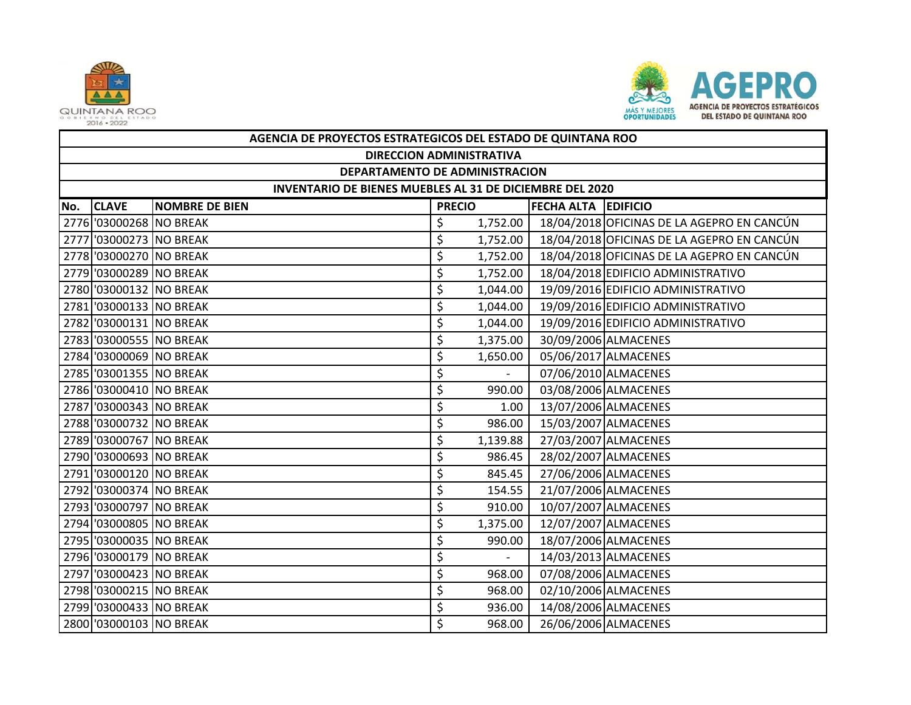



|     | AGENCIA DE PROYECTOS ESTRATEGICOS DEL ESTADO DE QUINTANA ROO |                       |                            |          |  |                                            |  |  |  |  |
|-----|--------------------------------------------------------------|-----------------------|----------------------------|----------|--|--------------------------------------------|--|--|--|--|
|     | <b>DIRECCION ADMINISTRATIVA</b>                              |                       |                            |          |  |                                            |  |  |  |  |
|     | DEPARTAMENTO DE ADMINISTRACION                               |                       |                            |          |  |                                            |  |  |  |  |
|     | INVENTARIO DE BIENES MUEBLES AL 31 DE DICIEMBRE DEL 2020     |                       |                            |          |  |                                            |  |  |  |  |
| No. | <b>CLAVE</b>                                                 | <b>NOMBRE DE BIEN</b> | <b>FECHA ALTA EDIFICIO</b> |          |  |                                            |  |  |  |  |
|     | 2776 '03000268 NO BREAK                                      |                       | \$                         | 1,752.00 |  | 18/04/2018 OFICINAS DE LA AGEPRO EN CANCÚN |  |  |  |  |
|     | 2777 '03000273 NO BREAK                                      |                       | \$                         | 1,752.00 |  | 18/04/2018 OFICINAS DE LA AGEPRO EN CANCÚN |  |  |  |  |
|     | 2778 '03000270 NO BREAK                                      |                       | \$                         | 1,752.00 |  | 18/04/2018 OFICINAS DE LA AGEPRO EN CANCÚN |  |  |  |  |
|     | 2779 '03000289 NO BREAK                                      |                       | \$                         | 1,752.00 |  | 18/04/2018 EDIFICIO ADMINISTRATIVO         |  |  |  |  |
|     | 2780 '03000132 NO BREAK                                      |                       | \$                         | 1,044.00 |  | 19/09/2016 EDIFICIO ADMINISTRATIVO         |  |  |  |  |
|     | 2781 '03000133 NO BREAK                                      |                       | \$                         | 1,044.00 |  | 19/09/2016 EDIFICIO ADMINISTRATIVO         |  |  |  |  |
|     | 2782 '03000131 NO BREAK                                      |                       | \$                         | 1,044.00 |  | 19/09/2016 EDIFICIO ADMINISTRATIVO         |  |  |  |  |
|     | 2783 '03000555 NO BREAK                                      |                       | \$                         | 1,375.00 |  | 30/09/2006 ALMACENES                       |  |  |  |  |
|     | 2784 '03000069 NO BREAK                                      |                       | \$                         | 1,650.00 |  | 05/06/2017 ALMACENES                       |  |  |  |  |
|     | 2785 '03001355 NO BREAK                                      |                       | \$                         | $\sim$   |  | 07/06/2010 ALMACENES                       |  |  |  |  |
|     | 2786 '03000410 NO BREAK                                      |                       | \$                         | 990.00   |  | 03/08/2006 ALMACENES                       |  |  |  |  |
|     | 2787 '03000343 NO BREAK                                      |                       | \$                         | 1.00     |  | 13/07/2006 ALMACENES                       |  |  |  |  |
|     | 2788 '03000732 NO BREAK                                      |                       | \$                         | 986.00   |  | 15/03/2007 ALMACENES                       |  |  |  |  |
|     | 2789 '03000767 NO BREAK                                      |                       | \$                         | 1,139.88 |  | 27/03/2007 ALMACENES                       |  |  |  |  |
|     | 2790 '03000693 NO BREAK                                      |                       | \$                         | 986.45   |  | 28/02/2007 ALMACENES                       |  |  |  |  |
|     | 2791 '03000120 NO BREAK                                      |                       | \$                         | 845.45   |  | 27/06/2006 ALMACENES                       |  |  |  |  |
|     | 2792 '03000374 NO BREAK                                      |                       | \$                         | 154.55   |  | 21/07/2006 ALMACENES                       |  |  |  |  |
|     | 2793 '03000797 NO BREAK                                      |                       | \$                         | 910.00   |  | 10/07/2007 ALMACENES                       |  |  |  |  |
|     | 2794 '03000805 NO BREAK                                      |                       | \$                         | 1,375.00 |  | 12/07/2007 ALMACENES                       |  |  |  |  |
|     | 2795 '03000035 NO BREAK                                      |                       | \$                         | 990.00   |  | 18/07/2006 ALMACENES                       |  |  |  |  |
|     | 2796 '03000179 NO BREAK                                      |                       | \$                         |          |  | 14/03/2013 ALMACENES                       |  |  |  |  |
|     | 2797 '03000423 NO BREAK                                      |                       | \$                         | 968.00   |  | 07/08/2006 ALMACENES                       |  |  |  |  |
|     | 2798 '03000215 NO BREAK                                      |                       | \$                         | 968.00   |  | 02/10/2006 ALMACENES                       |  |  |  |  |
|     | 2799 '03000433 NO BREAK                                      |                       | \$                         | 936.00   |  | 14/08/2006 ALMACENES                       |  |  |  |  |
|     | 2800 '03000103 NO BREAK                                      |                       | \$                         | 968.00   |  | 26/06/2006 ALMACENES                       |  |  |  |  |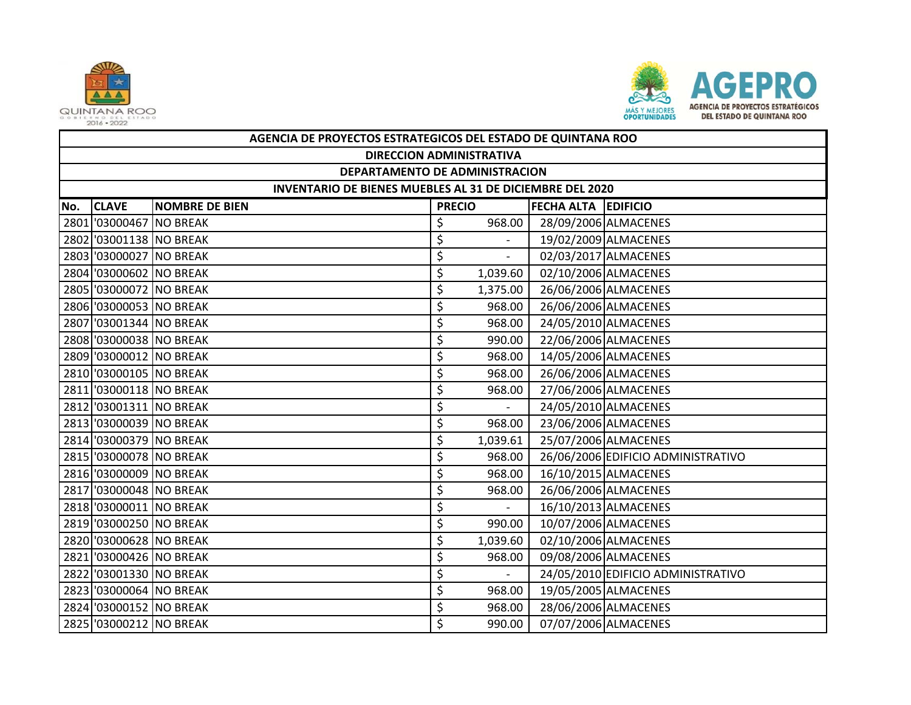



|     | AGENCIA DE PROYECTOS ESTRATEGICOS DEL ESTADO DE QUINTANA ROO |                       |               |                |                     |                                    |  |  |  |
|-----|--------------------------------------------------------------|-----------------------|---------------|----------------|---------------------|------------------------------------|--|--|--|
|     | <b>DIRECCION ADMINISTRATIVA</b>                              |                       |               |                |                     |                                    |  |  |  |
|     | DEPARTAMENTO DE ADMINISTRACION                               |                       |               |                |                     |                                    |  |  |  |
|     | INVENTARIO DE BIENES MUEBLES AL 31 DE DICIEMBRE DEL 2020     |                       |               |                |                     |                                    |  |  |  |
| No. | <b>CLAVE</b>                                                 | <b>NOMBRE DE BIEN</b> | <b>PRECIO</b> |                | FECHA ALTA EDIFICIO |                                    |  |  |  |
|     | 2801 '03000467 NO BREAK                                      |                       | \$            | 968.00         |                     | 28/09/2006 ALMACENES               |  |  |  |
|     | 2802 '03001138 NO BREAK                                      |                       | \$            |                |                     | 19/02/2009 ALMACENES               |  |  |  |
|     | 2803 '03000027 NO BREAK                                      |                       | \$            |                |                     | 02/03/2017 ALMACENES               |  |  |  |
|     | 2804 '03000602 NO BREAK                                      |                       | \$            | 1,039.60       |                     | 02/10/2006 ALMACENES               |  |  |  |
|     | 2805 '03000072 NO BREAK                                      |                       | \$            | 1,375.00       |                     | 26/06/2006 ALMACENES               |  |  |  |
|     | 2806 '03000053 NO BREAK                                      |                       | \$            | 968.00         |                     | 26/06/2006 ALMACENES               |  |  |  |
|     | 2807 '03001344 NO BREAK                                      |                       | \$            | 968.00         |                     | 24/05/2010 ALMACENES               |  |  |  |
|     | 2808 '03000038 NO BREAK                                      |                       | \$            | 990.00         |                     | 22/06/2006 ALMACENES               |  |  |  |
|     | 2809 '03000012 NO BREAK                                      |                       | \$            | 968.00         |                     | 14/05/2006 ALMACENES               |  |  |  |
|     | 2810 '03000105 NO BREAK                                      |                       | \$            | 968.00         |                     | 26/06/2006 ALMACENES               |  |  |  |
|     | 2811 '03000118 NO BREAK                                      |                       | \$            | 968.00         |                     | 27/06/2006 ALMACENES               |  |  |  |
|     | 2812 '03001311 NO BREAK                                      |                       | \$            | $\sim$         |                     | 24/05/2010 ALMACENES               |  |  |  |
|     | 2813 '03000039 NO BREAK                                      |                       | \$            | 968.00         |                     | 23/06/2006 ALMACENES               |  |  |  |
|     | 2814 '03000379 NO BREAK                                      |                       | \$            | 1,039.61       |                     | 25/07/2006 ALMACENES               |  |  |  |
|     | 2815 '03000078 NO BREAK                                      |                       | \$            | 968.00         |                     | 26/06/2006 EDIFICIO ADMINISTRATIVO |  |  |  |
|     | 2816 '03000009 NO BREAK                                      |                       | \$            | 968.00         |                     | 16/10/2015 ALMACENES               |  |  |  |
|     | 2817 '03000048 NO BREAK                                      |                       | \$            | 968.00         |                     | 26/06/2006 ALMACENES               |  |  |  |
|     | 2818 '03000011 NO BREAK                                      |                       | \$            | $\mathbf{r}$   |                     | 16/10/2013 ALMACENES               |  |  |  |
|     | 2819 '03000250 NO BREAK                                      |                       | \$            | 990.00         |                     | 10/07/2006 ALMACENES               |  |  |  |
|     | 2820 '03000628 NO BREAK                                      |                       | \$            | 1,039.60       |                     | 02/10/2006 ALMACENES               |  |  |  |
|     | 2821 '03000426 NO BREAK                                      |                       | \$            | 968.00         |                     | 09/08/2006 ALMACENES               |  |  |  |
|     | 2822 '03001330 NO BREAK                                      |                       | \$            | $\overline{a}$ |                     | 24/05/2010 EDIFICIO ADMINISTRATIVO |  |  |  |
|     | 2823 '03000064 NO BREAK                                      |                       | \$            | 968.00         |                     | 19/05/2005 ALMACENES               |  |  |  |
|     | 2824 '03000152 NO BREAK                                      |                       | \$            | 968.00         |                     | 28/06/2006 ALMACENES               |  |  |  |
|     | 2825 '03000212 NO BREAK                                      |                       | Ś             | 990.00         |                     | 07/07/2006 ALMACENES               |  |  |  |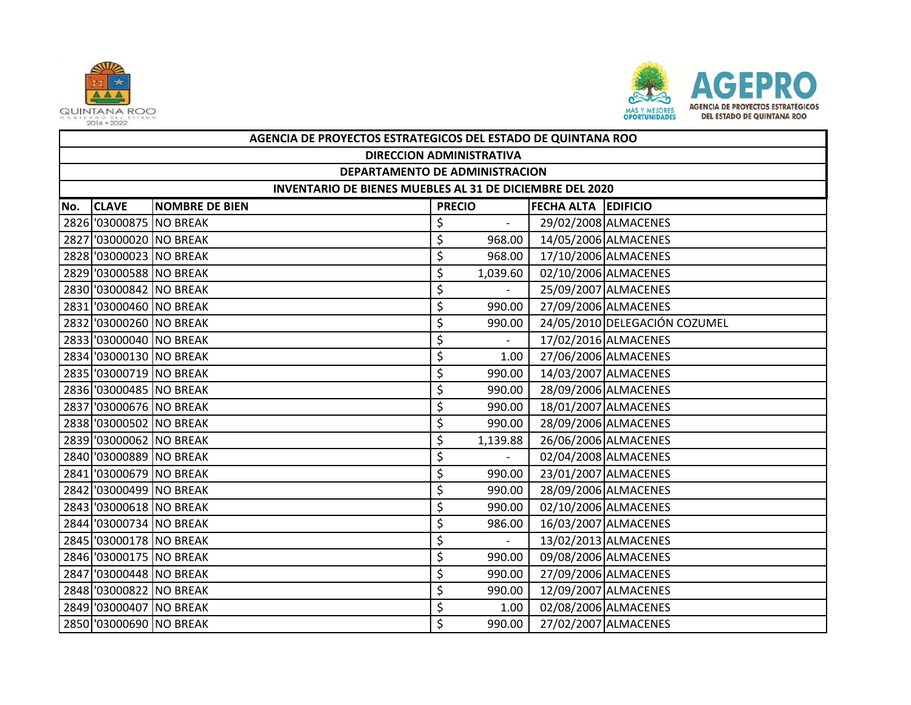



|     | AGENCIA DE PROYECTOS ESTRATEGICOS DEL ESTADO DE QUINTANA ROO |                         |                            |          |  |                               |  |  |  |
|-----|--------------------------------------------------------------|-------------------------|----------------------------|----------|--|-------------------------------|--|--|--|
|     | <b>DIRECCION ADMINISTRATIVA</b>                              |                         |                            |          |  |                               |  |  |  |
|     | DEPARTAMENTO DE ADMINISTRACION                               |                         |                            |          |  |                               |  |  |  |
|     | INVENTARIO DE BIENES MUEBLES AL 31 DE DICIEMBRE DEL 2020     |                         |                            |          |  |                               |  |  |  |
| No. | <b>CLAVE</b>                                                 | <b>NOMBRE DE BIEN</b>   | <b>FECHA ALTA EDIFICIO</b> |          |  |                               |  |  |  |
|     | 2826 '03000875 NO BREAK                                      |                         | \$                         |          |  | 29/02/2008 ALMACENES          |  |  |  |
|     | 2827 '03000020 NO BREAK                                      |                         | \$                         | 968.00   |  | 14/05/2006 ALMACENES          |  |  |  |
|     | 2828 '03000023 NO BREAK                                      |                         | \$                         | 968.00   |  | 17/10/2006 ALMACENES          |  |  |  |
|     | 2829 '03000588 NO BREAK                                      |                         | \$                         | 1,039.60 |  | 02/10/2006 ALMACENES          |  |  |  |
|     | 2830 '03000842 NO BREAK                                      |                         | \$                         |          |  | 25/09/2007 ALMACENES          |  |  |  |
|     | 2831 '03000460 NO BREAK                                      |                         | \$                         | 990.00   |  | 27/09/2006 ALMACENES          |  |  |  |
|     | 2832 '03000260 NO BREAK                                      |                         | \$                         | 990.00   |  | 24/05/2010 DELEGACIÓN COZUMEL |  |  |  |
|     | 2833 '03000040 NO BREAK                                      |                         | \$                         | $\sim$   |  | 17/02/2016 ALMACENES          |  |  |  |
|     | 2834 '03000130 NO BREAK                                      |                         | \$                         | 1.00     |  | 27/06/2006 ALMACENES          |  |  |  |
|     | 2835 '03000719 NO BREAK                                      |                         | \$                         | 990.00   |  | 14/03/2007 ALMACENES          |  |  |  |
|     | 2836 '03000485 NO BREAK                                      |                         | \$                         | 990.00   |  | 28/09/2006 ALMACENES          |  |  |  |
|     |                                                              | 2837 '03000676 NO BREAK | \$                         | 990.00   |  | 18/01/2007 ALMACENES          |  |  |  |
|     | 2838 '03000502 NO BREAK                                      |                         | \$                         | 990.00   |  | 28/09/2006 ALMACENES          |  |  |  |
|     | 2839 '03000062 NO BREAK                                      |                         | \$                         | 1,139.88 |  | 26/06/2006 ALMACENES          |  |  |  |
|     | 2840 '03000889 NO BREAK                                      |                         | \$                         |          |  | 02/04/2008 ALMACENES          |  |  |  |
|     | 2841 '03000679 NO BREAK                                      |                         | \$                         | 990.00   |  | 23/01/2007 ALMACENES          |  |  |  |
|     | 2842 '03000499 NO BREAK                                      |                         | \$                         | 990.00   |  | 28/09/2006 ALMACENES          |  |  |  |
|     | 2843 '03000618 NO BREAK                                      |                         | \$                         | 990.00   |  | 02/10/2006 ALMACENES          |  |  |  |
|     | 2844 '03000734 NO BREAK                                      |                         | \$                         | 986.00   |  | 16/03/2007 ALMACENES          |  |  |  |
|     | 2845 '03000178 NO BREAK                                      |                         | \$                         | $\sim$   |  | 13/02/2013 ALMACENES          |  |  |  |
|     | 2846 '03000175 NO BREAK                                      |                         | \$                         | 990.00   |  | 09/08/2006 ALMACENES          |  |  |  |
|     | 2847 '03000448 NO BREAK                                      |                         | \$                         | 990.00   |  | 27/09/2006 ALMACENES          |  |  |  |
|     | 2848 '03000822 NO BREAK                                      |                         | \$                         | 990.00   |  | 12/09/2007 ALMACENES          |  |  |  |
|     | 2849 '03000407 NO BREAK                                      |                         | \$                         | 1.00     |  | 02/08/2006 ALMACENES          |  |  |  |
|     | 2850 '03000690 NO BREAK                                      |                         | \$                         | 990.00   |  | 27/02/2007 ALMACENES          |  |  |  |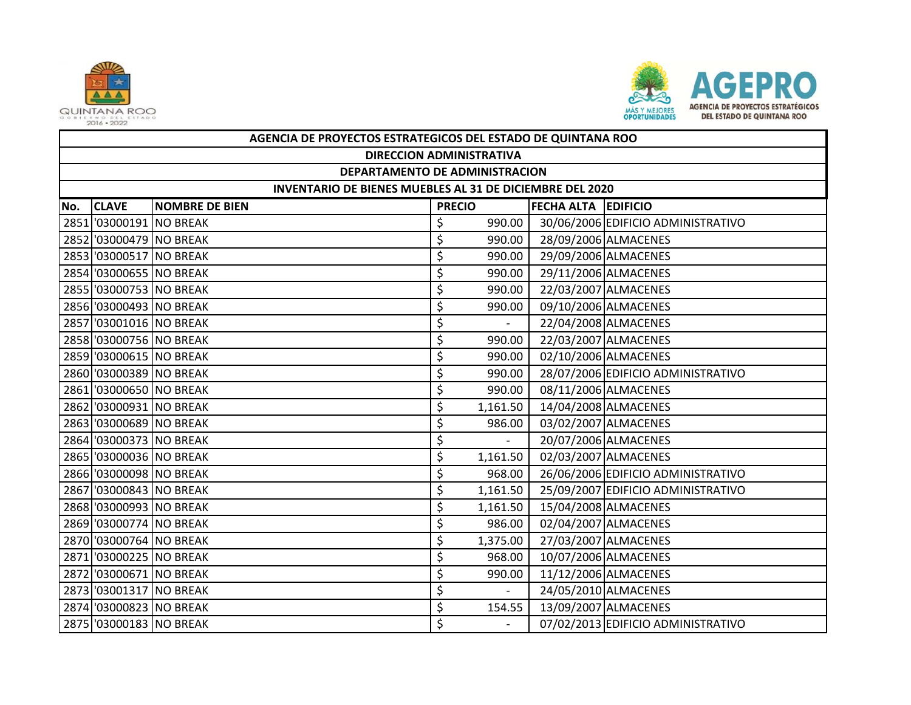



|     | AGENCIA DE PROYECTOS ESTRATEGICOS DEL ESTADO DE QUINTANA ROO    |                       |                                      |                          |  |                                    |  |  |  |
|-----|-----------------------------------------------------------------|-----------------------|--------------------------------------|--------------------------|--|------------------------------------|--|--|--|
|     | <b>DIRECCION ADMINISTRATIVA</b>                                 |                       |                                      |                          |  |                                    |  |  |  |
|     | DEPARTAMENTO DE ADMINISTRACION                                  |                       |                                      |                          |  |                                    |  |  |  |
|     | <b>INVENTARIO DE BIENES MUEBLES AL 31 DE DICIEMBRE DEL 2020</b> |                       |                                      |                          |  |                                    |  |  |  |
| No. | <b>CLAVE</b>                                                    | <b>NOMBRE DE BIEN</b> | <b>PRECIO</b><br>FECHA ALTA EDIFICIO |                          |  |                                    |  |  |  |
|     | 2851 '03000191 NO BREAK                                         |                       | \$                                   | 990.00                   |  | 30/06/2006 EDIFICIO ADMINISTRATIVO |  |  |  |
|     | 2852 '03000479 NO BREAK                                         |                       | \$                                   | 990.00                   |  | 28/09/2006 ALMACENES               |  |  |  |
|     | 2853 '03000517 NO BREAK                                         |                       | \$                                   | 990.00                   |  | 29/09/2006 ALMACENES               |  |  |  |
|     | 2854 '03000655 NO BREAK                                         |                       | \$                                   | 990.00                   |  | 29/11/2006 ALMACENES               |  |  |  |
|     | 2855 '03000753 NO BREAK                                         |                       | \$                                   | 990.00                   |  | 22/03/2007 ALMACENES               |  |  |  |
|     | 2856 '03000493 NO BREAK                                         |                       | \$                                   | 990.00                   |  | 09/10/2006 ALMACENES               |  |  |  |
|     | 2857 '03001016 NO BREAK                                         |                       | \$                                   |                          |  | 22/04/2008 ALMACENES               |  |  |  |
|     | 2858 '03000756 NO BREAK                                         |                       | \$                                   | 990.00                   |  | 22/03/2007 ALMACENES               |  |  |  |
|     | 2859 '03000615 NO BREAK                                         |                       | \$                                   | 990.00                   |  | 02/10/2006 ALMACENES               |  |  |  |
|     | 2860 '03000389 NO BREAK                                         |                       | \$                                   | 990.00                   |  | 28/07/2006 EDIFICIO ADMINISTRATIVO |  |  |  |
|     | 2861 '03000650 NO BREAK                                         |                       | \$                                   | 990.00                   |  | 08/11/2006 ALMACENES               |  |  |  |
|     | 2862 '03000931 NO BREAK                                         |                       | \$                                   | 1,161.50                 |  | 14/04/2008 ALMACENES               |  |  |  |
|     | 2863 '03000689 NO BREAK                                         |                       | \$                                   | 986.00                   |  | 03/02/2007 ALMACENES               |  |  |  |
|     | 2864 '03000373 NO BREAK                                         |                       | \$                                   | $\sim$                   |  | 20/07/2006 ALMACENES               |  |  |  |
|     | 2865 '03000036 NO BREAK                                         |                       | \$                                   | 1,161.50                 |  | 02/03/2007 ALMACENES               |  |  |  |
|     | 2866 '03000098 NO BREAK                                         |                       | \$                                   | 968.00                   |  | 26/06/2006 EDIFICIO ADMINISTRATIVO |  |  |  |
|     | 2867 '03000843 NO BREAK                                         |                       | \$                                   | 1,161.50                 |  | 25/09/2007 EDIFICIO ADMINISTRATIVO |  |  |  |
|     | 2868 '03000993 NO BREAK                                         |                       | \$                                   | 1,161.50                 |  | 15/04/2008 ALMACENES               |  |  |  |
|     | 2869 '03000774 NO BREAK                                         |                       | \$                                   | 986.00                   |  | 02/04/2007 ALMACENES               |  |  |  |
|     | 2870 '03000764 NO BREAK                                         |                       | \$                                   | 1,375.00                 |  | 27/03/2007 ALMACENES               |  |  |  |
|     | 2871 '03000225 NO BREAK                                         |                       | \$                                   | 968.00                   |  | 10/07/2006 ALMACENES               |  |  |  |
|     | 2872 '03000671 NO BREAK                                         |                       | \$                                   | 990.00                   |  | 11/12/2006 ALMACENES               |  |  |  |
|     | 2873 '03001317 NO BREAK                                         |                       | \$                                   | $\overline{\phantom{0}}$ |  | 24/05/2010 ALMACENES               |  |  |  |
|     | 2874 '03000823 NO BREAK                                         |                       | \$                                   | 154.55                   |  | 13/09/2007 ALMACENES               |  |  |  |
|     | 2875 '03000183 NO BREAK                                         |                       | \$                                   |                          |  | 07/02/2013 EDIFICIO ADMINISTRATIVO |  |  |  |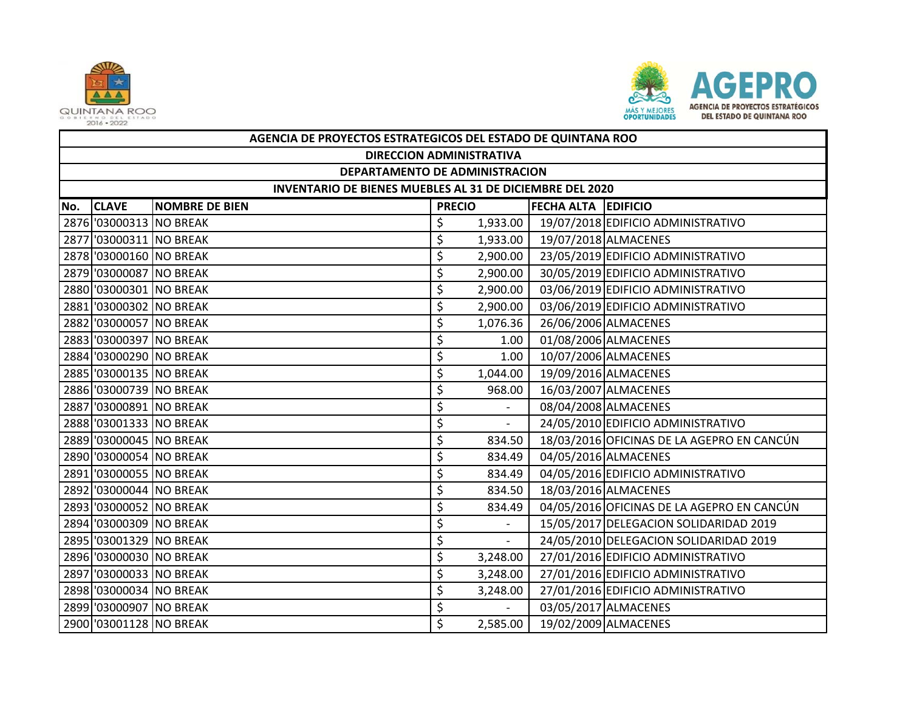



|     | AGENCIA DE PROYECTOS ESTRATEGICOS DEL ESTADO DE QUINTANA ROO |                       |               |                |                            |                                            |  |  |  |
|-----|--------------------------------------------------------------|-----------------------|---------------|----------------|----------------------------|--------------------------------------------|--|--|--|
|     | <b>DIRECCION ADMINISTRATIVA</b>                              |                       |               |                |                            |                                            |  |  |  |
|     | DEPARTAMENTO DE ADMINISTRACION                               |                       |               |                |                            |                                            |  |  |  |
|     | INVENTARIO DE BIENES MUEBLES AL 31 DE DICIEMBRE DEL 2020     |                       |               |                |                            |                                            |  |  |  |
| No. | <b>CLAVE</b>                                                 | <b>NOMBRE DE BIEN</b> | <b>PRECIO</b> |                | <b>FECHA ALTA EDIFICIO</b> |                                            |  |  |  |
|     | 2876 '03000313 NO BREAK                                      |                       | \$            | 1,933.00       |                            | 19/07/2018 EDIFICIO ADMINISTRATIVO         |  |  |  |
|     | 2877 '03000311 NO BREAK                                      |                       | \$            | 1,933.00       |                            | 19/07/2018 ALMACENES                       |  |  |  |
|     | 2878 '03000160 NO BREAK                                      |                       | \$            | 2,900.00       |                            | 23/05/2019 EDIFICIO ADMINISTRATIVO         |  |  |  |
|     | 2879 '03000087 NO BREAK                                      |                       | \$            | 2,900.00       |                            | 30/05/2019 EDIFICIO ADMINISTRATIVO         |  |  |  |
|     | 2880 '03000301 NO BREAK                                      |                       | \$            | 2,900.00       |                            | 03/06/2019 EDIFICIO ADMINISTRATIVO         |  |  |  |
|     | 2881 '03000302 NO BREAK                                      |                       | \$            | 2,900.00       |                            | 03/06/2019 EDIFICIO ADMINISTRATIVO         |  |  |  |
|     | 2882 '03000057 NO BREAK                                      |                       | \$            | 1,076.36       |                            | 26/06/2006 ALMACENES                       |  |  |  |
|     | 2883 '03000397 NO BREAK                                      |                       | \$            | 1.00           |                            | 01/08/2006 ALMACENES                       |  |  |  |
|     | 2884 '03000290 NO BREAK                                      |                       | \$            | 1.00           |                            | 10/07/2006 ALMACENES                       |  |  |  |
|     | 2885 '03000135 NO BREAK                                      |                       | \$            | 1,044.00       |                            | 19/09/2016 ALMACENES                       |  |  |  |
|     | 2886 '03000739 NO BREAK                                      |                       | \$            | 968.00         |                            | 16/03/2007 ALMACENES                       |  |  |  |
|     | 2887 '03000891 NO BREAK                                      |                       | \$            |                |                            | 08/04/2008 ALMACENES                       |  |  |  |
|     | 2888 '03001333 NO BREAK                                      |                       | \$            |                |                            | 24/05/2010 EDIFICIO ADMINISTRATIVO         |  |  |  |
|     | 2889 '03000045 NO BREAK                                      |                       | \$            | 834.50         |                            | 18/03/2016 OFICINAS DE LA AGEPRO EN CANCÚN |  |  |  |
|     | 2890 '03000054 NO BREAK                                      |                       | \$            | 834.49         |                            | 04/05/2016 ALMACENES                       |  |  |  |
|     | 2891 '03000055 NO BREAK                                      |                       | \$            | 834.49         |                            | 04/05/2016 EDIFICIO ADMINISTRATIVO         |  |  |  |
|     | 2892 '03000044 NO BREAK                                      |                       | \$            | 834.50         |                            | 18/03/2016 ALMACENES                       |  |  |  |
|     | 2893 '03000052 NO BREAK                                      |                       | \$            | 834.49         |                            | 04/05/2016 OFICINAS DE LA AGEPRO EN CANCÚN |  |  |  |
|     | 2894 '03000309 NO BREAK                                      |                       | \$            |                |                            | 15/05/2017 DELEGACION SOLIDARIDAD 2019     |  |  |  |
|     | 2895 '03001329 NO BREAK                                      |                       | \$            | $\overline{a}$ |                            | 24/05/2010 DELEGACION SOLIDARIDAD 2019     |  |  |  |
|     | 2896 '03000030 NO BREAK                                      |                       | \$            | 3,248.00       |                            | 27/01/2016 EDIFICIO ADMINISTRATIVO         |  |  |  |
|     | 2897 '03000033 NO BREAK                                      |                       | \$            | 3,248.00       |                            | 27/01/2016 EDIFICIO ADMINISTRATIVO         |  |  |  |
|     | 2898 '03000034 NO BREAK                                      |                       | \$            | 3,248.00       |                            | 27/01/2016 EDIFICIO ADMINISTRATIVO         |  |  |  |
|     | 2899 '03000907 NO BREAK                                      |                       | \$            |                |                            | 03/05/2017 ALMACENES                       |  |  |  |
|     | 2900 '03001128 NO BREAK                                      |                       | \$            | 2,585.00       |                            | 19/02/2009 ALMACENES                       |  |  |  |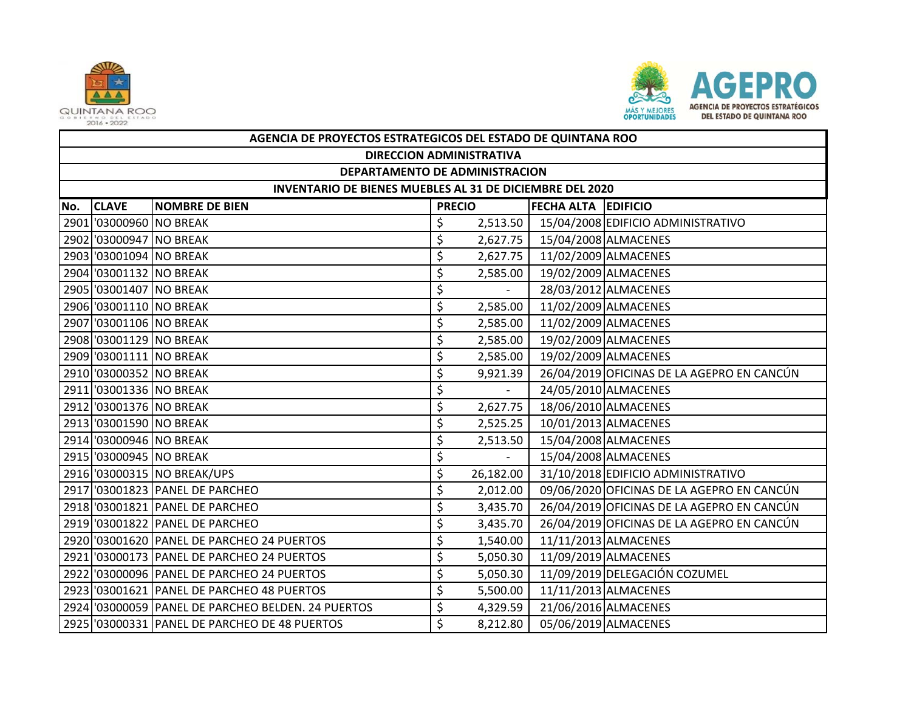



|     | AGENCIA DE PROYECTOS ESTRATEGICOS DEL ESTADO DE QUINTANA ROO |                                                    |               |           |                            |                                            |  |  |  |  |
|-----|--------------------------------------------------------------|----------------------------------------------------|---------------|-----------|----------------------------|--------------------------------------------|--|--|--|--|
|     | <b>DIRECCION ADMINISTRATIVA</b>                              |                                                    |               |           |                            |                                            |  |  |  |  |
|     | DEPARTAMENTO DE ADMINISTRACION                               |                                                    |               |           |                            |                                            |  |  |  |  |
|     | INVENTARIO DE BIENES MUEBLES AL 31 DE DICIEMBRE DEL 2020     |                                                    |               |           |                            |                                            |  |  |  |  |
| No. | <b>CLAVE</b>                                                 | <b>NOMBRE DE BIEN</b>                              | <b>PRECIO</b> |           | <b>FECHA ALTA EDIFICIO</b> |                                            |  |  |  |  |
|     | 2901 03000960 NO BREAK                                       |                                                    | \$            | 2,513.50  |                            | 15/04/2008 EDIFICIO ADMINISTRATIVO         |  |  |  |  |
|     | 2902 '03000947 NO BREAK                                      |                                                    | \$            | 2,627.75  |                            | 15/04/2008 ALMACENES                       |  |  |  |  |
|     | 2903 '03001094 NO BREAK                                      |                                                    | \$            | 2,627.75  |                            | 11/02/2009 ALMACENES                       |  |  |  |  |
|     | 2904 '03001132 NO BREAK                                      |                                                    | \$            | 2,585.00  |                            | 19/02/2009 ALMACENES                       |  |  |  |  |
|     | 2905 '03001407 NO BREAK                                      |                                                    | \$            |           |                            | 28/03/2012 ALMACENES                       |  |  |  |  |
|     | 2906 '03001110 NO BREAK                                      |                                                    | \$            | 2,585.00  |                            | 11/02/2009 ALMACENES                       |  |  |  |  |
|     | 2907 '03001106 NO BREAK                                      |                                                    | \$            | 2,585.00  |                            | 11/02/2009 ALMACENES                       |  |  |  |  |
|     | 2908 '03001129 NO BREAK                                      |                                                    | \$            | 2,585.00  |                            | 19/02/2009 ALMACENES                       |  |  |  |  |
|     | 2909 '03001111 NO BREAK                                      |                                                    | \$            | 2,585.00  |                            | 19/02/2009 ALMACENES                       |  |  |  |  |
|     | 2910 '03000352 NO BREAK                                      |                                                    | \$            | 9,921.39  |                            | 26/04/2019 OFICINAS DE LA AGEPRO EN CANCÚN |  |  |  |  |
|     | 2911 '03001336 NO BREAK                                      |                                                    | \$            |           |                            | 24/05/2010 ALMACENES                       |  |  |  |  |
|     | 2912 '03001376 NO BREAK                                      |                                                    | \$            | 2,627.75  |                            | 18/06/2010 ALMACENES                       |  |  |  |  |
|     | 2913 '03001590 NO BREAK                                      |                                                    | \$            | 2,525.25  |                            | 10/01/2013 ALMACENES                       |  |  |  |  |
|     | 2914 '03000946 NO BREAK                                      |                                                    | \$            | 2,513.50  |                            | 15/04/2008 ALMACENES                       |  |  |  |  |
|     | 2915 '03000945 NO BREAK                                      |                                                    | \$            |           |                            | 15/04/2008 ALMACENES                       |  |  |  |  |
|     |                                                              | 2916 '03000315 NO BREAK/UPS                        | \$            | 26,182.00 |                            | 31/10/2018 EDIFICIO ADMINISTRATIVO         |  |  |  |  |
|     |                                                              | 2917 '03001823 PANEL DE PARCHEO                    | \$            | 2,012.00  |                            | 09/06/2020 OFICINAS DE LA AGEPRO EN CANCÚN |  |  |  |  |
|     |                                                              | 2918 '03001821 PANEL DE PARCHEO                    | \$            | 3,435.70  |                            | 26/04/2019 OFICINAS DE LA AGEPRO EN CANCÚN |  |  |  |  |
|     |                                                              | 2919 '03001822 PANEL DE PARCHEO                    | \$            | 3,435.70  |                            | 26/04/2019 OFICINAS DE LA AGEPRO EN CANCÚN |  |  |  |  |
|     |                                                              | 2920 '03001620 PANEL DE PARCHEO 24 PUERTOS         | \$            | 1,540.00  |                            | 11/11/2013 ALMACENES                       |  |  |  |  |
|     |                                                              | 2921 '03000173 PANEL DE PARCHEO 24 PUERTOS         | \$            | 5,050.30  |                            | 11/09/2019 ALMACENES                       |  |  |  |  |
|     |                                                              | 2922 '03000096 PANEL DE PARCHEO 24 PUERTOS         | \$            | 5,050.30  |                            | 11/09/2019 DELEGACIÓN COZUMEL              |  |  |  |  |
|     |                                                              | 2923 '03001621 PANEL DE PARCHEO 48 PUERTOS         | \$            | 5,500.00  |                            | 11/11/2013 ALMACENES                       |  |  |  |  |
|     |                                                              | 2924 '03000059 PANEL DE PARCHEO BELDEN. 24 PUERTOS | \$            | 4,329.59  |                            | 21/06/2016 ALMACENES                       |  |  |  |  |
|     |                                                              | 2925 '03000331 PANEL DE PARCHEO DE 48 PUERTOS      | \$            | 8,212.80  |                            | 05/06/2019 ALMACENES                       |  |  |  |  |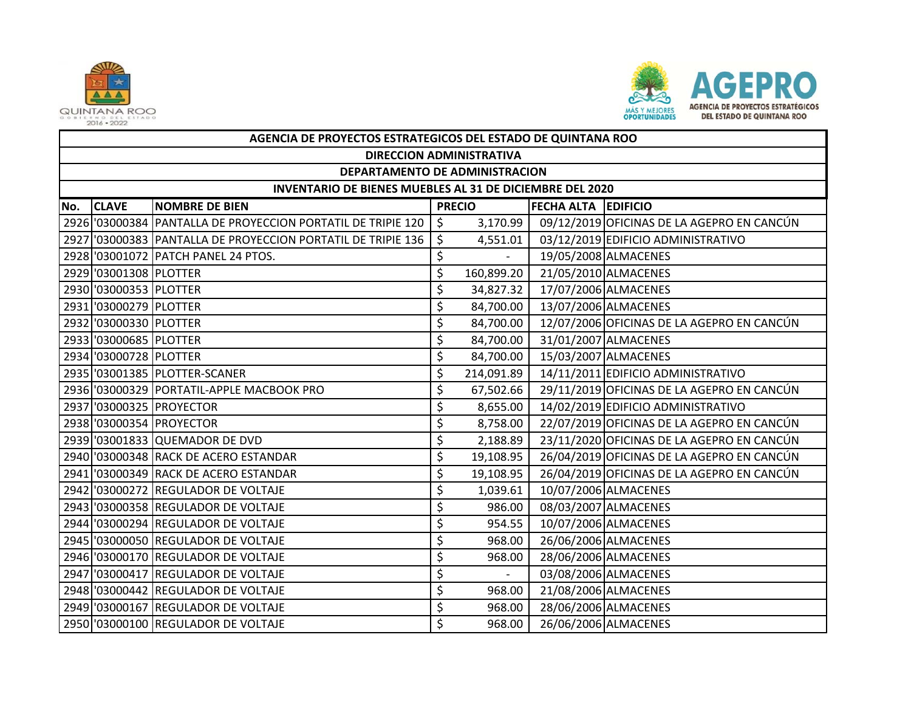



|     | AGENCIA DE PROYECTOS ESTRATEGICOS DEL ESTADO DE QUINTANA ROO |                                                              |    |               |                            |                                            |  |  |  |  |  |
|-----|--------------------------------------------------------------|--------------------------------------------------------------|----|---------------|----------------------------|--------------------------------------------|--|--|--|--|--|
|     | <b>DIRECCION ADMINISTRATIVA</b>                              |                                                              |    |               |                            |                                            |  |  |  |  |  |
|     | DEPARTAMENTO DE ADMINISTRACION                               |                                                              |    |               |                            |                                            |  |  |  |  |  |
|     | INVENTARIO DE BIENES MUEBLES AL 31 DE DICIEMBRE DEL 2020     |                                                              |    |               |                            |                                            |  |  |  |  |  |
| No. | <b>CLAVE</b>                                                 | <b>NOMBRE DE BIEN</b>                                        |    | <b>PRECIO</b> | <b>FECHA ALTA EDIFICIO</b> |                                            |  |  |  |  |  |
|     |                                                              | 2926 '03000384 PANTALLA DE PROYECCION PORTATIL DE TRIPIE 120 | \$ | 3,170.99      |                            | 09/12/2019 OFICINAS DE LA AGEPRO EN CANCÚN |  |  |  |  |  |
|     |                                                              | 2927 03000383 PANTALLA DE PROYECCION PORTATIL DE TRIPIE 136  | \$ | 4,551.01      |                            | 03/12/2019 EDIFICIO ADMINISTRATIVO         |  |  |  |  |  |
|     |                                                              | 2928 '03001072 PATCH PANEL 24 PTOS.                          | \$ |               |                            | 19/05/2008 ALMACENES                       |  |  |  |  |  |
|     | 2929 '03001308 PLOTTER                                       |                                                              | \$ | 160,899.20    |                            | 21/05/2010 ALMACENES                       |  |  |  |  |  |
|     | 2930 '03000353 PLOTTER                                       |                                                              | \$ | 34,827.32     |                            | 17/07/2006 ALMACENES                       |  |  |  |  |  |
|     | 2931 '03000279 PLOTTER                                       |                                                              | \$ | 84,700.00     |                            | 13/07/2006 ALMACENES                       |  |  |  |  |  |
|     | 2932 '03000330 PLOTTER                                       |                                                              | \$ | 84,700.00     |                            | 12/07/2006 OFICINAS DE LA AGEPRO EN CANCÚN |  |  |  |  |  |
|     | 2933 '03000685 PLOTTER                                       |                                                              | \$ | 84,700.00     |                            | 31/01/2007 ALMACENES                       |  |  |  |  |  |
|     | 2934 '03000728 PLOTTER                                       |                                                              | \$ | 84,700.00     |                            | 15/03/2007 ALMACENES                       |  |  |  |  |  |
|     |                                                              | 2935 '03001385 PLOTTER-SCANER                                | \$ | 214,091.89    |                            | 14/11/2011 EDIFICIO ADMINISTRATIVO         |  |  |  |  |  |
|     |                                                              | 2936 '03000329 PORTATIL-APPLE MACBOOK PRO                    | \$ | 67,502.66     |                            | 29/11/2019 OFICINAS DE LA AGEPRO EN CANCÚN |  |  |  |  |  |
|     |                                                              | 2937 '03000325 PROYECTOR                                     | \$ | 8,655.00      |                            | 14/02/2019 EDIFICIO ADMINISTRATIVO         |  |  |  |  |  |
|     |                                                              | 2938 '03000354 PROYECTOR                                     | \$ | 8,758.00      |                            | 22/07/2019 OFICINAS DE LA AGEPRO EN CANCÚN |  |  |  |  |  |
|     |                                                              | 2939 '03001833 QUEMADOR DE DVD                               | \$ | 2,188.89      |                            | 23/11/2020 OFICINAS DE LA AGEPRO EN CANCÚN |  |  |  |  |  |
|     |                                                              | 2940 '03000348 RACK DE ACERO ESTANDAR                        | \$ | 19,108.95     |                            | 26/04/2019 OFICINAS DE LA AGEPRO EN CANCÚN |  |  |  |  |  |
|     |                                                              | 2941 '03000349 RACK DE ACERO ESTANDAR                        | \$ | 19,108.95     |                            | 26/04/2019 OFICINAS DE LA AGEPRO EN CANCÚN |  |  |  |  |  |
|     |                                                              | 2942 '03000272 REGULADOR DE VOLTAJE                          | \$ | 1,039.61      |                            | 10/07/2006 ALMACENES                       |  |  |  |  |  |
|     |                                                              | 2943 '03000358 REGULADOR DE VOLTAJE                          | \$ | 986.00        |                            | 08/03/2007 ALMACENES                       |  |  |  |  |  |
|     |                                                              | 2944 '03000294 REGULADOR DE VOLTAJE                          | \$ | 954.55        |                            | 10/07/2006 ALMACENES                       |  |  |  |  |  |
|     |                                                              | 2945 '03000050 REGULADOR DE VOLTAJE                          | \$ | 968.00        |                            | 26/06/2006 ALMACENES                       |  |  |  |  |  |
|     |                                                              | 2946 '03000170 REGULADOR DE VOLTAJE                          | \$ | 968.00        |                            | 28/06/2006 ALMACENES                       |  |  |  |  |  |
|     |                                                              | 2947 '03000417 REGULADOR DE VOLTAJE                          | \$ | $\sim$        |                            | 03/08/2006 ALMACENES                       |  |  |  |  |  |
|     |                                                              | 2948 '03000442 REGULADOR DE VOLTAJE                          | \$ | 968.00        |                            | 21/08/2006 ALMACENES                       |  |  |  |  |  |
|     |                                                              | 2949 '03000167 REGULADOR DE VOLTAJE                          | \$ | 968.00        |                            | 28/06/2006 ALMACENES                       |  |  |  |  |  |
|     |                                                              | 2950 '03000100 REGULADOR DE VOLTAJE                          | Ś  | 968.00        |                            | 26/06/2006 ALMACENES                       |  |  |  |  |  |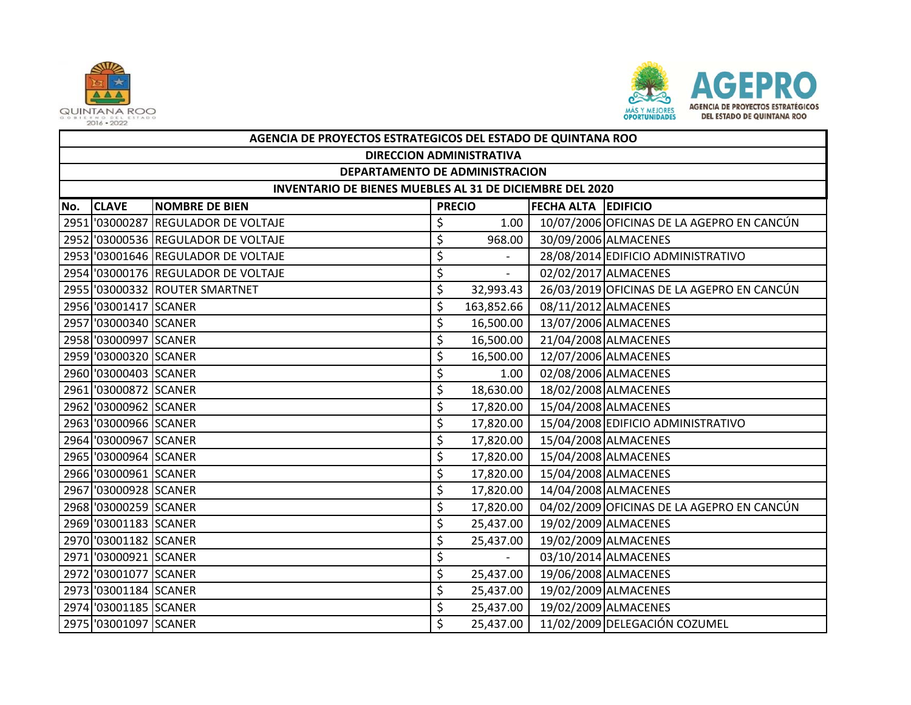



|     | AGENCIA DE PROYECTOS ESTRATEGICOS DEL ESTADO DE QUINTANA ROO |                                     |    |                |                     |                                            |  |  |  |  |  |
|-----|--------------------------------------------------------------|-------------------------------------|----|----------------|---------------------|--------------------------------------------|--|--|--|--|--|
|     | <b>DIRECCION ADMINISTRATIVA</b>                              |                                     |    |                |                     |                                            |  |  |  |  |  |
|     | DEPARTAMENTO DE ADMINISTRACION                               |                                     |    |                |                     |                                            |  |  |  |  |  |
|     | INVENTARIO DE BIENES MUEBLES AL 31 DE DICIEMBRE DEL 2020     |                                     |    |                |                     |                                            |  |  |  |  |  |
| No. | <b>CLAVE</b>                                                 | <b>NOMBRE DE BIEN</b>               |    | <b>PRECIO</b>  | FECHA ALTA EDIFICIO |                                            |  |  |  |  |  |
|     |                                                              | 2951 '03000287 REGULADOR DE VOLTAJE | \$ | 1.00           |                     | 10/07/2006 OFICINAS DE LA AGEPRO EN CANCÚN |  |  |  |  |  |
|     |                                                              | 2952 '03000536 REGULADOR DE VOLTAJE | \$ | 968.00         |                     | 30/09/2006 ALMACENES                       |  |  |  |  |  |
|     |                                                              | 2953 '03001646 REGULADOR DE VOLTAJE | \$ |                |                     | 28/08/2014 EDIFICIO ADMINISTRATIVO         |  |  |  |  |  |
|     |                                                              | 2954 '03000176 REGULADOR DE VOLTAJE | \$ | $\overline{a}$ |                     | 02/02/2017 ALMACENES                       |  |  |  |  |  |
|     |                                                              | 2955 '03000332 ROUTER SMARTNET      | \$ | 32,993.43      |                     | 26/03/2019 OFICINAS DE LA AGEPRO EN CANCÚN |  |  |  |  |  |
|     | 2956 '03001417 SCANER                                        |                                     | \$ | 163,852.66     |                     | 08/11/2012 ALMACENES                       |  |  |  |  |  |
|     | 2957 '03000340 SCANER                                        |                                     | \$ | 16,500.00      |                     | 13/07/2006 ALMACENES                       |  |  |  |  |  |
|     | 2958 '03000997 SCANER                                        |                                     | \$ | 16,500.00      |                     | 21/04/2008 ALMACENES                       |  |  |  |  |  |
|     | 2959 '03000320 SCANER                                        |                                     | \$ | 16,500.00      |                     | 12/07/2006 ALMACENES                       |  |  |  |  |  |
|     | 2960 '03000403 SCANER                                        |                                     | \$ | 1.00           |                     | 02/08/2006 ALMACENES                       |  |  |  |  |  |
|     | 2961 '03000872 SCANER                                        |                                     | \$ | 18,630.00      |                     | 18/02/2008 ALMACENES                       |  |  |  |  |  |
|     | 2962 '03000962 SCANER                                        |                                     | \$ | 17,820.00      |                     | 15/04/2008 ALMACENES                       |  |  |  |  |  |
|     | 2963 '03000966 SCANER                                        |                                     | \$ | 17,820.00      |                     | 15/04/2008 EDIFICIO ADMINISTRATIVO         |  |  |  |  |  |
|     | 2964 '03000967 SCANER                                        |                                     | \$ | 17,820.00      |                     | 15/04/2008 ALMACENES                       |  |  |  |  |  |
|     | 2965 '03000964 SCANER                                        |                                     | \$ | 17,820.00      |                     | 15/04/2008 ALMACENES                       |  |  |  |  |  |
|     | 2966 '03000961 SCANER                                        |                                     | \$ | 17,820.00      |                     | 15/04/2008 ALMACENES                       |  |  |  |  |  |
|     | 2967 '03000928 SCANER                                        |                                     | \$ | 17,820.00      |                     | 14/04/2008 ALMACENES                       |  |  |  |  |  |
|     | 2968 '03000259 SCANER                                        |                                     | \$ | 17,820.00      |                     | 04/02/2009 OFICINAS DE LA AGEPRO EN CANCÚN |  |  |  |  |  |
|     | 2969 '03001183 SCANER                                        |                                     | \$ | 25,437.00      |                     | 19/02/2009 ALMACENES                       |  |  |  |  |  |
|     | 2970 '03001182 SCANER                                        |                                     | \$ | 25,437.00      |                     | 19/02/2009 ALMACENES                       |  |  |  |  |  |
|     | 2971 '03000921 SCANER                                        |                                     | \$ | $\sim$         |                     | 03/10/2014 ALMACENES                       |  |  |  |  |  |
|     | 2972 '03001077 SCANER                                        |                                     | \$ | 25,437.00      |                     | 19/06/2008 ALMACENES                       |  |  |  |  |  |
|     | 2973 '03001184 SCANER                                        |                                     | \$ | 25,437.00      |                     | 19/02/2009 ALMACENES                       |  |  |  |  |  |
|     | 2974 '03001185 SCANER                                        |                                     | \$ | 25,437.00      |                     | 19/02/2009 ALMACENES                       |  |  |  |  |  |
|     | 2975 '03001097 SCANER                                        |                                     | \$ | 25,437.00      |                     | 11/02/2009 DELEGACIÓN COZUMEL              |  |  |  |  |  |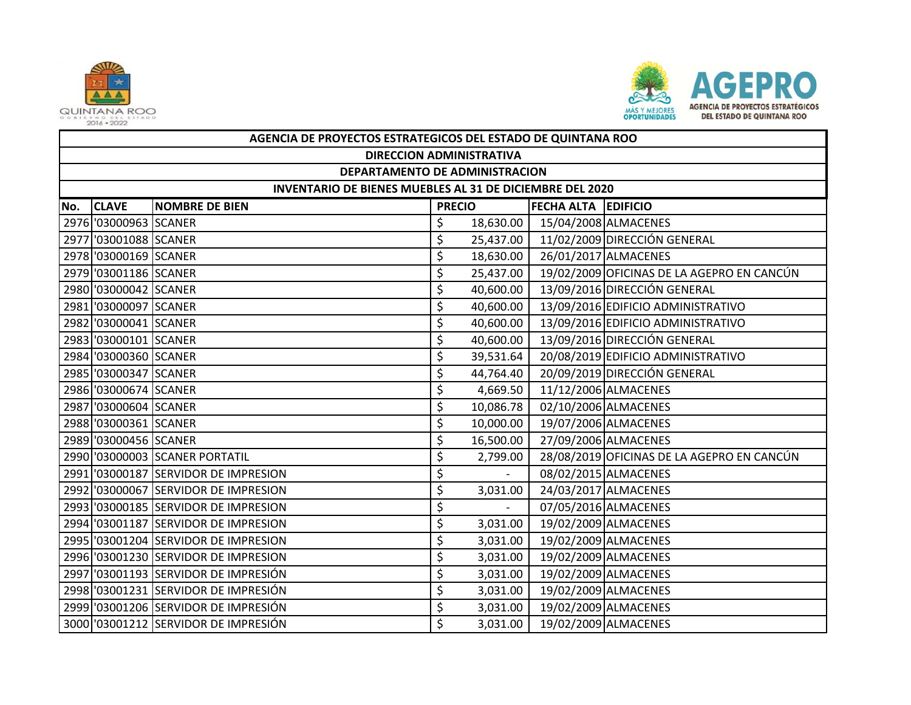



|     | AGENCIA DE PROYECTOS ESTRATEGICOS DEL ESTADO DE QUINTANA ROO |                                      |               |           |                            |                                            |  |  |  |  |
|-----|--------------------------------------------------------------|--------------------------------------|---------------|-----------|----------------------------|--------------------------------------------|--|--|--|--|
|     | <b>DIRECCION ADMINISTRATIVA</b>                              |                                      |               |           |                            |                                            |  |  |  |  |
|     | DEPARTAMENTO DE ADMINISTRACION                               |                                      |               |           |                            |                                            |  |  |  |  |
|     | INVENTARIO DE BIENES MUEBLES AL 31 DE DICIEMBRE DEL 2020     |                                      |               |           |                            |                                            |  |  |  |  |
| No. | <b>CLAVE</b>                                                 | <b>NOMBRE DE BIEN</b>                | <b>PRECIO</b> |           | <b>FECHA ALTA EDIFICIO</b> |                                            |  |  |  |  |
|     | 2976 '03000963 SCANER                                        |                                      | \$            | 18,630.00 |                            | 15/04/2008 ALMACENES                       |  |  |  |  |
|     | 2977 '03001088 SCANER                                        |                                      | \$            | 25,437.00 |                            | 11/02/2009 DIRECCIÓN GENERAL               |  |  |  |  |
|     | 2978 '03000169 SCANER                                        |                                      | \$            | 18,630.00 |                            | 26/01/2017 ALMACENES                       |  |  |  |  |
|     | 2979 '03001186 SCANER                                        |                                      | \$            | 25,437.00 |                            | 19/02/2009 OFICINAS DE LA AGEPRO EN CANCÚN |  |  |  |  |
|     | 2980 '03000042 SCANER                                        |                                      | \$            | 40,600.00 |                            | 13/09/2016 DIRECCIÓN GENERAL               |  |  |  |  |
|     | 2981 '03000097 SCANER                                        |                                      | \$            | 40,600.00 |                            | 13/09/2016 EDIFICIO ADMINISTRATIVO         |  |  |  |  |
|     | 2982 '03000041 SCANER                                        |                                      | \$            | 40,600.00 |                            | 13/09/2016 EDIFICIO ADMINISTRATIVO         |  |  |  |  |
|     | 2983 '03000101 SCANER                                        |                                      | \$            | 40,600.00 |                            | 13/09/2016 DIRECCIÓN GENERAL               |  |  |  |  |
|     | 2984 '03000360 SCANER                                        |                                      | \$            | 39,531.64 |                            | 20/08/2019 EDIFICIO ADMINISTRATIVO         |  |  |  |  |
|     | 2985 '03000347 SCANER                                        |                                      | \$            | 44,764.40 |                            | 20/09/2019 DIRECCIÓN GENERAL               |  |  |  |  |
|     | 2986 '03000674 SCANER                                        |                                      | \$            | 4,669.50  |                            | 11/12/2006 ALMACENES                       |  |  |  |  |
|     | 2987 '03000604 SCANER                                        |                                      | \$            | 10,086.78 |                            | 02/10/2006 ALMACENES                       |  |  |  |  |
|     | 2988 '03000361 SCANER                                        |                                      | \$            | 10,000.00 |                            | 19/07/2006 ALMACENES                       |  |  |  |  |
|     | 2989 '03000456 SCANER                                        |                                      | \$            | 16,500.00 |                            | 27/09/2006 ALMACENES                       |  |  |  |  |
|     |                                                              | 2990 '03000003 SCANER PORTATIL       | \$            | 2,799.00  |                            | 28/08/2019 OFICINAS DE LA AGEPRO EN CANCÚN |  |  |  |  |
|     |                                                              | 2991 '03000187 SERVIDOR DE IMPRESION | \$            | $\sim$    |                            | 08/02/2015 ALMACENES                       |  |  |  |  |
|     |                                                              | 2992 '03000067 SERVIDOR DE IMPRESION | \$            | 3,031.00  |                            | 24/03/2017 ALMACENES                       |  |  |  |  |
|     |                                                              | 2993 '03000185 SERVIDOR DE IMPRESION | \$            | $\sim$    |                            | 07/05/2016 ALMACENES                       |  |  |  |  |
|     |                                                              | 2994 '03001187 SERVIDOR DE IMPRESION | \$            | 3,031.00  |                            | 19/02/2009 ALMACENES                       |  |  |  |  |
|     |                                                              | 2995 '03001204 SERVIDOR DE IMPRESION | \$            | 3,031.00  |                            | 19/02/2009 ALMACENES                       |  |  |  |  |
|     |                                                              | 2996 '03001230 SERVIDOR DE IMPRESION | \$            | 3,031.00  |                            | 19/02/2009 ALMACENES                       |  |  |  |  |
|     |                                                              | 2997 '03001193 SERVIDOR DE IMPRESIÓN | \$            | 3,031.00  |                            | 19/02/2009 ALMACENES                       |  |  |  |  |
|     |                                                              | 2998 '03001231 SERVIDOR DE IMPRESIÓN | \$            | 3,031.00  |                            | 19/02/2009 ALMACENES                       |  |  |  |  |
|     |                                                              | 2999 '03001206 SERVIDOR DE IMPRESIÓN | \$            | 3,031.00  |                            | 19/02/2009 ALMACENES                       |  |  |  |  |
|     |                                                              | 3000 '03001212 SERVIDOR DE IMPRESIÓN | Ś             | 3,031.00  |                            | 19/02/2009 ALMACENES                       |  |  |  |  |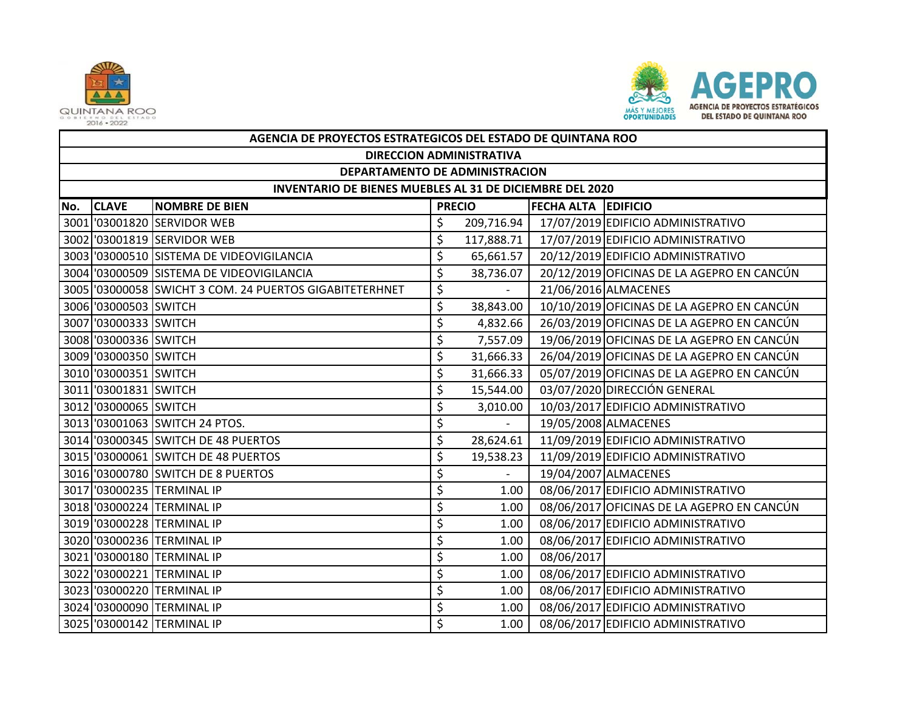



|     | AGENCIA DE PROYECTOS ESTRATEGICOS DEL ESTADO DE QUINTANA ROO |                                                         |    |               |                            |                                            |  |  |  |  |
|-----|--------------------------------------------------------------|---------------------------------------------------------|----|---------------|----------------------------|--------------------------------------------|--|--|--|--|
|     | <b>DIRECCION ADMINISTRATIVA</b>                              |                                                         |    |               |                            |                                            |  |  |  |  |
|     | DEPARTAMENTO DE ADMINISTRACION                               |                                                         |    |               |                            |                                            |  |  |  |  |
|     | INVENTARIO DE BIENES MUEBLES AL 31 DE DICIEMBRE DEL 2020     |                                                         |    |               |                            |                                            |  |  |  |  |
| No. | <b>CLAVE</b>                                                 | <b>NOMBRE DE BIEN</b>                                   |    | <b>PRECIO</b> | <b>FECHA ALTA EDIFICIO</b> |                                            |  |  |  |  |
|     |                                                              | 3001 '03001820 SERVIDOR WEB                             | \$ | 209,716.94    |                            | 17/07/2019 EDIFICIO ADMINISTRATIVO         |  |  |  |  |
|     |                                                              | 3002 '03001819 SERVIDOR WEB                             | \$ | 117,888.71    |                            | 17/07/2019 EDIFICIO ADMINISTRATIVO         |  |  |  |  |
|     |                                                              | 3003 '03000510 SISTEMA DE VIDEOVIGILANCIA               | \$ | 65,661.57     |                            | 20/12/2019 EDIFICIO ADMINISTRATIVO         |  |  |  |  |
|     |                                                              | 3004 '03000509 SISTEMA DE VIDEOVIGILANCIA               | \$ | 38,736.07     |                            | 20/12/2019 OFICINAS DE LA AGEPRO EN CANCÚN |  |  |  |  |
|     |                                                              | 3005 '03000058 SWICHT 3 COM. 24 PUERTOS GIGABITETERHNET | \$ |               |                            | 21/06/2016 ALMACENES                       |  |  |  |  |
|     | 3006 '03000503 SWITCH                                        |                                                         | \$ | 38,843.00     |                            | 10/10/2019 OFICINAS DE LA AGEPRO EN CANCÚN |  |  |  |  |
|     | 3007 '03000333 SWITCH                                        |                                                         | \$ | 4,832.66      |                            | 26/03/2019 OFICINAS DE LA AGEPRO EN CANCÚN |  |  |  |  |
|     | 3008 '03000336 SWITCH                                        |                                                         | \$ | 7,557.09      |                            | 19/06/2019 OFICINAS DE LA AGEPRO EN CANCÚN |  |  |  |  |
|     | 3009 '03000350 SWITCH                                        |                                                         | \$ | 31,666.33     |                            | 26/04/2019 OFICINAS DE LA AGEPRO EN CANCÚN |  |  |  |  |
|     | 3010 '03000351 SWITCH                                        |                                                         | \$ | 31,666.33     |                            | 05/07/2019 OFICINAS DE LA AGEPRO EN CANCÚN |  |  |  |  |
|     | 3011 '03001831 SWITCH                                        |                                                         | \$ | 15,544.00     |                            | 03/07/2020 DIRECCIÓN GENERAL               |  |  |  |  |
|     | 3012 '03000065 SWITCH                                        |                                                         | \$ | 3,010.00      |                            | 10/03/2017 EDIFICIO ADMINISTRATIVO         |  |  |  |  |
|     |                                                              | 3013 '03001063 SWITCH 24 PTOS.                          | \$ |               |                            | 19/05/2008 ALMACENES                       |  |  |  |  |
|     |                                                              | 3014 '03000345 SWITCH DE 48 PUERTOS                     | \$ | 28,624.61     |                            | 11/09/2019 EDIFICIO ADMINISTRATIVO         |  |  |  |  |
|     |                                                              | 3015 '03000061 SWITCH DE 48 PUERTOS                     | \$ | 19,538.23     |                            | 11/09/2019 EDIFICIO ADMINISTRATIVO         |  |  |  |  |
|     |                                                              | 3016 '03000780 SWITCH DE 8 PUERTOS                      | \$ |               |                            | 19/04/2007 ALMACENES                       |  |  |  |  |
|     |                                                              | 3017 '03000235 TERMINAL IP                              | \$ | 1.00          |                            | 08/06/2017 EDIFICIO ADMINISTRATIVO         |  |  |  |  |
|     |                                                              | 3018 '03000224 TERMINAL IP                              | \$ | 1.00          |                            | 08/06/2017 OFICINAS DE LA AGEPRO EN CANCÚN |  |  |  |  |
|     |                                                              | 3019 '03000228 TERMINAL IP                              | \$ | 1.00          |                            | 08/06/2017 EDIFICIO ADMINISTRATIVO         |  |  |  |  |
|     |                                                              | 3020 '03000236 TERMINAL IP                              | \$ | 1.00          |                            | 08/06/2017 EDIFICIO ADMINISTRATIVO         |  |  |  |  |
|     |                                                              | 3021 '03000180 TERMINAL IP                              | \$ | 1.00          | 08/06/2017                 |                                            |  |  |  |  |
|     |                                                              | 3022 '03000221 TERMINAL IP                              | \$ | 1.00          |                            | 08/06/2017 EDIFICIO ADMINISTRATIVO         |  |  |  |  |
|     |                                                              | 3023 '03000220 TERMINAL IP                              | \$ | 1.00          |                            | 08/06/2017 EDIFICIO ADMINISTRATIVO         |  |  |  |  |
|     |                                                              | 3024 '03000090 TERMINAL IP                              | \$ | 1.00          |                            | 08/06/2017 EDIFICIO ADMINISTRATIVO         |  |  |  |  |
|     |                                                              | 3025 '03000142 TERMINAL IP                              | \$ | 1.00          |                            | 08/06/2017 EDIFICIO ADMINISTRATIVO         |  |  |  |  |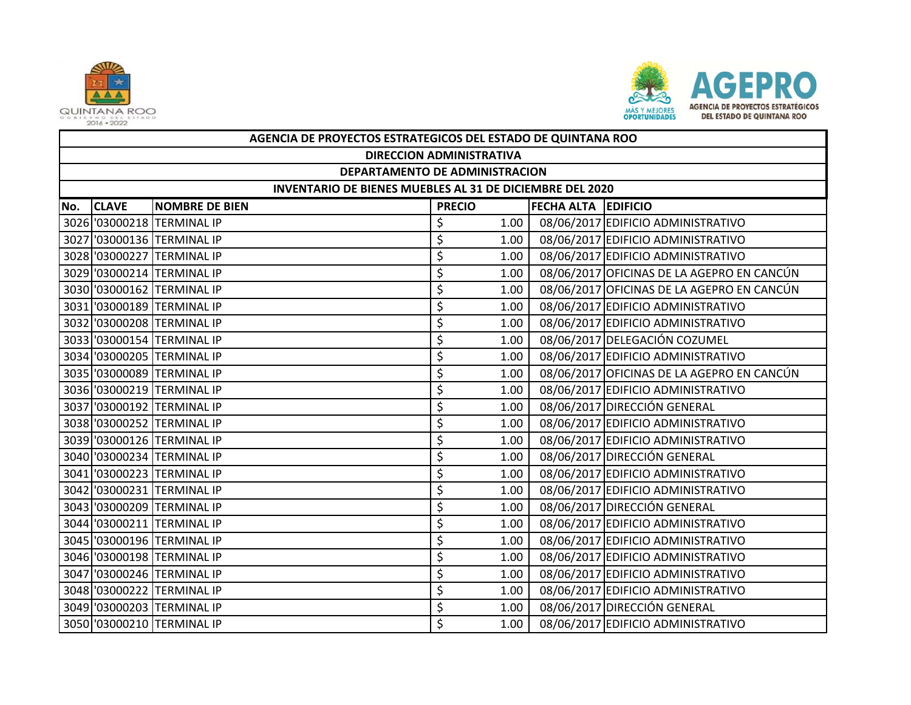



|     | AGENCIA DE PROYECTOS ESTRATEGICOS DEL ESTADO DE QUINTANA ROO                         |                            |    |      |  |                                            |  |  |  |
|-----|--------------------------------------------------------------------------------------|----------------------------|----|------|--|--------------------------------------------|--|--|--|
|     | <b>DIRECCION ADMINISTRATIVA</b>                                                      |                            |    |      |  |                                            |  |  |  |
|     | DEPARTAMENTO DE ADMINISTRACION                                                       |                            |    |      |  |                                            |  |  |  |
|     | INVENTARIO DE BIENES MUEBLES AL 31 DE DICIEMBRE DEL 2020                             |                            |    |      |  |                                            |  |  |  |
| No. | <b>CLAVE</b><br><b>PRECIO</b><br><b>FECHA ALTA EDIFICIO</b><br><b>NOMBRE DE BIEN</b> |                            |    |      |  |                                            |  |  |  |
|     |                                                                                      | 3026 '03000218 TERMINAL IP | \$ | 1.00 |  | 08/06/2017 EDIFICIO ADMINISTRATIVO         |  |  |  |
|     |                                                                                      | 3027 '03000136 TERMINAL IP | \$ | 1.00 |  | 08/06/2017 EDIFICIO ADMINISTRATIVO         |  |  |  |
|     |                                                                                      | 3028 '03000227 TERMINAL IP | \$ | 1.00 |  | 08/06/2017 EDIFICIO ADMINISTRATIVO         |  |  |  |
|     |                                                                                      | 3029 '03000214 TERMINAL IP | \$ | 1.00 |  | 08/06/2017 OFICINAS DE LA AGEPRO EN CANCÚN |  |  |  |
|     |                                                                                      | 3030 '03000162 TERMINAL IP | \$ | 1.00 |  | 08/06/2017 OFICINAS DE LA AGEPRO EN CANCÚN |  |  |  |
|     |                                                                                      | 3031 '03000189 TERMINAL IP | \$ | 1.00 |  | 08/06/2017 EDIFICIO ADMINISTRATIVO         |  |  |  |
|     |                                                                                      | 3032 '03000208 TERMINAL IP | \$ | 1.00 |  | 08/06/2017 EDIFICIO ADMINISTRATIVO         |  |  |  |
|     |                                                                                      | 3033 '03000154 TERMINAL IP | \$ | 1.00 |  | 08/06/2017 DELEGACIÓN COZUMEL              |  |  |  |
|     |                                                                                      | 3034 '03000205 TERMINAL IP | \$ | 1.00 |  | 08/06/2017 EDIFICIO ADMINISTRATIVO         |  |  |  |
|     |                                                                                      | 3035 '03000089 TERMINAL IP | \$ | 1.00 |  | 08/06/2017 OFICINAS DE LA AGEPRO EN CANCÚN |  |  |  |
|     |                                                                                      | 3036 '03000219 TERMINAL IP | \$ | 1.00 |  | 08/06/2017 EDIFICIO ADMINISTRATIVO         |  |  |  |
|     |                                                                                      | 3037 '03000192 TERMINAL IP | \$ | 1.00 |  | 08/06/2017 DIRECCIÓN GENERAL               |  |  |  |
|     |                                                                                      | 3038 '03000252 TERMINAL IP | \$ | 1.00 |  | 08/06/2017 EDIFICIO ADMINISTRATIVO         |  |  |  |
|     |                                                                                      | 3039 '03000126 TERMINAL IP | \$ | 1.00 |  | 08/06/2017 EDIFICIO ADMINISTRATIVO         |  |  |  |
|     |                                                                                      | 3040 '03000234 TERMINAL IP | \$ | 1.00 |  | 08/06/2017 DIRECCIÓN GENERAL               |  |  |  |
|     |                                                                                      | 3041 '03000223 TERMINAL IP | \$ | 1.00 |  | 08/06/2017 EDIFICIO ADMINISTRATIVO         |  |  |  |
|     |                                                                                      | 3042 '03000231 TERMINAL IP | \$ | 1.00 |  | 08/06/2017 EDIFICIO ADMINISTRATIVO         |  |  |  |
|     |                                                                                      | 3043 '03000209 TERMINAL IP | \$ | 1.00 |  | 08/06/2017 DIRECCIÓN GENERAL               |  |  |  |
|     |                                                                                      | 3044 '03000211 TERMINAL IP | \$ | 1.00 |  | 08/06/2017 EDIFICIO ADMINISTRATIVO         |  |  |  |
|     |                                                                                      | 3045 '03000196 TERMINAL IP | \$ | 1.00 |  | 08/06/2017 EDIFICIO ADMINISTRATIVO         |  |  |  |
|     |                                                                                      | 3046 '03000198 TERMINAL IP | \$ | 1.00 |  | 08/06/2017 EDIFICIO ADMINISTRATIVO         |  |  |  |
|     |                                                                                      | 3047 '03000246 TERMINAL IP | \$ | 1.00 |  | 08/06/2017 EDIFICIO ADMINISTRATIVO         |  |  |  |
|     |                                                                                      | 3048 '03000222 TERMINAL IP | \$ | 1.00 |  | 08/06/2017 EDIFICIO ADMINISTRATIVO         |  |  |  |
|     |                                                                                      | 3049 '03000203 TERMINAL IP | \$ | 1.00 |  | 08/06/2017 DIRECCIÓN GENERAL               |  |  |  |
|     |                                                                                      | 3050 '03000210 TERMINAL IP | \$ | 1.00 |  | 08/06/2017 EDIFICIO ADMINISTRATIVO         |  |  |  |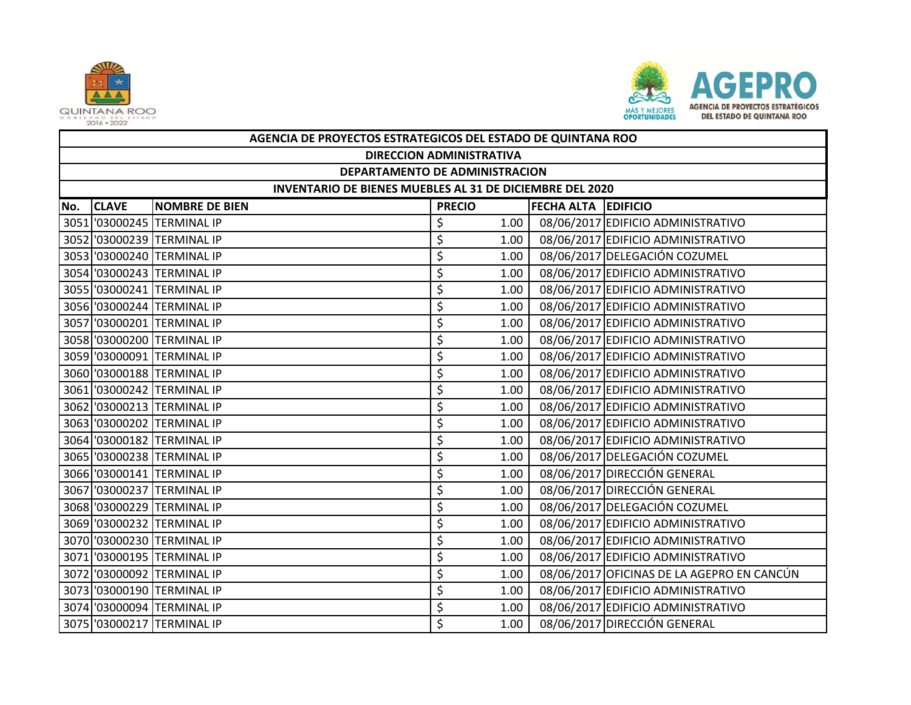



|     | AGENCIA DE PROYECTOS ESTRATEGICOS DEL ESTADO DE QUINTANA ROO                         |                            |    |      |  |                                            |  |  |  |
|-----|--------------------------------------------------------------------------------------|----------------------------|----|------|--|--------------------------------------------|--|--|--|
|     | <b>DIRECCION ADMINISTRATIVA</b>                                                      |                            |    |      |  |                                            |  |  |  |
|     | DEPARTAMENTO DE ADMINISTRACION                                                       |                            |    |      |  |                                            |  |  |  |
|     | INVENTARIO DE BIENES MUEBLES AL 31 DE DICIEMBRE DEL 2020                             |                            |    |      |  |                                            |  |  |  |
| No. | <b>FECHA ALTA EDIFICIO</b><br><b>CLAVE</b><br><b>NOMBRE DE BIEN</b><br><b>PRECIO</b> |                            |    |      |  |                                            |  |  |  |
|     |                                                                                      | 3051 '03000245 TERMINAL IP | \$ | 1.00 |  | 08/06/2017 EDIFICIO ADMINISTRATIVO         |  |  |  |
|     |                                                                                      | 3052 '03000239 TERMINAL IP | \$ | 1.00 |  | 08/06/2017 EDIFICIO ADMINISTRATIVO         |  |  |  |
|     |                                                                                      | 3053 '03000240 TERMINAL IP | \$ | 1.00 |  | 08/06/2017 DELEGACIÓN COZUMEL              |  |  |  |
|     |                                                                                      | 3054 '03000243 TERMINAL IP | \$ | 1.00 |  | 08/06/2017 EDIFICIO ADMINISTRATIVO         |  |  |  |
|     |                                                                                      | 3055 '03000241 TERMINAL IP | \$ | 1.00 |  | 08/06/2017 EDIFICIO ADMINISTRATIVO         |  |  |  |
|     |                                                                                      | 3056 '03000244 TERMINAL IP | \$ | 1.00 |  | 08/06/2017 EDIFICIO ADMINISTRATIVO         |  |  |  |
|     |                                                                                      | 3057 '03000201 TERMINAL IP | \$ | 1.00 |  | 08/06/2017 EDIFICIO ADMINISTRATIVO         |  |  |  |
|     |                                                                                      | 3058 '03000200 TERMINAL IP | \$ | 1.00 |  | 08/06/2017 EDIFICIO ADMINISTRATIVO         |  |  |  |
|     |                                                                                      | 3059 '03000091 TERMINAL IP | \$ | 1.00 |  | 08/06/2017 EDIFICIO ADMINISTRATIVO         |  |  |  |
|     |                                                                                      | 3060 '03000188 TERMINAL IP | \$ | 1.00 |  | 08/06/2017 EDIFICIO ADMINISTRATIVO         |  |  |  |
|     |                                                                                      | 3061 '03000242 TERMINAL IP | \$ | 1.00 |  | 08/06/2017 EDIFICIO ADMINISTRATIVO         |  |  |  |
|     |                                                                                      | 3062 '03000213 TERMINAL IP | \$ | 1.00 |  | 08/06/2017 EDIFICIO ADMINISTRATIVO         |  |  |  |
|     |                                                                                      | 3063 '03000202 TERMINAL IP | \$ | 1.00 |  | 08/06/2017 EDIFICIO ADMINISTRATIVO         |  |  |  |
|     |                                                                                      | 3064 '03000182 TERMINAL IP | \$ | 1.00 |  | 08/06/2017 EDIFICIO ADMINISTRATIVO         |  |  |  |
|     |                                                                                      | 3065 '03000238 TERMINAL IP | \$ | 1.00 |  | 08/06/2017 DELEGACIÓN COZUMEL              |  |  |  |
|     |                                                                                      | 3066 '03000141 TERMINAL IP | \$ | 1.00 |  | 08/06/2017 DIRECCIÓN GENERAL               |  |  |  |
|     |                                                                                      | 3067 '03000237 TERMINAL IP | \$ | 1.00 |  | 08/06/2017 DIRECCIÓN GENERAL               |  |  |  |
|     |                                                                                      | 3068 '03000229 TERMINAL IP | \$ | 1.00 |  | 08/06/2017 DELEGACIÓN COZUMEL              |  |  |  |
|     |                                                                                      | 3069 '03000232 TERMINAL IP | \$ | 1.00 |  | 08/06/2017 EDIFICIO ADMINISTRATIVO         |  |  |  |
|     |                                                                                      | 3070 '03000230 TERMINAL IP | \$ | 1.00 |  | 08/06/2017 EDIFICIO ADMINISTRATIVO         |  |  |  |
|     |                                                                                      | 3071 '03000195 TERMINAL IP | \$ | 1.00 |  | 08/06/2017 EDIFICIO ADMINISTRATIVO         |  |  |  |
|     |                                                                                      | 3072 '03000092 TERMINAL IP | \$ | 1.00 |  | 08/06/2017 OFICINAS DE LA AGEPRO EN CANCÚN |  |  |  |
|     |                                                                                      | 3073 '03000190 TERMINAL IP | \$ | 1.00 |  | 08/06/2017 EDIFICIO ADMINISTRATIVO         |  |  |  |
|     |                                                                                      | 3074 '03000094 TERMINAL IP | \$ | 1.00 |  | 08/06/2017 EDIFICIO ADMINISTRATIVO         |  |  |  |
|     |                                                                                      | 3075 '03000217 TERMINAL IP | \$ | 1.00 |  | 08/06/2017 DIRECCIÓN GENERAL               |  |  |  |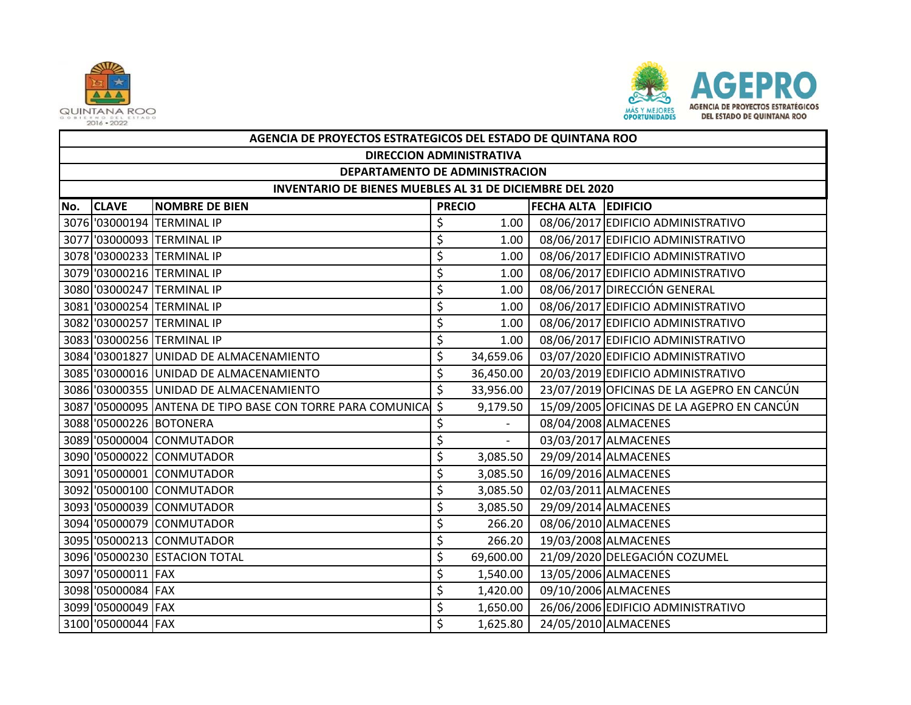



|     | AGENCIA DE PROYECTOS ESTRATEGICOS DEL ESTADO DE QUINTANA ROO    |                                                            |                    |                          |                            |                                            |  |  |  |  |
|-----|-----------------------------------------------------------------|------------------------------------------------------------|--------------------|--------------------------|----------------------------|--------------------------------------------|--|--|--|--|
|     | <b>DIRECCION ADMINISTRATIVA</b>                                 |                                                            |                    |                          |                            |                                            |  |  |  |  |
|     | DEPARTAMENTO DE ADMINISTRACION                                  |                                                            |                    |                          |                            |                                            |  |  |  |  |
|     | <b>INVENTARIO DE BIENES MUEBLES AL 31 DE DICIEMBRE DEL 2020</b> |                                                            |                    |                          |                            |                                            |  |  |  |  |
| No. | <b>CLAVE</b>                                                    | <b>NOMBRE DE BIEN</b>                                      | <b>PRECIO</b>      |                          | <b>FECHA ALTA EDIFICIO</b> |                                            |  |  |  |  |
|     |                                                                 | 3076 '03000194 TERMINAL IP                                 | \$                 | 1.00                     |                            | 08/06/2017 EDIFICIO ADMINISTRATIVO         |  |  |  |  |
|     |                                                                 | 3077 '03000093 TERMINAL IP                                 | \$                 | 1.00                     |                            | 08/06/2017 EDIFICIO ADMINISTRATIVO         |  |  |  |  |
|     |                                                                 | 3078 '03000233 TERMINAL IP                                 | \$                 | 1.00                     |                            | 08/06/2017 EDIFICIO ADMINISTRATIVO         |  |  |  |  |
|     |                                                                 | 3079 '03000216 TERMINAL IP                                 | \$                 | 1.00                     |                            | 08/06/2017 EDIFICIO ADMINISTRATIVO         |  |  |  |  |
|     |                                                                 | 3080 '03000247 TERMINAL IP                                 | \$                 | 1.00                     |                            | 08/06/2017 DIRECCIÓN GENERAL               |  |  |  |  |
|     |                                                                 | 3081 '03000254 TERMINAL IP                                 | \$                 | 1.00                     |                            | 08/06/2017 EDIFICIO ADMINISTRATIVO         |  |  |  |  |
|     |                                                                 | 3082 '03000257 TERMINAL IP                                 | \$                 | 1.00                     |                            | 08/06/2017 EDIFICIO ADMINISTRATIVO         |  |  |  |  |
|     |                                                                 | 3083 '03000256 TERMINAL IP                                 | \$                 | 1.00                     |                            | 08/06/2017 EDIFICIO ADMINISTRATIVO         |  |  |  |  |
|     |                                                                 | 3084 '03001827 UNIDAD DE ALMACENAMIENTO                    | \$                 | 34,659.06                |                            | 03/07/2020 EDIFICIO ADMINISTRATIVO         |  |  |  |  |
|     |                                                                 | 3085 '03000016 UNIDAD DE ALMACENAMIENTO                    | \$                 | 36,450.00                |                            | 20/03/2019 EDIFICIO ADMINISTRATIVO         |  |  |  |  |
|     |                                                                 | 3086 '03000355 UNIDAD DE ALMACENAMIENTO                    | \$                 | 33,956.00                |                            | 23/07/2019 OFICINAS DE LA AGEPRO EN CANCÚN |  |  |  |  |
|     |                                                                 | 3087 '05000095 ANTENA DE TIPO BASE CON TORRE PARA COMUNICA | $\mathsf{\hat{S}}$ | 9,179.50                 |                            | 15/09/2005 OFICINAS DE LA AGEPRO EN CANCÚN |  |  |  |  |
|     |                                                                 | 3088 '05000226 BOTONERA                                    | \$                 |                          |                            | 08/04/2008 ALMACENES                       |  |  |  |  |
|     |                                                                 | 3089 '05000004 CONMUTADOR                                  | \$                 | $\overline{\phantom{0}}$ |                            | 03/03/2017 ALMACENES                       |  |  |  |  |
|     |                                                                 | 3090 '05000022 CONMUTADOR                                  | \$                 | 3,085.50                 |                            | 29/09/2014 ALMACENES                       |  |  |  |  |
|     |                                                                 | 3091 '05000001 CONMUTADOR                                  | \$                 | 3,085.50                 |                            | 16/09/2016 ALMACENES                       |  |  |  |  |
|     |                                                                 | 3092 '05000100 CONMUTADOR                                  | \$                 | 3,085.50                 |                            | 02/03/2011 ALMACENES                       |  |  |  |  |
|     |                                                                 | 3093 '05000039 CONMUTADOR                                  | \$                 | 3,085.50                 |                            | 29/09/2014 ALMACENES                       |  |  |  |  |
|     |                                                                 | 3094 '05000079 CONMUTADOR                                  | \$                 | 266.20                   |                            | 08/06/2010 ALMACENES                       |  |  |  |  |
|     |                                                                 | 3095 '05000213 CONMUTADOR                                  | \$                 | 266.20                   |                            | 19/03/2008 ALMACENES                       |  |  |  |  |
|     |                                                                 | 3096 '05000230 ESTACION TOTAL                              | \$                 | 69,600.00                |                            | 21/09/2020 DELEGACIÓN COZUMEL              |  |  |  |  |
|     | 3097 '05000011 FAX                                              |                                                            | \$                 | 1,540.00                 |                            | 13/05/2006 ALMACENES                       |  |  |  |  |
|     | 3098 '05000084 FAX                                              |                                                            | \$                 | 1,420.00                 |                            | 09/10/2006 ALMACENES                       |  |  |  |  |
|     | 3099 '05000049 FAX                                              |                                                            | \$                 | 1,650.00                 |                            | 26/06/2006 EDIFICIO ADMINISTRATIVO         |  |  |  |  |
|     | 3100 '05000044 FAX                                              |                                                            | Ś                  | 1,625.80                 |                            | 24/05/2010 ALMACENES                       |  |  |  |  |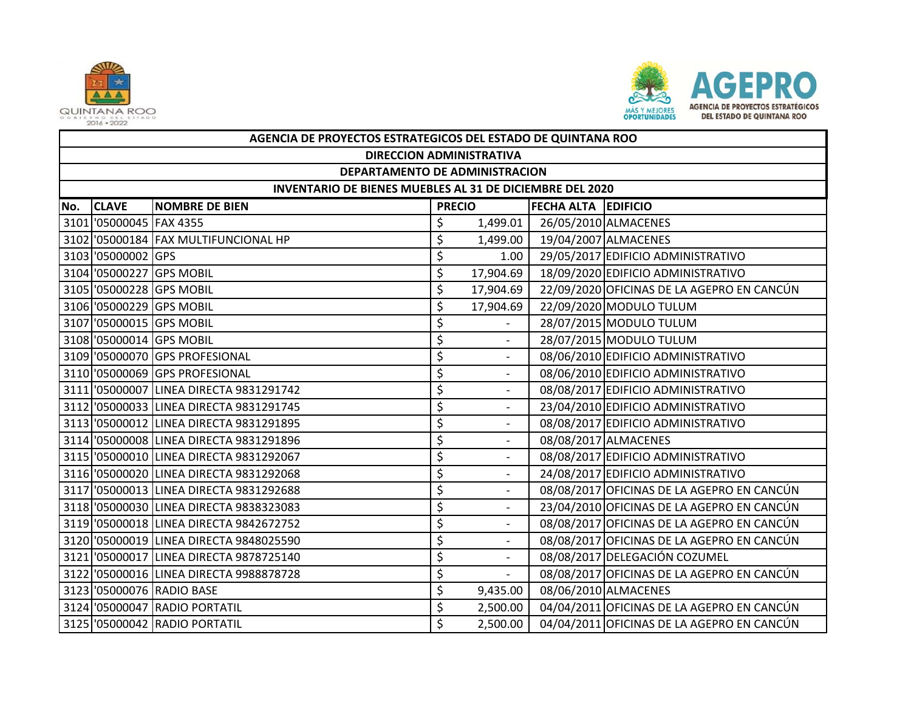



|     | AGENCIA DE PROYECTOS ESTRATEGICOS DEL ESTADO DE QUINTANA ROO |                                         |               |                          |                            |                                            |  |  |  |  |
|-----|--------------------------------------------------------------|-----------------------------------------|---------------|--------------------------|----------------------------|--------------------------------------------|--|--|--|--|
|     | <b>DIRECCION ADMINISTRATIVA</b>                              |                                         |               |                          |                            |                                            |  |  |  |  |
|     | DEPARTAMENTO DE ADMINISTRACION                               |                                         |               |                          |                            |                                            |  |  |  |  |
|     | INVENTARIO DE BIENES MUEBLES AL 31 DE DICIEMBRE DEL 2020     |                                         |               |                          |                            |                                            |  |  |  |  |
| No. | <b>CLAVE</b>                                                 | <b>NOMBRE DE BIEN</b>                   | <b>PRECIO</b> |                          | <b>FECHA ALTA EDIFICIO</b> |                                            |  |  |  |  |
|     | 3101 05000045 FAX 4355                                       |                                         | \$            | 1,499.01                 |                            | 26/05/2010 ALMACENES                       |  |  |  |  |
|     |                                                              | 3102 '05000184 FAX MULTIFUNCIONAL HP    | \$            | 1,499.00                 |                            | 19/04/2007 ALMACENES                       |  |  |  |  |
|     | 3103 05000002 GPS                                            |                                         | \$            | 1.00                     |                            | 29/05/2017 EDIFICIO ADMINISTRATIVO         |  |  |  |  |
|     |                                                              | 3104 '05000227 GPS MOBIL                | \$            | 17,904.69                |                            | 18/09/2020 EDIFICIO ADMINISTRATIVO         |  |  |  |  |
|     |                                                              | 3105 '05000228 GPS MOBIL                | \$            | 17,904.69                |                            | 22/09/2020 OFICINAS DE LA AGEPRO EN CANCÚN |  |  |  |  |
|     |                                                              | 3106 '05000229 GPS MOBIL                | \$            | 17,904.69                |                            | 22/09/2020 MODULO TULUM                    |  |  |  |  |
|     |                                                              | 3107 '05000015 GPS MOBIL                | \$            |                          |                            | 28/07/2015 MODULO TULUM                    |  |  |  |  |
|     |                                                              | 3108 '05000014 GPS MOBIL                | \$            | $\overline{\phantom{0}}$ |                            | 28/07/2015 MODULO TULUM                    |  |  |  |  |
|     |                                                              | 3109 '05000070 GPS PROFESIONAL          | \$            |                          |                            | 08/06/2010 EDIFICIO ADMINISTRATIVO         |  |  |  |  |
|     |                                                              | 3110 '05000069 GPS PROFESIONAL          | \$            | $\overline{\phantom{a}}$ |                            | 08/06/2010 EDIFICIO ADMINISTRATIVO         |  |  |  |  |
|     |                                                              | 3111 '05000007 LINEA DIRECTA 9831291742 | \$            | $\overline{\phantom{a}}$ |                            | 08/08/2017 EDIFICIO ADMINISTRATIVO         |  |  |  |  |
|     |                                                              | 3112 '05000033 LINEA DIRECTA 9831291745 | \$            | $\overline{\phantom{a}}$ |                            | 23/04/2010 EDIFICIO ADMINISTRATIVO         |  |  |  |  |
|     |                                                              | 3113 '05000012 LINEA DIRECTA 9831291895 | \$            |                          |                            | 08/08/2017 EDIFICIO ADMINISTRATIVO         |  |  |  |  |
|     |                                                              | 3114 '05000008 LINEA DIRECTA 9831291896 | \$            | $\overline{\phantom{a}}$ |                            | 08/08/2017 ALMACENES                       |  |  |  |  |
|     |                                                              | 3115 '05000010 LINEA DIRECTA 9831292067 | \$            |                          |                            | 08/08/2017 EDIFICIO ADMINISTRATIVO         |  |  |  |  |
|     |                                                              | 3116 '05000020 LINEA DIRECTA 9831292068 | \$            | $\overline{\phantom{a}}$ |                            | 24/08/2017 EDIFICIO ADMINISTRATIVO         |  |  |  |  |
|     |                                                              | 3117 05000013 LINEA DIRECTA 9831292688  | \$            |                          |                            | 08/08/2017 OFICINAS DE LA AGEPRO EN CANCÚN |  |  |  |  |
|     |                                                              | 3118 '05000030 LINEA DIRECTA 9838323083 | \$            | $\overline{\phantom{a}}$ |                            | 23/04/2010 OFICINAS DE LA AGEPRO EN CANCÚN |  |  |  |  |
|     |                                                              | 3119 '05000018 LINEA DIRECTA 9842672752 | \$            |                          |                            | 08/08/2017 OFICINAS DE LA AGEPRO EN CANCÚN |  |  |  |  |
|     |                                                              | 3120 '05000019 LINEA DIRECTA 9848025590 | \$            | $\overline{\phantom{a}}$ |                            | 08/08/2017 OFICINAS DE LA AGEPRO EN CANCÚN |  |  |  |  |
|     |                                                              | 3121 '05000017 LINEA DIRECTA 9878725140 | \$            |                          |                            | 08/08/2017 DELEGACIÓN COZUMEL              |  |  |  |  |
|     |                                                              | 3122 '05000016 LINEA DIRECTA 9988878728 | \$            | $\overline{\phantom{0}}$ |                            | 08/08/2017 OFICINAS DE LA AGEPRO EN CANCÚN |  |  |  |  |
|     |                                                              | 3123 '05000076 RADIO BASE               | \$            | 9,435.00                 |                            | 08/06/2010 ALMACENES                       |  |  |  |  |
|     |                                                              | 3124 '05000047 RADIO PORTATIL           | \$            | 2,500.00                 |                            | 04/04/2011 OFICINAS DE LA AGEPRO EN CANCÚN |  |  |  |  |
|     |                                                              | 3125 '05000042 RADIO PORTATIL           | Ś             | 2,500.00                 |                            | 04/04/2011 OFICINAS DE LA AGEPRO EN CANCÚN |  |  |  |  |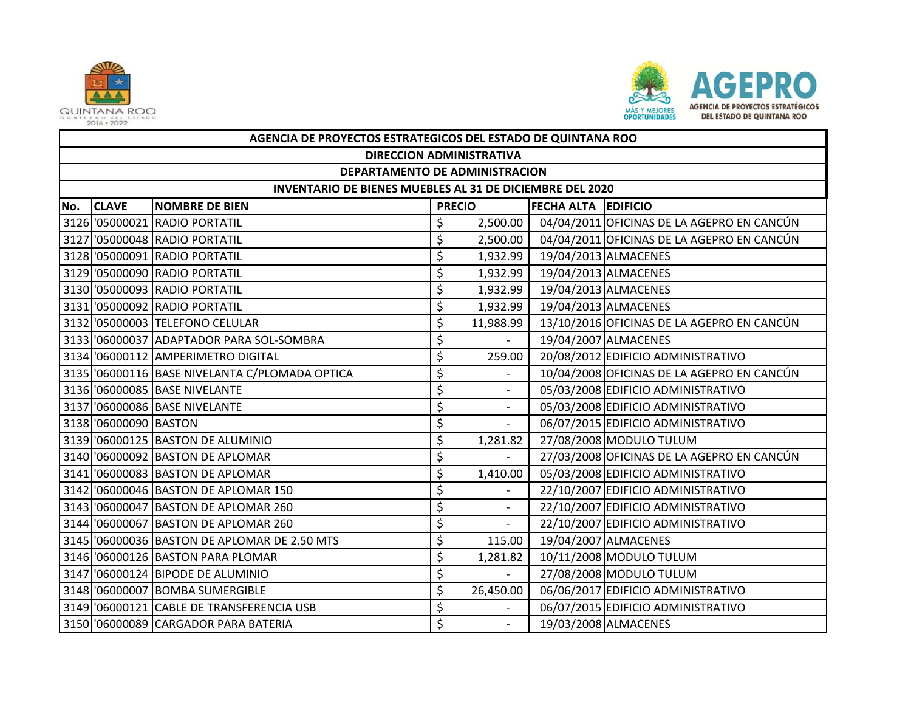



|     | AGENCIA DE PROYECTOS ESTRATEGICOS DEL ESTADO DE QUINTANA ROO |                                                |    |                          |                            |                                            |  |  |  |  |
|-----|--------------------------------------------------------------|------------------------------------------------|----|--------------------------|----------------------------|--------------------------------------------|--|--|--|--|
|     | <b>DIRECCION ADMINISTRATIVA</b>                              |                                                |    |                          |                            |                                            |  |  |  |  |
|     | DEPARTAMENTO DE ADMINISTRACION                               |                                                |    |                          |                            |                                            |  |  |  |  |
|     | INVENTARIO DE BIENES MUEBLES AL 31 DE DICIEMBRE DEL 2020     |                                                |    |                          |                            |                                            |  |  |  |  |
| No. | <b>CLAVE</b>                                                 | <b>NOMBRE DE BIEN</b>                          |    | <b>PRECIO</b>            | <b>FECHA ALTA EDIFICIO</b> |                                            |  |  |  |  |
|     |                                                              | 3126 '05000021 RADIO PORTATIL                  | \$ | 2,500.00                 |                            | 04/04/2011 OFICINAS DE LA AGEPRO EN CANCÚN |  |  |  |  |
|     |                                                              | 3127 '05000048 RADIO PORTATIL                  | \$ | 2,500.00                 |                            | 04/04/2011 OFICINAS DE LA AGEPRO EN CANCÚN |  |  |  |  |
|     |                                                              | 3128 '05000091 RADIO PORTATIL                  | \$ | 1,932.99                 |                            | 19/04/2013 ALMACENES                       |  |  |  |  |
|     |                                                              | 3129 '05000090 RADIO PORTATIL                  | \$ | 1,932.99                 |                            | 19/04/2013 ALMACENES                       |  |  |  |  |
|     |                                                              | 3130 '05000093 RADIO PORTATIL                  | \$ | 1,932.99                 |                            | 19/04/2013 ALMACENES                       |  |  |  |  |
|     |                                                              | 3131 '05000092 RADIO PORTATIL                  | \$ | 1,932.99                 |                            | 19/04/2013 ALMACENES                       |  |  |  |  |
|     |                                                              | 3132 '05000003 TELEFONO CELULAR                | \$ | 11,988.99                |                            | 13/10/2016 OFICINAS DE LA AGEPRO EN CANCÚN |  |  |  |  |
|     |                                                              | 3133 '06000037 ADAPTADOR PARA SOL-SOMBRA       | \$ |                          |                            | 19/04/2007 ALMACENES                       |  |  |  |  |
|     |                                                              | 3134 '06000112 AMPERIMETRO DIGITAL             | \$ | 259.00                   |                            | 20/08/2012 EDIFICIO ADMINISTRATIVO         |  |  |  |  |
|     |                                                              | 3135 '06000116 BASE NIVELANTA C/PLOMADA OPTICA | \$ | $\overline{a}$           |                            | 10/04/2008 OFICINAS DE LA AGEPRO EN CANCÚN |  |  |  |  |
|     |                                                              | 3136 '06000085 BASE NIVELANTE                  | \$ |                          |                            | 05/03/2008 EDIFICIO ADMINISTRATIVO         |  |  |  |  |
|     |                                                              | 3137 '06000086 BASE NIVELANTE                  | \$ | $\blacksquare$           |                            | 05/03/2008 EDIFICIO ADMINISTRATIVO         |  |  |  |  |
|     | 3138 '06000090 BASTON                                        |                                                | \$ | $\overline{\phantom{a}}$ |                            | 06/07/2015 EDIFICIO ADMINISTRATIVO         |  |  |  |  |
|     |                                                              | 3139 '06000125 BASTON DE ALUMINIO              | \$ | 1,281.82                 |                            | 27/08/2008 MODULO TULUM                    |  |  |  |  |
|     |                                                              | 3140 06000092 BASTON DE APLOMAR                | \$ |                          |                            | 27/03/2008 OFICINAS DE LA AGEPRO EN CANCÚN |  |  |  |  |
|     |                                                              | 3141 06000083 BASTON DE APLOMAR                | \$ | 1,410.00                 |                            | 05/03/2008 EDIFICIO ADMINISTRATIVO         |  |  |  |  |
|     |                                                              | 3142 06000046 BASTON DE APLOMAR 150            | \$ |                          |                            | 22/10/2007 EDIFICIO ADMINISTRATIVO         |  |  |  |  |
|     |                                                              | 3143 06000047 BASTON DE APLOMAR 260            | \$ | $\overline{a}$           |                            | 22/10/2007 EDIFICIO ADMINISTRATIVO         |  |  |  |  |
|     |                                                              | 3144 '06000067 BASTON DE APLOMAR 260           | \$ |                          |                            | 22/10/2007 EDIFICIO ADMINISTRATIVO         |  |  |  |  |
|     |                                                              | 3145 '06000036 BASTON DE APLOMAR DE 2.50 MTS   | \$ | 115.00                   |                            | 19/04/2007 ALMACENES                       |  |  |  |  |
|     |                                                              | 3146 '06000126 BASTON PARA PLOMAR              | \$ | 1,281.82                 |                            | 10/11/2008 MODULO TULUM                    |  |  |  |  |
|     |                                                              | 3147 06000124 BIPODE DE ALUMINIO               | \$ | $\overline{a}$           |                            | 27/08/2008 MODULO TULUM                    |  |  |  |  |
|     |                                                              | 3148 '06000007 BOMBA SUMERGIBLE                | \$ | 26,450.00                |                            | 06/06/2017 EDIFICIO ADMINISTRATIVO         |  |  |  |  |
|     |                                                              | 3149 06000121 CABLE DE TRANSFERENCIA USB       | \$ |                          |                            | 06/07/2015 EDIFICIO ADMINISTRATIVO         |  |  |  |  |
|     |                                                              | 3150 '06000089 CARGADOR PARA BATERIA           | \$ |                          |                            | 19/03/2008 ALMACENES                       |  |  |  |  |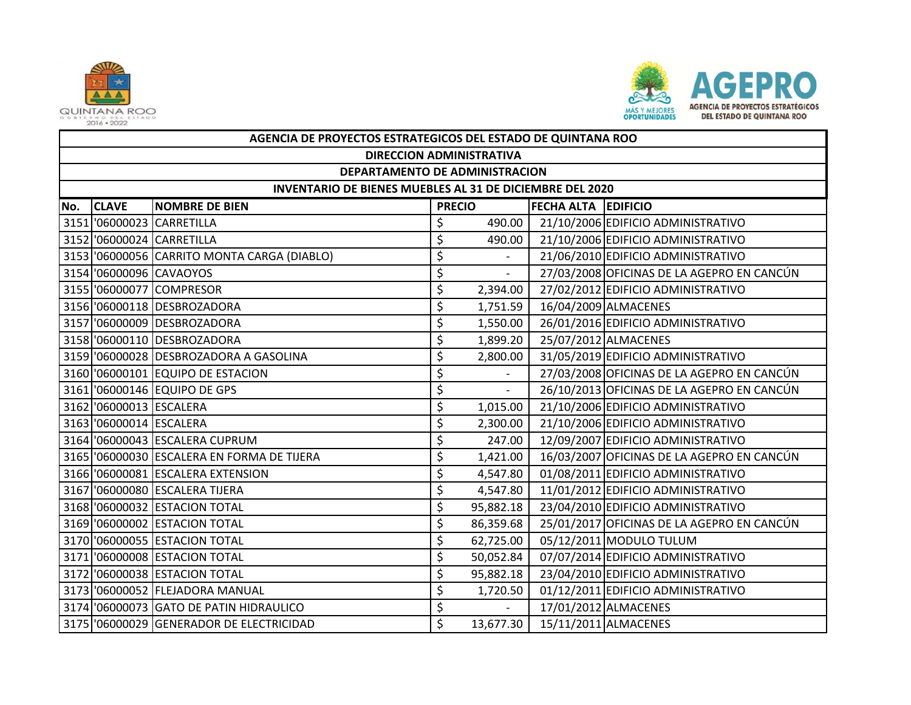



|     | AGENCIA DE PROYECTOS ESTRATEGICOS DEL ESTADO DE QUINTANA ROO |                                             |               |                             |                            |                                            |  |  |  |  |
|-----|--------------------------------------------------------------|---------------------------------------------|---------------|-----------------------------|----------------------------|--------------------------------------------|--|--|--|--|
|     | <b>DIRECCION ADMINISTRATIVA</b>                              |                                             |               |                             |                            |                                            |  |  |  |  |
|     | DEPARTAMENTO DE ADMINISTRACION                               |                                             |               |                             |                            |                                            |  |  |  |  |
|     | INVENTARIO DE BIENES MUEBLES AL 31 DE DICIEMBRE DEL 2020     |                                             |               |                             |                            |                                            |  |  |  |  |
| No. | <b>CLAVE</b>                                                 | <b>NOMBRE DE BIEN</b>                       | <b>PRECIO</b> |                             | <b>FECHA ALTA EDIFICIO</b> |                                            |  |  |  |  |
|     |                                                              | 3151 '06000023 CARRETILLA                   | \$            | 490.00                      |                            | 21/10/2006 EDIFICIO ADMINISTRATIVO         |  |  |  |  |
|     |                                                              | 3152 '06000024 CARRETILLA                   | \$            | 490.00                      |                            | 21/10/2006 EDIFICIO ADMINISTRATIVO         |  |  |  |  |
|     |                                                              | 3153 '06000056 CARRITO MONTA CARGA (DIABLO) | \$            |                             |                            | 21/06/2010 EDIFICIO ADMINISTRATIVO         |  |  |  |  |
|     |                                                              | 3154 '06000096 CAVAOYOS                     | \$            | $\mathcal{L}^{\mathcal{A}}$ |                            | 27/03/2008 OFICINAS DE LA AGEPRO EN CANCÚN |  |  |  |  |
|     |                                                              | 3155 '06000077 COMPRESOR                    | \$            | 2,394.00                    |                            | 27/02/2012 EDIFICIO ADMINISTRATIVO         |  |  |  |  |
|     |                                                              | 3156 '06000118 DESBROZADORA                 | \$            | 1,751.59                    |                            | 16/04/2009 ALMACENES                       |  |  |  |  |
|     |                                                              | 3157 '06000009 DESBROZADORA                 | \$            | 1,550.00                    |                            | 26/01/2016 EDIFICIO ADMINISTRATIVO         |  |  |  |  |
|     |                                                              | 3158 '06000110 DESBROZADORA                 | \$            | 1,899.20                    |                            | 25/07/2012 ALMACENES                       |  |  |  |  |
|     |                                                              | 3159 '06000028 DESBROZADORA A GASOLINA      | \$            | 2,800.00                    |                            | 31/05/2019 EDIFICIO ADMINISTRATIVO         |  |  |  |  |
|     |                                                              | 3160 '06000101 EQUIPO DE ESTACION           | \$            | $\overline{a}$              |                            | 27/03/2008 OFICINAS DE LA AGEPRO EN CANCÚN |  |  |  |  |
|     |                                                              | 3161 '06000146 EQUIPO DE GPS                | \$            | $\sim$                      |                            | 26/10/2013 OFICINAS DE LA AGEPRO EN CANCÚN |  |  |  |  |
|     | 3162 06000013 ESCALERA                                       |                                             | \$            | 1,015.00                    |                            | 21/10/2006 EDIFICIO ADMINISTRATIVO         |  |  |  |  |
|     | 3163 '06000014 ESCALERA                                      |                                             | \$            | 2,300.00                    |                            | 21/10/2006 EDIFICIO ADMINISTRATIVO         |  |  |  |  |
|     |                                                              | 3164 '06000043 ESCALERA CUPRUM              | \$            | 247.00                      |                            | 12/09/2007 EDIFICIO ADMINISTRATIVO         |  |  |  |  |
|     |                                                              | 3165 '06000030 ESCALERA EN FORMA DE TIJERA  | \$            | 1,421.00                    |                            | 16/03/2007 OFICINAS DE LA AGEPRO EN CANCÚN |  |  |  |  |
|     |                                                              | 3166 '06000081 ESCALERA EXTENSION           | \$            | 4,547.80                    |                            | 01/08/2011 EDIFICIO ADMINISTRATIVO         |  |  |  |  |
|     |                                                              | 3167 '06000080 ESCALERA TIJERA              | \$            | 4,547.80                    |                            | 11/01/2012 EDIFICIO ADMINISTRATIVO         |  |  |  |  |
|     |                                                              | 3168 '06000032 ESTACION TOTAL               | \$            | 95,882.18                   |                            | 23/04/2010 EDIFICIO ADMINISTRATIVO         |  |  |  |  |
|     |                                                              | 3169 '06000002 ESTACION TOTAL               | \$            | 86,359.68                   |                            | 25/01/2017 OFICINAS DE LA AGEPRO EN CANCÚN |  |  |  |  |
|     |                                                              | 3170 '06000055 ESTACION TOTAL               | \$            | 62,725.00                   |                            | 05/12/2011 MODULO TULUM                    |  |  |  |  |
|     |                                                              | 3171 '06000008 ESTACION TOTAL               | \$            | 50,052.84                   |                            | 07/07/2014 EDIFICIO ADMINISTRATIVO         |  |  |  |  |
|     |                                                              | 3172 '06000038 ESTACION TOTAL               | \$            | 95,882.18                   |                            | 23/04/2010 EDIFICIO ADMINISTRATIVO         |  |  |  |  |
|     |                                                              | 3173 '06000052 FLEJADORA MANUAL             | \$            | 1,720.50                    |                            | 01/12/2011 EDIFICIO ADMINISTRATIVO         |  |  |  |  |
|     |                                                              | 3174 '06000073 GATO DE PATIN HIDRAULICO     | \$            |                             |                            | 17/01/2012 ALMACENES                       |  |  |  |  |
|     |                                                              | 3175 '06000029 GENERADOR DE ELECTRICIDAD    | \$            | 13,677.30                   |                            | 15/11/2011 ALMACENES                       |  |  |  |  |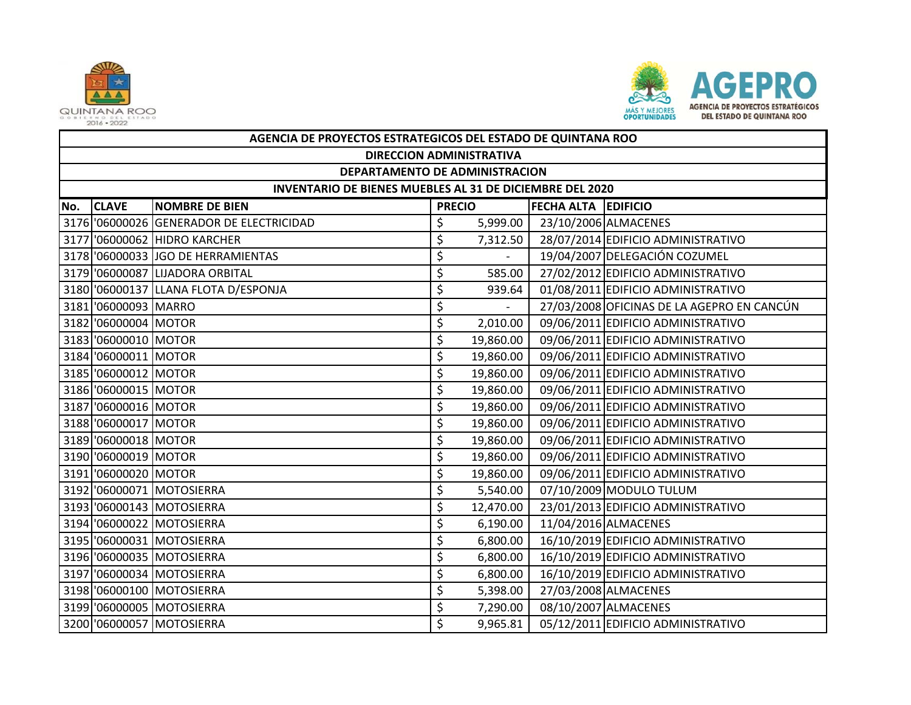



|     | AGENCIA DE PROYECTOS ESTRATEGICOS DEL ESTADO DE QUINTANA ROO |                                          |    |                          |                            |                                            |  |  |  |  |
|-----|--------------------------------------------------------------|------------------------------------------|----|--------------------------|----------------------------|--------------------------------------------|--|--|--|--|
|     | <b>DIRECCION ADMINISTRATIVA</b>                              |                                          |    |                          |                            |                                            |  |  |  |  |
|     | DEPARTAMENTO DE ADMINISTRACION                               |                                          |    |                          |                            |                                            |  |  |  |  |
|     | INVENTARIO DE BIENES MUEBLES AL 31 DE DICIEMBRE DEL 2020     |                                          |    |                          |                            |                                            |  |  |  |  |
| No. | <b>CLAVE</b>                                                 | <b>NOMBRE DE BIEN</b>                    |    | <b>PRECIO</b>            | <b>FECHA ALTA EDIFICIO</b> |                                            |  |  |  |  |
|     |                                                              | 3176 '06000026 GENERADOR DE ELECTRICIDAD | \$ | 5,999.00                 |                            | 23/10/2006 ALMACENES                       |  |  |  |  |
|     |                                                              | 3177 '06000062 HIDRO KARCHER             | \$ | 7,312.50                 |                            | 28/07/2014 EDIFICIO ADMINISTRATIVO         |  |  |  |  |
|     |                                                              | 3178 '06000033 JJGO DE HERRAMIENTAS      | \$ |                          |                            | 19/04/2007 DELEGACIÓN COZUMEL              |  |  |  |  |
|     |                                                              | 3179 '06000087 LIJADORA ORBITAL          | \$ | 585.00                   |                            | 27/02/2012 EDIFICIO ADMINISTRATIVO         |  |  |  |  |
|     |                                                              | 3180 '06000137 LLANA FLOTA D/ESPONJA     | \$ | 939.64                   |                            | 01/08/2011 EDIFICIO ADMINISTRATIVO         |  |  |  |  |
|     | 3181 '06000093 MARRO                                         |                                          | \$ | $\overline{\phantom{0}}$ |                            | 27/03/2008 OFICINAS DE LA AGEPRO EN CANCÚN |  |  |  |  |
|     | 3182 '06000004 MOTOR                                         |                                          | \$ | 2,010.00                 |                            | 09/06/2011 EDIFICIO ADMINISTRATIVO         |  |  |  |  |
|     | 3183 06000010 MOTOR                                          |                                          | \$ | 19,860.00                |                            | 09/06/2011 EDIFICIO ADMINISTRATIVO         |  |  |  |  |
|     | 3184 '06000011 MOTOR                                         |                                          | \$ | 19,860.00                |                            | 09/06/2011 EDIFICIO ADMINISTRATIVO         |  |  |  |  |
|     | 3185 '06000012 MOTOR                                         |                                          | \$ | 19,860.00                |                            | 09/06/2011 EDIFICIO ADMINISTRATIVO         |  |  |  |  |
|     | 3186 '06000015 MOTOR                                         |                                          | \$ | 19,860.00                |                            | 09/06/2011 EDIFICIO ADMINISTRATIVO         |  |  |  |  |
|     | 3187 06000016 MOTOR                                          |                                          | \$ | 19,860.00                |                            | 09/06/2011 EDIFICIO ADMINISTRATIVO         |  |  |  |  |
|     | 3188 '06000017 MOTOR                                         |                                          | \$ | 19,860.00                |                            | 09/06/2011 EDIFICIO ADMINISTRATIVO         |  |  |  |  |
|     | 3189 '06000018 MOTOR                                         |                                          | \$ | 19,860.00                |                            | 09/06/2011 EDIFICIO ADMINISTRATIVO         |  |  |  |  |
|     | 3190 '06000019 MOTOR                                         |                                          | \$ | 19,860.00                |                            | 09/06/2011 EDIFICIO ADMINISTRATIVO         |  |  |  |  |
|     | 3191 '06000020 MOTOR                                         |                                          | \$ | 19,860.00                |                            | 09/06/2011 EDIFICIO ADMINISTRATIVO         |  |  |  |  |
|     |                                                              | 3192 '06000071 MOTOSIERRA                | \$ | 5,540.00                 |                            | 07/10/2009 MODULO TULUM                    |  |  |  |  |
|     |                                                              | 3193 '06000143 MOTOSIERRA                | \$ | 12,470.00                |                            | 23/01/2013 EDIFICIO ADMINISTRATIVO         |  |  |  |  |
|     |                                                              | 3194 '06000022 MOTOSIERRA                | \$ | 6,190.00                 |                            | 11/04/2016 ALMACENES                       |  |  |  |  |
|     |                                                              | 3195 '06000031 MOTOSIERRA                | \$ | 6,800.00                 |                            | 16/10/2019 EDIFICIO ADMINISTRATIVO         |  |  |  |  |
|     |                                                              | 3196 '06000035 MOTOSIERRA                | \$ | 6,800.00                 |                            | 16/10/2019 EDIFICIO ADMINISTRATIVO         |  |  |  |  |
|     |                                                              | 3197 '06000034 MOTOSIERRA                | \$ | 6,800.00                 |                            | 16/10/2019 EDIFICIO ADMINISTRATIVO         |  |  |  |  |
|     |                                                              | 3198 '06000100 MOTOSIERRA                | \$ | 5,398.00                 |                            | 27/03/2008 ALMACENES                       |  |  |  |  |
|     |                                                              | 3199 '06000005 MOTOSIERRA                | \$ | 7,290.00                 |                            | 08/10/2007 ALMACENES                       |  |  |  |  |
|     |                                                              | 3200 '06000057 MOTOSIERRA                | \$ | 9,965.81                 |                            | 05/12/2011 EDIFICIO ADMINISTRATIVO         |  |  |  |  |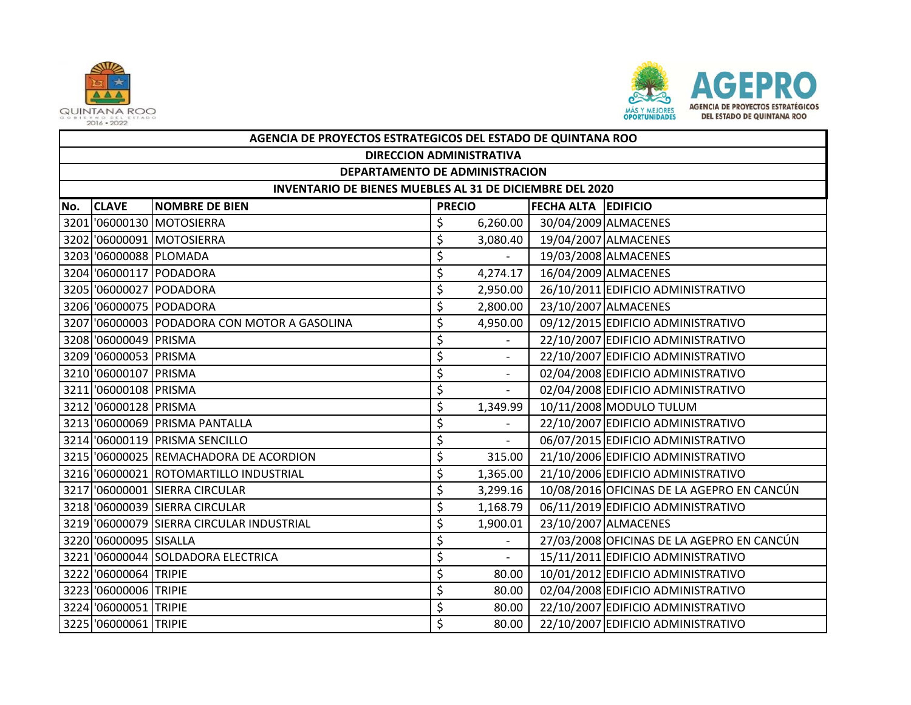



|     | AGENCIA DE PROYECTOS ESTRATEGICOS DEL ESTADO DE QUINTANA ROO |                                              |               |                          |                            |                                            |  |  |  |  |
|-----|--------------------------------------------------------------|----------------------------------------------|---------------|--------------------------|----------------------------|--------------------------------------------|--|--|--|--|
|     | <b>DIRECCION ADMINISTRATIVA</b>                              |                                              |               |                          |                            |                                            |  |  |  |  |
|     | DEPARTAMENTO DE ADMINISTRACION                               |                                              |               |                          |                            |                                            |  |  |  |  |
|     | INVENTARIO DE BIENES MUEBLES AL 31 DE DICIEMBRE DEL 2020     |                                              |               |                          |                            |                                            |  |  |  |  |
| No. | <b>CLAVE</b>                                                 | <b>NOMBRE DE BIEN</b>                        | <b>PRECIO</b> |                          | <b>FECHA ALTA EDIFICIO</b> |                                            |  |  |  |  |
|     |                                                              | 3201 '06000130 MOTOSIERRA                    | \$            | 6,260.00                 |                            | 30/04/2009 ALMACENES                       |  |  |  |  |
|     |                                                              | 3202 06000091 MOTOSIERRA                     | \$            | 3,080.40                 |                            | 19/04/2007 ALMACENES                       |  |  |  |  |
|     | 3203 06000088 PLOMADA                                        |                                              | \$            |                          |                            | 19/03/2008 ALMACENES                       |  |  |  |  |
|     |                                                              | 3204 '06000117 PODADORA                      | \$            | 4,274.17                 |                            | 16/04/2009 ALMACENES                       |  |  |  |  |
|     |                                                              | 3205 06000027 PODADORA                       | \$            | 2,950.00                 |                            | 26/10/2011 EDIFICIO ADMINISTRATIVO         |  |  |  |  |
|     |                                                              | 3206 '06000075 PODADORA                      | \$            | 2,800.00                 |                            | 23/10/2007 ALMACENES                       |  |  |  |  |
|     |                                                              | 3207 '06000003 PODADORA CON MOTOR A GASOLINA | \$            | 4,950.00                 |                            | 09/12/2015 EDIFICIO ADMINISTRATIVO         |  |  |  |  |
|     | 3208 '06000049 PRISMA                                        |                                              | \$            |                          |                            | 22/10/2007 EDIFICIO ADMINISTRATIVO         |  |  |  |  |
|     | 3209 '06000053 PRISMA                                        |                                              | \$            |                          |                            | 22/10/2007 EDIFICIO ADMINISTRATIVO         |  |  |  |  |
|     | 3210 '06000107 PRISMA                                        |                                              | \$            | $\sim$                   |                            | 02/04/2008 EDIFICIO ADMINISTRATIVO         |  |  |  |  |
|     | 3211 '06000108 PRISMA                                        |                                              | \$            | $\overline{\phantom{a}}$ |                            | 02/04/2008 EDIFICIO ADMINISTRATIVO         |  |  |  |  |
|     | 3212 '06000128 PRISMA                                        |                                              | \$            | 1,349.99                 |                            | 10/11/2008 MODULO TULUM                    |  |  |  |  |
|     |                                                              | 3213 '06000069 PRISMA PANTALLA               | \$            |                          |                            | 22/10/2007 EDIFICIO ADMINISTRATIVO         |  |  |  |  |
|     |                                                              | 3214 '06000119 PRISMA SENCILLO               | \$            | $\mathbb{L}^+$           |                            | 06/07/2015 EDIFICIO ADMINISTRATIVO         |  |  |  |  |
|     |                                                              | 3215 '06000025 REMACHADORA DE ACORDION       | \$            | 315.00                   |                            | 21/10/2006 EDIFICIO ADMINISTRATIVO         |  |  |  |  |
|     |                                                              | 3216 '06000021 ROTOMARTILLO INDUSTRIAL       | \$            | 1,365.00                 |                            | 21/10/2006 EDIFICIO ADMINISTRATIVO         |  |  |  |  |
|     |                                                              | 3217 '06000001 SIERRA CIRCULAR               | \$            | 3,299.16                 |                            | 10/08/2016 OFICINAS DE LA AGEPRO EN CANCÚN |  |  |  |  |
|     |                                                              | 3218 '06000039 SIERRA CIRCULAR               | \$            | 1,168.79                 |                            | 06/11/2019 EDIFICIO ADMINISTRATIVO         |  |  |  |  |
|     |                                                              | 3219 '06000079 SIERRA CIRCULAR INDUSTRIAL    | \$            | 1,900.01                 |                            | 23/10/2007 ALMACENES                       |  |  |  |  |
|     | 3220 '06000095 SISALLA                                       |                                              | \$            |                          |                            | 27/03/2008 OFICINAS DE LA AGEPRO EN CANCÚN |  |  |  |  |
|     |                                                              | 3221 '06000044 SOLDADORA ELECTRICA           | \$            |                          |                            | 15/11/2011 EDIFICIO ADMINISTRATIVO         |  |  |  |  |
|     | 3222 '06000064 TRIPIE                                        |                                              | \$            | 80.00                    |                            | 10/01/2012 EDIFICIO ADMINISTRATIVO         |  |  |  |  |
|     | 3223 '06000006 TRIPIE                                        |                                              | \$            | 80.00                    |                            | 02/04/2008 EDIFICIO ADMINISTRATIVO         |  |  |  |  |
|     | 3224 '06000051 TRIPIE                                        |                                              | \$            | 80.00                    |                            | 22/10/2007 EDIFICIO ADMINISTRATIVO         |  |  |  |  |
|     | 3225 '06000061 TRIPIE                                        |                                              | \$            | 80.00                    |                            | 22/10/2007 EDIFICIO ADMINISTRATIVO         |  |  |  |  |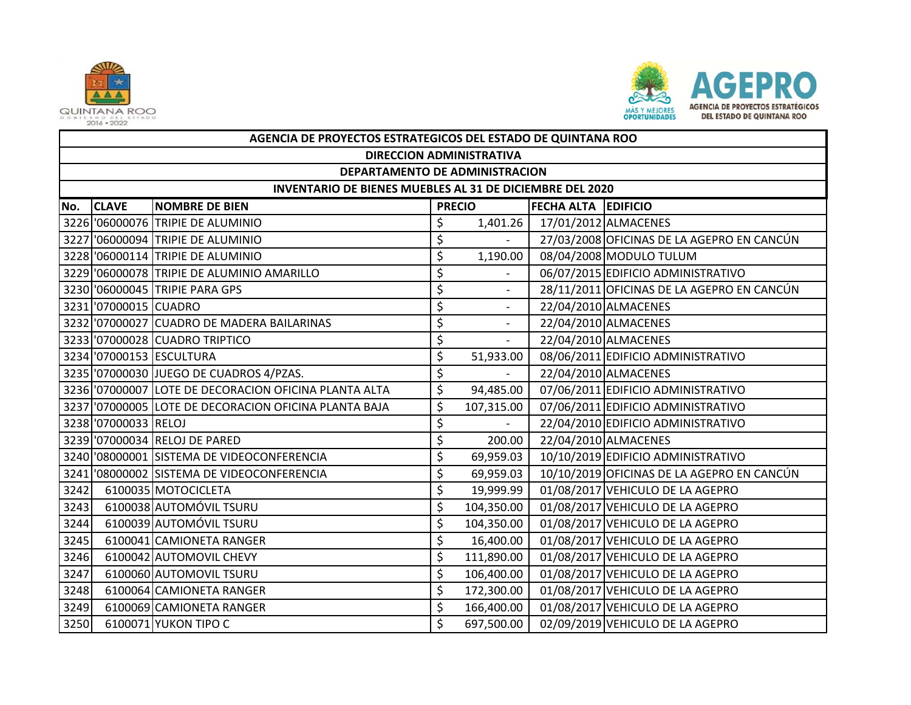



|      | AGENCIA DE PROYECTOS ESTRATEGICOS DEL ESTADO DE QUINTANA ROO |                                                       |    |                          |                            |                                            |  |  |  |  |
|------|--------------------------------------------------------------|-------------------------------------------------------|----|--------------------------|----------------------------|--------------------------------------------|--|--|--|--|
|      | <b>DIRECCION ADMINISTRATIVA</b>                              |                                                       |    |                          |                            |                                            |  |  |  |  |
|      | DEPARTAMENTO DE ADMINISTRACION                               |                                                       |    |                          |                            |                                            |  |  |  |  |
|      | INVENTARIO DE BIENES MUEBLES AL 31 DE DICIEMBRE DEL 2020     |                                                       |    |                          |                            |                                            |  |  |  |  |
| No.  | <b>CLAVE</b>                                                 | <b>NOMBRE DE BIEN</b>                                 |    | <b>PRECIO</b>            | <b>FECHA ALTA EDIFICIO</b> |                                            |  |  |  |  |
|      |                                                              | 3226 '06000076 TRIPIE DE ALUMINIO                     | \$ | 1,401.26                 |                            | 17/01/2012 ALMACENES                       |  |  |  |  |
|      |                                                              | 3227 '06000094 TRIPIE DE ALUMINIO                     | \$ |                          |                            | 27/03/2008 OFICINAS DE LA AGEPRO EN CANCÚN |  |  |  |  |
|      |                                                              | 3228 '06000114 TRIPIE DE ALUMINIO                     | \$ | 1,190.00                 |                            | 08/04/2008 MODULO TULUM                    |  |  |  |  |
|      |                                                              | 3229 '06000078 TRIPIE DE ALUMINIO AMARILLO            | \$ |                          |                            | 06/07/2015 EDIFICIO ADMINISTRATIVO         |  |  |  |  |
|      |                                                              | 3230 '06000045 TRIPIE PARA GPS                        | \$ |                          |                            | 28/11/2011 OFICINAS DE LA AGEPRO EN CANCÚN |  |  |  |  |
|      | 3231 '07000015 CUADRO                                        |                                                       | \$ | $\blacksquare$           |                            | 22/04/2010 ALMACENES                       |  |  |  |  |
|      |                                                              | 3232 '07000027 CUADRO DE MADERA BAILARINAS            | \$ |                          |                            | 22/04/2010 ALMACENES                       |  |  |  |  |
|      |                                                              | 3233 '07000028 CUADRO TRIPTICO                        | \$ | $\blacksquare$           |                            | 22/04/2010 ALMACENES                       |  |  |  |  |
|      |                                                              | 3234 '07000153 ESCULTURA                              | \$ | 51,933.00                |                            | 08/06/2011 EDIFICIO ADMINISTRATIVO         |  |  |  |  |
|      |                                                              | 3235 '07000030 JUEGO DE CUADROS 4/PZAS.               | \$ | $\overline{\phantom{a}}$ |                            | 22/04/2010 ALMACENES                       |  |  |  |  |
|      |                                                              | 3236 '07000007 LOTE DE DECORACION OFICINA PLANTA ALTA | \$ | 94,485.00                |                            | 07/06/2011 EDIFICIO ADMINISTRATIVO         |  |  |  |  |
|      |                                                              | 3237 '07000005 LOTE DE DECORACION OFICINA PLANTA BAJA | \$ | 107,315.00               |                            | 07/06/2011 EDIFICIO ADMINISTRATIVO         |  |  |  |  |
|      | 3238 '07000033 RELOJ                                         |                                                       | \$ |                          |                            | 22/04/2010 EDIFICIO ADMINISTRATIVO         |  |  |  |  |
|      |                                                              | 3239 '07000034 RELOJ DE PARED                         | \$ | 200.00                   |                            | 22/04/2010 ALMACENES                       |  |  |  |  |
|      |                                                              | 3240 '08000001 SISTEMA DE VIDEOCONFERENCIA            | \$ | 69,959.03                |                            | 10/10/2019 EDIFICIO ADMINISTRATIVO         |  |  |  |  |
|      |                                                              | 3241 '08000002 SISTEMA DE VIDEOCONFERENCIA            | \$ | 69,959.03                |                            | 10/10/2019 OFICINAS DE LA AGEPRO EN CANCÚN |  |  |  |  |
| 3242 |                                                              | 6100035 MOTOCICLETA                                   | \$ | 19,999.99                |                            | 01/08/2017 VEHICULO DE LA AGEPRO           |  |  |  |  |
| 3243 |                                                              | 6100038 AUTOMÓVIL TSURU                               | \$ | 104,350.00               |                            | 01/08/2017 VEHICULO DE LA AGEPRO           |  |  |  |  |
| 3244 |                                                              | 6100039 AUTOMÓVIL TSURU                               | \$ | 104,350.00               |                            | 01/08/2017 VEHICULO DE LA AGEPRO           |  |  |  |  |
| 3245 |                                                              | 6100041 CAMIONETA RANGER                              | \$ | 16,400.00                |                            | 01/08/2017 VEHICULO DE LA AGEPRO           |  |  |  |  |
| 3246 |                                                              | 6100042 AUTOMOVIL CHEVY                               | \$ | 111,890.00               |                            | 01/08/2017 VEHICULO DE LA AGEPRO           |  |  |  |  |
| 3247 |                                                              | 6100060 AUTOMOVIL TSURU                               | \$ | 106,400.00               |                            | 01/08/2017 VEHICULO DE LA AGEPRO           |  |  |  |  |
| 3248 |                                                              | 6100064 CAMIONETA RANGER                              | \$ | 172,300.00               |                            | 01/08/2017 VEHICULO DE LA AGEPRO           |  |  |  |  |
| 3249 |                                                              | 6100069 CAMIONETA RANGER                              | \$ | 166,400.00               |                            | 01/08/2017 VEHICULO DE LA AGEPRO           |  |  |  |  |
| 3250 |                                                              | 6100071 YUKON TIPO C                                  | \$ | 697,500.00               |                            | 02/09/2019 VEHICULO DE LA AGEPRO           |  |  |  |  |